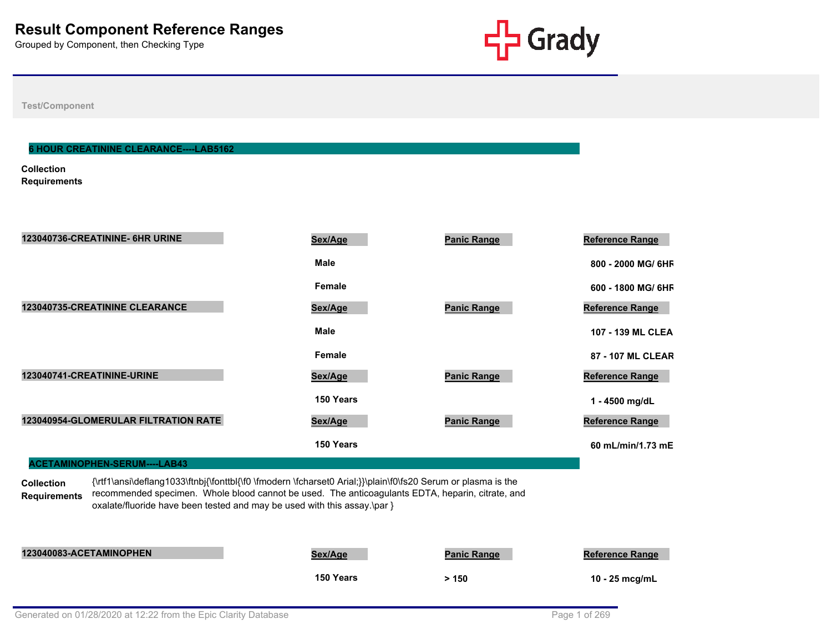

**Test/Component**

#### **6 HOUR CREATININE CLEARANCE----LAB5162**

**Collection Requirements**

| 123040736-CREATININE- 6HR URINE      | Sex/Age     | <b>Panic Range</b> | Reference Range        |
|--------------------------------------|-------------|--------------------|------------------------|
|                                      | <b>Male</b> |                    | 800 - 2000 MG/ 6HF     |
|                                      | Female      |                    | 600 - 1800 MG/ 6HF     |
| 123040735-CREATININE CLEARANCE       | Sex/Age     | <b>Panic Range</b> | <b>Reference Range</b> |
|                                      | <b>Male</b> |                    | 107 - 139 ML CLEA      |
|                                      | Female      |                    | 87 - 107 ML CLEAR      |
| 123040741-CREATININE-URINE           | Sex/Age     | <b>Panic Range</b> | <b>Reference Range</b> |
|                                      | 150 Years   |                    | 1 - 4500 mg/dL         |
| 123040954-GLOMERULAR FILTRATION RATE | Sex/Age     | <b>Panic Range</b> | Reference Range        |
|                                      | 150 Years   |                    | 60 mL/min/1.73 mE      |
| ACETAMINOPHEN-SERUM----LAB43         |             |                    |                        |

**Collection Requirements** {\rtf1\ansi\deflang1033\ftnbj{\fonttbl{\f0 \fmodern \fcharset0 Arial;}}\plain\f0\fs20 Serum or plasma is the recommended specimen. Whole blood cannot be used. The anticoagulants EDTA, heparin, citrate, and oxalate/fluoride have been tested and may be used with this assay.\par }

| 123040083-ACETAMINOPHEN | <u>Sex/Age</u> | <b>Panic Range</b> | <b>Reference Range</b> |
|-------------------------|----------------|--------------------|------------------------|
|                         | 150 Years      | > 150              | 10 - 25 mcg/mL         |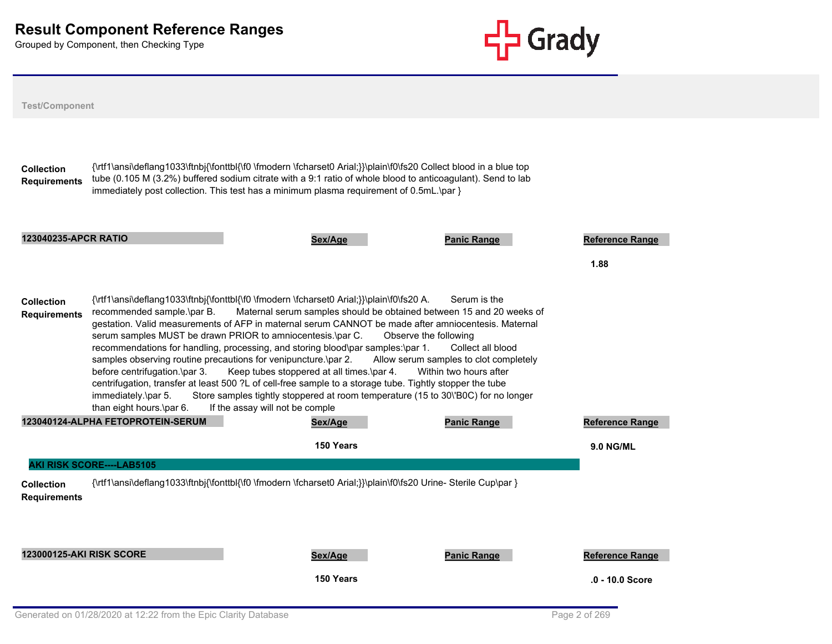

| <b>Test/Component</b>                    |                                                                                                                                                                                  |                                                                                                                                                                                                                                                                                                                                                                                                                                                                                                                                                                                                                                                                                                           |                                                                                                                                |                        |  |
|------------------------------------------|----------------------------------------------------------------------------------------------------------------------------------------------------------------------------------|-----------------------------------------------------------------------------------------------------------------------------------------------------------------------------------------------------------------------------------------------------------------------------------------------------------------------------------------------------------------------------------------------------------------------------------------------------------------------------------------------------------------------------------------------------------------------------------------------------------------------------------------------------------------------------------------------------------|--------------------------------------------------------------------------------------------------------------------------------|------------------------|--|
| <b>Collection</b><br><b>Requirements</b> |                                                                                                                                                                                  | {\rtf1\ansi\deflang1033\ftnbj{\fonttbl{\f0 \fmodern \fcharset0 Arial;}}\plain\f0\fs20 Collect blood in a blue top<br>tube (0.105 M (3.2%) buffered sodium citrate with a 9:1 ratio of whole blood to anticoagulant). Send to lab<br>immediately post collection. This test has a minimum plasma requirement of 0.5mL.\par }                                                                                                                                                                                                                                                                                                                                                                               |                                                                                                                                |                        |  |
| <b>123040235-APCR RATIO</b>              |                                                                                                                                                                                  | Sex/Age                                                                                                                                                                                                                                                                                                                                                                                                                                                                                                                                                                                                                                                                                                   | <b>Panic Range</b>                                                                                                             | <b>Reference Range</b> |  |
|                                          |                                                                                                                                                                                  |                                                                                                                                                                                                                                                                                                                                                                                                                                                                                                                                                                                                                                                                                                           |                                                                                                                                | 1.88                   |  |
| <b>Collection</b><br><b>Requirements</b> | recommended sample.\par B.<br>samples observing routine precautions for venipuncture.\par 2.<br>before centrifugation.\par 3.<br>immediately.\par 5.<br>than eight hours.\par 6. | {\rtf1\ansi\deflang1033\ftnbj{\fonttbl{\f0 \fmodern \fcharset0 Arial;}}\plain\f0\fs20 A.<br>Maternal serum samples should be obtained between 15 and 20 weeks of<br>gestation. Valid measurements of AFP in maternal serum CANNOT be made after amniocentesis. Maternal<br>serum samples MUST be drawn PRIOR to amniocentesis.\par C.<br>recommendations for handling, processing, and storing blood\par samples:\par 1.<br>Keep tubes stoppered at all times.\par 4.<br>centrifugation, transfer at least 500 ?L of cell-free sample to a storage tube. Tightly stopper the tube<br>Store samples tightly stoppered at room temperature (15 to 30\'B0C) for no longer<br>If the assay will not be comple | Serum is the<br>Observe the following<br>Collect all blood<br>Allow serum samples to clot completely<br>Within two hours after |                        |  |
|                                          | 123040124-ALPHA FETOPROTEIN-SERUM                                                                                                                                                | Sex/Age                                                                                                                                                                                                                                                                                                                                                                                                                                                                                                                                                                                                                                                                                                   | <b>Panic Range</b>                                                                                                             | Reference Range        |  |
|                                          |                                                                                                                                                                                  | 150 Years                                                                                                                                                                                                                                                                                                                                                                                                                                                                                                                                                                                                                                                                                                 |                                                                                                                                | <b>9.0 NG/ML</b>       |  |
| <b>Collection</b><br><b>Requirements</b> | <b>AKI RISK SCORE----LAB5105</b>                                                                                                                                                 | {\rtf1\ansi\deflang1033\ftnbj{\fonttbl{\f0 \fmodern \fcharset0 Arial;}}\plain\f0\fs20 Urine- Sterile Cup\par }                                                                                                                                                                                                                                                                                                                                                                                                                                                                                                                                                                                            |                                                                                                                                |                        |  |
| <b>123000125-AKI RISK SCORE</b>          |                                                                                                                                                                                  | Sex/Age                                                                                                                                                                                                                                                                                                                                                                                                                                                                                                                                                                                                                                                                                                   | <b>Panic Range</b>                                                                                                             | <b>Reference Range</b> |  |
|                                          |                                                                                                                                                                                  | 150 Years                                                                                                                                                                                                                                                                                                                                                                                                                                                                                                                                                                                                                                                                                                 |                                                                                                                                | .0 - 10.0 Score        |  |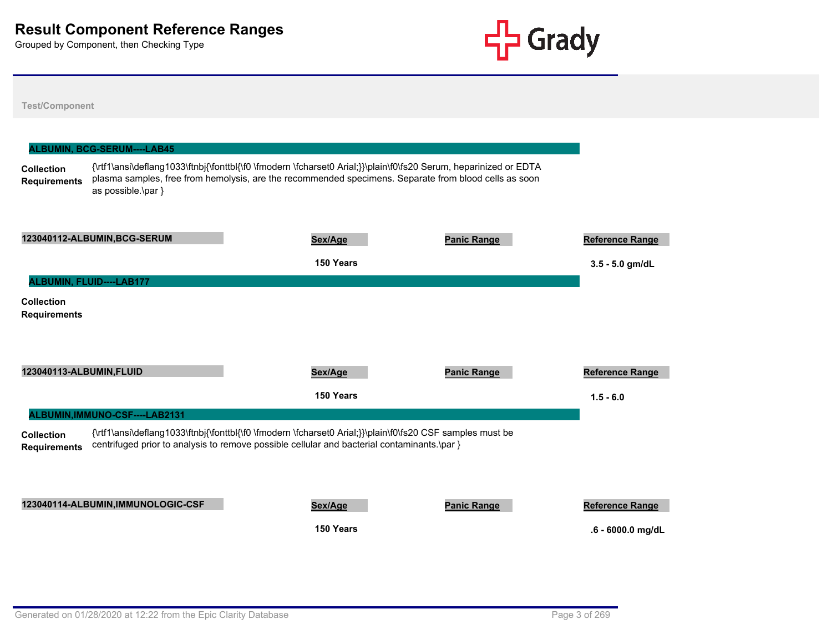

|                                          | ALBUMIN, BCG-SERUM----LAB45        |                                                                                                                                                                                                                           |                    |                                             |
|------------------------------------------|------------------------------------|---------------------------------------------------------------------------------------------------------------------------------------------------------------------------------------------------------------------------|--------------------|---------------------------------------------|
| <b>Collection</b><br><b>Requirements</b> | as possible.\par }                 | {\rtf1\ansi\deflang1033\ftnbj{\fonttbl{\f0 \fmodern \fcharset0 Arial;}}\plain\f0\fs20 Serum, heparinized or EDTA<br>plasma samples, free from hemolysis, are the recommended specimens. Separate from blood cells as soon |                    |                                             |
|                                          | 123040112-ALBUMIN, BCG-SERUM       | Sex/Age<br>150 Years                                                                                                                                                                                                      | <b>Panic Range</b> | <b>Reference Range</b><br>$3.5 - 5.0$ gm/dL |
|                                          | ALBUMIN, FLUID----LAB177           |                                                                                                                                                                                                                           |                    |                                             |
| <b>Collection</b><br><b>Requirements</b> |                                    |                                                                                                                                                                                                                           |                    |                                             |
| 123040113-ALBUMIN, FLUID                 |                                    | Sex/Age                                                                                                                                                                                                                   | <b>Panic Range</b> | <b>Reference Range</b>                      |
|                                          |                                    | 150 Years                                                                                                                                                                                                                 |                    | $1.5 - 6.0$                                 |
|                                          | ALBUMIN, IMMUNO-CSF----LAB2131     |                                                                                                                                                                                                                           |                    |                                             |
| <b>Collection</b><br><b>Requirements</b> |                                    | {\rtf1\ansi\deflang1033\ftnbj{\fonttbl{\f0 \fmodern \fcharset0 Arial;}}\plain\f0\fs20 CSF samples must be<br>centrifuged prior to analysis to remove possible cellular and bacterial contaminants.\par }                  |                    |                                             |
|                                          | 123040114-ALBUMIN, IMMUNOLOGIC-CSF | Sex/Age                                                                                                                                                                                                                   | <b>Panic Range</b> | Reference Range                             |
|                                          |                                    | 150 Years                                                                                                                                                                                                                 |                    | .6 - 6000.0 mg/dL                           |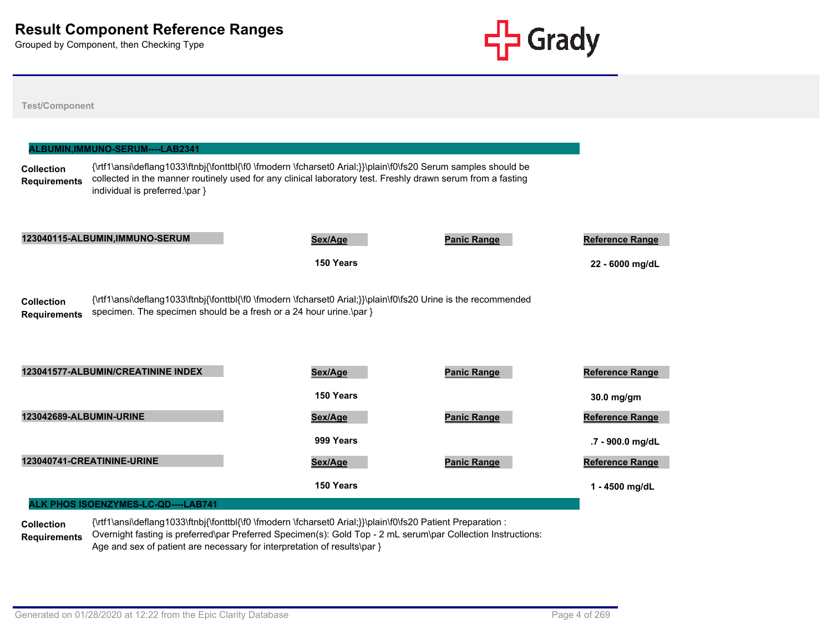**Test/Component**



| <b>Collection</b><br><b>Requirements</b> | {\rtf1\ansi\deflang1033\ftnbj{\fonttbl{\f0 \fmodern \fcharset0 Arial;}}\plain\f0\fs20 Serum samples should be<br>collected in the manner routinely used for any clinical laboratory test. Freshly drawn serum from a fasting<br>individual is preferred.\par } |           |                    |                                     |
|------------------------------------------|----------------------------------------------------------------------------------------------------------------------------------------------------------------------------------------------------------------------------------------------------------------|-----------|--------------------|-------------------------------------|
|                                          | 123040115-ALBUMIN, IMMUNO-SERUM                                                                                                                                                                                                                                | Sex/Age   | <b>Panic Range</b> | <b>Reference Range</b>              |
|                                          |                                                                                                                                                                                                                                                                | 150 Years |                    | 22 - 6000 mg/dL                     |
| <b>Collection</b><br><b>Requirements</b> | {\rtf1\ansi\deflang1033\ftnbj{\fonttbl{\f0 \fmodern \fcharset0 Arial;}}\plain\f0\fs20 Urine is the recommended<br>specimen. The specimen should be a fresh or a 24 hour urine.\par }                                                                           |           |                    |                                     |
|                                          | 123041577-ALBUMIN/CREATININE INDEX                                                                                                                                                                                                                             | Sex/Age   | <b>Panic Range</b> | <b>Reference Range</b>              |
|                                          |                                                                                                                                                                                                                                                                | 150 Years |                    | 30.0 mg/gm                          |
| 123042689-ALBUMIN-URINE                  |                                                                                                                                                                                                                                                                | Sex/Age   | <b>Panic Range</b> |                                     |
|                                          |                                                                                                                                                                                                                                                                | 999 Years |                    | Reference Range<br>.7 - 900.0 mg/dL |
|                                          | 123040741-CREATININE-URINE                                                                                                                                                                                                                                     | Sex/Age   | <b>Panic Range</b> | <b>Reference Range</b>              |

**Collection Requirements** {\rtf1\ansi\deflang1033\ftnbj{\fonttbl{\f0 \fmodern \fcharset0 Arial;}}\plain\f0\fs20 Patient Preparation : Overnight fasting is preferred\par Preferred Specimen(s): Gold Top - 2 mL serum\par Collection Instructions: Age and sex of patient are necessary for interpretation of results\par }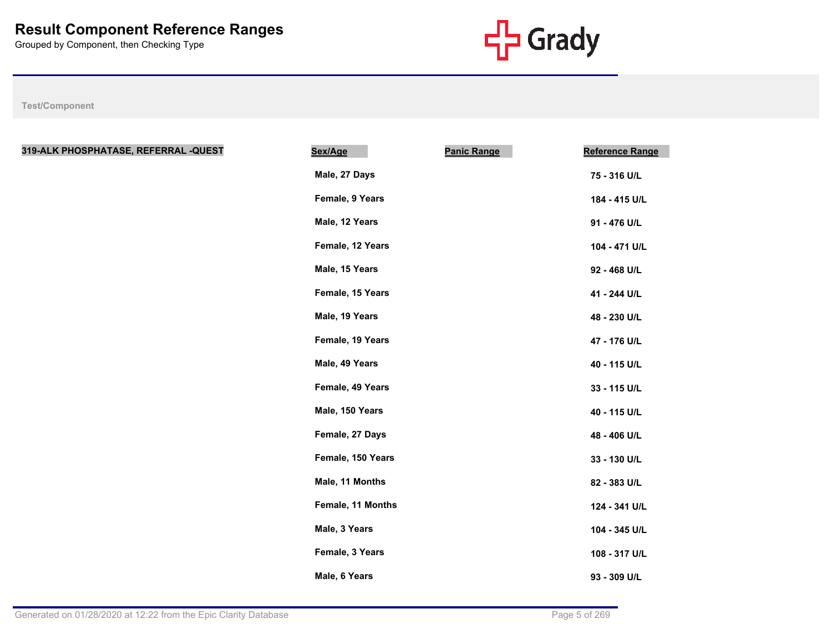

| 319-ALK PHOSPHATASE, REFERRAL -QUEST | <b>Panic Range</b><br>Sex/Age | <b>Reference Range</b> |
|--------------------------------------|-------------------------------|------------------------|
|                                      | Male, 27 Days                 | 75 - 316 U/L           |
|                                      | Female, 9 Years               | 184 - 415 U/L          |
|                                      | Male, 12 Years                | 91 - 476 U/L           |
|                                      | Female, 12 Years              | 104 - 471 U/L          |
|                                      | Male, 15 Years                | 92 - 468 U/L           |
|                                      | Female, 15 Years              | 41 - 244 U/L           |
|                                      | Male, 19 Years                | 48 - 230 U/L           |
|                                      | Female, 19 Years              | 47 - 176 U/L           |
|                                      | Male, 49 Years                | 40 - 115 U/L           |
|                                      | Female, 49 Years              | 33 - 115 U/L           |
|                                      | Male, 150 Years               | 40 - 115 U/L           |
|                                      | Female, 27 Days               | 48 - 406 U/L           |
|                                      | Female, 150 Years             | 33 - 130 U/L           |
|                                      | Male, 11 Months               | 82 - 383 U/L           |
|                                      | Female, 11 Months             | 124 - 341 U/L          |
|                                      | Male, 3 Years                 | 104 - 345 U/L          |
|                                      | Female, 3 Years               | 108 - 317 U/L          |
|                                      | Male, 6 Years                 | 93 - 309 U/L           |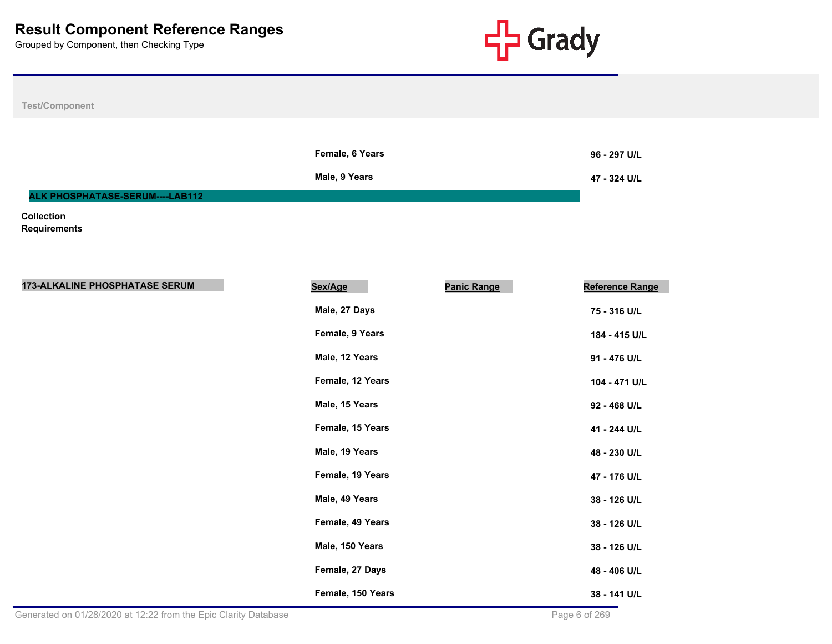

**Test/Component**

|                                        | Female, 6 Years | 96 - 297 U/L |
|----------------------------------------|-----------------|--------------|
|                                        | Male, 9 Years   | 47 - 324 U/L |
| <b>ALK PHOSPHATASE-SERUM----LAB112</b> |                 |              |

**Collection** 

**Requirements**

| <b>173-ALKALINE PHOSPHATASE SERUM</b> | Sex/Age           | <b>Panic Range</b> | Reference Range |
|---------------------------------------|-------------------|--------------------|-----------------|
|                                       | Male, 27 Days     |                    | 75 - 316 U/L    |
|                                       | Female, 9 Years   |                    | 184 - 415 U/L   |
|                                       | Male, 12 Years    |                    | 91 - 476 U/L    |
|                                       | Female, 12 Years  |                    | 104 - 471 U/L   |
|                                       | Male, 15 Years    |                    | 92 - 468 U/L    |
|                                       | Female, 15 Years  |                    | 41 - 244 U/L    |
|                                       | Male, 19 Years    |                    | 48 - 230 U/L    |
|                                       | Female, 19 Years  |                    | 47 - 176 U/L    |
|                                       | Male, 49 Years    |                    | 38 - 126 U/L    |
|                                       | Female, 49 Years  |                    | 38 - 126 U/L    |
|                                       | Male, 150 Years   |                    | 38 - 126 U/L    |
|                                       | Female, 27 Days   |                    | 48 - 406 U/L    |
|                                       | Female, 150 Years |                    | 38 - 141 U/L    |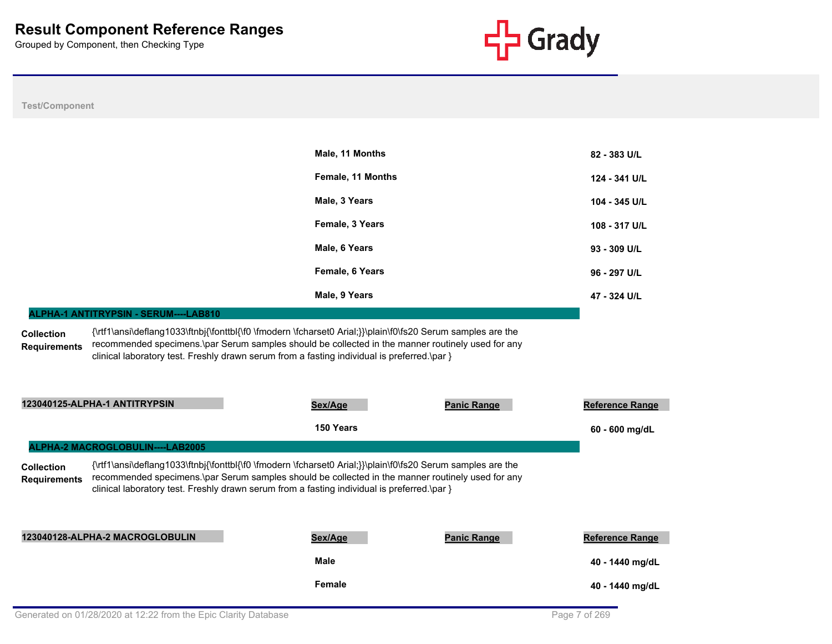

|                                          |                                       | Male, 11 Months                                                                                                                                                                                                                                                                                                 |                    | 82 - 383 U/L           |
|------------------------------------------|---------------------------------------|-----------------------------------------------------------------------------------------------------------------------------------------------------------------------------------------------------------------------------------------------------------------------------------------------------------------|--------------------|------------------------|
|                                          |                                       | Female, 11 Months                                                                                                                                                                                                                                                                                               |                    | 124 - 341 U/L          |
|                                          |                                       | Male, 3 Years                                                                                                                                                                                                                                                                                                   |                    | 104 - 345 U/L          |
|                                          |                                       | Female, 3 Years                                                                                                                                                                                                                                                                                                 |                    | 108 - 317 U/L          |
|                                          |                                       | Male, 6 Years                                                                                                                                                                                                                                                                                                   |                    | 93 - 309 U/L           |
|                                          |                                       | Female, 6 Years                                                                                                                                                                                                                                                                                                 |                    | 96 - 297 U/L           |
|                                          |                                       | Male, 9 Years                                                                                                                                                                                                                                                                                                   |                    | 47 - 324 U/L           |
|                                          | ALPHA-1 ANTITRYPSIN - SERUM----LAB810 |                                                                                                                                                                                                                                                                                                                 |                    |                        |
| <b>Requirements</b>                      |                                       | recommended specimens.\par Serum samples should be collected in the manner routinely used for any<br>clinical laboratory test. Freshly drawn serum from a fasting individual is preferred.\par }                                                                                                                |                    |                        |
|                                          | 123040125-ALPHA-1 ANTITRYPSIN         | Sex/Age                                                                                                                                                                                                                                                                                                         | <b>Panic Range</b> | <b>Reference Range</b> |
|                                          |                                       | 150 Years                                                                                                                                                                                                                                                                                                       |                    | 60 - 600 mg/dL         |
|                                          | ALPHA-2 MACROGLOBULIN----LAB2005      |                                                                                                                                                                                                                                                                                                                 |                    |                        |
| <b>Collection</b><br><b>Requirements</b> |                                       | {\rtf1\ansi\deflang1033\ftnbj{\fonttbl{\f0 \fmodern \fcharset0 Arial;}}\plain\f0\fs20 Serum samples are the<br>recommended specimens.\par Serum samples should be collected in the manner routinely used for any<br>clinical laboratory test. Freshly drawn serum from a fasting individual is preferred.\par } |                    |                        |
|                                          | 123040128-ALPHA-2 MACROGLOBULIN       | Sex/Age                                                                                                                                                                                                                                                                                                         | <b>Panic Range</b> | <b>Reference Range</b> |
|                                          |                                       | Male                                                                                                                                                                                                                                                                                                            |                    | 40 - 1440 mg/dL        |
|                                          |                                       | Female                                                                                                                                                                                                                                                                                                          |                    | 40 - 1440 mg/dL        |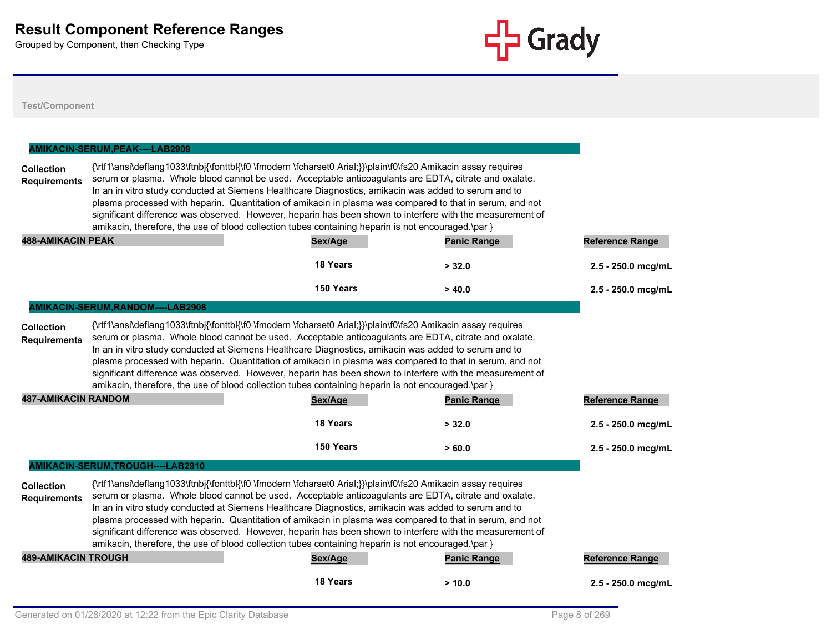

|                                                                        | AMIKACIN-SERUM, PEAK----LAB2909   |                                                                                                                                                                                                                                                                                                                                                                                                                                                                                                                                                                                                                                                                          |                    |                        |
|------------------------------------------------------------------------|-----------------------------------|--------------------------------------------------------------------------------------------------------------------------------------------------------------------------------------------------------------------------------------------------------------------------------------------------------------------------------------------------------------------------------------------------------------------------------------------------------------------------------------------------------------------------------------------------------------------------------------------------------------------------------------------------------------------------|--------------------|------------------------|
| <b>Collection</b><br><b>Requirements</b>                               |                                   | {\rtf1\ansi\deflang1033\ftnbj{\fonttbl{\f0 \fmodern \fcharset0 Arial;}}\plain\f0\fs20 Amikacin assay requires<br>serum or plasma. Whole blood cannot be used. Acceptable anticoagulants are EDTA, citrate and oxalate.<br>In an in vitro study conducted at Siemens Healthcare Diagnostics, amikacin was added to serum and to<br>plasma processed with heparin. Quantitation of amikacin in plasma was compared to that in serum, and not<br>significant difference was observed. However, heparin has been shown to interfere with the measurement of<br>amikacin, therefore, the use of blood collection tubes containing heparin is not encouraged.\par }            |                    |                        |
| <b>488-AMIKACIN PEAK</b>                                               |                                   | Sex/Age                                                                                                                                                                                                                                                                                                                                                                                                                                                                                                                                                                                                                                                                  | <b>Panic Range</b> | <b>Reference Range</b> |
|                                                                        |                                   | 18 Years                                                                                                                                                                                                                                                                                                                                                                                                                                                                                                                                                                                                                                                                 | > 32.0             | 2.5 - 250.0 mcg/mL     |
|                                                                        |                                   | 150 Years                                                                                                                                                                                                                                                                                                                                                                                                                                                                                                                                                                                                                                                                | >40.0              | 2.5 - 250.0 mcg/mL     |
|                                                                        | AMIKACIN-SERUM, RANDOM----LAB2908 |                                                                                                                                                                                                                                                                                                                                                                                                                                                                                                                                                                                                                                                                          |                    |                        |
| <b>Collection</b><br><b>Requirements</b><br><b>487-AMIKACIN RANDOM</b> |                                   | {\rtf1\ansi\deflang1033\ftnbj{\fonttbl{\f0 \fmodern \fcharset0 Arial;}}\plain\f0\fs20 Amikacin assay requires<br>serum or plasma. Whole blood cannot be used. Acceptable anticoagulants are EDTA, citrate and oxalate.<br>In an in vitro study conducted at Siemens Healthcare Diagnostics, amikacin was added to serum and to<br>plasma processed with heparin. Quantitation of amikacin in plasma was compared to that in serum, and not<br>significant difference was observed. However, heparin has been shown to interfere with the measurement of<br>amikacin, therefore, the use of blood collection tubes containing heparin is not encouraged.\par }<br>Sex/Age | <b>Panic Range</b> | Reference Range        |
|                                                                        |                                   | 18 Years                                                                                                                                                                                                                                                                                                                                                                                                                                                                                                                                                                                                                                                                 | > 32.0             | 2.5 - 250.0 mcg/mL     |
|                                                                        |                                   | 150 Years                                                                                                                                                                                                                                                                                                                                                                                                                                                                                                                                                                                                                                                                | >60.0              | $2.5 - 250.0$ mcg/mL   |
|                                                                        | AMIKACIN-SERUM, TROUGH----LAB2910 |                                                                                                                                                                                                                                                                                                                                                                                                                                                                                                                                                                                                                                                                          |                    |                        |
| <b>Collection</b><br><b>Requirements</b>                               |                                   | {\rtf1\ansi\deflang1033\ftnbj{\fonttbl{\f0 \fmodern \fcharset0 Arial;}}\plain\f0\fs20 Amikacin assay requires<br>serum or plasma. Whole blood cannot be used. Acceptable anticoagulants are EDTA, citrate and oxalate.<br>In an in vitro study conducted at Siemens Healthcare Diagnostics, amikacin was added to serum and to<br>plasma processed with heparin. Quantitation of amikacin in plasma was compared to that in serum, and not<br>significant difference was observed. However, heparin has been shown to interfere with the measurement of<br>amikacin, therefore, the use of blood collection tubes containing heparin is not encouraged.\par }            |                    |                        |
| <b>489-AMIKACIN TROUGH</b>                                             |                                   | Sex/Age                                                                                                                                                                                                                                                                                                                                                                                                                                                                                                                                                                                                                                                                  | <b>Panic Range</b> | <b>Reference Range</b> |
|                                                                        |                                   | 18 Years                                                                                                                                                                                                                                                                                                                                                                                                                                                                                                                                                                                                                                                                 | > 10.0             | $2.5 - 250.0$ mcg/mL   |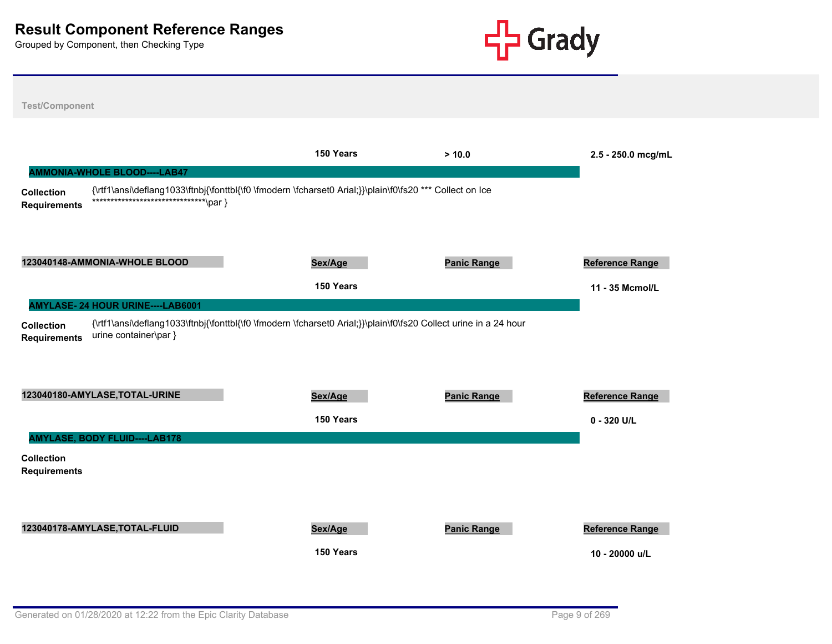

**Test/Component 150 Years > 10.0 2.5 - 250.0 mcg/mL Collection Requirements** {\rtf1\ansi\deflang1033\ftnbj{\fonttbl{\f0 \fmodern \fcharset0 Arial;}}\plain\f0\fs20 \*\*\* Collect on Ice \*\*\*\*\*\*\*\*\*\*\*\*\*\*\*\*\*\*\*\*\*\*\*\*\*\*\*\*\*\*\*\par } **AMMONIA-WHOLE BLOOD----LAB47 123040148-AMMONIA-WHOLE BLOOD Sex/Age Panic Range Reference Range 150 Years 11 - 35 Mcmol/L Collection Requirements** {\rtf1\ansi\deflang1033\ftnbj{\fonttbl{\f0 \fmodern \fcharset0 Arial;}}\plain\f0\fs20 Collect urine in a 24 hour urine container\par } **AMYLASE- 24 HOUR URINE----LAB6001 123040180-AMYLASE,TOTAL-URINE Sex/Age Panic Range Reference Range 150 Years 0 - 320 U/L Collection Requirements AMYLASE, BODY FLUID----LAB178 123040178-AMYLASE,TOTAL-FLUID Sex/Age Panic Range Reference Range 150 Years 10 - 20000 u/L**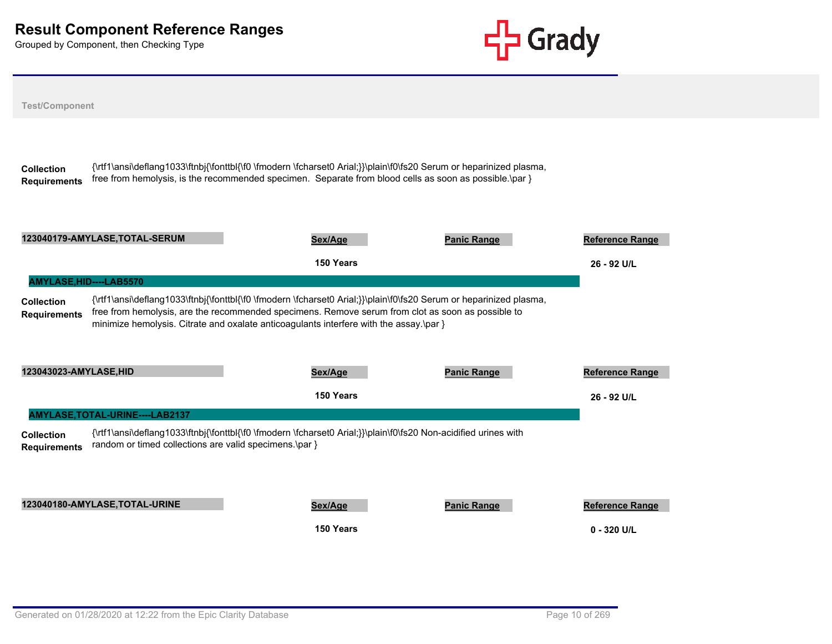

| <b>Test/Component</b>                    |                                                                                                                                                                                                                                                                                                                   |                                         |
|------------------------------------------|-------------------------------------------------------------------------------------------------------------------------------------------------------------------------------------------------------------------------------------------------------------------------------------------------------------------|-----------------------------------------|
| <b>Collection</b><br><b>Requirements</b> | {\rtf1\ansi\deflang1033\ftnbj{\fonttbl{\f0 \fmodern \fcharset0 Arial;}}\plain\f0\fs20 Serum or heparinized plasma,<br>free from hemolysis, is the recommended specimen. Separate from blood cells as soon as possible.\par }                                                                                      |                                         |
|                                          | 123040179-AMYLASE, TOTAL-SERUM<br><b>Panic Range</b><br>Sex/Age                                                                                                                                                                                                                                                   | <b>Reference Range</b>                  |
|                                          | 150 Years                                                                                                                                                                                                                                                                                                         | 26 - 92 U/L                             |
| AMYLASE, HID----LAB5570                  |                                                                                                                                                                                                                                                                                                                   |                                         |
| <b>Collection</b><br><b>Requirements</b> | {\rtf1\ansi\deflang1033\ftnbj{\fonttbl{\f0 \fmodern \fcharset0 Arial;}}\plain\f0\fs20 Serum or heparinized plasma,<br>free from hemolysis, are the recommended specimens. Remove serum from clot as soon as possible to<br>minimize hemolysis. Citrate and oxalate anticoagulants interfere with the assay.\par } |                                         |
| 123043023-AMYLASE, HID                   | <b>Panic Range</b><br>Sex/Age                                                                                                                                                                                                                                                                                     | <b>Reference Range</b>                  |
|                                          | 150 Years                                                                                                                                                                                                                                                                                                         | 26 - 92 U/L                             |
|                                          | AMYLASE, TOTAL-URINE----LAB2137                                                                                                                                                                                                                                                                                   |                                         |
| <b>Collection</b><br><b>Requirements</b> | {\rtf1\ansi\deflang1033\ftnbj{\fonttbl{\f0 \fmodern \fcharset0 Arial;}}\plain\f0\fs20 Non-acidified urines with<br>random or timed collections are valid specimens.\par }                                                                                                                                         |                                         |
|                                          | 123040180-AMYLASE, TOTAL-URINE<br><b>Panic Range</b><br>Sex/Age<br>150 Years                                                                                                                                                                                                                                      | <b>Reference Range</b><br>$0 - 320$ U/L |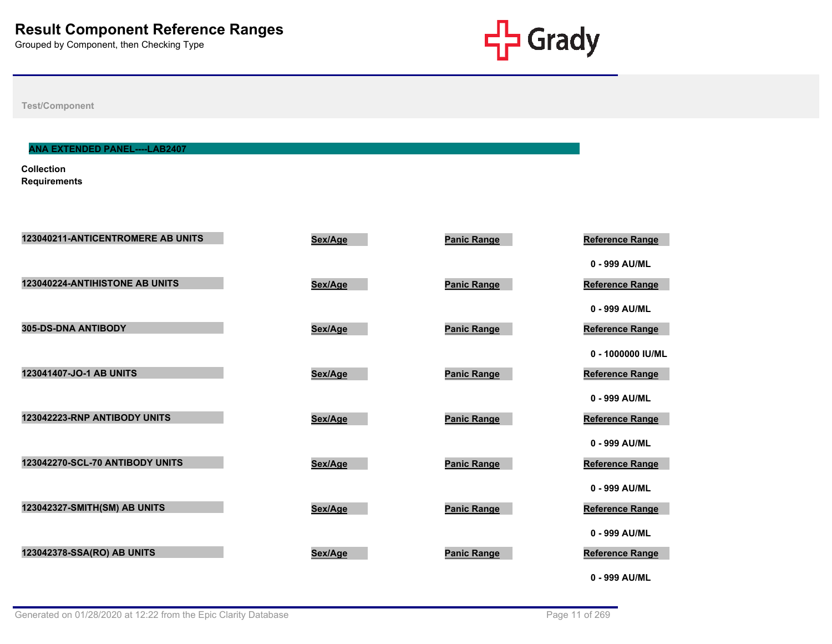

**Test/Component**

# **ANA EXTENDED PANEL----LAB2407**

**Collection Requirements**

| 123040211-ANTICENTROMERE AB UNITS | Sex/Age | <b>Panic Range</b> | <b>Reference Range</b> |
|-----------------------------------|---------|--------------------|------------------------|
|                                   |         |                    | 0 - 999 AU/ML          |
| 123040224-ANTIHISTONE AB UNITS    | Sex/Age | <b>Panic Range</b> | <b>Reference Range</b> |
|                                   |         |                    | 0 - 999 AU/ML          |
| 305-DS-DNA ANTIBODY               | Sex/Age | <b>Panic Range</b> | <b>Reference Range</b> |
|                                   |         |                    | 0 - 1000000 IU/ML      |
| 123041407-JO-1 AB UNITS           | Sex/Age | <b>Panic Range</b> | <b>Reference Range</b> |
|                                   |         |                    | 0 - 999 AU/ML          |
| 123042223-RNP ANTIBODY UNITS      | Sex/Age | <b>Panic Range</b> | <b>Reference Range</b> |
|                                   |         |                    | 0 - 999 AU/ML          |
| 123042270-SCL-70 ANTIBODY UNITS   | Sex/Age | <b>Panic Range</b> | <b>Reference Range</b> |
|                                   |         |                    | 0 - 999 AU/ML          |
| 123042327-SMITH(SM) AB UNITS      | Sex/Age | <b>Panic Range</b> | <b>Reference Range</b> |
|                                   |         |                    | 0 - 999 AU/ML          |
| 123042378-SSA(RO) AB UNITS        | Sex/Age | <b>Panic Range</b> | <b>Reference Range</b> |
|                                   |         |                    | 0 - 999 AU/ML          |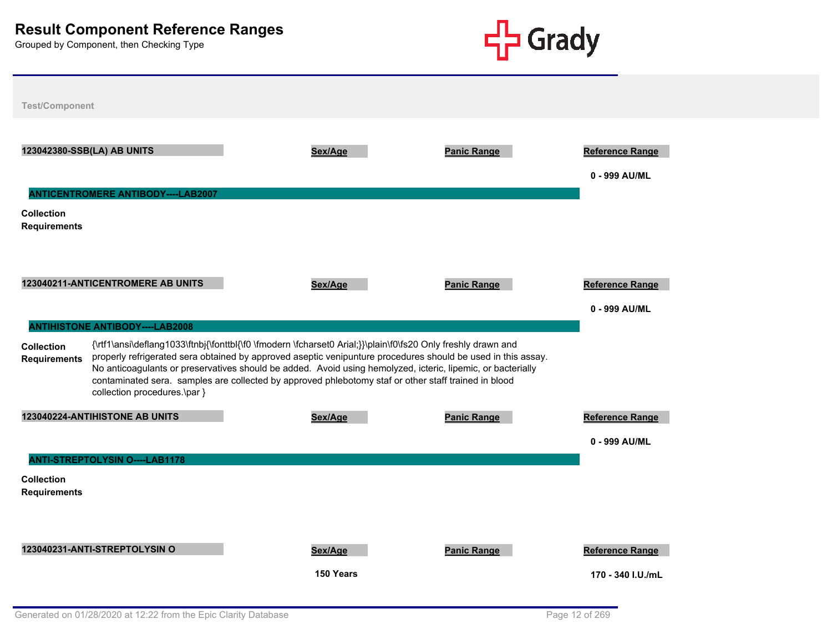

| <b>Test/Component</b>                    |                                                                                                                                                                                                                                                                                                                                                                                                                                                                                     |           |                    |                                         |
|------------------------------------------|-------------------------------------------------------------------------------------------------------------------------------------------------------------------------------------------------------------------------------------------------------------------------------------------------------------------------------------------------------------------------------------------------------------------------------------------------------------------------------------|-----------|--------------------|-----------------------------------------|
|                                          | 123042380-SSB(LA) AB UNITS                                                                                                                                                                                                                                                                                                                                                                                                                                                          | Sex/Age   | <b>Panic Range</b> | <b>Reference Range</b><br>0 - 999 AU/ML |
|                                          | <b>ANTICENTROMERE ANTIBODY----LAB2007</b>                                                                                                                                                                                                                                                                                                                                                                                                                                           |           |                    |                                         |
| <b>Collection</b><br><b>Requirements</b> |                                                                                                                                                                                                                                                                                                                                                                                                                                                                                     |           |                    |                                         |
|                                          | 123040211-ANTICENTROMERE AB UNITS                                                                                                                                                                                                                                                                                                                                                                                                                                                   | Sex/Age   | <b>Panic Range</b> | <b>Reference Range</b><br>0 - 999 AU/ML |
|                                          | <b>ANTIHISTONE ANTIBODY----LAB2008</b>                                                                                                                                                                                                                                                                                                                                                                                                                                              |           |                    |                                         |
| <b>Collection</b><br><b>Requirements</b> | {\rtf1\ansi\deflang1033\ftnbj{\fonttbl{\f0 \fmodern \fcharset0 Arial;}}\plain\f0\fs20 Only freshly drawn and<br>properly refrigerated sera obtained by approved aseptic venipunture procedures should be used in this assay.<br>No anticoagulants or preservatives should be added. Avoid using hemolyzed, icteric, lipemic, or bacterially<br>contaminated sera. samples are collected by approved phlebotomy staf or other staff trained in blood<br>collection procedures.\par } |           |                    |                                         |
|                                          | 123040224-ANTIHISTONE AB UNITS                                                                                                                                                                                                                                                                                                                                                                                                                                                      | Sex/Age   | <b>Panic Range</b> | <b>Reference Range</b>                  |
|                                          |                                                                                                                                                                                                                                                                                                                                                                                                                                                                                     |           |                    | 0 - 999 AU/ML                           |
|                                          | <b>ANTI-STREPTOLYSIN O----LAB1178</b>                                                                                                                                                                                                                                                                                                                                                                                                                                               |           |                    |                                         |
| <b>Collection</b><br><b>Requirements</b> |                                                                                                                                                                                                                                                                                                                                                                                                                                                                                     |           |                    |                                         |
|                                          | 123040231-ANTI-STREPTOLYSIN O                                                                                                                                                                                                                                                                                                                                                                                                                                                       | Sex/Age   | <b>Panic Range</b> | <b>Reference Range</b>                  |
|                                          |                                                                                                                                                                                                                                                                                                                                                                                                                                                                                     | 150 Years |                    | 170 - 340 I.U./mL                       |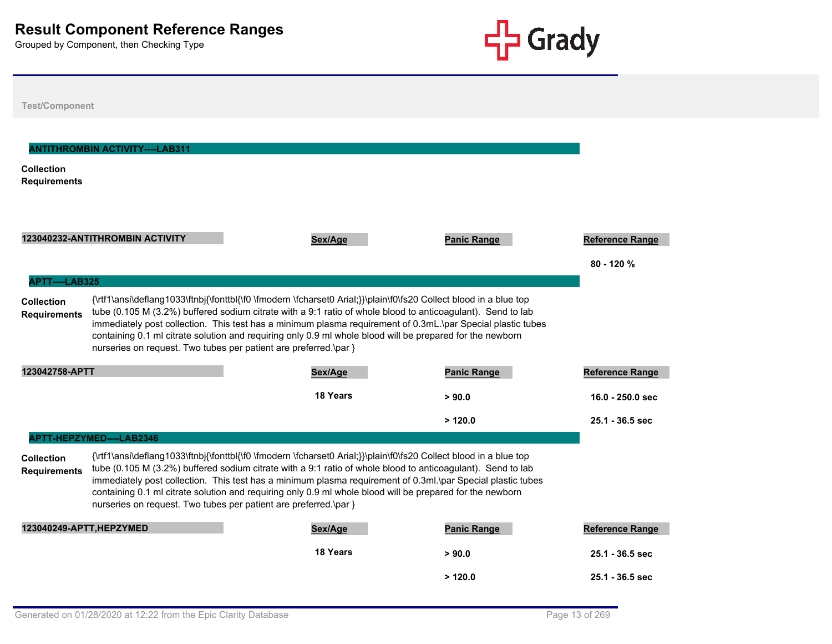

| <b>Test/Component</b>                                      |                                                                  |                                                                                                                                                                                                                                                                                                                                                                                                                                                              |                    |                                       |
|------------------------------------------------------------|------------------------------------------------------------------|--------------------------------------------------------------------------------------------------------------------------------------------------------------------------------------------------------------------------------------------------------------------------------------------------------------------------------------------------------------------------------------------------------------------------------------------------------------|--------------------|---------------------------------------|
| <b>Collection</b><br><b>Requirements</b>                   | <b>ANTITHROMBIN ACTIVITY----LAB311</b>                           |                                                                                                                                                                                                                                                                                                                                                                                                                                                              |                    |                                       |
|                                                            | 123040232-ANTITHROMBIN ACTIVITY                                  | Sex/Age                                                                                                                                                                                                                                                                                                                                                                                                                                                      | <b>Panic Range</b> | <b>Reference Range</b><br>$80 - 120%$ |
| APTT----LAB325<br><b>Collection</b><br><b>Requirements</b> | nurseries on request. Two tubes per patient are preferred.\par } | {\rtf1\ansi\deflang1033\ftnbj{\fonttbl{\f0 \fmodern \fcharset0 Arial;}}\plain\f0\fs20 Collect blood in a blue top<br>tube (0.105 M (3.2%) buffered sodium citrate with a 9:1 ratio of whole blood to anticoagulant). Send to lab<br>immediately post collection. This test has a minimum plasma requirement of 0.3mL.\par Special plastic tubes<br>containing 0.1 ml citrate solution and requiring only 0.9 ml whole blood will be prepared for the newborn |                    |                                       |
| 123042758-APTT                                             |                                                                  | Sex/Age                                                                                                                                                                                                                                                                                                                                                                                                                                                      | <b>Panic Range</b> | <b>Reference Range</b>                |
|                                                            |                                                                  | 18 Years                                                                                                                                                                                                                                                                                                                                                                                                                                                     | > 90.0             | $16.0 - 250.0$ sec                    |
|                                                            |                                                                  |                                                                                                                                                                                                                                                                                                                                                                                                                                                              | >120.0             | $25.1 - 36.5$ sec                     |
|                                                            | APTT-HEPZYMED----LAB2346                                         |                                                                                                                                                                                                                                                                                                                                                                                                                                                              |                    |                                       |
| <b>Collection</b><br><b>Requirements</b>                   | nurseries on request. Two tubes per patient are preferred.\par } | {\rtf1\ansi\deflang1033\ftnbj{\fonttbl{\f0 \fmodern \fcharset0 Arial;}}\plain\f0\fs20 Collect blood in a blue top<br>tube (0.105 M (3.2%) buffered sodium citrate with a 9:1 ratio of whole blood to anticoagulant). Send to lab<br>immediately post collection. This test has a minimum plasma requirement of 0.3ml.\par Special plastic tubes<br>containing 0.1 ml citrate solution and requiring only 0.9 ml whole blood will be prepared for the newborn |                    |                                       |
| 123040249-APTT.HEPZYMED                                    |                                                                  | Sex/Age                                                                                                                                                                                                                                                                                                                                                                                                                                                      | <b>Panic Range</b> | <b>Reference Range</b>                |
|                                                            |                                                                  | <b>18 Years</b>                                                                                                                                                                                                                                                                                                                                                                                                                                              | > 90.0             | 25.1 - 36.5 sec                       |
|                                                            |                                                                  |                                                                                                                                                                                                                                                                                                                                                                                                                                                              | >120.0             | $25.1 - 36.5$ sec                     |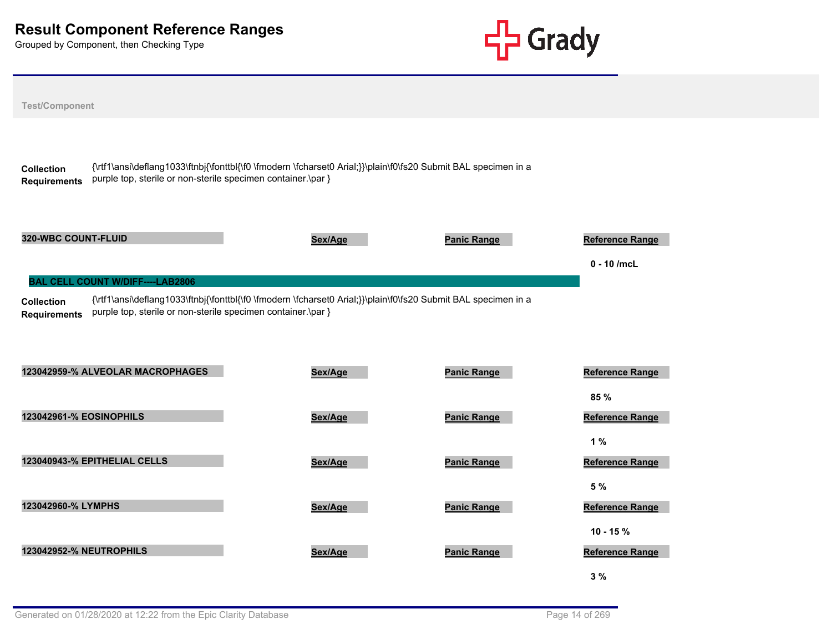

| <b>Test/Component</b>                    |                                                                                                         |                                                                                                                |                    |                                         |
|------------------------------------------|---------------------------------------------------------------------------------------------------------|----------------------------------------------------------------------------------------------------------------|--------------------|-----------------------------------------|
| <b>Collection</b><br><b>Requirements</b> | purple top, sterile or non-sterile specimen container.\par }                                            | {\rtf1\ansi\deflang1033\ftnbj{\fonttbl{\f0 \fmodern \fcharset0 Arial;}}\plain\f0\fs20 Submit BAL specimen in a |                    |                                         |
| 320-WBC COUNT-FLUID                      |                                                                                                         | Sex/Age                                                                                                        | <b>Panic Range</b> | <b>Reference Range</b><br>$0 - 10$ /mcL |
| <b>Collection</b><br><b>Requirements</b> | <b>BAL CELL COUNT W/DIFF----LAB2806</b><br>purple top, sterile or non-sterile specimen container.\par } | {\rtf1\ansi\deflang1033\ftnbj{\fonttbl{\f0 \fmodern \fcharset0 Arial;}}\plain\f0\fs20 Submit BAL specimen in a |                    |                                         |
|                                          | 123042959-% ALVEOLAR MACROPHAGES                                                                        | Sex/Age                                                                                                        | <b>Panic Range</b> | Reference Range<br>85 %                 |
| 123042961-% EOSINOPHILS                  |                                                                                                         | Sex/Age                                                                                                        | <b>Panic Range</b> | <b>Reference Range</b>                  |
|                                          | 123040943-% EPITHELIAL CELLS                                                                            | Sex/Age                                                                                                        | <b>Panic Range</b> | 1%<br>Reference Range                   |
| 123042960-% LYMPHS                       |                                                                                                         | Sex/Age                                                                                                        | <b>Panic Range</b> | 5 %<br><b>Reference Range</b>           |
| <b>123042952-% NEUTROPHILS</b>           |                                                                                                         | Sex/Age                                                                                                        | <b>Panic Range</b> | $10 - 15%$<br><b>Reference Range</b>    |
|                                          |                                                                                                         |                                                                                                                |                    | 3%                                      |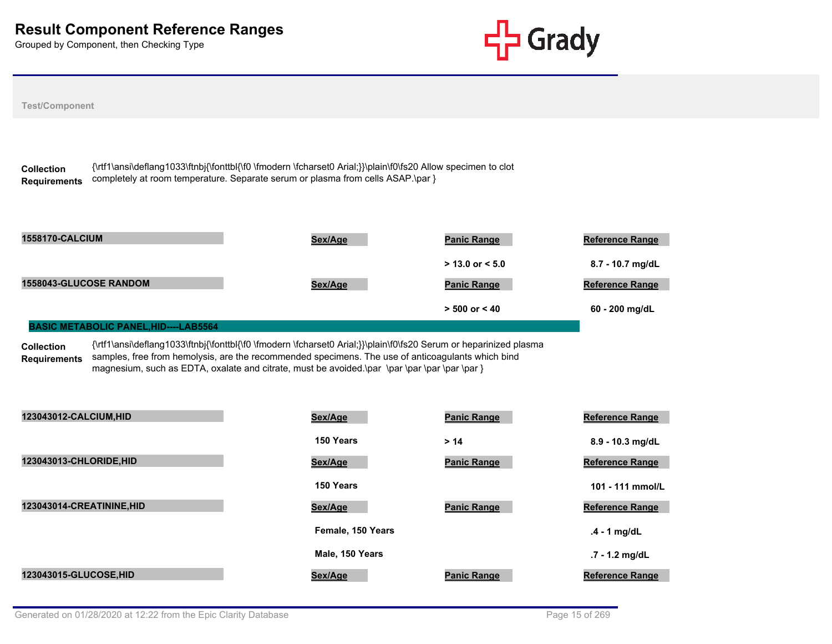

| <b>Test/Component</b>                        |                                                                                                                                                                                                                        |                    |                        |
|----------------------------------------------|------------------------------------------------------------------------------------------------------------------------------------------------------------------------------------------------------------------------|--------------------|------------------------|
| <b>Collection</b><br><b>Requirements</b>     | {\rtf1\ansi\deflang1033\ftnbj{\fonttbl{\f0 \fmodern \fcharset0 Arial;}}\plain\f0\fs20 Allow specimen to clot<br>completely at room temperature. Separate serum or plasma from cells ASAP.\par }                        |                    |                        |
| <b>1558170-CALCIUM</b>                       | Sex/Age                                                                                                                                                                                                                | <b>Panic Range</b> | <b>Reference Range</b> |
|                                              |                                                                                                                                                                                                                        | $>$ 13.0 or < 5.0  | 8.7 - 10.7 mg/dL       |
| 1558043-GLUCOSE RANDOM                       | Sex/Age                                                                                                                                                                                                                | <b>Panic Range</b> | Reference Range        |
|                                              |                                                                                                                                                                                                                        | $> 500$ or $< 40$  | 60 - 200 mg/dL         |
| <b>BASIC METABOLIC PANEL, HID----LAB5564</b> |                                                                                                                                                                                                                        |                    |                        |
| <b>Collection</b><br><b>Requirements</b>     | {\rtf1\ansi\deflang1033\ftnbj{\fonttbl{\f0 \fmodern \fcharset0 Arial;}}\plain\f0\fs20 Serum or heparinized plasma<br>samples, free from hemolysis, are the recommended specimens. The use of anticoagulants which bind |                    |                        |
| 123043012-CALCIUM, HID                       | Sex/Age                                                                                                                                                                                                                | <b>Panic Range</b> | <b>Reference Range</b> |
|                                              | 150 Years                                                                                                                                                                                                              | > 14               | 8.9 - 10.3 mg/dL       |
| 123043013-CHLORIDE, HID                      | Sex/Age                                                                                                                                                                                                                | <b>Panic Range</b> | Reference Range        |
|                                              | 150 Years                                                                                                                                                                                                              |                    | 101 - 111 mmol/L       |
| 123043014-CREATININE, HID                    | Sex/Age                                                                                                                                                                                                                | <b>Panic Range</b> | <b>Reference Range</b> |
|                                              | Female, 150 Years                                                                                                                                                                                                      |                    | $.4 - 1$ mg/dL         |
|                                              | Male, 150 Years                                                                                                                                                                                                        |                    | .7 - 1.2 mg/dL         |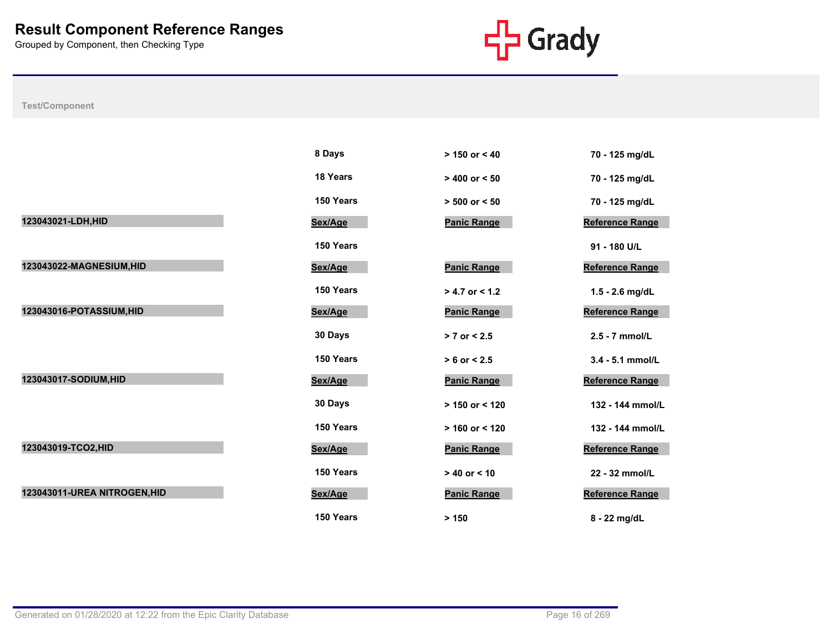

|                              | 8 Days    | $> 150$ or $< 40$  | 70 - 125 mg/dL         |
|------------------------------|-----------|--------------------|------------------------|
|                              | 18 Years  | $> 400$ or $< 50$  | 70 - 125 mg/dL         |
|                              | 150 Years | $> 500$ or $< 50$  | 70 - 125 mg/dL         |
| 123043021-LDH, HID           | Sex/Age   | <b>Panic Range</b> | <b>Reference Range</b> |
|                              | 150 Years |                    | 91 - 180 U/L           |
| 123043022-MAGNESIUM, HID     | Sex/Age   | <b>Panic Range</b> | <b>Reference Range</b> |
|                              | 150 Years | $> 4.7$ or $< 1.2$ | $1.5 - 2.6$ mg/dL      |
| 123043016-POTASSIUM, HID     | Sex/Age   | <b>Panic Range</b> | <b>Reference Range</b> |
|                              | 30 Days   | $> 7$ or $< 2.5$   | 2.5 - 7 mmol/L         |
|                              | 150 Years | $> 6$ or $< 2.5$   | 3.4 - 5.1 mmol/L       |
| 123043017-SODIUM, HID        | Sex/Age   | <b>Panic Range</b> | <b>Reference Range</b> |
|                              | 30 Days   | $> 150$ or < 120   | 132 - 144 mmol/L       |
|                              | 150 Years | $> 160$ or < 120   | 132 - 144 mmol/L       |
| 123043019-TCO2, HID          | Sex/Age   | <b>Panic Range</b> | <b>Reference Range</b> |
|                              | 150 Years | $> 40$ or < 10     | 22 - 32 mmol/L         |
| 123043011-UREA NITROGEN, HID | Sex/Age   | <b>Panic Range</b> | <b>Reference Range</b> |
|                              | 150 Years | > 150              | 8 - 22 mg/dL           |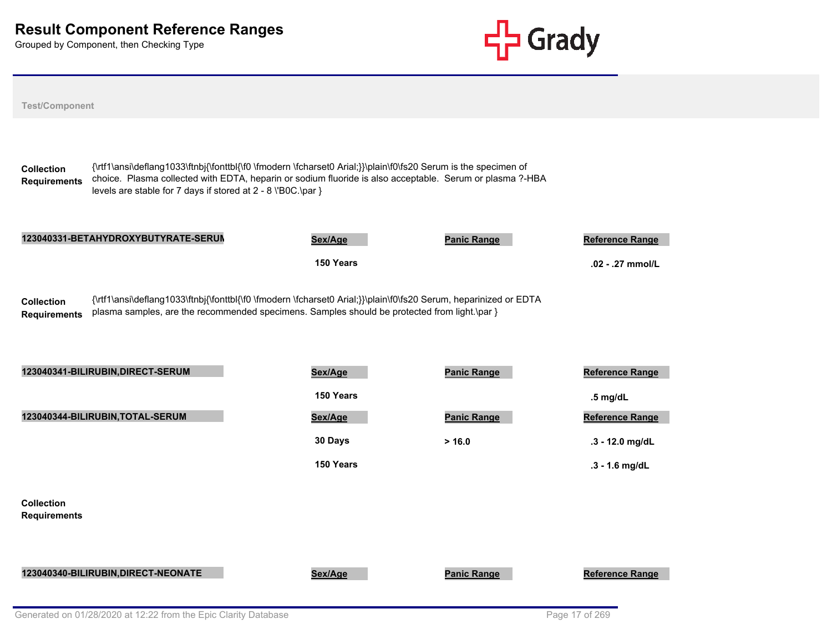

| <b>Test/Component</b>                    |                                                                                                                                                                                                                                                                                            |           |                    |                        |
|------------------------------------------|--------------------------------------------------------------------------------------------------------------------------------------------------------------------------------------------------------------------------------------------------------------------------------------------|-----------|--------------------|------------------------|
| <b>Collection</b><br><b>Requirements</b> | {\rtf1\ansi\deflang1033\ftnbj{\fonttbl{\f0 \fmodern \fcharset0 Arial;}}\plain\f0\fs20 Serum is the specimen of<br>choice. Plasma collected with EDTA, heparin or sodium fluoride is also acceptable. Serum or plasma ?-HBA<br>levels are stable for 7 days if stored at 2 - 8 \'B0C.\par } |           |                    |                        |
|                                          | 123040331-BETAHYDROXYBUTYRATE-SERUM                                                                                                                                                                                                                                                        | Sex/Age   | <b>Panic Range</b> | <b>Reference Range</b> |
|                                          |                                                                                                                                                                                                                                                                                            | 150 Years |                    | .02 - .27 mmol/L       |
| <b>Collection</b><br><b>Requirements</b> | {\rtf1\ansi\deflang1033\ftnbj{\fonttbl{\f0 \fmodern \fcharset0 Arial;}}\plain\f0\fs20 Serum, heparinized or EDTA<br>plasma samples, are the recommended specimens. Samples should be protected from light.\par }<br>123040341-BILIRUBIN, DIRECT-SERUM                                      | Sex/Age   | <b>Panic Range</b> | <b>Reference Range</b> |
|                                          |                                                                                                                                                                                                                                                                                            | 150 Years |                    | $.5$ mg/dL             |
|                                          | 123040344-BILIRUBIN, TOTAL-SERUM                                                                                                                                                                                                                                                           | Sex/Age   | <b>Panic Range</b> | Reference Range        |
|                                          |                                                                                                                                                                                                                                                                                            | 30 Days   | > 16.0             | .3 - 12.0 mg/dL        |
|                                          |                                                                                                                                                                                                                                                                                            | 150 Years |                    | .3 - 1.6 mg/dL         |
| <b>Collection</b><br><b>Requirements</b> |                                                                                                                                                                                                                                                                                            |           |                    |                        |
|                                          | 123040340-BILIRUBIN, DIRECT-NEONATE                                                                                                                                                                                                                                                        | Sex/Age   | <b>Panic Range</b> | Reference Range        |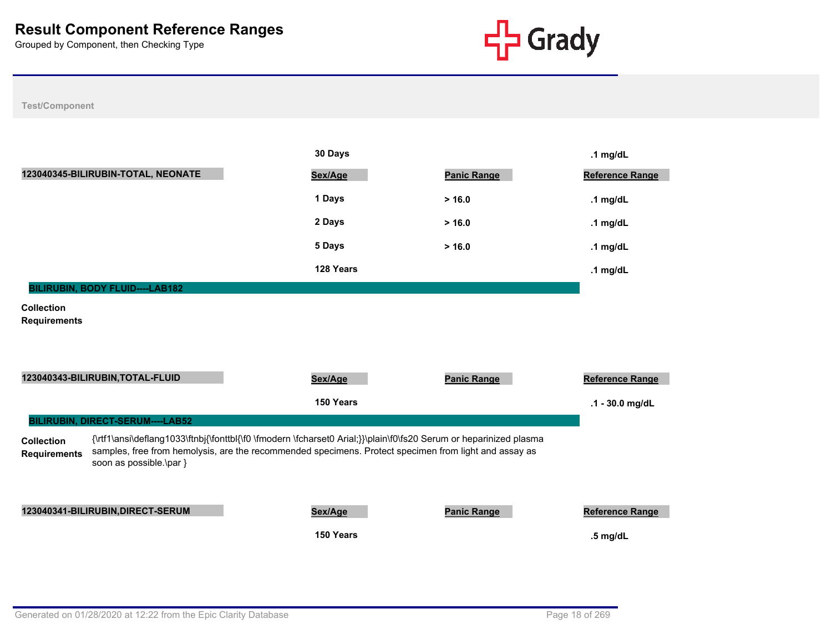

|                                          |                                                                                                                                                                                                                                                       | 30 Days   |                    | .1 $mg/dL$             |
|------------------------------------------|-------------------------------------------------------------------------------------------------------------------------------------------------------------------------------------------------------------------------------------------------------|-----------|--------------------|------------------------|
|                                          | 123040345-BILIRUBIN-TOTAL, NEONATE                                                                                                                                                                                                                    | Sex/Age   | <b>Panic Range</b> | <b>Reference Range</b> |
|                                          |                                                                                                                                                                                                                                                       | 1 Days    | > 16.0             | .1 $mg/dL$             |
|                                          |                                                                                                                                                                                                                                                       | 2 Days    | > 16.0             | .1 $mg/dL$             |
|                                          |                                                                                                                                                                                                                                                       | 5 Days    | > 16.0             | .1 $mg/dL$             |
|                                          |                                                                                                                                                                                                                                                       | 128 Years |                    | .1 $mg/dL$             |
|                                          | BILIRUBIN, BODY FLUID----LAB182                                                                                                                                                                                                                       |           |                    |                        |
| <b>Collection</b><br><b>Requirements</b> |                                                                                                                                                                                                                                                       |           |                    |                        |
|                                          | 123040343-BILIRUBIN, TOTAL-FLUID                                                                                                                                                                                                                      | Sex/Age   | <b>Panic Range</b> | Reference Range        |
|                                          |                                                                                                                                                                                                                                                       | 150 Years |                    | .1 - 30.0 mg/dL        |
|                                          | BILIRUBIN, DIRECT-SERUM----LAB52                                                                                                                                                                                                                      |           |                    |                        |
| <b>Collection</b><br><b>Requirements</b> | {\rtf1\ansi\deflang1033\ftnbj{\fonttbl{\f0 \fmodern \fcharset0 Arial;}}\plain\f0\fs20 Serum or heparinized plasma<br>samples, free from hemolysis, are the recommended specimens. Protect specimen from light and assay as<br>soon as possible.\par } |           |                    |                        |
|                                          | 123040341-BILIRUBIN, DIRECT-SERUM                                                                                                                                                                                                                     | Sex/Age   | <b>Panic Range</b> | Reference Range        |
|                                          |                                                                                                                                                                                                                                                       | 150 Years |                    | $.5$ mg/dL             |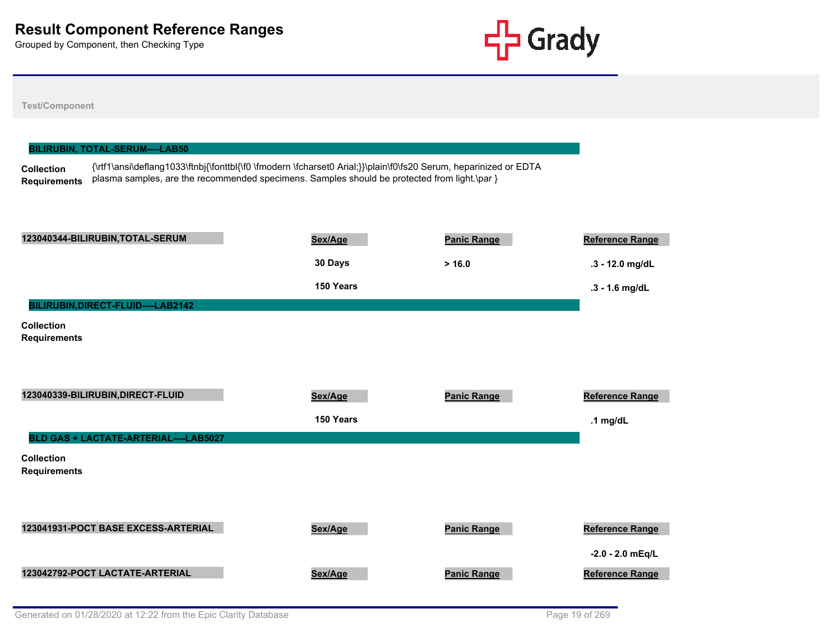

|                                          | <b>BILIRUBIN, TOTAL-SERUM----LAB50</b> |                                                                                                                                                                                                                  |                    |                        |
|------------------------------------------|----------------------------------------|------------------------------------------------------------------------------------------------------------------------------------------------------------------------------------------------------------------|--------------------|------------------------|
| <b>Collection</b><br><b>Requirements</b> |                                        | {\rtf1\ansi\deflang1033\ftnbj{\fonttbl{\f0 \fmodern \fcharset0 Arial;}}\plain\f0\fs20 Serum, heparinized or EDTA<br>plasma samples, are the recommended specimens. Samples should be protected from light.\par } |                    |                        |
|                                          |                                        |                                                                                                                                                                                                                  |                    |                        |
|                                          |                                        |                                                                                                                                                                                                                  |                    |                        |
|                                          | 123040344-BILIRUBIN, TOTAL-SERUM       | Sex/Age                                                                                                                                                                                                          | <b>Panic Range</b> | <b>Reference Range</b> |
|                                          |                                        | 30 Days                                                                                                                                                                                                          | > 16.0             | $.3 - 12.0$ mg/dL      |
|                                          |                                        | 150 Years                                                                                                                                                                                                        |                    | .3 - 1.6 mg/dL         |
|                                          | BILIRUBIN, DIRECT-FLUID----LAB2142     |                                                                                                                                                                                                                  |                    |                        |
| <b>Collection</b><br><b>Requirements</b> |                                        |                                                                                                                                                                                                                  |                    |                        |
|                                          |                                        |                                                                                                                                                                                                                  |                    |                        |
|                                          |                                        |                                                                                                                                                                                                                  |                    |                        |
|                                          | 123040339-BILIRUBIN, DIRECT-FLUID      | Sex/Age                                                                                                                                                                                                          | <b>Panic Range</b> | Reference Range        |
|                                          |                                        | 150 Years                                                                                                                                                                                                        |                    | .1 $mg/dL$             |
|                                          | BLD GAS + LACTATE-ARTERIAL----LAB5027  |                                                                                                                                                                                                                  |                    |                        |
| <b>Collection</b><br><b>Requirements</b> |                                        |                                                                                                                                                                                                                  |                    |                        |
|                                          |                                        |                                                                                                                                                                                                                  |                    |                        |
|                                          |                                        |                                                                                                                                                                                                                  |                    |                        |
|                                          | 123041931-POCT BASE EXCESS-ARTERIAL    | Sex/Age                                                                                                                                                                                                          | <b>Panic Range</b> | Reference Range        |
|                                          |                                        |                                                                                                                                                                                                                  |                    | $-2.0 - 2.0$ mEq/L     |
|                                          | 123042792-POCT LACTATE-ARTERIAL        | Sex/Age                                                                                                                                                                                                          | <b>Panic Range</b> | <b>Reference Range</b> |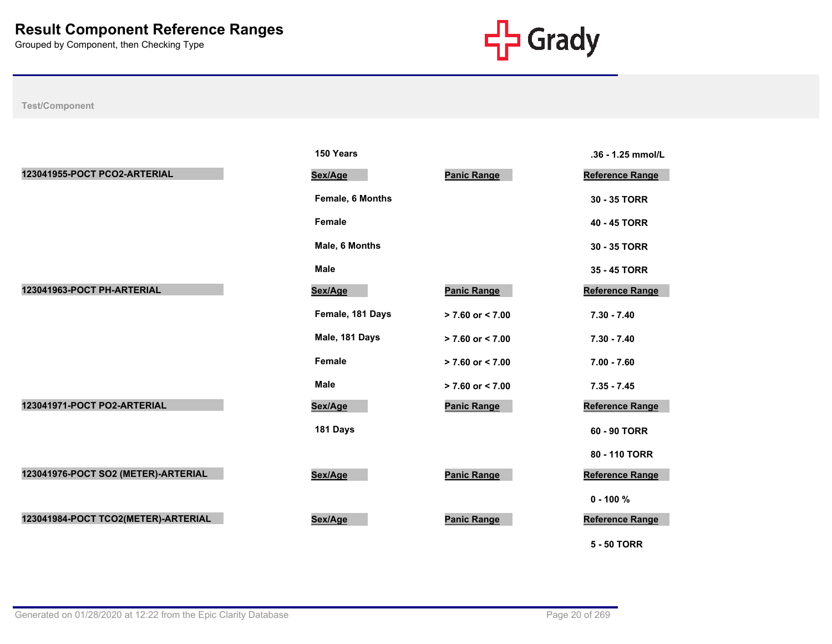

|                                     | 150 Years        |                      | .36 - 1.25 mmol/L      |
|-------------------------------------|------------------|----------------------|------------------------|
| 123041955-POCT PCO2-ARTERIAL        | Sex/Age          | <b>Panic Range</b>   | <b>Reference Range</b> |
|                                     | Female, 6 Months |                      | 30 - 35 TORR           |
|                                     | Female           |                      | 40 - 45 TORR           |
|                                     | Male, 6 Months   |                      | 30 - 35 TORR           |
|                                     | <b>Male</b>      |                      | 35 - 45 TORR           |
| 123041963-POCT PH-ARTERIAL          | Sex/Age          | <b>Panic Range</b>   | Reference Range        |
|                                     | Female, 181 Days | $> 7.60$ or $< 7.00$ | $7.30 - 7.40$          |
|                                     | Male, 181 Days   | $> 7.60$ or $< 7.00$ | $7.30 - 7.40$          |
|                                     | Female           | $> 7.60$ or $< 7.00$ | $7.00 - 7.60$          |
|                                     | Male             | $> 7.60$ or $< 7.00$ | $7.35 - 7.45$          |
| 123041971-POCT PO2-ARTERIAL         | Sex/Age          | <b>Panic Range</b>   | Reference Range        |
|                                     | 181 Days         |                      | 60 - 90 TORR           |
|                                     |                  |                      | 80 - 110 TORR          |
| 123041976-POCT SO2 (METER)-ARTERIAL | Sex/Age          | <b>Panic Range</b>   | Reference Range        |
|                                     |                  |                      | $0 - 100 \%$           |
| 123041984-POCT TCO2(METER)-ARTERIAL | Sex/Age          | <b>Panic Range</b>   | Reference Range        |
|                                     |                  |                      | <b>5 - 50 TORR</b>     |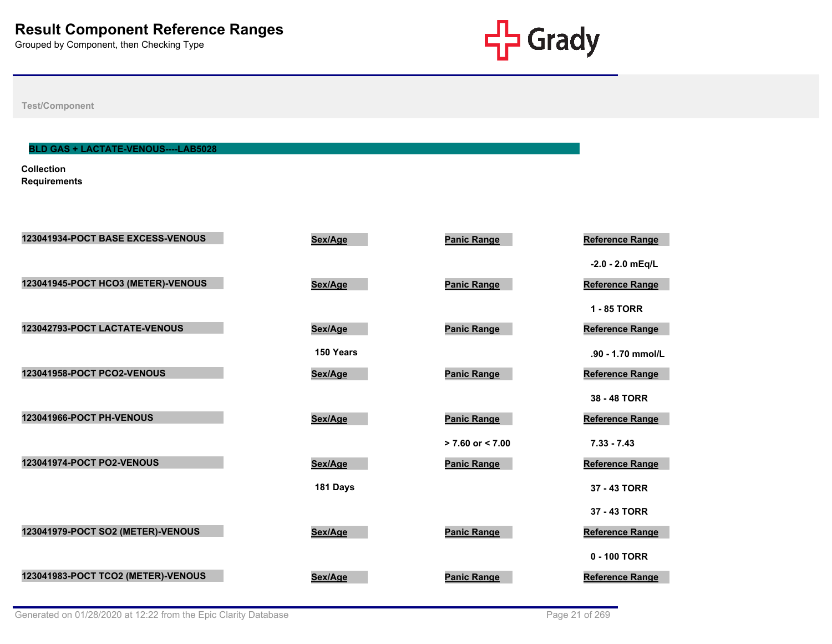

**Test/Component**

# **BLD GAS + LACTATE-VENOUS----LAB5028**

**Collection Requirements**

| 123041934-POCT BASE EXCESS-VENOUS  | Sex/Age   | <b>Panic Range</b>   | Reference Range        |
|------------------------------------|-----------|----------------------|------------------------|
|                                    |           |                      | $-2.0 - 2.0$ mEq/L     |
| 123041945-POCT HCO3 (METER)-VENOUS | Sex/Age   | <b>Panic Range</b>   | Reference Range        |
|                                    |           |                      | 1 - 85 TORR            |
| 123042793-POCT LACTATE-VENOUS      | Sex/Age   | <b>Panic Range</b>   | <b>Reference Range</b> |
|                                    | 150 Years |                      | .90 - 1.70 mmol/L      |
| <b>123041958-POCT PCO2-VENOUS</b>  | Sex/Age   | <b>Panic Range</b>   | Reference Range        |
|                                    |           |                      | 38 - 48 TORR           |
| 123041966-POCT PH-VENOUS           | Sex/Age   | <b>Panic Range</b>   | <b>Reference Range</b> |
|                                    |           | $> 7.60$ or $< 7.00$ | $7.33 - 7.43$          |
| 123041974-POCT PO2-VENOUS          | Sex/Age   | <b>Panic Range</b>   | Reference Range        |
|                                    | 181 Days  |                      | 37 - 43 TORR           |
|                                    |           |                      | 37 - 43 TORR           |
| 123041979-POCT SO2 (METER)-VENOUS  | Sex/Age   | <b>Panic Range</b>   | Reference Range        |
|                                    |           |                      | 0 - 100 TORR           |
| 123041983-POCT TCO2 (METER)-VENOUS | Sex/Age   | <b>Panic Range</b>   | Reference Range        |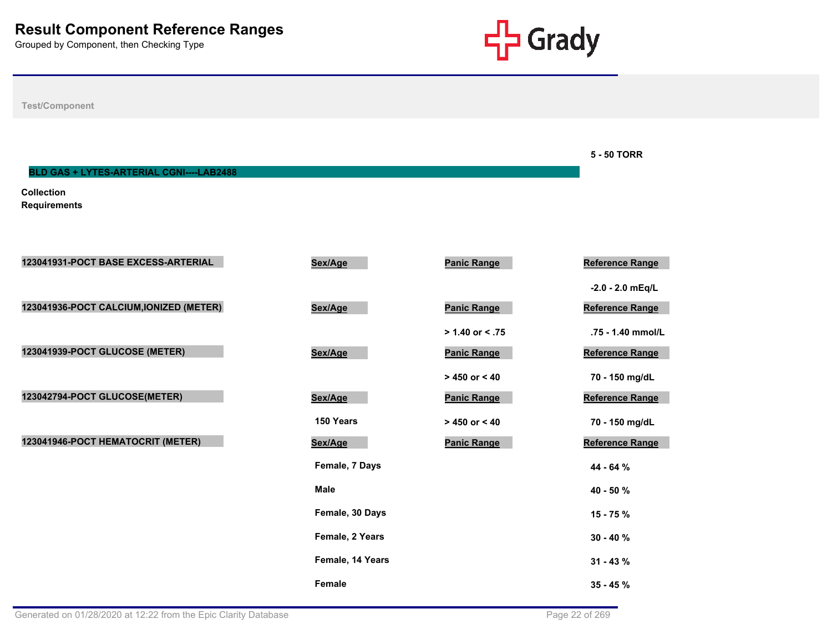

**5 - 50 TORR**

**Test/Component**

**BLD GAS + LYTES-ARTERIAL CGNI----LAB2488**

**Collection Requirements**

| 123041931-POCT BASE EXCESS-ARTERIAL     | Sex/Age          | <b>Panic Range</b> | <b>Reference Range</b> |
|-----------------------------------------|------------------|--------------------|------------------------|
|                                         |                  |                    | $-2.0 - 2.0$ mEq/L     |
| 123041936-POCT CALCIUM, IONIZED (METER) | Sex/Age          | <b>Panic Range</b> | <b>Reference Range</b> |
|                                         |                  | $> 1.40$ or < .75  | .75 - 1.40 mmol/L      |
| 123041939-POCT GLUCOSE (METER)          | Sex/Age          | <b>Panic Range</b> | <b>Reference Range</b> |
|                                         |                  | $> 450$ or $< 40$  | 70 - 150 mg/dL         |
| 123042794-POCT GLUCOSE(METER)           | Sex/Age          | <b>Panic Range</b> | <b>Reference Range</b> |
|                                         | 150 Years        | $> 450$ or $< 40$  | 70 - 150 mg/dL         |
| 123041946-POCT HEMATOCRIT (METER)       | Sex/Age          | <b>Panic Range</b> | <b>Reference Range</b> |
|                                         | Female, 7 Days   |                    | 44 - 64 %              |
|                                         | <b>Male</b>      |                    | 40 - 50 %              |
|                                         | Female, 30 Days  |                    | $15 - 75%$             |
|                                         | Female, 2 Years  |                    | $30 - 40 \%$           |
|                                         | Female, 14 Years |                    | $31 - 43 \%$           |
|                                         | Female           |                    | $35 - 45%$             |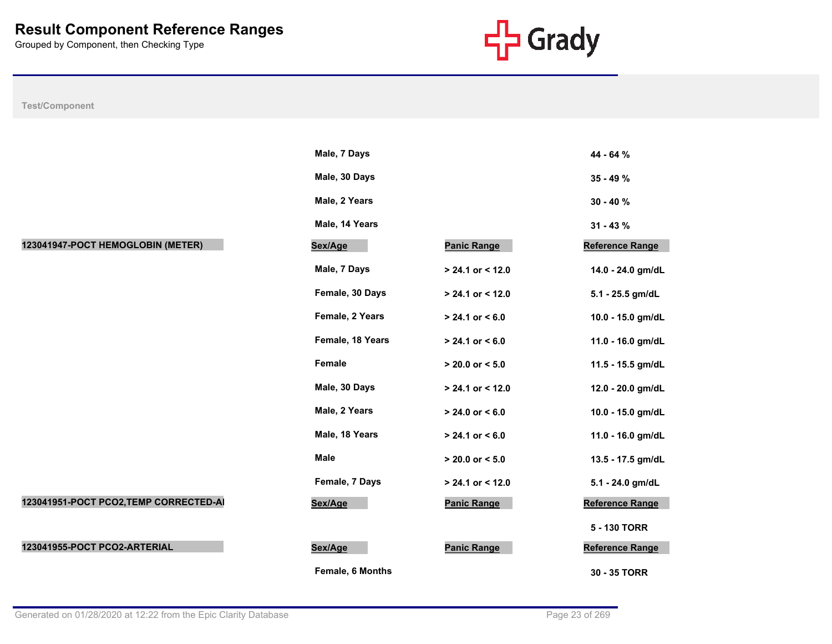

|                                        | Male, 7 Days     |                     | 44 - 64 %         |
|----------------------------------------|------------------|---------------------|-------------------|
|                                        | Male, 30 Days    |                     | 35 - 49 %         |
|                                        | Male, 2 Years    |                     | $30 - 40%$        |
|                                        | Male, 14 Years   |                     | $31 - 43 \%$      |
| 123041947-POCT HEMOGLOBIN (METER)      | Sex/Age          | <b>Panic Range</b>  | Reference Range   |
|                                        | Male, 7 Days     | > 24.1 or < 12.0    | 14.0 - 24.0 gm/dL |
|                                        | Female, 30 Days  | $> 24.1$ or < 12.0  | 5.1 - 25.5 gm/dL  |
|                                        | Female, 2 Years  | $> 24.1$ or $< 6.0$ | 10.0 - 15.0 gm/dL |
|                                        | Female, 18 Years | $> 24.1$ or $< 6.0$ | 11.0 - 16.0 gm/dL |
|                                        | Female           | $> 20.0$ or $< 5.0$ | 11.5 - 15.5 gm/dL |
|                                        | Male, 30 Days    | $> 24.1$ or < 12.0  | 12.0 - 20.0 gm/dL |
|                                        | Male, 2 Years    | $> 24.0$ or < 6.0   | 10.0 - 15.0 gm/dL |
|                                        | Male, 18 Years   | $> 24.1$ or < 6.0   | 11.0 - 16.0 gm/dL |
|                                        | <b>Male</b>      | $> 20.0$ or $< 5.0$ | 13.5 - 17.5 gm/dL |
|                                        | Female, 7 Days   | $> 24.1$ or < 12.0  | 5.1 - 24.0 gm/dL  |
| 123041951-POCT PCO2, TEMP CORRECTED-AI | Sex/Age          | <b>Panic Range</b>  | Reference Range   |
|                                        |                  |                     | 5 - 130 TORR      |
| 123041955-POCT PCO2-ARTERIAL           | Sex/Age          | <b>Panic Range</b>  | Reference Range   |
|                                        | Female, 6 Months |                     | 30 - 35 TORR      |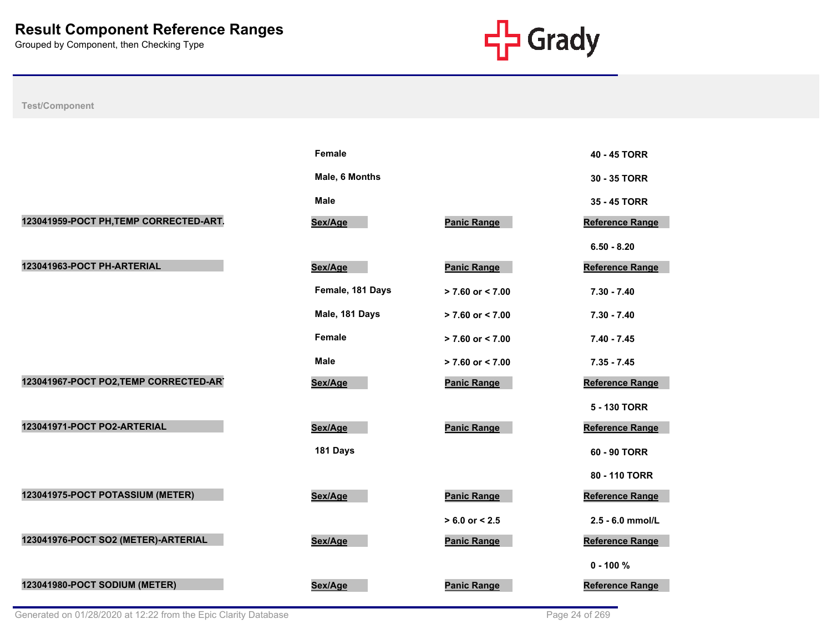

|                                        | <b>Female</b>    |                      | 40 - 45 TORR           |
|----------------------------------------|------------------|----------------------|------------------------|
|                                        | Male, 6 Months   |                      | 30 - 35 TORR           |
|                                        | <b>Male</b>      |                      | 35 - 45 TORR           |
| 123041959-POCT PH, TEMP CORRECTED-ART. | Sex/Age          | <b>Panic Range</b>   | Reference Range        |
|                                        |                  |                      | $6.50 - 8.20$          |
| 123041963-POCT PH-ARTERIAL             | Sex/Age          | <b>Panic Range</b>   | Reference Range        |
|                                        | Female, 181 Days | > 7.60 or < 7.00     | $7.30 - 7.40$          |
|                                        | Male, 181 Days   | $> 7.60$ or $< 7.00$ | $7.30 - 7.40$          |
|                                        | <b>Female</b>    | > 7.60 or < 7.00     | $7.40 - 7.45$          |
|                                        | <b>Male</b>      | $> 7.60$ or $< 7.00$ | $7.35 - 7.45$          |
| 123041967-POCT PO2, TEMP CORRECTED-ART | Sex/Age          | <b>Panic Range</b>   | <b>Reference Range</b> |
|                                        |                  |                      | 5 - 130 TORR           |
| 123041971-POCT PO2-ARTERIAL            | Sex/Age          | <b>Panic Range</b>   | Reference Range        |
|                                        | 181 Days         |                      | 60 - 90 TORR           |
|                                        |                  |                      | 80 - 110 TORR          |
| 123041975-POCT POTASSIUM (METER)       | Sex/Age          | <b>Panic Range</b>   | Reference Range        |
|                                        |                  | $> 6.0$ or $< 2.5$   | 2.5 - 6.0 mmol/L       |
| 123041976-POCT SO2 (METER)-ARTERIAL    | Sex/Age          | <b>Panic Range</b>   | Reference Range        |
|                                        |                  |                      | $0 - 100 %$            |
| 123041980-POCT SODIUM (METER)          | Sex/Age          | <b>Panic Range</b>   | Reference Range        |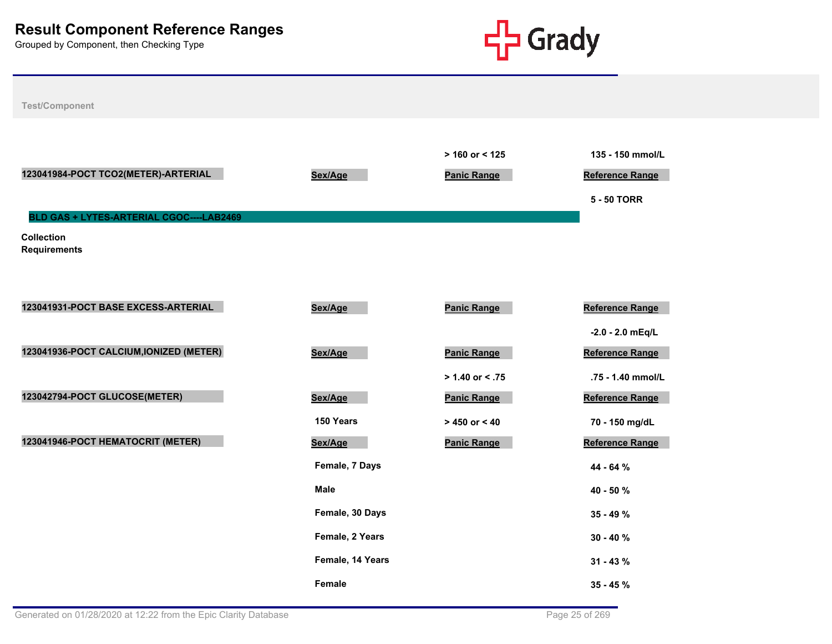

| <b>Test/Component</b>                    |                  |                                         |                                                    |
|------------------------------------------|------------------|-----------------------------------------|----------------------------------------------------|
| 123041984-POCT TCO2(METER)-ARTERIAL      | Sex/Age          | $> 160$ or < 125<br><b>Panic Range</b>  | 135 - 150 mmol/L<br>Reference Range<br>5 - 50 TORR |
| BLD GAS + LYTES-ARTERIAL CGOC----LAB2469 |                  |                                         |                                                    |
| <b>Collection</b><br><b>Requirements</b> |                  |                                         |                                                    |
| 123041931-POCT BASE EXCESS-ARTERIAL      | Sex/Age          | <b>Panic Range</b>                      | <b>Reference Range</b>                             |
|                                          |                  |                                         | $-2.0 - 2.0$ mEq/L                                 |
| 123041936-POCT CALCIUM, IONIZED (METER)  | Sex/Age          | <b>Panic Range</b>                      | Reference Range                                    |
| 123042794-POCT GLUCOSE(METER)            | Sex/Age          | $> 1.40$ or < .75<br><b>Panic Range</b> | .75 - 1.40 mmol/L<br>Reference Range               |
|                                          | 150 Years        | $> 450$ or $< 40$                       | 70 - 150 mg/dL                                     |
| 123041946-POCT HEMATOCRIT (METER)        | Sex/Age          | <b>Panic Range</b>                      | <b>Reference Range</b>                             |
|                                          | Female, 7 Days   |                                         | 44 - 64 %                                          |
|                                          | <b>Male</b>      |                                         | 40 - 50 %                                          |
|                                          | Female, 30 Days  |                                         | 35 - 49 %                                          |
|                                          | Female, 2 Years  |                                         | $30 - 40 \%$                                       |
|                                          | Female, 14 Years |                                         | $31 - 43 \%$                                       |
|                                          | Female           |                                         | $35 - 45 \%$                                       |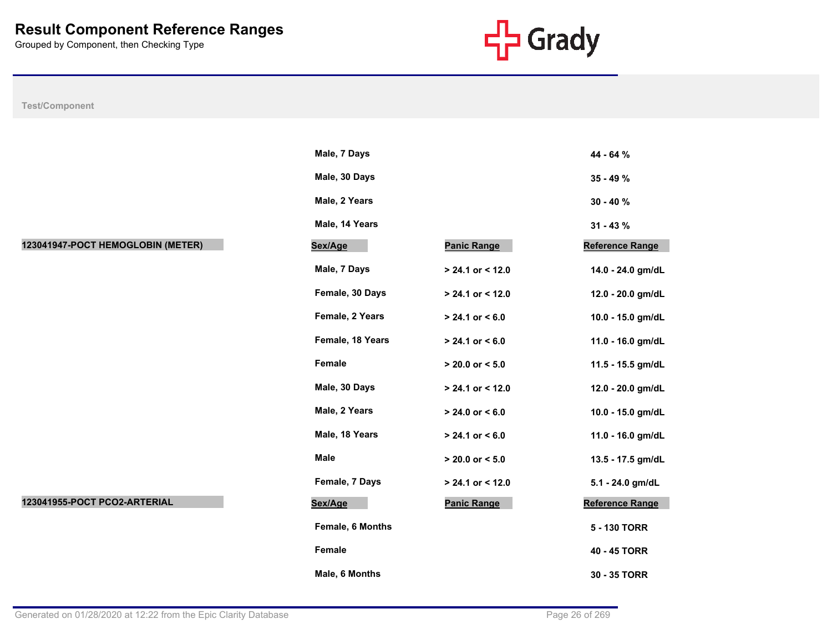

|                                   | Male, 7 Days     |                     | 44 - 64 %              |
|-----------------------------------|------------------|---------------------|------------------------|
|                                   | Male, 30 Days    |                     | $35 - 49 \%$           |
|                                   | Male, 2 Years    |                     | $30 - 40%$             |
|                                   | Male, 14 Years   |                     | $31 - 43 \%$           |
| 123041947-POCT HEMOGLOBIN (METER) | Sex/Age          | <b>Panic Range</b>  | <b>Reference Range</b> |
|                                   | Male, 7 Days     | $> 24.1$ or < 12.0  | 14.0 - 24.0 gm/dL      |
|                                   | Female, 30 Days  | $> 24.1$ or < 12.0  | 12.0 - 20.0 gm/dL      |
|                                   | Female, 2 Years  | $> 24.1$ or < 6.0   | 10.0 - 15.0 gm/dL      |
|                                   | Female, 18 Years | $> 24.1$ or < 6.0   | 11.0 - 16.0 gm/dL      |
|                                   | Female           | $> 20.0$ or $< 5.0$ | 11.5 - 15.5 gm/dL      |
|                                   | Male, 30 Days    | $> 24.1$ or < 12.0  | 12.0 - 20.0 gm/dL      |
|                                   | Male, 2 Years    | $> 24.0$ or < 6.0   | 10.0 - 15.0 gm/dL      |
|                                   | Male, 18 Years   | $> 24.1$ or < 6.0   | 11.0 - 16.0 gm/dL      |
|                                   | <b>Male</b>      | $> 20.0$ or $< 5.0$ | 13.5 - 17.5 gm/dL      |
|                                   | Female, 7 Days   | $> 24.1$ or < 12.0  | 5.1 - 24.0 gm/dL       |
| 123041955-POCT PCO2-ARTERIAL      | Sex/Age          | <b>Panic Range</b>  | Reference Range        |
|                                   | Female, 6 Months |                     | 5 - 130 TORR           |
|                                   | Female           |                     | 40 - 45 TORR           |
|                                   | Male, 6 Months   |                     | 30 - 35 TORR           |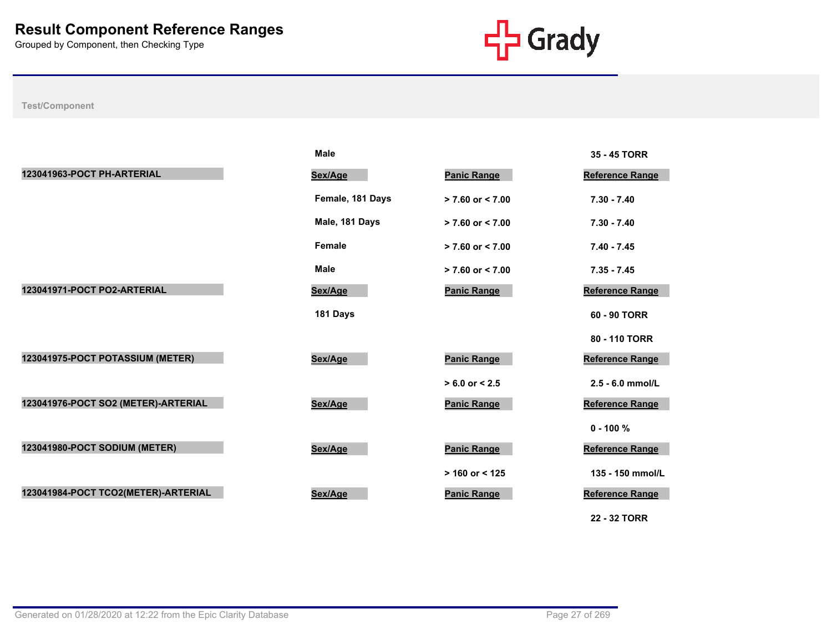

|                                     | <b>Male</b>      |                      | 35 - 45 TORR           |
|-------------------------------------|------------------|----------------------|------------------------|
| 123041963-POCT PH-ARTERIAL          | Sex/Age          | <b>Panic Range</b>   | Reference Range        |
|                                     | Female, 181 Days | $> 7.60$ or $< 7.00$ | $7.30 - 7.40$          |
|                                     | Male, 181 Days   | $> 7.60$ or $< 7.00$ | $7.30 - 7.40$          |
|                                     | Female           | $> 7.60$ or $< 7.00$ | $7.40 - 7.45$          |
|                                     | <b>Male</b>      | $> 7.60$ or $< 7.00$ | $7.35 - 7.45$          |
| 123041971-POCT PO2-ARTERIAL         | Sex/Age          | <b>Panic Range</b>   | <b>Reference Range</b> |
|                                     | 181 Days         |                      | 60 - 90 TORR           |
|                                     |                  |                      | 80 - 110 TORR          |
| 123041975-POCT POTASSIUM (METER)    | Sex/Age          | <b>Panic Range</b>   | <b>Reference Range</b> |
|                                     |                  | $> 6.0$ or $< 2.5$   | 2.5 - 6.0 mmol/L       |
| 123041976-POCT SO2 (METER)-ARTERIAL | Sex/Age          | <b>Panic Range</b>   | <b>Reference Range</b> |
|                                     |                  |                      | $0 - 100 \%$           |
| 123041980-POCT SODIUM (METER)       | Sex/Age          | <b>Panic Range</b>   | <b>Reference Range</b> |
|                                     |                  | $> 160$ or < 125     | 135 - 150 mmol/L       |
| 123041984-POCT TCO2(METER)-ARTERIAL | Sex/Age          | <b>Panic Range</b>   | <b>Reference Range</b> |
|                                     |                  |                      | 22 - 32 TORR           |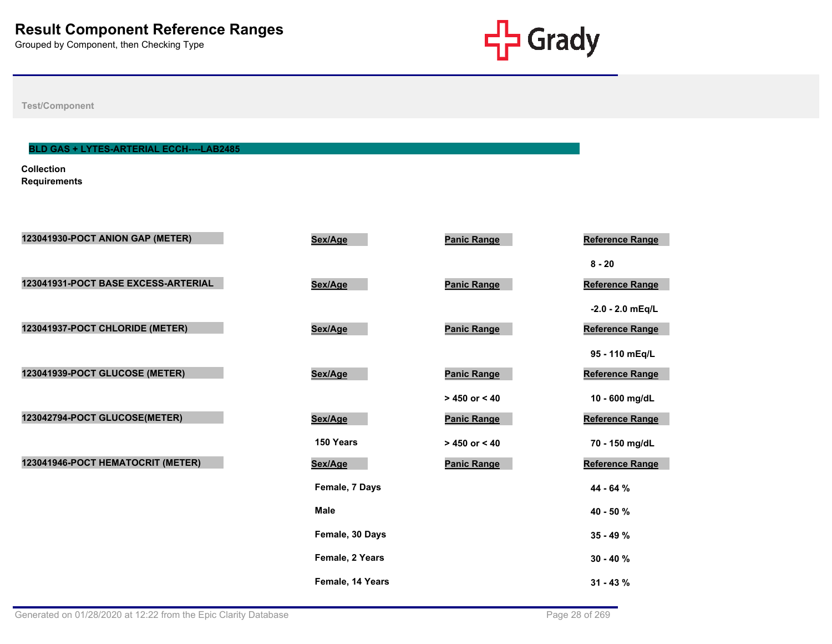

**Test/Component**

#### **BLD GAS + LYTES-ARTERIAL ECCH----LAB2485**

**Collection Requirements**

| 123041930-POCT ANION GAP (METER)    | Sex/Age          | <b>Panic Range</b> | Reference Range        |
|-------------------------------------|------------------|--------------------|------------------------|
|                                     |                  |                    |                        |
|                                     |                  |                    | $8 - 20$               |
| 123041931-POCT BASE EXCESS-ARTERIAL | Sex/Age          | <b>Panic Range</b> | Reference Range        |
|                                     |                  |                    | $-2.0 - 2.0$ mEq/L     |
| 123041937-POCT CHLORIDE (METER)     | Sex/Age          | <b>Panic Range</b> | <b>Reference Range</b> |
|                                     |                  |                    | 95 - 110 mEq/L         |
| 123041939-POCT GLUCOSE (METER)      | Sex/Age          | <b>Panic Range</b> | Reference Range        |
|                                     |                  | $> 450$ or $< 40$  | 10 - 600 mg/dL         |
| 123042794-POCT GLUCOSE(METER)       | Sex/Age          | <b>Panic Range</b> | Reference Range        |
|                                     | 150 Years        | $> 450$ or < 40    | 70 - 150 mg/dL         |
| 123041946-POCT HEMATOCRIT (METER)   | Sex/Age          | <b>Panic Range</b> | <b>Reference Range</b> |
|                                     | Female, 7 Days   |                    | 44 - 64 %              |
|                                     | <b>Male</b>      |                    | 40 - 50 %              |
|                                     | Female, 30 Days  |                    | $35 - 49 \%$           |
|                                     | Female, 2 Years  |                    | $30 - 40 \%$           |
|                                     | Female, 14 Years |                    | $31 - 43 \%$           |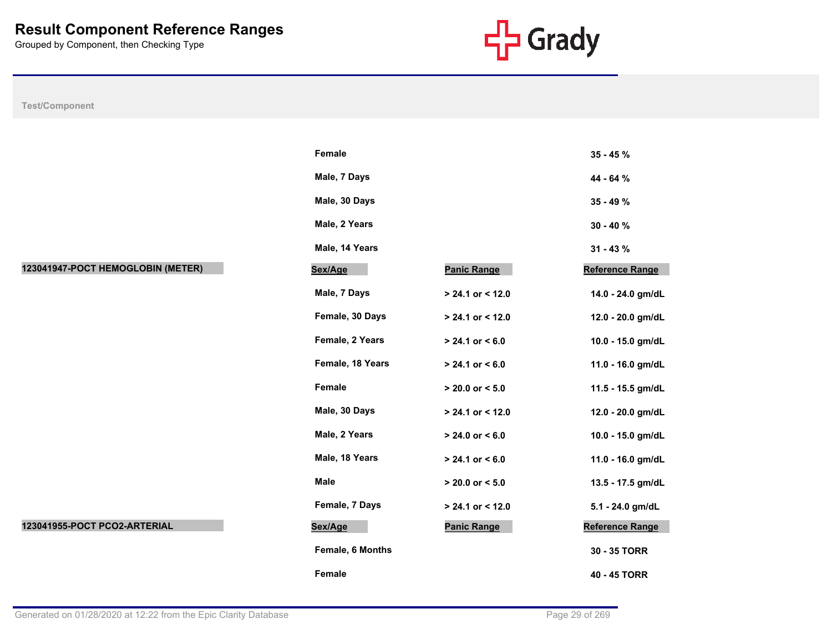

|                                   | Female           |                     | $35 - 45%$             |
|-----------------------------------|------------------|---------------------|------------------------|
|                                   | Male, 7 Days     |                     | 44 - 64 %              |
|                                   | Male, 30 Days    |                     | $35 - 49 \%$           |
|                                   | Male, 2 Years    |                     | $30 - 40 \%$           |
|                                   | Male, 14 Years   |                     | $31 - 43 \%$           |
| 123041947-POCT HEMOGLOBIN (METER) | Sex/Age          | <b>Panic Range</b>  | <b>Reference Range</b> |
|                                   | Male, 7 Days     | > 24.1 or < 12.0    | 14.0 - 24.0 gm/dL      |
|                                   | Female, 30 Days  | > 24.1 or < 12.0    | 12.0 - 20.0 gm/dL      |
|                                   | Female, 2 Years  | $> 24.1$ or $< 6.0$ | 10.0 - 15.0 gm/dL      |
|                                   | Female, 18 Years | $> 24.1$ or $< 6.0$ | 11.0 - 16.0 gm/dL      |
|                                   | Female           | $> 20.0$ or $< 5.0$ | 11.5 - 15.5 gm/dL      |
|                                   | Male, 30 Days    | $> 24.1$ or < 12.0  | 12.0 - 20.0 gm/dL      |
|                                   | Male, 2 Years    | $> 24.0$ or $< 6.0$ | 10.0 - 15.0 gm/dL      |
|                                   | Male, 18 Years   | $> 24.1$ or $< 6.0$ | 11.0 - 16.0 gm/dL      |
|                                   | Male             | $> 20.0$ or $< 5.0$ | 13.5 - 17.5 gm/dL      |
|                                   | Female, 7 Days   | > 24.1 or < 12.0    | 5.1 - 24.0 gm/dL       |
| 123041955-POCT PCO2-ARTERIAL      | Sex/Age          | <b>Panic Range</b>  | <b>Reference Range</b> |
|                                   | Female, 6 Months |                     | 30 - 35 TORR           |
|                                   | Female           |                     | 40 - 45 TORR           |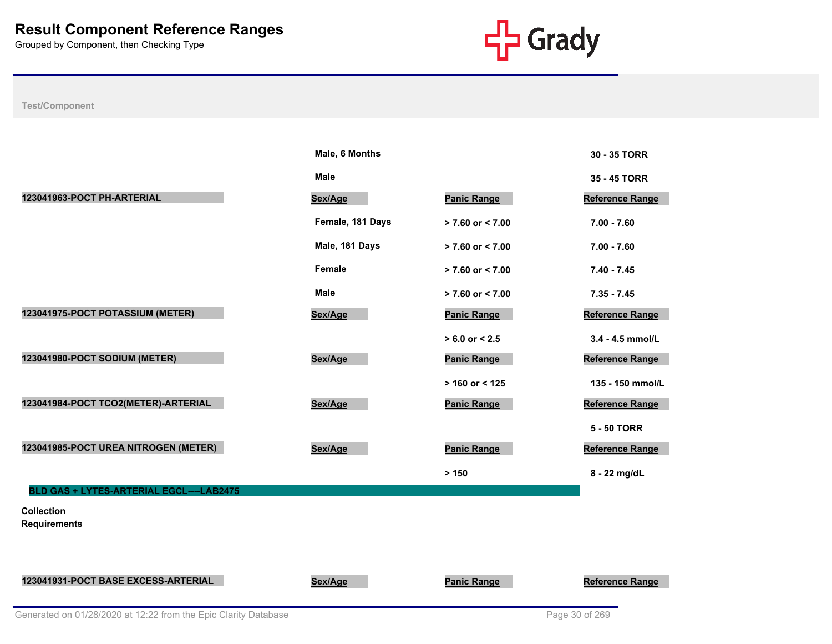

|                                          | Male, 6 Months   |                      | 30 - 35 TORR           |
|------------------------------------------|------------------|----------------------|------------------------|
|                                          | <b>Male</b>      |                      | 35 - 45 TORR           |
| 123041963-POCT PH-ARTERIAL               | Sex/Age          | <b>Panic Range</b>   | <b>Reference Range</b> |
|                                          | Female, 181 Days | $> 7.60$ or $< 7.00$ | $7.00 - 7.60$          |
|                                          | Male, 181 Days   | $> 7.60$ or $< 7.00$ | $7.00 - 7.60$          |
|                                          | Female           | $> 7.60$ or $< 7.00$ | $7.40 - 7.45$          |
|                                          | <b>Male</b>      | $> 7.60$ or $< 7.00$ | $7.35 - 7.45$          |
| 123041975-POCT POTASSIUM (METER)         | Sex/Age          | <b>Panic Range</b>   | <b>Reference Range</b> |
|                                          |                  | $> 6.0$ or $< 2.5$   | 3.4 - 4.5 mmol/L       |
| 123041980-POCT SODIUM (METER)            | Sex/Age          | <b>Panic Range</b>   | <b>Reference Range</b> |
|                                          |                  | $> 160$ or < 125     | 135 - 150 mmol/L       |
| 123041984-POCT TCO2(METER)-ARTERIAL      | Sex/Age          | <b>Panic Range</b>   | <b>Reference Range</b> |
|                                          |                  |                      | <b>5 - 50 TORR</b>     |
| 123041985-POCT UREA NITROGEN (METER)     | Sex/Age          | <b>Panic Range</b>   | Reference Range        |
|                                          |                  | > 150                | 8 - 22 mg/dL           |
| BLD GAS + LYTES-ARTERIAL EGCL----LAB2475 |                  |                      |                        |
| <b>Collection</b><br><b>Requirements</b> |                  |                      |                        |
|                                          |                  |                      |                        |
| 123041931-POCT BASE EXCESS-ARTERIAL      | Sex/Age          | <b>Panic Range</b>   | <b>Reference Range</b> |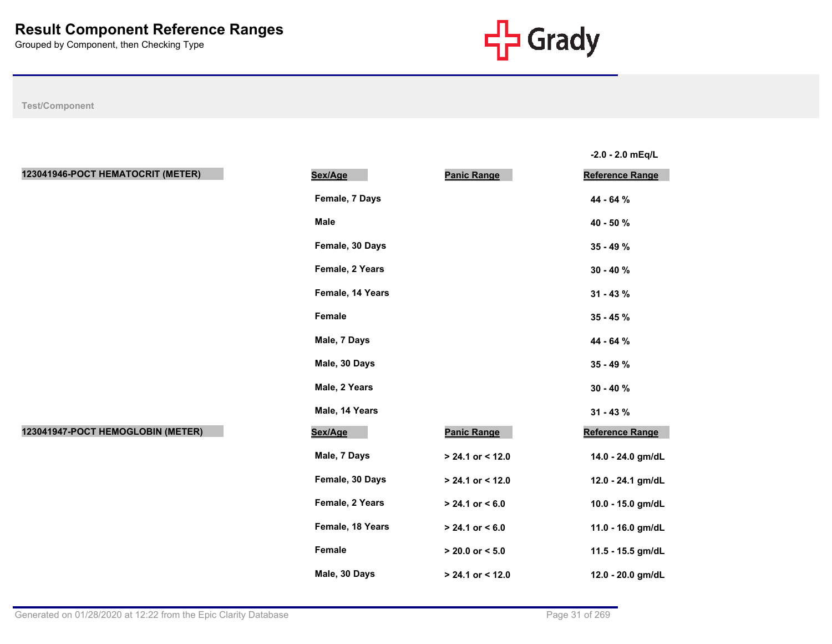

**-2.0 - 2.0 mEq/L**

| 123041946-POCT HEMATOCRIT (METER) | Sex/Age          | <b>Panic Range</b>  | Reference Range   |
|-----------------------------------|------------------|---------------------|-------------------|
|                                   | Female, 7 Days   |                     | 44 - 64 %         |
|                                   | <b>Male</b>      |                     | 40 - 50 %         |
|                                   | Female, 30 Days  |                     | 35 - 49 %         |
|                                   | Female, 2 Years  |                     | $30 - 40 \%$      |
|                                   | Female, 14 Years |                     | $31 - 43 \%$      |
|                                   | Female           |                     | $35 - 45 \%$      |
|                                   | Male, 7 Days     |                     | 44 - 64 %         |
|                                   | Male, 30 Days    |                     | 35 - 49 %         |
|                                   | Male, 2 Years    |                     | $30 - 40 \%$      |
|                                   | Male, 14 Years   |                     | $31 - 43 \%$      |
| 123041947-POCT HEMOGLOBIN (METER) | Sex/Age          | <b>Panic Range</b>  | Reference Range   |
|                                   | Male, 7 Days     | > 24.1 or < 12.0    | 14.0 - 24.0 gm/dL |
|                                   | Female, 30 Days  | $> 24.1$ or < 12.0  | 12.0 - 24.1 gm/dL |
|                                   | Female, 2 Years  | $> 24.1$ or $< 6.0$ | 10.0 - 15.0 gm/dL |
|                                   | Female, 18 Years | $> 24.1$ or $< 6.0$ | 11.0 - 16.0 gm/dL |
|                                   | Female           | $> 20.0$ or $< 5.0$ | 11.5 - 15.5 gm/dL |
|                                   | Male, 30 Days    | > 24.1 or < 12.0    | 12.0 - 20.0 gm/dL |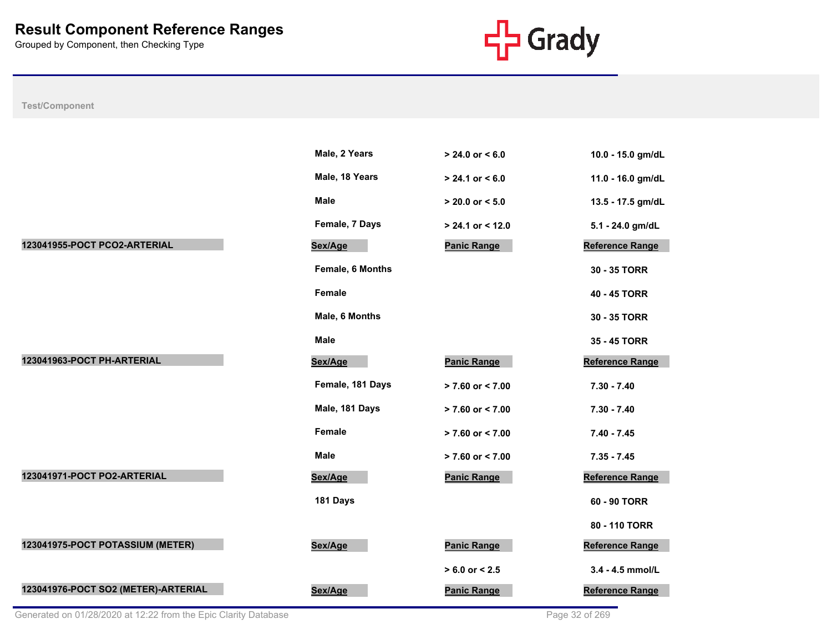

|                                     | Male, 2 Years    | $> 24.0$ or $< 6.0$  | 10.0 - 15.0 gm/dL      |
|-------------------------------------|------------------|----------------------|------------------------|
|                                     | Male, 18 Years   | $> 24.1$ or $< 6.0$  | 11.0 - 16.0 gm/dL      |
|                                     | <b>Male</b>      | $> 20.0$ or $< 5.0$  | 13.5 - 17.5 gm/dL      |
|                                     | Female, 7 Days   | $> 24.1$ or < 12.0   | 5.1 - 24.0 gm/dL       |
| 123041955-POCT PCO2-ARTERIAL        | Sex/Age          | <b>Panic Range</b>   | <b>Reference Range</b> |
|                                     | Female, 6 Months |                      | 30 - 35 TORR           |
|                                     | <b>Female</b>    |                      | 40 - 45 TORR           |
|                                     | Male, 6 Months   |                      | 30 - 35 TORR           |
|                                     | <b>Male</b>      |                      | 35 - 45 TORR           |
| 123041963-POCT PH-ARTERIAL          | Sex/Age          | <b>Panic Range</b>   | <b>Reference Range</b> |
|                                     | Female, 181 Days | > 7.60 or < 7.00     | $7.30 - 7.40$          |
|                                     | Male, 181 Days   | $> 7.60$ or $< 7.00$ | $7.30 - 7.40$          |
|                                     | Female           | $> 7.60$ or $< 7.00$ | $7.40 - 7.45$          |
|                                     | <b>Male</b>      | $> 7.60$ or $< 7.00$ | $7.35 - 7.45$          |
| 123041971-POCT PO2-ARTERIAL         | Sex/Age          | <b>Panic Range</b>   | <b>Reference Range</b> |
|                                     | 181 Days         |                      | 60 - 90 TORR           |
|                                     |                  |                      | 80 - 110 TORR          |
| 123041975-POCT POTASSIUM (METER)    | Sex/Age          | <b>Panic Range</b>   | <b>Reference Range</b> |
|                                     |                  | $> 6.0$ or $< 2.5$   | 3.4 - 4.5 mmol/L       |
| 123041976-POCT SO2 (METER)-ARTERIAL | Sex/Age          | <b>Panic Range</b>   | Reference Range        |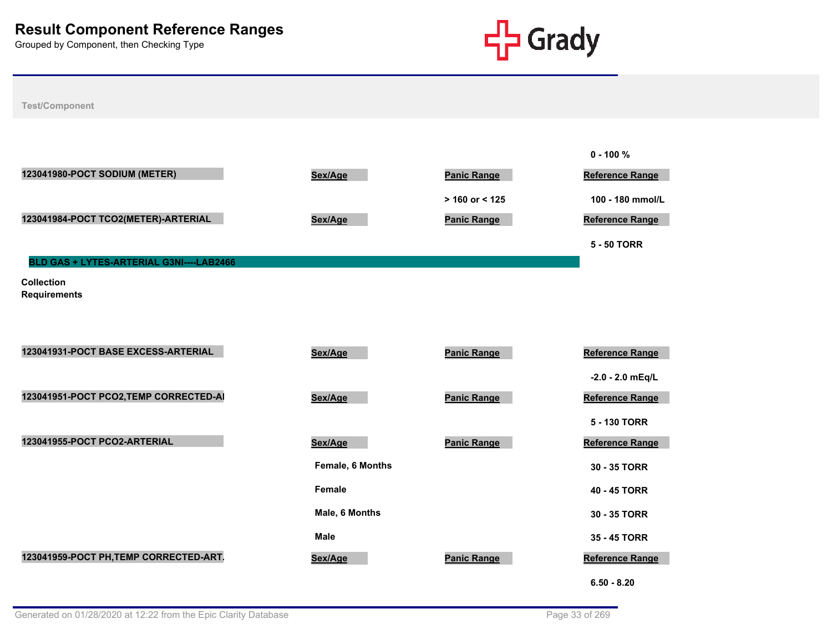

|                                          |                  |                    | $0 - 100 \%$           |
|------------------------------------------|------------------|--------------------|------------------------|
| 123041980-POCT SODIUM (METER)            | Sex/Age          | <b>Panic Range</b> | <b>Reference Range</b> |
|                                          |                  | > 160 or < 125     | 100 - 180 mmol/L       |
| 123041984-POCT TCO2(METER)-ARTERIAL      | Sex/Age          | <b>Panic Range</b> | <b>Reference Range</b> |
|                                          |                  |                    | <b>5 - 50 TORR</b>     |
| BLD GAS + LYTES-ARTERIAL G3NI----LAB2466 |                  |                    |                        |
| <b>Collection</b><br><b>Requirements</b> |                  |                    |                        |
| 123041931-POCT BASE EXCESS-ARTERIAL      | Sex/Age          | <b>Panic Range</b> | <b>Reference Range</b> |
|                                          |                  |                    | $-2.0 - 2.0$ mEq/L     |
| 123041951-POCT PCO2, TEMP CORRECTED-AI   | Sex/Age          | <b>Panic Range</b> | <b>Reference Range</b> |
|                                          |                  |                    | 5 - 130 TORR           |
| 123041955-POCT PCO2-ARTERIAL             | Sex/Age          | <b>Panic Range</b> | Reference Range        |
|                                          | Female, 6 Months |                    | 30 - 35 TORR           |
|                                          | Female           |                    | 40 - 45 TORR           |
|                                          | Male, 6 Months   |                    | 30 - 35 TORR           |
|                                          | <b>Male</b>      |                    | 35 - 45 TORR           |
| 123041959-POCT PH, TEMP CORRECTED-ART.   | Sex/Age          | <b>Panic Range</b> | <b>Reference Range</b> |
|                                          |                  |                    | $6.50 - 8.20$          |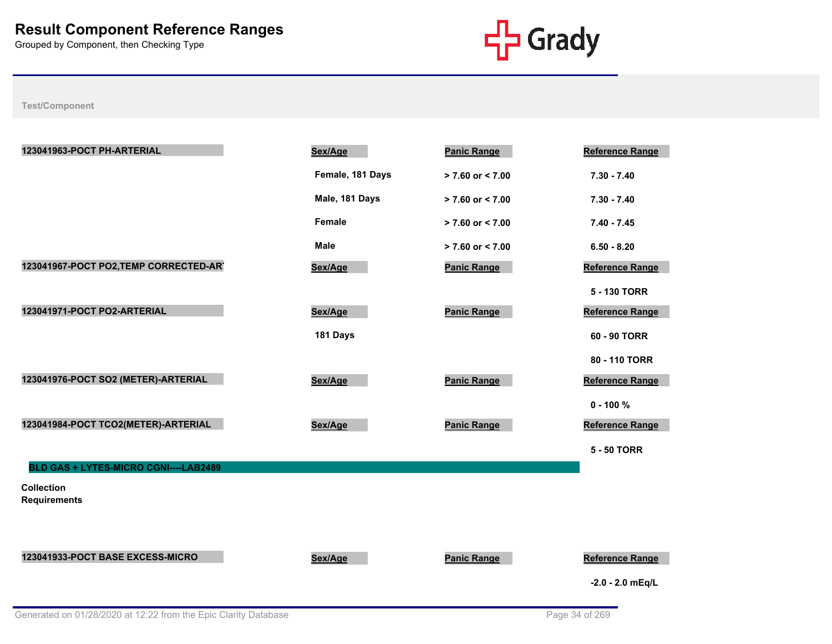

| 123041963-POCT PH-ARTERIAL               | Sex/Age          | <b>Panic Range</b>   | <b>Reference Range</b> |
|------------------------------------------|------------------|----------------------|------------------------|
|                                          | Female, 181 Days | $> 7.60$ or < 7.00   | $7.30 - 7.40$          |
|                                          | Male, 181 Days   | $> 7.60$ or $< 7.00$ | $7.30 - 7.40$          |
|                                          | Female           | $> 7.60$ or < 7.00   | $7.40 - 7.45$          |
|                                          | <b>Male</b>      | $> 7.60$ or < 7.00   | $6.50 - 8.20$          |
| 123041967-POCT PO2, TEMP CORRECTED-AR'   | Sex/Age          | <b>Panic Range</b>   | Reference Range        |
|                                          |                  |                      | 5 - 130 TORR           |
| 123041971-POCT PO2-ARTERIAL              | Sex/Age          | <b>Panic Range</b>   | <b>Reference Range</b> |
|                                          | 181 Days         |                      | 60 - 90 TORR           |
|                                          |                  |                      | 80 - 110 TORR          |
| 123041976-POCT SO2 (METER)-ARTERIAL      | Sex/Age          | <b>Panic Range</b>   | Reference Range        |
|                                          |                  |                      | $0 - 100 %$            |
| 123041984-POCT TCO2(METER)-ARTERIAL      | Sex/Age          | <b>Panic Range</b>   | Reference Range        |
|                                          |                  |                      | <b>5 - 50 TORR</b>     |
| BLD GAS + LYTES-MICRO CGNI----LAB2489    |                  |                      |                        |
| <b>Collection</b><br><b>Requirements</b> |                  |                      |                        |
|                                          |                  |                      |                        |
|                                          |                  |                      |                        |
| 123041933-POCT BASE EXCESS-MICRO         | Sex/Age          | <b>Panic Range</b>   | <b>Reference Range</b> |
|                                          |                  |                      | $-2.0 - 2.0$ mEq/L     |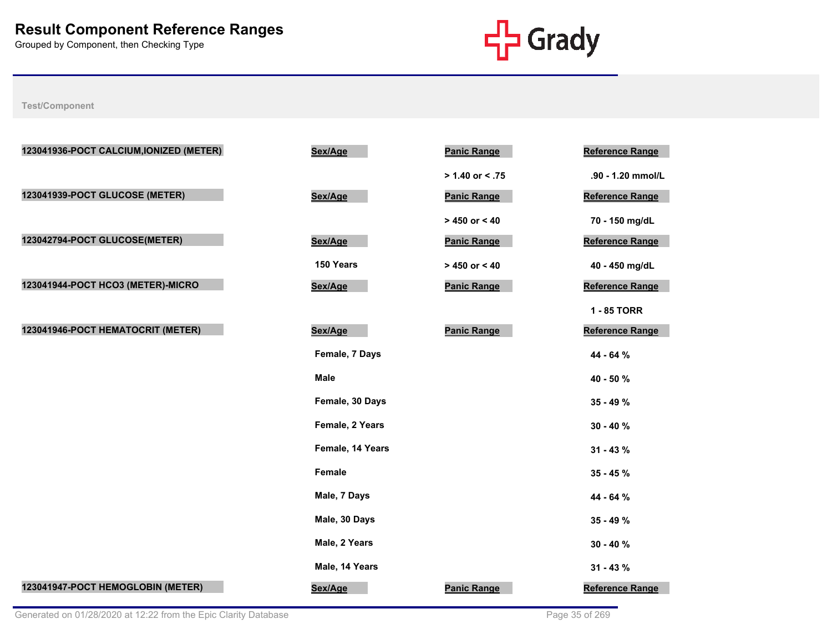

| 123041936-POCT CALCIUM, IONIZED (METER) | Sex/Age          | <b>Panic Range</b> | <b>Reference Range</b> |
|-----------------------------------------|------------------|--------------------|------------------------|
|                                         |                  | $> 1.40$ or < .75  | .90 - 1.20 mmol/L      |
| 123041939-POCT GLUCOSE (METER)          | Sex/Age          | <b>Panic Range</b> | Reference Range        |
|                                         |                  | $> 450$ or < 40    | 70 - 150 mg/dL         |
| 123042794-POCT GLUCOSE(METER)           | Sex/Age          | <b>Panic Range</b> | Reference Range        |
|                                         | 150 Years        | $> 450$ or $< 40$  | 40 - 450 mg/dL         |
| 123041944-POCT HCO3 (METER)-MICRO       | Sex/Age          | <b>Panic Range</b> | <b>Reference Range</b> |
|                                         |                  |                    | 1 - 85 TORR            |
| 123041946-POCT HEMATOCRIT (METER)       | Sex/Age          | <b>Panic Range</b> | <b>Reference Range</b> |
|                                         | Female, 7 Days   |                    | 44 - 64 %              |
|                                         | <b>Male</b>      |                    | 40 - 50 %              |
|                                         | Female, 30 Days  |                    | $35 - 49 \%$           |
|                                         | Female, 2 Years  |                    | $30 - 40 \%$           |
|                                         | Female, 14 Years |                    | $31 - 43 \%$           |
|                                         | Female           |                    | 35 - 45 %              |
|                                         | Male, 7 Days     |                    | 44 - 64 %              |
|                                         | Male, 30 Days    |                    | 35 - 49 %              |
|                                         | Male, 2 Years    |                    | $30 - 40%$             |
|                                         | Male, 14 Years   |                    | $31 - 43%$             |
| 123041947-POCT HEMOGLOBIN (METER)       | Sex/Age          | <b>Panic Range</b> | Reference Range        |
|                                         |                  |                    |                        |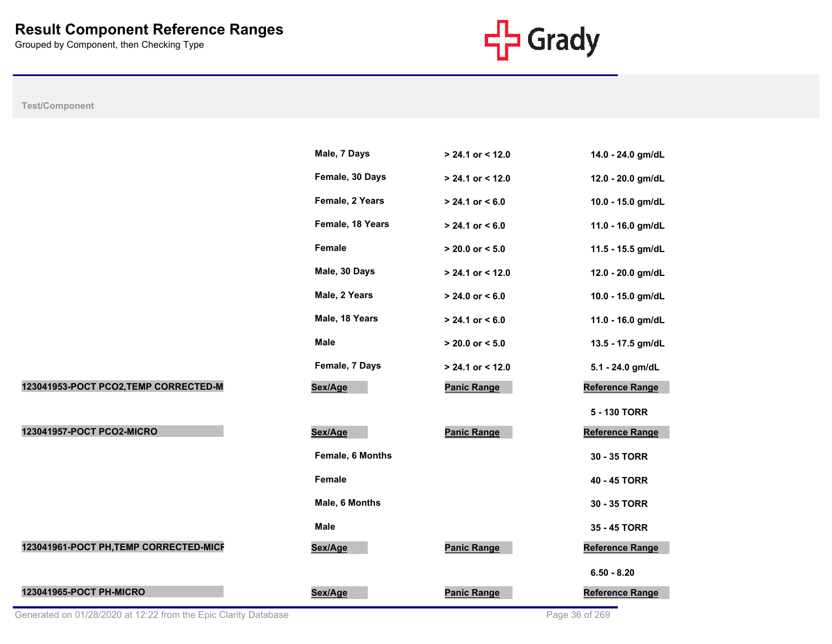

# **Test/Component**

|                                        | Male, 7 Days     | > 24.1 or < 12.0    | 14.0 - 24.0 gm/dL      |
|----------------------------------------|------------------|---------------------|------------------------|
|                                        | Female, 30 Days  | $> 24.1$ or < 12.0  | 12.0 - 20.0 gm/dL      |
|                                        | Female, 2 Years  | $> 24.1$ or < 6.0   | 10.0 - 15.0 gm/dL      |
|                                        | Female, 18 Years | $> 24.1$ or $< 6.0$ | 11.0 - 16.0 gm/dL      |
|                                        | Female           | $> 20.0$ or $< 5.0$ | 11.5 - 15.5 gm/dL      |
|                                        | Male, 30 Days    | > 24.1 or < 12.0    | 12.0 - 20.0 gm/dL      |
|                                        | Male, 2 Years    | $> 24.0$ or < 6.0   | 10.0 - 15.0 gm/dL      |
|                                        | Male, 18 Years   | $> 24.1$ or $< 6.0$ | 11.0 - 16.0 gm/dL      |
|                                        | <b>Male</b>      | $> 20.0$ or $< 5.0$ | 13.5 - 17.5 gm/dL      |
|                                        | Female, 7 Days   | > 24.1 or < 12.0    | 5.1 - 24.0 gm/dL       |
| 123041953-POCT PCO2, TEMP CORRECTED-M  | Sex/Age          | <b>Panic Range</b>  | <b>Reference Range</b> |
|                                        |                  |                     | 5 - 130 TORR           |
| 123041957-POCT PCO2-MICRO              | Sex/Age          | <b>Panic Range</b>  | Reference Range        |
|                                        | Female, 6 Months |                     | 30 - 35 TORR           |
|                                        | Female           |                     | 40 - 45 TORR           |
|                                        | Male, 6 Months   |                     | 30 - 35 TORR           |
|                                        | <b>Male</b>      |                     | 35 - 45 TORR           |
| 123041961-POCT PH, TEMP CORRECTED-MICF | Sex/Age          | <b>Panic Range</b>  | Reference Range        |
|                                        |                  |                     | $6.50 - 8.20$          |
| 123041965-POCT PH-MICRO                | Sex/Age          | <b>Panic Range</b>  | Reference Range        |

Generated on 01/28/2020 at 12:22 from the Epic Clarity Database Page 36 of 269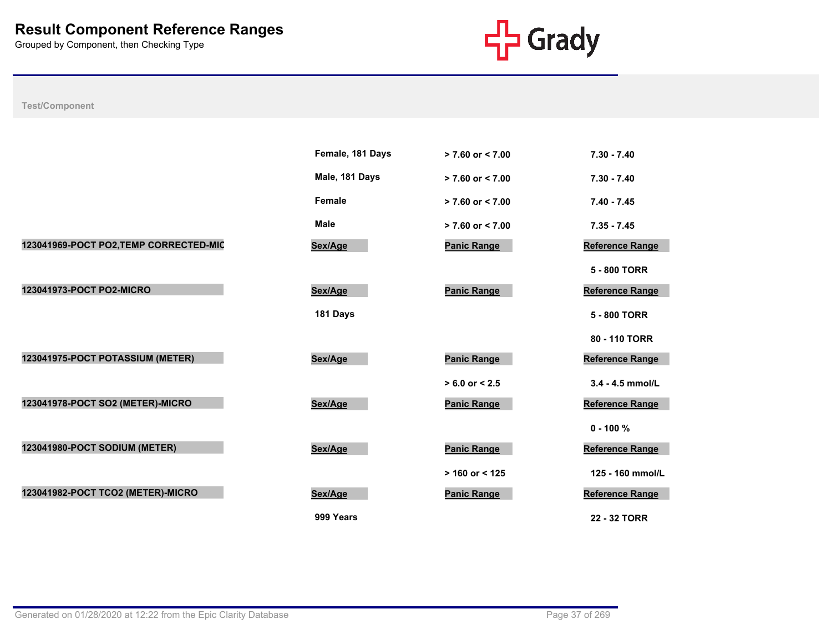

|                                        | Female, 181 Days | $> 7.60$ or $< 7.00$ | $7.30 - 7.40$          |
|----------------------------------------|------------------|----------------------|------------------------|
|                                        | Male, 181 Days   | $> 7.60$ or $< 7.00$ | $7.30 - 7.40$          |
|                                        | Female           | $> 7.60$ or $< 7.00$ | $7.40 - 7.45$          |
|                                        | <b>Male</b>      | $> 7.60$ or $< 7.00$ | $7.35 - 7.45$          |
| 123041969-POCT PO2, TEMP CORRECTED-MIC | Sex/Age          | <b>Panic Range</b>   | Reference Range        |
|                                        |                  |                      | 5 - 800 TORR           |
| 123041973-POCT PO2-MICRO               | Sex/Age          | <b>Panic Range</b>   | Reference Range        |
|                                        | 181 Days         |                      | 5 - 800 TORR           |
|                                        |                  |                      | 80 - 110 TORR          |
| 123041975-POCT POTASSIUM (METER)       | Sex/Age          | <b>Panic Range</b>   | <b>Reference Range</b> |
|                                        |                  | $> 6.0$ or $< 2.5$   | 3.4 - 4.5 mmol/L       |
| 123041978-POCT SO2 (METER)-MICRO       | Sex/Age          | <b>Panic Range</b>   | Reference Range        |
|                                        |                  |                      | $0 - 100 \%$           |
| 123041980-POCT SODIUM (METER)          | Sex/Age          | <b>Panic Range</b>   | Reference Range        |
|                                        |                  | $> 160$ or < 125     | 125 - 160 mmol/L       |
| 123041982-POCT TCO2 (METER)-MICRO      | Sex/Age          | <b>Panic Range</b>   | <b>Reference Range</b> |
|                                        | 999 Years        |                      | 22 - 32 TORR           |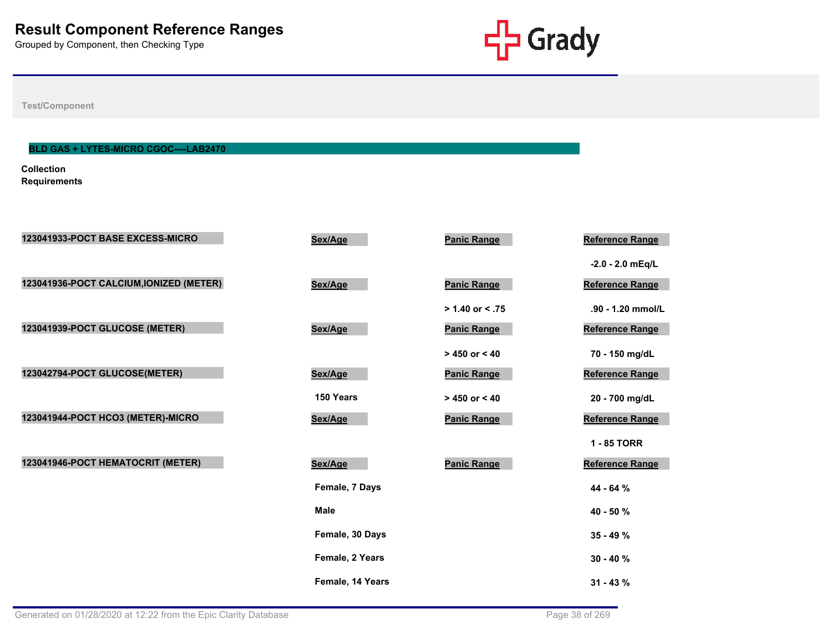

**Test/Component**

# **BLD GAS + LYTES-MICRO CGOC----LAB2470**

**Collection Requirements**

| 123041933-POCT BASE EXCESS-MICRO        | Sex/Age          | <b>Panic Range</b> | Reference Range        |
|-----------------------------------------|------------------|--------------------|------------------------|
|                                         |                  |                    | $-2.0 - 2.0$ mEq/L     |
| 123041936-POCT CALCIUM, IONIZED (METER) | Sex/Age          | <b>Panic Range</b> | Reference Range        |
|                                         |                  | $> 1.40$ or < .75  | .90 - 1.20 mmol/L      |
| 123041939-POCT GLUCOSE (METER)          | Sex/Age          | <b>Panic Range</b> | Reference Range        |
|                                         |                  | $> 450$ or $< 40$  | 70 - 150 mg/dL         |
| 123042794-POCT GLUCOSE(METER)           | Sex/Age          | <b>Panic Range</b> | Reference Range        |
|                                         | 150 Years        | $> 450$ or $< 40$  | 20 - 700 mg/dL         |
| 123041944-POCT HCO3 (METER)-MICRO       | Sex/Age          | <b>Panic Range</b> | Reference Range        |
|                                         |                  |                    | 1 - 85 TORR            |
| 123041946-POCT HEMATOCRIT (METER)       | Sex/Age          | <b>Panic Range</b> | <b>Reference Range</b> |
|                                         | Female, 7 Days   |                    | 44 - 64 %              |
|                                         | <b>Male</b>      |                    | 40 - 50 %              |
|                                         | Female, 30 Days  |                    | $35 - 49%$             |
|                                         | Female, 2 Years  |                    | $30 - 40 \%$           |
|                                         | Female, 14 Years |                    | $31 - 43 \%$           |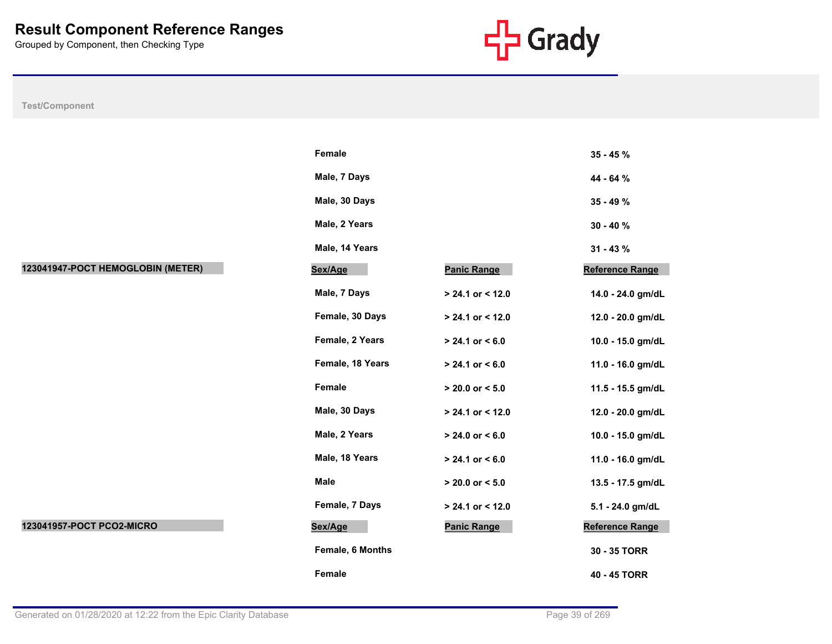

|                                   | Female           |                     | $35 - 45%$             |
|-----------------------------------|------------------|---------------------|------------------------|
|                                   | Male, 7 Days     |                     | 44 - 64 %              |
|                                   | Male, 30 Days    |                     | $35 - 49 \%$           |
|                                   | Male, 2 Years    |                     | $30 - 40 \%$           |
|                                   | Male, 14 Years   |                     | $31 - 43 \%$           |
| 123041947-POCT HEMOGLOBIN (METER) | Sex/Age          | <b>Panic Range</b>  | <b>Reference Range</b> |
|                                   | Male, 7 Days     | $> 24.1$ or < 12.0  | 14.0 - 24.0 gm/dL      |
|                                   | Female, 30 Days  | $> 24.1$ or < 12.0  | 12.0 - 20.0 gm/dL      |
|                                   | Female, 2 Years  | $> 24.1$ or $< 6.0$ | 10.0 - 15.0 gm/dL      |
|                                   | Female, 18 Years | $> 24.1$ or $< 6.0$ | 11.0 - 16.0 gm/dL      |
|                                   | Female           | $> 20.0$ or $< 5.0$ | 11.5 - 15.5 gm/dL      |
|                                   | Male, 30 Days    | > 24.1 or < 12.0    | 12.0 - 20.0 gm/dL      |
|                                   | Male, 2 Years    | $> 24.0$ or $< 6.0$ | 10.0 - 15.0 gm/dL      |
|                                   | Male, 18 Years   | $> 24.1$ or $< 6.0$ | 11.0 - 16.0 gm/dL      |
|                                   | Male             | $> 20.0$ or $< 5.0$ | 13.5 - 17.5 gm/dL      |
|                                   | Female, 7 Days   | $> 24.1$ or < 12.0  | 5.1 - 24.0 gm/dL       |
| 123041957-POCT PCO2-MICRO         | Sex/Age          | <b>Panic Range</b>  | <b>Reference Range</b> |
|                                   | Female, 6 Months |                     | 30 - 35 TORR           |
|                                   | Female           |                     | 40 - 45 TORR           |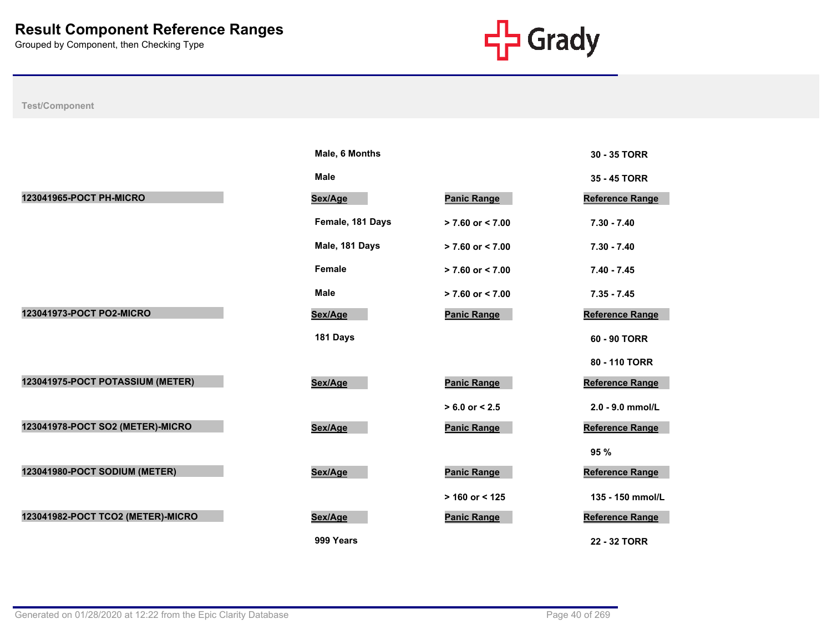

|                                   | Male, 6 Months   |                      | 30 - 35 TORR           |
|-----------------------------------|------------------|----------------------|------------------------|
|                                   | <b>Male</b>      |                      | 35 - 45 TORR           |
| 123041965-POCT PH-MICRO           | Sex/Age          | <b>Panic Range</b>   | <b>Reference Range</b> |
|                                   | Female, 181 Days | $> 7.60$ or $< 7.00$ | $7.30 - 7.40$          |
|                                   | Male, 181 Days   | $> 7.60$ or $< 7.00$ | $7.30 - 7.40$          |
|                                   | Female           | $> 7.60$ or $< 7.00$ | $7.40 - 7.45$          |
|                                   | <b>Male</b>      | > 7.60 or < 7.00     | $7.35 - 7.45$          |
| 123041973-POCT PO2-MICRO          | Sex/Age          | <b>Panic Range</b>   | <b>Reference Range</b> |
|                                   | 181 Days         |                      | 60 - 90 TORR           |
|                                   |                  |                      | 80 - 110 TORR          |
| 123041975-POCT POTASSIUM (METER)  | Sex/Age          | <b>Panic Range</b>   | <b>Reference Range</b> |
|                                   |                  | $> 6.0$ or $< 2.5$   | 2.0 - 9.0 mmol/L       |
| 123041978-POCT SO2 (METER)-MICRO  | Sex/Age          | <b>Panic Range</b>   | <b>Reference Range</b> |
|                                   |                  |                      | 95 %                   |
| 123041980-POCT SODIUM (METER)     | Sex/Age          | <b>Panic Range</b>   | <b>Reference Range</b> |
|                                   |                  | $> 160$ or < 125     | 135 - 150 mmol/L       |
| 123041982-POCT TCO2 (METER)-MICRO | Sex/Age          | <b>Panic Range</b>   | <b>Reference Range</b> |
|                                   | 999 Years        |                      | 22 - 32 TORR           |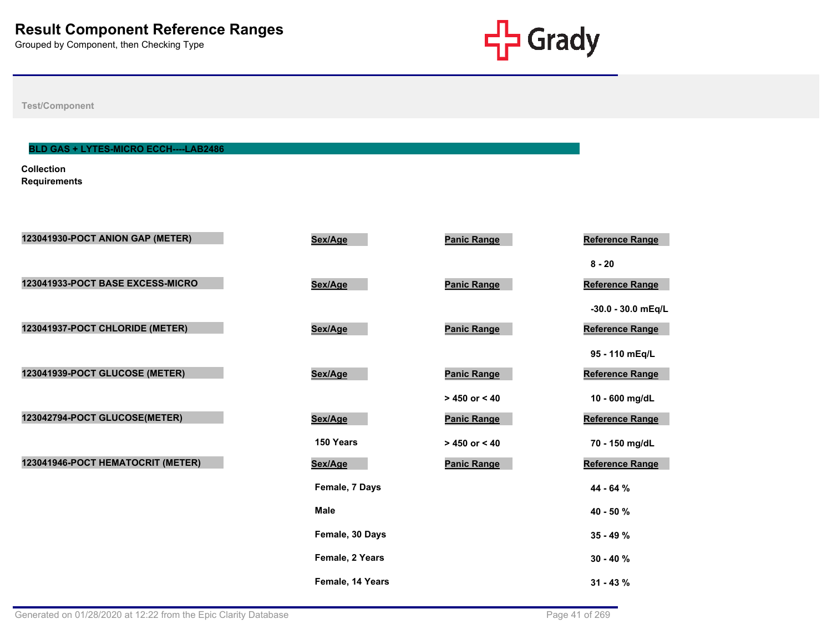

**Test/Component**

# **BLD GAS + LYTES-MICRO ECCH----LAB2486**

**Collection Requirements**

| 123041930-POCT ANION GAP (METER)  | Sex/Age          | <b>Panic Range</b> | Reference Range        |
|-----------------------------------|------------------|--------------------|------------------------|
|                                   |                  |                    | $8 - 20$               |
| 123041933-POCT BASE EXCESS-MICRO  | Sex/Age          | <b>Panic Range</b> | Reference Range        |
|                                   |                  |                    | -30.0 - 30.0 mEq/L     |
| 123041937-POCT CHLORIDE (METER)   | Sex/Age          | <b>Panic Range</b> | <b>Reference Range</b> |
|                                   |                  |                    | 95 - 110 mEq/L         |
| 123041939-POCT GLUCOSE (METER)    | Sex/Age          | <b>Panic Range</b> | <b>Reference Range</b> |
|                                   |                  | $> 450$ or < 40    | 10 - 600 mg/dL         |
| 123042794-POCT GLUCOSE(METER)     | Sex/Age          | <b>Panic Range</b> | <b>Reference Range</b> |
|                                   | 150 Years        | $> 450$ or $< 40$  | 70 - 150 mg/dL         |
| 123041946-POCT HEMATOCRIT (METER) | Sex/Age          | <b>Panic Range</b> | Reference Range        |
|                                   | Female, 7 Days   |                    | 44 - 64 %              |
|                                   | <b>Male</b>      |                    | 40 - 50 %              |
|                                   | Female, 30 Days  |                    | $35 - 49%$             |
|                                   | Female, 2 Years  |                    |                        |
|                                   |                  |                    | $30 - 40%$             |
|                                   | Female, 14 Years |                    | $31 - 43 \%$           |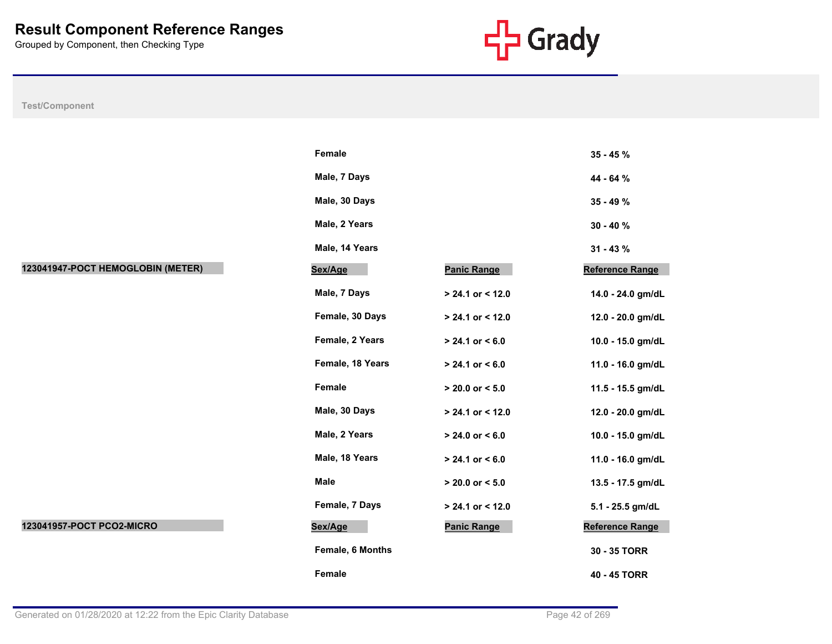

|                                   | Female           |                     | $35 - 45%$             |
|-----------------------------------|------------------|---------------------|------------------------|
|                                   | Male, 7 Days     |                     | 44 - 64 %              |
|                                   | Male, 30 Days    |                     | 35 - 49 %              |
|                                   | Male, 2 Years    |                     | $30 - 40 \%$           |
|                                   | Male, 14 Years   |                     | $31 - 43 \%$           |
| 123041947-POCT HEMOGLOBIN (METER) | Sex/Age          | <b>Panic Range</b>  | <b>Reference Range</b> |
|                                   | Male, 7 Days     | > 24.1 or < 12.0    | 14.0 - 24.0 gm/dL      |
|                                   | Female, 30 Days  | > 24.1 or < 12.0    | 12.0 - 20.0 gm/dL      |
|                                   | Female, 2 Years  | $> 24.1$ or $< 6.0$ | 10.0 - 15.0 gm/dL      |
|                                   | Female, 18 Years | $> 24.1$ or $< 6.0$ | 11.0 - 16.0 gm/dL      |
|                                   | Female           | $> 20.0$ or $< 5.0$ | 11.5 - 15.5 gm/dL      |
|                                   | Male, 30 Days    | > 24.1 or < 12.0    | 12.0 - 20.0 gm/dL      |
|                                   | Male, 2 Years    | $> 24.0$ or $< 6.0$ | 10.0 - 15.0 gm/dL      |
|                                   | Male, 18 Years   | $> 24.1$ or $< 6.0$ | 11.0 - 16.0 gm/dL      |
|                                   | <b>Male</b>      | $> 20.0$ or $< 5.0$ | 13.5 - 17.5 gm/dL      |
|                                   | Female, 7 Days   | $> 24.1$ or < 12.0  | 5.1 - 25.5 gm/dL       |
| 123041957-POCT PCO2-MICRO         | Sex/Age          | <b>Panic Range</b>  | <b>Reference Range</b> |
|                                   | Female, 6 Months |                     | 30 - 35 TORR           |
|                                   | Female           |                     | 40 - 45 TORR           |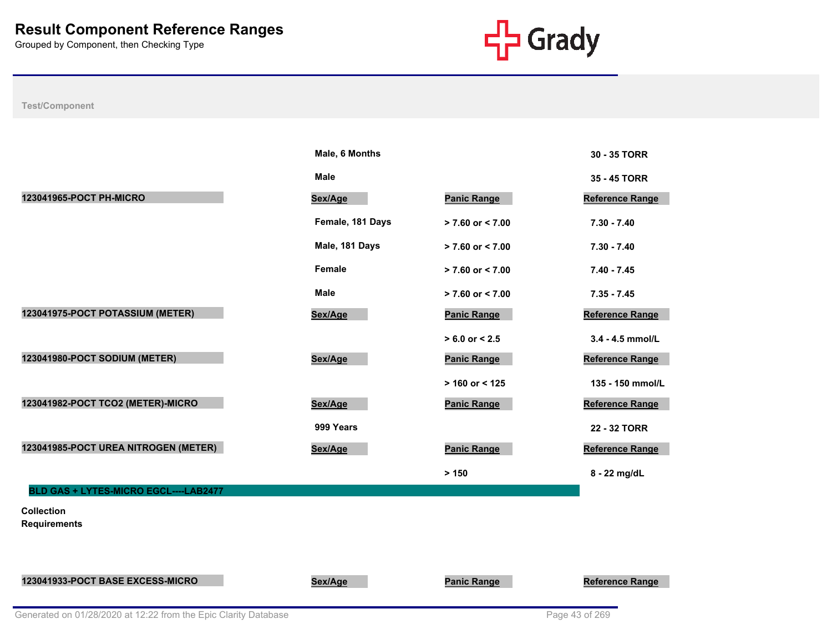

|                                          | Male, 6 Months   |                      | 30 - 35 TORR           |
|------------------------------------------|------------------|----------------------|------------------------|
|                                          | <b>Male</b>      |                      | 35 - 45 TORR           |
| 123041965-POCT PH-MICRO                  | Sex/Age          | <b>Panic Range</b>   | Reference Range        |
|                                          | Female, 181 Days | > 7.60 or < 7.00     | $7.30 - 7.40$          |
|                                          | Male, 181 Days   | $> 7.60$ or $< 7.00$ | $7.30 - 7.40$          |
|                                          | <b>Female</b>    | $> 7.60$ or $< 7.00$ | $7.40 - 7.45$          |
|                                          | <b>Male</b>      | > 7.60 or < 7.00     | $7.35 - 7.45$          |
| 123041975-POCT POTASSIUM (METER)         | Sex/Age          | <b>Panic Range</b>   | <b>Reference Range</b> |
|                                          |                  | $> 6.0$ or $< 2.5$   | 3.4 - 4.5 mmol/L       |
| 123041980-POCT SODIUM (METER)            | Sex/Age          | <b>Panic Range</b>   | Reference Range        |
|                                          |                  | $> 160$ or < 125     | 135 - 150 mmol/L       |
| 123041982-POCT TCO2 (METER)-MICRO        | Sex/Age          | <b>Panic Range</b>   | Reference Range        |
|                                          | 999 Years        |                      | 22 - 32 TORR           |
| 123041985-POCT UREA NITROGEN (METER)     | Sex/Age          | <b>Panic Range</b>   | Reference Range        |
|                                          |                  | > 150                | 8 - 22 mg/dL           |
| BLD GAS + LYTES-MICRO EGCL----LAB2477    |                  |                      |                        |
| <b>Collection</b><br><b>Requirements</b> |                  |                      |                        |
|                                          |                  |                      |                        |
| 123041933-POCT BASE EXCESS-MICRO         | Sex/Age          | <b>Panic Range</b>   | Reference Range        |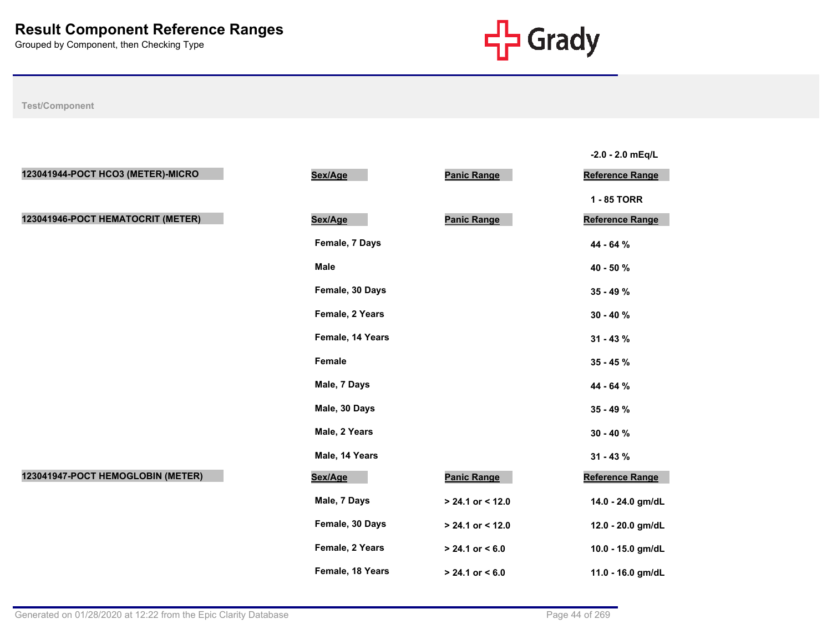

|                                   |                  |                    | $-2.0 - 2.0$ mEq/L     |
|-----------------------------------|------------------|--------------------|------------------------|
| 123041944-POCT HCO3 (METER)-MICRO | Sex/Age          | <b>Panic Range</b> | <b>Reference Range</b> |
|                                   |                  |                    | 1 - 85 TORR            |
| 123041946-POCT HEMATOCRIT (METER) | Sex/Age          | <b>Panic Range</b> | Reference Range        |
|                                   | Female, 7 Days   |                    | 44 - 64 %              |
|                                   | Male             |                    | 40 - 50 %              |
|                                   | Female, 30 Days  |                    | 35 - 49 %              |
|                                   | Female, 2 Years  |                    | $30 - 40 \%$           |
|                                   | Female, 14 Years |                    | $31 - 43 \%$           |
|                                   | Female           |                    | $35 - 45 \%$           |
|                                   | Male, 7 Days     |                    | 44 - 64 %              |
|                                   | Male, 30 Days    |                    | 35 - 49 %              |
|                                   | Male, 2 Years    |                    | $30 - 40 \%$           |
|                                   | Male, 14 Years   |                    | $31 - 43 \%$           |
| 123041947-POCT HEMOGLOBIN (METER) | Sex/Age          | <b>Panic Range</b> | Reference Range        |
|                                   | Male, 7 Days     | $> 24.1$ or < 12.0 | 14.0 - 24.0 gm/dL      |
|                                   | Female, 30 Days  | $> 24.1$ or < 12.0 | 12.0 - 20.0 gm/dL      |
|                                   | Female, 2 Years  | $> 24.1$ or < 6.0  | 10.0 - 15.0 gm/dL      |
|                                   | Female, 18 Years | $> 24.1$ or < 6.0  | 11.0 - 16.0 gm/dL      |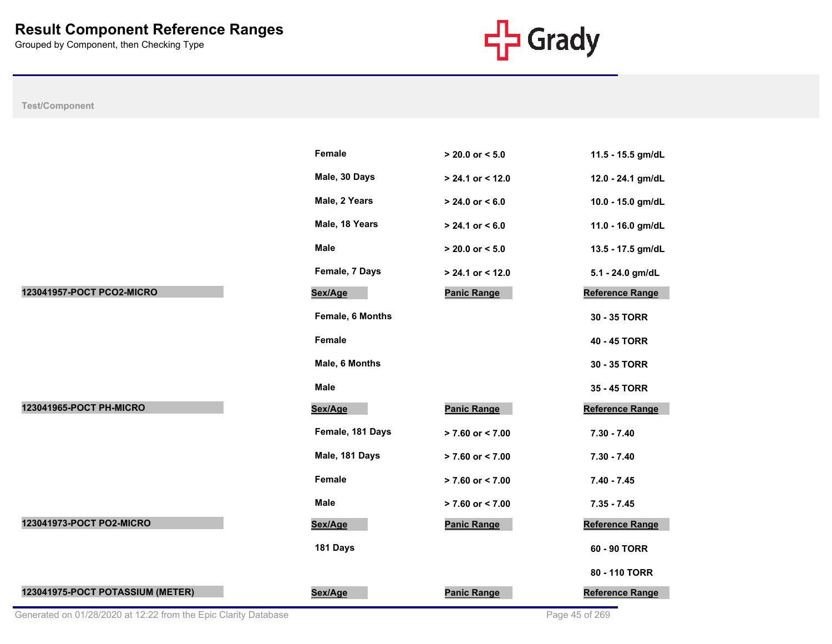

|                           | Female           | $> 20.0$ or $< 5.0$  | 11.5 - 15.5 gm/dL      |
|---------------------------|------------------|----------------------|------------------------|
|                           | Male, 30 Days    | $> 24.1$ or < 12.0   | 12.0 - 24.1 gm/dL      |
|                           | Male, 2 Years    | $> 24.0$ or $< 6.0$  | 10.0 - 15.0 gm/dL      |
|                           | Male, 18 Years   | $> 24.1$ or < 6.0    | 11.0 - 16.0 gm/dL      |
|                           | <b>Male</b>      | $> 20.0$ or $< 5.0$  | 13.5 - 17.5 gm/dL      |
|                           | Female, 7 Days   | $> 24.1$ or < 12.0   | 5.1 - 24.0 gm/dL       |
| 123041957-POCT PCO2-MICRO | Sex/Age          | <b>Panic Range</b>   | Reference Range        |
|                           | Female, 6 Months |                      | 30 - 35 TORR           |
|                           | <b>Female</b>    |                      | 40 - 45 TORR           |
|                           | Male, 6 Months   |                      | 30 - 35 TORR           |
|                           |                  |                      |                        |
|                           | <b>Male</b>      |                      | 35 - 45 TORR           |
| 123041965-POCT PH-MICRO   | Sex/Age          | <b>Panic Range</b>   | Reference Range        |
|                           | Female, 181 Days | $> 7.60$ or < 7.00   | $7.30 - 7.40$          |
|                           | Male, 181 Days   | $> 7.60$ or < 7.00   | $7.30 - 7.40$          |
|                           | Female           | $> 7.60$ or $< 7.00$ | $7.40 - 7.45$          |
|                           | <b>Male</b>      | $> 7.60$ or $< 7.00$ | $7.35 - 7.45$          |
| 123041973-POCT PO2-MICRO  | Sex/Age          | <b>Panic Range</b>   | <b>Reference Range</b> |
|                           | 181 Days         |                      | 60 - 90 TORR           |
|                           |                  |                      | 80 - 110 TORR          |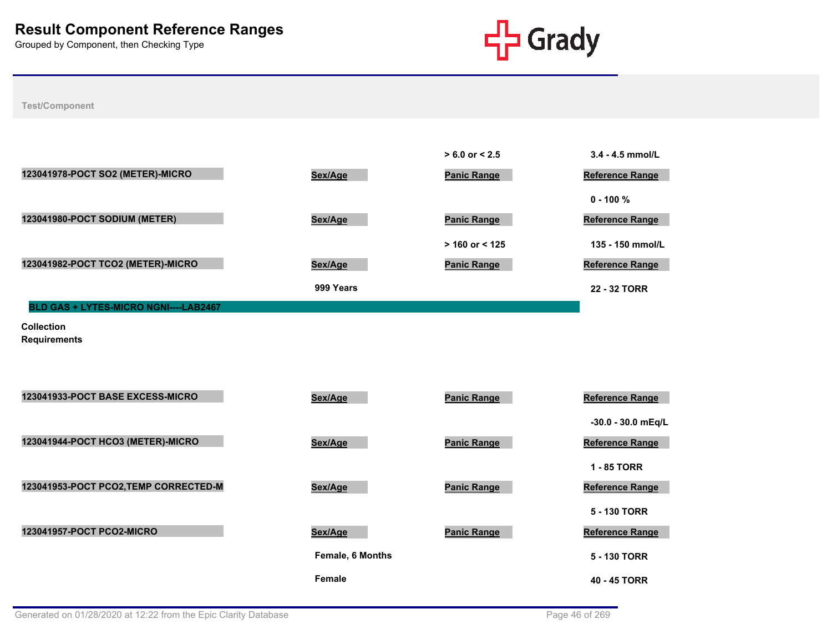

**Test/Component**

|                                              |           | $> 6.0$ or $< 2.5$ | $3.4 - 4.5$ mmol/L     |
|----------------------------------------------|-----------|--------------------|------------------------|
| 123041978-POCT SO2 (METER)-MICRO             | Sex/Age   | <b>Panic Range</b> | <b>Reference Range</b> |
|                                              |           |                    | $0 - 100 \%$           |
| 123041980-POCT SODIUM (METER)                | Sex/Age   | <b>Panic Range</b> | <b>Reference Range</b> |
|                                              |           | $>$ 160 or < 125   | 135 - 150 mmol/L       |
| 123041982-POCT TCO2 (METER)-MICRO            | Sex/Age   | <b>Panic Range</b> | <b>Reference Range</b> |
|                                              | 999 Years |                    | 22 - 32 TORR           |
| <b>BLD GAS + LYTES-MICRO NGNI----LAB2467</b> |           |                    |                        |

**Collection** 

**Requirements**

| 123041933-POCT BASE EXCESS-MICRO      | Sex/Age                 | <b>Panic Range</b> | <b>Reference Range</b> |
|---------------------------------------|-------------------------|--------------------|------------------------|
|                                       |                         |                    | -30.0 - 30.0 mEq/L     |
| 123041944-POCT HCO3 (METER)-MICRO     | Sex/Age                 | <b>Panic Range</b> | <b>Reference Range</b> |
|                                       |                         |                    | 1 - 85 TORR            |
| 123041953-POCT PCO2, TEMP CORRECTED-M | Sex/Age                 | <b>Panic Range</b> | <b>Reference Range</b> |
|                                       |                         |                    | 5 - 130 TORR           |
| 123041957-POCT PCO2-MICRO             | Sex/Age                 | <b>Panic Range</b> | <b>Reference Range</b> |
|                                       | <b>Female, 6 Months</b> |                    | 5 - 130 TORR           |
|                                       | <b>Female</b>           |                    | 40 - 45 TORR           |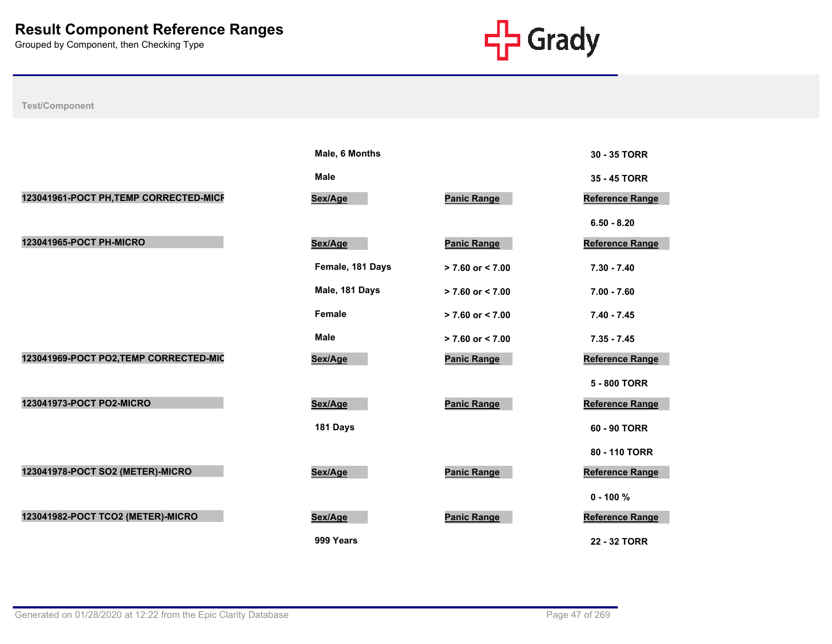

|                                        | Male, 6 Months   |                      | 30 - 35 TORR           |
|----------------------------------------|------------------|----------------------|------------------------|
|                                        | <b>Male</b>      |                      | 35 - 45 TORR           |
| 123041961-POCT PH, TEMP CORRECTED-MICF | Sex/Age          | <b>Panic Range</b>   | <b>Reference Range</b> |
|                                        |                  |                      | $6.50 - 8.20$          |
| 123041965-POCT PH-MICRO                | Sex/Age          | <b>Panic Range</b>   | <b>Reference Range</b> |
|                                        | Female, 181 Days | $> 7.60$ or $< 7.00$ | $7.30 - 7.40$          |
|                                        | Male, 181 Days   | $> 7.60$ or $< 7.00$ | $7.00 - 7.60$          |
|                                        | Female           | $> 7.60$ or $< 7.00$ | $7.40 - 7.45$          |
|                                        | Male             | $> 7.60$ or $< 7.00$ | $7.35 - 7.45$          |
| 123041969-POCT PO2, TEMP CORRECTED-MIC | Sex/Age          | <b>Panic Range</b>   | <b>Reference Range</b> |
|                                        |                  |                      | 5 - 800 TORR           |
| 123041973-POCT PO2-MICRO               | Sex/Age          | <b>Panic Range</b>   | <b>Reference Range</b> |
|                                        | 181 Days         |                      | 60 - 90 TORR           |
|                                        |                  |                      | 80 - 110 TORR          |
| 123041978-POCT SO2 (METER)-MICRO       | Sex/Age          | <b>Panic Range</b>   | <b>Reference Range</b> |
|                                        |                  |                      | $0 - 100 \%$           |
| 123041982-POCT TCO2 (METER)-MICRO      | Sex/Age          | <b>Panic Range</b>   | <b>Reference Range</b> |
|                                        | 999 Years        |                      | 22 - 32 TORR           |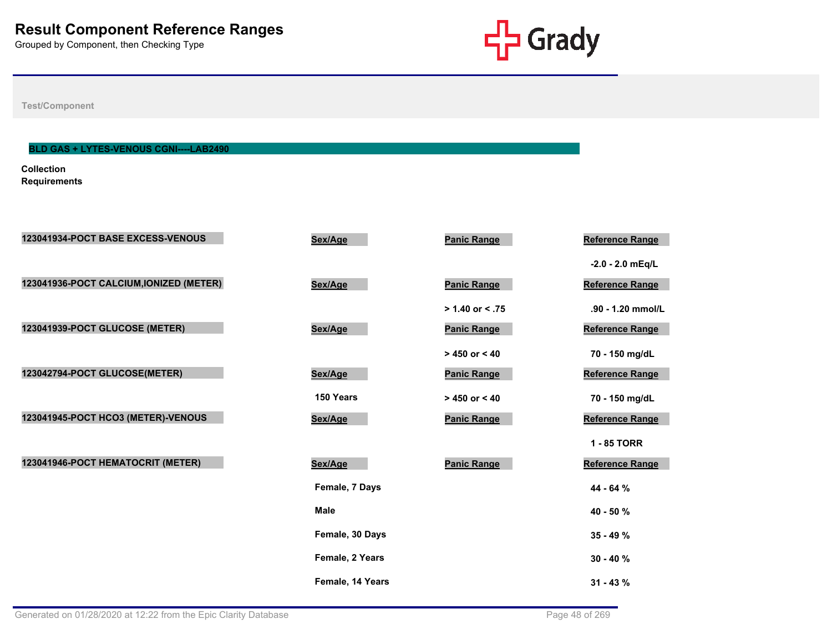

**Test/Component**

# **BLD GAS + LYTES-VENOUS CGNI----LAB2490**

**Collection Requirements**

| 123041934-POCT BASE EXCESS-VENOUS       | Sex/Age          | <b>Panic Range</b> | Reference Range        |
|-----------------------------------------|------------------|--------------------|------------------------|
|                                         |                  |                    | $-2.0 - 2.0$ mEq/L     |
| 123041936-POCT CALCIUM, IONIZED (METER) | Sex/Age          | <b>Panic Range</b> | <b>Reference Range</b> |
|                                         |                  | $> 1.40$ or < .75  | .90 - 1.20 mmol/L      |
| 123041939-POCT GLUCOSE (METER)          | Sex/Age          | <b>Panic Range</b> | Reference Range        |
|                                         |                  | $> 450$ or $< 40$  | 70 - 150 mg/dL         |
| 123042794-POCT GLUCOSE(METER)           | Sex/Age          | <b>Panic Range</b> | Reference Range        |
|                                         | 150 Years        | $> 450$ or $< 40$  | 70 - 150 mg/dL         |
| 123041945-POCT HCO3 (METER)-VENOUS      | Sex/Age          | <b>Panic Range</b> | Reference Range        |
|                                         |                  |                    | 1 - 85 TORR            |
| 123041946-POCT HEMATOCRIT (METER)       | Sex/Age          | <b>Panic Range</b> | Reference Range        |
|                                         | Female, 7 Days   |                    | 44 - 64 %              |
|                                         | <b>Male</b>      |                    | 40 - 50 %              |
|                                         | Female, 30 Days  |                    | $35 - 49 \%$           |
|                                         | Female, 2 Years  |                    | $30 - 40%$             |
|                                         | Female, 14 Years |                    | $31 - 43%$             |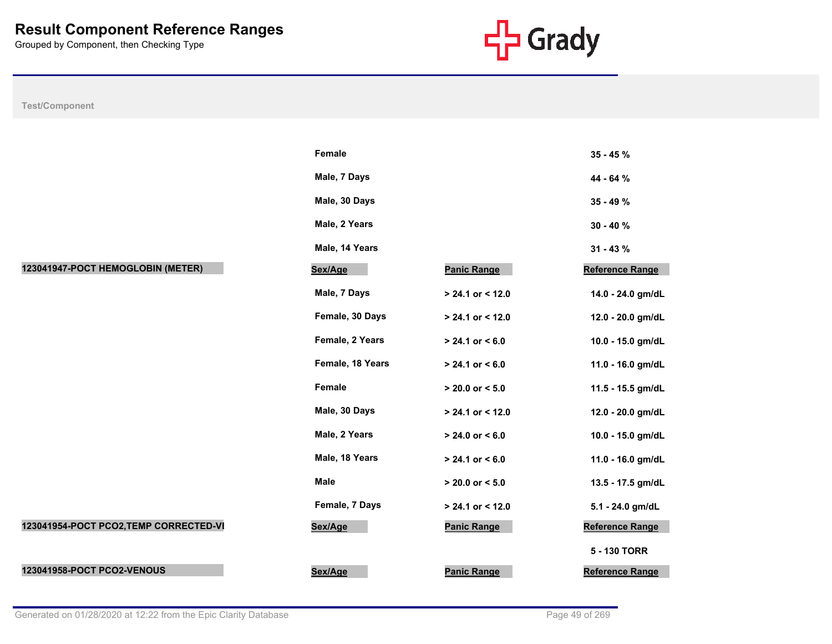

|                                        | Female           |                     | 35 - 45 %              |
|----------------------------------------|------------------|---------------------|------------------------|
|                                        | Male, 7 Days     |                     | 44 - 64 %              |
|                                        | Male, 30 Days    |                     | 35 - 49 %              |
|                                        | Male, 2 Years    |                     | $30 - 40 \%$           |
|                                        | Male, 14 Years   |                     | $31 - 43%$             |
| 123041947-POCT HEMOGLOBIN (METER)      | Sex/Age          | <b>Panic Range</b>  | Reference Range        |
|                                        | Male, 7 Days     | > 24.1 or < 12.0    | 14.0 - 24.0 gm/dL      |
|                                        | Female, 30 Days  | > 24.1 or < 12.0    | 12.0 - 20.0 gm/dL      |
|                                        | Female, 2 Years  | $> 24.1$ or $< 6.0$ | 10.0 - 15.0 gm/dL      |
|                                        | Female, 18 Years | $> 24.1$ or $< 6.0$ | 11.0 - 16.0 gm/dL      |
|                                        | Female           | $> 20.0$ or $< 5.0$ | 11.5 - 15.5 gm/dL      |
|                                        | Male, 30 Days    | $> 24.1$ or < 12.0  | 12.0 - 20.0 gm/dL      |
|                                        | Male, 2 Years    | $> 24.0$ or $< 6.0$ | 10.0 - 15.0 gm/dL      |
|                                        | Male, 18 Years   | $> 24.1$ or $< 6.0$ | 11.0 - 16.0 gm/dL      |
|                                        | Male             | $> 20.0$ or $< 5.0$ | 13.5 - 17.5 gm/dL      |
|                                        | Female, 7 Days   | $> 24.1$ or < 12.0  | 5.1 - 24.0 gm/dL       |
| 123041954-POCT PCO2, TEMP CORRECTED-VI | Sex/Age          | <b>Panic Range</b>  | <b>Reference Range</b> |
|                                        |                  |                     | 5 - 130 TORR           |
| 123041958-POCT PCO2-VENOUS             | Sex/Age          | <b>Panic Range</b>  | Reference Range        |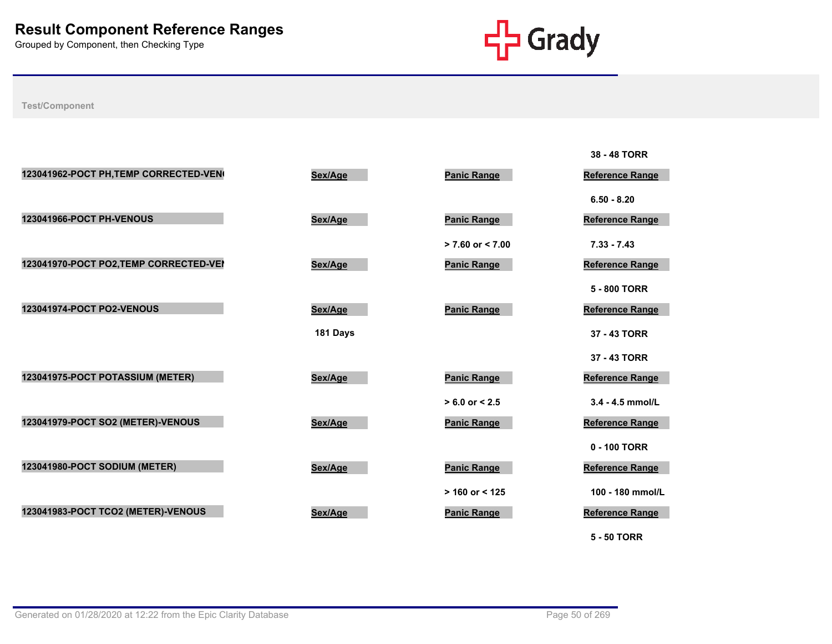

|                                        |          |                      | 38 - 48 TORR           |
|----------------------------------------|----------|----------------------|------------------------|
| 123041962-POCT PH, TEMP CORRECTED-VEN  | Sex/Age  | <b>Panic Range</b>   | <b>Reference Range</b> |
|                                        |          |                      | $6.50 - 8.20$          |
| 123041966-POCT PH-VENOUS               | Sex/Age  | <b>Panic Range</b>   | <b>Reference Range</b> |
|                                        |          | $> 7.60$ or $< 7.00$ | $7.33 - 7.43$          |
| 123041970-POCT PO2, TEMP CORRECTED-VEI | Sex/Age  | <b>Panic Range</b>   | <b>Reference Range</b> |
|                                        |          |                      | 5 - 800 TORR           |
| <b>123041974-POCT PO2-VENOUS</b>       | Sex/Age  | <b>Panic Range</b>   | <b>Reference Range</b> |
|                                        | 181 Days |                      | 37 - 43 TORR           |
|                                        |          |                      | 37 - 43 TORR           |
| 123041975-POCT POTASSIUM (METER)       | Sex/Age  | <b>Panic Range</b>   | Reference Range        |
|                                        |          | $> 6.0$ or $< 2.5$   | $3.4 - 4.5$ mmol/L     |
| 123041979-POCT SO2 (METER)-VENOUS      | Sex/Age  | <b>Panic Range</b>   | <b>Reference Range</b> |
|                                        |          |                      | 0 - 100 TORR           |
| 123041980-POCT SODIUM (METER)          | Sex/Age  | <b>Panic Range</b>   | Reference Range        |
|                                        |          | $> 160$ or < 125     | 100 - 180 mmol/L       |
| 123041983-POCT TCO2 (METER)-VENOUS     | Sex/Age  | <b>Panic Range</b>   | <b>Reference Range</b> |
|                                        |          |                      | <b>5 - 50 TORR</b>     |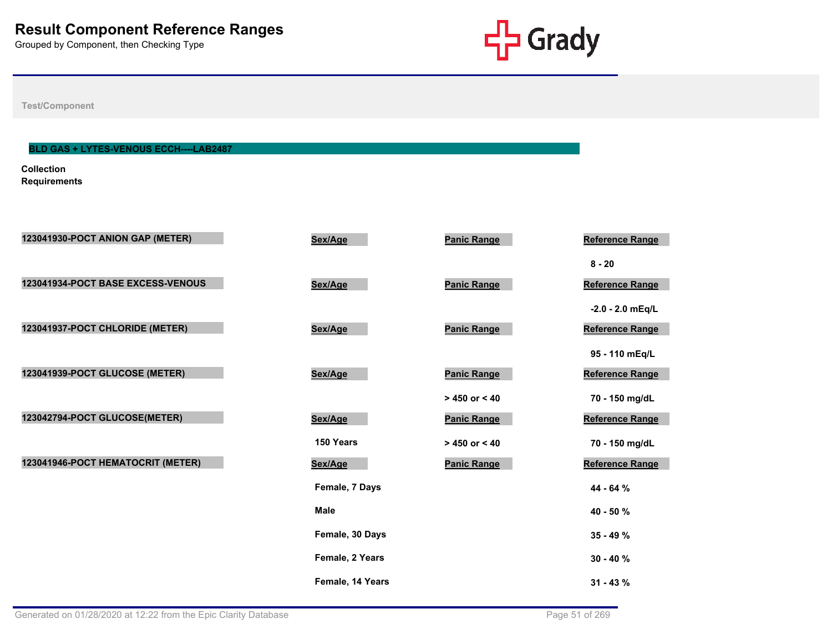

**Test/Component**

# **BLD GAS + LYTES-VENOUS ECCH----LAB2487**

**Collection Requirements**

| 123041930-POCT ANION GAP (METER)  | Sex/Age          | <b>Panic Range</b> | Reference Range        |
|-----------------------------------|------------------|--------------------|------------------------|
|                                   |                  |                    | $8 - 20$               |
| 123041934-POCT BASE EXCESS-VENOUS | Sex/Age          | <b>Panic Range</b> | Reference Range        |
|                                   |                  |                    | $-2.0 - 2.0$ mEq/L     |
| 123041937-POCT CHLORIDE (METER)   | Sex/Age          | <b>Panic Range</b> | <b>Reference Range</b> |
|                                   |                  |                    | 95 - 110 mEq/L         |
| 123041939-POCT GLUCOSE (METER)    | Sex/Age          | <b>Panic Range</b> | Reference Range        |
|                                   |                  | $> 450$ or < 40    | 70 - 150 mg/dL         |
| 123042794-POCT GLUCOSE(METER)     | Sex/Age          | <b>Panic Range</b> | <b>Reference Range</b> |
|                                   | 150 Years        | $> 450$ or < 40    | 70 - 150 mg/dL         |
| 123041946-POCT HEMATOCRIT (METER) | Sex/Age          | <b>Panic Range</b> | Reference Range        |
|                                   | Female, 7 Days   |                    | 44 - 64 %              |
|                                   | <b>Male</b>      |                    | 40 - 50 %              |
|                                   | Female, 30 Days  |                    | $35 - 49 \%$           |
|                                   | Female, 2 Years  |                    | $30 - 40 \%$           |
|                                   | Female, 14 Years |                    |                        |
|                                   |                  |                    | $31 - 43 \%$           |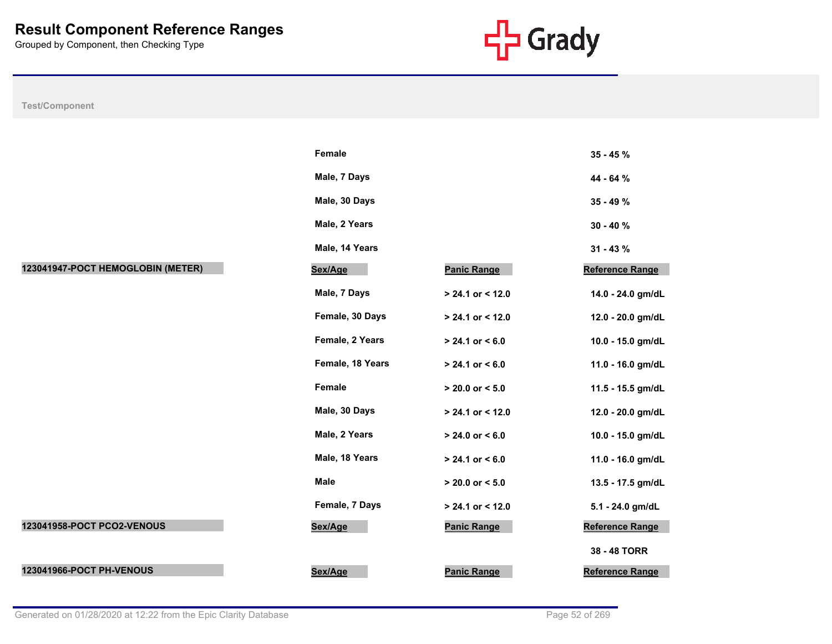

|                                   | Female           |                     | $35 - 45%$        |
|-----------------------------------|------------------|---------------------|-------------------|
|                                   | Male, 7 Days     |                     | 44 - 64 %         |
|                                   | Male, 30 Days    |                     | $35 - 49 \%$      |
|                                   | Male, 2 Years    |                     | $30 - 40%$        |
|                                   | Male, 14 Years   |                     | $31 - 43 \%$      |
| 123041947-POCT HEMOGLOBIN (METER) | Sex/Age          | Panic Range         | Reference Range   |
|                                   | Male, 7 Days     | $> 24.1$ or < 12.0  | 14.0 - 24.0 gm/dL |
|                                   | Female, 30 Days  | $> 24.1$ or < 12.0  | 12.0 - 20.0 gm/dL |
|                                   | Female, 2 Years  | $> 24.1$ or $< 6.0$ | 10.0 - 15.0 gm/dL |
|                                   | Female, 18 Years | $> 24.1$ or $< 6.0$ | 11.0 - 16.0 gm/dL |
|                                   | Female           | $> 20.0$ or $< 5.0$ | 11.5 - 15.5 gm/dL |
|                                   | Male, 30 Days    | $> 24.1$ or < 12.0  | 12.0 - 20.0 gm/dL |
|                                   | Male, 2 Years    | $> 24.0$ or $< 6.0$ | 10.0 - 15.0 gm/dL |
|                                   | Male, 18 Years   | $> 24.1$ or $< 6.0$ | 11.0 - 16.0 gm/dL |
|                                   | <b>Male</b>      | $> 20.0$ or $< 5.0$ | 13.5 - 17.5 gm/dL |
|                                   | Female, 7 Days   | $> 24.1$ or < 12.0  | 5.1 - 24.0 gm/dL  |
| 123041958-POCT PCO2-VENOUS        | Sex/Age          | <b>Panic Range</b>  | Reference Range   |
|                                   |                  |                     | 38 - 48 TORR      |
| 123041966-POCT PH-VENOUS          | Sex/Age          | <b>Panic Range</b>  | Reference Range   |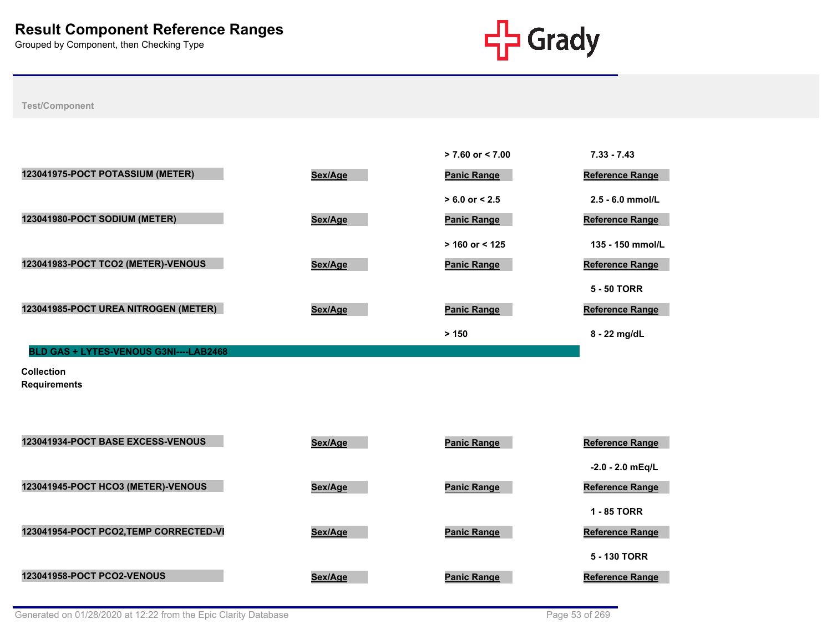

**Test/Component**

|                                               |         | $> 7.60$ or $< 7.00$ | $7.33 - 7.43$          |
|-----------------------------------------------|---------|----------------------|------------------------|
| 123041975-POCT POTASSIUM (METER)              | Sex/Age | <b>Panic Range</b>   | <b>Reference Range</b> |
|                                               |         | $> 6.0$ or $< 2.5$   | $2.5 - 6.0$ mmol/L     |
| 123041980-POCT SODIUM (METER)                 | Sex/Age | <b>Panic Range</b>   | <b>Reference Range</b> |
|                                               |         | $> 160$ or < 125     | 135 - 150 mmol/L       |
| 123041983-POCT TCO2 (METER)-VENOUS            | Sex/Age | <b>Panic Range</b>   | <b>Reference Range</b> |
|                                               |         |                      | <b>5 - 50 TORR</b>     |
| 123041985-POCT UREA NITROGEN (METER)          | Sex/Age | <b>Panic Range</b>   | <b>Reference Range</b> |
|                                               |         | > 150                | 8 - 22 mg/dL           |
| <b>BLD GAS + LYTES-VENOUS G3NI----LAB2468</b> |         |                      |                        |

**Collection Requirements**

| <b>123041934-POCT BASE EXCESS-VENOUS</b> | Sex/Age | <b>Panic Range</b> | <b>Reference Range</b> |
|------------------------------------------|---------|--------------------|------------------------|
|                                          |         |                    | $-2.0 - 2.0$ mEg/L     |
| 123041945-POCT HCO3 (METER)-VENOUS       | Sex/Age | <b>Panic Range</b> | <b>Reference Range</b> |
|                                          |         |                    | 1 - 85 TORR            |
| 123041954-POCT PCO2,TEMP CORRECTED-VI    | Sex/Age | <b>Panic Range</b> | <b>Reference Range</b> |
|                                          |         |                    | 5 - 130 TORR           |
| <b>123041958-POCT PCO2-VENOUS</b>        | Sex/Age | <b>Panic Range</b> | <b>Reference Range</b> |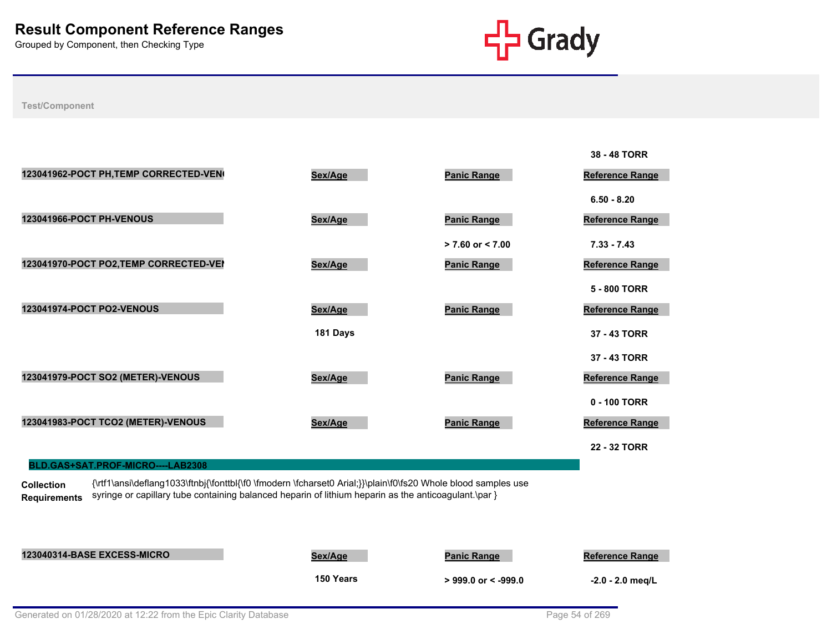

**Test/Component**

|                                        |          |                      | 38 - 48 TORR           |
|----------------------------------------|----------|----------------------|------------------------|
| 123041962-POCT PH, TEMP CORRECTED-VEN  | Sex/Age  | <b>Panic Range</b>   | Reference Range        |
|                                        |          |                      | $6.50 - 8.20$          |
| <b>123041966-POCT PH-VENOUS</b>        | Sex/Age  | <b>Panic Range</b>   | Reference Range        |
|                                        |          | $> 7.60$ or $< 7.00$ | $7.33 - 7.43$          |
| 123041970-POCT PO2, TEMP CORRECTED-VEI | Sex/Age  | <b>Panic Range</b>   | Reference Range        |
|                                        |          |                      | 5 - 800 TORR           |
| <b>123041974-POCT PO2-VENOUS</b>       | Sex/Age  | <b>Panic Range</b>   | <b>Reference Range</b> |
|                                        | 181 Days |                      | 37 - 43 TORR           |
|                                        |          |                      | 37 - 43 TORR           |
| 123041979-POCT SO2 (METER)-VENOUS      | Sex/Age  | <b>Panic Range</b>   | Reference Range        |
|                                        |          |                      | 0 - 100 TORR           |
| 123041983-POCT TCO2 (METER)-VENOUS     | Sex/Age  | <b>Panic Range</b>   | Reference Range        |
|                                        |          |                      | 22 - 32 TORR           |
| BLD.GAS+SAT.PROF-MICRO----LAB2308      |          |                      |                        |

**Collection Requirements** {\rtf1\ansi\deflang1033\ftnbj{\fonttbl{\f0 \fmodern \fcharset0 Arial;}}\plain\f0\fs20 Whole blood samples use syringe or capillary tube containing balanced heparin of lithium heparin as the anticoagulant.\par }

**123040314-BASE EXCESS-MICRO Sex/Age Panic Range Reference Range 150 Years > 999.0 or < -999.0 -2.0 - 2.0 meq/L**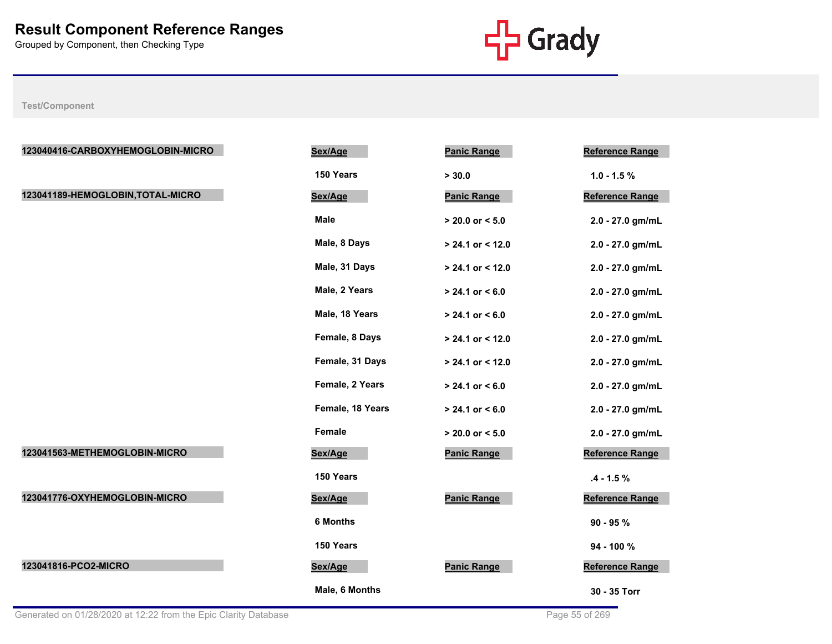

| 123040416-CARBOXYHEMOGLOBIN-MICRO | Sex/Age          | <b>Panic Range</b>  | <b>Reference Range</b> |
|-----------------------------------|------------------|---------------------|------------------------|
|                                   | 150 Years        | > 30.0              | $1.0 - 1.5 %$          |
| 123041189-HEMOGLOBIN, TOTAL-MICRO | Sex/Age          | <b>Panic Range</b>  | Reference Range        |
|                                   | <b>Male</b>      | $> 20.0$ or $< 5.0$ | 2.0 - 27.0 gm/mL       |
|                                   | Male, 8 Days     | $> 24.1$ or < 12.0  | 2.0 - 27.0 gm/mL       |
|                                   | Male, 31 Days    | > 24.1 or < 12.0    | 2.0 - 27.0 gm/mL       |
|                                   | Male, 2 Years    | $> 24.1$ or $< 6.0$ | 2.0 - 27.0 gm/mL       |
|                                   | Male, 18 Years   | $> 24.1$ or $< 6.0$ | 2.0 - 27.0 gm/mL       |
|                                   | Female, 8 Days   | > 24.1 or < 12.0    | 2.0 - 27.0 gm/mL       |
|                                   | Female, 31 Days  | > 24.1 or < 12.0    | 2.0 - 27.0 gm/mL       |
|                                   | Female, 2 Years  | $> 24.1$ or $< 6.0$ | 2.0 - 27.0 gm/mL       |
|                                   | Female, 18 Years | $> 24.1$ or $< 6.0$ | 2.0 - 27.0 gm/mL       |
|                                   | Female           | $> 20.0$ or $< 5.0$ | 2.0 - 27.0 gm/mL       |
| 123041563-METHEMOGLOBIN-MICRO     | Sex/Age          | <b>Panic Range</b>  | Reference Range        |
|                                   | 150 Years        |                     | $.4 - 1.5%$            |
| 123041776-OXYHEMOGLOBIN-MICRO     | Sex/Age          | <b>Panic Range</b>  | <b>Reference Range</b> |
|                                   | <b>6 Months</b>  |                     | $90 - 95 %$            |
|                                   | 150 Years        |                     | 94 - 100 %             |
| 123041816-PCO2-MICRO              | Sex/Age          | <b>Panic Range</b>  | Reference Range        |
|                                   | Male, 6 Months   |                     | 30 - 35 Torr           |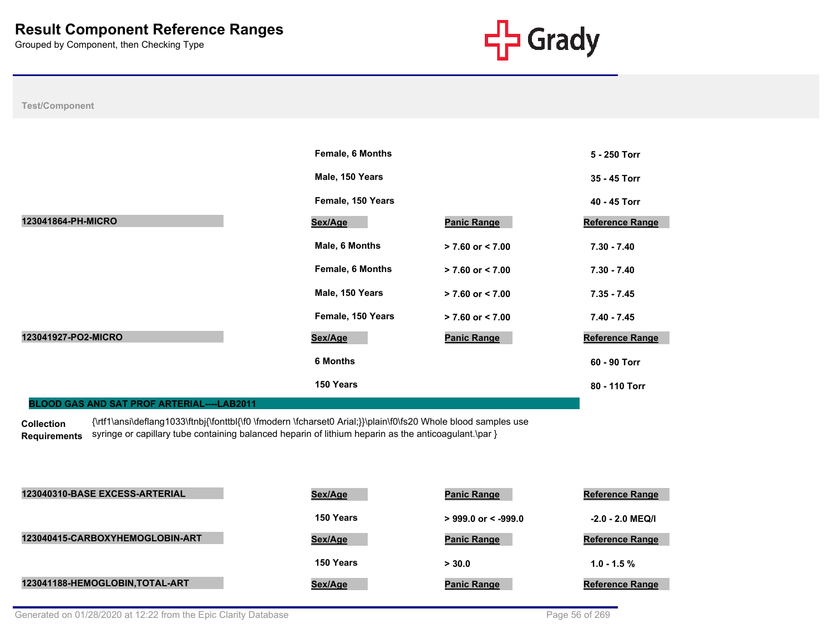

**Test/Component**

|                                                   | <b>Female, 6 Months</b> |                      | 5 - 250 Torr           |
|---------------------------------------------------|-------------------------|----------------------|------------------------|
|                                                   | Male, 150 Years         |                      | 35 - 45 Torr           |
|                                                   | Female, 150 Years       |                      | 40 - 45 Torr           |
| 123041864-PH-MICRO                                | Sex/Age                 | <b>Panic Range</b>   | <b>Reference Range</b> |
|                                                   | Male, 6 Months          | $> 7.60$ or $< 7.00$ | $7.30 - 7.40$          |
|                                                   | <b>Female, 6 Months</b> | $> 7.60$ or $< 7.00$ | $7.30 - 7.40$          |
|                                                   | Male, 150 Years         | $> 7.60$ or $< 7.00$ | $7.35 - 7.45$          |
|                                                   | Female, 150 Years       | $> 7.60$ or $< 7.00$ | $7.40 - 7.45$          |
| 123041927-PO2-MICRO                               | Sex/Age                 | <b>Panic Range</b>   | <b>Reference Range</b> |
|                                                   | <b>6 Months</b>         |                      | 60 - 90 Torr           |
|                                                   | 150 Years               |                      | 80 - 110 Torr          |
| <b>BLOOD GAS AND SAT PROF ARTERIAL----LAB2011</b> |                         |                      |                        |

**Collection Requirements** {\rtf1\ansi\deflang1033\ftnbj{\fonttbl{\f0 \fmodern \fcharset0 Arial;}}\plain\f0\fs20 Whole blood samples use syringe or capillary tube containing balanced heparin of lithium heparin as the anticoagulant.\par }

| 123040310-BASE EXCESS-ARTERIAL  | Sex/Age   | <b>Panic Range</b>     | <b>Reference Range</b> |
|---------------------------------|-----------|------------------------|------------------------|
|                                 | 150 Years | $>999.0$ or $< -999.0$ | $-2.0 - 2.0$ MEQ/I     |
| 123040415-CARBOXYHEMOGLOBIN-ART | Sex/Age   | <b>Panic Range</b>     | <b>Reference Range</b> |
|                                 | 150 Years | > 30.0                 | $1.0 - 1.5 \%$         |
| 123041188-HEMOGLOBIN, TOTAL-ART | Sex/Age   | <b>Panic Range</b>     | <b>Reference Range</b> |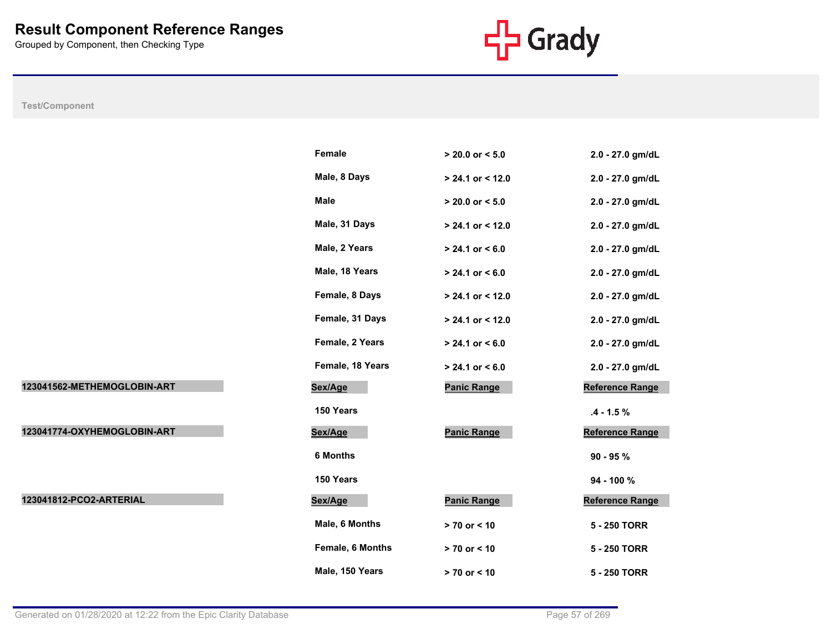

|                             | Female           | $> 20.0$ or $< 5.0$ | 2.0 - 27.0 gm/dL       |
|-----------------------------|------------------|---------------------|------------------------|
|                             | Male, 8 Days     | $> 24.1$ or < 12.0  | 2.0 - 27.0 gm/dL       |
|                             | Male             | $> 20.0$ or $< 5.0$ | 2.0 - 27.0 gm/dL       |
|                             | Male, 31 Days    | $> 24.1$ or < 12.0  | 2.0 - 27.0 gm/dL       |
|                             | Male, 2 Years    | $> 24.1$ or < 6.0   | 2.0 - 27.0 gm/dL       |
|                             | Male, 18 Years   | $> 24.1$ or $< 6.0$ | 2.0 - 27.0 gm/dL       |
|                             | Female, 8 Days   | $> 24.1$ or < 12.0  | 2.0 - 27.0 gm/dL       |
|                             | Female, 31 Days  | $> 24.1$ or < 12.0  | 2.0 - 27.0 gm/dL       |
|                             | Female, 2 Years  | $> 24.1$ or $< 6.0$ | 2.0 - 27.0 gm/dL       |
|                             | Female, 18 Years | $> 24.1$ or $< 6.0$ | 2.0 - 27.0 gm/dL       |
| 123041562-METHEMOGLOBIN-ART | Sex/Age          | <b>Panic Range</b>  | <b>Reference Range</b> |
|                             | 150 Years        |                     | $.4 - 1.5 \%$          |
| 123041774-OXYHEMOGLOBIN-ART | Sex/Age          | <b>Panic Range</b>  | <b>Reference Range</b> |
|                             | 6 Months         |                     | $90 - 95 %$            |
|                             | 150 Years        |                     | 94 - 100 %             |
| 123041812-PCO2-ARTERIAL     | Sex/Age          | <b>Panic Range</b>  | <b>Reference Range</b> |
|                             | Male, 6 Months   | > 70 or < 10        | 5 - 250 TORR           |
|                             | Female, 6 Months | $> 70$ or $< 10$    | 5 - 250 TORR           |
|                             | Male, 150 Years  | > 70 or < 10        | 5 - 250 TORR           |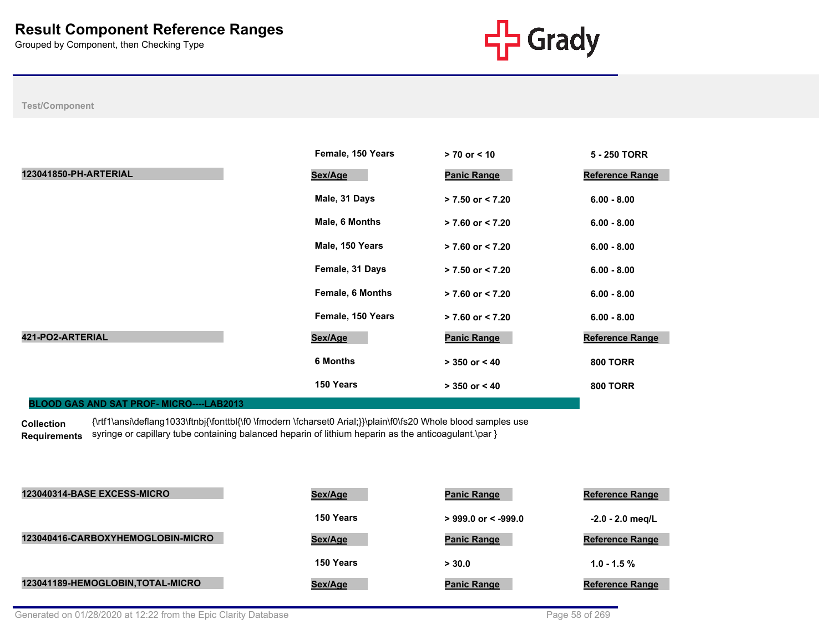

## **Test/Component**

|                                                | Female, 150 Years       | $> 70$ or $< 10$     | 5 - 250 TORR           |
|------------------------------------------------|-------------------------|----------------------|------------------------|
| 123041850-PH-ARTERIAL                          | Sex/Age                 | <b>Panic Range</b>   | <b>Reference Range</b> |
|                                                | Male, 31 Days           | $> 7.50$ or $< 7.20$ | $6.00 - 8.00$          |
|                                                | Male, 6 Months          | $> 7.60$ or $< 7.20$ | $6.00 - 8.00$          |
|                                                | Male, 150 Years         | $> 7.60$ or $< 7.20$ | $6.00 - 8.00$          |
|                                                | Female, 31 Days         | $> 7.50$ or $< 7.20$ | $6.00 - 8.00$          |
|                                                | <b>Female, 6 Months</b> | $> 7.60$ or $< 7.20$ | $6.00 - 8.00$          |
|                                                | Female, 150 Years       | $> 7.60$ or $< 7.20$ | $6.00 - 8.00$          |
| 421-PO2-ARTERIAL                               | Sex/Age                 | <b>Panic Range</b>   | <b>Reference Range</b> |
|                                                | <b>6 Months</b>         | $> 350$ or $< 40$    | <b>800 TORR</b>        |
|                                                | 150 Years               | $> 350$ or $< 40$    | <b>800 TORR</b>        |
| <b>BLOOD GAS AND SAT PROF-MICRO----LAB2013</b> |                         |                      |                        |

**Collection Requirements** {\rtf1\ansi\deflang1033\ftnbj{\fonttbl{\f0 \fmodern \fcharset0 Arial;}}\plain\f0\fs20 Whole blood samples use syringe or capillary tube containing balanced heparin of lithium heparin as the anticoagulant.\par }

| 123040314-BASE EXCESS-MICRO       | Sex/Age   | <b>Panic Range</b>    | <b>Reference Range</b> |
|-----------------------------------|-----------|-----------------------|------------------------|
|                                   | 150 Years | $>$ 999.0 or < -999.0 | $-2.0 - 2.0$ meg/L     |
| 123040416-CARBOXYHEMOGLOBIN-MICRO | Sex/Age   | <b>Panic Range</b>    | <b>Reference Range</b> |
|                                   | 150 Years | > 30.0                | $1.0 - 1.5 \%$         |
| 123041189-HEMOGLOBIN, TOTAL-MICRO | Sex/Age   | <b>Panic Range</b>    | <b>Reference Range</b> |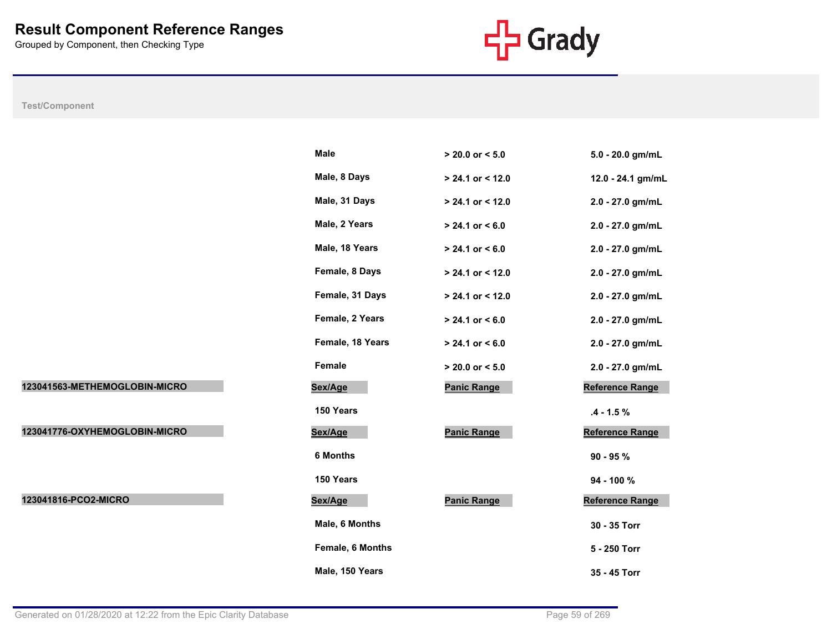

|                               | Male             | $> 20.0$ or $< 5.0$ | 5.0 - 20.0 gm/mL       |
|-------------------------------|------------------|---------------------|------------------------|
|                               | Male, 8 Days     | > 24.1 or < 12.0    | 12.0 - 24.1 gm/mL      |
|                               | Male, 31 Days    | $> 24.1$ or < 12.0  | 2.0 - 27.0 gm/mL       |
|                               | Male, 2 Years    | $> 24.1$ or < 6.0   | 2.0 - 27.0 gm/mL       |
|                               | Male, 18 Years   | $> 24.1$ or $< 6.0$ | 2.0 - 27.0 gm/mL       |
|                               | Female, 8 Days   | > 24.1 or < 12.0    | 2.0 - 27.0 gm/mL       |
|                               | Female, 31 Days  | > 24.1 or < 12.0    | 2.0 - 27.0 gm/mL       |
|                               | Female, 2 Years  | $> 24.1$ or $< 6.0$ | 2.0 - 27.0 gm/mL       |
|                               | Female, 18 Years | $> 24.1$ or $< 6.0$ | 2.0 - 27.0 gm/mL       |
|                               | Female           | $> 20.0$ or $< 5.0$ | 2.0 - 27.0 gm/mL       |
| 123041563-METHEMOGLOBIN-MICRO | Sex/Age          | <b>Panic Range</b>  | Reference Range        |
|                               | 150 Years        |                     | $.4 - 1.5 \%$          |
| 123041776-OXYHEMOGLOBIN-MICRO | Sex/Age          | <b>Panic Range</b>  | Reference Range        |
|                               | <b>6 Months</b>  |                     | $90 - 95 %$            |
|                               | 150 Years        |                     | 94 - 100 %             |
| 123041816-PCO2-MICRO          | Sex/Age          | <b>Panic Range</b>  | <b>Reference Range</b> |
|                               | Male, 6 Months   |                     | 30 - 35 Torr           |
|                               | Female, 6 Months |                     | 5 - 250 Torr           |
|                               | Male, 150 Years  |                     | 35 - 45 Torr           |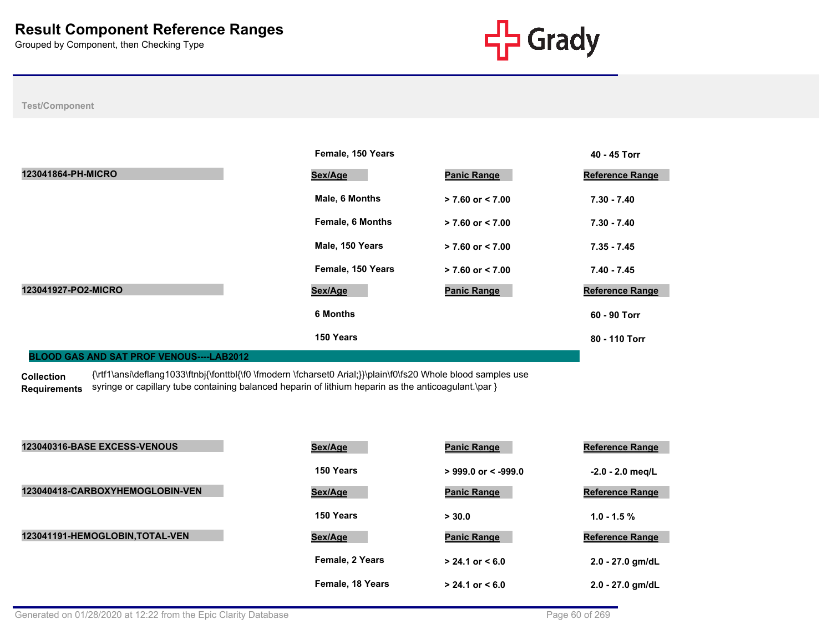

## **Test/Component**

|                     | Female, 150 Years       |                      | 40 - 45 Torr           |
|---------------------|-------------------------|----------------------|------------------------|
| 123041864-PH-MICRO  | Sex/Age                 | <b>Panic Range</b>   | <b>Reference Range</b> |
|                     | Male, 6 Months          | $> 7.60$ or $< 7.00$ | $7.30 - 7.40$          |
|                     | <b>Female, 6 Months</b> | $> 7.60$ or $< 7.00$ | $7.30 - 7.40$          |
|                     | Male, 150 Years         | $> 7.60$ or $< 7.00$ | $7.35 - 7.45$          |
|                     | Female, 150 Years       | $> 7.60$ or $< 7.00$ | $7.40 - 7.45$          |
| 123041927-PO2-MICRO | Sex/Age                 | <b>Panic Range</b>   | <b>Reference Range</b> |
|                     | <b>6 Months</b>         |                      | 60 - 90 Torr           |
|                     | 150 Years               |                      | 80 - 110 Torr          |

## **BLOOD GAS AND SAT PROF VENOUS----LAB2012**

**Collection Requirements** {\rtf1\ansi\deflang1033\ftnbj{\fonttbl{\f0 \fmodern \fcharset0 Arial;}}\plain\f0\fs20 Whole blood samples use syringe or capillary tube containing balanced heparin of lithium heparin as the anticoagulant.\par }

| 123040316-BASE EXCESS-VENOUS    | Sex/Age          | <b>Panic Range</b>    | <b>Reference Range</b> |
|---------------------------------|------------------|-----------------------|------------------------|
|                                 | 150 Years        | $>$ 999.0 or < -999.0 | $-2.0 - 2.0$ meg/L     |
| 123040418-CARBOXYHEMOGLOBIN-VEN | Sex/Age          | <b>Panic Range</b>    | <b>Reference Range</b> |
|                                 | 150 Years        | > 30.0                | $1.0 - 1.5 \%$         |
| 123041191-HEMOGLOBIN, TOTAL-VEN | Sex/Age          | <b>Panic Range</b>    | <b>Reference Range</b> |
|                                 | Female, 2 Years  | $> 24.1$ or $< 6.0$   | 2.0 - 27.0 gm/dL       |
|                                 | Female, 18 Years | $> 24.1$ or $< 6.0$   | 2.0 - 27.0 gm/dL       |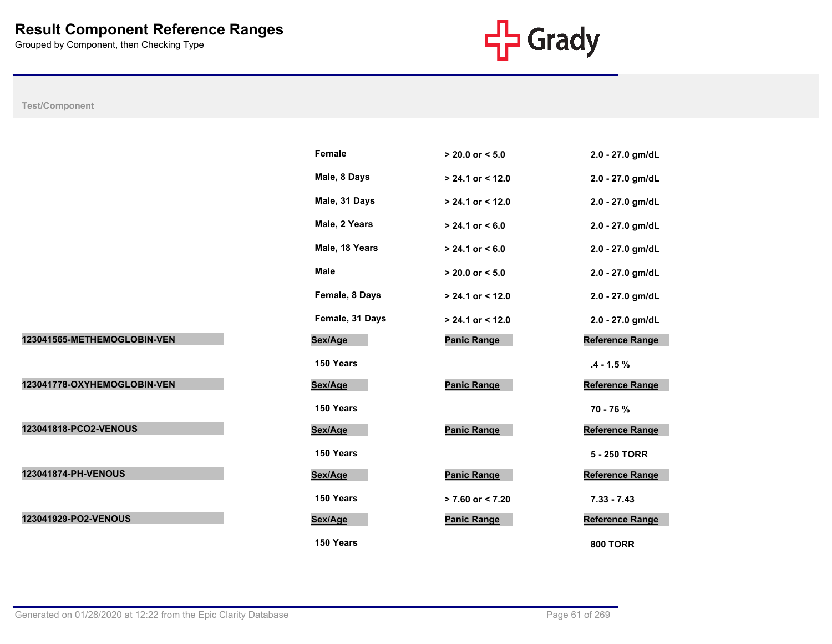

|                             | <b>Female</b>   | $> 20.0$ or $< 5.0$ | 2.0 - 27.0 gm/dL       |
|-----------------------------|-----------------|---------------------|------------------------|
|                             | Male, 8 Days    | $> 24.1$ or < 12.0  | 2.0 - 27.0 gm/dL       |
|                             | Male, 31 Days   | $> 24.1$ or < 12.0  | 2.0 - 27.0 gm/dL       |
|                             | Male, 2 Years   | $> 24.1$ or < 6.0   | 2.0 - 27.0 gm/dL       |
|                             | Male, 18 Years  | $> 24.1$ or $< 6.0$ | 2.0 - 27.0 gm/dL       |
|                             | <b>Male</b>     | $> 20.0$ or $< 5.0$ | 2.0 - 27.0 gm/dL       |
|                             | Female, 8 Days  | $> 24.1$ or < 12.0  | 2.0 - 27.0 gm/dL       |
|                             | Female, 31 Days | $> 24.1$ or < 12.0  | 2.0 - 27.0 gm/dL       |
| 123041565-METHEMOGLOBIN-VEN | Sex/Age         | <b>Panic Range</b>  | Reference Range        |
|                             | 150 Years       |                     | $.4 - 1.5%$            |
| 123041778-OXYHEMOGLOBIN-VEN | Sex/Age         | <b>Panic Range</b>  | Reference Range        |
|                             | 150 Years       |                     | 70 - 76 %              |
| 123041818-PCO2-VENOUS       | Sex/Age         | <b>Panic Range</b>  | <b>Reference Range</b> |
|                             | 150 Years       |                     | 5 - 250 TORR           |
| 123041874-PH-VENOUS         | Sex/Age         | <b>Panic Range</b>  | Reference Range        |
|                             | 150 Years       | $> 7.60$ or < 7.20  | $7.33 - 7.43$          |
| 123041929-PO2-VENOUS        | Sex/Age         | <b>Panic Range</b>  | Reference Range        |
|                             | 150 Years       |                     | <b>800 TORR</b>        |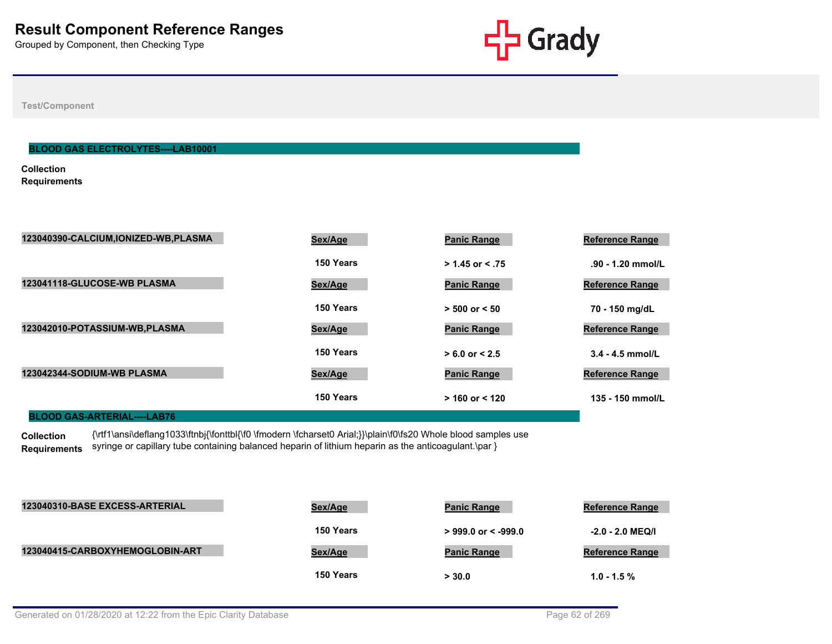

**Test/Component**

#### **BLOOD GAS ELECTROLYTES----LAB10001**

**Collection Requirements**

| 123040390-CALCIUM, IONIZED-WB, PLASMA | Sex/Age   | <b>Panic Range</b> | <b>Reference Range</b> |
|---------------------------------------|-----------|--------------------|------------------------|
|                                       | 150 Years | $> 1.45$ or < .75  | .90 - 1.20 mmol/L      |
| 123041118-GLUCOSE-WB PLASMA           | Sex/Age   | <b>Panic Range</b> | <b>Reference Range</b> |
|                                       | 150 Years | $> 500$ or $< 50$  | 70 - 150 mg/dL         |
| 123042010-POTASSIUM-WB, PLASMA        | Sex/Age   | <b>Panic Range</b> | <b>Reference Range</b> |
|                                       | 150 Years | $> 6.0$ or $< 2.5$ | $3.4 - 4.5$ mmol/L     |
| 123042344-SODIUM-WB PLASMA            | Sex/Age   | <b>Panic Range</b> | <b>Reference Range</b> |
|                                       | 150 Years | $>$ 160 or < 120   | 135 - 150 mmol/L       |

**BLOOD GAS-ARTERIAL----LAB76**

**Collection Requirements** {\rtf1\ansi\deflang1033\ftnbj{\fonttbl{\f0 \fmodern \fcharset0 Arial;}}\plain\f0\fs20 Whole blood samples use syringe or capillary tube containing balanced heparin of lithium heparin as the anticoagulant.\par }

| 123040310-BASE EXCESS-ARTERIAL  | <u>Sex/Age</u> | <b>Panic Range</b>     | <b>Reference Range</b> |
|---------------------------------|----------------|------------------------|------------------------|
|                                 | 150 Years      | $>999.0$ or $< -999.0$ | $-2.0 - 2.0$ MEQ/I     |
| 123040415-CARBOXYHEMOGLOBIN-ART | Sex/Age        | <b>Panic Range</b>     | <b>Reference Range</b> |
|                                 | 150 Years      | > 30.0                 | $1.0 - 1.5 \%$         |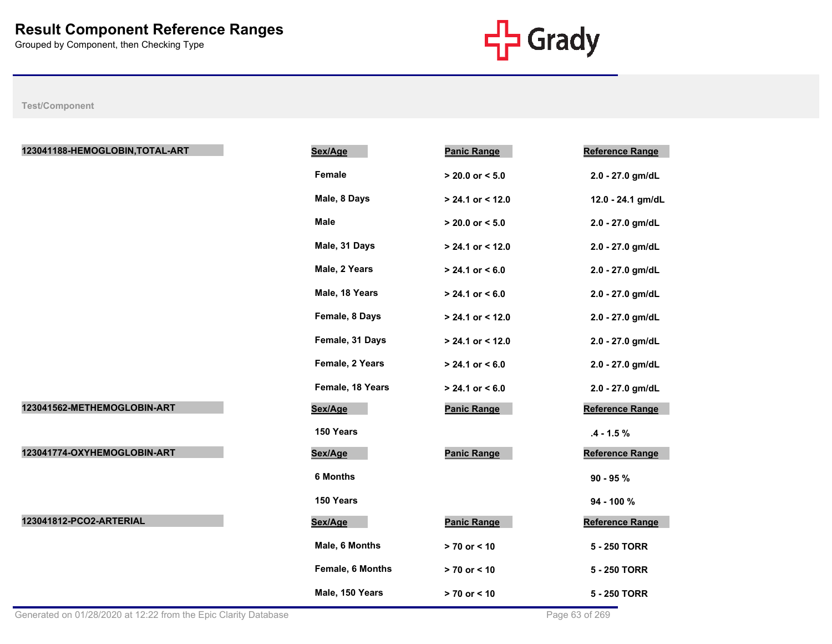

| 123041188-HEMOGLOBIN, TOTAL-ART | Sex/Age          | <b>Panic Range</b>  | Reference Range        |
|---------------------------------|------------------|---------------------|------------------------|
|                                 | Female           | $> 20.0$ or $< 5.0$ | 2.0 - 27.0 gm/dL       |
|                                 | Male, 8 Days     | $> 24.1$ or < 12.0  | 12.0 - 24.1 gm/dL      |
|                                 | <b>Male</b>      | $> 20.0$ or $< 5.0$ | 2.0 - 27.0 gm/dL       |
|                                 | Male, 31 Days    | $> 24.1$ or < 12.0  | 2.0 - 27.0 gm/dL       |
|                                 | Male, 2 Years    | $> 24.1$ or $< 6.0$ | 2.0 - 27.0 gm/dL       |
|                                 | Male, 18 Years   | $> 24.1$ or < 6.0   | 2.0 - 27.0 gm/dL       |
|                                 | Female, 8 Days   | $> 24.1$ or < 12.0  | 2.0 - 27.0 gm/dL       |
|                                 | Female, 31 Days  | $> 24.1$ or < 12.0  | 2.0 - 27.0 gm/dL       |
|                                 | Female, 2 Years  | $> 24.1$ or $< 6.0$ | 2.0 - 27.0 gm/dL       |
|                                 | Female, 18 Years | $> 24.1$ or $< 6.0$ | 2.0 - 27.0 gm/dL       |
| 123041562-METHEMOGLOBIN-ART     | Sex/Age          | <b>Panic Range</b>  | Reference Range        |
|                                 | 150 Years        |                     | $.4 - 1.5 \%$          |
| 123041774-OXYHEMOGLOBIN-ART     | Sex/Age          | <b>Panic Range</b>  | <b>Reference Range</b> |
|                                 | <b>6 Months</b>  |                     | $90 - 95 %$            |
|                                 | 150 Years        |                     | 94 - 100 %             |
| 123041812-PCO2-ARTERIAL         | Sex/Age          | <b>Panic Range</b>  | <b>Reference Range</b> |
|                                 | Male, 6 Months   | $> 70$ or $< 10$    | 5 - 250 TORR           |
|                                 | Female, 6 Months | $> 70$ or $< 10$    | 5 - 250 TORR           |
|                                 | Male, 150 Years  | $> 70$ or $< 10$    | 5 - 250 TORR           |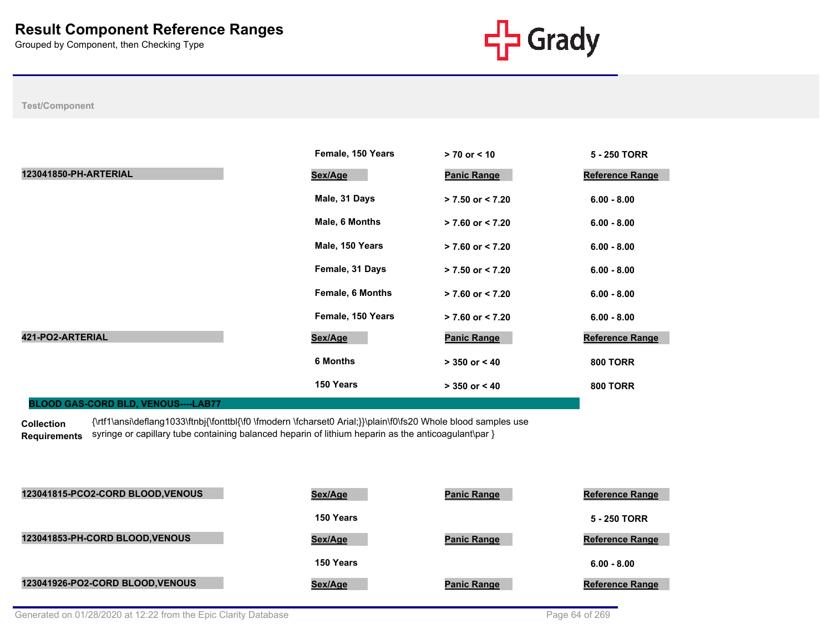

## **Test/Component**

|                                            | Female, 150 Years       | $> 70$ or $< 10$     | 5 - 250 TORR           |
|--------------------------------------------|-------------------------|----------------------|------------------------|
| 123041850-PH-ARTERIAL                      | Sex/Age                 | <b>Panic Range</b>   | <b>Reference Range</b> |
|                                            | Male, 31 Days           | $> 7.50$ or $< 7.20$ | $6.00 - 8.00$          |
|                                            | Male, 6 Months          | $> 7.60$ or $< 7.20$ | $6.00 - 8.00$          |
|                                            | Male, 150 Years         | $> 7.60$ or $< 7.20$ | $6.00 - 8.00$          |
|                                            | Female, 31 Days         | $> 7.50$ or $< 7.20$ | $6.00 - 8.00$          |
|                                            | <b>Female, 6 Months</b> | $> 7.60$ or $< 7.20$ | $6.00 - 8.00$          |
|                                            | Female, 150 Years       | $> 7.60$ or $< 7.20$ | $6.00 - 8.00$          |
| 421-PO2-ARTERIAL                           | Sex/Age                 | <b>Panic Range</b>   | <b>Reference Range</b> |
|                                            | <b>6 Months</b>         | $> 350$ or $< 40$    | <b>800 TORR</b>        |
|                                            | 150 Years               | $> 350$ or $< 40$    | <b>800 TORR</b>        |
| <b>BLOOD GAS-CORD BLD, VENOUS----LAB77</b> |                         |                      |                        |

**Collection Requirements** {\rtf1\ansi\deflang1033\ftnbj{\fonttbl{\f0 \fmodern \fcharset0 Arial;}}\plain\f0\fs20 Whole blood samples use syringe or capillary tube containing balanced heparin of lithium heparin as the anticoagulant\par }

| 123041815-PCO2-CORD BLOOD, VENOUS | Sex/Age   | <b>Panic Range</b> | <b>Reference Range</b> |
|-----------------------------------|-----------|--------------------|------------------------|
|                                   | 150 Years |                    | 5 - 250 TORR           |
| 123041853-PH-CORD BLOOD, VENOUS   | Sex/Age   | <b>Panic Range</b> | <b>Reference Range</b> |
|                                   | 150 Years |                    | $6.00 - 8.00$          |
| 123041926-PO2-CORD BLOOD, VENOUS  | Sex/Age   | <b>Panic Range</b> | <b>Reference Range</b> |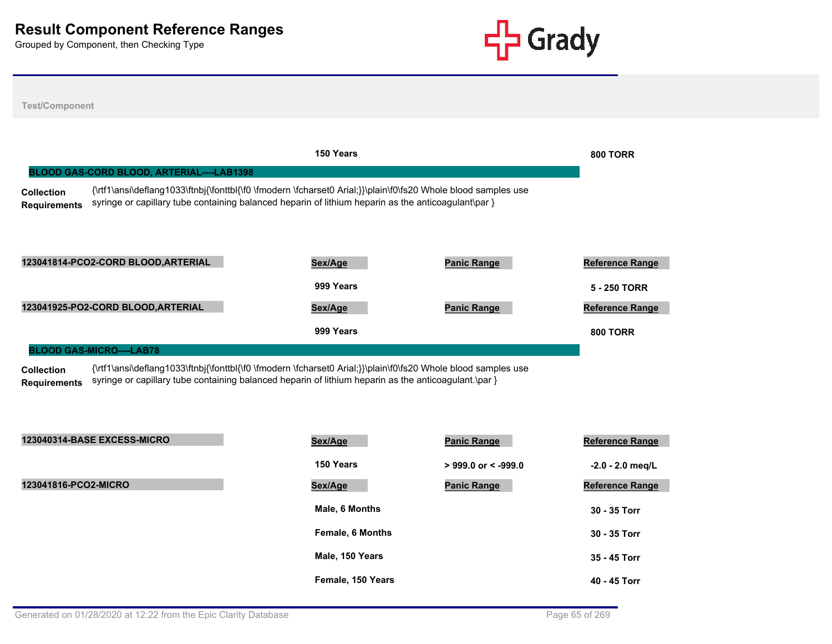

**Test/Component 150 Years 800 TORR Collection Requirements** {\rtf1\ansi\deflang1033\ftnbj{\fonttbl{\f0 \fmodern \fcharset0 Arial;}}\plain\f0\fs20 Whole blood samples use syringe or capillary tube containing balanced heparin of lithium heparin as the anticoagulant\par } **BLOOD GAS-CORD BLOOD, ARTERIAL----LAB1398 123041814-PCO2-CORD BLOOD,ARTERIAL Sex/Age Panic Range Reference Range 999 Years 5 - 250 TORR 123041925-PO2-CORD BLOOD,ARTERIAL Sex/Age Panic Range Reference Range 999 Years 800 TORR Collection Requirements** {\rtf1\ansi\deflang1033\ftnbj{\fonttbl{\f0 \fmodern \fcharset0 Arial;}}\plain\f0\fs20 Whole blood samples use syringe or capillary tube containing balanced heparin of lithium heparin as the anticoagulant.\par } **BLOOD GAS-MICRO----LAB78 123040314-BASE EXCESS-MICRO Sex/Age Panic Range Reference Range 150 Years > 999.0 or < -999.0 -2.0 - 2.0 meq/L 123041816-PCO2-MICRO Sex/Age Panic Range Reference Range Male, 6 Months 30 - 35 Torr Female, 6 Months 30 - 35 Torr Male, 150 Years 35 - 45 Torr**

Generated on 01/28/2020 at 12:22 from the Epic Clarity Database **Page 65 of 269** Page 65 of 269

**Female, 150 Years 40 - 45 Torr**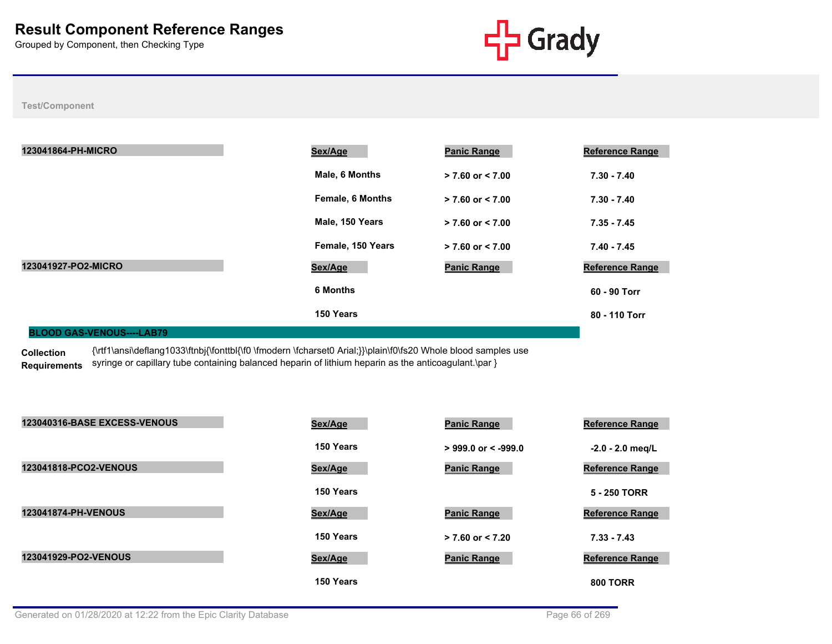

**Test/Component**

| 123041864-PH-MICRO     | Sex/Age                 | <b>Panic Range</b>   | <b>Reference Range</b> |
|------------------------|-------------------------|----------------------|------------------------|
|                        | Male, 6 Months          | $> 7.60$ or $< 7.00$ | $7.30 - 7.40$          |
|                        | <b>Female, 6 Months</b> | $> 7.60$ or $< 7.00$ | $7.30 - 7.40$          |
|                        | Male, 150 Years         | $> 7.60$ or $< 7.00$ | $7.35 - 7.45$          |
|                        | Female, 150 Years       | $> 7.60$ or $< 7.00$ | $7.40 - 7.45$          |
| 123041927-PO2-MICRO    | Sex/Age                 | <b>Panic Range</b>   | <b>Reference Range</b> |
|                        | <b>6 Months</b>         |                      | 60 - 90 Torr           |
|                        | 150 Years               |                      | 80 - 110 Torr          |
| BLOOD OLO VENOUS LABES |                         |                      |                        |

#### **BLOOD GAS-VENOUS----LAB79**

**Collection Requirements** {\rtf1\ansi\deflang1033\ftnbj{\fonttbl{\f0 \fmodern \fcharset0 Arial;}}\plain\f0\fs20 Whole blood samples use syringe or capillary tube containing balanced heparin of lithium heparin as the anticoagulant.\par }

| 123040316-BASE EXCESS-VENOUS | Sex/Age   | <b>Panic Range</b>    | <b>Reference Range</b> |
|------------------------------|-----------|-----------------------|------------------------|
|                              | 150 Years | $>$ 999.0 or < -999.0 | $-2.0 - 2.0$ meg/L     |
| 123041818-PCO2-VENOUS        | Sex/Age   | <b>Panic Range</b>    | <b>Reference Range</b> |
|                              | 150 Years |                       | 5 - 250 TORR           |
| 123041874-PH-VENOUS          | Sex/Age   | <b>Panic Range</b>    | <b>Reference Range</b> |
|                              | 150 Years | $> 7.60$ or $< 7.20$  | $7.33 - 7.43$          |
| 123041929-PO2-VENOUS         | Sex/Age   | <b>Panic Range</b>    | <b>Reference Range</b> |
|                              | 150 Years |                       | <b>800 TORR</b>        |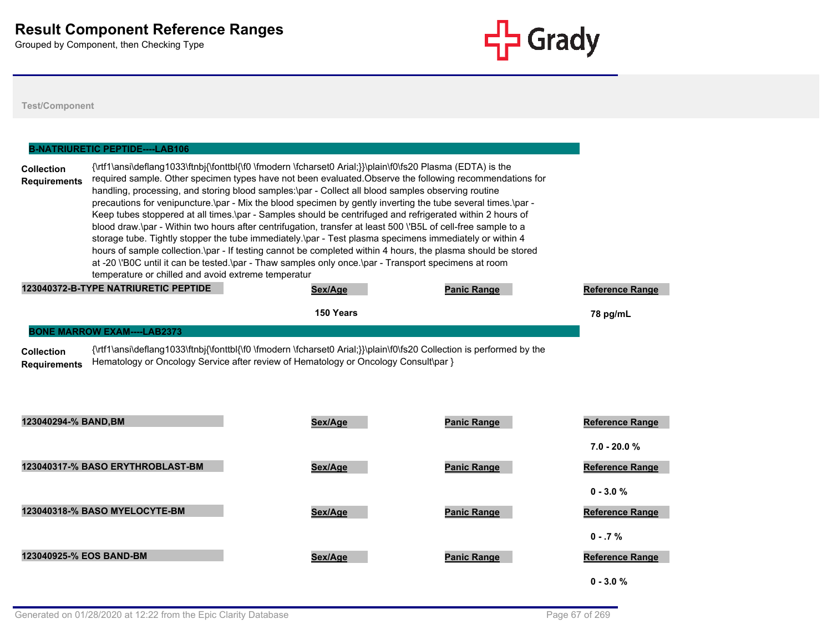

|                                          | <b>B-NATRIURETIC PEPTIDE----LAB106</b>                                                                                                                                                                                                                                                                                                                                                                                                                                                                                                                                                                                                                                                                                                                                                                                                                                                                                                                                                                                                                                |           |                    |                                       |
|------------------------------------------|-----------------------------------------------------------------------------------------------------------------------------------------------------------------------------------------------------------------------------------------------------------------------------------------------------------------------------------------------------------------------------------------------------------------------------------------------------------------------------------------------------------------------------------------------------------------------------------------------------------------------------------------------------------------------------------------------------------------------------------------------------------------------------------------------------------------------------------------------------------------------------------------------------------------------------------------------------------------------------------------------------------------------------------------------------------------------|-----------|--------------------|---------------------------------------|
| <b>Collection</b><br><b>Requirements</b> | {\rtf1\ansi\deflang1033\ftnbj{\fonttbl{\f0 \fmodern \fcharset0 Arial;}}\plain\f0\fs20 Plasma (EDTA) is the<br>required sample. Other specimen types have not been evaluated. Observe the following recommendations for<br>handling, processing, and storing blood samples: \par - Collect all blood samples observing routine<br>precautions for venipuncture.\par - Mix the blood specimen by gently inverting the tube several times.\par -<br>Keep tubes stoppered at all times.\par - Samples should be centrifuged and refrigerated within 2 hours of<br>blood draw.\par - Within two hours after centrifugation, transfer at least 500 \'B5L of cell-free sample to a<br>storage tube. Tightly stopper the tube immediately.\par - Test plasma specimens immediately or within 4<br>hours of sample collection.\par - If testing cannot be completed within 4 hours, the plasma should be stored<br>at -20 \'B0C until it can be tested.\par - Thaw samples only once.\par - Transport specimens at room<br>temperature or chilled and avoid extreme temperatur |           |                    |                                       |
|                                          | 123040372-B-TYPE NATRIURETIC PEPTIDE                                                                                                                                                                                                                                                                                                                                                                                                                                                                                                                                                                                                                                                                                                                                                                                                                                                                                                                                                                                                                                  | Sex/Age   | <b>Panic Range</b> | <b>Reference Range</b>                |
|                                          |                                                                                                                                                                                                                                                                                                                                                                                                                                                                                                                                                                                                                                                                                                                                                                                                                                                                                                                                                                                                                                                                       | 150 Years |                    | 78 pg/mL                              |
| <b>Requirements</b>                      | Hematology or Oncology Service after review of Hematology or Oncology Consult\par }                                                                                                                                                                                                                                                                                                                                                                                                                                                                                                                                                                                                                                                                                                                                                                                                                                                                                                                                                                                   |           |                    |                                       |
| 123040294-% BAND, BM                     |                                                                                                                                                                                                                                                                                                                                                                                                                                                                                                                                                                                                                                                                                                                                                                                                                                                                                                                                                                                                                                                                       | Sex/Age   | <b>Panic Range</b> | Reference Range<br>$7.0 - 20.0 %$     |
|                                          | 123040317-% BASO ERYTHROBLAST-BM                                                                                                                                                                                                                                                                                                                                                                                                                                                                                                                                                                                                                                                                                                                                                                                                                                                                                                                                                                                                                                      | Sex/Age   | <b>Panic Range</b> | <b>Reference Range</b><br>$0 - 3.0 %$ |
|                                          | 123040318-% BASO MYELOCYTE-BM                                                                                                                                                                                                                                                                                                                                                                                                                                                                                                                                                                                                                                                                                                                                                                                                                                                                                                                                                                                                                                         | Sex/Age   | <b>Panic Range</b> | Reference Range<br>$0 - 0.7 \%$       |
| 123040925-% EOS BAND-BM                  |                                                                                                                                                                                                                                                                                                                                                                                                                                                                                                                                                                                                                                                                                                                                                                                                                                                                                                                                                                                                                                                                       | Sex/Age   | <b>Panic Range</b> | <b>Reference Range</b><br>$0 - 3.0 %$ |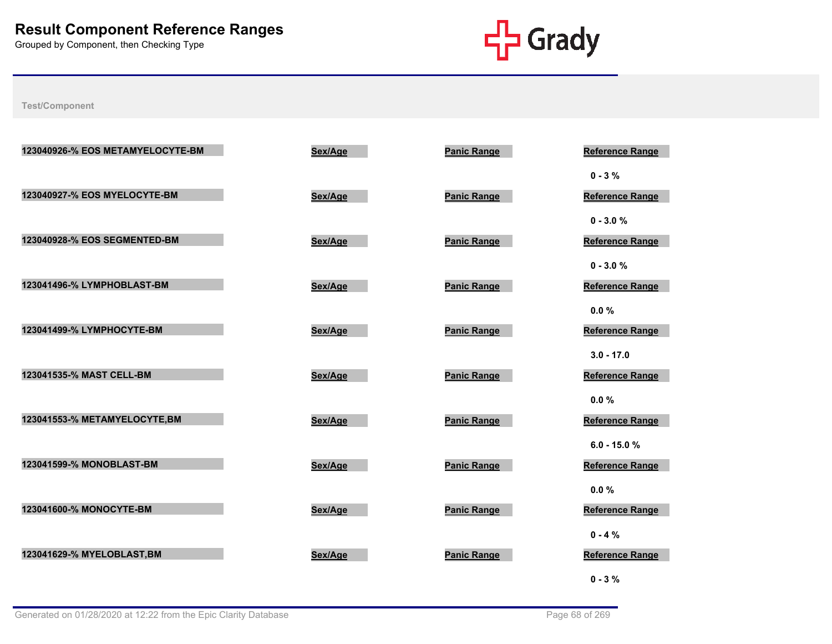

| 123040926-% EOS METAMYELOCYTE-BM | Sex/Age | <b>Panic Range</b> | <b>Reference Range</b>         |
|----------------------------------|---------|--------------------|--------------------------------|
|                                  |         |                    | $0 - 3 \%$                     |
| 123040927-% EOS MYELOCYTE-BM     | Sex/Age | <b>Panic Range</b> | <b>Reference Range</b>         |
|                                  |         |                    | $0 - 3.0 %$                    |
| 123040928-% EOS SEGMENTED-BM     | Sex/Age | <b>Panic Range</b> | Reference Range                |
| 123041496-% LYMPHOBLAST-BM       | Sex/Age | <b>Panic Range</b> | $0 - 3.0 %$<br>Reference Range |
|                                  |         |                    | 0.0%                           |
| 123041499-% LYMPHOCYTE-BM        | Sex/Age | <b>Panic Range</b> | <b>Reference Range</b>         |
|                                  |         |                    | $3.0 - 17.0$                   |
| 123041535-% MAST CELL-BM         | Sex/Age | <b>Panic Range</b> | Reference Range                |
|                                  |         |                    | $0.0 \%$                       |
| 123041553-% METAMYELOCYTE,BM     | Sex/Age | <b>Panic Range</b> | Reference Range                |
|                                  |         |                    | $6.0 - 15.0 %$                 |
| 123041599-% MONOBLAST-BM         | Sex/Age | <b>Panic Range</b> | <b>Reference Range</b>         |
| 123041600-% MONOCYTE-BM          | Sex/Age | <b>Panic Range</b> | 0.0%<br>Reference Range        |
|                                  |         |                    | $0 - 4 %$                      |
| 123041629-% MYELOBLAST, BM       | Sex/Age | <b>Panic Range</b> | Reference Range                |
|                                  |         |                    | $0 - 3 \%$                     |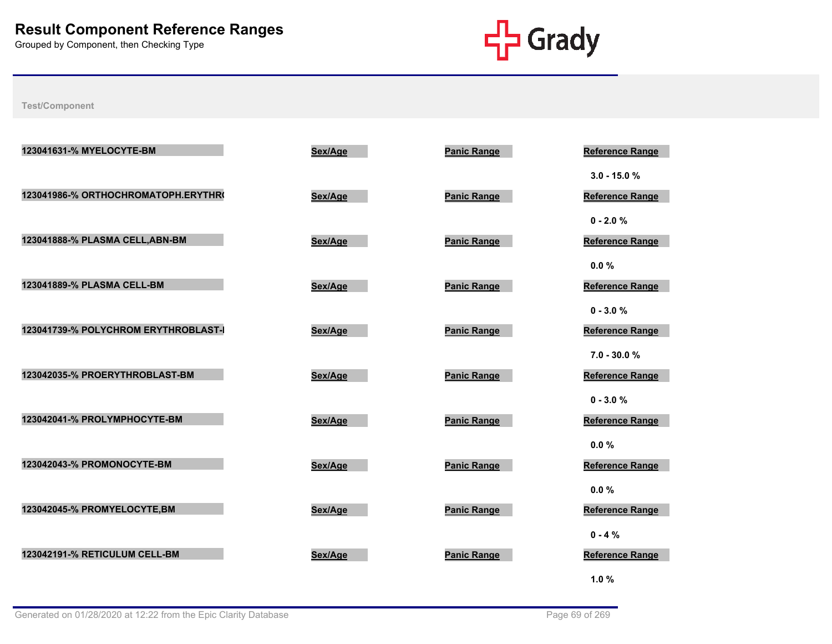

|                                                                                     | <b>Reference Range</b> |
|-------------------------------------------------------------------------------------|------------------------|
|                                                                                     | $3.0 - 15.0 %$         |
| 123041986-% ORTHOCHROMATOPH.ERYTHR<br>Sex/Age<br><b>Panic Range</b>                 | <b>Reference Range</b> |
| $0 - 2.0 %$                                                                         |                        |
| 123041888-% PLASMA CELL, ABN-BM<br>Sex/Age<br><b>Panic Range</b>                    | Reference Range        |
| 0.0%<br>123041889-% PLASMA CELL-BM                                                  |                        |
| <b>Panic Range</b><br>Sex/Age                                                       | Reference Range        |
| $0 - 3.0 %$<br>123041739-% POLYCHROM ERYTHROBLAST-<br>Sex/Age<br><b>Panic Range</b> | Reference Range        |
|                                                                                     | $7.0 - 30.0 %$         |
| 123042035-% PROERYTHROBLAST-BM<br>Sex/Age<br><b>Panic Range</b>                     | <b>Reference Range</b> |
| $0 - 3.0 %$                                                                         |                        |
| 123042041-% PROLYMPHOCYTE-BM<br><b>Panic Range</b><br>Sex/Age                       | <b>Reference Range</b> |
| $0.0 \%$                                                                            |                        |
| 123042043-% PROMONOCYTE-BM<br><b>Panic Range</b><br>Sex/Age                         | <b>Reference Range</b> |
| 0.0%                                                                                |                        |
| 123042045-% PROMYELOCYTE, BM<br><b>Panic Range</b><br>Sex/Age                       | <b>Reference Range</b> |
| $0 - 4%$<br>123042191-% RETICULUM CELL-BM                                           |                        |
| <b>Panic Range</b><br>Sex/Age<br>1.0%                                               | Reference Range        |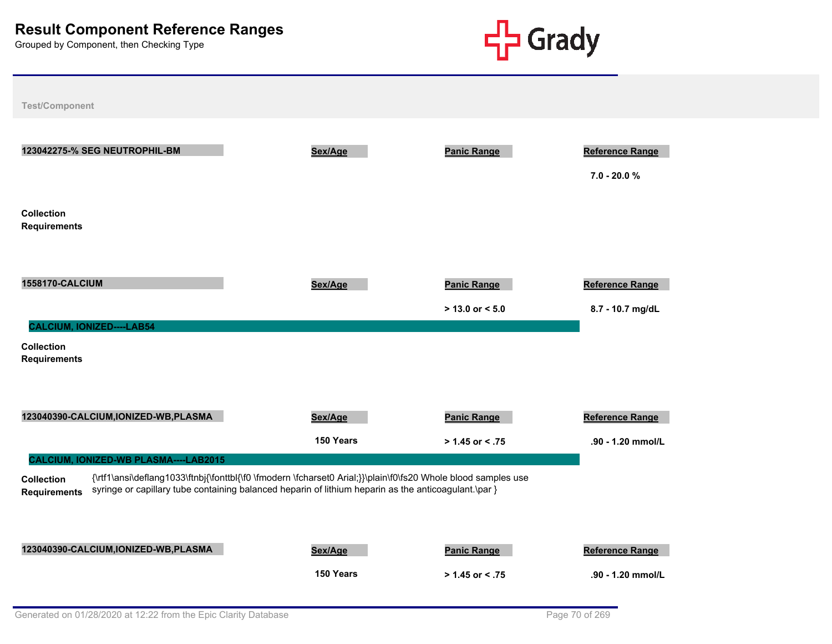

**Test/Component 123042275-% SEG NEUTROPHIL-BM Sex/Age Panic Range Reference Range 7.0 - 20.0 % Collection Requirements 1558170-CALCIUM Sex/Age Panic Range Reference Range > 13.0 or < 5.0 8.7 - 10.7 mg/dL Collection Requirements CALCIUM, IONIZED----LAB54 123040390-CALCIUM,IONIZED-WB,PLASMA Sex/Age Panic Range Reference Range 150 Years > 1.45 or < .75 .90 - 1.20 mmol/L Collection Requirements** {\rtf1\ansi\deflang1033\ftnbj{\fonttbl{\f0 \fmodern \fcharset0 Arial;}}\plain\f0\fs20 Whole blood samples use syringe or capillary tube containing balanced heparin of lithium heparin as the anticoagulant.\par } **CALCIUM, IONIZED-WB PLASMA----LAB2015 123040390-CALCIUM,IONIZED-WB,PLASMA Sex/Age Panic Range Reference Range 150 Years > 1.45 or < .75 .90 - 1.20 mmol/L**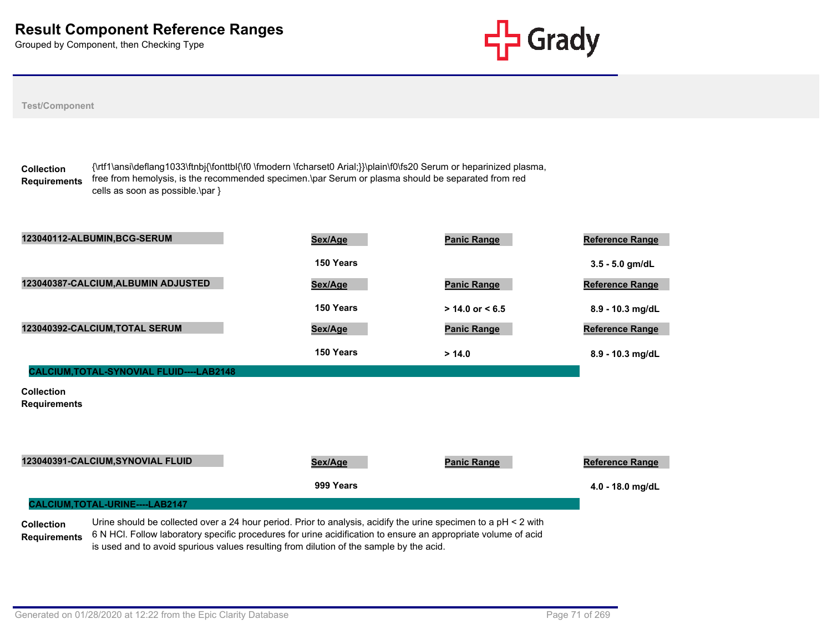

| <b>Test/Component</b>                                                                                                                                                                                                                                                                                                                                                    |           |                     |                        |
|--------------------------------------------------------------------------------------------------------------------------------------------------------------------------------------------------------------------------------------------------------------------------------------------------------------------------------------------------------------------------|-----------|---------------------|------------------------|
| {\rtf1\ansi\deflang1033\ftnbj{\fonttbl{\f0 \fmodern \fcharset0 Arial;}}\plain\f0\fs20 Serum or heparinized plasma,<br><b>Collection</b><br>free from hemolysis, is the recommended specimen.\par Serum or plasma should be separated from red<br><b>Requirements</b><br>cells as soon as possible.\par }                                                                 |           |                     |                        |
| 123040112-ALBUMIN, BCG-SERUM                                                                                                                                                                                                                                                                                                                                             | Sex/Age   | <b>Panic Range</b>  | Reference Range        |
|                                                                                                                                                                                                                                                                                                                                                                          | 150 Years |                     | 3.5 - 5.0 gm/dL        |
| 123040387-CALCIUM, ALBUMIN ADJUSTED                                                                                                                                                                                                                                                                                                                                      | Sex/Age   | <b>Panic Range</b>  | Reference Range        |
|                                                                                                                                                                                                                                                                                                                                                                          | 150 Years | $> 14.0$ or $< 6.5$ | 8.9 - 10.3 mg/dL       |
| 123040392-CALCIUM, TOTAL SERUM                                                                                                                                                                                                                                                                                                                                           | Sex/Age   | <b>Panic Range</b>  | <b>Reference Range</b> |
|                                                                                                                                                                                                                                                                                                                                                                          | 150 Years | > 14.0              | 8.9 - 10.3 mg/dL       |
| CALCIUM, TOTAL-SYNOVIAL FLUID----LAB2148                                                                                                                                                                                                                                                                                                                                 |           |                     |                        |
| <b>Collection</b><br><b>Requirements</b>                                                                                                                                                                                                                                                                                                                                 |           |                     |                        |
| 123040391-CALCIUM, SYNOVIAL FLUID                                                                                                                                                                                                                                                                                                                                        | Sex/Age   | <b>Panic Range</b>  | <b>Reference Range</b> |
|                                                                                                                                                                                                                                                                                                                                                                          | 999 Years |                     | 4.0 - 18.0 mg/dL       |
| CALCIUM, TOTAL-URINE----LAB2147                                                                                                                                                                                                                                                                                                                                          |           |                     |                        |
| Urine should be collected over a 24 hour period. Prior to analysis, acidify the urine specimen to a pH < 2 with<br><b>Collection</b><br>6 N HCl. Follow laboratory specific procedures for urine acidification to ensure an appropriate volume of acid<br><b>Requirements</b><br>is used and to avoid spurious values resulting from dilution of the sample by the acid. |           |                     |                        |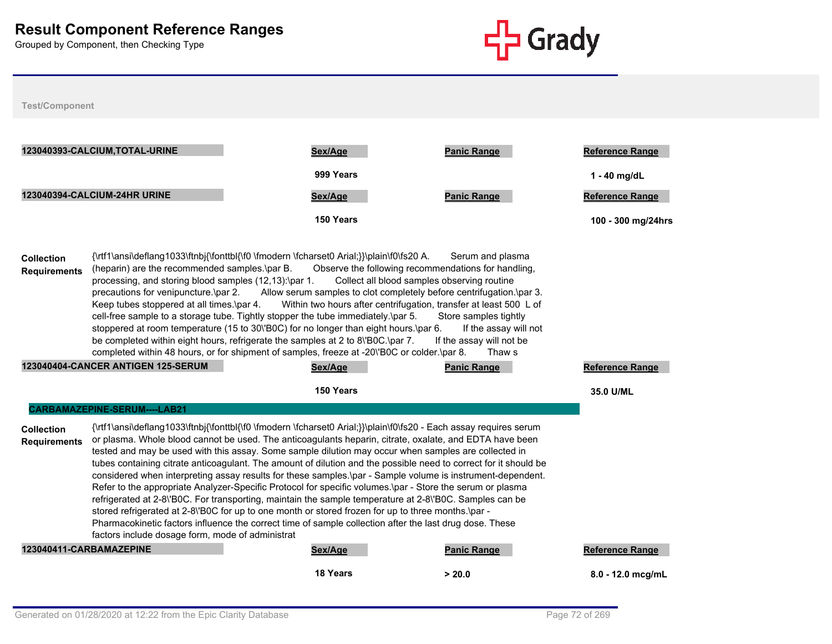

|                                                                                                                                                                                                                                                                                                                                                                                                                                                                                                                                                                                                                                                                                                                                                                                                                                                                                                                                                                                                                                                                                                                                                 | 123040393-CALCIUM, TOTAL-URINE                                                                                                                                                                                                                                                                                                                                                                                                                                                                                                                                                                                                                                                                                                                                                                                                                                                                                                                                                                                                                          | Sex/Age         | <b>Panic Range</b> | <b>Reference Range</b> |
|-------------------------------------------------------------------------------------------------------------------------------------------------------------------------------------------------------------------------------------------------------------------------------------------------------------------------------------------------------------------------------------------------------------------------------------------------------------------------------------------------------------------------------------------------------------------------------------------------------------------------------------------------------------------------------------------------------------------------------------------------------------------------------------------------------------------------------------------------------------------------------------------------------------------------------------------------------------------------------------------------------------------------------------------------------------------------------------------------------------------------------------------------|---------------------------------------------------------------------------------------------------------------------------------------------------------------------------------------------------------------------------------------------------------------------------------------------------------------------------------------------------------------------------------------------------------------------------------------------------------------------------------------------------------------------------------------------------------------------------------------------------------------------------------------------------------------------------------------------------------------------------------------------------------------------------------------------------------------------------------------------------------------------------------------------------------------------------------------------------------------------------------------------------------------------------------------------------------|-----------------|--------------------|------------------------|
|                                                                                                                                                                                                                                                                                                                                                                                                                                                                                                                                                                                                                                                                                                                                                                                                                                                                                                                                                                                                                                                                                                                                                 |                                                                                                                                                                                                                                                                                                                                                                                                                                                                                                                                                                                                                                                                                                                                                                                                                                                                                                                                                                                                                                                         | 999 Years       |                    | 1 - 40 mg/dL           |
|                                                                                                                                                                                                                                                                                                                                                                                                                                                                                                                                                                                                                                                                                                                                                                                                                                                                                                                                                                                                                                                                                                                                                 | 123040394-CALCIUM-24HR URINE                                                                                                                                                                                                                                                                                                                                                                                                                                                                                                                                                                                                                                                                                                                                                                                                                                                                                                                                                                                                                            | Sex/Age         | <b>Panic Range</b> | Reference Range        |
|                                                                                                                                                                                                                                                                                                                                                                                                                                                                                                                                                                                                                                                                                                                                                                                                                                                                                                                                                                                                                                                                                                                                                 |                                                                                                                                                                                                                                                                                                                                                                                                                                                                                                                                                                                                                                                                                                                                                                                                                                                                                                                                                                                                                                                         | 150 Years       |                    | 100 - 300 mg/24hrs     |
| <b>Collection</b><br><b>Requirements</b>                                                                                                                                                                                                                                                                                                                                                                                                                                                                                                                                                                                                                                                                                                                                                                                                                                                                                                                                                                                                                                                                                                        | {\rtf1\ansi\deflang1033\ftnbj{\fonttbl{\f0 \fmodern \fcharset0 Arial;}}\plain\f0\fs20 A.<br>Serum and plasma<br>(heparin) are the recommended samples.\par B.<br>Observe the following recommendations for handling,<br>processing, and storing blood samples (12,13):\par 1.<br>Collect all blood samples observing routine<br>precautions for venipuncture.\par 2. Allow serum samples to clot completely before centrifugation.\par 3.<br>Within two hours after centrifugation, transfer at least 500 L of<br>Keep tubes stoppered at all times.\par 4.<br>cell-free sample to a storage tube. Tightly stopper the tube immediately.\par 5.<br>Store samples tightly<br>stoppered at room temperature (15 to 30\'B0C) for no longer than eight hours.\par 6.<br>If the assay will not<br>be completed within eight hours, refrigerate the samples at 2 to 8\'B0C.\par 7.<br>If the assay will not be<br>completed within 48 hours, or for shipment of samples, freeze at -20\'B0C or colder.\par 8.<br>Thaw s<br>123040404-CANCER ANTIGEN 125-SERUM |                 |                    |                        |
|                                                                                                                                                                                                                                                                                                                                                                                                                                                                                                                                                                                                                                                                                                                                                                                                                                                                                                                                                                                                                                                                                                                                                 |                                                                                                                                                                                                                                                                                                                                                                                                                                                                                                                                                                                                                                                                                                                                                                                                                                                                                                                                                                                                                                                         | Sex/Age         | <b>Panic Range</b> | <b>Reference Range</b> |
|                                                                                                                                                                                                                                                                                                                                                                                                                                                                                                                                                                                                                                                                                                                                                                                                                                                                                                                                                                                                                                                                                                                                                 |                                                                                                                                                                                                                                                                                                                                                                                                                                                                                                                                                                                                                                                                                                                                                                                                                                                                                                                                                                                                                                                         | 150 Years       |                    | 35.0 U/ML              |
| CARBAMAZEPINE-SERUM----LAB21<br>{\rtf1\ansi\deflang1033\ftnbj{\fonttbl{\f0 \fmodern \fcharset0 Arial;}}\plain\f0\fs20 - Each assay requires serum<br><b>Collection</b><br>or plasma. Whole blood cannot be used. The anticoagulants heparin, citrate, oxalate, and EDTA have been<br><b>Requirements</b><br>tested and may be used with this assay. Some sample dilution may occur when samples are collected in<br>tubes containing citrate anticoagulant. The amount of dilution and the possible need to correct for it should be<br>considered when interpreting assay results for these samples.\par - Sample volume is instrument-dependent.<br>Refer to the appropriate Analyzer-Specific Protocol for specific volumes.\par - Store the serum or plasma<br>refrigerated at 2-8\'B0C. For transporting, maintain the sample temperature at 2-8\'B0C. Samples can be<br>stored refrigerated at 2-8\'BOC for up to one month or stored frozen for up to three months.\par -<br>Pharmacokinetic factors influence the correct time of sample collection after the last drug dose. These<br>factors include dosage form, mode of administrat |                                                                                                                                                                                                                                                                                                                                                                                                                                                                                                                                                                                                                                                                                                                                                                                                                                                                                                                                                                                                                                                         |                 |                    |                        |
| 123040411-CARBAMAZEPINE                                                                                                                                                                                                                                                                                                                                                                                                                                                                                                                                                                                                                                                                                                                                                                                                                                                                                                                                                                                                                                                                                                                         |                                                                                                                                                                                                                                                                                                                                                                                                                                                                                                                                                                                                                                                                                                                                                                                                                                                                                                                                                                                                                                                         | Sex/Age         | <b>Panic Range</b> | Reference Range        |
|                                                                                                                                                                                                                                                                                                                                                                                                                                                                                                                                                                                                                                                                                                                                                                                                                                                                                                                                                                                                                                                                                                                                                 |                                                                                                                                                                                                                                                                                                                                                                                                                                                                                                                                                                                                                                                                                                                                                                                                                                                                                                                                                                                                                                                         | <b>18 Years</b> | > 20.0             | $8.0 - 12.0$ mca/mL    |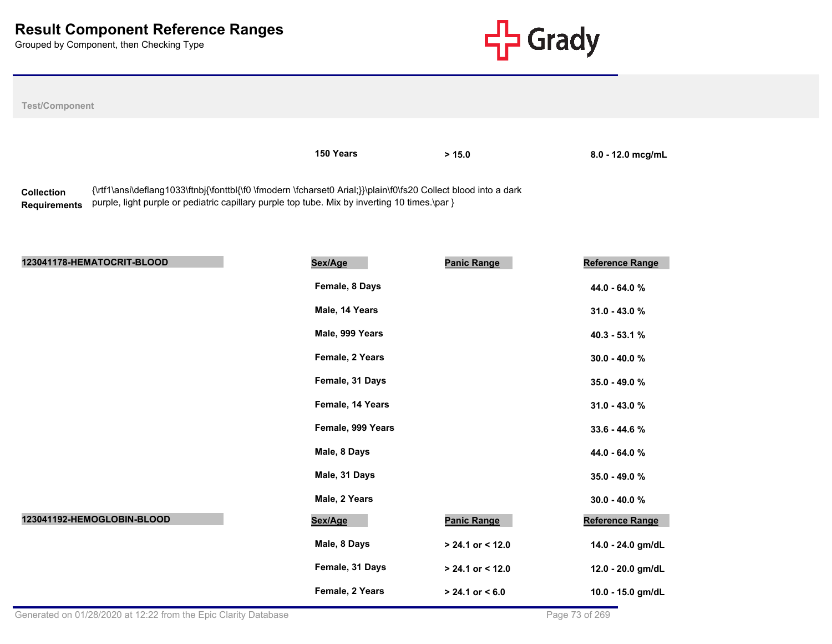

| <b>Test/Component</b>                                                                                                                                                                                                                                        |                                 |                    |                               |  |
|--------------------------------------------------------------------------------------------------------------------------------------------------------------------------------------------------------------------------------------------------------------|---------------------------------|--------------------|-------------------------------|--|
|                                                                                                                                                                                                                                                              | 150 Years                       | > 15.0             | 8.0 - 12.0 mcg/mL             |  |
| {\rtf1\ansi\deflang1033\ftnbj{\fonttbl{\f0 \fmodern \fcharset0 Arial;}}\plain\f0\fs20 Collect blood into a dark<br><b>Collection</b><br>purple, light purple or pediatric capillary purple top tube. Mix by inverting 10 times.\par }<br><b>Requirements</b> |                                 |                    |                               |  |
| 123041178-HEMATOCRIT-BLOOD                                                                                                                                                                                                                                   | Sex/Age                         | <b>Panic Range</b> | Reference Range               |  |
|                                                                                                                                                                                                                                                              | Female, 8 Days<br>Male 14 Years |                    | 44.0 - 64.0 %<br>$240 - 4209$ |  |

|                            | Female, 8 Days    |                     | 44.0 - 64.0 %     |
|----------------------------|-------------------|---------------------|-------------------|
|                            | Male, 14 Years    |                     | $31.0 - 43.0 %$   |
|                            | Male, 999 Years   |                     | 40.3 - 53.1 %     |
|                            | Female, 2 Years   |                     | $30.0 - 40.0 %$   |
|                            | Female, 31 Days   |                     | 35.0 - 49.0 %     |
|                            | Female, 14 Years  |                     | $31.0 - 43.0 %$   |
|                            | Female, 999 Years |                     | 33.6 - 44.6 %     |
|                            | Male, 8 Days      |                     | 44.0 - 64.0 %     |
|                            | Male, 31 Days     |                     | 35.0 - 49.0 %     |
|                            | Male, 2 Years     |                     | $30.0 - 40.0 %$   |
| 123041192-HEMOGLOBIN-BLOOD | Sex/Age           | <b>Panic Range</b>  | Reference Range   |
|                            | Male, 8 Days      | $> 24.1$ or < 12.0  | 14.0 - 24.0 gm/dL |
|                            | Female, 31 Days   | $> 24.1$ or < 12.0  | 12.0 - 20.0 gm/dL |
|                            | Female, 2 Years   | $> 24.1$ or $< 6.0$ | 10.0 - 15.0 gm/dL |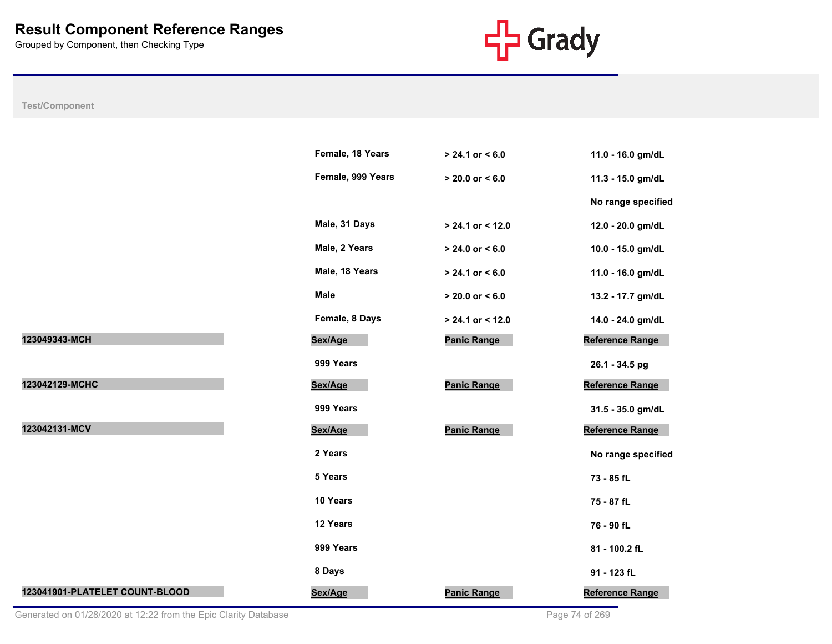

|                                | Female, 18 Years  | $> 24.1$ or < 6.0   | 11.0 - 16.0 gm/dL      |
|--------------------------------|-------------------|---------------------|------------------------|
|                                | Female, 999 Years | $> 20.0$ or $< 6.0$ | 11.3 - 15.0 gm/dL      |
|                                |                   |                     | No range specified     |
|                                | Male, 31 Days     | $> 24.1$ or < 12.0  | 12.0 - 20.0 gm/dL      |
|                                | Male, 2 Years     | $> 24.0$ or $< 6.0$ | 10.0 - 15.0 gm/dL      |
|                                | Male, 18 Years    | $> 24.1$ or $< 6.0$ | 11.0 - 16.0 gm/dL      |
|                                | <b>Male</b>       | $> 20.0$ or $< 6.0$ | 13.2 - 17.7 gm/dL      |
|                                | Female, 8 Days    | > 24.1 or < 12.0    | 14.0 - 24.0 gm/dL      |
| 123049343-MCH                  | Sex/Age           | <b>Panic Range</b>  | <b>Reference Range</b> |
|                                | 999 Years         |                     | 26.1 - 34.5 pg         |
| 123042129-MCHC                 | Sex/Age           | <b>Panic Range</b>  | Reference Range        |
|                                | 999 Years         |                     | 31.5 - 35.0 gm/dL      |
| 123042131-MCV                  | Sex/Age           | <b>Panic Range</b>  | Reference Range        |
|                                | 2 Years           |                     | No range specified     |
|                                | 5 Years           |                     | 73 - 85 fL             |
|                                | 10 Years          |                     | 75 - 87 fL             |
|                                | 12 Years          |                     | 76 - 90 fL             |
|                                | 999 Years         |                     | 81 - 100.2 fL          |
|                                | 8 Days            |                     | 91 - 123 fL            |
| 123041901-PLATELET COUNT-BLOOD | Sex/Age           | <b>Panic Range</b>  | Reference Range        |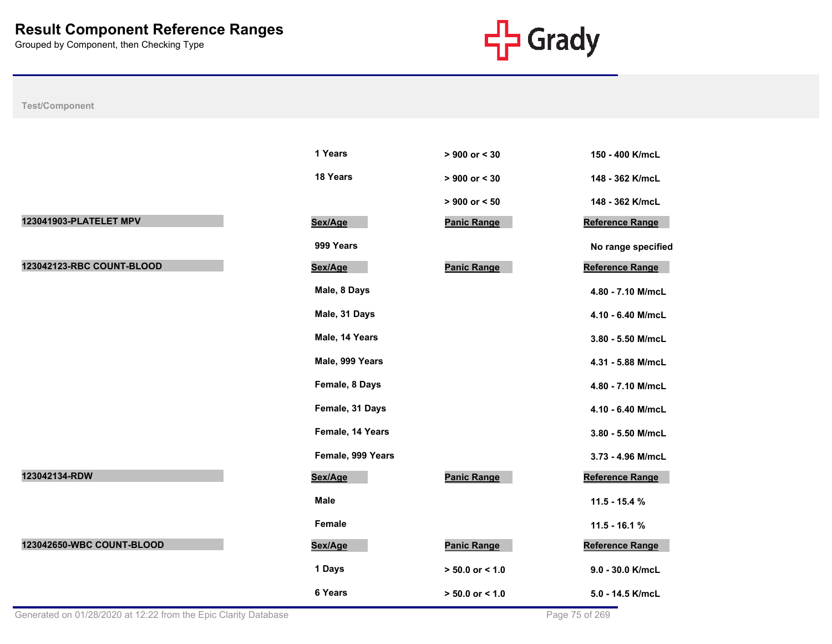

|                           | 1 Years           | $> 900$ or $< 30$   | 150 - 400 K/mcL    |
|---------------------------|-------------------|---------------------|--------------------|
|                           | 18 Years          | $> 900$ or $< 30$   | 148 - 362 K/mcL    |
|                           |                   | $> 900$ or $< 50$   | 148 - 362 K/mcL    |
| 123041903-PLATELET MPV    | Sex/Age           | <b>Panic Range</b>  | Reference Range    |
|                           | 999 Years         |                     | No range specified |
| 123042123-RBC COUNT-BLOOD | Sex/Age           | <b>Panic Range</b>  | Reference Range    |
|                           | Male, 8 Days      |                     | 4.80 - 7.10 M/mcL  |
|                           | Male, 31 Days     |                     | 4.10 - 6.40 M/mcL  |
|                           | Male, 14 Years    |                     | 3.80 - 5.50 M/mcL  |
|                           | Male, 999 Years   |                     | 4.31 - 5.88 M/mcL  |
|                           | Female, 8 Days    |                     | 4.80 - 7.10 M/mcL  |
|                           | Female, 31 Days   |                     | 4.10 - 6.40 M/mcL  |
|                           | Female, 14 Years  |                     | 3.80 - 5.50 M/mcL  |
|                           | Female, 999 Years |                     | 3.73 - 4.96 M/mcL  |
| 123042134-RDW             | Sex/Age           | <b>Panic Range</b>  | Reference Range    |
|                           | <b>Male</b>       |                     | $11.5 - 15.4 %$    |
|                           | Female            |                     | $11.5 - 16.1 %$    |
| 123042650-WBC COUNT-BLOOD | Sex/Age           | <b>Panic Range</b>  | Reference Range    |
|                           | 1 Days            | $> 50.0$ or $< 1.0$ | 9.0 - 30.0 K/mcL   |
|                           | 6 Years           | $> 50.0$ or $< 1.0$ | 5.0 - 14.5 K/mcL   |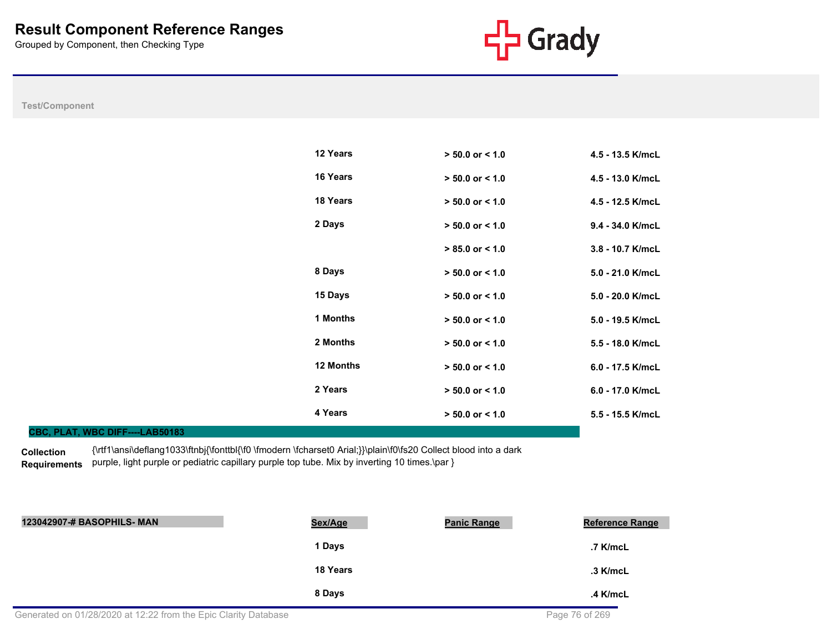**CBC, PLAT, WBC DIFF----LAB50183**



**Test/Component**

| 12 Years         | $> 50.0$ or $< 1.0$ | 4.5 - 13.5 K/mcL   |
|------------------|---------------------|--------------------|
| <b>16 Years</b>  | $> 50.0$ or < 1.0   | 4.5 - 13.0 K/mcL   |
| 18 Years         | $> 50.0$ or $< 1.0$ | 4.5 - 12.5 K/mcL   |
| 2 Days           | $> 50.0$ or $< 1.0$ | $9.4 - 34.0$ K/mcL |
|                  | $> 85.0$ or $< 1.0$ | $3.8 - 10.7$ K/mcL |
| 8 Days           | $> 50.0$ or $< 1.0$ | $5.0 - 21.0$ K/mcL |
| 15 Days          | $> 50.0$ or $< 1.0$ | $5.0 - 20.0$ K/mcL |
| 1 Months         | $> 50.0$ or $< 1.0$ | 5.0 - 19.5 K/mcL   |
| 2 Months         | $> 50.0$ or $< 1.0$ | 5.5 - 18.0 K/mcL   |
| <b>12 Months</b> | $> 50.0$ or $< 1.0$ | 6.0 - 17.5 K/mcL   |
| 2 Years          | $> 50.0$ or $< 1.0$ | 6.0 - 17.0 K/mcL   |
| 4 Years          | $> 50.0$ or $< 1.0$ | $5.5 - 15.5$ K/mcL |

**Collection**  Requirements purple, light purple or pediatric capillary purple top tube. Mix by inverting 10 times.\par } {\rtf1\ansi\deflang1033\ftnbj{\fonttbl{\f0 \fmodern \fcharset0 Arial;}}\plain\f0\fs20 Collect blood into a dark

| 123042907-# BASOPHILS- MAN | Sex/Age  | <b>Panic Range</b> | <b>Reference Range</b> |
|----------------------------|----------|--------------------|------------------------|
|                            | 1 Days   |                    | .7 K/mcL               |
|                            | 18 Years |                    | $.3$ K/mcL             |
|                            | 8 Days   |                    | $.4$ K/mcL             |
|                            |          |                    |                        |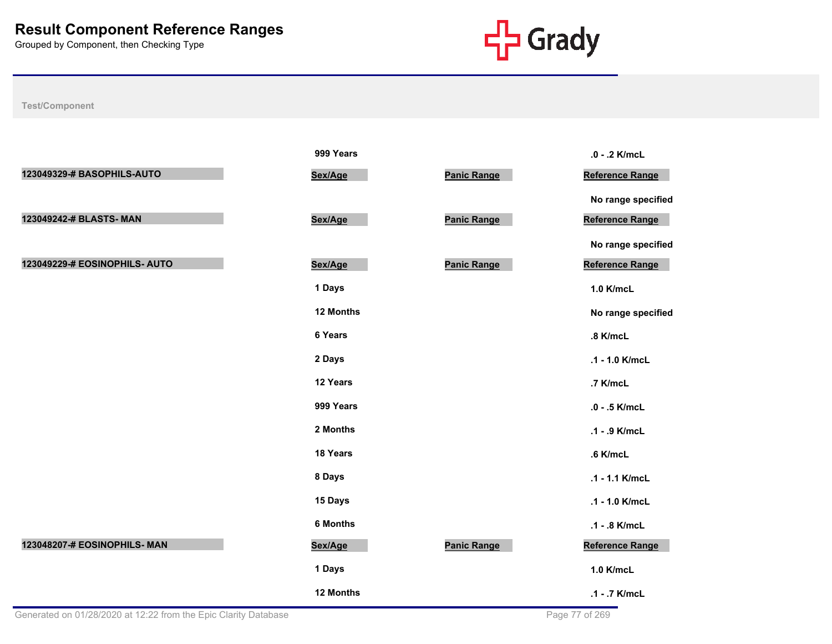

|                               | 999 Years       |                    | .0 - .2 K/mcL          |
|-------------------------------|-----------------|--------------------|------------------------|
| 123049329-# BASOPHILS-AUTO    | Sex/Age         | <b>Panic Range</b> | Reference Range        |
|                               |                 |                    | No range specified     |
| 123049242-# BLASTS- MAN       | Sex/Age         | <b>Panic Range</b> | <b>Reference Range</b> |
|                               |                 |                    | No range specified     |
| 123049229-# EOSINOPHILS- AUTO | Sex/Age         | <b>Panic Range</b> | Reference Range        |
|                               | 1 Days          |                    | 1.0 K/mcL              |
|                               | 12 Months       |                    | No range specified     |
|                               | 6 Years         |                    | .8 K/mcL               |
|                               | 2 Days          |                    | .1 - 1.0 K/mcL         |
|                               | 12 Years        |                    | .7 K/mcL               |
|                               | 999 Years       |                    | .0 - .5 K/mcL          |
|                               | 2 Months        |                    | .1 - .9 K/mcL          |
|                               | 18 Years        |                    | .6 K/mcL               |
|                               | 8 Days          |                    | .1 - 1.1 K/mcL         |
|                               | 15 Days         |                    | .1 - 1.0 K/mcL         |
|                               | <b>6 Months</b> |                    | .1 - .8 K/mcL          |
| 123048207-# EOSINOPHILS- MAN  | Sex/Age         | Panic Range        | Reference Range        |
|                               | 1 Days          |                    | 1.0 K/mcL              |
|                               | 12 Months       |                    | .1 - .7 K/mcL          |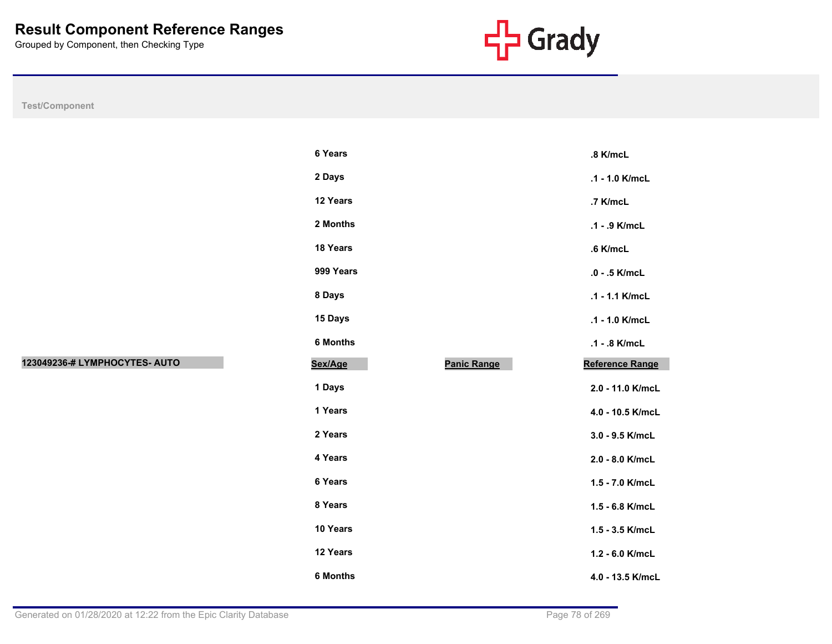

|                               | 6 Ye   |
|-------------------------------|--------|
|                               | 2Da    |
|                               | 12 Y   |
|                               | $2$ Mo |
|                               | 18 Y   |
|                               | 999    |
|                               | 8Da    |
|                               | 15 D   |
|                               | 6 Mo   |
| 123049236-# LYMPHOCYTES- AUTO | Sex/A  |
|                               | 1 Da   |
|                               | 1 Ye   |
|                               | 2 Ye   |
|                               | 4 Ye   |
|                               | 6 Ye   |
|                               | 8 Ye   |
|                               | 10 Y   |
|                               | 12 Y   |
|                               | 6 Mo   |

|                               | 6 Years         |                    | .8 K/mcL         |
|-------------------------------|-----------------|--------------------|------------------|
|                               | 2 Days          |                    | .1 - 1.0 K/mcL   |
|                               | 12 Years        |                    | .7 K/mcL         |
|                               | 2 Months        |                    | .1 - .9 K/mcL    |
|                               | 18 Years        |                    | .6 K/mcL         |
|                               | 999 Years       |                    | $.0 - .5$ K/mcL  |
|                               | 8 Days          |                    | .1 - 1.1 K/mcL   |
|                               | 15 Days         |                    | .1 - 1.0 K/mcL   |
|                               | 6 Months        |                    | .1 - .8 K/mcL    |
| 123049236-# LYMPHOCYTES- AUTO | Sex/Age         | <b>Panic Range</b> | Reference Range  |
|                               | 1 Days          |                    | 2.0 - 11.0 K/mcL |
|                               | 1 Years         |                    | 4.0 - 10.5 K/mcL |
|                               | 2 Years         |                    | 3.0 - 9.5 K/mcL  |
|                               | 4 Years         |                    | 2.0 - 8.0 K/mcL  |
|                               | 6 Years         |                    | 1.5 - 7.0 K/mcL  |
|                               | 8 Years         |                    | 1.5 - 6.8 K/mcL  |
|                               | 10 Years        |                    | 1.5 - 3.5 K/mcL  |
|                               | 12 Years        |                    | 1.2 - 6.0 K/mcL  |
|                               | <b>6 Months</b> |                    | 4.0 - 13.5 K/mcL |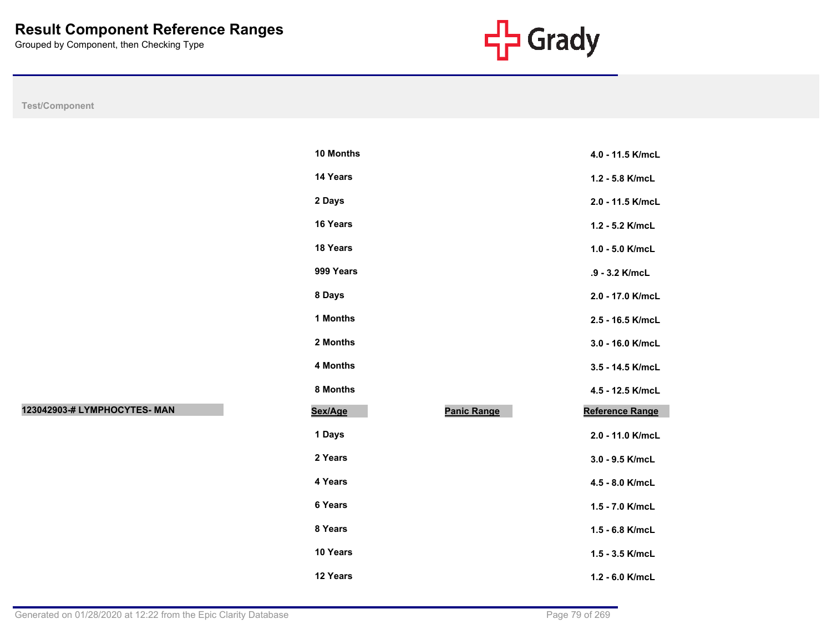

**Test/Component**

| 10 Months       |                    | 4.0 - 11.5 K/mcL       |
|-----------------|--------------------|------------------------|
| 14 Years        |                    | 1.2 - 5.8 K/mcL        |
| 2 Days          |                    | 2.0 - 11.5 K/mcL       |
| <b>16 Years</b> |                    | 1.2 - 5.2 K/mcL        |
| <b>18 Years</b> |                    | $1.0 - 5.0$ K/mcL      |
| 999 Years       |                    | .9 - 3.2 K/mcL         |
| 8 Days          |                    | 2.0 - 17.0 K/mcL       |
| 1 Months        |                    | 2.5 - 16.5 K/mcL       |
| 2 Months        |                    | 3.0 - 16.0 K/mcL       |
| 4 Months        |                    | 3.5 - 14.5 K/mcL       |
| 8 Months        |                    | 4.5 - 12.5 K/mcL       |
| Sex/Age         | <b>Panic Range</b> | <b>Reference Range</b> |
| 1 Days          |                    | 2.0 - 11.0 K/mcL       |
| 2 Years         |                    | 3.0 - 9.5 K/mcL        |
| 4 Years         |                    | 4.5 - 8.0 K/mcL        |
| 6 Years         |                    | 1.5 - 7.0 K/mcL        |
| 8 Years         |                    | $1.5 - 6.8$ K/mcL      |
| 10 Years        |                    | 1.5 - 3.5 K/mcL        |
| 12 Years        |                    | 1.2 - 6.0 K/mcL        |

**123042903-# LYMPHOCYTES- MAN Sex/Age Panic Range Reference Range**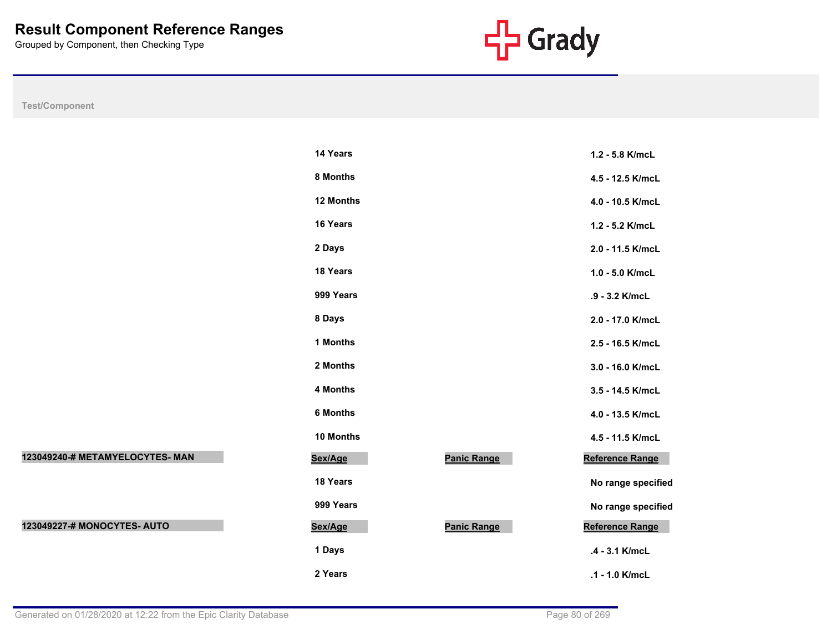

**Test/Component**

|                                 | 14 Years        |                    | 1.2 - 5.8 K/mcL    |
|---------------------------------|-----------------|--------------------|--------------------|
|                                 | 8 Months        |                    | 4.5 - 12.5 K/mcL   |
|                                 | 12 Months       |                    | 4.0 - 10.5 K/mcL   |
|                                 | 16 Years        |                    | 1.2 - 5.2 K/mcL    |
|                                 | 2 Days          |                    | 2.0 - 11.5 K/mcL   |
|                                 | 18 Years        |                    | 1.0 - 5.0 K/mcL    |
|                                 | 999 Years       |                    | .9 - 3.2 K/mcL     |
|                                 | 8 Days          |                    | 2.0 - 17.0 K/mcL   |
|                                 | 1 Months        |                    | 2.5 - 16.5 K/mcL   |
|                                 | 2 Months        |                    | 3.0 - 16.0 K/mcL   |
|                                 | 4 Months        |                    | 3.5 - 14.5 K/mcL   |
|                                 | <b>6 Months</b> |                    | 4.0 - 13.5 K/mcL   |
|                                 | 10 Months       |                    | 4.5 - 11.5 K/mcL   |
| 123049240-# METAMYELOCYTES- MAN | Sex/Age         | <b>Panic Range</b> | Reference Range    |
|                                 | 18 Years        |                    | No range specified |
|                                 | 999 Years       |                    | No range specified |
| 123049227-# MONOCYTES- AUTO     | Sex/Age         | <b>Panic Range</b> | Reference Range    |
|                                 | 1 Days          |                    | .4 - 3.1 K/mcL     |
|                                 | 2 Years         |                    | .1 - 1.0 K/mcL     |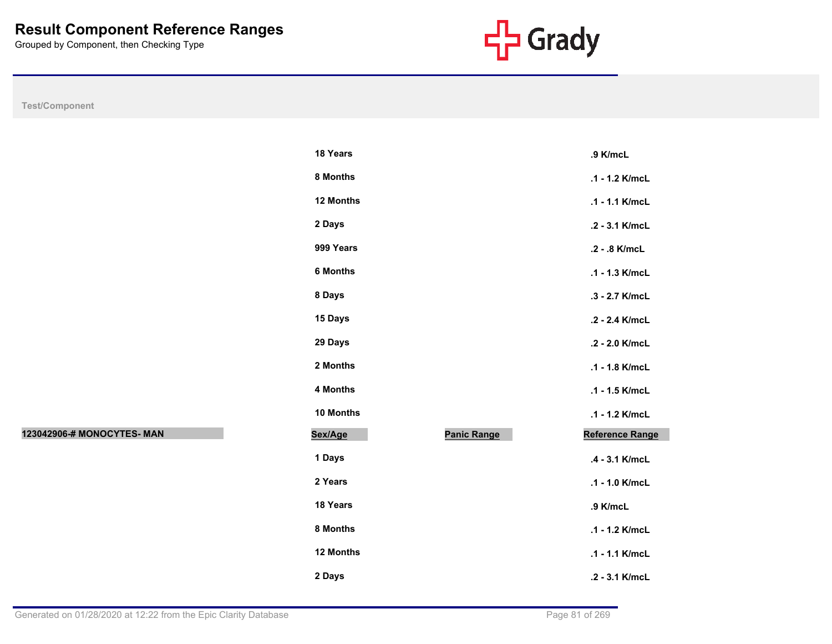

|                            | 18 Years  |                    | .9 K/mcL        |
|----------------------------|-----------|--------------------|-----------------|
|                            | 8 Months  |                    | .1 - 1.2 K/mcL  |
|                            | 12 Months |                    | .1 - 1.1 K/mcL  |
|                            | 2 Days    |                    | .2 - 3.1 K/mcL  |
|                            | 999 Years |                    | .2 - .8 K/mcL   |
|                            | 6 Months  |                    | .1 - 1.3 K/mcL  |
|                            | 8 Days    |                    | .3 - 2.7 K/mcL  |
|                            | 15 Days   |                    | .2 - 2.4 K/mcL  |
|                            | 29 Days   |                    | .2 - 2.0 K/mcL  |
|                            | 2 Months  |                    | .1 - 1.8 K/mcL  |
|                            | 4 Months  |                    | .1 - 1.5 K/mcL  |
|                            | 10 Months |                    | .1 - 1.2 K/mcL  |
| 123042906-# MONOCYTES- MAN | Sex/Age   | <b>Panic Range</b> | Reference Range |
|                            | 1 Days    |                    | .4 - 3.1 K/mcL  |
|                            | 2 Years   |                    | .1 - 1.0 K/mcL  |
|                            | 18 Years  |                    | .9 K/mcL        |
|                            | 8 Months  |                    | .1 - 1.2 K/mcL  |
|                            | 12 Months |                    | .1 - 1.1 K/mcL  |
|                            | 2 Days    |                    | .2 - 3.1 K/mcL  |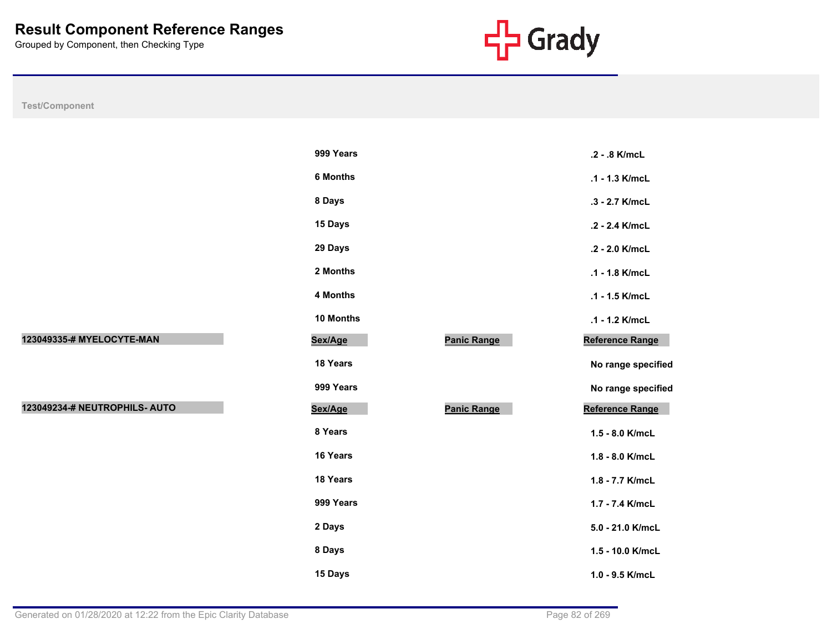

**No range specified** 

**No range specified** 

|                               | 999 Years       |                    | .2 - .8 K/mcL    |
|-------------------------------|-----------------|--------------------|------------------|
|                               | <b>6 Months</b> |                    | .1 - 1.3 K/mcL   |
|                               | 8 Days          |                    | .3 - 2.7 K/mcL   |
|                               | 15 Days         |                    | .2 - 2.4 K/mcL   |
|                               | 29 Days         |                    | .2 - 2.0 K/mcL   |
|                               | 2 Months        |                    | .1 - 1.8 K/mcL   |
|                               | 4 Months        |                    | .1 - 1.5 K/mcL   |
|                               | 10 Months       |                    | .1 - 1.2 K/mcL   |
| 123049335-# MYELOCYTE-MAN     | Sex/Age         | <b>Panic Range</b> | Reference Range  |
|                               | 18 Years        |                    | No range specifi |
|                               | 999 Years       |                    | No range specifi |
| 123049234-# NEUTROPHILS- AUTO | Sex/Age         | <b>Panic Range</b> | Reference Range  |
|                               | 8 Years         |                    | 1.5 - 8.0 K/mcL  |
|                               | 16 Years        |                    | 1.8 - 8.0 K/mcL  |
|                               | 18 Years        |                    | 1.8 - 7.7 K/mcL  |
|                               | 999 Years       |                    | 1.7 - 7.4 K/mcL  |
|                               | 2 Days          |                    | 5.0 - 21.0 K/mcL |
|                               | 8 Days          |                    | 1.5 - 10.0 K/mcL |
|                               | 15 Days         |                    | 1.0 - 9.5 K/mcL  |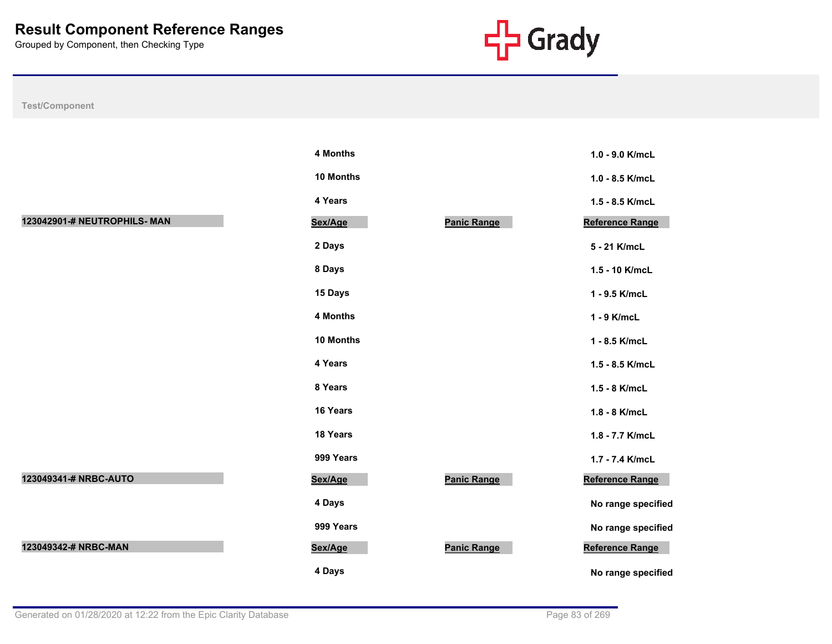

**4 Months 1.0 - 9.0 K/mcL**

**10 Months 1.0 - 8.5 K/mcL**

**4 Years 1.5 - 8.5 K/mcL Reference Range** 

**2 Days 5 - 21 K/mcL**

**8 Days 1.5 - 10 K/mcL**

**15 Days 1 - 9.5 K/mcL**

**4 Months 1 - 9 K/mcL**

**10 Months 1 - 8.5 K/mcL**

**4 Years 1.5 - 8.5 K/mcL**

**8 Years 1.5 - 8 K/mcL**

**16 Years 1.8 - 8 K/mcL**

**18 Years 1.8 - 7.7 K/mcL**

**999 Years 1.7 - 7.4 K/mcL**

**123** Reference Range

**No range specified** 

**No range specified** 

**No range specified** 

**123** Reference Range

| <b>Test/Component</b> |  |
|-----------------------|--|
|                       |  |

|                              | 4 Months  |                    |
|------------------------------|-----------|--------------------|
|                              | 10 Months |                    |
|                              | 4 Years   |                    |
| 123042901-# NEUTROPHILS- MAN | Sex/Age   | Panic Range        |
|                              | 2 Days    |                    |
|                              | 8 Days    |                    |
|                              | 15 Days   |                    |
|                              | 4 Months  |                    |
|                              | 10 Months |                    |
|                              | 4 Years   |                    |
|                              | 8 Years   |                    |
|                              | 16 Years  |                    |
|                              | 18 Years  |                    |
|                              | 999 Years |                    |
| 123049341-# NRBC-AUTO        | Sex/Age   | <b>Panic Range</b> |
|                              | 4 Days    |                    |
|                              | 999 Years |                    |
| 123049342-# NRBC-MAN         | Sex/Age   | Panic Range        |
|                              | 4 Days    |                    |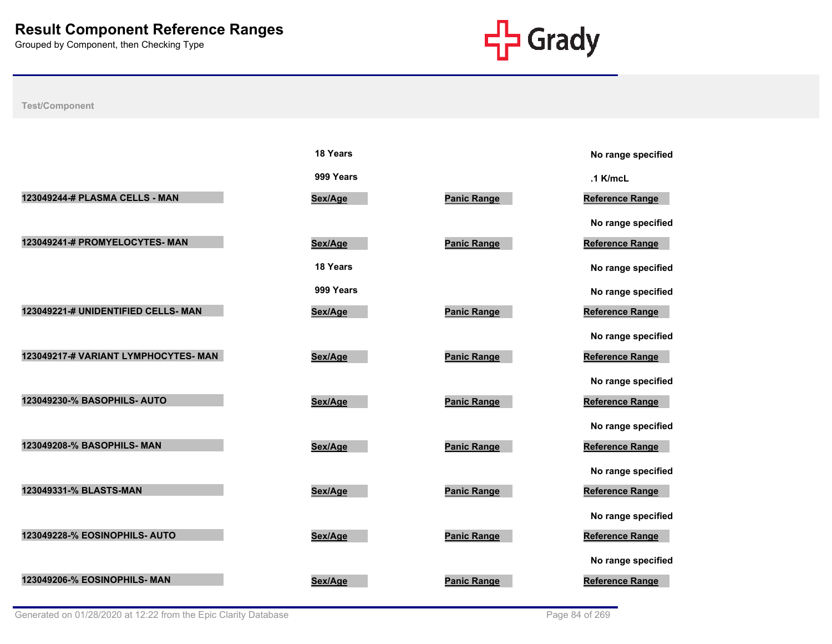

|                                      | 18 Years  |                    | No range specified     |
|--------------------------------------|-----------|--------------------|------------------------|
|                                      | 999 Years |                    | $.1$ K/mcL             |
| 123049244-# PLASMA CELLS - MAN       | Sex/Age   | <b>Panic Range</b> | <b>Reference Range</b> |
|                                      |           |                    | No range specified     |
| 123049241-# PROMYELOCYTES- MAN       | Sex/Age   | <b>Panic Range</b> | Reference Range        |
|                                      | 18 Years  |                    | No range specified     |
|                                      | 999 Years |                    | No range specified     |
| 123049221-# UNIDENTIFIED CELLS- MAN  | Sex/Age   | <b>Panic Range</b> | <b>Reference Range</b> |
|                                      |           |                    | No range specified     |
| 123049217-# VARIANT LYMPHOCYTES- MAN | Sex/Age   | <b>Panic Range</b> | Reference Range        |
|                                      |           |                    | No range specified     |
| 123049230-% BASOPHILS- AUTO          | Sex/Age   | <b>Panic Range</b> | <b>Reference Range</b> |
|                                      |           |                    | No range specified     |
| 123049208-% BASOPHILS- MAN           | Sex/Age   | <b>Panic Range</b> | <b>Reference Range</b> |
|                                      |           |                    | No range specified     |
| 123049331-% BLASTS-MAN               | Sex/Age   | <b>Panic Range</b> | <b>Reference Range</b> |
|                                      |           |                    | No range specified     |
| 123049228-% EOSINOPHILS- AUTO        | Sex/Age   | <b>Panic Range</b> | Reference Range        |
|                                      |           |                    | No range specified     |
| <b>123049206-% EOSINOPHILS- MAN</b>  | Sex/Age   | <b>Panic Range</b> | <b>Reference Range</b> |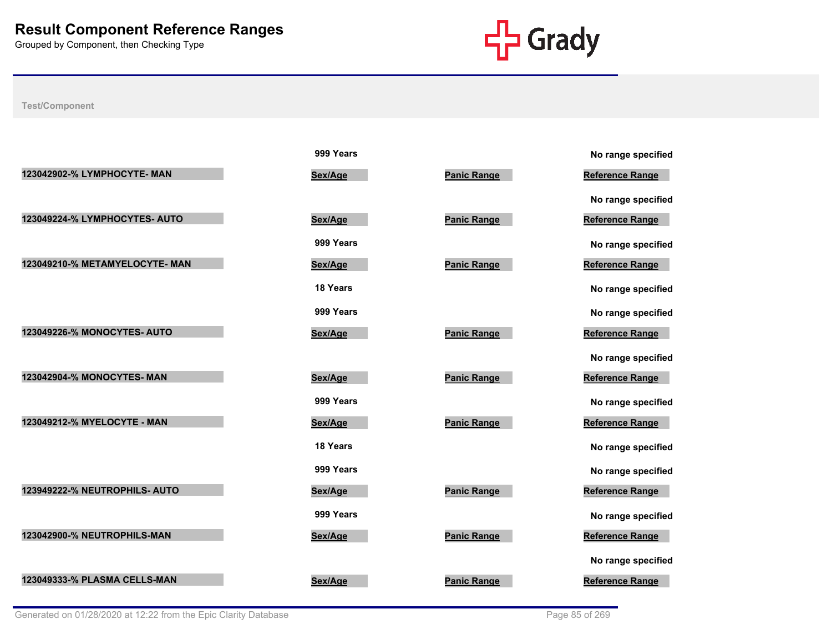

|                               | 999 Years       |                    | No range specified     |
|-------------------------------|-----------------|--------------------|------------------------|
| 123042902-% LYMPHOCYTE- MAN   | Sex/Age         | <b>Panic Range</b> | <b>Reference Range</b> |
|                               |                 |                    | No range specified     |
| 123049224-% LYMPHOCYTES- AUTO | Sex/Age         | <b>Panic Range</b> | Reference Range        |
|                               | 999 Years       |                    | No range specified     |
| 123049210-% METAMYELOCYTE-MAN | Sex/Age         | <b>Panic Range</b> | <b>Reference Range</b> |
|                               | 18 Years        |                    | No range specified     |
|                               | 999 Years       |                    | No range specified     |
| 123049226-% MONOCYTES- AUTO   | Sex/Age         | <b>Panic Range</b> | <b>Reference Range</b> |
|                               |                 |                    | No range specified     |
| 123042904-% MONOCYTES- MAN    | Sex/Age         | <b>Panic Range</b> | Reference Range        |
|                               | 999 Years       |                    | No range specified     |
| 123049212-% MYELOCYTE - MAN   | Sex/Age         | <b>Panic Range</b> | <b>Reference Range</b> |
|                               | <b>18 Years</b> |                    | No range specified     |
|                               | 999 Years       |                    | No range specified     |
| 123949222-% NEUTROPHILS- AUTO | Sex/Age         | <b>Panic Range</b> | <b>Reference Range</b> |
|                               | 999 Years       |                    | No range specified     |
| 123042900-% NEUTROPHILS-MAN   | Sex/Age         | <b>Panic Range</b> | Reference Range        |
|                               |                 |                    | No range specified     |
| 123049333-% PLASMA CELLS-MAN  | Sex/Age         | <b>Panic Range</b> | <b>Reference Range</b> |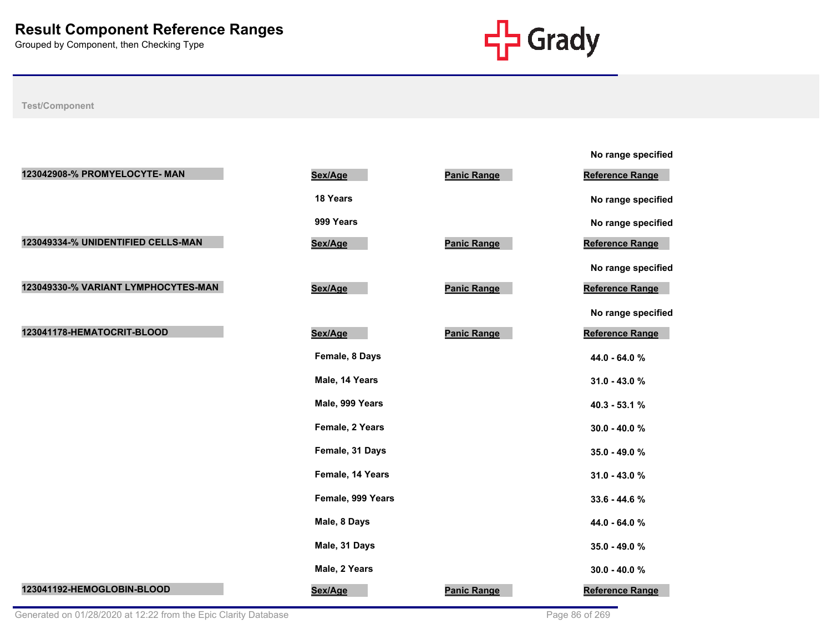

|                                     |                   |                    | No range specified     |
|-------------------------------------|-------------------|--------------------|------------------------|
| 123042908-% PROMYELOCYTE- MAN       | Sex/Age           | <b>Panic Range</b> | Reference Range        |
|                                     | 18 Years          |                    | No range specified     |
|                                     | 999 Years         |                    | No range specified     |
| 123049334-% UNIDENTIFIED CELLS-MAN  | Sex/Age           | <b>Panic Range</b> | <b>Reference Range</b> |
|                                     |                   |                    | No range specified     |
| 123049330-% VARIANT LYMPHOCYTES-MAN | Sex/Age           | Panic Range        | Reference Range        |
|                                     |                   |                    | No range specified     |
| 123041178-HEMATOCRIT-BLOOD          | Sex/Age           | <b>Panic Range</b> | Reference Range        |
|                                     | Female, 8 Days    |                    | 44.0 - 64.0 %          |
|                                     | Male, 14 Years    |                    | 31.0 - 43.0 %          |
|                                     | Male, 999 Years   |                    | 40.3 - 53.1 %          |
|                                     | Female, 2 Years   |                    | $30.0 - 40.0 %$        |
|                                     | Female, 31 Days   |                    | 35.0 - 49.0 %          |
|                                     | Female, 14 Years  |                    | 31.0 - 43.0 %          |
|                                     | Female, 999 Years |                    | 33.6 - 44.6 %          |
|                                     | Male, 8 Days      |                    | 44.0 - 64.0 %          |
|                                     | Male, 31 Days     |                    | 35.0 - 49.0 %          |
|                                     | Male, 2 Years     |                    | $30.0 - 40.0 %$        |
| 123041192-HEMOGLOBIN-BLOOD          | Sex/Age           | <b>Panic Range</b> | <b>Reference Range</b> |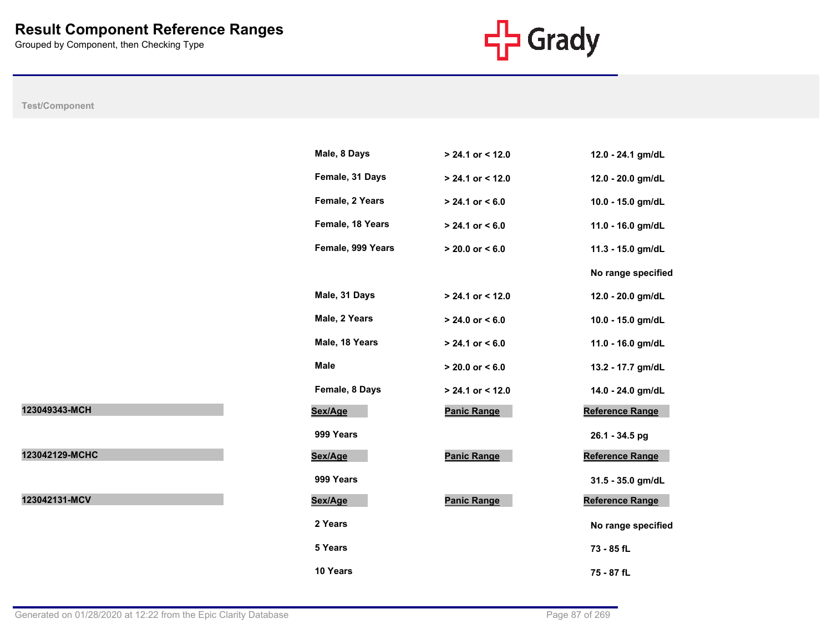

|                | Male, 8 Days      | $> 24.1$ or < 12.0  | 12.0 - 24.1 gm/dL      |
|----------------|-------------------|---------------------|------------------------|
|                | Female, 31 Days   | $> 24.1$ or < 12.0  | 12.0 - 20.0 gm/dL      |
|                | Female, 2 Years   | $> 24.1$ or < 6.0   | 10.0 - 15.0 gm/dL      |
|                | Female, 18 Years  | $> 24.1$ or < 6.0   | 11.0 - 16.0 gm/dL      |
|                | Female, 999 Years | $> 20.0$ or $< 6.0$ | 11.3 - 15.0 gm/dL      |
|                |                   |                     | No range specified     |
|                | Male, 31 Days     | $> 24.1$ or < 12.0  | 12.0 - 20.0 gm/dL      |
|                | Male, 2 Years     | $> 24.0$ or < 6.0   | 10.0 - 15.0 gm/dL      |
|                | Male, 18 Years    | $> 24.1$ or < 6.0   | 11.0 - 16.0 gm/dL      |
|                | Male              | $> 20.0$ or $< 6.0$ | 13.2 - 17.7 gm/dL      |
|                | Female, 8 Days    | $> 24.1$ or < 12.0  | 14.0 - 24.0 gm/dL      |
| 123049343-MCH  | Sex/Age           | <b>Panic Range</b>  | Reference Range        |
|                | 999 Years         |                     | 26.1 - 34.5 pg         |
| 123042129-MCHC | Sex/Age           | <b>Panic Range</b>  | Reference Range        |
|                | 999 Years         |                     | 31.5 - 35.0 gm/dL      |
| 123042131-MCV  | Sex/Age           | <b>Panic Range</b>  | <b>Reference Range</b> |
|                | 2 Years           |                     | No range specified     |
|                | 5 Years           |                     | 73 - 85 fL             |
|                | 10 Years          |                     | 75 - 87 fL             |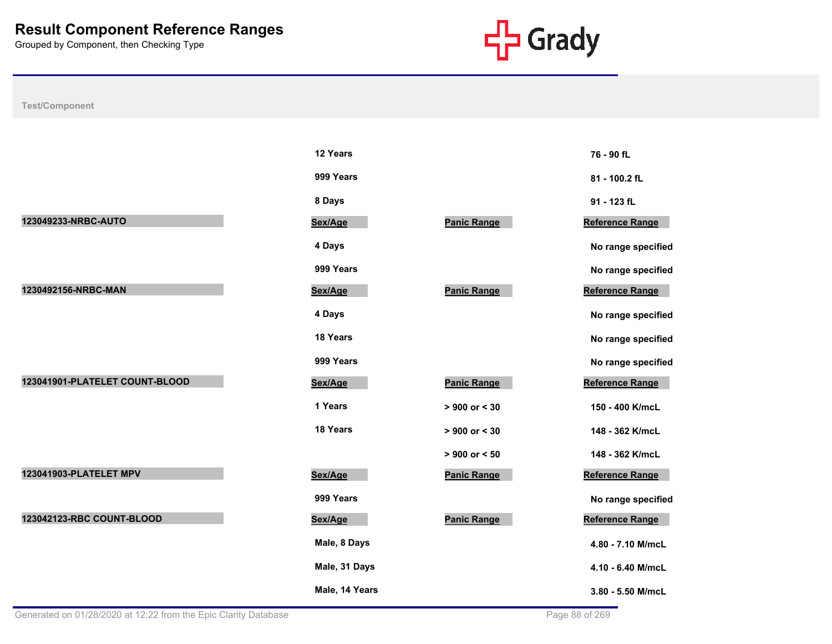

| <b>Test/Component</b> |  |
|-----------------------|--|
|-----------------------|--|

|                                | 12 Years       |                    | 76 - 90 fL         |
|--------------------------------|----------------|--------------------|--------------------|
|                                | 999 Years      |                    | 81 - 100.2 fL      |
|                                | 8 Days         |                    | 91 - 123 fL        |
| 123049233-NRBC-AUTO            | Sex/Age        | <b>Panic Range</b> | Reference Range    |
|                                | 4 Days         |                    | No range specified |
|                                | 999 Years      |                    | No range specified |
| 1230492156-NRBC-MAN            | Sex/Age        | <b>Panic Range</b> | Reference Range    |
|                                | 4 Days         |                    | No range specified |
|                                | 18 Years       |                    | No range specified |
|                                | 999 Years      |                    | No range specified |
| 123041901-PLATELET COUNT-BLOOD | Sex/Age        | <b>Panic Range</b> | Reference Range    |
|                                | 1 Years        | > 900 or < 30      | 150 - 400 K/mcL    |
|                                | 18 Years       | $> 900$ or $< 30$  | 148 - 362 K/mcL    |
|                                |                | $> 900$ or $< 50$  | 148 - 362 K/mcL    |
| 123041903-PLATELET MPV         | Sex/Age        | <b>Panic Range</b> | Reference Range    |
|                                | 999 Years      |                    | No range specified |
| 123042123-RBC COUNT-BLOOD      | Sex/Age        | <b>Panic Range</b> | Reference Range    |
|                                | Male, 8 Days   |                    | 4.80 - 7.10 M/mcL  |
|                                | Male, 31 Days  |                    | 4.10 - 6.40 M/mcL  |
|                                | Male, 14 Years |                    | 3.80 - 5.50 M/mcL  |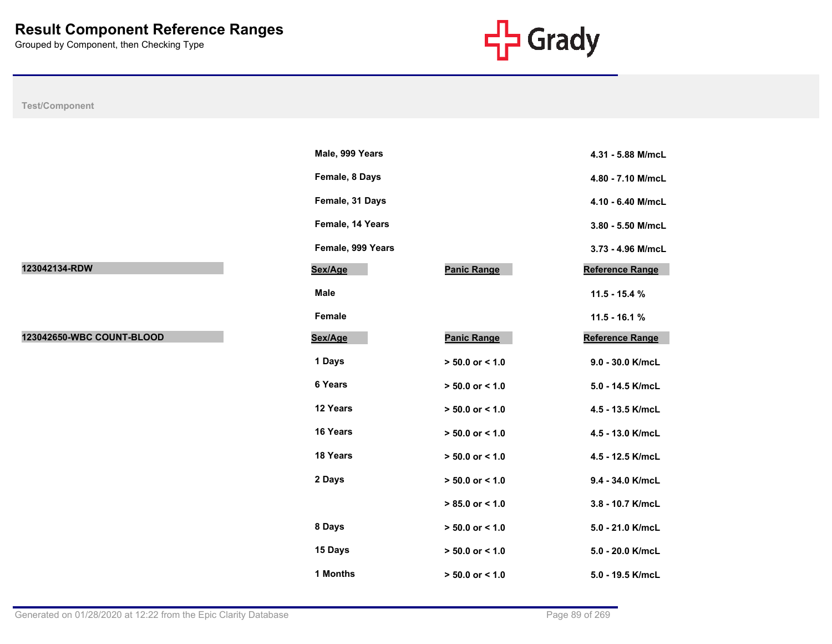

**Male, 999 Years 4.31 - 5.88 M/mcL**

**Female, 8 Days 4.80 - 7.10 M/mcL**

**Female, 31 Days 4.10 - 6.40 M/mcL**

**Female, 14 Years 3.80 - 5.50 M/mcL**

**Female, 999 Years 3.73 - 4.96 M/mcL**

**Reference Range** 

**Male 11.5 - 15.4 %**

**Female 11.5 - 16.1 % Reference Range** 

**1 Days > 50.0 or < 1.0 9.0 - 30.0 K/mcL**

**6 Years > 50.0 or < 1.0 5.0 - 14.5 K/mcL**

**12 Years > 50.0 or < 1.0 4.5 - 13.5 K/mcL**

**16 Years > 50.0 or < 1.0 4.5 - 13.0 K/mcL**

**18 Years > 50.0 or < 1.0 4.5 - 12.5 K/mcL**

**2 Days > 50.0 or < 1.0 9.4 - 34.0 K/mcL**

 **> 85.0 or < 1.0 3.8 - 10.7 K/mcL**

**8 Days > 50.0 or < 1.0 5.0 - 21.0 K/mcL**

**15 Days > 50.0 or < 1.0 5.0 - 20.0 K/mcL**

| Test/Component            |                   |                     |
|---------------------------|-------------------|---------------------|
|                           |                   |                     |
|                           | Male, 999 Years   |                     |
|                           | Female, 8 Days    |                     |
|                           | Female, 31 Days   |                     |
|                           | Female, 14 Years  |                     |
|                           | Female, 999 Years |                     |
| 123042134-RDW             | Sex/Age           | Panic Range         |
|                           | <b>Male</b>       |                     |
|                           | Female            |                     |
| 123042650-WBC COUNT-BLOOD | Sex/Age           | <b>Panic Range</b>  |
|                           | 1 Days            | $> 50.0$ or < 1.0   |
|                           | 6 Years           | $> 50.0$ or < 1.0   |
|                           | 12 Years          | $> 50.0$ or < 1.0   |
|                           | 16 Years          | $> 50.0$ or < 1.0   |
|                           | 18 Years          | $> 50.0$ or < 1.0   |
|                           | 2 Days            | $> 50.0$ or < 1.0   |
|                           |                   | $> 85.0$ or < 1.0   |
|                           | 8 Days            | $> 50.0$ or $< 1.0$ |
|                           | 15 Days           | $> 50.0$ or $< 1.0$ |

**1 Months > 50.0 or < 1.0 5.0 - 19.5 K/mcL**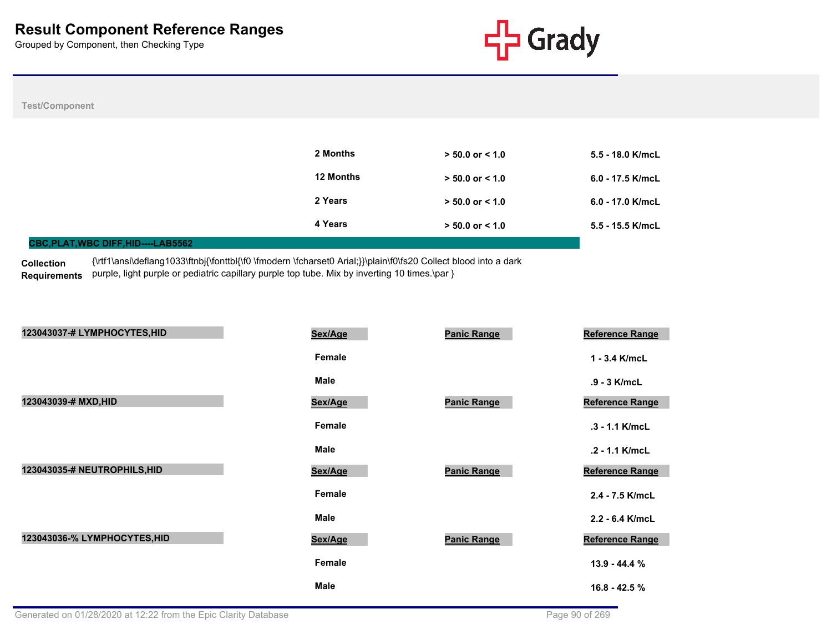

#### **Test/Component**

|                                            | 2 Months         | $> 50.0$ or $< 1.0$ | 5.5 - 18.0 K/mcL   |
|--------------------------------------------|------------------|---------------------|--------------------|
|                                            | <b>12 Months</b> | $> 50.0$ or $< 1.0$ | $6.0 - 17.5$ K/mcL |
|                                            | 2 Years          | $> 50.0$ or $< 1.0$ | $6.0 - 17.0$ K/mcL |
|                                            | 4 Years          | $> 50.0$ or $< 1.0$ | 5.5 - 15.5 K/mcL   |
| <b>CBC, PLAT, WBC DIFF, HID----LAB5562</b> |                  |                     |                    |

**Collection**  Requirements purple, light purple or pediatric capillary purple top tube. Mix by inverting 10 times.\par } {\rtf1\ansi\deflang1033\ftnbj{\fonttbl{\f0 \fmodern \fcharset0 Arial;}}\plain\f0\fs20 Collect blood into a dark

| 123043037-# LYMPHOCYTES, HID | Sex/Age     | <b>Panic Range</b> | <b>Reference Range</b> |
|------------------------------|-------------|--------------------|------------------------|
|                              | Female      |                    | $1 - 3.4$ K/mcL        |
|                              | <b>Male</b> |                    | .9 - 3 K/mcL           |
| 123043039-# MXD, HID         | Sex/Age     | <b>Panic Range</b> | <b>Reference Range</b> |
|                              | Female      |                    | .3 - 1.1 K/mcL         |
|                              | Male        |                    | .2 - 1.1 K/mcL         |
| 123043035-# NEUTROPHILS, HID | Sex/Age     | <b>Panic Range</b> | Reference Range        |
|                              | Female      |                    | 2.4 - 7.5 K/mcL        |
|                              | <b>Male</b> |                    | 2.2 - 6.4 K/mcL        |
| 123043036-% LYMPHOCYTES, HID | Sex/Age     | <b>Panic Range</b> | <b>Reference Range</b> |
|                              | Female      |                    | $13.9 - 44.4%$         |
|                              | <b>Male</b> |                    | $16.8 - 42.5%$         |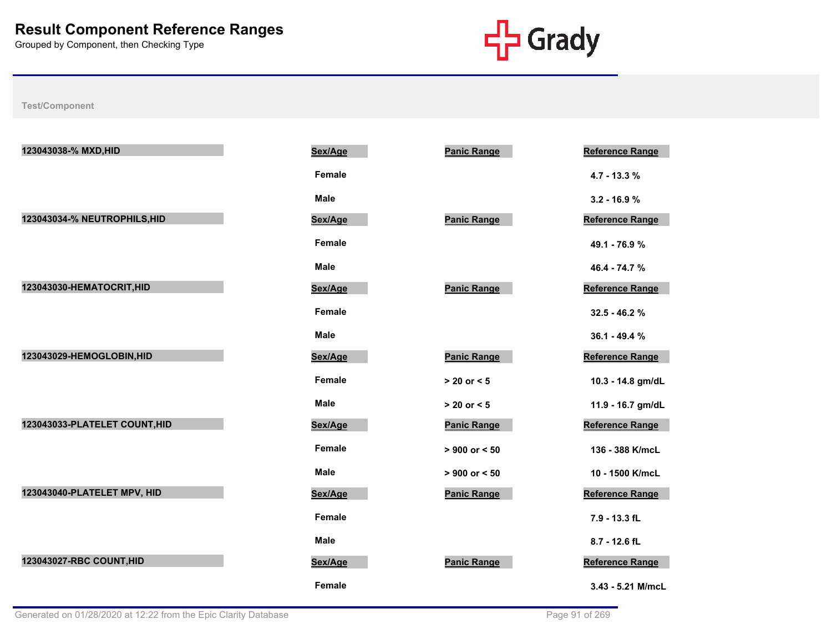

| 123043038-% MXD, HID          | Sex/Age       | <b>Panic Range</b> | <b>Reference Range</b> |
|-------------------------------|---------------|--------------------|------------------------|
|                               | <b>Female</b> |                    | 4.7 - 13.3 %           |
|                               | <b>Male</b>   |                    | $3.2 - 16.9 %$         |
| 123043034-% NEUTROPHILS, HID  | Sex/Age       | <b>Panic Range</b> | Reference Range        |
|                               | Female        |                    | 49.1 - 76.9 %          |
|                               | <b>Male</b>   |                    | 46.4 - 74.7 %          |
| 123043030-HEMATOCRIT, HID     | Sex/Age       | <b>Panic Range</b> | Reference Range        |
|                               | Female        |                    | 32.5 - 46.2 %          |
|                               | <b>Male</b>   |                    | $36.1 - 49.4%$         |
| 123043029-HEMOGLOBIN, HID     | Sex/Age       | <b>Panic Range</b> | Reference Range        |
|                               | <b>Female</b> | $> 20$ or $< 5$    | 10.3 - 14.8 gm/dL      |
|                               | <b>Male</b>   | $> 20$ or $< 5$    | 11.9 - 16.7 gm/dL      |
| 123043033-PLATELET COUNT, HID | Sex/Age       | <b>Panic Range</b> | Reference Range        |
|                               | Female        | $> 900$ or $< 50$  | 136 - 388 K/mcL        |
|                               | <b>Male</b>   | $> 900$ or $< 50$  | 10 - 1500 K/mcL        |
| 123043040-PLATELET MPV, HID   | Sex/Age       | <b>Panic Range</b> | Reference Range        |
|                               | Female        |                    | 7.9 - 13.3 fL          |
|                               | <b>Male</b>   |                    | 8.7 - 12.6 fL          |
| 123043027-RBC COUNT, HID      | Sex/Age       | <b>Panic Range</b> | Reference Range        |
|                               | <b>Female</b> |                    | 3.43 - 5.21 M/mcL      |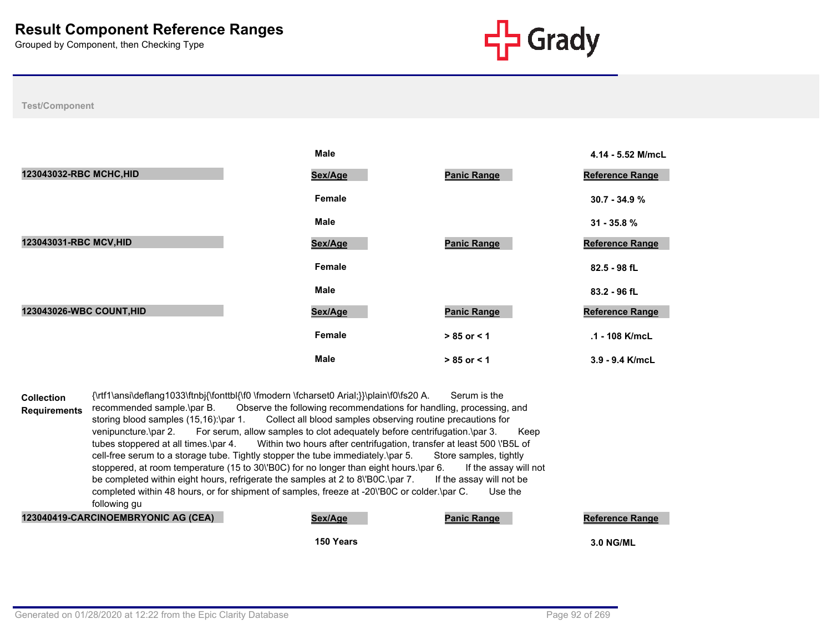

|                          | <b>Male</b> |                    | 4.14 - 5.52 M/mcL      |
|--------------------------|-------------|--------------------|------------------------|
| 123043032-RBC MCHC, HID  | Sex/Age     | <b>Panic Range</b> | <b>Reference Range</b> |
|                          | Female      |                    | $30.7 - 34.9%$         |
|                          | <b>Male</b> |                    | $31 - 35.8 %$          |
| 123043031-RBC MCV, HID   | Sex/Age     | <b>Panic Range</b> | Reference Range        |
|                          | Female      |                    | 82.5 - 98 fL           |
|                          | Male        |                    | 83.2 - 96 fL           |
| 123043026-WBC COUNT, HID | Sex/Age     | <b>Panic Range</b> | <b>Reference Range</b> |
|                          | Female      | $> 85$ or $< 1$    | .1 - 108 K/mcL         |
|                          | <b>Male</b> | $> 85$ or $< 1$    | 3.9 - 9.4 K/mcL        |

|                     |                                       | 150 Years                                                                                  |                          | <b>3.0 NG/ML</b>       |
|---------------------|---------------------------------------|--------------------------------------------------------------------------------------------|--------------------------|------------------------|
|                     | 123040419-CARCINOEMBRYONIC AG (CEA)   | Sex/Age                                                                                    | <b>Panic Range</b>       | <b>Reference Range</b> |
|                     | following gu                          |                                                                                            |                          |                        |
|                     |                                       | completed within 48 hours, or for shipment of samples, freeze at -20 B0C or colder \par C. | Use the                  |                        |
|                     |                                       | be completed within eight hours, refrigerate the samples at 2 to 8\'BOC.\par 7.            | If the assay will not be |                        |
|                     |                                       | stoppered, at room temperature (15 to 30\'B0C) for no longer than eight hours.\par 6.      | If the assay will not    |                        |
|                     |                                       | cell-free serum to a storage tube. Tightly stopper the tube immediately. par 5.            | Store samples, tightly   |                        |
|                     | tubes stoppered at all times.\par 4.  | Within two hours after centrifugation, transfer at least 500 \'B5L of                      |                          |                        |
|                     | venipuncture.\par 2.                  | For serum, allow samples to clot adequately before centrifugation.\par 3.                  | Keep                     |                        |
|                     | storing blood samples (15,16):\par 1. | Collect all blood samples observing routine precautions for                                |                          |                        |
| <b>Requirements</b> | recommended sample.\par B.            | Observe the following recommendations for handling, processing, and                        |                          |                        |
| <b>Collection</b>   |                                       | {\rtf1\ansi\deflang1033\ftnbj{\fonttbl{\f0 \fmodern \fcharset0 Arial;}}\plain\f0\fs20 A.   | Serum is the             |                        |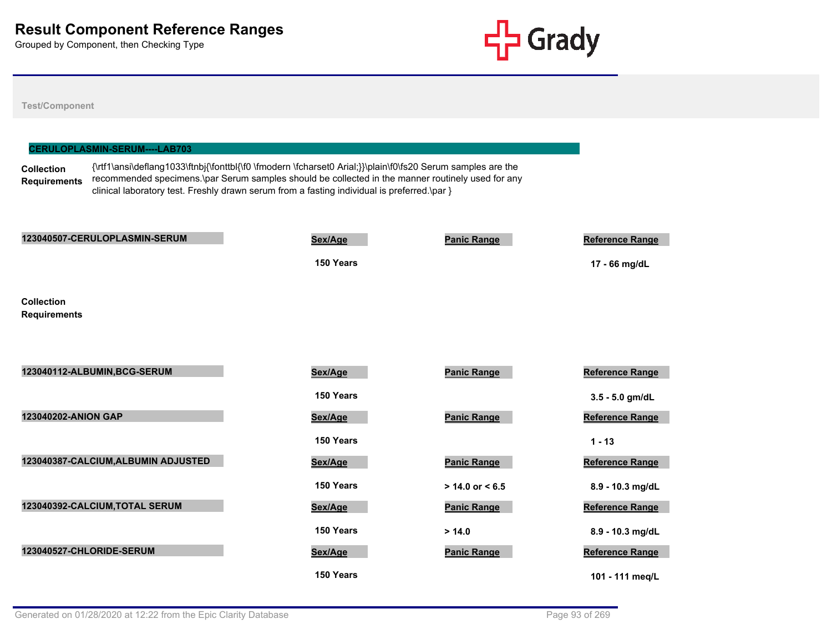

**Test/Component**

|                                          | <b>CERULOPLASMIN-SERUM----LAB703</b> |                                                                                                                                                                                                                                                                                                                    |                    |                                         |
|------------------------------------------|--------------------------------------|--------------------------------------------------------------------------------------------------------------------------------------------------------------------------------------------------------------------------------------------------------------------------------------------------------------------|--------------------|-----------------------------------------|
| <b>Collection</b><br><b>Requirements</b> |                                      | {\rtf1\ansi\deflang1033\ftnbj{\fonttbl{\f0 \fmodern \fcharset0 Arial;}}\plain\f0\fs20 Serum samples are the<br>recommended specimens.\par Serum samples should be collected in the manner routinely used for any<br>clinical laboratory test. Freshly drawn serum from a fasting individual is preferred.\par $\}$ |                    |                                         |
|                                          | 123040507-CERULOPLASMIN-SERUM        | Sex/Age<br>150 Years                                                                                                                                                                                                                                                                                               | <b>Panic Range</b> | <b>Reference Range</b><br>17 - 66 mg/dL |
| <b>Collection</b><br><b>Requirements</b> |                                      |                                                                                                                                                                                                                                                                                                                    |                    |                                         |

| 123040112-ALBUMIN, BCG-SERUM        | Sex/Age   | <b>Panic Range</b>  |
|-------------------------------------|-----------|---------------------|
|                                     | 150 Years |                     |
| <b>123040202-ANION GAP</b>          | Sex/Age   | <b>Panic Range</b>  |
|                                     | 150 Years |                     |
| 123040387-CALCIUM, ALBUMIN ADJUSTED | Sex/Age   | <b>Panic Range</b>  |
|                                     | 150 Years | $> 14.0$ or $< 6.5$ |
| 123040392-CALCIUM, TOTAL SERUM      | Sex/Age   | <b>Panic Range</b>  |
|                                     | 150 Years | > 14.0              |
| 123040527-CHLORIDE-SERUM            | Sex/Age   | <b>Panic Range</b>  |
|                                     | 150 Years |                     |

| <b>Sex/Age</b> | <b>Panic Range</b>  | Reference Range        |
|----------------|---------------------|------------------------|
| 150 Years      |                     | $3.5 - 5.0$ gm/dL      |
| <b>Sex/Age</b> | <b>Panic Range</b>  | <b>Reference Range</b> |
| 150 Years      |                     | $1 - 13$               |
| <b>Sex/Age</b> | <b>Panic Range</b>  | <b>Reference Range</b> |
| 150 Years      | $> 14.0$ or $< 6.5$ | 8.9 - 10.3 mg/dL       |
| <b>Sex/Age</b> | <b>Panic Range</b>  | <b>Reference Range</b> |
| 150 Years      | > 14.0              | $8.9 - 10.3$ mg/dL     |
| <b>Sex/Age</b> | <b>Panic Range</b>  | Reference Range        |
| 150 Years      |                     | 101 - 111 meg/L        |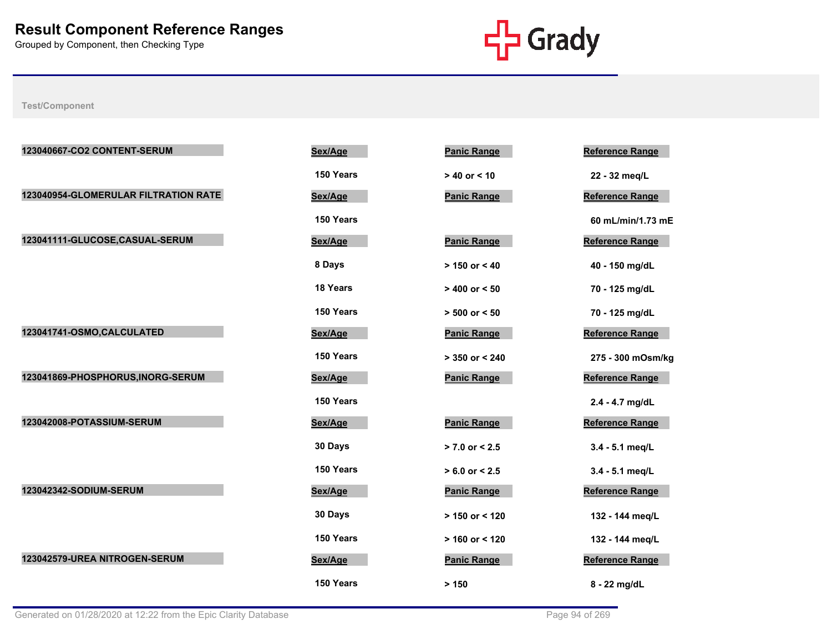

| 123040667-CO2 CONTENT-SERUM          | Sex/Age   | <b>Panic Range</b> | <b>Reference Range</b> |
|--------------------------------------|-----------|--------------------|------------------------|
|                                      | 150 Years | $> 40$ or < 10     | 22 - 32 meg/L          |
| 123040954-GLOMERULAR FILTRATION RATE | Sex/Age   | <b>Panic Range</b> | Reference Range        |
|                                      | 150 Years |                    | 60 mL/min/1.73 mE      |
| 123041111-GLUCOSE,CASUAL-SERUM       | Sex/Age   | <b>Panic Range</b> | Reference Range        |
|                                      | 8 Days    | $> 150$ or $< 40$  | 40 - 150 mg/dL         |
|                                      | 18 Years  | $> 400$ or $< 50$  | 70 - 125 mg/dL         |
|                                      | 150 Years | $> 500$ or $< 50$  | 70 - 125 mg/dL         |
| 123041741-OSMO,CALCULATED            | Sex/Age   | <b>Panic Range</b> | <b>Reference Range</b> |
|                                      | 150 Years | $> 350$ or < 240   | 275 - 300 mOsm/kg      |
| 123041869-PHOSPHORUS, INORG-SERUM    | Sex/Age   | <b>Panic Range</b> | Reference Range        |
|                                      | 150 Years |                    | 2.4 - 4.7 mg/dL        |
| 123042008-POTASSIUM-SERUM            | Sex/Age   | <b>Panic Range</b> | Reference Range        |
|                                      | 30 Days   | $> 7.0$ or $< 2.5$ | 3.4 - 5.1 meg/L        |
|                                      | 150 Years | $> 6.0$ or $< 2.5$ | 3.4 - 5.1 meg/L        |
| 123042342-SODIUM-SERUM               | Sex/Age   | <b>Panic Range</b> | <b>Reference Range</b> |
|                                      | 30 Days   | $> 150$ or < 120   | 132 - 144 meg/L        |
|                                      | 150 Years | $> 160$ or < 120   | 132 - 144 meg/L        |
| 123042579-UREA NITROGEN-SERUM        | Sex/Age   | <b>Panic Range</b> | Reference Range        |
|                                      | 150 Years | > 150              | 8 - 22 mg/dL           |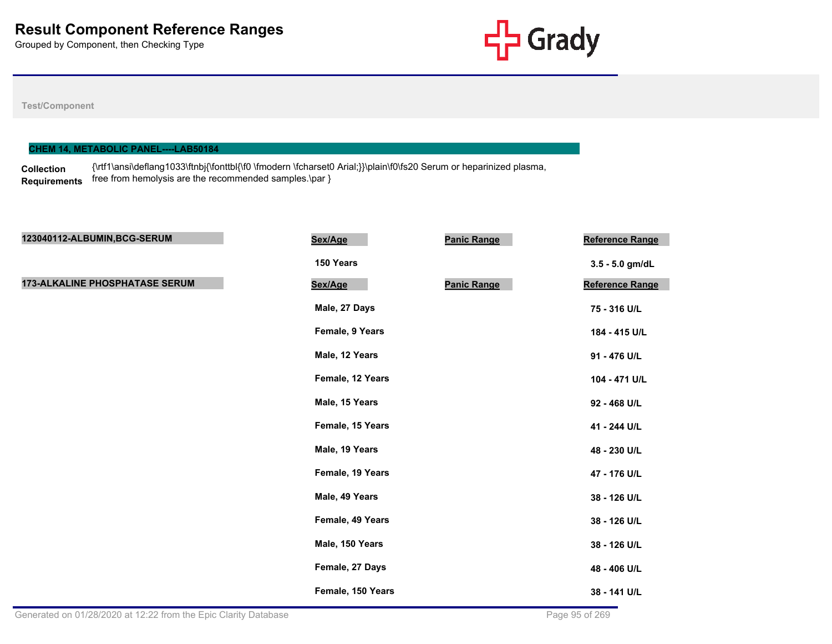

#### **Test/Component**

### **CHEM 14, METABOLIC PANEL----LAB50184**

**Collection Requirements** {\rtf1\ansi\deflang1033\ftnbj{\fonttbl{\f0 \fmodern \fcharset0 Arial;}}\plain\f0\fs20 Serum or heparinized plasma, free from hemolysis are the recommended samples.\par }

| 123040112-ALBUMIN, BCG-SERUM          | Sex/Age           | <b>Panic Range</b> | Reference Range |
|---------------------------------------|-------------------|--------------------|-----------------|
|                                       | 150 Years         |                    | 3.5 - 5.0 gm/dL |
| <b>173-ALKALINE PHOSPHATASE SERUM</b> | Sex/Age           | <b>Panic Range</b> | Reference Range |
|                                       | Male, 27 Days     |                    | 75 - 316 U/L    |
|                                       | Female, 9 Years   |                    | 184 - 415 U/L   |
|                                       | Male, 12 Years    |                    | 91 - 476 U/L    |
|                                       | Female, 12 Years  |                    | 104 - 471 U/L   |
|                                       | Male, 15 Years    |                    | 92 - 468 U/L    |
|                                       | Female, 15 Years  |                    | 41 - 244 U/L    |
|                                       | Male, 19 Years    |                    | 48 - 230 U/L    |
|                                       | Female, 19 Years  |                    | 47 - 176 U/L    |
|                                       | Male, 49 Years    |                    | 38 - 126 U/L    |
|                                       | Female, 49 Years  |                    | 38 - 126 U/L    |
|                                       | Male, 150 Years   |                    | 38 - 126 U/L    |
|                                       | Female, 27 Days   |                    | 48 - 406 U/L    |
|                                       | Female, 150 Years |                    | 38 - 141 U/L    |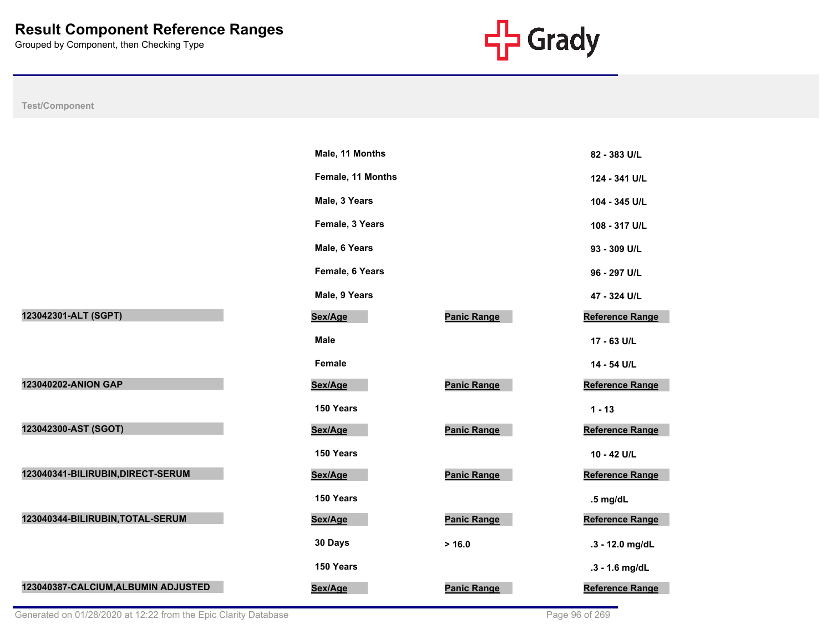

|                                     | Male, 11 Months   |                    | 82 - 383 U/L           |
|-------------------------------------|-------------------|--------------------|------------------------|
|                                     | Female, 11 Months |                    | 124 - 341 U/L          |
|                                     | Male, 3 Years     |                    | 104 - 345 U/L          |
|                                     | Female, 3 Years   |                    | 108 - 317 U/L          |
|                                     | Male, 6 Years     |                    | 93 - 309 U/L           |
|                                     | Female, 6 Years   |                    | 96 - 297 U/L           |
|                                     | Male, 9 Years     |                    | 47 - 324 U/L           |
| 123042301-ALT (SGPT)                | Sex/Age           | <b>Panic Range</b> | <b>Reference Range</b> |
|                                     | <b>Male</b>       |                    | 17 - 63 U/L            |
|                                     | <b>Female</b>     |                    | 14 - 54 U/L            |
| 123040202-ANION GAP                 | Sex/Age           | <b>Panic Range</b> | Reference Range        |
|                                     | 150 Years         |                    | $1 - 13$               |
| 123042300-AST (SGOT)                | Sex/Age           | <b>Panic Range</b> | <b>Reference Range</b> |
|                                     | 150 Years         |                    | 10 - 42 U/L            |
| 123040341-BILIRUBIN, DIRECT-SERUM   | Sex/Age           | <b>Panic Range</b> | <b>Reference Range</b> |
|                                     | 150 Years         |                    | $.5$ mg/dL             |
| 123040344-BILIRUBIN, TOTAL-SERUM    | Sex/Age           | <b>Panic Range</b> | Reference Range        |
|                                     | 30 Days           | > 16.0             | .3 - 12.0 mg/dL        |
|                                     | 150 Years         |                    | .3 - 1.6 mg/dL         |
| 123040387-CALCIUM, ALBUMIN ADJUSTED | Sex/Age           | <b>Panic Range</b> | <b>Reference Range</b> |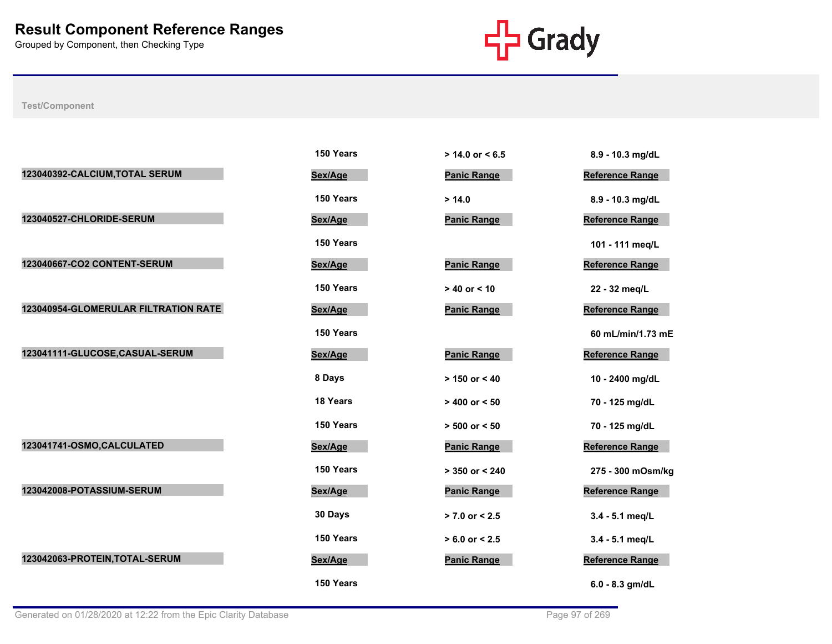

|                                      | 150 Years | $> 14.0$ or $< 6.5$ | 8.9 - 10.3 mg/dL       |
|--------------------------------------|-----------|---------------------|------------------------|
| 123040392-CALCIUM, TOTAL SERUM       | Sex/Age   | <b>Panic Range</b>  | <b>Reference Range</b> |
|                                      | 150 Years | > 14.0              | 8.9 - 10.3 mg/dL       |
| 123040527-CHLORIDE-SERUM             | Sex/Age   | <b>Panic Range</b>  | Reference Range        |
|                                      | 150 Years |                     | 101 - 111 meg/L        |
| 123040667-CO2 CONTENT-SERUM          | Sex/Age   | <b>Panic Range</b>  | <b>Reference Range</b> |
|                                      | 150 Years | $> 40$ or $< 10$    | 22 - 32 meg/L          |
| 123040954-GLOMERULAR FILTRATION RATE | Sex/Age   | <b>Panic Range</b>  | Reference Range        |
|                                      | 150 Years |                     | 60 mL/min/1.73 mE      |
| 123041111-GLUCOSE,CASUAL-SERUM       | Sex/Age   | <b>Panic Range</b>  | Reference Range        |
|                                      | 8 Days    | $> 150$ or < 40     | 10 - 2400 mg/dL        |
|                                      | 18 Years  | $> 400$ or $< 50$   | 70 - 125 mg/dL         |
|                                      | 150 Years | $> 500$ or $< 50$   | 70 - 125 mg/dL         |
| 123041741-OSMO, CALCULATED           | Sex/Age   | <b>Panic Range</b>  | Reference Range        |
|                                      | 150 Years | $> 350$ or $< 240$  | 275 - 300 mOsm/kg      |
| 123042008-POTASSIUM-SERUM            | Sex/Age   | <b>Panic Range</b>  | <b>Reference Range</b> |
|                                      | 30 Days   | $> 7.0$ or < 2.5    | 3.4 - 5.1 meg/L        |
|                                      | 150 Years | $> 6.0$ or $< 2.5$  | 3.4 - 5.1 meg/L        |
| 123042063-PROTEIN, TOTAL-SERUM       | Sex/Age   | <b>Panic Range</b>  | <b>Reference Range</b> |
|                                      | 150 Years |                     | $6.0 - 8.3$ gm/dL      |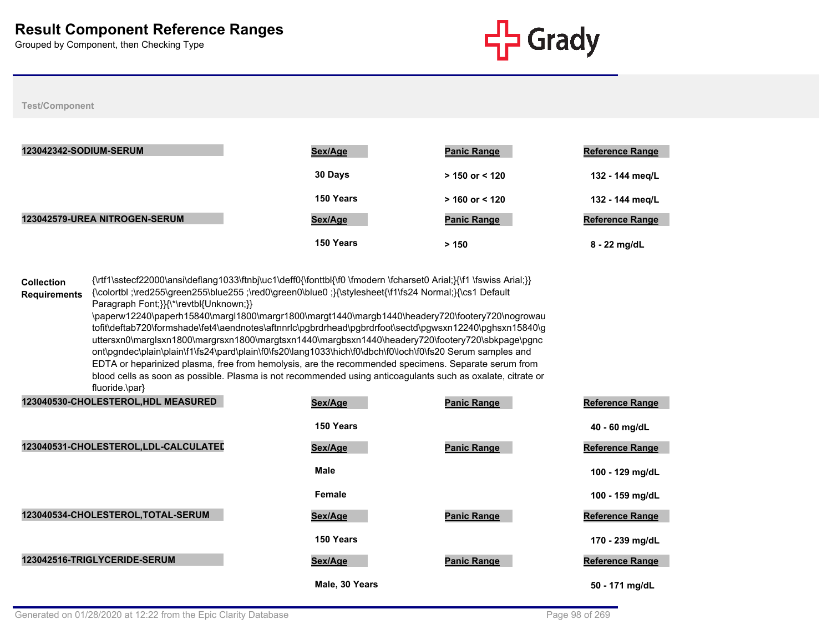

#### **Test/Component**

| <b>123042342-SODIUM-SERUM</b> | Sex/Age   | <b>Panic Range</b> | <b>Reference Range</b> |
|-------------------------------|-----------|--------------------|------------------------|
|                               | 30 Days   | $> 150$ or < 120   | 132 - 144 meg/L        |
|                               | 150 Years | $>$ 160 or < 120   | 132 - 144 meg/L        |
| 123042579-UREA NITROGEN-SERUM | Sex/Age   | <b>Panic Range</b> | <b>Reference Range</b> |
|                               | 150 Years | > 150              | 8 - 22 mg/dL           |

**Collection Requirements** {\rtf1\sstecf22000\ansi\deflang1033\ftnbj\uc1\deff0{\fonttbl{\f0 \fmodern \fcharset0 Arial;}{\f1 \fswiss Arial;}} {\colortbl ;\red255\green255\blue255 ;\red0\green0\blue0 ;}{\stylesheet{\f1\fs24 Normal;}{\cs1 Default Paragraph Font;}}{\\*\revtbl{Unknown;}} \paperw12240\paperh15840\margl1800\margr1800\margt1440\margb1440\headery720\footery720\nogrowau tofit\deftab720\formshade\fet4\aendnotes\aftnnrlc\pgbrdrhead\pgbrdrfoot\sectd\pgwsxn12240\pghsxn15840\g uttersxn0\marglsxn1800\margrsxn1800\margtsxn1440\margbsxn1440\headery720\footery720\sbkpage\pgnc ont\pgndec\plain\plain\f1\fs24\pard\plain\f0\fs20\lang1033\hich\f0\dbch\f0\loch\f0\fs20 Serum samples and EDTA or heparinized plasma, free from hemolysis, are the recommended specimens. Separate serum from blood cells as soon as possible. Plasma is not recommended using anticoagulants such as oxalate, citrate or fluoride.\par}

| 123040530-CHOLESTEROL, HDL MEASURED  | Sex/Age        | <b>Panic Range</b> | <b>Reference Range</b> |
|--------------------------------------|----------------|--------------------|------------------------|
|                                      | 150 Years      |                    | 40 - 60 mg/dL          |
| 123040531-CHOLESTEROL,LDL-CALCULATED | Sex/Age        | <b>Panic Range</b> | <b>Reference Range</b> |
|                                      | <b>Male</b>    |                    | 100 - 129 mg/dL        |
|                                      | Female         |                    | 100 - 159 mg/dL        |
| 123040534-CHOLESTEROL, TOTAL-SERUM   | Sex/Age        | <b>Panic Range</b> | <b>Reference Range</b> |
|                                      | 150 Years      |                    | 170 - 239 mg/dL        |
| 123042516-TRIGLYCERIDE-SERUM         | Sex/Age        | <b>Panic Range</b> | <b>Reference Range</b> |
|                                      | Male, 30 Years |                    | 50 - 171 ma/dL         |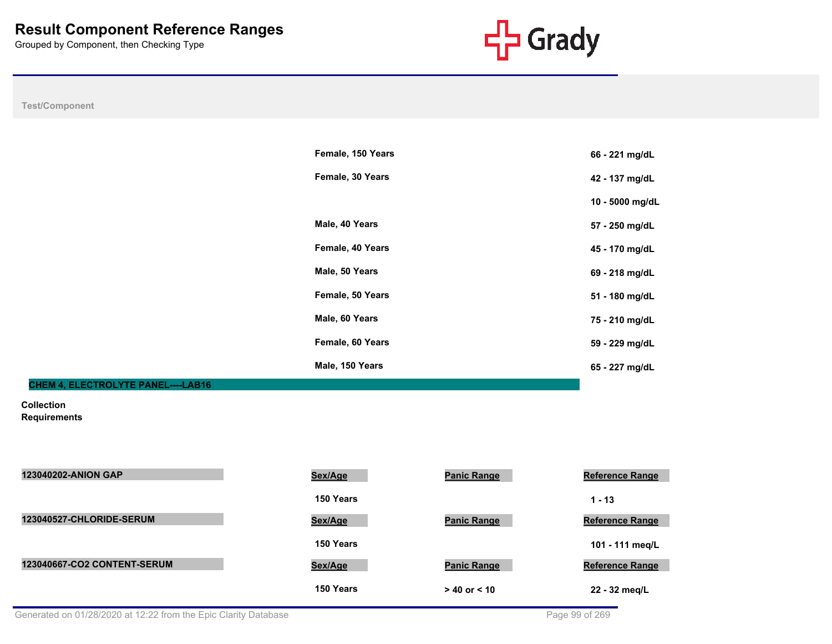

### **Test/Component**

|                                           | Female, 150 Years | 66 - 221 mg/dL  |
|-------------------------------------------|-------------------|-----------------|
|                                           | Female, 30 Years  | 42 - 137 mg/dL  |
|                                           |                   | 10 - 5000 mg/dL |
|                                           | Male, 40 Years    | 57 - 250 mg/dL  |
|                                           | Female, 40 Years  | 45 - 170 mg/dL  |
|                                           | Male, 50 Years    | 69 - 218 mg/dL  |
|                                           | Female, 50 Years  | 51 - 180 mg/dL  |
|                                           | Male, 60 Years    | 75 - 210 mg/dL  |
|                                           | Female, 60 Years  | 59 - 229 mg/dL  |
|                                           | Male, 150 Years   | 65 - 227 mg/dL  |
| <b>CHEM 4. ELECTROLYTE PANEL----LAB16</b> |                   |                 |

## **Collection**

**Requirements**

| Requirements |  |  |
|--------------|--|--|
|              |  |  |

| <b>123040202-ANION GAP</b>  | Sex/Age   | <b>Panic Range</b> | <b>Reference Range</b> |
|-----------------------------|-----------|--------------------|------------------------|
|                             | 150 Years |                    | $1 - 13$               |
| 123040527-CHLORIDE-SERUM    | Sex/Age   | <b>Panic Range</b> | <b>Reference Range</b> |
|                             | 150 Years |                    | 101 - 111 meg/L        |
| 123040667-CO2 CONTENT-SERUM | Sex/Age   | <b>Panic Range</b> | <b>Reference Range</b> |
|                             | 150 Years | $> 40$ or $< 10$   | 22 - 32 meg/L          |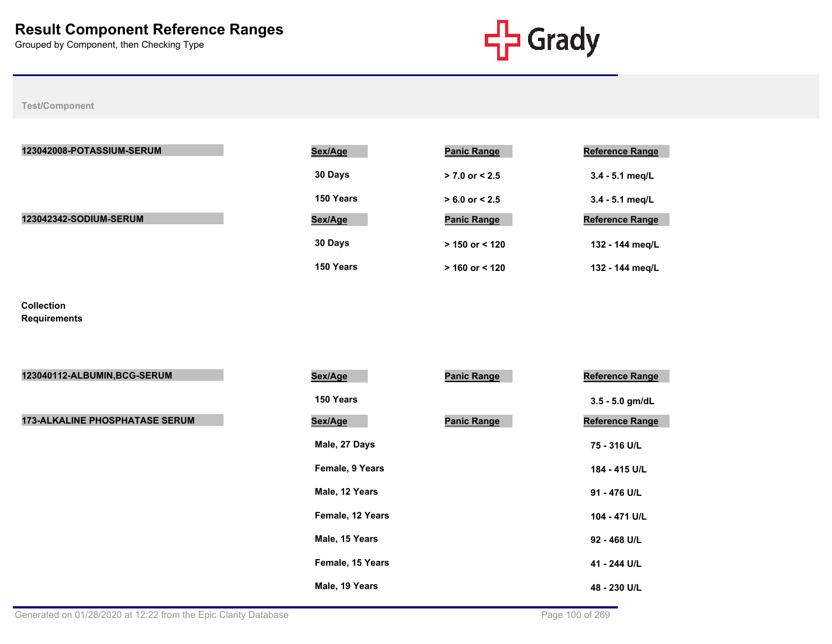

**Test/Component**

| 123042008-POTASSIUM-SERUM     | Sex/Age   | <b>Panic Range</b> | <b>Reference Range</b> |
|-------------------------------|-----------|--------------------|------------------------|
|                               | 30 Days   | $> 7.0$ or $< 2.5$ | $3.4 - 5.1$ meg/L      |
|                               | 150 Years | $> 6.0$ or $< 2.5$ | $3.4 - 5.1$ meg/L      |
| <b>123042342-SODIUM-SERUM</b> | Sex/Age   | <b>Panic Range</b> | <b>Reference Range</b> |
|                               | 30 Days   | $> 150$ or $< 120$ | 132 - 144 meg/L        |
|                               | 150 Years | $> 160$ or $< 120$ | 132 - 144 meg/L        |

**Collection Requirements**

| 123040112-ALBUMIN, BCG-SERUM          | Sex/Age          | <b>Panic Range</b> | Reference Range        |
|---------------------------------------|------------------|--------------------|------------------------|
|                                       | 150 Years        |                    | $3.5 - 5.0$ gm/dL      |
| <b>173-ALKALINE PHOSPHATASE SERUM</b> | Sex/Age          | <b>Panic Range</b> | <b>Reference Range</b> |
|                                       | Male, 27 Days    |                    | 75 - 316 U/L           |
|                                       | Female, 9 Years  |                    | 184 - 415 U/L          |
|                                       | Male, 12 Years   |                    | 91 - 476 U/L           |
|                                       | Female, 12 Years |                    | 104 - 471 U/L          |
|                                       | Male, 15 Years   |                    | 92 - 468 U/L           |
|                                       | Female, 15 Years |                    | 41 - 244 U/L           |
|                                       | Male, 19 Years   |                    | 48 - 230 U/L           |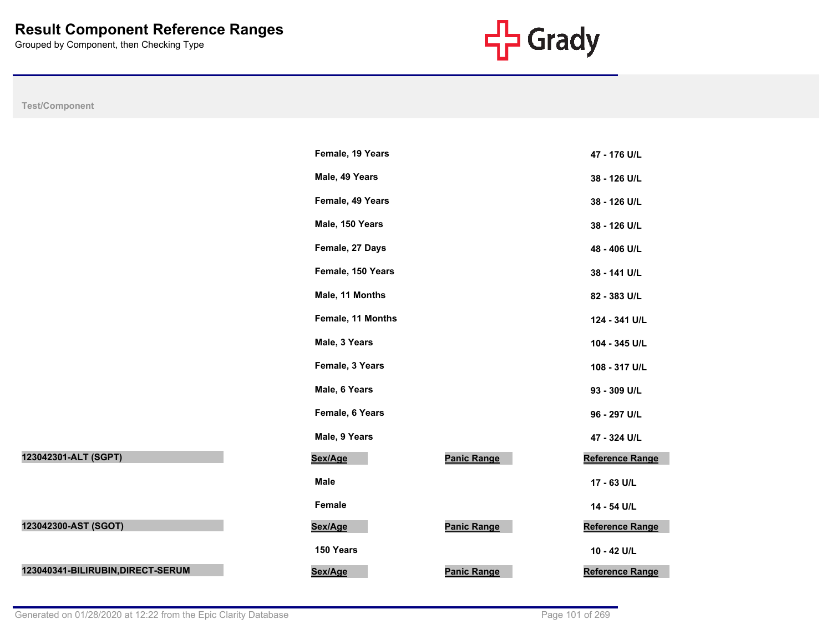

**Test/Component**

|                                   | Female, 19 Years  |                    | 47 - 176 U/L           |  |
|-----------------------------------|-------------------|--------------------|------------------------|--|
|                                   | Male, 49 Years    |                    | 38 - 126 U/L           |  |
|                                   | Female, 49 Years  |                    | 38 - 126 U/L           |  |
|                                   | Male, 150 Years   |                    | 38 - 126 U/L           |  |
|                                   | Female, 27 Days   |                    | 48 - 406 U/L           |  |
|                                   | Female, 150 Years |                    | 38 - 141 U/L           |  |
|                                   | Male, 11 Months   |                    | 82 - 383 U/L           |  |
|                                   | Female, 11 Months |                    | 124 - 341 U/L          |  |
|                                   | Male, 3 Years     |                    | 104 - 345 U/L          |  |
|                                   | Female, 3 Years   |                    | 108 - 317 U/L          |  |
|                                   | Male, 6 Years     |                    | 93 - 309 U/L           |  |
|                                   | Female, 6 Years   |                    | 96 - 297 U/L           |  |
|                                   | Male, 9 Years     |                    | 47 - 324 U/L           |  |
| 123042301-ALT (SGPT)              | Sex/Age           | <b>Panic Range</b> | Reference Range        |  |
|                                   | <b>Male</b>       |                    | 17 - 63 U/L            |  |
|                                   | Female            |                    | 14 - 54 U/L            |  |
| 123042300-AST (SGOT)              | Sex/Age           | <b>Panic Range</b> | <b>Reference Range</b> |  |
|                                   | 150 Years         |                    | 10 - 42 U/L            |  |
| 123040341-BILIRUBIN, DIRECT-SERUM | Sex/Age           | <b>Panic Range</b> | Reference Range        |  |

# **123042301-ALT (SGPT) Sex/Age Panic Range Reference Range**

| 123042300-AST (SGOT) |  |
|----------------------|--|
|                      |  |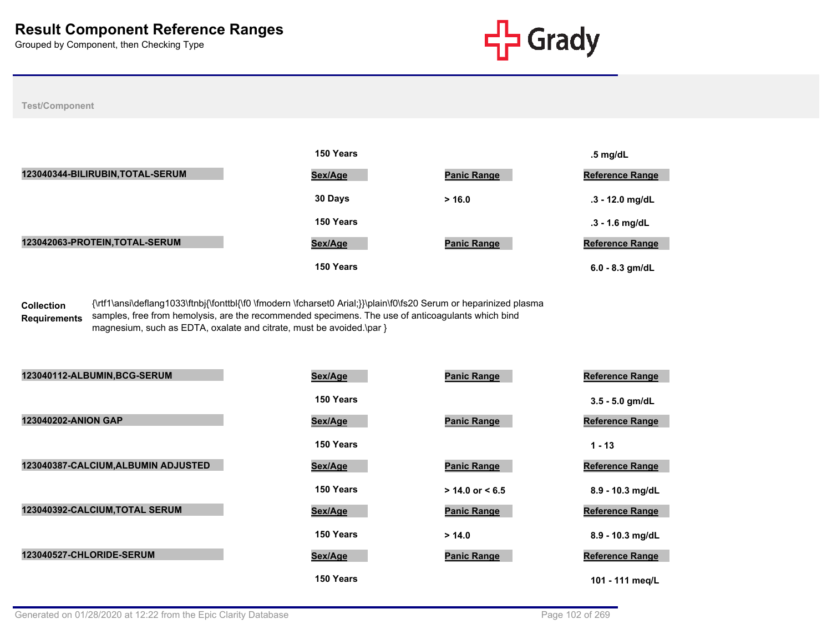

#### **Test/Component**

|                                  | 150 Years |                    | $.5 \text{ mg/dL}$     |
|----------------------------------|-----------|--------------------|------------------------|
| 123040344-BILIRUBIN, TOTAL-SERUM | Sex/Age   | <b>Panic Range</b> | <b>Reference Range</b> |
|                                  | 30 Days   | > 16.0             | $.3 - 12.0$ mg/dL      |
|                                  | 150 Years |                    | $.3 - 1.6$ mg/dL       |
| 123042063-PROTEIN, TOTAL-SERUM   | Sex/Age   | <b>Panic Range</b> | <b>Reference Range</b> |
|                                  | 150 Years |                    | $6.0 - 8.3$ gm/dL      |

**Collection Requirements** {\rtf1\ansi\deflang1033\ftnbj{\fonttbl{\f0 \fmodern \fcharset0 Arial;}}\plain\f0\fs20 Serum or heparinized plasma samples, free from hemolysis, are the recommended specimens. The use of anticoagulants which bind magnesium, such as EDTA, oxalate and citrate, must be avoided.\par }

| 123040112-ALBUMIN, BCG-SERUM        | Sex/Age   | <b>Panic Range</b>  | <b>Reference Range</b> |
|-------------------------------------|-----------|---------------------|------------------------|
|                                     | 150 Years |                     | $3.5 - 5.0$ gm/dL      |
| <b>123040202-ANION GAP</b>          | Sex/Age   | <b>Panic Range</b>  | <b>Reference Range</b> |
|                                     | 150 Years |                     | $1 - 13$               |
| 123040387-CALCIUM, ALBUMIN ADJUSTED | Sex/Age   | <b>Panic Range</b>  | <b>Reference Range</b> |
|                                     | 150 Years | $> 14.0$ or $< 6.5$ | 8.9 - 10.3 mg/dL       |
| 123040392-CALCIUM, TOTAL SERUM      | Sex/Age   | <b>Panic Range</b>  | <b>Reference Range</b> |
|                                     | 150 Years | > 14.0              | 8.9 - 10.3 mg/dL       |
| 123040527-CHLORIDE-SERUM            | Sex/Age   | <b>Panic Range</b>  | <b>Reference Range</b> |
|                                     | 150 Years |                     | 101 - 111 meg/L        |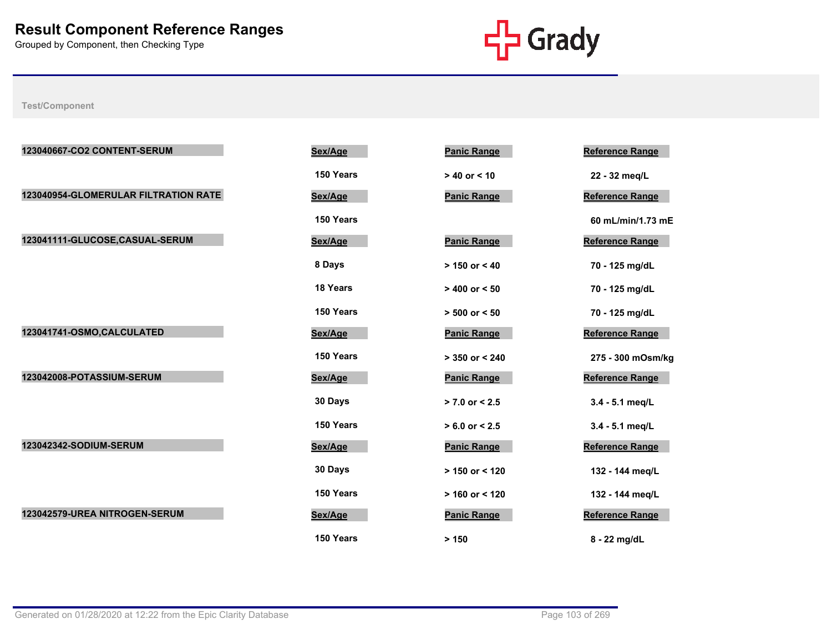

| 123040667-CO2 CONTENT-SERUM          | Sex/Age         | <b>Panic Range</b> | <b>Reference Range</b> |
|--------------------------------------|-----------------|--------------------|------------------------|
|                                      | 150 Years       | $> 40$ or $< 10$   | 22 - 32 meg/L          |
| 123040954-GLOMERULAR FILTRATION RATE | Sex/Age         | <b>Panic Range</b> | Reference Range        |
|                                      | 150 Years       |                    | 60 mL/min/1.73 mE      |
| 123041111-GLUCOSE,CASUAL-SERUM       | Sex/Age         | <b>Panic Range</b> | Reference Range        |
|                                      | 8 Days          | $> 150$ or < 40    | 70 - 125 mg/dL         |
|                                      | <b>18 Years</b> | $> 400$ or $< 50$  | 70 - 125 mg/dL         |
|                                      | 150 Years       | $> 500$ or $< 50$  | 70 - 125 mg/dL         |
| 123041741-OSMO, CALCULATED           | Sex/Age         | <b>Panic Range</b> | <b>Reference Range</b> |
|                                      | 150 Years       | $> 350$ or $< 240$ | 275 - 300 mOsm/kg      |
| 123042008-POTASSIUM-SERUM            | Sex/Age         | <b>Panic Range</b> | Reference Range        |
|                                      | 30 Days         | $> 7.0$ or $< 2.5$ | 3.4 - 5.1 meg/L        |
|                                      | 150 Years       | $> 6.0$ or $< 2.5$ | 3.4 - 5.1 meg/L        |
| 123042342-SODIUM-SERUM               | Sex/Age         | <b>Panic Range</b> | Reference Range        |
|                                      | 30 Days         | $> 150$ or < 120   | 132 - 144 meg/L        |
|                                      | 150 Years       | $> 160$ or < 120   | 132 - 144 meg/L        |
| 123042579-UREA NITROGEN-SERUM        | Sex/Age         | <b>Panic Range</b> | Reference Range        |
|                                      | 150 Years       | > 150              | 8 - 22 mg/dL           |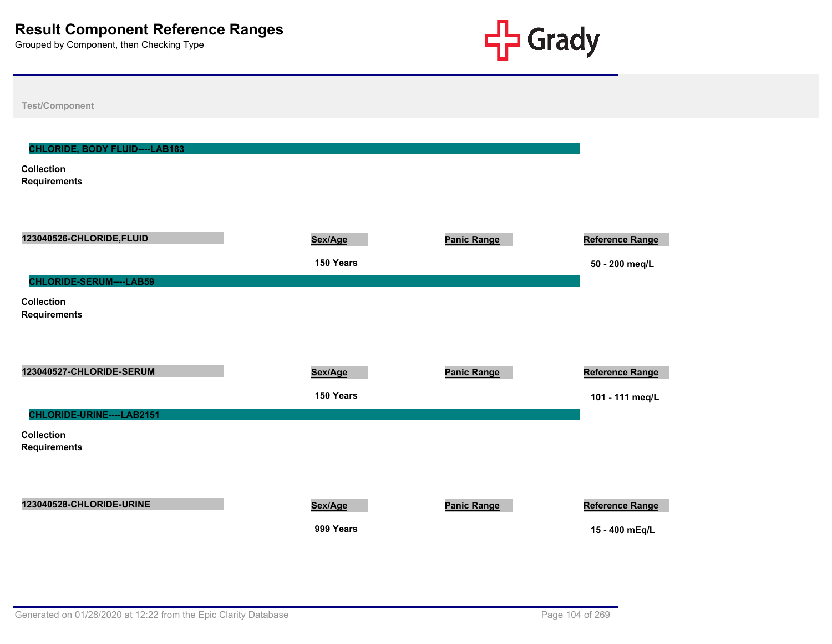

| <b>Test/Component</b>                                                             |                      |                    |                                           |
|-----------------------------------------------------------------------------------|----------------------|--------------------|-------------------------------------------|
| <b>CHLORIDE, BODY FLUID----LAB183</b><br><b>Collection</b><br><b>Requirements</b> |                      |                    |                                           |
| 123040526-CHLORIDE, FLUID<br>CHLORIDE-SERUM----LAB59                              | Sex/Age<br>150 Years | <b>Panic Range</b> | Reference Range<br>50 - 200 meq/L         |
| <b>Collection</b><br><b>Requirements</b>                                          |                      |                    |                                           |
| 123040527-CHLORIDE-SERUM                                                          | Sex/Age<br>150 Years | <b>Panic Range</b> | <b>Reference Range</b><br>101 - 111 meq/L |
| CHLORIDE-URINE----LAB2151<br><b>Collection</b><br><b>Requirements</b>             |                      |                    |                                           |
| 123040528-CHLORIDE-URINE                                                          | Sex/Age<br>999 Years | <b>Panic Range</b> | Reference Range<br>15 - 400 mEq/L         |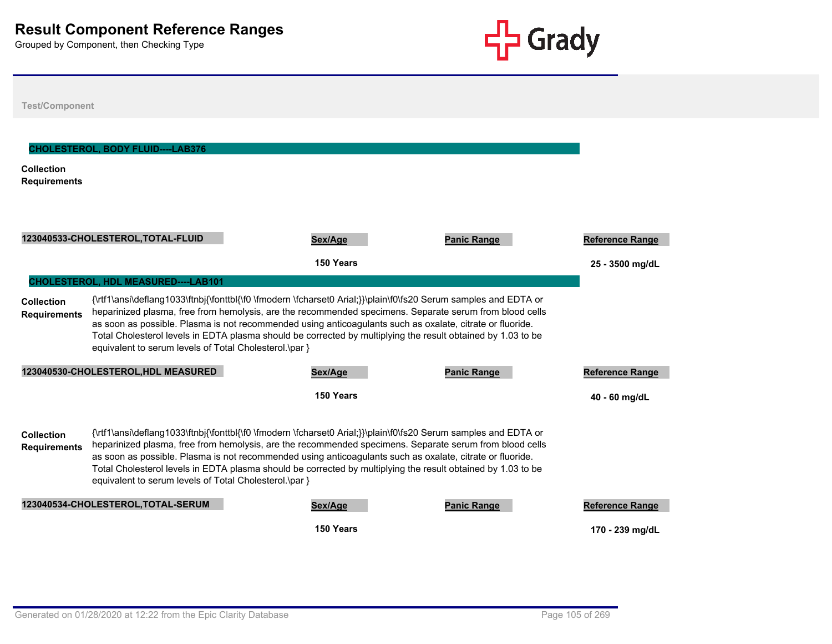

| <b>Test/Component</b>                    |                                                        |                                                                                                                                                                                                                                                                                                                                                                                                                                                         |                    |                        |
|------------------------------------------|--------------------------------------------------------|---------------------------------------------------------------------------------------------------------------------------------------------------------------------------------------------------------------------------------------------------------------------------------------------------------------------------------------------------------------------------------------------------------------------------------------------------------|--------------------|------------------------|
| <b>Collection</b><br><b>Requirements</b> | <b>CHOLESTEROL, BODY FLUID----LAB376</b>               |                                                                                                                                                                                                                                                                                                                                                                                                                                                         |                    |                        |
|                                          | 123040533-CHOLESTEROL, TOTAL-FLUID                     | Sex/Age                                                                                                                                                                                                                                                                                                                                                                                                                                                 | <b>Panic Range</b> | <b>Reference Range</b> |
|                                          |                                                        | 150 Years                                                                                                                                                                                                                                                                                                                                                                                                                                               |                    | 25 - 3500 mg/dL        |
|                                          | <b>CHOLESTEROL, HDL MEASURED----LAB101</b>             |                                                                                                                                                                                                                                                                                                                                                                                                                                                         |                    |                        |
| Collection<br><b>Requirements</b>        | equivalent to serum levels of Total Cholesterol.\par } | {\rtf1\ansi\deflang1033\ftnbj{\fonttbl{\f0 \fmodern \fcharset0 Arial;}}\plain\f0\fs20 Serum samples and EDTA or<br>heparinized plasma, free from hemolysis, are the recommended specimens. Separate serum from blood cells<br>as soon as possible. Plasma is not recommended using anticoagulants such as oxalate, citrate or fluoride.<br>Total Cholesterol levels in EDTA plasma should be corrected by multiplying the result obtained by 1.03 to be |                    |                        |
|                                          | 123040530-CHOLESTEROL, HDL MEASURED                    | Sex/Age                                                                                                                                                                                                                                                                                                                                                                                                                                                 | <b>Panic Range</b> | <b>Reference Range</b> |
|                                          |                                                        | 150 Years                                                                                                                                                                                                                                                                                                                                                                                                                                               |                    | 40 - 60 mg/dL          |
| <b>Collection</b><br><b>Requirements</b> | equivalent to serum levels of Total Cholesterol.\par } | {\rtf1\ansi\deflang1033\ftnbj{\fonttbl{\f0 \fmodern \fcharset0 Arial;}}\plain\f0\fs20 Serum samples and EDTA or<br>heparinized plasma, free from hemolysis, are the recommended specimens. Separate serum from blood cells<br>as soon as possible. Plasma is not recommended using anticoagulants such as oxalate, citrate or fluoride.<br>Total Cholesterol levels in EDTA plasma should be corrected by multiplying the result obtained by 1.03 to be |                    |                        |
|                                          | 123040534-CHOLESTEROL, TOTAL-SERUM                     | Sex/Age                                                                                                                                                                                                                                                                                                                                                                                                                                                 | <b>Panic Range</b> | <b>Reference Range</b> |
|                                          |                                                        | 150 Years                                                                                                                                                                                                                                                                                                                                                                                                                                               |                    | 170 - 239 mg/dL        |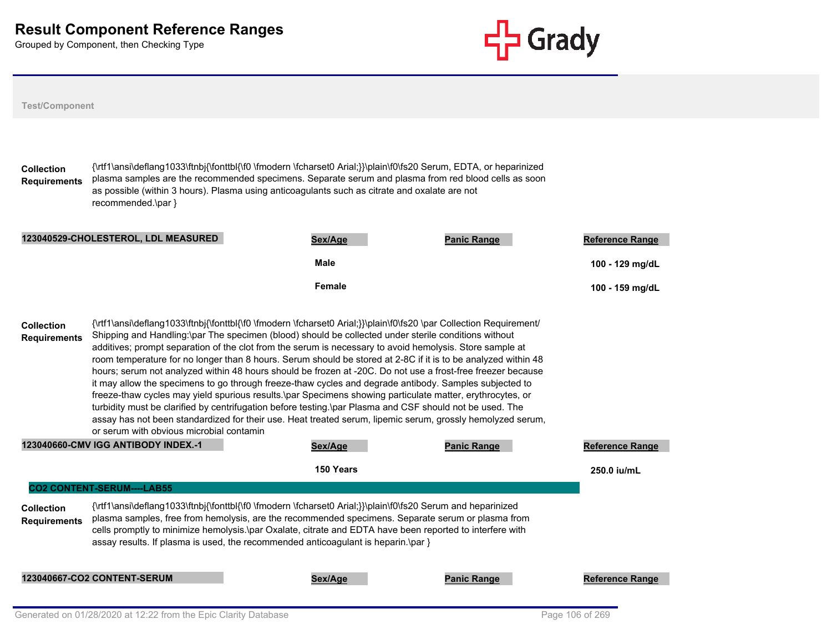

| <b>Test/Component</b>                                                                         |                                                                                                                                                                                                                                                                                                                                                                                                                                                                                                                                                                                                                                                                                                                                                                                                                                                                                                                                                                                                                                                                                                  |                        |                    |                                           |  |  |  |  |
|-----------------------------------------------------------------------------------------------|--------------------------------------------------------------------------------------------------------------------------------------------------------------------------------------------------------------------------------------------------------------------------------------------------------------------------------------------------------------------------------------------------------------------------------------------------------------------------------------------------------------------------------------------------------------------------------------------------------------------------------------------------------------------------------------------------------------------------------------------------------------------------------------------------------------------------------------------------------------------------------------------------------------------------------------------------------------------------------------------------------------------------------------------------------------------------------------------------|------------------------|--------------------|-------------------------------------------|--|--|--|--|
| <b>Collection</b><br><b>Requirements</b>                                                      | {\rtf1\ansi\deflang1033\ftnbj{\fonttbl{\f0 \fmodern \fcharset0 Arial;}}\plain\f0\fs20 Serum, EDTA, or heparinized<br>plasma samples are the recommended specimens. Separate serum and plasma from red blood cells as soon<br>as possible (within 3 hours). Plasma using anticoagulants such as citrate and oxalate are not<br>recommended.\par }                                                                                                                                                                                                                                                                                                                                                                                                                                                                                                                                                                                                                                                                                                                                                 |                        |                    |                                           |  |  |  |  |
|                                                                                               | 123040529-CHOLESTEROL, LDL MEASURED                                                                                                                                                                                                                                                                                                                                                                                                                                                                                                                                                                                                                                                                                                                                                                                                                                                                                                                                                                                                                                                              | Sex/Age<br><b>Male</b> | <b>Panic Range</b> | <b>Reference Range</b><br>100 - 129 mg/dL |  |  |  |  |
| <b>Collection</b><br><b>Requirements</b>                                                      | Female<br>100 - 159 mg/dL<br>{\rtf1\ansi\deflang1033\ftnbj{\fonttbl{\f0 \fmodern \fcharset0 Arial;}}\plain\f0\fs20 \par Collection Requirement/<br>Shipping and Handling:\par The specimen (blood) should be collected under sterile conditions without<br>additives; prompt separation of the clot from the serum is necessary to avoid hemolysis. Store sample at<br>room temperature for no longer than 8 hours. Serum should be stored at 2-8C if it is to be analyzed within 48<br>hours; serum not analyzed within 48 hours should be frozen at -20C. Do not use a frost-free freezer because<br>it may allow the specimens to go through freeze-thaw cycles and degrade antibody. Samples subjected to<br>freeze-thaw cycles may yield spurious results.\par Specimens showing particulate matter, erythrocytes, or<br>turbidity must be clarified by centrifugation before testing.\par Plasma and CSF should not be used. The<br>assay has not been standardized for their use. Heat treated serum, lipemic serum, grossly hemolyzed serum,<br>or serum with obvious microbial contamin |                        |                    |                                           |  |  |  |  |
|                                                                                               | 123040660-CMV IGG ANTIBODY INDEX.-1                                                                                                                                                                                                                                                                                                                                                                                                                                                                                                                                                                                                                                                                                                                                                                                                                                                                                                                                                                                                                                                              | Sex/Age                | <b>Panic Range</b> | <b>Reference Range</b>                    |  |  |  |  |
|                                                                                               | <b>CO2 CONTENT-SERUM----LAB55</b>                                                                                                                                                                                                                                                                                                                                                                                                                                                                                                                                                                                                                                                                                                                                                                                                                                                                                                                                                                                                                                                                | 150 Years              |                    | 250.0 iu/mL                               |  |  |  |  |
| <b>Collection</b><br><b>Requirements</b>                                                      | {\rtf1\ansi\deflang1033\ftnbj{\fonttbl{\f0 \fmodern \fcharset0 Arial;}}\plain\f0\fs20 Serum and heparinized<br>plasma samples, free from hemolysis, are the recommended specimens. Separate serum or plasma from<br>cells promptly to minimize hemolysis.\par Oxalate, citrate and EDTA have been reported to interfere with<br>assay results. If plasma is used, the recommended anticoagulant is heparin.\par $\}$                                                                                                                                                                                                                                                                                                                                                                                                                                                                                                                                                                                                                                                                             |                        |                    |                                           |  |  |  |  |
| <b>123040667-CO2 CONTENT-SERUM</b><br><b>Panic Range</b><br><b>Reference Range</b><br>Sex/Age |                                                                                                                                                                                                                                                                                                                                                                                                                                                                                                                                                                                                                                                                                                                                                                                                                                                                                                                                                                                                                                                                                                  |                        |                    |                                           |  |  |  |  |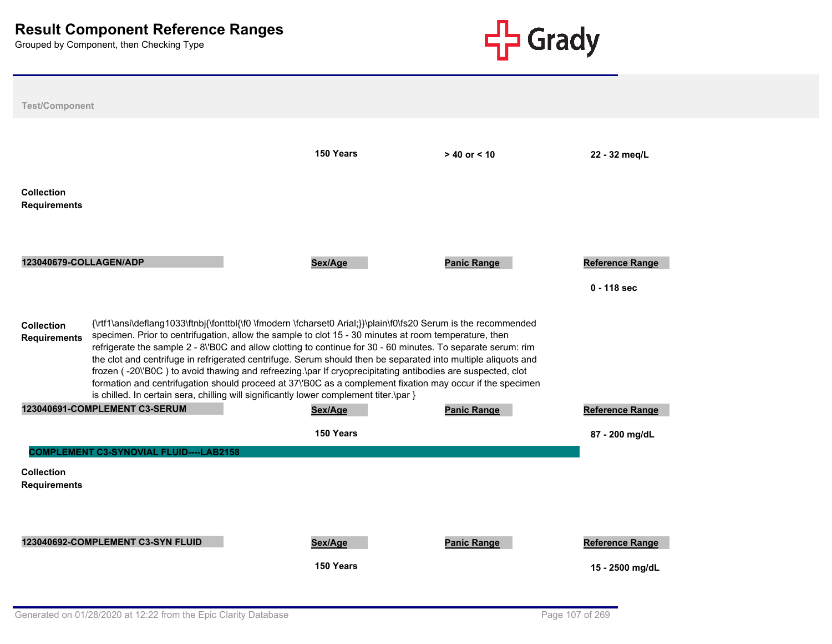

| <b>Test/Component</b>                                                                                                                                                                                                                                                                                                                                                                                                                                                                                                                                                                                                                                                                                                                                                                                                     |                                                |                      |                    |                                           |  |  |  |  |
|---------------------------------------------------------------------------------------------------------------------------------------------------------------------------------------------------------------------------------------------------------------------------------------------------------------------------------------------------------------------------------------------------------------------------------------------------------------------------------------------------------------------------------------------------------------------------------------------------------------------------------------------------------------------------------------------------------------------------------------------------------------------------------------------------------------------------|------------------------------------------------|----------------------|--------------------|-------------------------------------------|--|--|--|--|
|                                                                                                                                                                                                                                                                                                                                                                                                                                                                                                                                                                                                                                                                                                                                                                                                                           |                                                | 150 Years            | $> 40$ or $< 10$   | 22 - 32 meg/L                             |  |  |  |  |
| <b>Collection</b><br><b>Requirements</b>                                                                                                                                                                                                                                                                                                                                                                                                                                                                                                                                                                                                                                                                                                                                                                                  |                                                |                      |                    |                                           |  |  |  |  |
| 123040679-COLLAGEN/ADP                                                                                                                                                                                                                                                                                                                                                                                                                                                                                                                                                                                                                                                                                                                                                                                                    |                                                | Sex/Age              | <b>Panic Range</b> | <b>Reference Range</b><br>$0 - 118$ sec   |  |  |  |  |
| {\rtf1\ansi\deflang1033\ftnbj{\fonttbl{\f0 \fmodern \fcharset0 Arial;}}\plain\f0\fs20 Serum is the recommended<br><b>Collection</b><br>specimen. Prior to centrifugation, allow the sample to clot 15 - 30 minutes at room temperature, then<br><b>Requirements</b><br>refrigerate the sample 2 - 8\'BOC and allow clotting to continue for 30 - 60 minutes. To separate serum: rim<br>the clot and centrifuge in refrigerated centrifuge. Serum should then be separated into multiple aliquots and<br>frozen (-20\'B0C) to avoid thawing and refreezing.\par If cryoprecipitating antibodies are suspected, clot<br>formation and centrifugation should proceed at 37\'B0C as a complement fixation may occur if the specimen<br>is chilled. In certain sera, chilling will significantly lower complement titer.\par } |                                                |                      |                    |                                           |  |  |  |  |
|                                                                                                                                                                                                                                                                                                                                                                                                                                                                                                                                                                                                                                                                                                                                                                                                                           | 123040691-COMPLEMENT C3-SERUM                  | Sex/Age              | <b>Panic Range</b> | <b>Reference Range</b>                    |  |  |  |  |
|                                                                                                                                                                                                                                                                                                                                                                                                                                                                                                                                                                                                                                                                                                                                                                                                                           | <b>COMPLEMENT C3-SYNOVIAL FLUID----LAB2158</b> | 150 Years            |                    | 87 - 200 mg/dL                            |  |  |  |  |
| <b>Collection</b><br><b>Requirements</b>                                                                                                                                                                                                                                                                                                                                                                                                                                                                                                                                                                                                                                                                                                                                                                                  |                                                |                      |                    |                                           |  |  |  |  |
|                                                                                                                                                                                                                                                                                                                                                                                                                                                                                                                                                                                                                                                                                                                                                                                                                           | 123040692-COMPLEMENT C3-SYN FLUID              | Sex/Age<br>150 Years | <b>Panic Range</b> | <b>Reference Range</b><br>15 - 2500 mg/dL |  |  |  |  |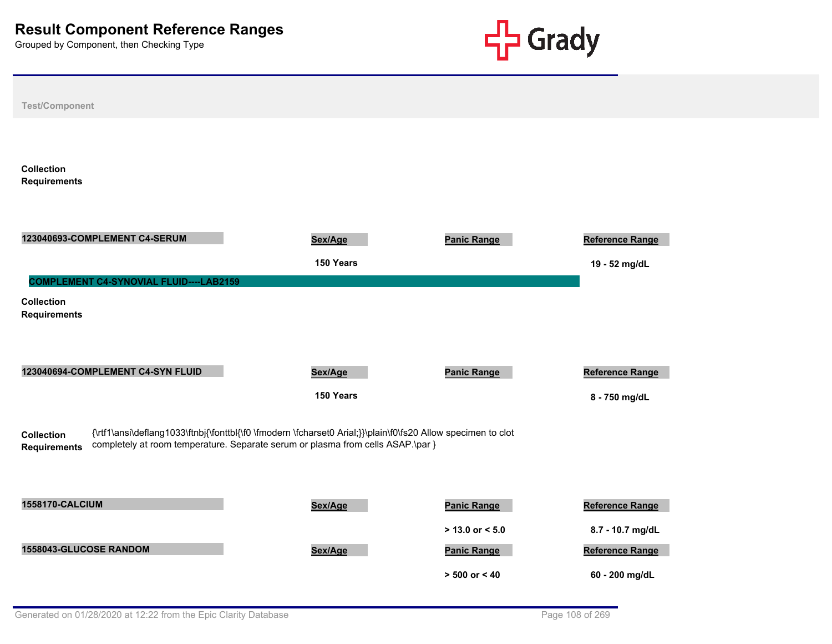

| <b>Test/Component</b>                                                                                                                                                                                                                       |                      |                                           |                                     |  |  |  |  |
|---------------------------------------------------------------------------------------------------------------------------------------------------------------------------------------------------------------------------------------------|----------------------|-------------------------------------------|-------------------------------------|--|--|--|--|
| <b>Collection</b><br><b>Requirements</b>                                                                                                                                                                                                    |                      |                                           |                                     |  |  |  |  |
| 123040693-COMPLEMENT C4-SERUM                                                                                                                                                                                                               | Sex/Age<br>150 Years | <b>Panic Range</b>                        | Reference Range<br>19 - 52 mg/dL    |  |  |  |  |
| <b>COMPLEMENT C4-SYNOVIAL FLUID----LAB2159</b><br><b>Collection</b><br><b>Requirements</b>                                                                                                                                                  |                      |                                           |                                     |  |  |  |  |
| 123040694-COMPLEMENT C4-SYN FLUID                                                                                                                                                                                                           | Sex/Age<br>150 Years | <b>Panic Range</b>                        | Reference Range<br>8 - 750 mg/dL    |  |  |  |  |
| {\rtf1\ansi\deflang1033\ftnbj{\fonttbl{\f0 \fmodern \fcharset0 Arial;}}\plain\f0\fs20 Allow specimen to clot<br><b>Collection</b><br>completely at room temperature. Separate serum or plasma from cells ASAP.\par }<br><b>Requirements</b> |                      |                                           |                                     |  |  |  |  |
| <b>1558170-CALCIUM</b>                                                                                                                                                                                                                      | Sex/Age              | <b>Panic Range</b><br>$> 13.0$ or $< 5.0$ | Reference Range<br>8.7 - 10.7 mg/dL |  |  |  |  |
| 1558043-GLUCOSE RANDOM                                                                                                                                                                                                                      | Sex/Age              | <b>Panic Range</b><br>$> 500$ or $< 40$   | Reference Range<br>60 - 200 mg/dL   |  |  |  |  |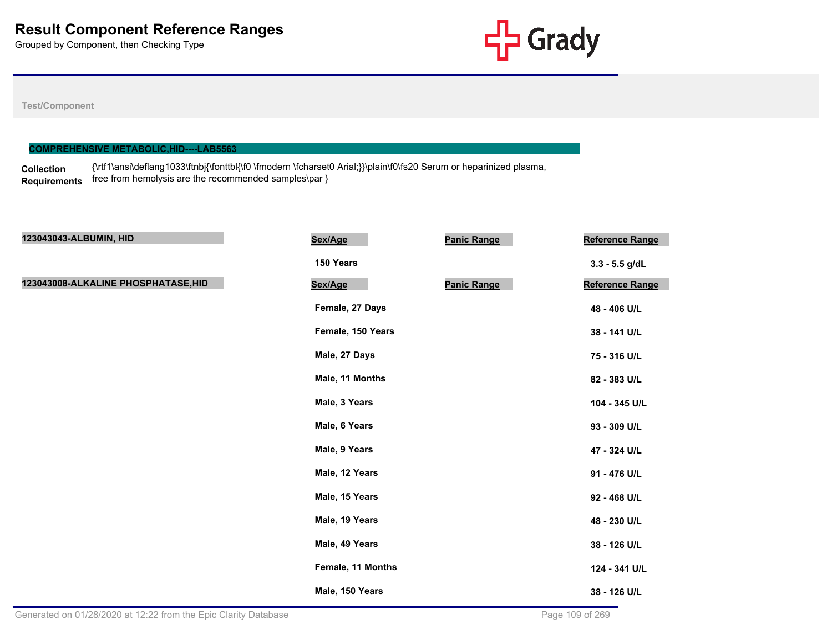

## **Test/Component**

### **COMPREHENSIVE METABOLIC,HID----LAB5563**

**Collection Requirements** {\rtf1\ansi\deflang1033\ftnbj{\fonttbl{\f0 \fmodern \fcharset0 Arial;}}\plain\f0\fs20 Serum or heparinized plasma, free from hemolysis are the recommended samples\par }

| 123043043-ALBUMIN, HID              | Sex/Age           | <b>Panic Range</b> | Reference Range  |
|-------------------------------------|-------------------|--------------------|------------------|
|                                     | 150 Years         |                    | $3.3 - 5.5$ g/dL |
| 123043008-ALKALINE PHOSPHATASE, HID | Sex/Age           | <b>Panic Range</b> | Reference Range  |
|                                     | Female, 27 Days   |                    | 48 - 406 U/L     |
|                                     | Female, 150 Years |                    | 38 - 141 U/L     |
|                                     | Male, 27 Days     |                    | 75 - 316 U/L     |
|                                     | Male, 11 Months   |                    | 82 - 383 U/L     |
|                                     | Male, 3 Years     |                    | 104 - 345 U/L    |
|                                     | Male, 6 Years     |                    | 93 - 309 U/L     |
|                                     | Male, 9 Years     |                    | 47 - 324 U/L     |
|                                     | Male, 12 Years    |                    | 91 - 476 U/L     |
|                                     | Male, 15 Years    |                    | 92 - 468 U/L     |
|                                     | Male, 19 Years    |                    | 48 - 230 U/L     |
|                                     | Male, 49 Years    |                    | 38 - 126 U/L     |
|                                     | Female, 11 Months |                    | 124 - 341 U/L    |
|                                     | Male, 150 Years   |                    | 38 - 126 U/L     |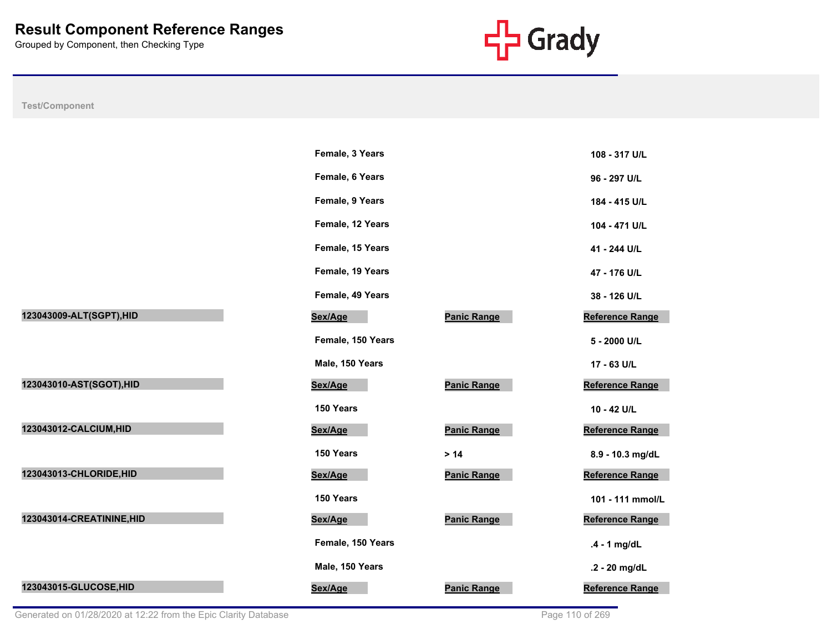

|                           | Female, 3 Years   |                    | 108 - 317 U/L          |
|---------------------------|-------------------|--------------------|------------------------|
|                           | Female, 6 Years   |                    | 96 - 297 U/L           |
|                           | Female, 9 Years   |                    | 184 - 415 U/L          |
|                           | Female, 12 Years  |                    | 104 - 471 U/L          |
|                           | Female, 15 Years  |                    | 41 - 244 U/L           |
|                           | Female, 19 Years  |                    | 47 - 176 U/L           |
|                           | Female, 49 Years  |                    | 38 - 126 U/L           |
| 123043009-ALT(SGPT), HID  | Sex/Age           | <b>Panic Range</b> | <b>Reference Range</b> |
|                           | Female, 150 Years |                    | 5 - 2000 U/L           |
|                           | Male, 150 Years   |                    | 17 - 63 U/L            |
| 123043010-AST(SGOT), HID  | Sex/Age           | <b>Panic Range</b> | <b>Reference Range</b> |
|                           | 150 Years         |                    | 10 - 42 U/L            |
| 123043012-CALCIUM, HID    | Sex/Age           | <b>Panic Range</b> | <b>Reference Range</b> |
|                           | 150 Years         | $>14$              | 8.9 - 10.3 mg/dL       |
| 123043013-CHLORIDE, HID   | Sex/Age           | <b>Panic Range</b> | <b>Reference Range</b> |
|                           | 150 Years         |                    | 101 - 111 mmol/L       |
| 123043014-CREATININE, HID | Sex/Age           | <b>Panic Range</b> | <b>Reference Range</b> |
|                           | Female, 150 Years |                    | $.4 - 1$ mg/dL         |
|                           | Male, 150 Years   |                    | .2 - 20 mg/dL          |
| 123043015-GLUCOSE, HID    | Sex/Age           | <b>Panic Range</b> | <b>Reference Range</b> |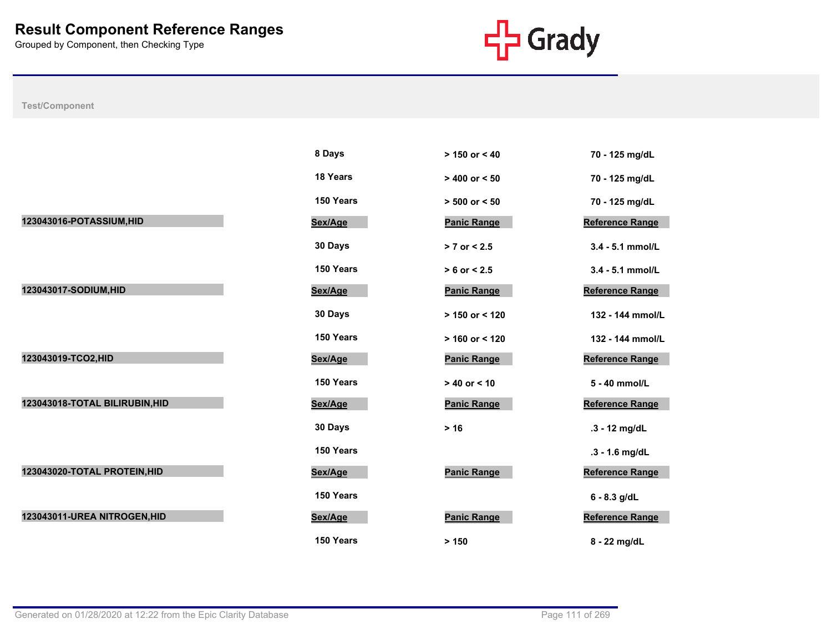

|                                | 8 Days    | $> 150$ or $< 40$  | 70 - 125 mg/dL         |
|--------------------------------|-----------|--------------------|------------------------|
|                                | 18 Years  | $> 400$ or $< 50$  | 70 - 125 mg/dL         |
|                                | 150 Years | $> 500$ or $< 50$  | 70 - 125 mg/dL         |
| 123043016-POTASSIUM, HID       | Sex/Age   | <b>Panic Range</b> | Reference Range        |
|                                | 30 Days   | $> 7$ or $< 2.5$   | 3.4 - 5.1 mmol/L       |
|                                | 150 Years | $> 6$ or $< 2.5$   | 3.4 - 5.1 mmol/L       |
| 123043017-SODIUM, HID          | Sex/Age   | <b>Panic Range</b> | <b>Reference Range</b> |
|                                | 30 Days   | $> 150$ or < 120   | 132 - 144 mmol/L       |
|                                | 150 Years | $> 160$ or < 120   | 132 - 144 mmol/L       |
| 123043019-TCO2, HID            | Sex/Age   | <b>Panic Range</b> | <b>Reference Range</b> |
|                                | 150 Years | $> 40$ or $< 10$   | 5 - 40 mmol/L          |
| 123043018-TOTAL BILIRUBIN, HID | Sex/Age   | <b>Panic Range</b> | <b>Reference Range</b> |
|                                | 30 Days   | $> 16$             | .3 - 12 mg/dL          |
|                                | 150 Years |                    | .3 - 1.6 mg/dL         |
| 123043020-TOTAL PROTEIN, HID   | Sex/Age   | <b>Panic Range</b> | <b>Reference Range</b> |
|                                | 150 Years |                    | $6 - 8.3$ g/dL         |
| 123043011-UREA NITROGEN, HID   | Sex/Age   | <b>Panic Range</b> | <b>Reference Range</b> |
|                                | 150 Years | > 150              | 8 - 22 mg/dL           |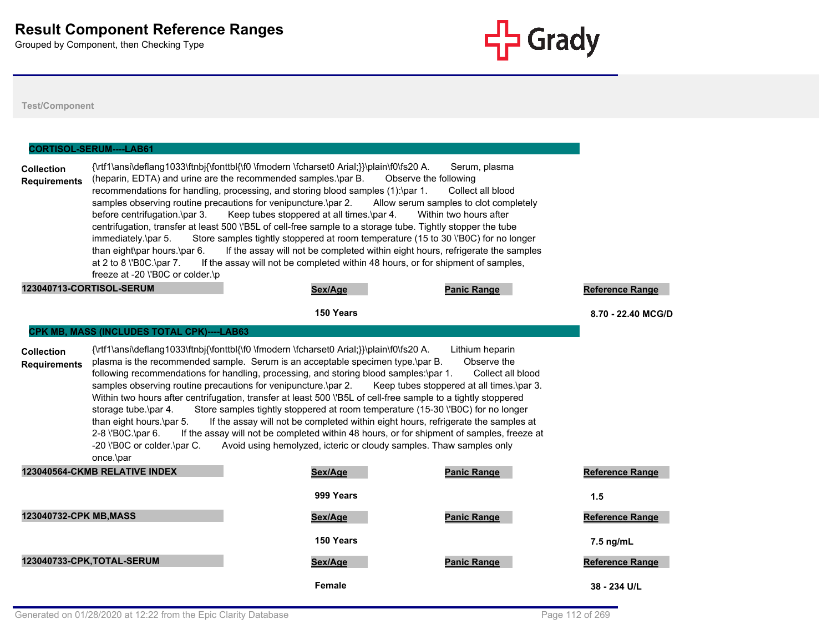

**Test/Component**

# **Collection Requirements** {\rtf1\ansi\deflang1033\ftnbj{\fonttbl{\f0 \fmodern \fcharset0 Arial;}}\plain\f0\fs20 A. Serum, plasma (heparin, EDTA) and urine are the recommended samples.\par B. Observe the following recommendations for handling, processing, and storing blood samples (1):\par 1. Collect all blood samples observing routine precautions for venipuncture.\par 2. Allow serum samples to clot completely before centrifugation.\par 3. Keep tubes stoppered at all times.\par 4. Within two hours after centrifugation, transfer at least 500 \'B5L of cell-free sample to a storage tube. Tightly stopper the tube immediately.\par 5. Store samples tightly stoppered at room temperature (15 to 30 \'B0C) for no longer than eight\par hours.\par 6. If the assay will not be completed within eight hours, refrigerate the samples at 2 to 8 \'B0C.\par 7. If the assay will not be completed within 48 hours, or for shipment of samples, freeze at -20 \'B0C or colder.\p **CORTISOL-SERUM----LAB61 123040713-CORTISOL-SERUM Sex/Age Panic Range Reference Range 150 Years 8.70 - 22.40 MCG/DL Collection Requirements** {\rtf1\ansi\deflang1033\ftnbj{\fonttbl{\f0 \fmodern \fcharset0 Arial;}}\plain\f0\fs20 A. Lithium heparin plasma is the recommended sample. Serum is an acceptable specimen type.\par B. Observe the following recommendations for handling, processing, and storing blood samples:\par 1. Collect all blood samples observing routine precautions for venipuncture.\par 2. Keep tubes stoppered at all times.\par 3. Within two hours after centrifugation, transfer at least 500 \'B5L of cell-free sample to a tightly stoppered storage tube.\par 4. Store samples tightly stoppered at room temperature (15-30 \'B0C) for no longer than eight hours.\par 5. If the assay will not be completed within eight hours, refrigerate the samples at 2-8 \'B0C.\par 6. If the assay will not be completed within 48 hours, or for shipment of samples, freeze at -20 \'B0C or colder.\par C. Avoid using hemolyzed, icteric or cloudy samples. Thaw samples only once.\par **CPK MB, MASS (INCLUDES TOTAL CPK)----LAB63 123040564-CKMB RELATIVE INDEX Sex/Age Panic Range Reference Range 999 Years 1.5 123040732-CPK MB,MASS Sex/Age Panic Range Reference Range 150 Years 7.5 ng/mL 123040733-CPK,TOTAL-SERUM Sex/Age Panic Range Reference Range Female 38 - 234 U/L**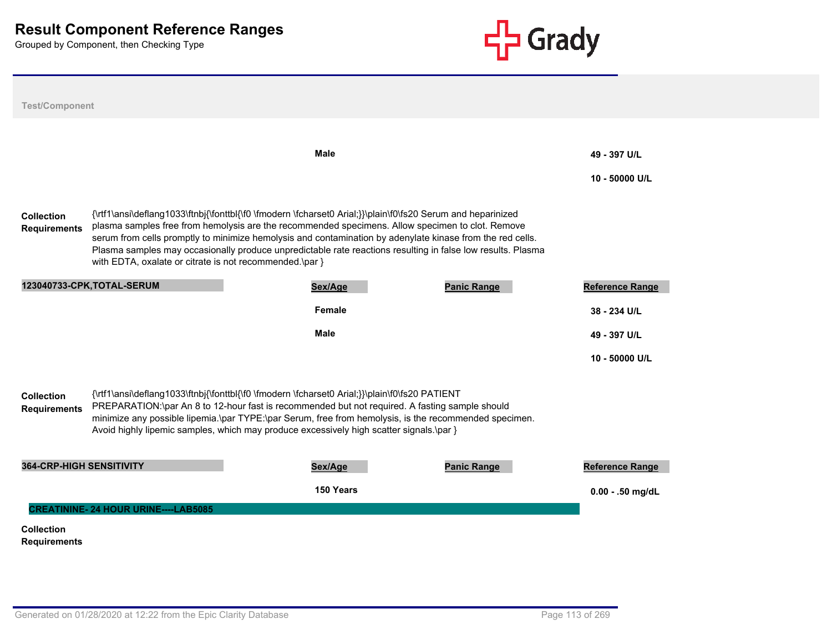

| <b>Test/Component</b>                    |                                                                                                                                                                                                                                                                                                                                                                                                                                                                                                        |               |                    |                                |
|------------------------------------------|--------------------------------------------------------------------------------------------------------------------------------------------------------------------------------------------------------------------------------------------------------------------------------------------------------------------------------------------------------------------------------------------------------------------------------------------------------------------------------------------------------|---------------|--------------------|--------------------------------|
|                                          |                                                                                                                                                                                                                                                                                                                                                                                                                                                                                                        | <b>Male</b>   |                    | 49 - 397 U/L<br>10 - 50000 U/L |
| <b>Collection</b><br><b>Requirements</b> | {\rtf1\ansi\deflang1033\ftnbj{\fonttbl{\f0 \fmodern \fcharset0 Arial;}}\plain\f0\fs20 Serum and heparinized<br>plasma samples free from hemolysis are the recommended specimens. Allow specimen to clot. Remove<br>serum from cells promptly to minimize hemolysis and contamination by adenylate kinase from the red cells.<br>Plasma samples may occasionally produce unpredictable rate reactions resulting in false low results. Plasma<br>with EDTA, oxalate or citrate is not recommended.\par } |               |                    |                                |
|                                          | 123040733-CPK, TOTAL-SERUM                                                                                                                                                                                                                                                                                                                                                                                                                                                                             | Sex/Age       | <b>Panic Range</b> | <b>Reference Range</b>         |
|                                          |                                                                                                                                                                                                                                                                                                                                                                                                                                                                                                        | <b>Female</b> |                    | 38 - 234 U/L                   |
|                                          |                                                                                                                                                                                                                                                                                                                                                                                                                                                                                                        | <b>Male</b>   |                    | 49 - 397 U/L                   |
|                                          |                                                                                                                                                                                                                                                                                                                                                                                                                                                                                                        |               |                    | 10 - 50000 U/L                 |
| <b>Collection</b><br><b>Requirements</b> | {\rtf1\ansi\deflang1033\ftnbj{\fonttbl{\f0 \fmodern \fcharset0 Arial;}}\plain\f0\fs20 PATIENT<br>PREPARATION:\par An 8 to 12-hour fast is recommended but not required. A fasting sample should<br>minimize any possible lipemia.\par TYPE:\par Serum, free from hemolysis, is the recommended specimen.<br>Avoid highly lipemic samples, which may produce excessively high scatter signals.\par }                                                                                                    |               |                    |                                |
| <b>364-CRP-HIGH SENSITIVITY</b>          |                                                                                                                                                                                                                                                                                                                                                                                                                                                                                                        | Sex/Age       | <b>Panic Range</b> | <b>Reference Range</b>         |
|                                          |                                                                                                                                                                                                                                                                                                                                                                                                                                                                                                        | 150 Years     |                    | $0.00 - .50$ mg/dL             |
|                                          | <b>CREATININE-24 HOUR URINE----LAB5085</b>                                                                                                                                                                                                                                                                                                                                                                                                                                                             |               |                    |                                |
| <b>Collection</b>                        |                                                                                                                                                                                                                                                                                                                                                                                                                                                                                                        |               |                    |                                |
| <b>Requirements</b>                      |                                                                                                                                                                                                                                                                                                                                                                                                                                                                                                        |               |                    |                                |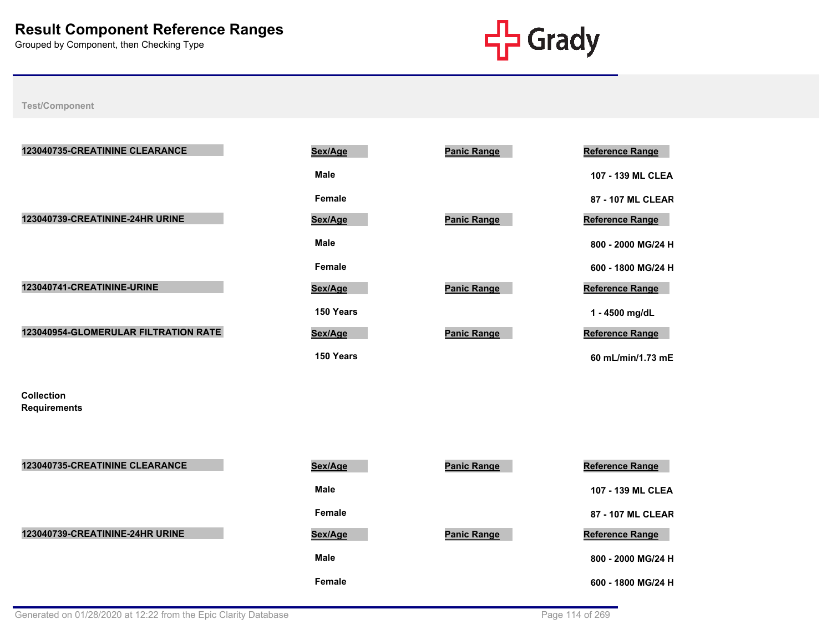

**Test/Component**

| 123040735-CREATININE CLEARANCE       | Sex/Age       | <b>Panic Range</b> | <b>Reference Range</b> |
|--------------------------------------|---------------|--------------------|------------------------|
|                                      | <b>Male</b>   |                    | 107 - 139 ML CLE       |
|                                      | Female        |                    | 87 - 107 ML CLEA       |
| 123040739-CREATININE-24HR URINE      | Sex/Age       | <b>Panic Range</b> | Reference Range        |
|                                      | <b>Male</b>   |                    | 800 - 2000 MG/24       |
|                                      | <b>Female</b> |                    | 600 - 1800 MG/24       |
| 123040741-CREATININE-URINE           | Sex/Age       | <b>Panic Range</b> | Reference Range        |
|                                      | 150 Years     |                    | 1 - 4500 mg/dL         |
| 123040954-GLOMERULAR FILTRATION RATE | Sex/Age       | <b>Panic Range</b> | <b>Reference Range</b> |
|                                      | 150 Years     |                    | 60 mL/min/1.73 m       |
| <b>Collection</b>                    |               |                    |                        |
| <b>Requirements</b>                  |               |                    |                        |
|                                      |               |                    |                        |
| 123040735-CREATININE CLEARANCE       | Sex/Age       | <b>Panic Range</b> | <b>Reference Range</b> |
|                                      | <b>Male</b>   |                    | 107 - 139 ML CLE       |

| Male          |  |
|---------------|--|
| <b>Female</b> |  |
| Sex/Age       |  |
| Male          |  |

| ex/Age           | <b>Panic Range</b> | <b>Reference Range</b> |
|------------------|--------------------|------------------------|
| Male             |                    | 107 - 139 ML CLEA      |
| Female           |                    | 87 - 107 ML CLEAR      |
| ex/Aqe           | <b>Panic Range</b> | <b>Reference Range</b> |
| Male             |                    | 800 - 2000 MG/24 H     |
| Female           |                    | 600 - 1800 MG/24 H     |
| ex/Aqe           | <b>Panic Range</b> | <b>Reference Range</b> |
| <b>150 Years</b> |                    | 1 - 4500 mg/dL         |
| ex/Aqe           | <b>Panic Range</b> | <b>Reference Range</b> |

| <b>123040735-CREATININE CLEARANCE</b> | Sex/Age     | <b>Panic Range</b> | <b>Reference Range</b> |
|---------------------------------------|-------------|--------------------|------------------------|
|                                       | <b>Male</b> |                    | 107 - 139 ML CLEA      |
|                                       | Female      |                    | 87 - 107 ML CLEAR      |
| 123040739-CREATININE-24HR URINE       | Sex/Age     | <b>Panic Range</b> | <b>Reference Range</b> |
|                                       | <b>Male</b> |                    | 800 - 2000 MG/24 H     |
|                                       | Female      |                    | 600 - 1800 MG/24 H     |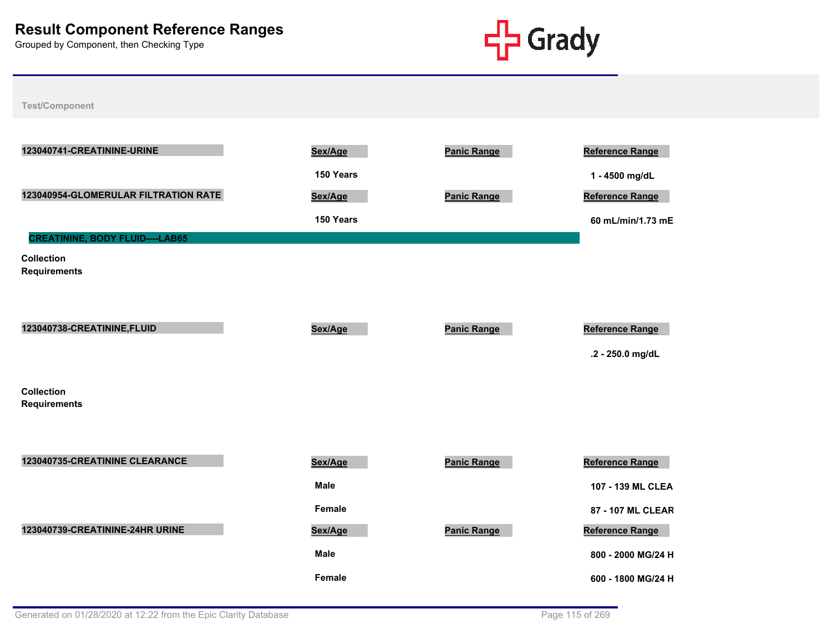

| 123040741-CREATININE-URINE               | Sex/Age       | <b>Panic Range</b> | <b>Reference Range</b> |
|------------------------------------------|---------------|--------------------|------------------------|
|                                          | 150 Years     |                    | 1 - 4500 mg/dL         |
| 123040954-GLOMERULAR FILTRATION RATE     | Sex/Age       | <b>Panic Range</b> | <b>Reference Range</b> |
|                                          | 150 Years     |                    | 60 mL/min/1.73 mE      |
| <b>CREATININE, BODY FLUID----LAB65</b>   |               |                    |                        |
| <b>Collection</b><br><b>Requirements</b> |               |                    |                        |
|                                          |               |                    |                        |
| 123040738-CREATININE, FLUID              | Sex/Age       | <b>Panic Range</b> | <b>Reference Range</b> |
|                                          |               |                    | .2 - 250.0 mg/dL       |
| <b>Collection</b><br><b>Requirements</b> |               |                    |                        |
|                                          |               |                    |                        |
| 123040735-CREATININE CLEARANCE           | Sex/Age       | <b>Panic Range</b> | <b>Reference Range</b> |
|                                          |               |                    |                        |
|                                          | <b>Male</b>   |                    | 107 - 139 ML CLEA      |
|                                          | Female        |                    | 87 - 107 ML CLEAR      |
| 123040739-CREATININE-24HR URINE          | Sex/Age       | <b>Panic Range</b> | Reference Range        |
|                                          | <b>Male</b>   |                    | 800 - 2000 MG/24 H     |
|                                          | <b>Female</b> |                    | 600 - 1800 MG/24 H     |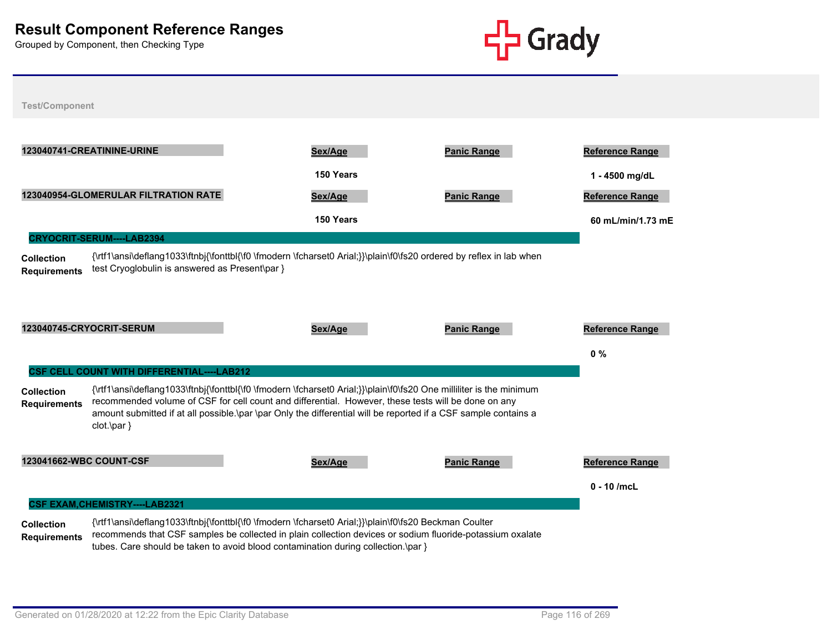

**Test/Component**



tubes. Care should be taken to avoid blood contamination during collection.\par }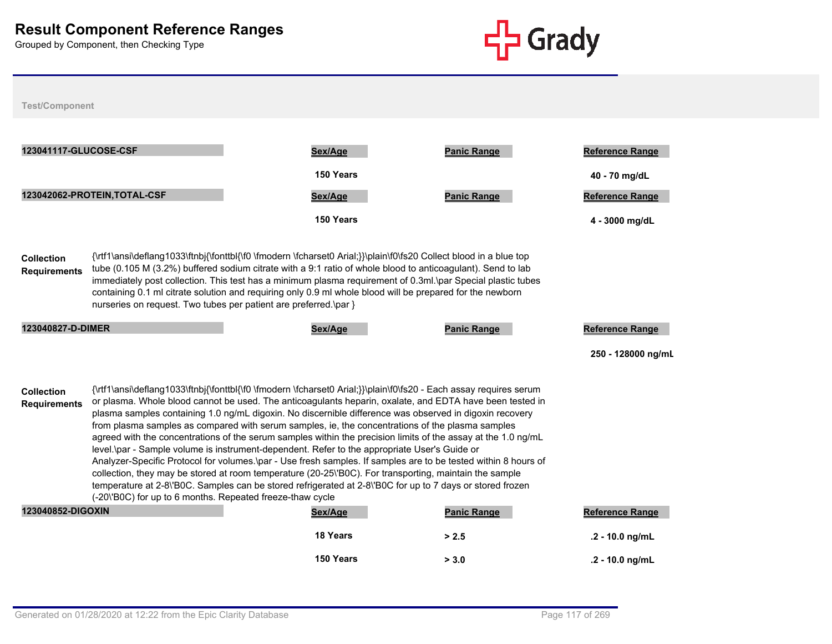

| 123041117-GLUCOSE-CSF                                                                                                                                                                                                                                                                                                                                                                                                                                                                                                                                                                                                                                                                                                                                                                                                                                                                                                                                                                                                                                                                                           |                                                                  | Sex/Age                                                                                                                                                                                                                                                                                                                                                                                                                                                      | <b>Panic Range</b> | Reference Range        |  |  |
|-----------------------------------------------------------------------------------------------------------------------------------------------------------------------------------------------------------------------------------------------------------------------------------------------------------------------------------------------------------------------------------------------------------------------------------------------------------------------------------------------------------------------------------------------------------------------------------------------------------------------------------------------------------------------------------------------------------------------------------------------------------------------------------------------------------------------------------------------------------------------------------------------------------------------------------------------------------------------------------------------------------------------------------------------------------------------------------------------------------------|------------------------------------------------------------------|--------------------------------------------------------------------------------------------------------------------------------------------------------------------------------------------------------------------------------------------------------------------------------------------------------------------------------------------------------------------------------------------------------------------------------------------------------------|--------------------|------------------------|--|--|
|                                                                                                                                                                                                                                                                                                                                                                                                                                                                                                                                                                                                                                                                                                                                                                                                                                                                                                                                                                                                                                                                                                                 |                                                                  | 150 Years                                                                                                                                                                                                                                                                                                                                                                                                                                                    |                    | 40 - 70 mg/dL          |  |  |
|                                                                                                                                                                                                                                                                                                                                                                                                                                                                                                                                                                                                                                                                                                                                                                                                                                                                                                                                                                                                                                                                                                                 | 123042062-PROTEIN, TOTAL-CSF                                     | Sex/Age                                                                                                                                                                                                                                                                                                                                                                                                                                                      | <b>Panic Range</b> | <b>Reference Range</b> |  |  |
|                                                                                                                                                                                                                                                                                                                                                                                                                                                                                                                                                                                                                                                                                                                                                                                                                                                                                                                                                                                                                                                                                                                 |                                                                  | 150 Years                                                                                                                                                                                                                                                                                                                                                                                                                                                    |                    | 4 - 3000 mg/dL         |  |  |
| <b>Collection</b><br><b>Requirements</b>                                                                                                                                                                                                                                                                                                                                                                                                                                                                                                                                                                                                                                                                                                                                                                                                                                                                                                                                                                                                                                                                        | nurseries on request. Two tubes per patient are preferred.\par } | {\rtf1\ansi\deflang1033\ftnbj{\fonttbl{\f0 \fmodern \fcharset0 Arial;}}\plain\f0\fs20 Collect blood in a blue top<br>tube (0.105 M (3.2%) buffered sodium citrate with a 9:1 ratio of whole blood to anticoagulant). Send to lab<br>immediately post collection. This test has a minimum plasma requirement of 0.3ml.\par Special plastic tubes<br>containing 0.1 ml citrate solution and requiring only 0.9 ml whole blood will be prepared for the newborn |                    |                        |  |  |
| 123040827-D-DIMER                                                                                                                                                                                                                                                                                                                                                                                                                                                                                                                                                                                                                                                                                                                                                                                                                                                                                                                                                                                                                                                                                               |                                                                  | Sex/Age                                                                                                                                                                                                                                                                                                                                                                                                                                                      | <b>Panic Range</b> | <b>Reference Range</b> |  |  |
|                                                                                                                                                                                                                                                                                                                                                                                                                                                                                                                                                                                                                                                                                                                                                                                                                                                                                                                                                                                                                                                                                                                 |                                                                  |                                                                                                                                                                                                                                                                                                                                                                                                                                                              |                    | 250 - 128000 ng/ml     |  |  |
| {\rtf1\ansi\deflang1033\ftnbj{\fonttbl{\f0 \fmodern \fcharset0 Arial;}}\plain\f0\fs20 - Each assay requires serum<br><b>Collection</b><br>or plasma. Whole blood cannot be used. The anticoagulants heparin, oxalate, and EDTA have been tested in<br><b>Requirements</b><br>plasma samples containing 1.0 ng/mL digoxin. No discernible difference was observed in digoxin recovery<br>from plasma samples as compared with serum samples, ie, the concentrations of the plasma samples<br>agreed with the concentrations of the serum samples within the precision limits of the assay at the 1.0 ng/mL<br>level.\par - Sample volume is instrument-dependent. Refer to the appropriate User's Guide or<br>Analyzer-Specific Protocol for volumes.\par - Use fresh samples. If samples are to be tested within 8 hours of<br>collection, they may be stored at room temperature (20-25\'B0C). For transporting, maintain the sample<br>temperature at 2-8\'B0C. Samples can be stored refrigerated at 2-8\'B0C for up to 7 days or stored frozen<br>(-20\'B0C) for up to 6 months. Repeated freeze-thaw cycle |                                                                  |                                                                                                                                                                                                                                                                                                                                                                                                                                                              |                    |                        |  |  |
| 123040852-DIGOXIN                                                                                                                                                                                                                                                                                                                                                                                                                                                                                                                                                                                                                                                                                                                                                                                                                                                                                                                                                                                                                                                                                               |                                                                  | Sex/Age                                                                                                                                                                                                                                                                                                                                                                                                                                                      | <b>Panic Range</b> | <b>Reference Range</b> |  |  |
|                                                                                                                                                                                                                                                                                                                                                                                                                                                                                                                                                                                                                                                                                                                                                                                                                                                                                                                                                                                                                                                                                                                 |                                                                  | 18 Years                                                                                                                                                                                                                                                                                                                                                                                                                                                     | > 2.5              | .2 - 10.0 ng/mL        |  |  |
|                                                                                                                                                                                                                                                                                                                                                                                                                                                                                                                                                                                                                                                                                                                                                                                                                                                                                                                                                                                                                                                                                                                 |                                                                  | 150 Years                                                                                                                                                                                                                                                                                                                                                                                                                                                    | > 3.0              | .2 - 10.0 ng/mL        |  |  |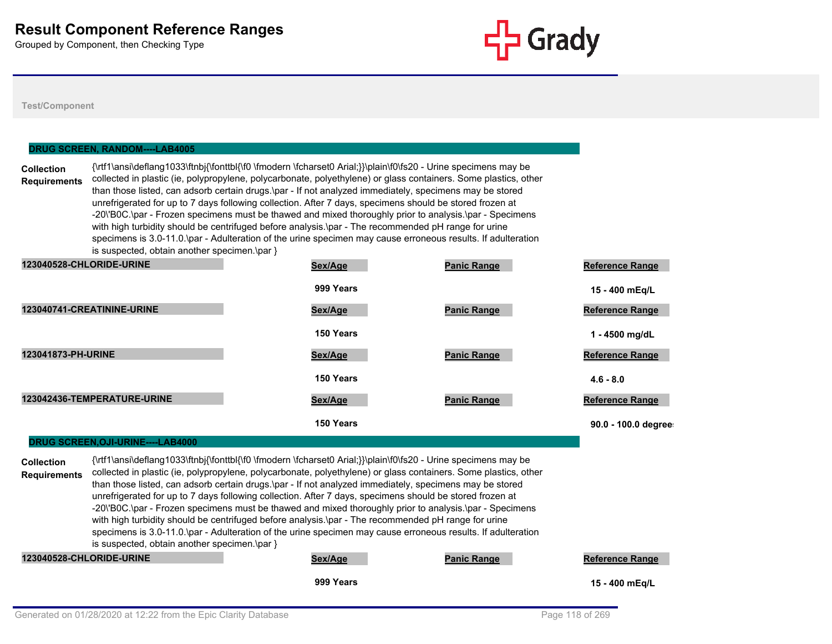

**Test/Component**

#### **DRUG SCREEN, RANDOM----LAB4005**

**Collection Requirements** {\rtf1\ansi\deflang1033\ftnbj{\fonttbl{\f0 \fmodern \fcharset0 Arial;}}\plain\f0\fs20 - Urine specimens may be collected in plastic (ie, polypropylene, polycarbonate, polyethylene) or glass containers. Some plastics, other than those listed, can adsorb certain drugs.\par - If not analyzed immediately, specimens may be stored unrefrigerated for up to 7 days following collection. After 7 days, specimens should be stored frozen at -20\'B0C.\par - Frozen specimens must be thawed and mixed thoroughly prior to analysis.\par - Specimens with high turbidity should be centrifuged before analysis.\par - The recommended pH range for urine specimens is 3.0-11.0.\par - Adulteration of the urine specimen may cause erroneous results. If adulteration is suspected, obtain another specimen.\par }

| 123040528-CHLORIDE-URINE    | Sex/Age   | <b>Panic Range</b> | <b>Reference Range</b> |
|-----------------------------|-----------|--------------------|------------------------|
|                             | 999 Years |                    | 15 - 400 mEg/L         |
| 123040741-CREATININE-URINE  | Sex/Age   | <b>Panic Range</b> | <b>Reference Range</b> |
|                             | 150 Years |                    | 1 - 4500 mg/dL         |
| 123041873-PH-URINE          | Sex/Age   | <b>Panic Range</b> | <b>Reference Range</b> |
|                             | 150 Years |                    | $4.6 - 8.0$            |
| 123042436-TEMPERATURE-URINE | Sex/Age   | <b>Panic Range</b> | <b>Reference Range</b> |
|                             | 150 Years |                    | 90.0 - 100.0 degree    |

#### **DRUG SCREEN,OJI-URINE----LAB4000**

**Collection Requirements** {\rtf1\ansi\deflang1033\ftnbj{\fonttbl{\f0 \fmodern \fcharset0 Arial;}}\plain\f0\fs20 - Urine specimens may be collected in plastic (ie, polypropylene, polycarbonate, polyethylene) or glass containers. Some plastics, other than those listed, can adsorb certain drugs.\par - If not analyzed immediately, specimens may be stored unrefrigerated for up to 7 days following collection. After 7 days, specimens should be stored frozen at -20\'B0C.\par - Frozen specimens must be thawed and mixed thoroughly prior to analysis.\par - Specimens with high turbidity should be centrifuged before analysis.\par - The recommended pH range for urine specimens is 3.0-11.0.\par - Adulteration of the urine specimen may cause erroneous results. If adulteration is suspected, obtain another specimen.\par }

**123040528-CHLORIDE-URINE Sex/Age Panic Range Reference Range**

**999 Years 15 - 400 mEq/L**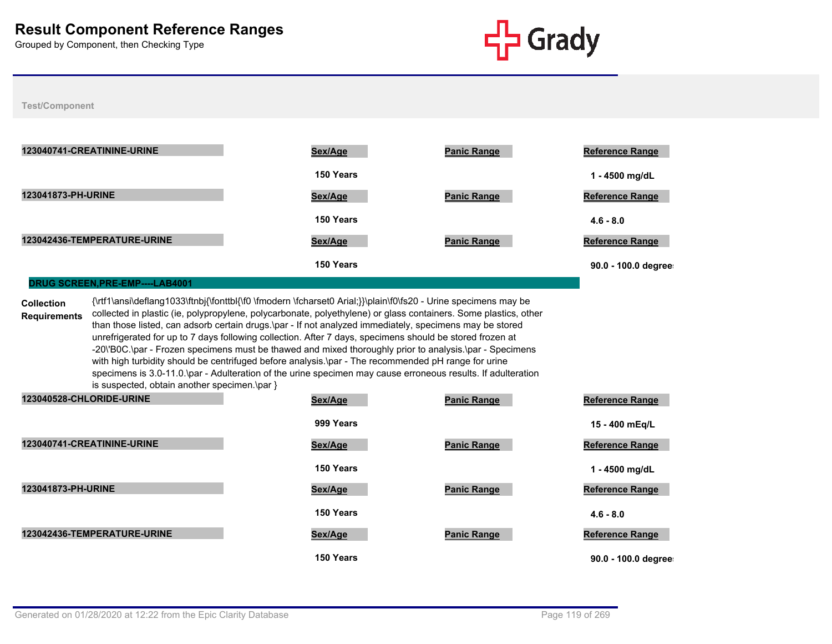

#### **Test/Component**

| 123040741-CREATININE-URINE  | Sex/Age   | <b>Panic Range</b> | <b>Reference Range</b> |
|-----------------------------|-----------|--------------------|------------------------|
|                             | 150 Years |                    | 1 - 4500 mg/dL         |
| 123041873-PH-URINE          | Sex/Age   | <b>Panic Range</b> | <b>Reference Range</b> |
|                             | 150 Years |                    | $4.6 - 8.0$            |
| 123042436-TEMPERATURE-URINE | Sex/Age   | <b>Panic Range</b> | <b>Reference Range</b> |
|                             | 150 Years |                    | 90.0 - 100.0 degree    |

#### **DRUG SCREEN,PRE-EMP----LAB4001**

**Collection Requirements** {\rtf1\ansi\deflang1033\ftnbj{\fonttbl{\f0 \fmodern \fcharset0 Arial;}}\plain\f0\fs20 - Urine specimens may be collected in plastic (ie, polypropylene, polycarbonate, polyethylene) or glass containers. Some plastics, other than those listed, can adsorb certain drugs.\par - If not analyzed immediately, specimens may be stored unrefrigerated for up to 7 days following collection. After 7 days, specimens should be stored frozen at -20\'B0C.\par - Frozen specimens must be thawed and mixed thoroughly prior to analysis.\par - Specimens with high turbidity should be centrifuged before analysis.\par - The recommended pH range for urine specimens is 3.0-11.0.\par - Adulteration of the urine specimen may cause erroneous results. If adulteration is suspected, obtain another specimen.\par }

| 123040528-CHLORIDE-URINE    | Sex/Age   | <b>Panic Range</b> | <b>Reference Range</b> |
|-----------------------------|-----------|--------------------|------------------------|
|                             | 999 Years |                    | 15 - 400 mEg/L         |
| 123040741-CREATININE-URINE  | Sex/Age   | <b>Panic Range</b> | <b>Reference Range</b> |
|                             | 150 Years |                    | 1 - 4500 mg/dL         |
| 123041873-PH-URINE          | Sex/Age   | <b>Panic Range</b> | <b>Reference Range</b> |
|                             | 150 Years |                    | $4.6 - 8.0$            |
| 123042436-TEMPERATURE-URINE | Sex/Age   | <b>Panic Range</b> | <b>Reference Range</b> |
|                             | 150 Years |                    | 90.0 - 100.0 degree    |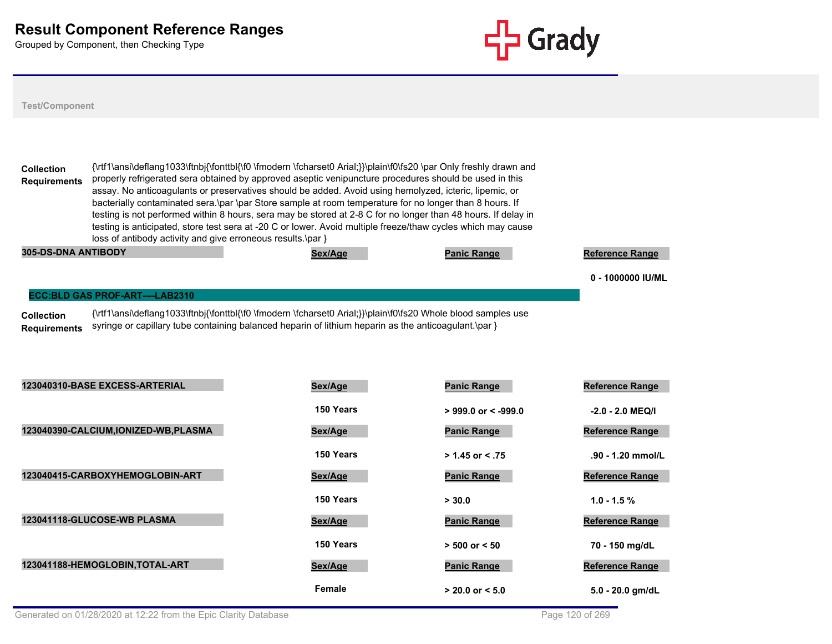

## **Test/Component**

**Collection Requirements** {\rtf1\ansi\deflang1033\ftnbj{\fonttbl{\f0 \fmodern \fcharset0 Arial;}}\plain\f0\fs20 \par Only freshly drawn and properly refrigerated sera obtained by approved aseptic venipuncture procedures should be used in this assay. No anticoagulants or preservatives should be added. Avoid using hemolyzed, icteric, lipemic, or bacterially contaminated sera.\par \par Store sample at room temperature for no longer than 8 hours. If testing is not performed within 8 hours, sera may be stored at 2-8 C for no longer than 48 hours. If delay in testing is anticipated, store test sera at -20 C or lower. Avoid multiple freeze/thaw cycles which may cause loss of antibody activity and give erroneous results.\par }

| <b>305-DS-DNA ANTIBODY</b> | Sex/Aae | <b>Panic Range</b> | <b>Reference Range</b> |
|----------------------------|---------|--------------------|------------------------|
|                            |         |                    | 1000000 IU/ML          |

#### **ECC:BLD GAS PROF-ART----LAB2310**

**Collection Requirements** {\rtf1\ansi\deflang1033\ftnbj{\fonttbl{\f0 \fmodern \fcharset0 Arial;}}\plain\f0\fs20 Whole blood samples use syringe or capillary tube containing balanced heparin of lithium heparin as the anticoagulant.\par }

| 123040310-BASE EXCESS-ARTERIAL        | Sex/Age   | <b>Panic Range</b>    | <b>Reference Range</b> |
|---------------------------------------|-----------|-----------------------|------------------------|
|                                       | 150 Years | $>$ 999.0 or < -999.0 | $-2.0 - 2.0$ MEQ/I     |
| 123040390-CALCIUM, IONIZED-WB, PLASMA | Sex/Age   | <b>Panic Range</b>    | <b>Reference Range</b> |
|                                       | 150 Years | $> 1.45$ or < .75     | .90 - 1.20 mmol/L      |
| 123040415-CARBOXYHEMOGLOBIN-ART       | Sex/Age   | <b>Panic Range</b>    | <b>Reference Range</b> |
|                                       | 150 Years | > 30.0                | $1.0 - 1.5 \%$         |
| 123041118-GLUCOSE-WB PLASMA           | Sex/Age   | <b>Panic Range</b>    | <b>Reference Range</b> |
|                                       | 150 Years | $> 500$ or $< 50$     | 70 - 150 mg/dL         |
| 123041188-HEMOGLOBIN, TOTAL-ART       | Sex/Age   | <b>Panic Range</b>    | <b>Reference Range</b> |
|                                       | Female    | $> 20.0$ or $< 5.0$   | $5.0 - 20.0$ gm/dL     |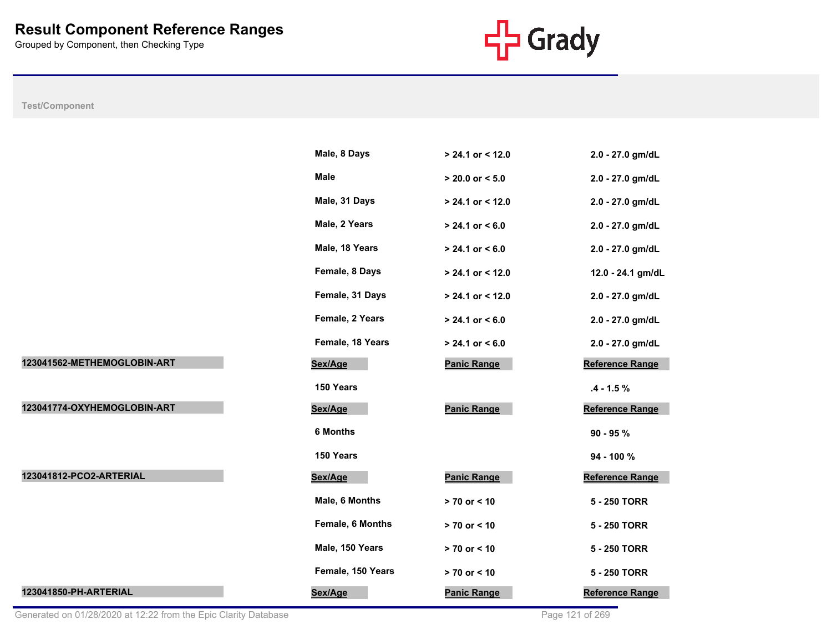

# **Test/Component**

|                             | Male, 8 Days            | > 24.1 or < 12.0    | 2.0 - 27.0 gm/dL       |
|-----------------------------|-------------------------|---------------------|------------------------|
|                             | Male                    | $> 20.0$ or $< 5.0$ | 2.0 - 27.0 gm/dL       |
|                             | Male, 31 Days           | > 24.1 or < 12.0    | 2.0 - 27.0 gm/dL       |
|                             | Male, 2 Years           | $> 24.1$ or $< 6.0$ | 2.0 - 27.0 gm/dL       |
|                             | Male, 18 Years          | $> 24.1$ or $< 6.0$ | 2.0 - 27.0 gm/dL       |
|                             | Female, 8 Days          | > 24.1 or < 12.0    | 12.0 - 24.1 gm/dL      |
|                             | Female, 31 Days         | $> 24.1$ or < 12.0  | 2.0 - 27.0 gm/dL       |
|                             | Female, 2 Years         | $> 24.1$ or < 6.0   | 2.0 - 27.0 gm/dL       |
|                             | Female, 18 Years        | $> 24.1$ or $< 6.0$ | 2.0 - 27.0 gm/dL       |
| 123041562-METHEMOGLOBIN-ART | Sex/Age                 | <b>Panic Range</b>  | <b>Reference Range</b> |
|                             | 150 Years               |                     | $.4 - 1.5 %$           |
| 123041774-OXYHEMOGLOBIN-ART |                         |                     |                        |
|                             | Sex/Age                 | <b>Panic Range</b>  | Reference Range        |
|                             | <b>6 Months</b>         |                     | $90 - 95 %$            |
|                             | 150 Years               |                     | 94 - 100 %             |
| 123041812-PCO2-ARTERIAL     | Sex/Age                 | <b>Panic Range</b>  | Reference Range        |
|                             | Male, 6 Months          | $> 70$ or $< 10$    | 5 - 250 TORR           |
|                             | <b>Female, 6 Months</b> | $> 70$ or < 10      | 5 - 250 TORR           |
|                             | Male, 150 Years         | $> 70$ or $< 10$    | 5 - 250 TORR           |
|                             | Female, 150 Years       | > 70 or < 10        | 5 - 250 TORR           |

Generated on 01/28/2020 at 12:22 from the Epic Clarity Database **Page 121** of 269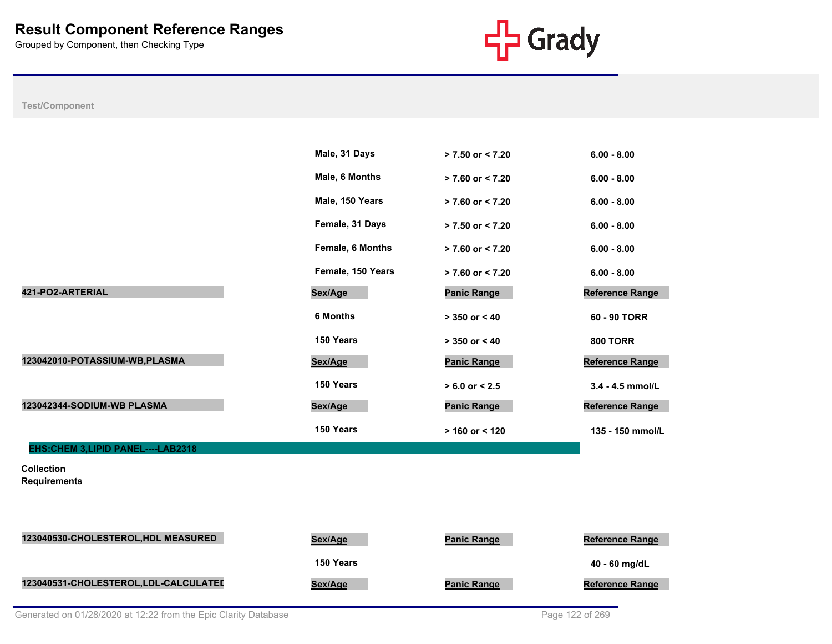

**Test/Component**

|                                          | Male, 31 Days           | $> 7.50$ or $< 7.20$ | $6.00 - 8.00$          |
|------------------------------------------|-------------------------|----------------------|------------------------|
|                                          | Male, 6 Months          | $> 7.60$ or $< 7.20$ | $6.00 - 8.00$          |
|                                          | Male, 150 Years         | $> 7.60$ or $< 7.20$ | $6.00 - 8.00$          |
|                                          | Female, 31 Days         | $> 7.50$ or < 7.20   | $6.00 - 8.00$          |
|                                          | <b>Female, 6 Months</b> | $> 7.60$ or < 7.20   | $6.00 - 8.00$          |
|                                          | Female, 150 Years       | $> 7.60$ or < 7.20   | $6.00 - 8.00$          |
| 421-PO2-ARTERIAL                         | Sex/Age                 | <b>Panic Range</b>   | Reference Range        |
|                                          | <b>6 Months</b>         | $> 350$ or $< 40$    | 60 - 90 TORR           |
|                                          | 150 Years               | $> 350$ or $< 40$    | <b>800 TORR</b>        |
| 123042010-POTASSIUM-WB, PLASMA           | Sex/Age                 | <b>Panic Range</b>   | Reference Range        |
|                                          | 150 Years               | $> 6.0$ or $< 2.5$   | 3.4 - 4.5 mmol/L       |
| 123042344-SODIUM-WB PLASMA               | Sex/Age                 | <b>Panic Range</b>   | Reference Range        |
|                                          | 150 Years               | $> 160$ or < 120     | 135 - 150 mmol/L       |
| EHS: CHEM 3, LIPID PANEL----LAB2318      |                         |                      |                        |
| <b>Collection</b><br><b>Requirements</b> |                         |                      |                        |
|                                          |                         |                      |                        |
|                                          |                         |                      |                        |
| 123040530-CHOLESTEROL, HDL MEASURED      | Sex/Age                 | <b>Panic Range</b>   | <b>Reference Range</b> |
|                                          | 150 Years               |                      | 40 - 60 mg/dL          |

123040531-CHOLESTEROL,LDL-CALCULATED<br>
Sex/Age **Panic Range** Panic Range Reference Range

Generated on 01/28/2020 at 12:22 from the Epic Clarity Database **Page 122** of 269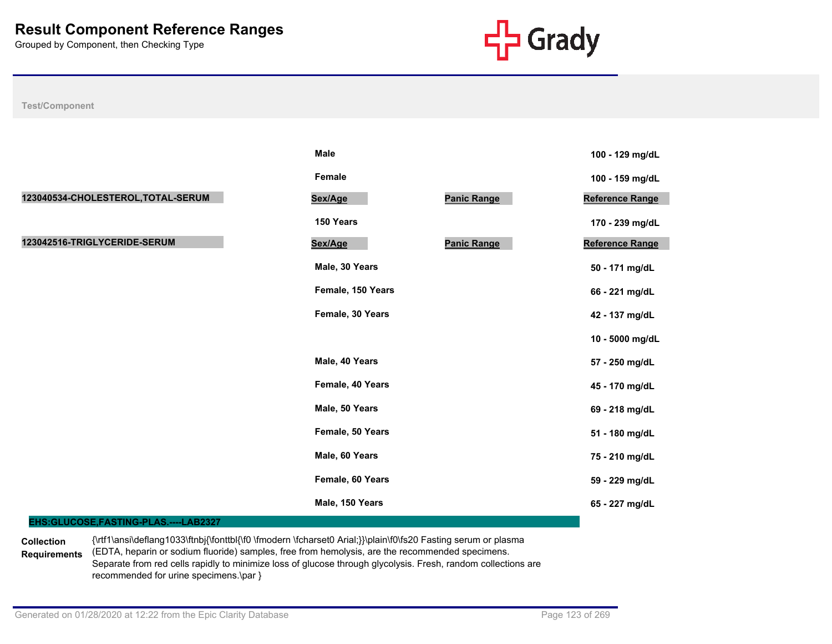

**Test/Component**

|                                    | <b>Male</b>                   | 100 - 129 mg/dL        |
|------------------------------------|-------------------------------|------------------------|
|                                    | Female                        | 100 - 159 mg/dL        |
| 123040534-CHOLESTEROL, TOTAL-SERUM | <b>Panic Range</b><br>Sex/Age | Reference Range        |
|                                    | 150 Years                     | 170 - 239 mg/dL        |
| 123042516-TRIGLYCERIDE-SERUM       | <b>Panic Range</b><br>Sex/Age | <b>Reference Range</b> |
|                                    | Male, 30 Years                | 50 - 171 mg/dL         |
|                                    | Female, 150 Years             | 66 - 221 mg/dL         |
|                                    | Female, 30 Years              | 42 - 137 mg/dL         |
|                                    |                               | 10 - 5000 mg/dL        |
|                                    | Male, 40 Years                | 57 - 250 mg/dL         |
|                                    | Female, 40 Years              | 45 - 170 mg/dL         |
|                                    | Male, 50 Years                | 69 - 218 mg/dL         |
|                                    | Female, 50 Years              | 51 - 180 mg/dL         |
|                                    | Male, 60 Years                | 75 - 210 mg/dL         |
|                                    | Female, 60 Years              | 59 - 229 mg/dL         |
|                                    | Male, 150 Years               | 65 - 227 mg/dL         |

## **EHS:GLUCOSE,FASTING-PLAS.----LAB2327**

**Collection Requirements** {\rtf1\ansi\deflang1033\ftnbj{\fonttbl{\f0 \fmodern \fcharset0 Arial;}}\plain\f0\fs20 Fasting serum or plasma (EDTA, heparin or sodium fluoride) samples, free from hemolysis, are the recommended specimens. Separate from red cells rapidly to minimize loss of glucose through glycolysis. Fresh, random collections are recommended for urine specimens.\par }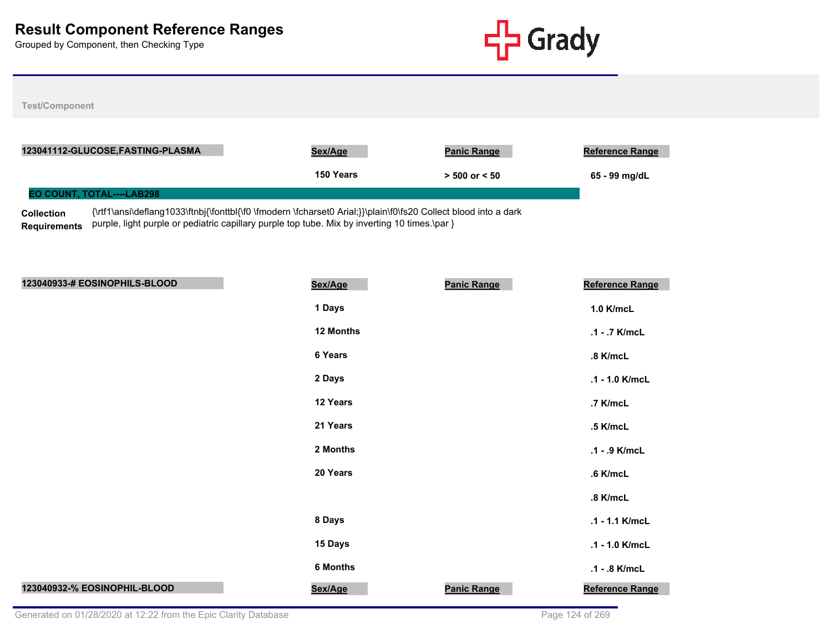

**Test/Component**

|                   | 123041112-GLUCOSE,FASTING-PLASMA                                                                                | Sex/Age   | <b>Panic Range</b> | <b>Reference Range</b> |
|-------------------|-----------------------------------------------------------------------------------------------------------------|-----------|--------------------|------------------------|
|                   |                                                                                                                 | 150 Years | $> 500$ or $< 50$  | 65 - 99 mg/dL          |
|                   | <b>EO COUNT. TOTAL----LAB298</b>                                                                                |           |                    |                        |
| <b>Collection</b> | {\rtf1\ansi\deflang1033\ftnbj{\fonttbl{\f0 \fmodern \fcharset0 Arial;}}\plain\f0\fs20 Collect blood into a dark |           |                    |                        |

**Requirements** purple, light purple or pediatric capillary purple top tube. Mix by inverting 10 times.\par }

| 123040933-# EOSINOPHILS-BLOOD | Sex/Age   | <b>Panic Range</b> | Reference Range        |
|-------------------------------|-----------|--------------------|------------------------|
|                               | 1 Days    |                    | 1.0 K/mcL              |
|                               | 12 Months |                    | .1 - .7 K/mcL          |
|                               | 6 Years   |                    | .8 K/mcL               |
|                               | 2 Days    |                    | .1 - 1.0 K/mcL         |
|                               | 12 Years  |                    | .7 K/mcL               |
|                               | 21 Years  |                    | .5 K/mcL               |
|                               | 2 Months  |                    | .1 - .9 K/mcL          |
|                               | 20 Years  |                    | .6 K/mcL               |
|                               |           |                    | .8 K/mcL               |
|                               | 8 Days    |                    | .1 - 1.1 K/mcL         |
|                               | 15 Days   |                    | .1 - 1.0 K/mcL         |
|                               | 6 Months  |                    | .1 - .8 K/mcL          |
| 123040932-% EOSINOPHIL-BLOOD  | Sex/Age   | <b>Panic Range</b> | <b>Reference Range</b> |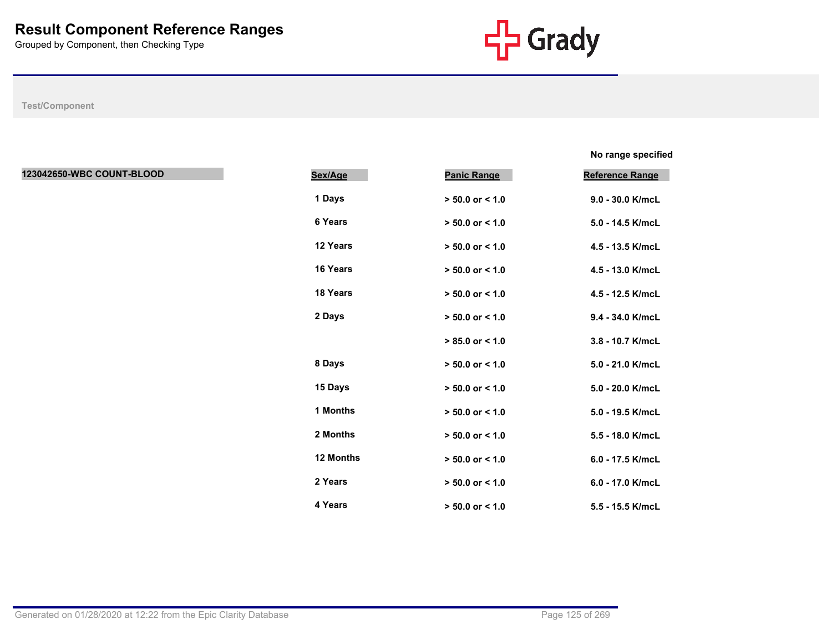

**No range specified %**

| 123042650-WBC COUNT-BLOOD | Sex/Age   | <b>Panic Range</b>  | <b>Reference Range</b> |
|---------------------------|-----------|---------------------|------------------------|
|                           | 1 Days    | $> 50.0$ or $< 1.0$ | 9.0 - 30.0 K/mcL       |
|                           | 6 Years   | $> 50.0$ or $< 1.0$ | 5.0 - 14.5 K/mcL       |
|                           | 12 Years  | $> 50.0$ or $< 1.0$ | 4.5 - 13.5 K/mcL       |
|                           | 16 Years  | $> 50.0$ or $< 1.0$ | 4.5 - 13.0 K/mcL       |
|                           | 18 Years  | $> 50.0$ or $< 1.0$ | 4.5 - 12.5 K/mcL       |
|                           | 2 Days    | $> 50.0$ or $< 1.0$ | 9.4 - 34.0 K/mcL       |
|                           |           | $> 85.0$ or $< 1.0$ | 3.8 - 10.7 K/mcL       |
|                           | 8 Days    | $> 50.0$ or < 1.0   | 5.0 - 21.0 K/mcL       |
|                           | 15 Days   | $> 50.0$ or $< 1.0$ | 5.0 - 20.0 K/mcL       |
|                           | 1 Months  | $> 50.0$ or $< 1.0$ | 5.0 - 19.5 K/mcL       |
|                           | 2 Months  | $> 50.0$ or $< 1.0$ | 5.5 - 18.0 K/mcL       |
|                           | 12 Months | $> 50.0$ or < 1.0   | 6.0 - 17.5 K/mcL       |
|                           | 2 Years   | $> 50.0$ or < 1.0   | 6.0 - 17.0 K/mcL       |
|                           | 4 Years   | $> 50.0$ or $< 1.0$ | 5.5 - 15.5 K/mcL       |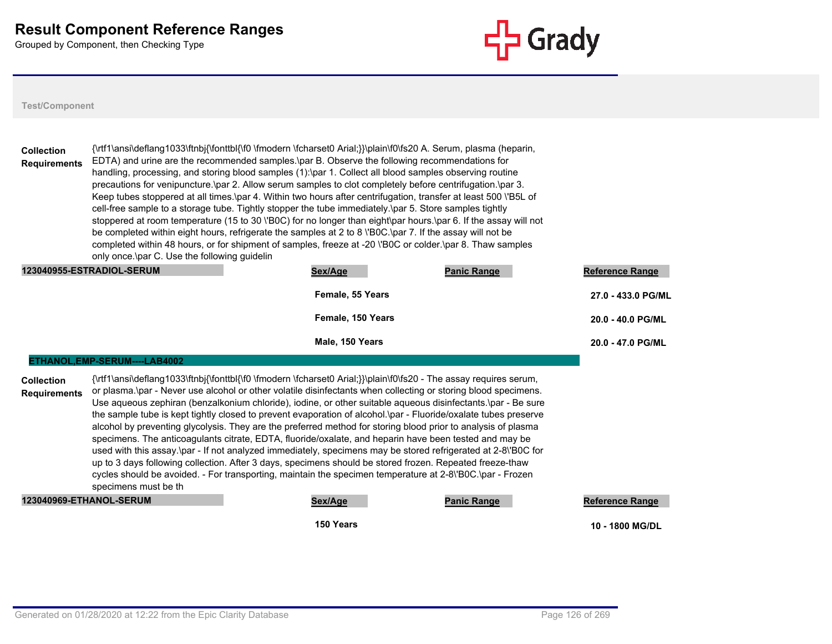

**Test/Component**

|                                          |                                              | Female, 55 Years                                                                                                                                                                                                                                                                                                                                                                                                                                                                                                                                                                                                                                                                    |                    | $270 - 4330$ PG/       |
|------------------------------------------|----------------------------------------------|-------------------------------------------------------------------------------------------------------------------------------------------------------------------------------------------------------------------------------------------------------------------------------------------------------------------------------------------------------------------------------------------------------------------------------------------------------------------------------------------------------------------------------------------------------------------------------------------------------------------------------------------------------------------------------------|--------------------|------------------------|
|                                          | 123040955-ESTRADIOL-SERUM                    | Sex/Age                                                                                                                                                                                                                                                                                                                                                                                                                                                                                                                                                                                                                                                                             | <b>Panic Range</b> | <b>Reference Range</b> |
|                                          | only once \par C. Use the following quidelin | precautions for venipuncture.\par 2. Allow serum samples to clot completely before centrifugation.\par 3.<br>Keep tubes stoppered at all times \par 4. Within two hours after centrifugation, transfer at least 500 \'B5L of<br>cell-free sample to a storage tube. Tightly stopper the tube immediately. par 5. Store samples tightly<br>stoppered at room temperature (15 to 30 \'B0C) for no longer than eight\par hours.\par 6. If the assay will not<br>be completed within eight hours, refrigerate the samples at 2 to 8 \'B0C.\par 7. If the assay will not be<br>completed within 48 hours, or for shipment of samples, freeze at -20 \'BOC or colder.\par 8. Thaw samples |                    |                        |
| <b>Collection</b><br><b>Requirements</b> |                                              | {\rtf1\ansi\deflang1033\ftnbj{\fonttbl{\f0 \fmodern \fcharset0 Arial;}}\plain\f0\fs20 A. Serum, plasma (heparin,<br>EDTA) and urine are the recommended samples. par B. Observe the following recommendations for<br>handling, processing, and storing blood samples (1):\par 1. Collect all blood samples observing routine                                                                                                                                                                                                                                                                                                                                                        |                    |                        |
|                                          |                                              |                                                                                                                                                                                                                                                                                                                                                                                                                                                                                                                                                                                                                                                                                     |                    |                        |

| Female, 55 Years  | 27.0 - 433.0 PG/ML |
|-------------------|--------------------|
| Female, 150 Years | 20.0 - 40.0 PG/ML  |
| Male, 150 Years   | 20.0 - 47.0 PG/ML  |

#### **ETHANOL,EMP-SERUM----LAB4002**

**Collection Requirements** {\rtf1\ansi\deflang1033\ftnbj{\fonttbl{\f0 \fmodern \fcharset0 Arial;}}\plain\f0\fs20 - The assay requires serum, or plasma.\par - Never use alcohol or other volatile disinfectants when collecting or storing blood specimens. Use aqueous zephiran (benzalkonium chloride), iodine, or other suitable aqueous disinfectants.\par - Be sure the sample tube is kept tightly closed to prevent evaporation of alcohol.\par - Fluoride/oxalate tubes preserve alcohol by preventing glycolysis. They are the preferred method for storing blood prior to analysis of plasma specimens. The anticoagulants citrate, EDTA, fluoride/oxalate, and heparin have been tested and may be used with this assay.\par - If not analyzed immediately, specimens may be stored refrigerated at 2-8\'B0C for up to 3 days following collection. After 3 days, specimens should be stored frozen. Repeated freeze-thaw cycles should be avoided. - For transporting, maintain the specimen temperature at 2-8\'B0C.\par - Frozen specimens must be th

### **123040969-ETHANOL-SERUM Sex/Age Panic Range Reference Range**

**150 Years 10 - 1800 MG/DL**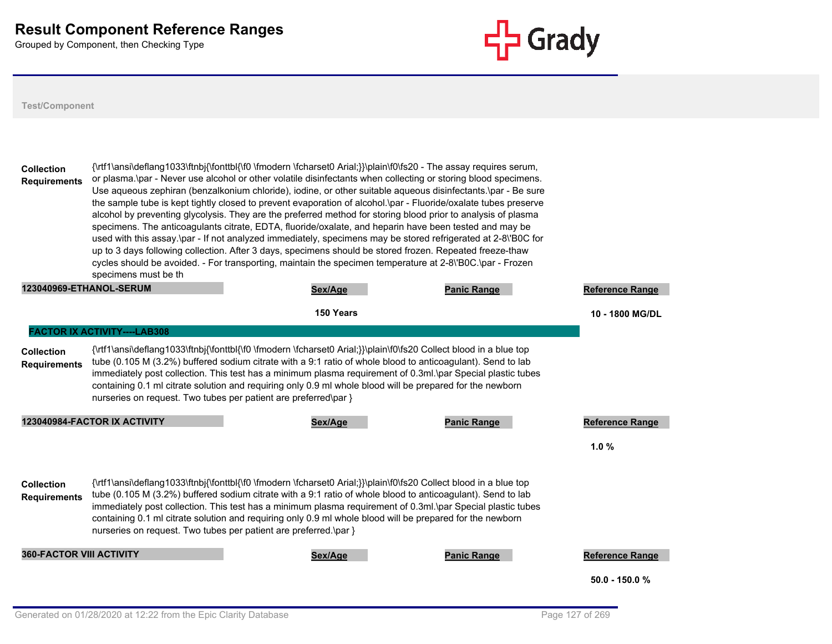

| <b>Collection</b><br><b>Requirements</b> | specimens must be th                                             | {\rtf1\ansi\deflang1033\ftnbj{\fonttbl{\f0 \fmodern \fcharset0 Arial;}}\plain\f0\fs20 - The assay requires serum,<br>or plasma.\par - Never use alcohol or other volatile disinfectants when collecting or storing blood specimens.<br>Use aqueous zephiran (benzalkonium chloride), iodine, or other suitable aqueous disinfectants.\par - Be sure<br>the sample tube is kept tightly closed to prevent evaporation of alcohol. par - Fluoride/oxalate tubes preserve<br>alcohol by preventing glycolysis. They are the preferred method for storing blood prior to analysis of plasma<br>specimens. The anticoagulants citrate, EDTA, fluoride/oxalate, and heparin have been tested and may be<br>used with this assay.\par - If not analyzed immediately, specimens may be stored refrigerated at 2-8\'BOC for<br>up to 3 days following collection. After 3 days, specimens should be stored frozen. Repeated freeze-thaw<br>cycles should be avoided. - For transporting, maintain the specimen temperature at 2-8\'B0C.\par - Frozen |                    |                        |
|------------------------------------------|------------------------------------------------------------------|---------------------------------------------------------------------------------------------------------------------------------------------------------------------------------------------------------------------------------------------------------------------------------------------------------------------------------------------------------------------------------------------------------------------------------------------------------------------------------------------------------------------------------------------------------------------------------------------------------------------------------------------------------------------------------------------------------------------------------------------------------------------------------------------------------------------------------------------------------------------------------------------------------------------------------------------------------------------------------------------------------------------------------------------|--------------------|------------------------|
| <b>123040969-ETHANOL-SERUM</b>           |                                                                  | Sex/Age                                                                                                                                                                                                                                                                                                                                                                                                                                                                                                                                                                                                                                                                                                                                                                                                                                                                                                                                                                                                                                     | <b>Panic Range</b> | <b>Reference Range</b> |
|                                          |                                                                  | 150 Years                                                                                                                                                                                                                                                                                                                                                                                                                                                                                                                                                                                                                                                                                                                                                                                                                                                                                                                                                                                                                                   |                    | 10 - 1800 MG/DL        |
|                                          | <b>FACTOR IX ACTIVITY----LAB308</b>                              |                                                                                                                                                                                                                                                                                                                                                                                                                                                                                                                                                                                                                                                                                                                                                                                                                                                                                                                                                                                                                                             |                    |                        |
| <b>Collection</b><br><b>Requirements</b> | nurseries on request. Two tubes per patient are preferred\par }  | {\rtf1\ansi\deflang1033\ftnbj{\fonttbl{\f0 \fmodern \fcharset0 Arial;}}\plain\f0\fs20 Collect blood in a blue top<br>tube (0.105 M (3.2%) buffered sodium citrate with a 9:1 ratio of whole blood to anticoagulant). Send to lab<br>immediately post collection. This test has a minimum plasma requirement of 0.3ml.\par Special plastic tubes<br>containing 0.1 ml citrate solution and requiring only 0.9 ml whole blood will be prepared for the newborn                                                                                                                                                                                                                                                                                                                                                                                                                                                                                                                                                                                |                    |                        |
|                                          | 123040984-FACTOR IX ACTIVITY                                     | Sex/Age                                                                                                                                                                                                                                                                                                                                                                                                                                                                                                                                                                                                                                                                                                                                                                                                                                                                                                                                                                                                                                     | <b>Panic Range</b> | <b>Reference Range</b> |
|                                          |                                                                  |                                                                                                                                                                                                                                                                                                                                                                                                                                                                                                                                                                                                                                                                                                                                                                                                                                                                                                                                                                                                                                             |                    | 1.0%                   |
| <b>Collection</b><br><b>Requirements</b> | nurseries on request. Two tubes per patient are preferred.\par } | {\rtf1\ansi\deflang1033\ftnbj{\fonttbl{\f0 \fmodern \fcharset0 Arial;}}\plain\f0\fs20 Collect blood in a blue top<br>tube (0.105 M (3.2%) buffered sodium citrate with a 9:1 ratio of whole blood to anticoagulant). Send to lab<br>immediately post collection. This test has a minimum plasma requirement of 0.3ml.\par Special plastic tubes<br>containing 0.1 ml citrate solution and requiring only 0.9 ml whole blood will be prepared for the newborn                                                                                                                                                                                                                                                                                                                                                                                                                                                                                                                                                                                |                    |                        |
| <b>360-FACTOR VIII ACTIVITY</b>          |                                                                  | Sex/Age                                                                                                                                                                                                                                                                                                                                                                                                                                                                                                                                                                                                                                                                                                                                                                                                                                                                                                                                                                                                                                     | <b>Panic Range</b> | <b>Reference Range</b> |
|                                          |                                                                  |                                                                                                                                                                                                                                                                                                                                                                                                                                                                                                                                                                                                                                                                                                                                                                                                                                                                                                                                                                                                                                             |                    | $50.0 - 150.0 %$       |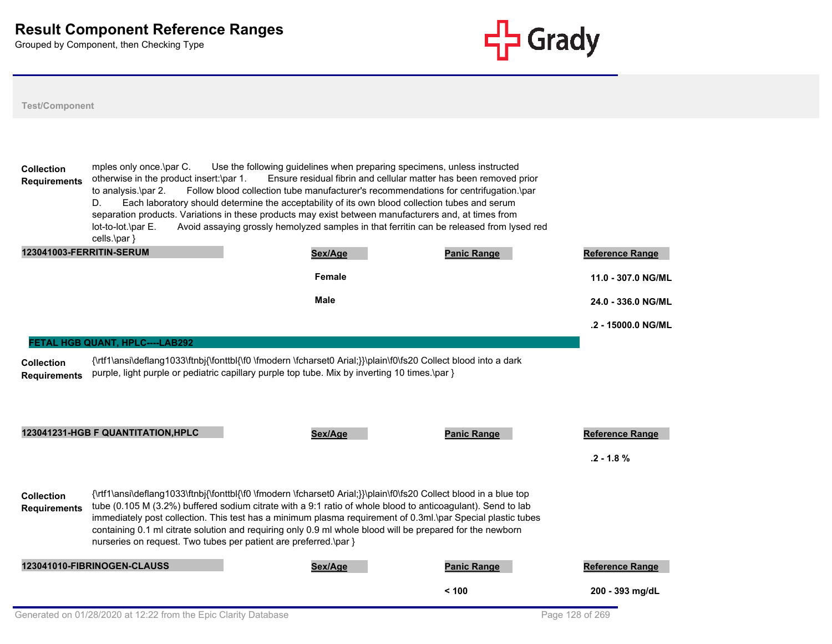

**Test/Component**

**Collection Requirements** mples only once.\par C. Use the following guidelines when preparing specimens, unless instructed otherwise in the product insert:\par 1. Ensure residual fibrin and cellular matter has been removed prior to analysis.\par 2. Follow blood collection tube manufacturer's recommendations for centrifugation.\par D. Each laboratory should determine the acceptability of its own blood collection tubes and serum separation products. Variations in these products may exist between manufacturers and, at times from lot-to-lot.\par E. Avoid assaying grossly hemolyzed samples in that ferritin can be released from lysed red cells.\par } **123041003-FERRITIN-SERUM Sex/Age Panic Range Reference Range Female 11.0 - 307.0 NG/ML Male 24.0 - 336.0 NG/ML .2 - 15000.0 NG/ML Collection Requirements** {\rtf1\ansi\deflang1033\ftnbj{\fonttbl{\f0 \fmodern \fcharset0 Arial;}}\plain\f0\fs20 Collect blood into a dark purple, light purple or pediatric capillary purple top tube. Mix by inverting 10 times.\par } **FETAL HGB QUANT, HPLC----LAB292 123041231-HGB F QUANTITATION,HPLC Sex/Age Panic Range Reference Range .2 - 1.8 % Collection Requirements** {\rtf1\ansi\deflang1033\ftnbj{\fonttbl{\f0 \fmodern \fcharset0 Arial;}}\plain\f0\fs20 Collect blood in a blue top tube (0.105 M (3.2%) buffered sodium citrate with a 9:1 ratio of whole blood to anticoagulant). Send to lab immediately post collection. This test has a minimum plasma requirement of 0.3ml.\par Special plastic tubes containing 0.1 ml citrate solution and requiring only 0.9 ml whole blood will be prepared for the newborn nurseries on request. Two tubes per patient are preferred.\par } **123041010-FIBRINOGEN-CLAUSS Sex/Age Panic Range Reference Range < 100 200 - 393 mg/dL**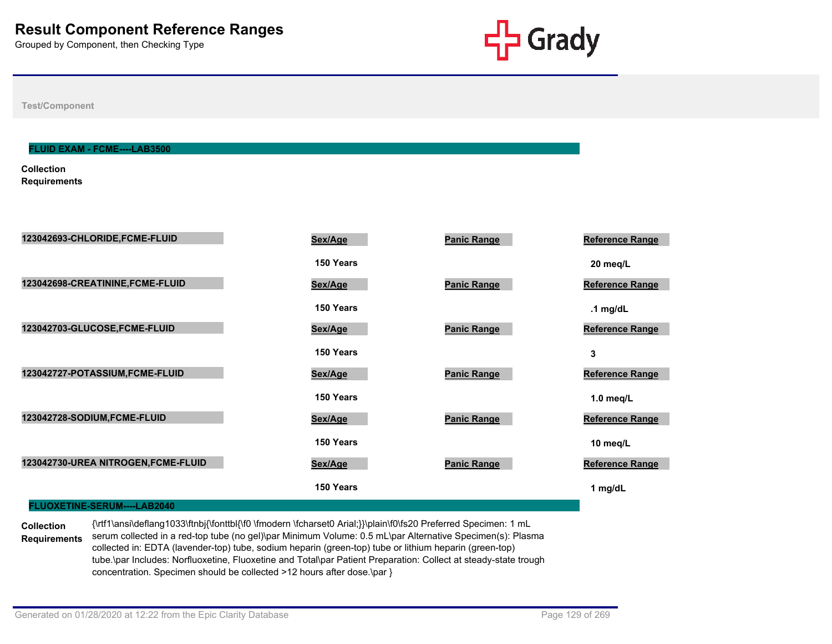

**Test/Component**

#### **FLUID EXAM - FCME----LAB3500**

**Collection Requirements**

| 123042693-CHLORIDE, FCME-FLUID      | Sex/Age   | <b>Panic Range</b> | Reference Range        |
|-------------------------------------|-----------|--------------------|------------------------|
|                                     | 150 Years |                    | 20 meg/L               |
| 123042698-CREATININE, FCME-FLUID    | Sex/Age   | <b>Panic Range</b> | Reference Range        |
|                                     | 150 Years |                    | .1 $mg/dL$             |
| 123042703-GLUCOSE,FCME-FLUID        | Sex/Age   | <b>Panic Range</b> | <b>Reference Range</b> |
|                                     | 150 Years |                    | 3                      |
| 123042727-POTASSIUM, FCME-FLUID     | Sex/Age   | <b>Panic Range</b> | Reference Range        |
|                                     | 150 Years |                    | 1.0 $meq/L$            |
| 123042728-SODIUM, FCME-FLUID        | Sex/Age   | <b>Panic Range</b> | Reference Range        |
|                                     | 150 Years |                    | 10 meg/L               |
| 123042730-UREA NITROGEN, FCME-FLUID | Sex/Age   | <b>Panic Range</b> | Reference Range        |
|                                     | 150 Years |                    | 1 mg/dL                |
| FLUOXETINE-SERUM----LAB2040         |           |                    |                        |

**Collection Requirements** {\rtf1\ansi\deflang1033\ftnbj{\fonttbl{\f0 \fmodern \fcharset0 Arial;}}\plain\f0\fs20 Preferred Specimen: 1 mL serum collected in a red-top tube (no gel)\par Minimum Volume: 0.5 mL\par Alternative Specimen(s): Plasma collected in: EDTA (lavender-top) tube, sodium heparin (green-top) tube or lithium heparin (green-top) tube.\par Includes: Norfluoxetine, Fluoxetine and Total\par Patient Preparation: Collect at steady-state trough concentration. Specimen should be collected >12 hours after dose.\par }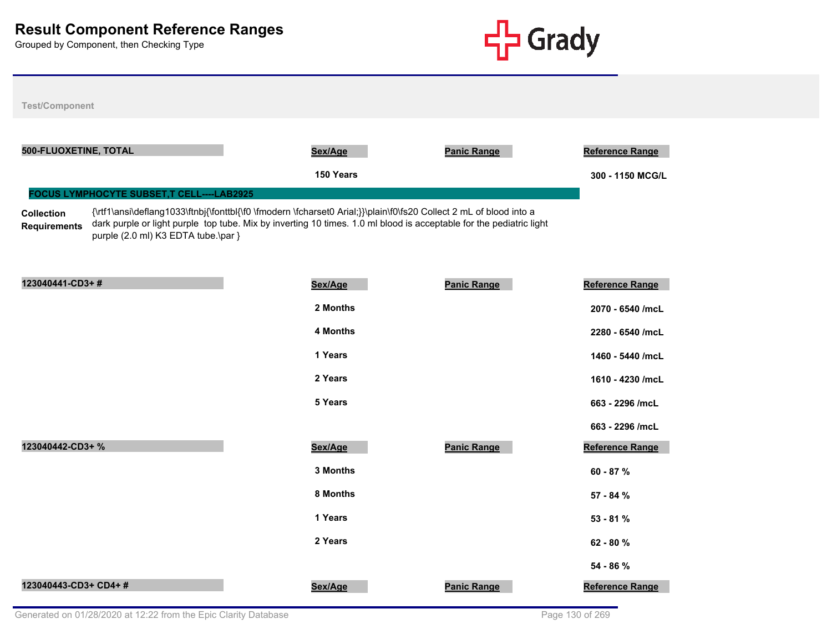

| <b>Test/Component</b>                                                                                                         |                                                                                                                                                                                                                                           |                    |                                            |
|-------------------------------------------------------------------------------------------------------------------------------|-------------------------------------------------------------------------------------------------------------------------------------------------------------------------------------------------------------------------------------------|--------------------|--------------------------------------------|
| 500-FLUOXETINE, TOTAL                                                                                                         | Sex/Age<br>150 Years                                                                                                                                                                                                                      | <b>Panic Range</b> | <b>Reference Range</b><br>300 - 1150 MCG/L |
| FOCUS LYMPHOCYTE SUBSET, T CELL----LAB2925<br><b>Collection</b><br><b>Requirements</b><br>purple (2.0 ml) K3 EDTA tube.\par } | {\rtf1\ansi\deflang1033\ftnbj{\fonttbl{\f0 \fmodern \fcharset0 Arial;}}\plain\f0\fs20 Collect 2 mL of blood into a<br>dark purple or light purple top tube. Mix by inverting 10 times. 1.0 ml blood is acceptable for the pediatric light |                    |                                            |
| 123040441-CD3+#                                                                                                               | Sex/Age                                                                                                                                                                                                                                   | <b>Panic Range</b> | <b>Reference Range</b>                     |
|                                                                                                                               | 2 Months                                                                                                                                                                                                                                  |                    | 2070 - 6540 /mcL                           |
|                                                                                                                               | <b>4 Months</b>                                                                                                                                                                                                                           |                    | 2280 - 6540 /mcL                           |
|                                                                                                                               | 1 Years                                                                                                                                                                                                                                   |                    | 1460 - 5440 /mcL                           |
|                                                                                                                               | 2 Years                                                                                                                                                                                                                                   |                    | 1610 - 4230 /mcL                           |
|                                                                                                                               | 5 Years                                                                                                                                                                                                                                   |                    | 663 - 2296 /mcL                            |
|                                                                                                                               |                                                                                                                                                                                                                                           |                    | 663 - 2296 /mcL                            |
| 123040442-CD3+ %                                                                                                              | Sex/Age                                                                                                                                                                                                                                   | <b>Panic Range</b> | <b>Reference Range</b>                     |
|                                                                                                                               | 3 Months                                                                                                                                                                                                                                  |                    | 60 - 87 %                                  |
|                                                                                                                               | 8 Months                                                                                                                                                                                                                                  |                    | 57 - 84 %                                  |
|                                                                                                                               | 1 Years                                                                                                                                                                                                                                   |                    | $53 - 81%$                                 |
|                                                                                                                               | 2 Years                                                                                                                                                                                                                                   |                    | 62 - 80 %                                  |
|                                                                                                                               |                                                                                                                                                                                                                                           |                    | 54 - 86 %                                  |
| 123040443-CD3+ CD4+#                                                                                                          | Sex/Age                                                                                                                                                                                                                                   | <b>Panic Range</b> | <b>Reference Range</b>                     |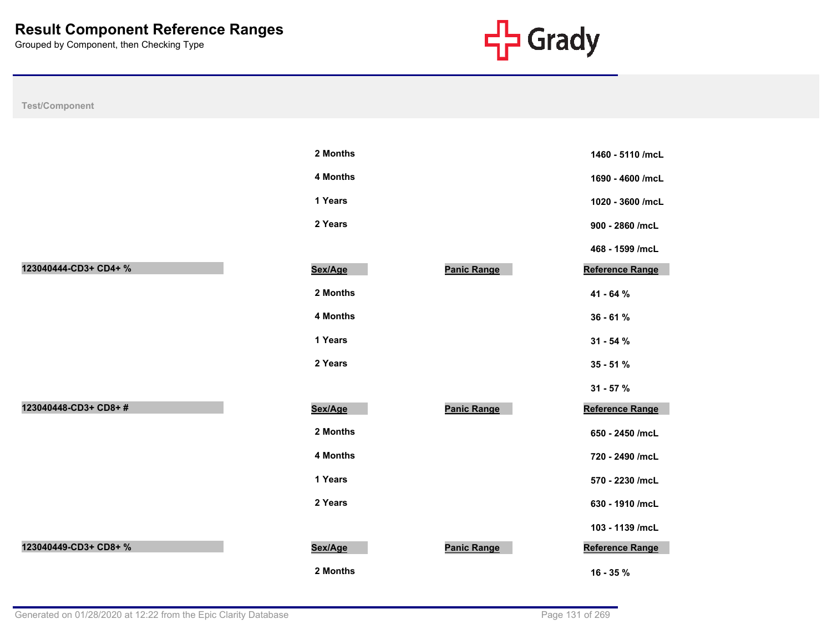

| <b>Test/Component</b> |          |                    |                        |
|-----------------------|----------|--------------------|------------------------|
|                       |          |                    |                        |
|                       | 2 Months |                    | 1460 - 5110 /mcL       |
|                       | 4 Months |                    | 1690 - 4600 /mcL       |
|                       | 1 Years  |                    | 1020 - 3600 /mcL       |
|                       | 2 Years  |                    | 900 - 2860 /mcL        |
|                       |          |                    | 468 - 1599 /mcL        |
| 123040444-CD3+ CD4+ % | Sex/Age  | <b>Panic Range</b> | Reference Range        |
|                       | 2 Months |                    | 41 - 64 %              |
|                       | 4 Months |                    | 36 - 61 %              |
|                       | 1 Years  |                    | $31 - 54%$             |
|                       | 2 Years  |                    | $35 - 51%$             |
|                       |          |                    | $31 - 57 %$            |
| 123040448-CD3+ CD8+#  | Sex/Age  | <b>Panic Range</b> | Reference Range        |
|                       | 2 Months |                    | 650 - 2450 /mcL        |
|                       | 4 Months |                    | 720 - 2490 /mcL        |
|                       | 1 Years  |                    | 570 - 2230 /mcL        |
|                       | 2 Years  |                    | 630 - 1910 /mcL        |
|                       |          |                    | 103 - 1139 /mcL        |
| 123040449-CD3+ CD8+ % | Sex/Age  | Panic Range        | <b>Reference Range</b> |
|                       | 2 Months |                    | 16 - 35 %              |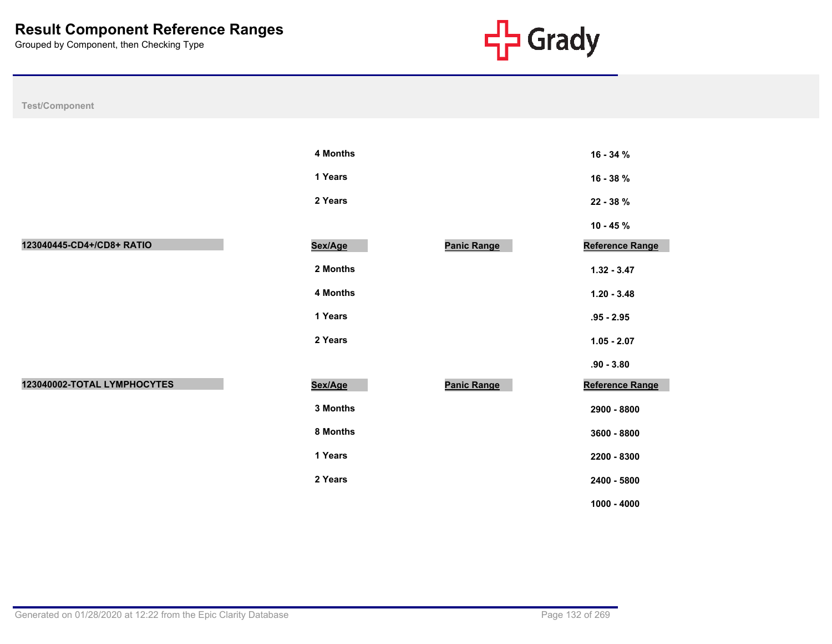

| Test/Component              |          |                    |                 |
|-----------------------------|----------|--------------------|-----------------|
|                             |          |                    |                 |
|                             | 4 Months |                    | 16 - 34 %       |
|                             | 1 Years  |                    | 16 - 38 %       |
|                             | 2 Years  |                    | 22 - 38 %       |
|                             |          |                    | $10 - 45 \%$    |
| 123040445-CD4+/CD8+ RATIO   | Sex/Age  | <b>Panic Range</b> | Reference Range |
|                             | 2 Months |                    | $1.32 - 3.47$   |
|                             | 4 Months |                    | $1.20 - 3.48$   |
|                             | 1 Years  |                    | $.95 - 2.95$    |
|                             | 2 Years  |                    | $1.05 - 2.07$   |
|                             |          |                    | $.90 - 3.80$    |
| 123040002-TOTAL LYMPHOCYTES | Sex/Age  | <b>Panic Range</b> | Reference Range |
|                             | 3 Months |                    | 2900 - 8800     |
|                             | 8 Months |                    | 3600 - 8800     |
|                             | 1 Years  |                    | 2200 - 8300     |
|                             | 2 Years  |                    | 2400 - 5800     |

**1000 - 4000**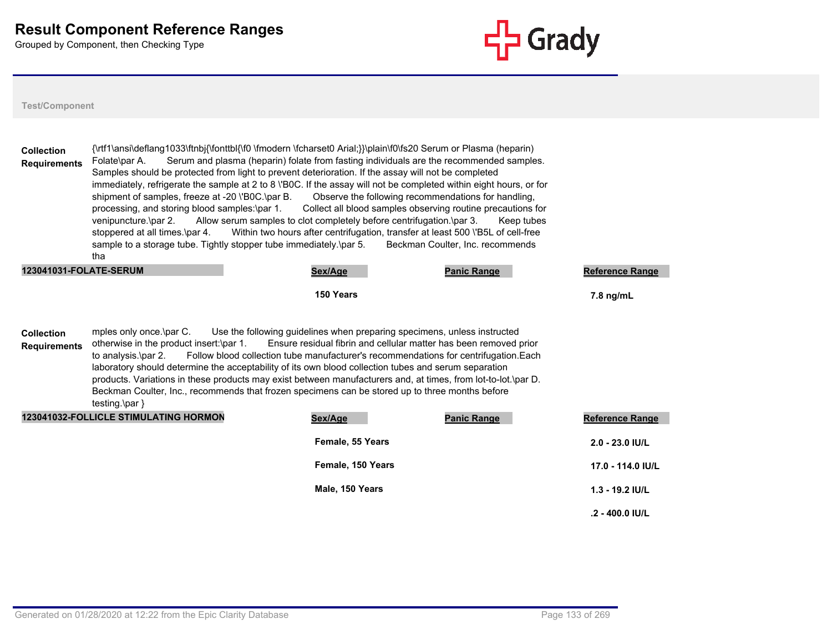

| <b>Collection</b><br><b>Requirements</b> | {\rtf1\ansi\deflang1033\ftnbj{\fonttbl{\f0 \fmodern \fcharset0 Arial;}}\plain\f0\fs20 Serum or Plasma (heparin)<br>Folate\par A.<br>Samples should be protected from light to prevent deterioration. If the assay will not be completed<br>immediately, refrigerate the sample at 2 to 8 \'B0C. If the assay will not be completed within eight hours, or for<br>shipment of samples, freeze at -20 \'B0C.\par B.<br>processing, and storing blood samples:\par 1.<br>venipuncture.\par 2.<br>stoppered at all times.\par 4.<br>sample to a storage tube. Tightly stopper tube immediately \par 5.<br>tha | Serum and plasma (heparin) folate from fasting individuals are the recommended samples.<br>Observe the following recommendations for handling,<br>Collect all blood samples observing routine precautions for<br>Allow serum samples to clot completely before centrifugation.\par 3.<br>Within two hours after centrifugation, transfer at least 500 \'B5L of cell-free | Keep tubes<br>Beckman Coulter, Inc. recommends |                        |
|------------------------------------------|-----------------------------------------------------------------------------------------------------------------------------------------------------------------------------------------------------------------------------------------------------------------------------------------------------------------------------------------------------------------------------------------------------------------------------------------------------------------------------------------------------------------------------------------------------------------------------------------------------------|--------------------------------------------------------------------------------------------------------------------------------------------------------------------------------------------------------------------------------------------------------------------------------------------------------------------------------------------------------------------------|------------------------------------------------|------------------------|
| 123041031-FOLATE-SERUM                   |                                                                                                                                                                                                                                                                                                                                                                                                                                                                                                                                                                                                           | Sex/Age                                                                                                                                                                                                                                                                                                                                                                  | <b>Panic Range</b>                             | <b>Reference Range</b> |
|                                          |                                                                                                                                                                                                                                                                                                                                                                                                                                                                                                                                                                                                           | 150 Years                                                                                                                                                                                                                                                                                                                                                                |                                                | 7.8 ng/mL              |
| <b>Collection</b><br><b>Requirements</b> | mples only once.\par C.<br>otherwise in the product insert:\par 1.<br>to analysis.\par 2.<br>laboratory should determine the acceptability of its own blood collection tubes and serum separation<br>products. Variations in these products may exist between manufacturers and, at times, from lot-to-lot.\par D.<br>Beckman Coulter, Inc., recommends that frozen specimens can be stored up to three months before<br>testing.\par }                                                                                                                                                                   | Use the following guidelines when preparing specimens, unless instructed<br>Ensure residual fibrin and cellular matter has been removed prior<br>Follow blood collection tube manufacturer's recommendations for centrifugation. Each                                                                                                                                    |                                                |                        |
|                                          | 123041032-FOLLICLE STIMULATING HORMON                                                                                                                                                                                                                                                                                                                                                                                                                                                                                                                                                                     | Sex/Age                                                                                                                                                                                                                                                                                                                                                                  | <b>Panic Range</b>                             | Reference Range        |
|                                          |                                                                                                                                                                                                                                                                                                                                                                                                                                                                                                                                                                                                           | Female, 55 Years                                                                                                                                                                                                                                                                                                                                                         |                                                | 2.0 - 23.0 IU/L        |
|                                          |                                                                                                                                                                                                                                                                                                                                                                                                                                                                                                                                                                                                           | Female, 150 Years                                                                                                                                                                                                                                                                                                                                                        |                                                | 17.0 - 114.0 IU/L      |
|                                          |                                                                                                                                                                                                                                                                                                                                                                                                                                                                                                                                                                                                           | Male, 150 Years                                                                                                                                                                                                                                                                                                                                                          |                                                | $1.3 - 19.2$ IU/L      |
|                                          |                                                                                                                                                                                                                                                                                                                                                                                                                                                                                                                                                                                                           |                                                                                                                                                                                                                                                                                                                                                                          |                                                | $.2 - 400.0$ IU/L      |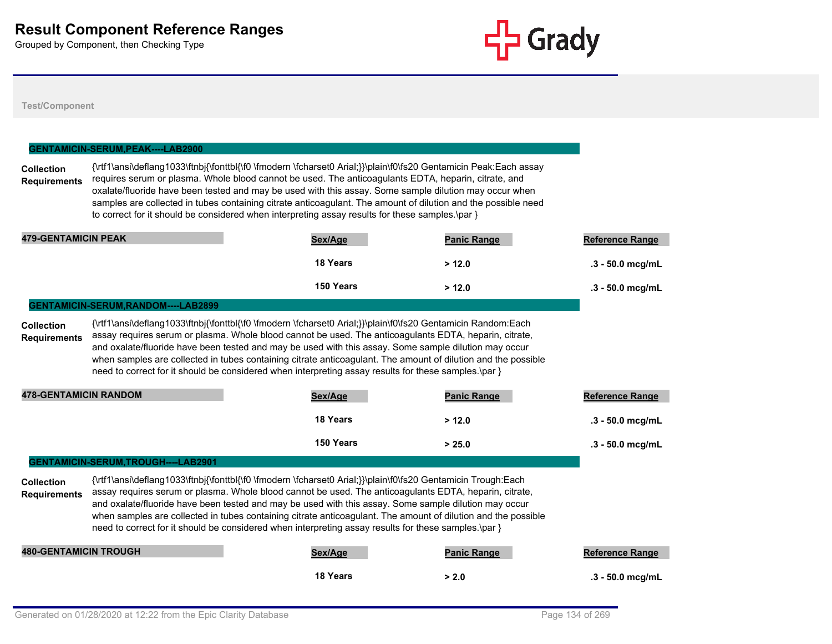

|                                                     | GENTAMICIN-SERUM, PEAK----LAB2900   |                                                                                                                                                                                                                                                                                                                                                                                                                                                                                                                                                          |                    |                        |
|-----------------------------------------------------|-------------------------------------|----------------------------------------------------------------------------------------------------------------------------------------------------------------------------------------------------------------------------------------------------------------------------------------------------------------------------------------------------------------------------------------------------------------------------------------------------------------------------------------------------------------------------------------------------------|--------------------|------------------------|
| <b>Collection</b><br><b>Requirements</b>            |                                     | {\rtf1\ansi\deflang1033\ftnbj{\fonttbl{\f0 \fmodern \fcharset0 Arial;}}\plain\f0\fs20 Gentamicin Peak:Each assay<br>requires serum or plasma. Whole blood cannot be used. The anticoagulants EDTA, heparin, citrate, and<br>oxalate/fluoride have been tested and may be used with this assay. Some sample dilution may occur when<br>samples are collected in tubes containing citrate anticoagulant. The amount of dilution and the possible need<br>to correct for it should be considered when interpreting assay results for these samples. \par }  |                    |                        |
| <b>479-GENTAMICIN PEAK</b>                          |                                     | Sex/Age                                                                                                                                                                                                                                                                                                                                                                                                                                                                                                                                                  | <b>Panic Range</b> | Reference Range        |
|                                                     |                                     | 18 Years                                                                                                                                                                                                                                                                                                                                                                                                                                                                                                                                                 | > 12.0             | .3 - 50.0 mcg/mL       |
|                                                     |                                     | 150 Years                                                                                                                                                                                                                                                                                                                                                                                                                                                                                                                                                | > 12.0             | .3 - 50.0 mcg/mL       |
|                                                     | GENTAMICIN-SERUM, RANDOM----LAB2899 |                                                                                                                                                                                                                                                                                                                                                                                                                                                                                                                                                          |                    |                        |
| <b>Requirements</b><br><b>478-GENTAMICIN RANDOM</b> |                                     | and oxalate/fluoride have been tested and may be used with this assay. Some sample dilution may occur<br>when samples are collected in tubes containing citrate anticoagulant. The amount of dilution and the possible<br>need to correct for it should be considered when interpreting assay results for these samples.\par }<br>Sex/Age                                                                                                                                                                                                                | <b>Panic Range</b> | <b>Reference Range</b> |
|                                                     |                                     | 18 Years                                                                                                                                                                                                                                                                                                                                                                                                                                                                                                                                                 | > 12.0             | .3 - 50.0 mcg/mL       |
|                                                     |                                     | 150 Years                                                                                                                                                                                                                                                                                                                                                                                                                                                                                                                                                | > 25.0             | $.3 - 50.0$ mcg/mL     |
|                                                     | GENTAMICIN-SERUM, TROUGH----LAB2901 |                                                                                                                                                                                                                                                                                                                                                                                                                                                                                                                                                          |                    |                        |
| <b>Collection</b><br><b>Requirements</b>            |                                     | {\rtf1\ansi\deflang1033\ftnbj{\fonttbl{\f0 \fmodern \fcharset0 Arial;}}\plain\f0\fs20 Gentamicin Trough:Each<br>assay requires serum or plasma. Whole blood cannot be used. The anticoagulants EDTA, heparin, citrate,<br>and oxalate/fluoride have been tested and may be used with this assay. Some sample dilution may occur<br>when samples are collected in tubes containing citrate anticoagulant. The amount of dilution and the possible<br>need to correct for it should be considered when interpreting assay results for these samples.\par } |                    |                        |
| <b>480-GENTAMICIN TROUGH</b>                        |                                     | Sex/Age                                                                                                                                                                                                                                                                                                                                                                                                                                                                                                                                                  | <b>Panic Range</b> | <b>Reference Range</b> |
|                                                     |                                     | 18 Years                                                                                                                                                                                                                                                                                                                                                                                                                                                                                                                                                 | > 2.0              | .3 - 50.0 mcg/mL       |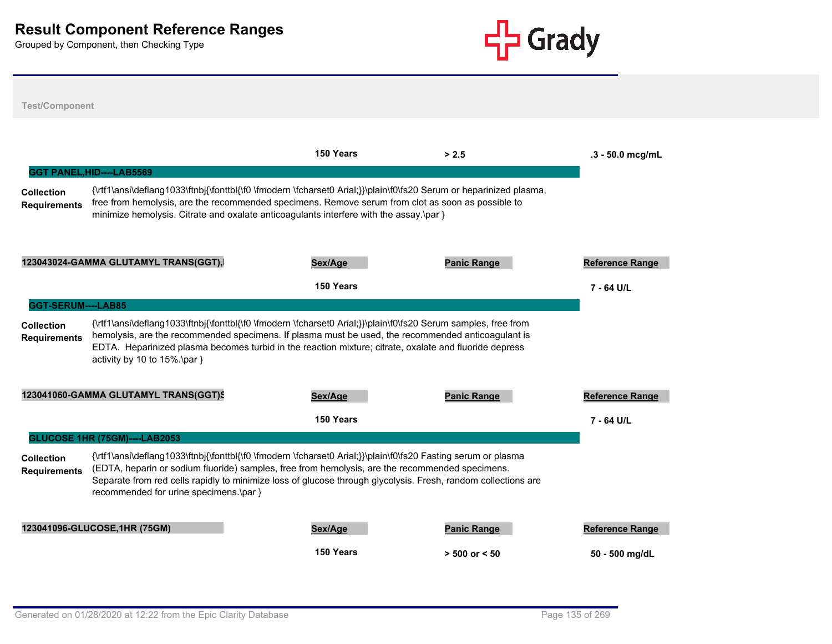

**Test/Component 150 Years > 2.5 .3 - 50.0 mcg/mL Collection Requirements** {\rtf1\ansi\deflang1033\ftnbj{\fonttbl{\f0 \fmodern \fcharset0 Arial;}}\plain\f0\fs20 Serum or heparinized plasma, free from hemolysis, are the recommended specimens. Remove serum from clot as soon as possible to minimize hemolysis. Citrate and oxalate anticoagulants interfere with the assay.\par } **GGT PANEL,HID----LAB5569 123043024-GAMMA GLUTAMYL TRANS(GGT),HID Sex/Age Panic Range Reference Range 150 Years 7 - 64 U/L Collection Requirements** {\rtf1\ansi\deflang1033\ftnbj{\fonttbl{\f0 \fmodern \fcharset0 Arial;}}\plain\f0\fs20 Serum samples, free from hemolysis, are the recommended specimens. If plasma must be used, the recommended anticoagulant is EDTA. Heparinized plasma becomes turbid in the reaction mixture; citrate, oxalate and fluoride depress activity by 10 to 15%.\par } **GGT-SERUM----LAB85** 123041060-GAMMA GLUTAMYL TRANS(GGT)S **Sex/Age Panic Range Panic Range Range Range Range Range Reference Range 150 Years 7 - 64 U/L Collection Requirements** {\rtf1\ansi\deflang1033\ftnbj{\fonttbl{\f0 \fmodern \fcharset0 Arial;}}\plain\f0\fs20 Fasting serum or plasma (EDTA, heparin or sodium fluoride) samples, free from hemolysis, are the recommended specimens. Separate from red cells rapidly to minimize loss of glucose through glycolysis. Fresh, random collections are recommended for urine specimens.\par } **GLUCOSE 1HR (75GM)----LAB2053 123041096-GLUCOSE,1HR (75GM) Sex/Age Panic Range Reference Range 150 Years > 500 or < 50 50 - 500 mg/dL**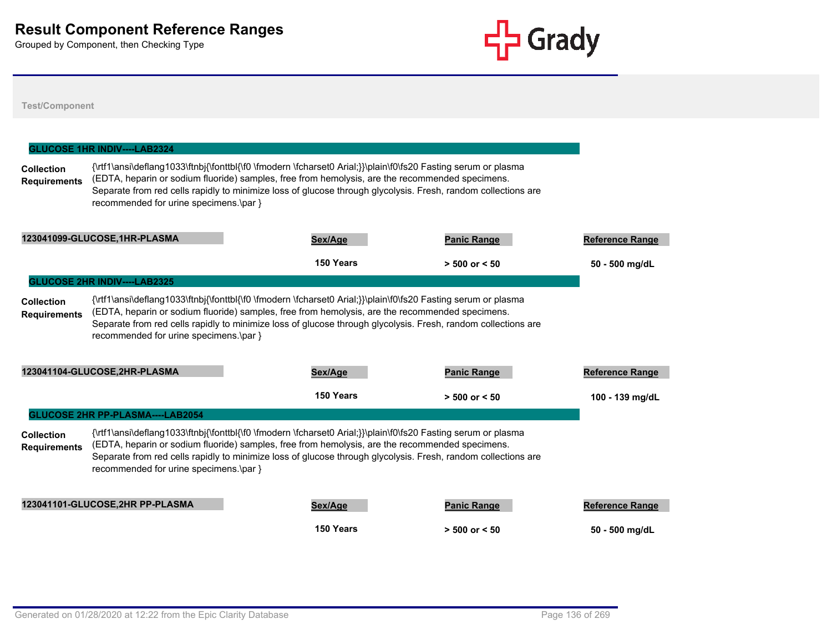

|                                                                                                                                                                                                                                                                                                                                                                                                                         | <b>GLUCOSE 1HR INDIV----LAB2324</b>     |                                                                                                                                                                                                                                                                                                                                   |                    |                        |  |
|-------------------------------------------------------------------------------------------------------------------------------------------------------------------------------------------------------------------------------------------------------------------------------------------------------------------------------------------------------------------------------------------------------------------------|-----------------------------------------|-----------------------------------------------------------------------------------------------------------------------------------------------------------------------------------------------------------------------------------------------------------------------------------------------------------------------------------|--------------------|------------------------|--|
| <b>Collection</b><br><b>Requirements</b>                                                                                                                                                                                                                                                                                                                                                                                | recommended for urine specimens.\par }  | {\rtf1\ansi\deflang1033\ftnbj{\fonttbl{\f0 \fmodern \fcharset0 Arial;}}\plain\f0\fs20 Fasting serum or plasma<br>(EDTA, heparin or sodium fluoride) samples, free from hemolysis, are the recommended specimens.<br>Separate from red cells rapidly to minimize loss of glucose through glycolysis. Fresh, random collections are |                    |                        |  |
|                                                                                                                                                                                                                                                                                                                                                                                                                         | 123041099-GLUCOSE, 1HR-PLASMA           | Sex/Age                                                                                                                                                                                                                                                                                                                           | <b>Panic Range</b> | <b>Reference Range</b> |  |
|                                                                                                                                                                                                                                                                                                                                                                                                                         |                                         | 150 Years                                                                                                                                                                                                                                                                                                                         | $> 500$ or $< 50$  | 50 - 500 mg/dL         |  |
|                                                                                                                                                                                                                                                                                                                                                                                                                         | <b>GLUCOSE 2HR INDIV----LAB2325</b>     |                                                                                                                                                                                                                                                                                                                                   |                    |                        |  |
| {\rtf1\ansi\deflang1033\ftnbj{\fonttbl{\f0 \fmodern \fcharset0 Arial;}}\plain\f0\fs20 Fasting serum or plasma<br><b>Collection</b><br>(EDTA, heparin or sodium fluoride) samples, free from hemolysis, are the recommended specimens.<br><b>Requirements</b><br>Separate from red cells rapidly to minimize loss of glucose through glycolysis. Fresh, random collections are<br>recommended for urine specimens.\par } |                                         |                                                                                                                                                                                                                                                                                                                                   |                    |                        |  |
|                                                                                                                                                                                                                                                                                                                                                                                                                         | 123041104-GLUCOSE,2HR-PLASMA            | Sex/Age                                                                                                                                                                                                                                                                                                                           | <b>Panic Range</b> | <b>Reference Range</b> |  |
|                                                                                                                                                                                                                                                                                                                                                                                                                         |                                         | 150 Years                                                                                                                                                                                                                                                                                                                         | $> 500$ or $< 50$  | 100 - 139 mg/dL        |  |
|                                                                                                                                                                                                                                                                                                                                                                                                                         | <b>GLUCOSE 2HR PP-PLASMA----LAB2054</b> |                                                                                                                                                                                                                                                                                                                                   |                    |                        |  |
| <b>Collection</b><br><b>Requirements</b>                                                                                                                                                                                                                                                                                                                                                                                | recommended for urine specimens.\par }  | {\rtf1\ansi\deflang1033\ftnbj{\fonttbl{\f0 \fmodern \fcharset0 Arial;}}\plain\f0\fs20 Fasting serum or plasma<br>(EDTA, heparin or sodium fluoride) samples, free from hemolysis, are the recommended specimens.<br>Separate from red cells rapidly to minimize loss of glucose through glycolysis. Fresh, random collections are |                    |                        |  |
|                                                                                                                                                                                                                                                                                                                                                                                                                         | 123041101-GLUCOSE, 2HR PP-PLASMA        | Sex/Age                                                                                                                                                                                                                                                                                                                           | <b>Panic Range</b> | <b>Reference Range</b> |  |
|                                                                                                                                                                                                                                                                                                                                                                                                                         |                                         | 150 Years                                                                                                                                                                                                                                                                                                                         | $> 500$ or $< 50$  | 50 - 500 mg/dL         |  |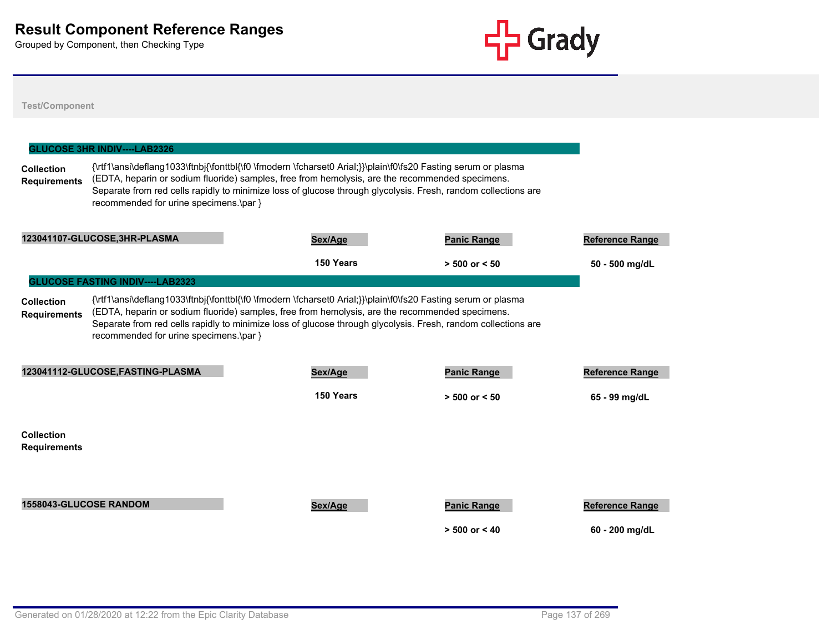

|                                                                                                                                                                                                                                                                                                                                                                                                                         | Sex/Age                                                                                                                                                                               | <b>Panic Range</b>                      | <b>Reference Range</b>                                                                                                                                                                                                                                                                                                            |  |  |
|-------------------------------------------------------------------------------------------------------------------------------------------------------------------------------------------------------------------------------------------------------------------------------------------------------------------------------------------------------------------------------------------------------------------------|---------------------------------------------------------------------------------------------------------------------------------------------------------------------------------------|-----------------------------------------|-----------------------------------------------------------------------------------------------------------------------------------------------------------------------------------------------------------------------------------------------------------------------------------------------------------------------------------|--|--|
|                                                                                                                                                                                                                                                                                                                                                                                                                         | 150 Years                                                                                                                                                                             | $> 500$ or $< 50$                       | 50 - 500 mg/dL                                                                                                                                                                                                                                                                                                                    |  |  |
|                                                                                                                                                                                                                                                                                                                                                                                                                         |                                                                                                                                                                                       |                                         |                                                                                                                                                                                                                                                                                                                                   |  |  |
| {\rtf1\ansi\deflang1033\ftnbj{\fonttbl{\f0 \fmodern \fcharset0 Arial;}}\plain\f0\fs20 Fasting serum or plasma<br><b>Collection</b><br>(EDTA, heparin or sodium fluoride) samples, free from hemolysis, are the recommended specimens.<br><b>Requirements</b><br>Separate from red cells rapidly to minimize loss of glucose through glycolysis. Fresh, random collections are<br>recommended for urine specimens.\par } |                                                                                                                                                                                       |                                         |                                                                                                                                                                                                                                                                                                                                   |  |  |
|                                                                                                                                                                                                                                                                                                                                                                                                                         | Sex/Age                                                                                                                                                                               | <b>Panic Range</b>                      | <b>Reference Range</b>                                                                                                                                                                                                                                                                                                            |  |  |
|                                                                                                                                                                                                                                                                                                                                                                                                                         | 150 Years                                                                                                                                                                             | $> 500$ or $< 50$                       | 65 - 99 mg/dL                                                                                                                                                                                                                                                                                                                     |  |  |
|                                                                                                                                                                                                                                                                                                                                                                                                                         |                                                                                                                                                                                       |                                         |                                                                                                                                                                                                                                                                                                                                   |  |  |
|                                                                                                                                                                                                                                                                                                                                                                                                                         | Sex/Age                                                                                                                                                                               | <b>Panic Range</b><br>$> 500$ or $< 40$ | <b>Reference Range</b><br>60 - 200 mg/dL                                                                                                                                                                                                                                                                                          |  |  |
|                                                                                                                                                                                                                                                                                                                                                                                                                         | <b>GLUCOSE 3HR INDIV----LAB2326</b><br>123041107-GLUCOSE, 3HR-PLASMA<br><b>GLUCOSE FASTING INDIV----LAB2323</b><br>123041112-GLUCOSE, FASTING-PLASMA<br><b>1558043-GLUCOSE RANDOM</b> | recommended for urine specimens.\par }  | {\rtf1\ansi\deflang1033\ftnbj{\fonttbl{\f0 \fmodern \fcharset0 Arial;}}\plain\f0\fs20 Fasting serum or plasma<br>(EDTA, heparin or sodium fluoride) samples, free from hemolysis, are the recommended specimens.<br>Separate from red cells rapidly to minimize loss of glucose through glycolysis. Fresh, random collections are |  |  |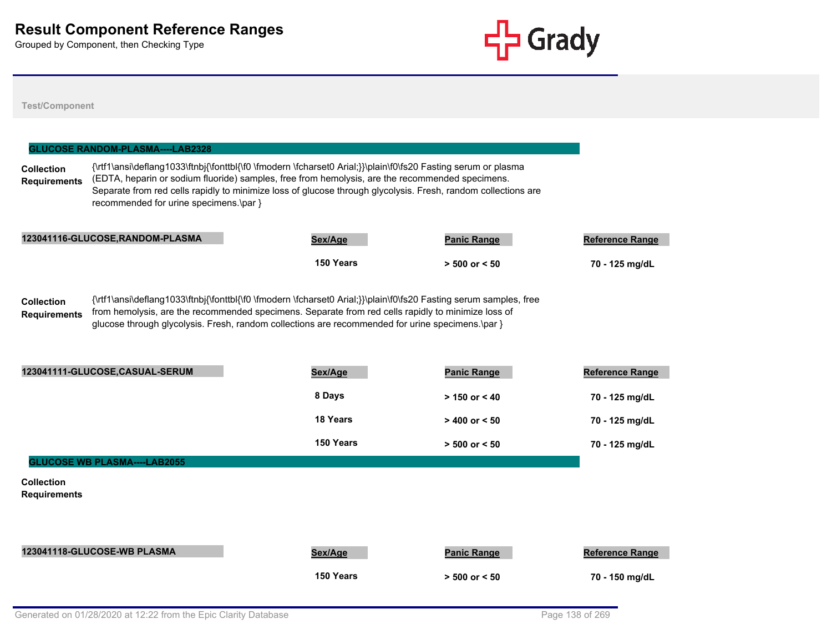

|                                          | <b>GLUCOSE RANDOM-PLASMA----LAB2328</b> |                                                                                                                                                                                                                                                                                                                                   |                    |                        |
|------------------------------------------|-----------------------------------------|-----------------------------------------------------------------------------------------------------------------------------------------------------------------------------------------------------------------------------------------------------------------------------------------------------------------------------------|--------------------|------------------------|
| <b>Collection</b><br><b>Requirements</b> | recommended for urine specimens.\par }  | {\rtf1\ansi\deflang1033\ftnbj{\fonttbl{\f0 \fmodern \fcharset0 Arial;}}\plain\f0\fs20 Fasting serum or plasma<br>(EDTA, heparin or sodium fluoride) samples, free from hemolysis, are the recommended specimens.<br>Separate from red cells rapidly to minimize loss of glucose through glycolysis. Fresh, random collections are |                    |                        |
|                                          | 123041116-GLUCOSE, RANDOM-PLASMA        | Sex/Age                                                                                                                                                                                                                                                                                                                           | <b>Panic Range</b> | <b>Reference Range</b> |
|                                          |                                         | 150 Years                                                                                                                                                                                                                                                                                                                         | $> 500$ or $< 50$  | 70 - 125 mg/dL         |
| <b>Collection</b><br><b>Requirements</b> |                                         | {\rtf1\ansi\deflang1033\ftnbj{\fonttbl{\f0 \fmodern \fcharset0 Arial;}}\plain\f0\fs20 Fasting serum samples, free<br>from hemolysis, are the recommended specimens. Separate from red cells rapidly to minimize loss of<br>glucose through glycolysis. Fresh, random collections are recommended for urine specimens.\par }       |                    |                        |
|                                          | 123041111-GLUCOSE,CASUAL-SERUM          | Sex/Age                                                                                                                                                                                                                                                                                                                           | <b>Panic Range</b> | Reference Range        |
|                                          |                                         | 8 Days                                                                                                                                                                                                                                                                                                                            | $> 150$ or $< 40$  | 70 - 125 mg/dL         |
|                                          |                                         | 18 Years                                                                                                                                                                                                                                                                                                                          | $> 400$ or $< 50$  | 70 - 125 mg/dL         |
|                                          |                                         | 150 Years                                                                                                                                                                                                                                                                                                                         | $> 500$ or $< 50$  | 70 - 125 mg/dL         |
|                                          | <b>GLUCOSE WB PLASMA----LAB2055</b>     |                                                                                                                                                                                                                                                                                                                                   |                    |                        |
| <b>Collection</b><br><b>Requirements</b> |                                         |                                                                                                                                                                                                                                                                                                                                   |                    |                        |
|                                          | 123041118-GLUCOSE-WB PLASMA             | Sex/Age                                                                                                                                                                                                                                                                                                                           | <b>Panic Range</b> | <b>Reference Range</b> |
|                                          |                                         | 150 Years                                                                                                                                                                                                                                                                                                                         | $> 500$ or $< 50$  | 70 - 150 mg/dL         |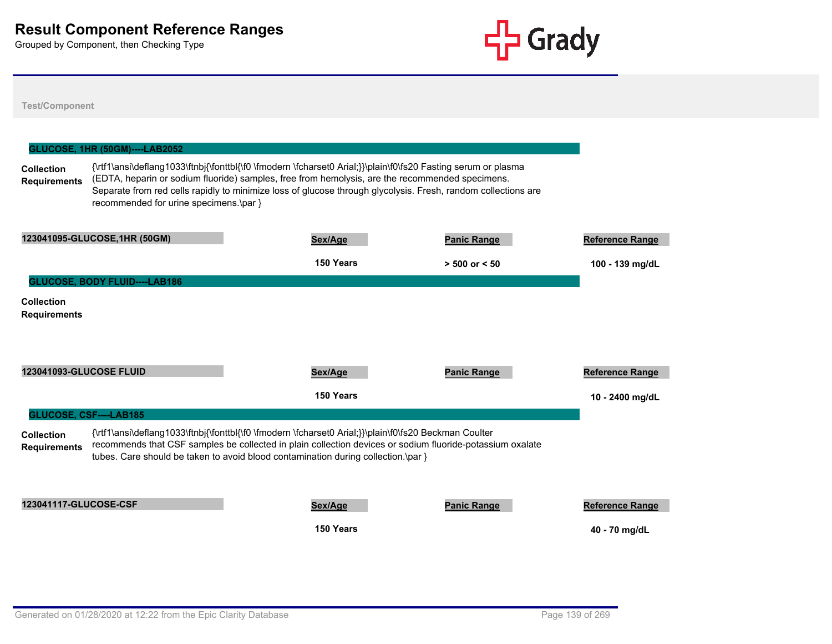

|                                          | <b>GLUCOSE, 1HR (50GM)----LAB2052</b>  |                                                                                                                                                                                                                                                                                                                                   |                    |                        |
|------------------------------------------|----------------------------------------|-----------------------------------------------------------------------------------------------------------------------------------------------------------------------------------------------------------------------------------------------------------------------------------------------------------------------------------|--------------------|------------------------|
| <b>Collection</b><br><b>Requirements</b> | recommended for urine specimens.\par } | {\rtf1\ansi\deflang1033\ftnbj{\fonttbl{\f0 \fmodern \fcharset0 Arial;}}\plain\f0\fs20 Fasting serum or plasma<br>(EDTA, heparin or sodium fluoride) samples, free from hemolysis, are the recommended specimens.<br>Separate from red cells rapidly to minimize loss of glucose through glycolysis. Fresh, random collections are |                    |                        |
|                                          | 123041095-GLUCOSE, 1HR (50GM)          | Sex/Age                                                                                                                                                                                                                                                                                                                           | <b>Panic Range</b> | <b>Reference Range</b> |
|                                          |                                        | 150 Years                                                                                                                                                                                                                                                                                                                         | $> 500$ or $< 50$  | 100 - 139 mg/dL        |
|                                          | <b>GLUCOSE, BODY FLUID----LAB186</b>   |                                                                                                                                                                                                                                                                                                                                   |                    |                        |
| Collection<br><b>Requirements</b>        |                                        |                                                                                                                                                                                                                                                                                                                                   |                    |                        |
| 123041093-GLUCOSE FLUID                  |                                        | Sex/Age                                                                                                                                                                                                                                                                                                                           | <b>Panic Range</b> | Reference Range        |
|                                          |                                        | 150 Years                                                                                                                                                                                                                                                                                                                         |                    | 10 - 2400 mg/dL        |
|                                          | GLUCOSE, CSF----LAB185                 |                                                                                                                                                                                                                                                                                                                                   |                    |                        |
| <b>Collection</b><br><b>Requirements</b> |                                        | {\rtf1\ansi\deflang1033\ftnbj{\fonttbl{\f0 \fmodern \fcharset0 Arial;}}\plain\f0\fs20 Beckman Coulter<br>recommends that CSF samples be collected in plain collection devices or sodium fluoride-potassium oxalate<br>tubes. Care should be taken to avoid blood contamination during collection.\par }                           |                    |                        |
| 123041117-GLUCOSE-CSF                    |                                        | Sex/Age                                                                                                                                                                                                                                                                                                                           | <b>Panic Range</b> | <b>Reference Range</b> |
|                                          |                                        | 150 Years                                                                                                                                                                                                                                                                                                                         |                    | 40 - 70 mg/dL          |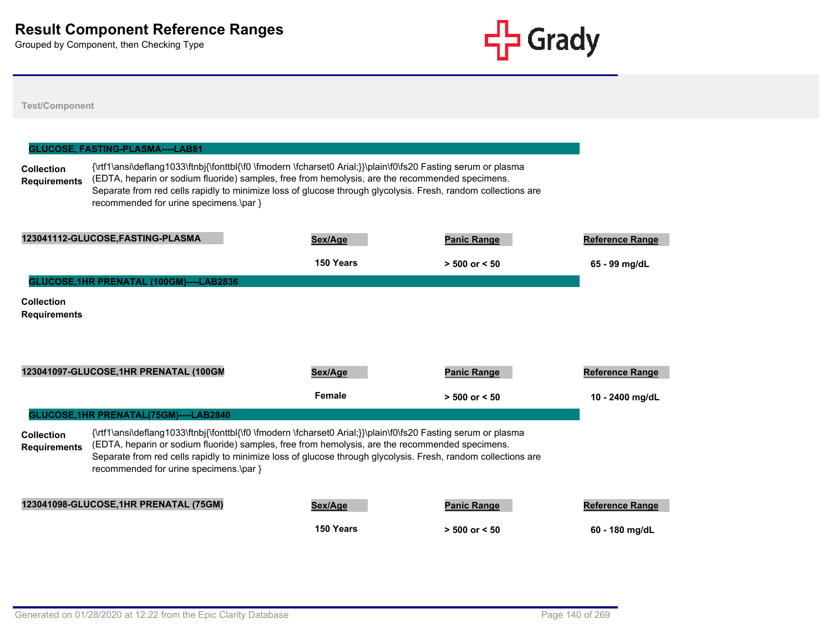

|                                          | GLUCOSE, FASTING-PLASMA----LAB81         |                                                                                                                                                                                                                                                                                                                                   |                    |                        |
|------------------------------------------|------------------------------------------|-----------------------------------------------------------------------------------------------------------------------------------------------------------------------------------------------------------------------------------------------------------------------------------------------------------------------------------|--------------------|------------------------|
| <b>Collection</b><br><b>Requirements</b> | recommended for urine specimens.\par }   | {\rtf1\ansi\deflang1033\ftnbj{\fonttbl{\f0 \fmodern \fcharset0 Arial;}}\plain\f0\fs20 Fasting serum or plasma<br>(EDTA, heparin or sodium fluoride) samples, free from hemolysis, are the recommended specimens.<br>Separate from red cells rapidly to minimize loss of glucose through glycolysis. Fresh, random collections are |                    |                        |
|                                          | 123041112-GLUCOSE, FASTING-PLASMA        | Sex/Age                                                                                                                                                                                                                                                                                                                           | <b>Panic Range</b> | <b>Reference Range</b> |
|                                          |                                          | 150 Years                                                                                                                                                                                                                                                                                                                         | $> 500$ or $< 50$  | 65 - 99 mg/dL          |
|                                          | GLUCOSE, 1HR PRENATAL (100GM)----LAB2836 |                                                                                                                                                                                                                                                                                                                                   |                    |                        |
| <b>Collection</b><br><b>Requirements</b> |                                          |                                                                                                                                                                                                                                                                                                                                   |                    |                        |
|                                          | 123041097-GLUCOSE, 1HR PRENATAL (100GM   | Sex/Age                                                                                                                                                                                                                                                                                                                           | <b>Panic Range</b> | <b>Reference Range</b> |
|                                          |                                          | Female                                                                                                                                                                                                                                                                                                                            | $> 500$ or $< 50$  | 10 - 2400 mg/dL        |
|                                          | GLUCOSE, 1HR PRENATAL(75GM)----LAB2840   |                                                                                                                                                                                                                                                                                                                                   |                    |                        |
| <b>Collection</b><br><b>Requirements</b> | recommended for urine specimens.\par }   | {\rtf1\ansi\deflang1033\ftnbj{\fonttbl{\f0 \fmodern \fcharset0 Arial;}}\plain\f0\fs20 Fasting serum or plasma<br>(EDTA, heparin or sodium fluoride) samples, free from hemolysis, are the recommended specimens.<br>Separate from red cells rapidly to minimize loss of glucose through glycolysis. Fresh, random collections are |                    |                        |
|                                          | 123041098-GLUCOSE, 1HR PRENATAL (75GM)   | Sex/Age                                                                                                                                                                                                                                                                                                                           | <b>Panic Range</b> | <b>Reference Range</b> |
|                                          |                                          | 150 Years                                                                                                                                                                                                                                                                                                                         | $> 500$ or $< 50$  | 60 - 180 mg/dL         |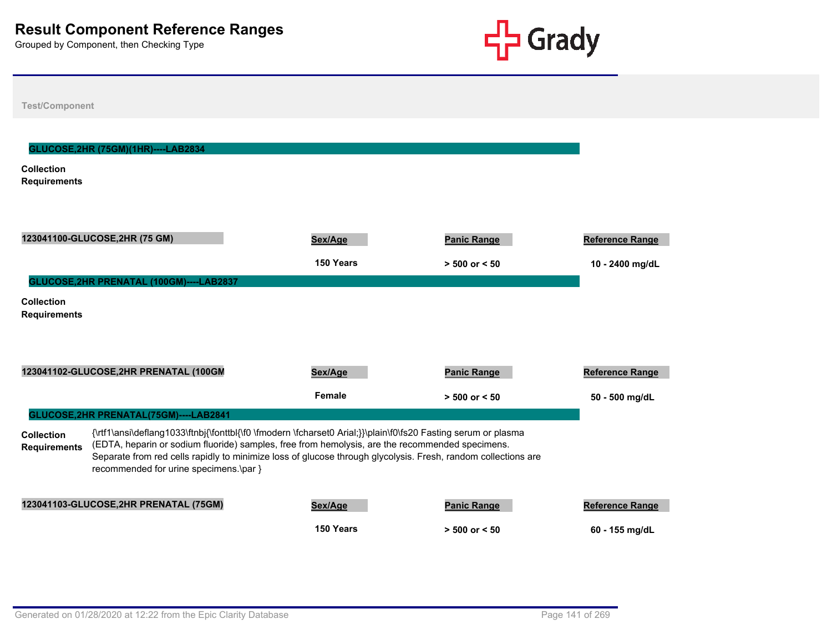

| <b>Test/Component</b>                                                                                                                                                                                                                                                                                                                                                                                                   |                                          |                      |                                         |                                    |  |
|-------------------------------------------------------------------------------------------------------------------------------------------------------------------------------------------------------------------------------------------------------------------------------------------------------------------------------------------------------------------------------------------------------------------------|------------------------------------------|----------------------|-----------------------------------------|------------------------------------|--|
| <b>Collection</b><br><b>Requirements</b>                                                                                                                                                                                                                                                                                                                                                                                | GLUCOSE, 2HR (75GM)(1HR)----LAB2834      |                      |                                         |                                    |  |
|                                                                                                                                                                                                                                                                                                                                                                                                                         | 123041100-GLUCOSE, 2HR (75 GM)           | Sex/Age<br>150 Years | <b>Panic Range</b><br>$> 500$ or $< 50$ | Reference Range<br>10 - 2400 mg/dL |  |
| <b>Collection</b><br><b>Requirements</b>                                                                                                                                                                                                                                                                                                                                                                                | GLUCOSE, 2HR PRENATAL (100GM)----LAB2837 |                      |                                         |                                    |  |
|                                                                                                                                                                                                                                                                                                                                                                                                                         | 123041102-GLUCOSE, 2HR PRENATAL (100GM   | Sex/Age<br>Female    | <b>Panic Range</b><br>$> 500$ or $< 50$ | Reference Range<br>50 - 500 mg/dL  |  |
|                                                                                                                                                                                                                                                                                                                                                                                                                         | GLUCOSE, 2HR PRENATAL (75GM)----LAB2841  |                      |                                         |                                    |  |
| {\rtf1\ansi\deflang1033\ftnbj{\fonttbl{\f0 \fmodern \fcharset0 Arial;}}\plain\f0\fs20 Fasting serum or plasma<br><b>Collection</b><br>(EDTA, heparin or sodium fluoride) samples, free from hemolysis, are the recommended specimens.<br><b>Requirements</b><br>Separate from red cells rapidly to minimize loss of glucose through glycolysis. Fresh, random collections are<br>recommended for urine specimens.\par } |                                          |                      |                                         |                                    |  |
|                                                                                                                                                                                                                                                                                                                                                                                                                         | 123041103-GLUCOSE, 2HR PRENATAL (75GM)   | Sex/Age              | <b>Panic Range</b>                      | Reference Range                    |  |
|                                                                                                                                                                                                                                                                                                                                                                                                                         |                                          | 150 Years            | $> 500$ or $< 50$                       | 60 - 155 mg/dL                     |  |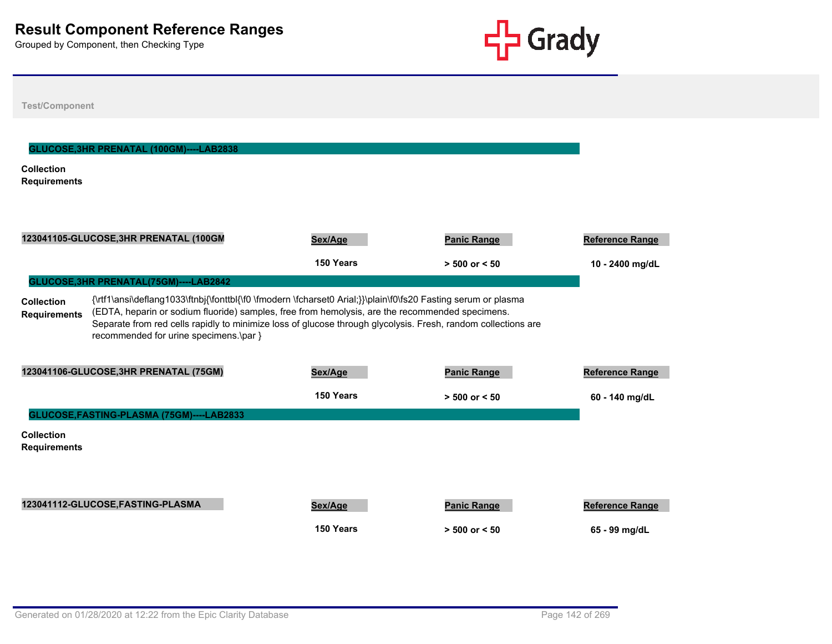

| <b>Test/Component</b>                                                                                                                                                                                                                                                                                                                                                                                                                                             |                      |                                         |                                         |  |  |
|-------------------------------------------------------------------------------------------------------------------------------------------------------------------------------------------------------------------------------------------------------------------------------------------------------------------------------------------------------------------------------------------------------------------------------------------------------------------|----------------------|-----------------------------------------|-----------------------------------------|--|--|
| GLUCOSE, 3HR PRENATAL (100GM)----LAB2838<br><b>Collection</b><br><b>Requirements</b>                                                                                                                                                                                                                                                                                                                                                                              |                      |                                         |                                         |  |  |
| 123041105-GLUCOSE, 3HR PRENATAL (100GM                                                                                                                                                                                                                                                                                                                                                                                                                            | Sex/Age              | <b>Panic Range</b>                      | <b>Reference Range</b>                  |  |  |
|                                                                                                                                                                                                                                                                                                                                                                                                                                                                   | 150 Years            | $> 500$ or $< 50$                       | 10 - 2400 mg/dL                         |  |  |
| GLUCOSE, 3HR PRENATAL(75GM)----LAB2842<br>{\rtf1\ansi\deflang1033\ftnbj{\fonttbl{\f0 \fmodern \fcharset0 Arial;}}\plain\f0\fs20 Fasting serum or plasma<br><b>Collection</b><br>(EDTA, heparin or sodium fluoride) samples, free from hemolysis, are the recommended specimens.<br><b>Requirements</b><br>Separate from red cells rapidly to minimize loss of glucose through glycolysis. Fresh, random collections are<br>recommended for urine specimens.\par } |                      |                                         |                                         |  |  |
| 123041106-GLUCOSE, 3HR PRENATAL (75GM)                                                                                                                                                                                                                                                                                                                                                                                                                            | Sex/Age              | <b>Panic Range</b>                      | <b>Reference Range</b>                  |  |  |
|                                                                                                                                                                                                                                                                                                                                                                                                                                                                   | 150 Years            | $> 500$ or $< 50$                       | 60 - 140 mg/dL                          |  |  |
| GLUCOSE, FASTING-PLASMA (75GM)----LAB2833                                                                                                                                                                                                                                                                                                                                                                                                                         |                      |                                         |                                         |  |  |
| <b>Collection</b><br><b>Requirements</b>                                                                                                                                                                                                                                                                                                                                                                                                                          |                      |                                         |                                         |  |  |
| 123041112-GLUCOSE, FASTING-PLASMA                                                                                                                                                                                                                                                                                                                                                                                                                                 | Sex/Age<br>150 Years | <b>Panic Range</b><br>$> 500$ or $< 50$ | <b>Reference Range</b><br>65 - 99 mg/dL |  |  |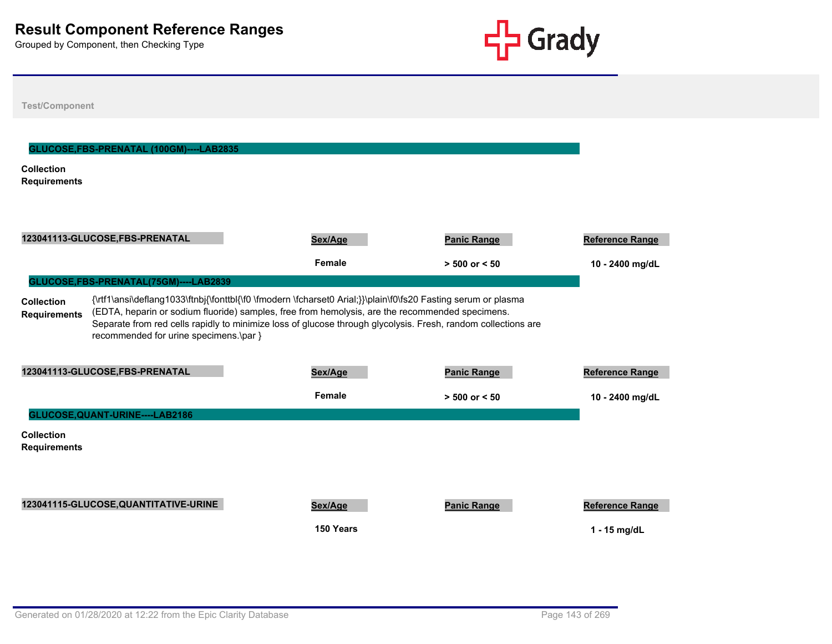

| <b>Test/Component</b>                                                                                                                                                                                                                                                                                                                                                                                                                                            |                      |                    |                                          |  |  |  |
|------------------------------------------------------------------------------------------------------------------------------------------------------------------------------------------------------------------------------------------------------------------------------------------------------------------------------------------------------------------------------------------------------------------------------------------------------------------|----------------------|--------------------|------------------------------------------|--|--|--|
| GLUCOSE, FBS-PRENATAL (100GM)----LAB2835<br><b>Collection</b><br><b>Requirements</b>                                                                                                                                                                                                                                                                                                                                                                             |                      |                    |                                          |  |  |  |
| 123041113-GLUCOSE,FBS-PRENATAL                                                                                                                                                                                                                                                                                                                                                                                                                                   | Sex/Age              | <b>Panic Range</b> | <b>Reference Range</b>                   |  |  |  |
|                                                                                                                                                                                                                                                                                                                                                                                                                                                                  | Female               | $> 500$ or $< 50$  | 10 - 2400 mg/dL                          |  |  |  |
| GLUCOSE,FBS-PRENATAL(75GM)----LAB2839<br>{\rtf1\ansi\deflang1033\ftnbj{\fonttbl{\f0 \fmodern \fcharset0 Arial;}}\plain\f0\fs20 Fasting serum or plasma<br><b>Collection</b><br>(EDTA, heparin or sodium fluoride) samples, free from hemolysis, are the recommended specimens.<br><b>Requirements</b><br>Separate from red cells rapidly to minimize loss of glucose through glycolysis. Fresh, random collections are<br>recommended for urine specimens.\par } |                      |                    |                                          |  |  |  |
| 123041113-GLUCOSE,FBS-PRENATAL                                                                                                                                                                                                                                                                                                                                                                                                                                   | Sex/Age              | <b>Panic Range</b> | Reference Range                          |  |  |  |
|                                                                                                                                                                                                                                                                                                                                                                                                                                                                  | Female               | $> 500$ or $< 50$  | 10 - 2400 mg/dL                          |  |  |  |
| GLUCOSE, QUANT-URINE----LAB2186                                                                                                                                                                                                                                                                                                                                                                                                                                  |                      |                    |                                          |  |  |  |
| <b>Collection</b><br><b>Requirements</b>                                                                                                                                                                                                                                                                                                                                                                                                                         |                      |                    |                                          |  |  |  |
| 123041115-GLUCOSE, QUANTITATIVE-URINE                                                                                                                                                                                                                                                                                                                                                                                                                            | Sex/Age<br>150 Years | <b>Panic Range</b> | <b>Reference Range</b><br>$1 - 15$ mg/dL |  |  |  |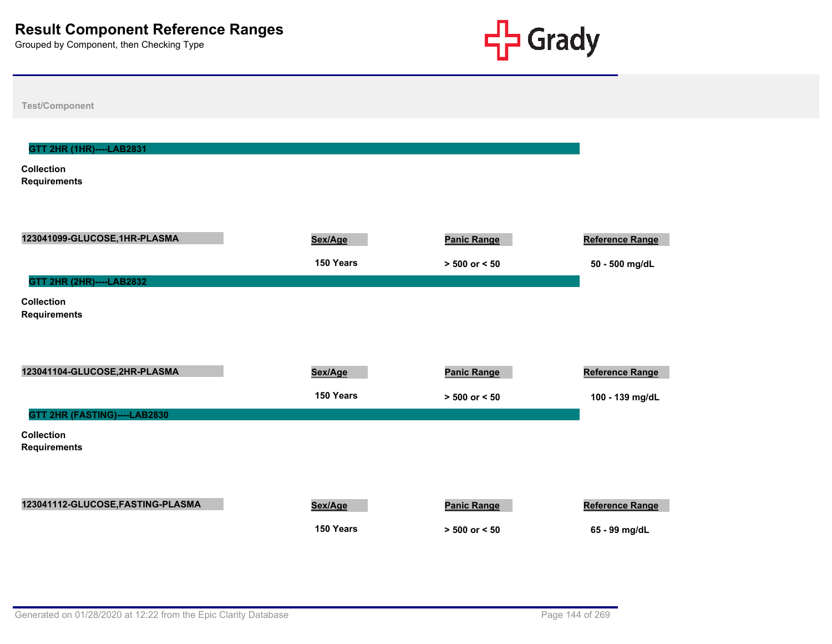

| <b>Test/Component</b>                    |           |                    |                        |
|------------------------------------------|-----------|--------------------|------------------------|
|                                          |           |                    |                        |
| GTT 2HR (1HR)----LAB2831                 |           |                    |                        |
| <b>Collection</b><br><b>Requirements</b> |           |                    |                        |
|                                          |           |                    |                        |
|                                          |           |                    |                        |
| 123041099-GLUCOSE,1HR-PLASMA             | Sex/Age   | <b>Panic Range</b> | <b>Reference Range</b> |
|                                          | 150 Years | $> 500$ or $< 50$  | 50 - 500 mg/dL         |
| GTT 2HR (2HR)----LAB2832                 |           |                    |                        |
| <b>Collection</b><br><b>Requirements</b> |           |                    |                        |
|                                          |           |                    |                        |
|                                          |           |                    |                        |
| 123041104-GLUCOSE,2HR-PLASMA             | Sex/Age   | <b>Panic Range</b> | Reference Range        |
|                                          | 150 Years | $> 500$ or $< 50$  | 100 - 139 mg/dL        |
| GTT 2HR (FASTING)----LAB2830             |           |                    |                        |
| <b>Collection</b><br><b>Requirements</b> |           |                    |                        |
|                                          |           |                    |                        |
|                                          |           |                    |                        |
| 123041112-GLUCOSE, FASTING-PLASMA        | Sex/Age   | <b>Panic Range</b> | Reference Range        |
|                                          | 150 Years | $> 500$ or $< 50$  | 65 - 99 mg/dL          |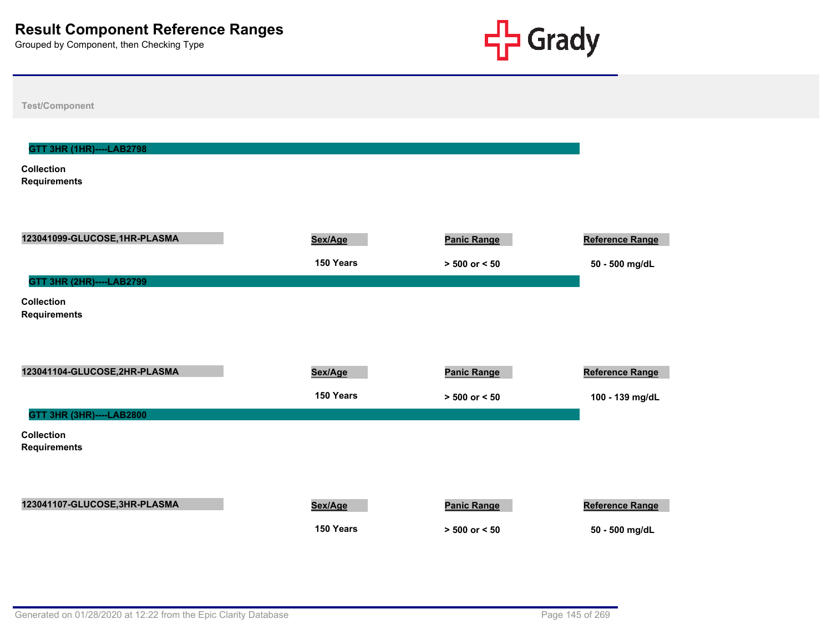

**Test/Component Collection Requirements GTT 3HR (1HR)----LAB2798 123041099-GLUCOSE,1HR-PLASMA Sex/Age Panic Range Reference Range 150 Years > 500 or < 50 50 - 500 mg/dL Collection Requirements GTT 3HR (2HR)----LAB2799 123041104-GLUCOSE,2HR-PLASMA Sex/Age Panic Range Panic Range Reference Range** Reference Range **150 Years > 500 or < 50 100 - 139 mg/dL Collection Requirements GTT 3HR (3HR)----LAB2800 123041107-GLUCOSE,3HR-PLASMA Sex/Age Panic Range Reference Range** Reference Range **150 Years > 500 or < 50 50 - 500 mg/dL**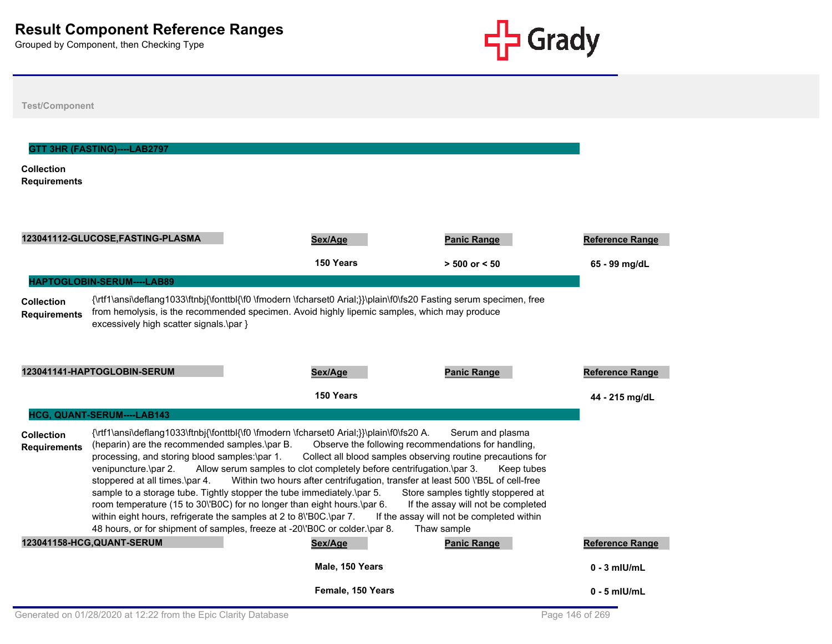

| <b>Test/Component</b>                    |                                                                                                                                                          |                                                                                                                                                                                                                                                                                                                                                                                                                                                                                                                                                                                                                                                                                    |                                                                                                                                                                        |                                         |
|------------------------------------------|----------------------------------------------------------------------------------------------------------------------------------------------------------|------------------------------------------------------------------------------------------------------------------------------------------------------------------------------------------------------------------------------------------------------------------------------------------------------------------------------------------------------------------------------------------------------------------------------------------------------------------------------------------------------------------------------------------------------------------------------------------------------------------------------------------------------------------------------------|------------------------------------------------------------------------------------------------------------------------------------------------------------------------|-----------------------------------------|
| <b>Collection</b><br><b>Requirements</b> | GTT 3HR (FASTING)----LAB2797                                                                                                                             |                                                                                                                                                                                                                                                                                                                                                                                                                                                                                                                                                                                                                                                                                    |                                                                                                                                                                        |                                         |
|                                          | 123041112-GLUCOSE, FASTING-PLASMA                                                                                                                        | Sex/Age<br>150 Years                                                                                                                                                                                                                                                                                                                                                                                                                                                                                                                                                                                                                                                               | <b>Panic Range</b><br>$> 500$ or $< 50$                                                                                                                                | <b>Reference Range</b><br>65 - 99 mg/dL |
| <b>Collection</b><br><b>Requirements</b> | HAPTOGLOBIN-SERUM----LAB89<br>excessively high scatter signals.\par }                                                                                    | {\rtf1\ansi\deflang1033\ftnbj{\fonttbl{\f0 \fmodern \fcharset0 Arial;}}\plain\f0\fs20 Fasting serum specimen, free<br>from hemolysis, is the recommended specimen. Avoid highly lipemic samples, which may produce                                                                                                                                                                                                                                                                                                                                                                                                                                                                 |                                                                                                                                                                        |                                         |
|                                          | 123041141-HAPTOGLOBIN-SERUM                                                                                                                              | Sex/Age<br>150 Years                                                                                                                                                                                                                                                                                                                                                                                                                                                                                                                                                                                                                                                               | <b>Panic Range</b>                                                                                                                                                     | Reference Range<br>44 - 215 mg/dL       |
|                                          | HCG, QUANT-SERUM----LAB143                                                                                                                               |                                                                                                                                                                                                                                                                                                                                                                                                                                                                                                                                                                                                                                                                                    |                                                                                                                                                                        |                                         |
| <b>Collection</b><br><b>Requirements</b> | (heparin) are the recommended samples.\par B.<br>processing, and storing blood samples:\par 1.<br>venipuncture.\par 2.<br>stoppered at all times.\par 4. | {\rtf1\ansi\deflang1033\ftnbj{\fonttbl{\f0 \fmodern \fcharset0 Arial;}}\plain\f0\fs20 A.<br>Observe the following recommendations for handling,<br>Collect all blood samples observing routine precautions for<br>Allow serum samples to clot completely before centrifugation.\par 3.<br>Within two hours after centrifugation, transfer at least 500 \'B5L of cell-free<br>sample to a storage tube. Tightly stopper the tube immediately.\par 5.<br>room temperature (15 to 30\'B0C) for no longer than eight hours.\par 6.<br>within eight hours, refrigerate the samples at 2 to 8\'B0C.\par 7.<br>48 hours, or for shipment of samples, freeze at -20\'B0C or colder.\par 8. | Serum and plasma<br>Keep tubes<br>Store samples tightly stoppered at<br>If the assay will not be completed<br>If the assay will not be completed within<br>Thaw sample |                                         |
|                                          | 123041158-HCG, QUANT-SERUM                                                                                                                               | Sex/Age                                                                                                                                                                                                                                                                                                                                                                                                                                                                                                                                                                                                                                                                            | <b>Panic Range</b>                                                                                                                                                     | <b>Reference Range</b>                  |
|                                          |                                                                                                                                                          | Male, 150 Years                                                                                                                                                                                                                                                                                                                                                                                                                                                                                                                                                                                                                                                                    |                                                                                                                                                                        | $0 - 3$ mlU/mL                          |
|                                          |                                                                                                                                                          | Female, 150 Years                                                                                                                                                                                                                                                                                                                                                                                                                                                                                                                                                                                                                                                                  |                                                                                                                                                                        | $0 - 5$ mlU/mL                          |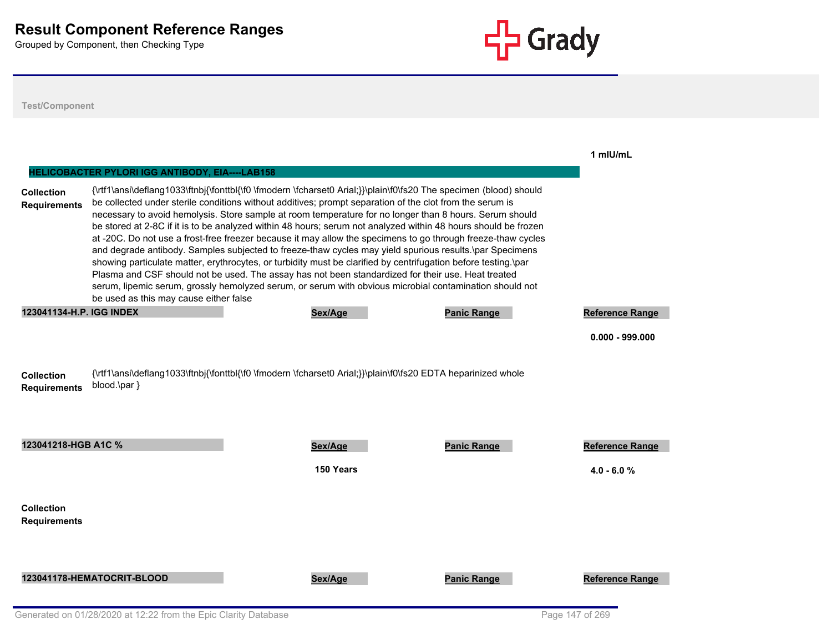

| <b>Test/Component</b>                    |                                                                                           |                                                                                                                                                                                                                                                                                                                                                                                                                                                                                                                                                                                                                                                                                                                                                                                                                                                                                                                                                                                                                          |                    |                        |
|------------------------------------------|-------------------------------------------------------------------------------------------|--------------------------------------------------------------------------------------------------------------------------------------------------------------------------------------------------------------------------------------------------------------------------------------------------------------------------------------------------------------------------------------------------------------------------------------------------------------------------------------------------------------------------------------------------------------------------------------------------------------------------------------------------------------------------------------------------------------------------------------------------------------------------------------------------------------------------------------------------------------------------------------------------------------------------------------------------------------------------------------------------------------------------|--------------------|------------------------|
| <b>Collection</b><br><b>Requirements</b> | HELICOBACTER PYLORI IGG ANTIBODY, EIA----LAB158<br>be used as this may cause either false | {\rtf1\ansi\deflang1033\ftnbj{\fonttbl{\f0 \fmodern \fcharset0 Arial;}}\plain\f0\fs20 The specimen (blood) should<br>be collected under sterile conditions without additives; prompt separation of the clot from the serum is<br>necessary to avoid hemolysis. Store sample at room temperature for no longer than 8 hours. Serum should<br>be stored at 2-8C if it is to be analyzed within 48 hours; serum not analyzed within 48 hours should be frozen<br>at -20C. Do not use a frost-free freezer because it may allow the specimens to go through freeze-thaw cycles<br>and degrade antibody. Samples subjected to freeze-thaw cycles may yield spurious results.\par Specimens<br>showing particulate matter, erythrocytes, or turbidity must be clarified by centrifugation before testing.\par<br>Plasma and CSF should not be used. The assay has not been standardized for their use. Heat treated<br>serum, lipemic serum, grossly hemolyzed serum, or serum with obvious microbial contamination should not |                    | 1 mIU/mL               |
| 123041134-H.P. IGG INDEX                 |                                                                                           | Sex/Age                                                                                                                                                                                                                                                                                                                                                                                                                                                                                                                                                                                                                                                                                                                                                                                                                                                                                                                                                                                                                  | <b>Panic Range</b> | <b>Reference Range</b> |
| <b>Collection</b><br><b>Requirements</b> | blood.\par }                                                                              | {\rtf1\ansi\deflang1033\ftnbj{\fonttbl{\f0 \fmodern \fcharset0 Arial;}}\plain\f0\fs20 EDTA heparinized whole                                                                                                                                                                                                                                                                                                                                                                                                                                                                                                                                                                                                                                                                                                                                                                                                                                                                                                             |                    | $0.000 - 999.000$      |
| 123041218-HGB A1C %                      |                                                                                           | Sex/Age                                                                                                                                                                                                                                                                                                                                                                                                                                                                                                                                                                                                                                                                                                                                                                                                                                                                                                                                                                                                                  | <b>Panic Range</b> | <b>Reference Range</b> |
|                                          |                                                                                           | 150 Years                                                                                                                                                                                                                                                                                                                                                                                                                                                                                                                                                                                                                                                                                                                                                                                                                                                                                                                                                                                                                |                    | $4.0 - 6.0 %$          |
| <b>Collection</b><br>Requirements        |                                                                                           |                                                                                                                                                                                                                                                                                                                                                                                                                                                                                                                                                                                                                                                                                                                                                                                                                                                                                                                                                                                                                          |                    |                        |
|                                          | 123041178-HEMATOCRIT-BLOOD                                                                | Sex/Age                                                                                                                                                                                                                                                                                                                                                                                                                                                                                                                                                                                                                                                                                                                                                                                                                                                                                                                                                                                                                  | <b>Panic Range</b> | <b>Reference Range</b> |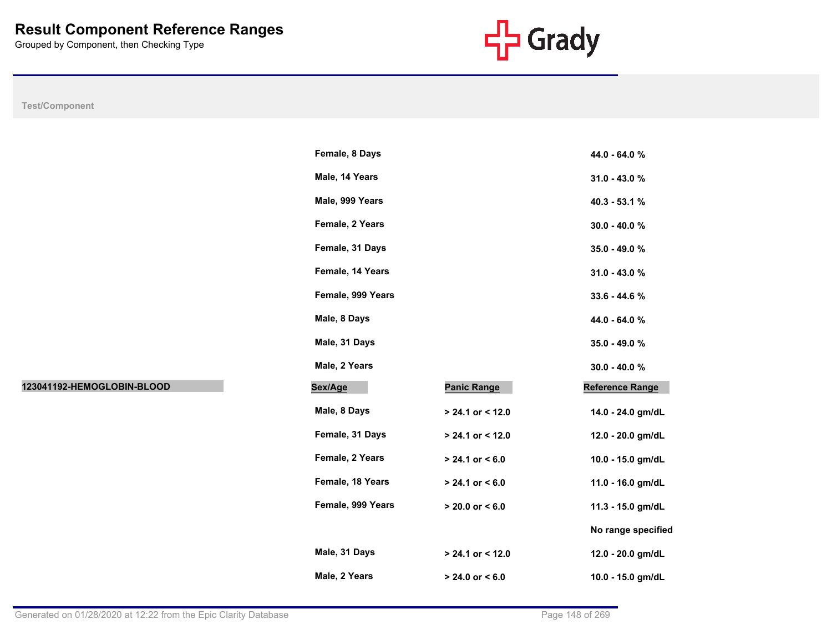

|                            | Female, 8 Days    |                     | 44.0 - 64.0 %      |
|----------------------------|-------------------|---------------------|--------------------|
|                            | Male, 14 Years    |                     | 31.0 - 43.0 %      |
|                            | Male, 999 Years   |                     | 40.3 - 53.1 %      |
|                            | Female, 2 Years   |                     | 30.0 - 40.0 %      |
|                            | Female, 31 Days   |                     | 35.0 - 49.0 %      |
|                            | Female, 14 Years  |                     | 31.0 - 43.0 %      |
|                            | Female, 999 Years |                     | 33.6 - 44.6 %      |
|                            | Male, 8 Days      |                     | 44.0 - 64.0 %      |
|                            | Male, 31 Days     |                     | 35.0 - 49.0 %      |
|                            | Male, 2 Years     |                     | 30.0 - 40.0 %      |
| 123041192-HEMOGLOBIN-BLOOD | Sex/Age           | <b>Panic Range</b>  | Reference Range    |
|                            | Male, 8 Days      | $> 24.1$ or < 12.0  | 14.0 - 24.0 gm/dL  |
|                            | Female, 31 Days   | $> 24.1$ or < 12.0  | 12.0 - 20.0 gm/dL  |
|                            | Female, 2 Years   | $> 24.1$ or < 6.0   | 10.0 - 15.0 gm/dL  |
|                            | Female, 18 Years  | $> 24.1$ or < 6.0   | 11.0 - 16.0 gm/dL  |
|                            | Female, 999 Years | $> 20.0$ or $< 6.0$ | 11.3 - 15.0 gm/dL  |
|                            |                   |                     | No range specified |
|                            |                   |                     |                    |
|                            | Male, 31 Days     | > 24.1 or < 12.0    | 12.0 - 20.0 gm/dL  |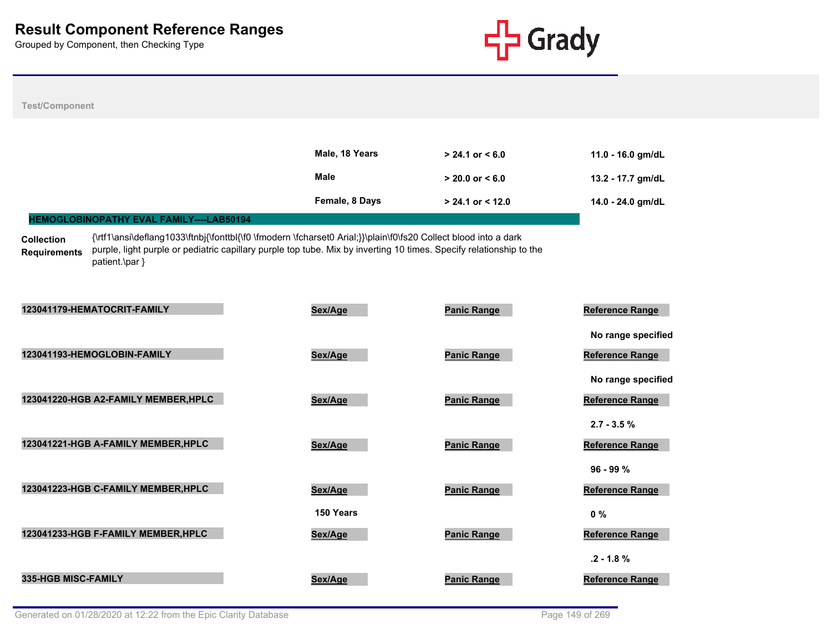

| <b>Test/Component</b>                                                                                                                                                                                                                                                                                |                      |                      |                                                             |
|------------------------------------------------------------------------------------------------------------------------------------------------------------------------------------------------------------------------------------------------------------------------------------------------------|----------------------|----------------------|-------------------------------------------------------------|
|                                                                                                                                                                                                                                                                                                      |                      |                      |                                                             |
|                                                                                                                                                                                                                                                                                                      | Male, 18 Years       | $> 24.1$ or $< 6.0$  | 11.0 - 16.0 gm/dL                                           |
|                                                                                                                                                                                                                                                                                                      | <b>Male</b>          | $> 20.0$ or $< 6.0$  | 13.2 - 17.7 gm/dL                                           |
|                                                                                                                                                                                                                                                                                                      | Female, 8 Days       | $> 24.1$ or $< 12.0$ | 14.0 - 24.0 gm/dL                                           |
| HEMOGLOBINOPATHY EVAL FAMILY----LAB50194                                                                                                                                                                                                                                                             |                      |                      |                                                             |
| {\rtf1\ansi\deflang1033\ftnbj{\fonttbl{\f0 \fmodern \fcharset0 Arial;}}\plain\f0\fs20 Collect blood into a dark<br><b>Collection</b><br>purple, light purple or pediatric capillary purple top tube. Mix by inverting 10 times. Specify relationship to the<br><b>Requirements</b><br>patient.\par } |                      |                      |                                                             |
| 123041179-HEMATOCRIT-FAMILY                                                                                                                                                                                                                                                                          | Sex/Age              | <b>Panic Range</b>   | <b>Reference Range</b>                                      |
| 123041193-HEMOGLOBIN-FAMILY                                                                                                                                                                                                                                                                          | Sex/Age              | <b>Panic Range</b>   | No range specified<br>Reference Range<br>No range specified |
| 123041220-HGB A2-FAMILY MEMBER, HPLC                                                                                                                                                                                                                                                                 | Sex/Age              | <b>Panic Range</b>   | Reference Range                                             |
| 123041221-HGB A-FAMILY MEMBER, HPLC                                                                                                                                                                                                                                                                  | Sex/Age              | <b>Panic Range</b>   | $2.7 - 3.5 \%$<br>Reference Range                           |
| 123041223-HGB C-FAMILY MEMBER, HPLC                                                                                                                                                                                                                                                                  | Sex/Age              | <b>Panic Range</b>   | $96 - 99 %$<br><b>Reference Range</b>                       |
| 123041233-HGB F-FAMILY MEMBER, HPLC                                                                                                                                                                                                                                                                  | 150 Years<br>Sex/Age | <b>Panic Range</b>   | $0\%$<br>Reference Range                                    |
| 335-HGB MISC-FAMILY                                                                                                                                                                                                                                                                                  | Sex/Age              | <b>Panic Range</b>   | $.2 - 1.8 \%$<br><b>Reference Range</b>                     |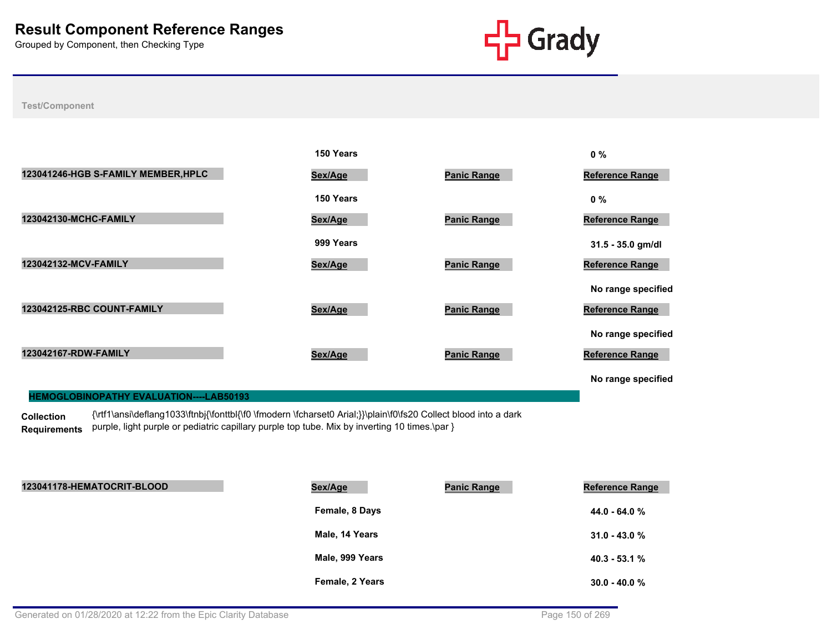

#### **Test/Component**

|                                     | 150 Years |                    | $0\%$                  |
|-------------------------------------|-----------|--------------------|------------------------|
| 123041246-HGB S-FAMILY MEMBER, HPLC | Sex/Age   | <b>Panic Range</b> | <b>Reference Range</b> |
|                                     | 150 Years |                    | $0\%$                  |
| 123042130-MCHC-FAMILY               | Sex/Age   | <b>Panic Range</b> | <b>Reference Range</b> |
|                                     | 999 Years |                    | 31.5 - 35.0 gm/dl      |
| 123042132-MCV-FAMILY                | Sex/Age   | <b>Panic Range</b> | Reference Range        |
|                                     |           |                    | No range specified     |
| 123042125-RBC COUNT-FAMILY          | Sex/Age   | <b>Panic Range</b> | <b>Reference Range</b> |
|                                     |           |                    | No range specified     |
| 123042167-RDW-FAMILY                | Sex/Age   | <b>Panic Range</b> | <b>Reference Range</b> |
|                                     |           |                    | No range specified     |

#### **HEMOGLOBINOPATHY EVALUATION----LAB50193**

**Collection**  Requirements purple, light purple or pediatric capillary purple top tube. Mix by inverting 10 times.\par } {\rtf1\ansi\deflang1033\ftnbj{\fonttbl{\f0 \fmodern \fcharset0 Arial;}}\plain\f0\fs20 Collect blood into a dark

| 123041178-HEMATOCRIT-BLOOD | Sex/Age         | <b>Panic Range</b> | <b>Reference Range</b> |
|----------------------------|-----------------|--------------------|------------------------|
|                            | Female, 8 Days  |                    | $44.0 - 64.0 %$        |
|                            | Male, 14 Years  |                    | $31.0 - 43.0 \%$       |
|                            | Male, 999 Years |                    | $40.3 - 53.1%$         |
|                            | Female, 2 Years |                    | $30.0 - 40.0 %$        |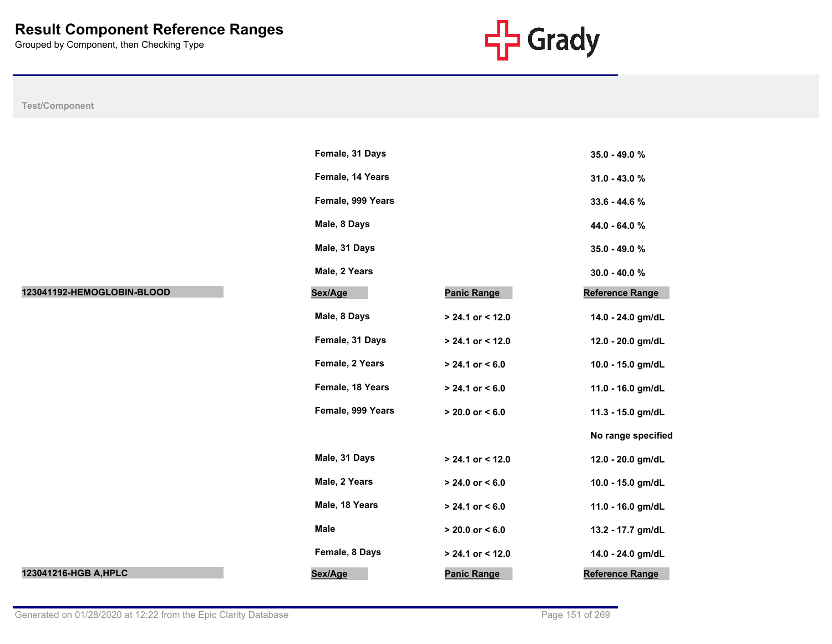

|                            | Female, 31 Days   |                     | 35.0 - 49.0 %      |
|----------------------------|-------------------|---------------------|--------------------|
|                            | Female, 14 Years  |                     | 31.0 - 43.0 %      |
|                            | Female, 999 Years |                     | 33.6 - 44.6 %      |
|                            | Male, 8 Days      |                     | 44.0 - 64.0 %      |
|                            | Male, 31 Days     |                     | 35.0 - 49.0 %      |
|                            | Male, 2 Years     |                     | $30.0 - 40.0 %$    |
| 123041192-HEMOGLOBIN-BLOOD | Sex/Age           | <b>Panic Range</b>  | Reference Range    |
|                            | Male, 8 Days      | $> 24.1$ or < 12.0  | 14.0 - 24.0 gm/dL  |
|                            | Female, 31 Days   | $> 24.1$ or < 12.0  | 12.0 - 20.0 gm/dL  |
|                            | Female, 2 Years   | $> 24.1$ or < 6.0   | 10.0 - 15.0 gm/dL  |
|                            | Female, 18 Years  | $> 24.1$ or < 6.0   | 11.0 - 16.0 gm/dL  |
|                            | Female, 999 Years | $> 20.0$ or $< 6.0$ | 11.3 - 15.0 gm/dL  |
|                            |                   |                     | No range specified |
|                            | Male, 31 Days     | $> 24.1$ or < 12.0  | 12.0 - 20.0 gm/dL  |
|                            | Male, 2 Years     | $> 24.0$ or < 6.0   | 10.0 - 15.0 gm/dL  |
|                            | Male, 18 Years    | $> 24.1$ or < 6.0   | 11.0 - 16.0 gm/dL  |
|                            | Male              | $> 20.0$ or $< 6.0$ | 13.2 - 17.7 gm/dL  |
|                            | Female, 8 Days    | $> 24.1$ or < 12.0  | 14.0 - 24.0 gm/dL  |
| 123041216-HGB A, HPLC      | Sex/Age           | <b>Panic Range</b>  | Reference Range    |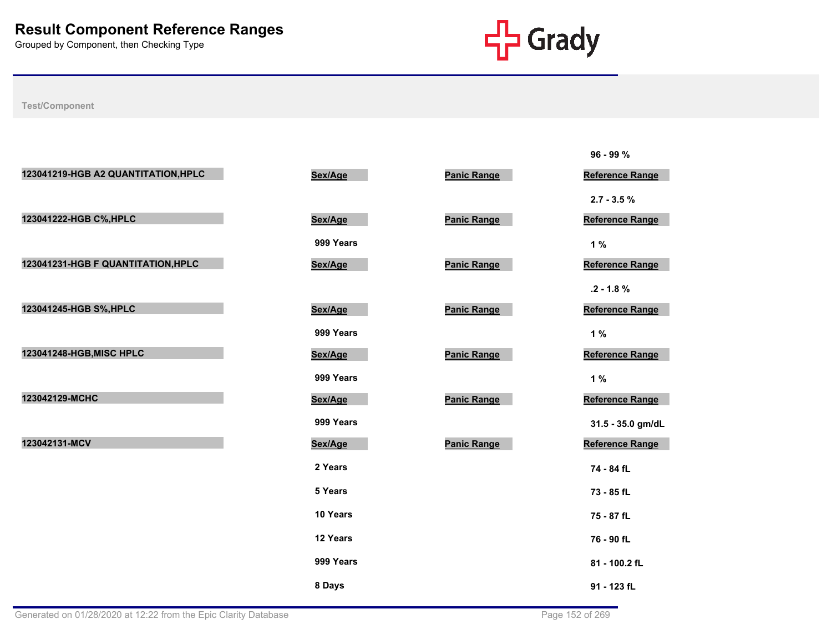

|                                     |           |                    | 96 - 99 %              |
|-------------------------------------|-----------|--------------------|------------------------|
| 123041219-HGB A2 QUANTITATION, HPLC | Sex/Age   | <b>Panic Range</b> | <b>Reference Range</b> |
|                                     |           |                    | $2.7 - 3.5 \%$         |
| 123041222-HGB C%, HPLC              | Sex/Age   | <b>Panic Range</b> | <b>Reference Range</b> |
|                                     | 999 Years |                    | 1%                     |
| 123041231-HGB F QUANTITATION, HPLC  | Sex/Age   | <b>Panic Range</b> | Reference Range        |
|                                     |           |                    | $.2 - 1.8 \%$          |
| 123041245-HGB S%, HPLC              | Sex/Age   | <b>Panic Range</b> | <b>Reference Range</b> |
|                                     | 999 Years |                    | 1%                     |
| 123041248-HGB, MISC HPLC            | Sex/Age   | <b>Panic Range</b> | <b>Reference Range</b> |
|                                     | 999 Years |                    | 1%                     |
| 123042129-MCHC                      | Sex/Age   | <b>Panic Range</b> | Reference Range        |
|                                     | 999 Years |                    | 31.5 - 35.0 gm/dL      |
| 123042131-MCV                       | Sex/Age   | <b>Panic Range</b> | Reference Range        |
|                                     | 2 Years   |                    | 74 - 84 fL             |
|                                     | 5 Years   |                    | 73 - 85 fL             |
|                                     | 10 Years  |                    | 75 - 87 fL             |
|                                     | 12 Years  |                    | 76 - 90 fL             |
|                                     | 999 Years |                    | 81 - 100.2 fL          |
|                                     | 8 Days    |                    | 91 - 123 fL            |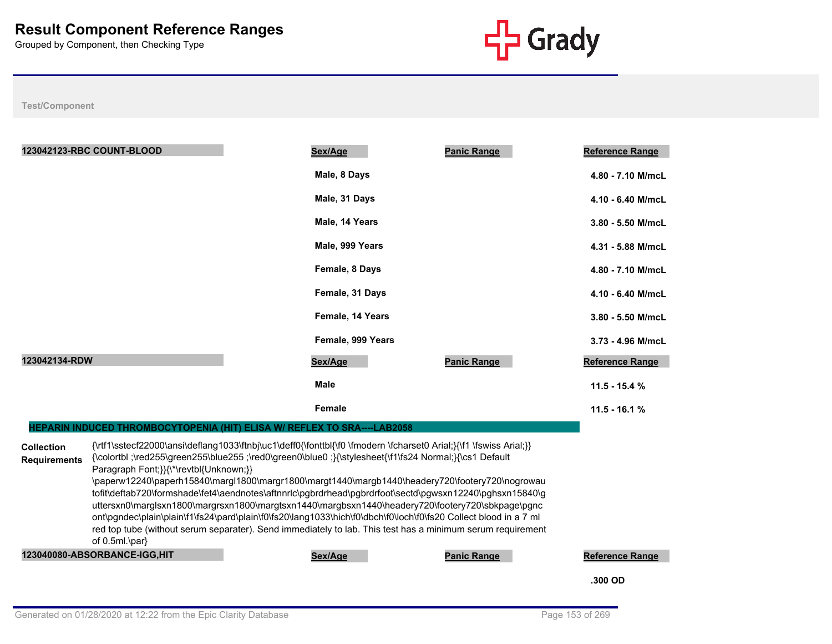

|                                          | 123042123-RBC COUNT-BLOOD                                                                                                                                                                                                                                                                                                                                                                                                                                                                                                                                                                                                                                                                                                                            | Sex/Age           | <b>Panic Range</b>                                                                              | <b>Reference Range</b> |
|------------------------------------------|------------------------------------------------------------------------------------------------------------------------------------------------------------------------------------------------------------------------------------------------------------------------------------------------------------------------------------------------------------------------------------------------------------------------------------------------------------------------------------------------------------------------------------------------------------------------------------------------------------------------------------------------------------------------------------------------------------------------------------------------------|-------------------|-------------------------------------------------------------------------------------------------|------------------------|
|                                          |                                                                                                                                                                                                                                                                                                                                                                                                                                                                                                                                                                                                                                                                                                                                                      | Male, 8 Days      |                                                                                                 | 4.80 - 7.10 M/mcL      |
|                                          |                                                                                                                                                                                                                                                                                                                                                                                                                                                                                                                                                                                                                                                                                                                                                      | Male, 31 Days     |                                                                                                 | 4.10 - 6.40 M/mcL      |
|                                          |                                                                                                                                                                                                                                                                                                                                                                                                                                                                                                                                                                                                                                                                                                                                                      | Male, 14 Years    |                                                                                                 | 3.80 - 5.50 M/mcL      |
|                                          |                                                                                                                                                                                                                                                                                                                                                                                                                                                                                                                                                                                                                                                                                                                                                      | Male, 999 Years   |                                                                                                 | 4.31 - 5.88 M/mcL      |
|                                          |                                                                                                                                                                                                                                                                                                                                                                                                                                                                                                                                                                                                                                                                                                                                                      | Female, 8 Days    |                                                                                                 | 4.80 - 7.10 M/mcL      |
|                                          |                                                                                                                                                                                                                                                                                                                                                                                                                                                                                                                                                                                                                                                                                                                                                      | Female, 31 Days   |                                                                                                 | 4.10 - 6.40 M/mcL      |
|                                          |                                                                                                                                                                                                                                                                                                                                                                                                                                                                                                                                                                                                                                                                                                                                                      | Female, 14 Years  |                                                                                                 | 3.80 - 5.50 M/mcL      |
|                                          |                                                                                                                                                                                                                                                                                                                                                                                                                                                                                                                                                                                                                                                                                                                                                      | Female, 999 Years |                                                                                                 | 3.73 - 4.96 M/mcL      |
| 123042134-RDW                            |                                                                                                                                                                                                                                                                                                                                                                                                                                                                                                                                                                                                                                                                                                                                                      | Sex/Age           | <b>Panic Range</b>                                                                              | <b>Reference Range</b> |
|                                          |                                                                                                                                                                                                                                                                                                                                                                                                                                                                                                                                                                                                                                                                                                                                                      | <b>Male</b>       |                                                                                                 | $11.5 - 15.4 %$        |
|                                          |                                                                                                                                                                                                                                                                                                                                                                                                                                                                                                                                                                                                                                                                                                                                                      | Female            |                                                                                                 | $11.5 - 16.1 %$        |
|                                          | HEPARIN INDUCED THROMBOCYTOPENIA (HIT) ELISA W/ REFLEX TO SRA----LAB2058                                                                                                                                                                                                                                                                                                                                                                                                                                                                                                                                                                                                                                                                             |                   |                                                                                                 |                        |
| <b>Collection</b><br><b>Requirements</b> | {\rtf1\sstecf22000\ansi\deflang1033\ftnbj\uc1\deff0{\fonttbl{\f0 \fmodern \fcharset0 Arial;}{\f1 \fswiss Arial;}}<br>{\colortbl ;\red255\green255\blue255 ;\red0\green0\blue0 ;}{\stylesheet{\f1\fs24 Normal;}{\cs1 Default<br>Paragraph Font; } } {\*\revtbl { Unknown; } }<br>tofit\deftab720\formshade\fet4\aendnotes\aftnnrlc\pgbrdrhead\pgbrdrfoot\sectd\pgwsxn12240\pghsxn15840\g<br>uttersxn0\marglsxn1800\margrsxn1800\margtsxn1440\margbsxn1440\headery720\footery720\sbkpage\pgnc<br>ont\pgndec\plain\plain\f1\fs24\pard\plain\f0\fs20\lang1033\hich\f0\dbch\f0\loch\f0\fs20 Collect blood in a 7 ml<br>red top tube (without serum separater). Send immediately to lab. This test has a minimum serum requirement<br>of $0.5ml$ \par $\}$ |                   | \paperw12240\paperh15840\margl1800\margr1800\margt1440\margb1440\headery720\footery720\nogrowau |                        |
|                                          | 123040080-ABSORBANCE-IGG,HIT                                                                                                                                                                                                                                                                                                                                                                                                                                                                                                                                                                                                                                                                                                                         | Sex/Age           | <b>Panic Range</b>                                                                              | <b>Reference Range</b> |
|                                          |                                                                                                                                                                                                                                                                                                                                                                                                                                                                                                                                                                                                                                                                                                                                                      |                   |                                                                                                 | .300 OD                |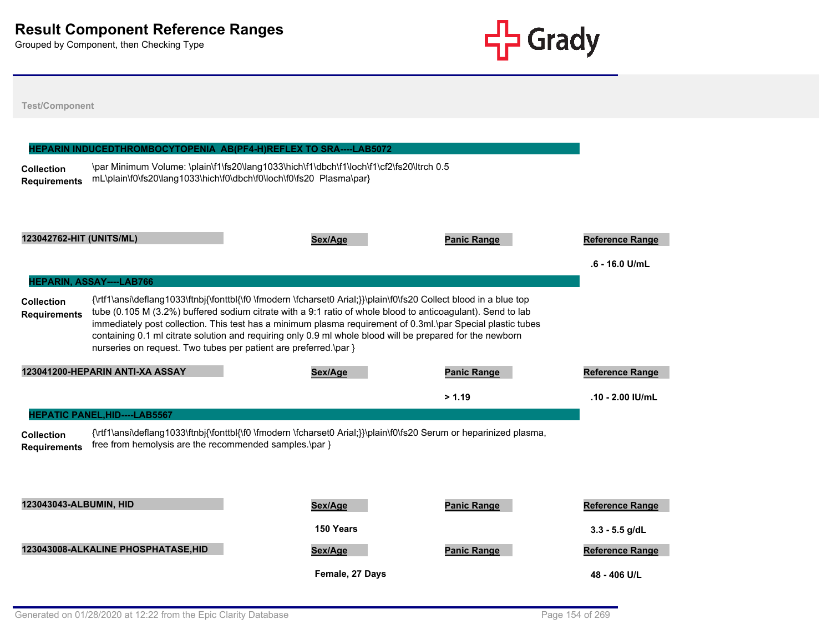

| <b>Collection</b><br><b>Requirements</b> |                                                                  | HEPARIN INDUCEDTHROMBOCYTOPENIA AB(PF4-H)REFLEX TO SRA----LAB5072<br>\par Minimum Volume: \plain\f1\fs20\lang1033\hich\f1\dbch\f1\loch\f1\cf2\fs20\ltrch 0.5<br>mL\plain\f0\fs20\lang1033\hich\f0\dbch\f0\loch\f0\fs20 Plasma\par}                                                                                                                                                                                                                           |                    |                                          |
|------------------------------------------|------------------------------------------------------------------|--------------------------------------------------------------------------------------------------------------------------------------------------------------------------------------------------------------------------------------------------------------------------------------------------------------------------------------------------------------------------------------------------------------------------------------------------------------|--------------------|------------------------------------------|
| 123042762-HIT (UNITS/ML)                 | <b>HEPARIN, ASSAY----LAB766</b>                                  | Sex/Age                                                                                                                                                                                                                                                                                                                                                                                                                                                      | <b>Panic Range</b> | <b>Reference Range</b><br>.6 - 16.0 U/mL |
| <b>Collection</b><br><b>Requirements</b> | nurseries on request. Two tubes per patient are preferred.\par } | {\rtf1\ansi\deflang1033\ftnbj{\fonttbl{\f0 \fmodern \fcharset0 Arial;}}\plain\f0\fs20 Collect blood in a blue top<br>tube (0.105 M (3.2%) buffered sodium citrate with a 9:1 ratio of whole blood to anticoagulant). Send to lab<br>immediately post collection. This test has a minimum plasma requirement of 0.3ml.\par Special plastic tubes<br>containing 0.1 ml citrate solution and requiring only 0.9 ml whole blood will be prepared for the newborn |                    |                                          |
|                                          |                                                                  | Sex/Age                                                                                                                                                                                                                                                                                                                                                                                                                                                      | <b>Panic Range</b> | <b>Reference Range</b>                   |
|                                          | 123041200-HEPARIN ANTI-XA ASSAY                                  |                                                                                                                                                                                                                                                                                                                                                                                                                                                              |                    |                                          |
|                                          |                                                                  |                                                                                                                                                                                                                                                                                                                                                                                                                                                              | > 1.19             | $.10 - 2.00$ IU/mL                       |
|                                          | <b>HEPATIC PANEL, HID----LAB5567</b>                             |                                                                                                                                                                                                                                                                                                                                                                                                                                                              |                    |                                          |
| <b>Collection</b><br><b>Requirements</b> | free from hemolysis are the recommended samples.\par }           | {\rtf1\ansi\deflang1033\ftnbj{\fonttbl{\f0 \fmodern \fcharset0 Arial;}}\plain\f0\fs20 Serum or heparinized plasma,                                                                                                                                                                                                                                                                                                                                           |                    |                                          |
| 123043043-ALBUMIN, HID                   |                                                                  | Sex/Age                                                                                                                                                                                                                                                                                                                                                                                                                                                      | <b>Panic Range</b> | <b>Reference Range</b>                   |
|                                          |                                                                  | 150 Years                                                                                                                                                                                                                                                                                                                                                                                                                                                    |                    | $3.3 - 5.5$ g/dL                         |
|                                          | 123043008-ALKALINE PHOSPHATASE, HID                              | Sex/Age                                                                                                                                                                                                                                                                                                                                                                                                                                                      | <b>Panic Range</b> | <b>Reference Range</b>                   |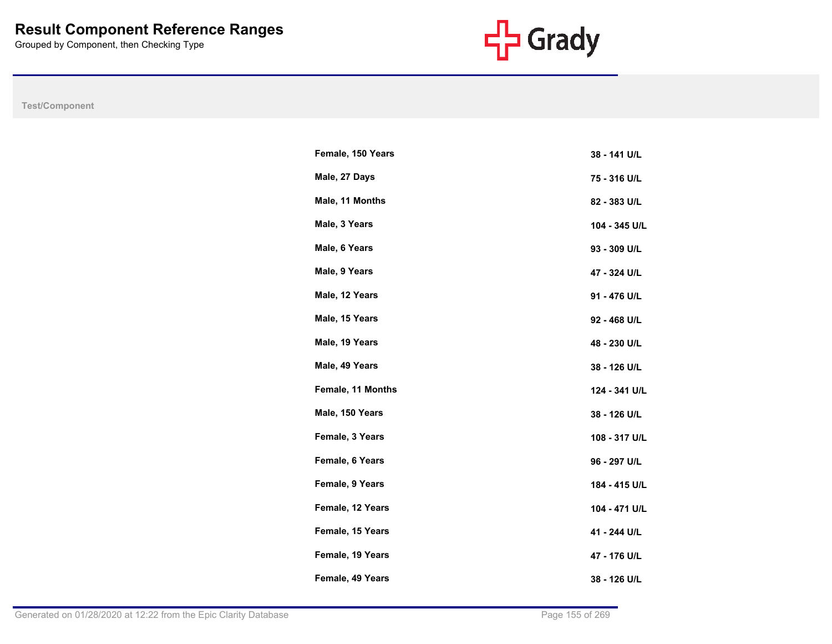

| Female, 150 Years | 38 - 141 U/L  |
|-------------------|---------------|
| Male, 27 Days     | 75 - 316 U/L  |
| Male, 11 Months   | 82 - 383 U/L  |
| Male, 3 Years     | 104 - 345 U/L |
| Male, 6 Years     | 93 - 309 U/L  |
| Male, 9 Years     | 47 - 324 U/L  |
| Male, 12 Years    | 91 - 476 U/L  |
| Male, 15 Years    | 92 - 468 U/L  |
| Male, 19 Years    | 48 - 230 U/L  |
| Male, 49 Years    | 38 - 126 U/L  |
| Female, 11 Months | 124 - 341 U/L |
| Male, 150 Years   | 38 - 126 U/L  |
| Female, 3 Years   | 108 - 317 U/L |
| Female, 6 Years   | 96 - 297 U/L  |
| Female, 9 Years   | 184 - 415 U/L |
| Female, 12 Years  | 104 - 471 U/L |
| Female, 15 Years  | 41 - 244 U/L  |
| Female, 19 Years  | 47 - 176 U/L  |
| Female, 49 Years  | 38 - 126 U/L  |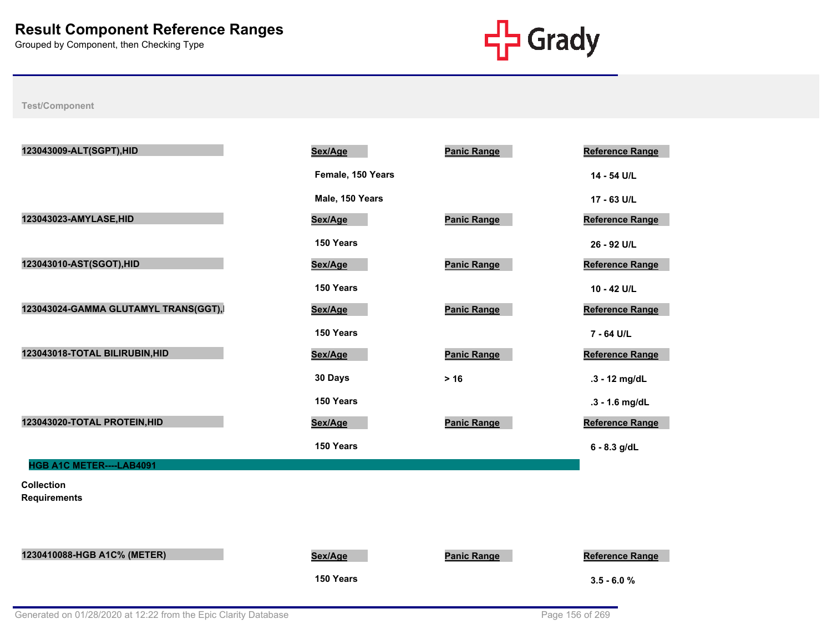

| 123043009-ALT(SGPT), HID                 | Sex/Age           | <b>Panic Range</b> | <b>Reference Range</b> |
|------------------------------------------|-------------------|--------------------|------------------------|
|                                          | Female, 150 Years |                    | 14 - 54 U/L            |
|                                          | Male, 150 Years   |                    | 17 - 63 U/L            |
| 123043023-AMYLASE, HID                   | Sex/Age           | <b>Panic Range</b> | Reference Range        |
|                                          | 150 Years         |                    | 26 - 92 U/L            |
| 123043010-AST(SGOT), HID                 | Sex/Age           | <b>Panic Range</b> | Reference Range        |
|                                          | 150 Years         |                    | 10 - 42 U/L            |
| 123043024-GAMMA GLUTAMYL TRANS(GGT),     | Sex/Age           | <b>Panic Range</b> | <b>Reference Range</b> |
|                                          | 150 Years         |                    | 7 - 64 U/L             |
| 123043018-TOTAL BILIRUBIN, HID           | Sex/Age           | <b>Panic Range</b> | Reference Range        |
|                                          | 30 Days           | $>16$              | .3 - 12 mg/dL          |
|                                          | 150 Years         |                    | .3 - 1.6 mg/dL         |
| 123043020-TOTAL PROTEIN, HID             | Sex/Age           | <b>Panic Range</b> | <b>Reference Range</b> |
|                                          | 150 Years         |                    | $6 - 8.3$ g/dL         |
| HGB A1C METER----LAB4091                 |                   |                    |                        |
| <b>Collection</b><br><b>Requirements</b> |                   |                    |                        |
|                                          |                   |                    |                        |
|                                          |                   |                    |                        |
| 1230410088-HGB A1C% (METER)              | Sex/Age           | <b>Panic Range</b> | <b>Reference Range</b> |
|                                          | 150 Years         |                    | $3.5 - 6.0 %$          |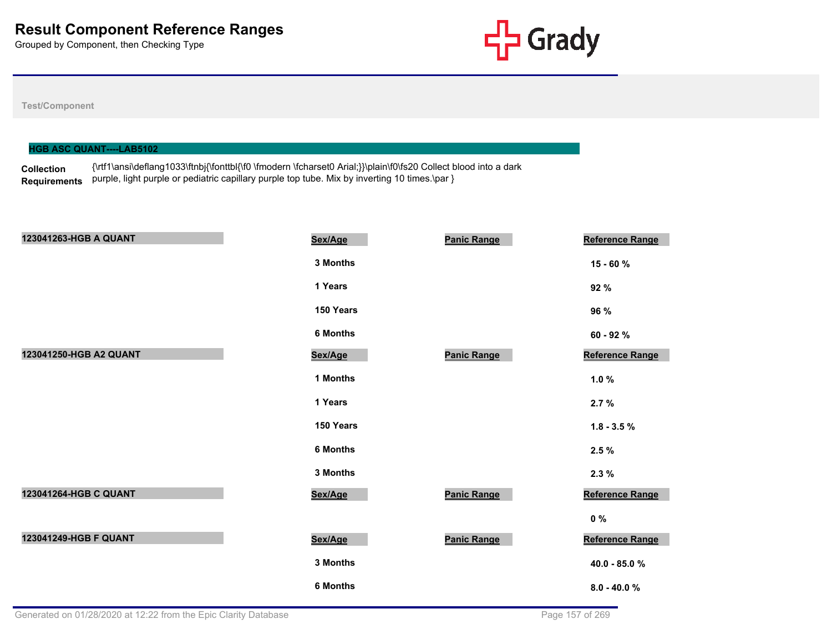

|                   | <b>HGB ASC QUANT----LAB5102</b>                                                                                 |
|-------------------|-----------------------------------------------------------------------------------------------------------------|
|                   | {\rtf1\ansi\deflang1033\ftnbj{\fonttbl{\f0 \fmodern \fcharset0 Arial;}}\plain\f0\fs20 Collect blood into a dark |
| <b>Collection</b> |                                                                                                                 |
| Requirements      | purple, light purple or pediatric capillary purple top tube. Mix by inverting 10 times.\par }                   |

| 123041263-HGB A QUANT  | Sex/Age         | <b>Panic Range</b> | Reference Range |
|------------------------|-----------------|--------------------|-----------------|
|                        | 3 Months        |                    | 15 - 60 %       |
|                        | 1 Years         |                    | 92 %            |
|                        | 150 Years       |                    | 96 %            |
|                        | <b>6 Months</b> |                    | 60 - 92 %       |
| 123041250-HGB A2 QUANT | Sex/Age         | <b>Panic Range</b> | Reference Range |
|                        | 1 Months        |                    | $1.0 \%$        |
|                        | 1 Years         |                    | 2.7%            |
|                        | 150 Years       |                    | $1.8 - 3.5 \%$  |
|                        | <b>6 Months</b> |                    | 2.5%            |
|                        | 3 Months        |                    | 2.3%            |
| 123041264-HGB C QUANT  | Sex/Age         | <b>Panic Range</b> | Reference Range |
|                        |                 |                    | $0\%$           |
| 123041249-HGB F QUANT  | Sex/Age         | <b>Panic Range</b> | Reference Range |
|                        | 3 Months        |                    | 40.0 - 85.0 %   |
|                        | <b>6 Months</b> |                    | $8.0 - 40.0 %$  |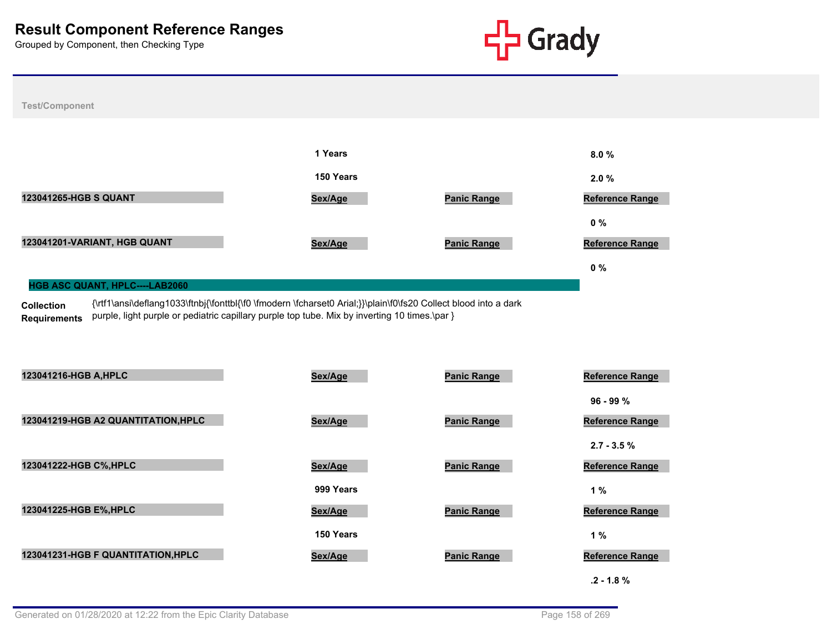



#### **HGB ASC QUANT, HPLC----LAB2060**

**Collection Requirements** {\rtf1\ansi\deflang1033\ftnbj{\fonttbl{\f0 \fmodern \fcharset0 Arial;}}\plain\f0\fs20 Collect blood into a dark purple, light purple or pediatric capillary purple top tube. Mix by inverting 10 times.\par }

| 123041216-HGB A, HPLC               | Sex/Age   | <b>Panic Range</b> | Reference Range        |
|-------------------------------------|-----------|--------------------|------------------------|
|                                     |           |                    | $96 - 99 %$            |
| 123041219-HGB A2 QUANTITATION, HPLC | Sex/Age   | <b>Panic Range</b> | <b>Reference Range</b> |
|                                     |           |                    | $2.7 - 3.5 \%$         |
| 123041222-HGB C%, HPLC              | Sex/Age   | <b>Panic Range</b> | <b>Reference Range</b> |
|                                     | 999 Years |                    | 1%                     |
| 123041225-HGB E%, HPLC              | Sex/Age   | <b>Panic Range</b> | <b>Reference Range</b> |
|                                     | 150 Years |                    | 1%                     |
| 123041231-HGB F QUANTITATION, HPLC  | Sex/Age   | <b>Panic Range</b> | Reference Range        |
|                                     |           |                    | $.2 - 1.8 \%$          |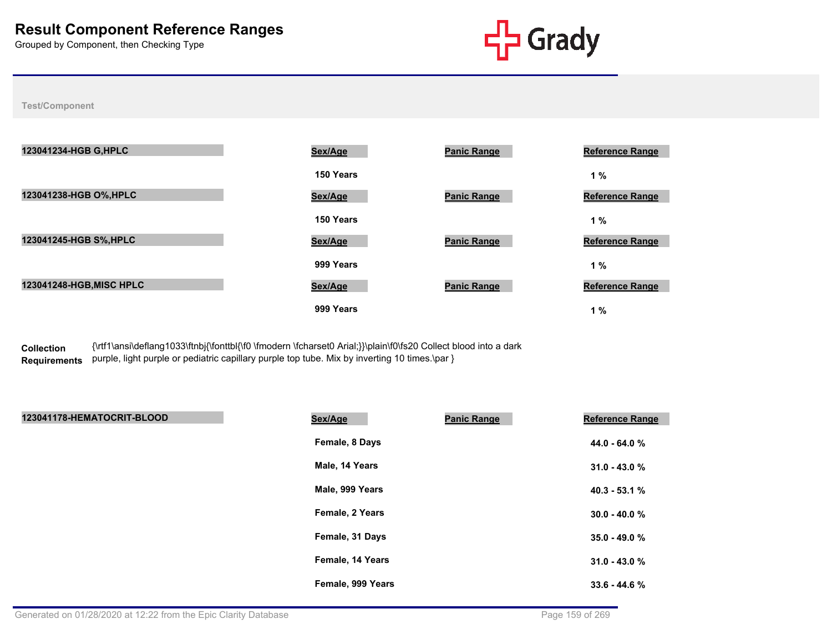

**Test/Component**

| 123041234-HGB G, HPLC    | Sex/Age   | <b>Panic Range</b> | <b>Reference Range</b> |
|--------------------------|-----------|--------------------|------------------------|
|                          | 150 Years |                    | 1 %                    |
| 123041238-HGB O%, HPLC   | Sex/Age   | <b>Panic Range</b> | <b>Reference Range</b> |
|                          | 150 Years |                    | 1%                     |
| 123041245-HGB S%, HPLC   | Sex/Age   | <b>Panic Range</b> | <b>Reference Range</b> |
|                          | 999 Years |                    | 1 %                    |
| 123041248-HGB, MISC HPLC | Sex/Age   | <b>Panic Range</b> | <b>Reference Range</b> |
|                          | 999 Years |                    | 1%                     |

**Collection**  Requirements purple, light purple or pediatric capillary purple top tube. Mix by inverting 10 times.\par } {\rtf1\ansi\deflang1033\ftnbj{\fonttbl{\f0 \fmodern \fcharset0 Arial;}}\plain\f0\fs20 Collect blood into a dark

| 123041178-HEMATOCRIT-BLOOD | Sex/Age           | <b>Panic Range</b> | <b>Reference Range</b> |
|----------------------------|-------------------|--------------------|------------------------|
|                            | Female, 8 Days    |                    | 44.0 - 64.0 %          |
|                            | Male, 14 Years    |                    | $31.0 - 43.0 %$        |
|                            | Male, 999 Years   |                    | $40.3 - 53.1%$         |
|                            | Female, 2 Years   |                    | $30.0 - 40.0 %$        |
|                            | Female, 31 Days   |                    | $35.0 - 49.0 %$        |
|                            | Female, 14 Years  |                    | $31.0 - 43.0%$         |
|                            | Female, 999 Years |                    | $33.6 - 44.6%$         |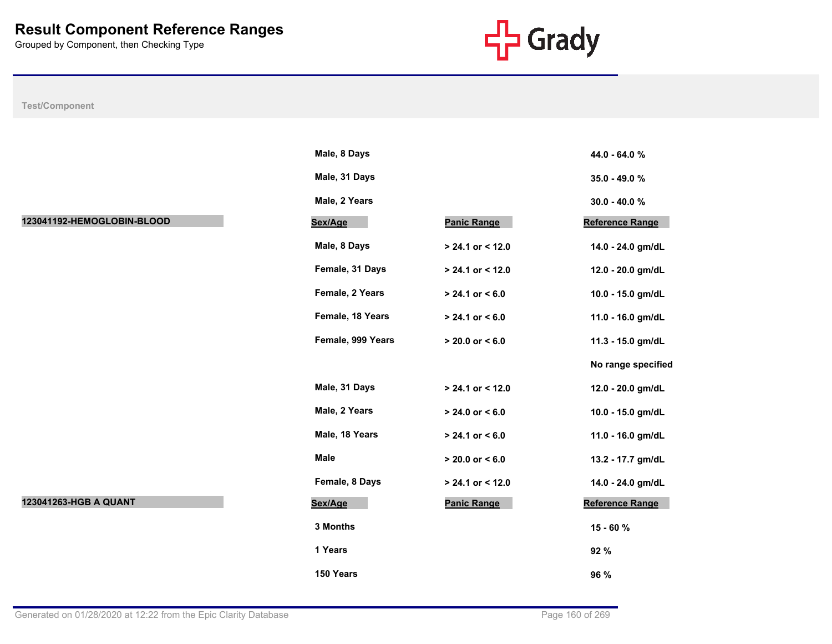

|                            | Male, 8 Days      |                     | 44.0 - 64.0 %      |
|----------------------------|-------------------|---------------------|--------------------|
|                            | Male, 31 Days     |                     | 35.0 - 49.0 %      |
|                            | Male, 2 Years     |                     | $30.0 - 40.0 %$    |
| 123041192-HEMOGLOBIN-BLOOD | Sex/Age           | <b>Panic Range</b>  | Reference Range    |
|                            | Male, 8 Days      | $> 24.1$ or < 12.0  | 14.0 - 24.0 gm/dL  |
|                            | Female, 31 Days   | $> 24.1$ or < 12.0  | 12.0 - 20.0 gm/dL  |
|                            | Female, 2 Years   | $> 24.1$ or $< 6.0$ | 10.0 - 15.0 gm/dL  |
|                            | Female, 18 Years  | $> 24.1$ or $< 6.0$ | 11.0 - 16.0 gm/dL  |
|                            | Female, 999 Years | $> 20.0$ or $< 6.0$ | 11.3 - 15.0 gm/dL  |
|                            |                   |                     | No range specified |
|                            | Male, 31 Days     | $> 24.1$ or < 12.0  | 12.0 - 20.0 gm/dL  |
|                            | Male, 2 Years     | $> 24.0$ or < 6.0   | 10.0 - 15.0 gm/dL  |
|                            | Male, 18 Years    | $> 24.1$ or < 6.0   | 11.0 - 16.0 gm/dL  |
|                            | <b>Male</b>       | $> 20.0$ or $< 6.0$ | 13.2 - 17.7 gm/dL  |
|                            | Female, 8 Days    | $> 24.1$ or < 12.0  | 14.0 - 24.0 gm/dL  |
| 123041263-HGB A QUANT      | Sex/Age           | <b>Panic Range</b>  | Reference Range    |
|                            | 3 Months          |                     | 15 - 60 %          |
|                            | 1 Years           |                     | 92 %               |
|                            | 150 Years         |                     | 96 %               |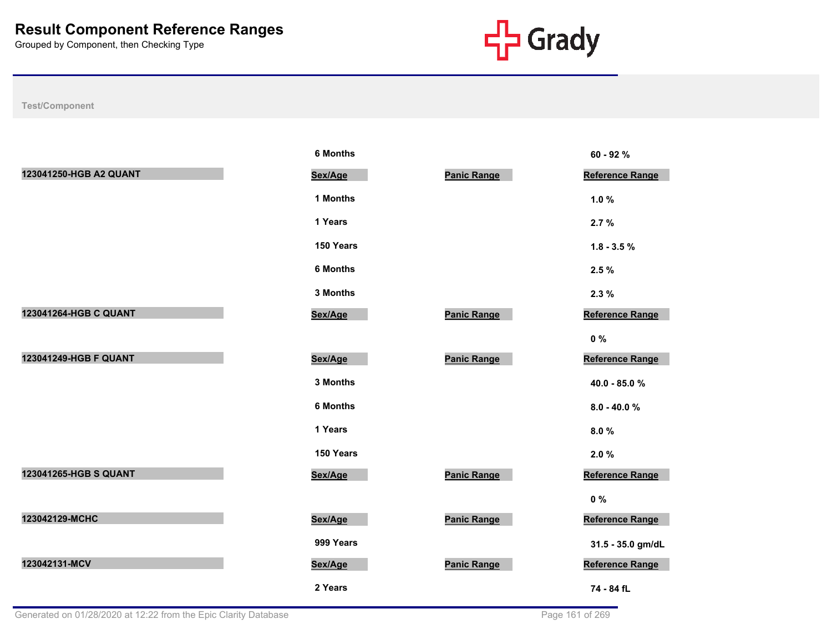

|                        | <b>6 Months</b> |                    | 60 - 92 %              |
|------------------------|-----------------|--------------------|------------------------|
| 123041250-HGB A2 QUANT | Sex/Age         | <b>Panic Range</b> | Reference Range        |
|                        | 1 Months        |                    | 1.0%                   |
|                        | 1 Years         |                    | 2.7%                   |
|                        | 150 Years       |                    | $1.8 - 3.5 \%$         |
|                        | <b>6 Months</b> |                    | 2.5%                   |
|                        | 3 Months        |                    | 2.3%                   |
| 123041264-HGB C QUANT  | Sex/Age         | <b>Panic Range</b> | Reference Range        |
|                        |                 |                    | $0\%$                  |
| 123041249-HGB F QUANT  | Sex/Age         | <b>Panic Range</b> | <b>Reference Range</b> |
|                        | 3 Months        |                    | 40.0 - 85.0 %          |
|                        | <b>6 Months</b> |                    | $8.0 - 40.0 %$         |
|                        | 1 Years         |                    | 8.0%                   |
|                        | 150 Years       |                    | 2.0%                   |
| 123041265-HGB S QUANT  | Sex/Age         | <b>Panic Range</b> | <b>Reference Range</b> |
|                        |                 |                    | $0\%$                  |
| 123042129-MCHC         | Sex/Age         | <b>Panic Range</b> | <b>Reference Range</b> |
|                        | 999 Years       |                    | 31.5 - 35.0 gm/dL      |
| 123042131-MCV          | Sex/Age         | <b>Panic Range</b> | <b>Reference Range</b> |
|                        | 2 Years         |                    | 74 - 84 fL             |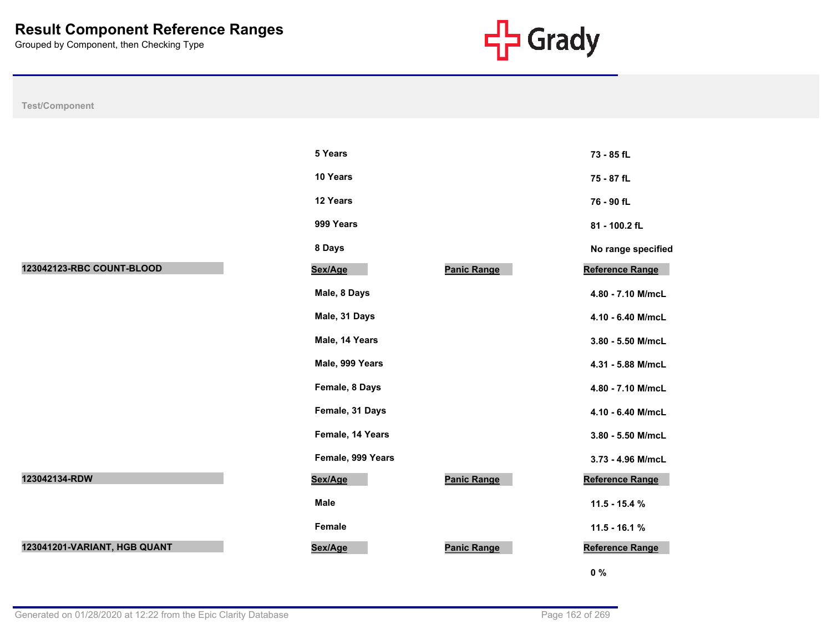

|                              | 5 Years           |                    | 73 - 85 fL         |
|------------------------------|-------------------|--------------------|--------------------|
|                              | 10 Years          |                    | 75 - 87 fL         |
|                              | 12 Years          |                    | 76 - 90 fL         |
|                              | 999 Years         |                    | 81 - 100.2 fL      |
|                              | 8 Days            |                    | No range specified |
| 123042123-RBC COUNT-BLOOD    | Sex/Age           | <b>Panic Range</b> | Reference Range    |
|                              | Male, 8 Days      |                    | 4.80 - 7.10 M/mcL  |
|                              | Male, 31 Days     |                    | 4.10 - 6.40 M/mcL  |
|                              | Male, 14 Years    |                    | 3.80 - 5.50 M/mcL  |
|                              | Male, 999 Years   |                    | 4.31 - 5.88 M/mcL  |
|                              | Female, 8 Days    |                    | 4.80 - 7.10 M/mcL  |
|                              | Female, 31 Days   |                    | 4.10 - 6.40 M/mcL  |
|                              | Female, 14 Years  |                    | 3.80 - 5.50 M/mcL  |
|                              | Female, 999 Years |                    | 3.73 - 4.96 M/mcL  |
| 123042134-RDW                | Sex/Age           | <b>Panic Range</b> | Reference Range    |
|                              | Male              |                    | 11.5 - 15.4 %      |
|                              | Female            |                    | $11.5 - 16.1 %$    |
| 123041201-VARIANT, HGB QUANT | Sex/Age           | <b>Panic Range</b> | Reference Range    |
|                              |                   |                    | $0\%$              |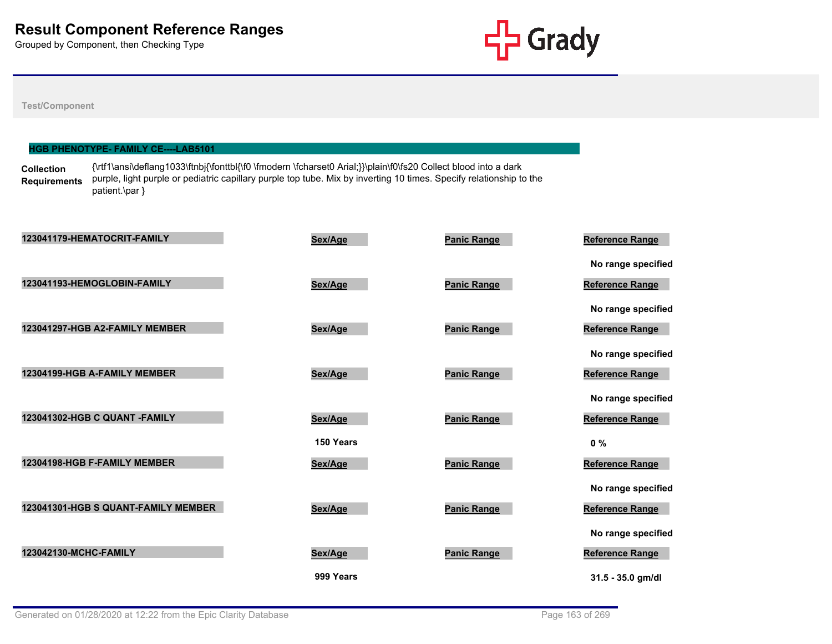

#### **Test/Component**

#### **HGB PHENOTYPE- FAMILY CE----LAB5101**

**Collection Requirements** {\rtf1\ansi\deflang1033\ftnbj{\fonttbl{\f0 \fmodern \fcharset0 Arial;}}\plain\f0\fs20 Collect blood into a dark purple, light purple or pediatric capillary purple top tube. Mix by inverting 10 times. Specify relationship to the patient.\par }

| 123041179-HEMATOCRIT-FAMILY         | Sex/Age   | <b>Panic Range</b> | Reference Range    |
|-------------------------------------|-----------|--------------------|--------------------|
|                                     |           |                    | No range specified |
| 123041193-HEMOGLOBIN-FAMILY         | Sex/Age   | <b>Panic Range</b> | Reference Range    |
|                                     |           |                    | No range specified |
| 123041297-HGB A2-FAMILY MEMBER      | Sex/Age   | <b>Panic Range</b> | Reference Range    |
|                                     |           |                    | No range specified |
| 12304199-HGB A-FAMILY MEMBER        | Sex/Age   | <b>Panic Range</b> | Reference Range    |
|                                     |           |                    | No range specified |
| 123041302-HGB C QUANT -FAMILY       | Sex/Age   | <b>Panic Range</b> | Reference Range    |
|                                     | 150 Years |                    | $0\%$              |
| 12304198-HGB F-FAMILY MEMBER        | Sex/Age   | <b>Panic Range</b> | Reference Range    |
|                                     |           |                    | No range specified |
| 123041301-HGB S QUANT-FAMILY MEMBER | Sex/Age   | <b>Panic Range</b> | Reference Range    |
|                                     |           |                    | No range specified |
| 123042130-MCHC-FAMILY               | Sex/Age   | <b>Panic Range</b> | Reference Range    |
|                                     | 999 Years |                    | 31.5 - 35.0 gm/dl  |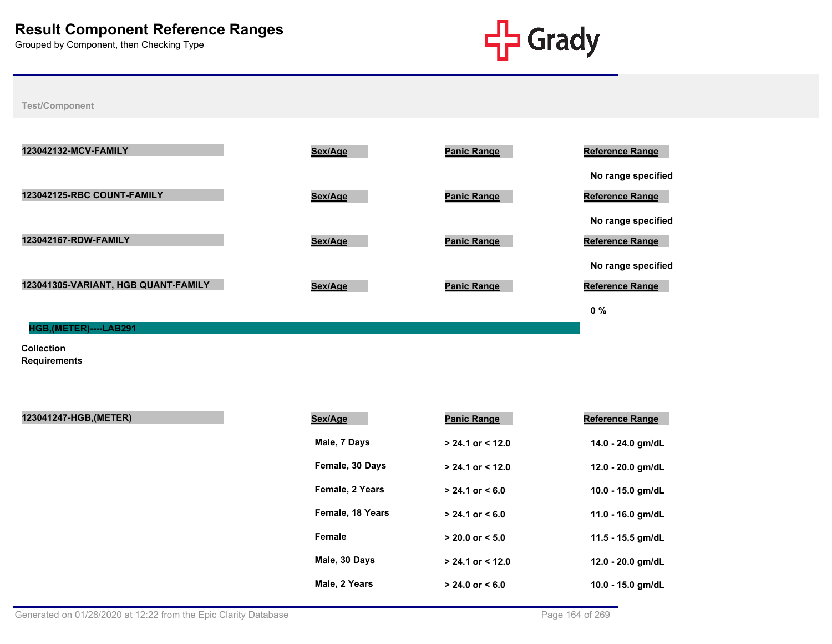

**Test/Component**



**Collection Requirements**

| 123041247-HGB, (METER) | Sex/Age          | <b>Panic Range</b>   | <b>Reference Range</b> |
|------------------------|------------------|----------------------|------------------------|
|                        | Male, 7 Days     | $> 24.1$ or $< 12.0$ | 14.0 - 24.0 gm/dL      |
|                        | Female, 30 Days  | $> 24.1$ or $< 12.0$ | 12.0 - 20.0 gm/dL      |
|                        | Female, 2 Years  | $> 24.1$ or $< 6.0$  | 10.0 - 15.0 gm/dL      |
|                        | Female, 18 Years | $> 24.1$ or $< 6.0$  | 11.0 - 16.0 gm/dL      |
|                        | Female           | $> 20.0$ or $< 5.0$  | 11.5 - 15.5 gm/dL      |
|                        | Male, 30 Days    | $> 24.1$ or $< 12.0$ | 12.0 - 20.0 gm/dL      |
|                        | Male, 2 Years    | $> 24.0$ or $< 6.0$  | 10.0 - 15.0 gm/dL      |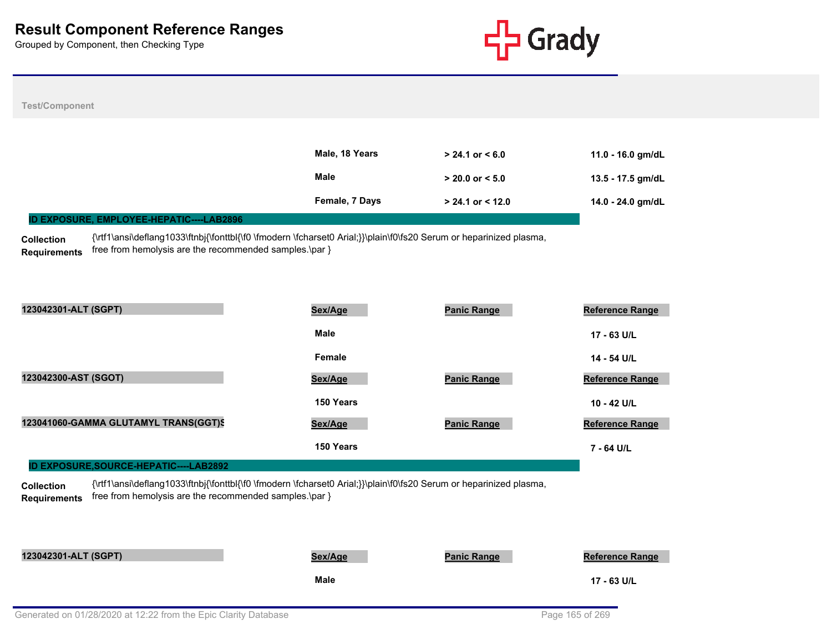

| <b>Test/Component</b>                                                                                                                                                                                                    |                |                      |                        |
|--------------------------------------------------------------------------------------------------------------------------------------------------------------------------------------------------------------------------|----------------|----------------------|------------------------|
|                                                                                                                                                                                                                          |                |                      |                        |
|                                                                                                                                                                                                                          | Male, 18 Years | $> 24.1$ or $< 6.0$  | 11.0 - 16.0 gm/dL      |
|                                                                                                                                                                                                                          | Male           | $> 20.0$ or $< 5.0$  | 13.5 - 17.5 gm/dL      |
|                                                                                                                                                                                                                          | Female, 7 Days | $> 24.1$ or $< 12.0$ | 14.0 - 24.0 gm/dL      |
| ID EXPOSURE, EMPLOYEE-HEPATIC----LAB2896                                                                                                                                                                                 |                |                      |                        |
| {\rtf1\ansi\deflang1033\ftnbj{\fonttbl{\f0 \fmodern \fcharset0 Arial;}}\plain\f0\fs20 Serum or heparinized plasma,<br><b>Collection</b>                                                                                  |                |                      |                        |
| free from hemolysis are the recommended samples.\par }<br><b>Requirements</b>                                                                                                                                            |                |                      |                        |
|                                                                                                                                                                                                                          |                |                      |                        |
|                                                                                                                                                                                                                          |                |                      |                        |
| 123042301-ALT (SGPT)                                                                                                                                                                                                     | Sex/Age        | <b>Panic Range</b>   | <b>Reference Range</b> |
|                                                                                                                                                                                                                          | Male           |                      | 17 - 63 U/L            |
|                                                                                                                                                                                                                          | Female         |                      | 14 - 54 U/L            |
| 123042300-AST (SGOT)                                                                                                                                                                                                     | Sex/Age        | <b>Panic Range</b>   | <b>Reference Range</b> |
|                                                                                                                                                                                                                          | 150 Years      |                      | 10 - 42 U/L            |
| 123041060-GAMMA GLUTAMYL TRANS(GGT)S                                                                                                                                                                                     | Sex/Age        | <b>Panic Range</b>   | <b>Reference Range</b> |
|                                                                                                                                                                                                                          | 150 Years      |                      | 7 - 64 U/L             |
| <b>ID EXPOSURE, SOURCE-HEPATIC----LAB2892</b>                                                                                                                                                                            |                |                      |                        |
| {\rtf1\ansi\deflang1033\ftnbj{\fonttbl{\f0 \fmodern \fcharset0 Arial;}}\plain\f0\fs20 Serum or heparinized plasma,<br><b>Collection</b><br>free from hemolysis are the recommended samples.\par }<br><b>Requirements</b> |                |                      |                        |
|                                                                                                                                                                                                                          |                |                      |                        |
|                                                                                                                                                                                                                          |                |                      |                        |
| 123042301-ALT (SGPT)                                                                                                                                                                                                     | Sex/Age        | <b>Panic Range</b>   | <b>Reference Range</b> |
|                                                                                                                                                                                                                          | <b>Male</b>    |                      | 17 - 63 U/L            |
|                                                                                                                                                                                                                          |                |                      |                        |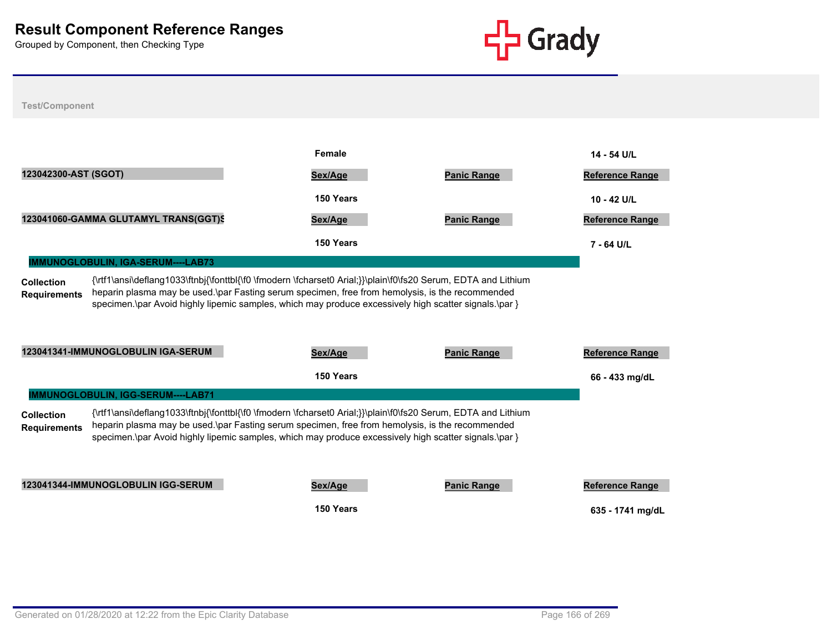

| <b>Test/Component</b>                                                                                                                                                                                                                                                                                                                                                 |                                      |                                                                                                                                                                                                                                                                                                                           |                    |                        |
|-----------------------------------------------------------------------------------------------------------------------------------------------------------------------------------------------------------------------------------------------------------------------------------------------------------------------------------------------------------------------|--------------------------------------|---------------------------------------------------------------------------------------------------------------------------------------------------------------------------------------------------------------------------------------------------------------------------------------------------------------------------|--------------------|------------------------|
|                                                                                                                                                                                                                                                                                                                                                                       |                                      |                                                                                                                                                                                                                                                                                                                           |                    |                        |
|                                                                                                                                                                                                                                                                                                                                                                       |                                      | Female                                                                                                                                                                                                                                                                                                                    |                    | 14 - 54 U/L            |
| 123042300-AST (SGOT)                                                                                                                                                                                                                                                                                                                                                  |                                      | Sex/Age                                                                                                                                                                                                                                                                                                                   | <b>Panic Range</b> | <b>Reference Range</b> |
|                                                                                                                                                                                                                                                                                                                                                                       |                                      | 150 Years                                                                                                                                                                                                                                                                                                                 |                    | 10 - 42 U/L            |
|                                                                                                                                                                                                                                                                                                                                                                       | 123041060-GAMMA GLUTAMYL TRANS(GGT)S | Sex/Age                                                                                                                                                                                                                                                                                                                   | <b>Panic Range</b> | Reference Range        |
|                                                                                                                                                                                                                                                                                                                                                                       |                                      | 150 Years                                                                                                                                                                                                                                                                                                                 |                    | 7 - 64 U/L             |
|                                                                                                                                                                                                                                                                                                                                                                       | IMMUNOGLOBULIN, IGA-SERUM----LAB73   |                                                                                                                                                                                                                                                                                                                           |                    |                        |
| <b>Collection</b><br><b>Requirements</b>                                                                                                                                                                                                                                                                                                                              |                                      | {\rtf1\ansi\deflang1033\ftnbj{\fonttbl{\f0 \fmodern \fcharset0 Arial;}}\plain\f0\fs20 Serum, EDTA and Lithium<br>heparin plasma may be used.\par Fasting serum specimen, free from hemolysis, is the recommended<br>specimen.\par Avoid highly lipemic samples, which may produce excessively high scatter signals.\par } |                    |                        |
|                                                                                                                                                                                                                                                                                                                                                                       | 123041341-IMMUNOGLOBULIN IGA-SERUM   | Sex/Age                                                                                                                                                                                                                                                                                                                   | <b>Panic Range</b> | Reference Range        |
|                                                                                                                                                                                                                                                                                                                                                                       |                                      | 150 Years                                                                                                                                                                                                                                                                                                                 |                    | 66 - 433 mg/dL         |
|                                                                                                                                                                                                                                                                                                                                                                       | IMMUNOGLOBULIN, IGG-SERUM----LAB71   |                                                                                                                                                                                                                                                                                                                           |                    |                        |
| {\rtf1\ansi\deflang1033\ftnbj{\fonttbl{\f0 \fmodern \fcharset0 Arial;}}\plain\f0\fs20 Serum, EDTA and Lithium<br><b>Collection</b><br>heparin plasma may be used.\par Fasting serum specimen, free from hemolysis, is the recommended<br><b>Requirements</b><br>specimen.\par Avoid highly lipemic samples, which may produce excessively high scatter signals.\par } |                                      |                                                                                                                                                                                                                                                                                                                           |                    |                        |
|                                                                                                                                                                                                                                                                                                                                                                       | 123041344-IMMUNOGLOBULIN IGG-SERUM   | Sex/Age                                                                                                                                                                                                                                                                                                                   | <b>Panic Range</b> | <b>Reference Range</b> |
|                                                                                                                                                                                                                                                                                                                                                                       |                                      | 150 Years                                                                                                                                                                                                                                                                                                                 |                    | 635 - 1741 mg/dL       |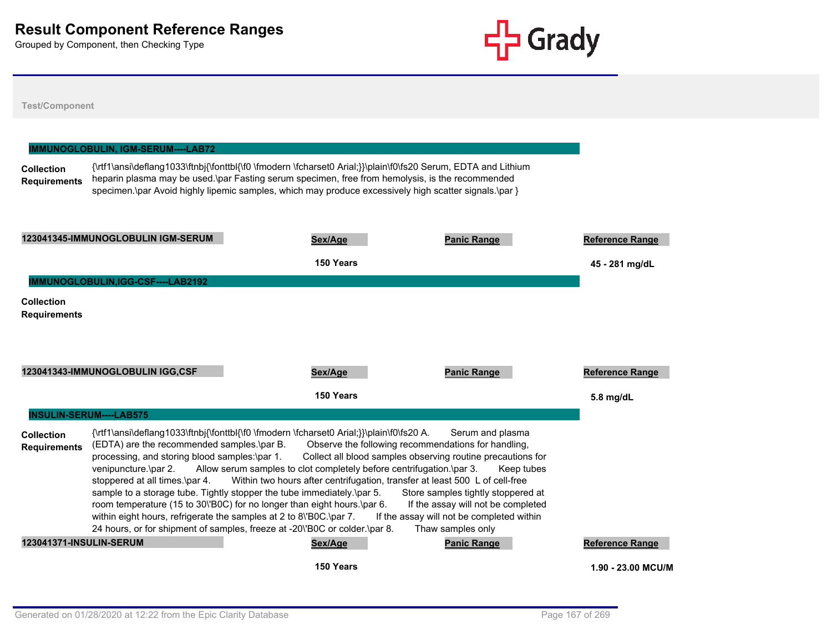

# **Test/Component Collection Requirements** {\rtf1\ansi\deflang1033\ftnbj{\fonttbl{\f0 \fmodern \fcharset0 Arial;}}\plain\f0\fs20 Serum, EDTA and Lithium heparin plasma may be used.\par Fasting serum specimen, free from hemolysis, is the recommended specimen.\par Avoid highly lipemic samples, which may produce excessively high scatter signals.\par } **IMMUNOGLOBULIN, IGM-SERUM----LAB72 123041345-IMMUNOGLOBULIN IGM-SERUM Sex/Age Panic Range Reference Range 150 Years 45 - 281 mg/dL Collection Requirements IMMUNOGLOBULIN,IGG-CSF----LAB2192 123041343-IMMUNOGLOBULIN IGG,CSF Sex/Age Panic Range Reference Range 150 Years 5.8 mg/dL Collection Requirements** {\rtf1\ansi\deflang1033\ftnbj{\fonttbl{\f0 \fmodern \fcharset0 Arial;}}\plain\f0\fs20 A. Serum and plasma (EDTA) are the recommended samples.\par B. Observe the following recommendations for handling, processing, and storing blood samples:\par 1. Collect all blood samples observing routine precautions for venipuncture.\par 2. Allow serum samples to clot completely before centrifugation.\par 3. Keep tubes stoppered at all times.\par 4. Within two hours after centrifugation, transfer at least 500 L of cell-free sample to a storage tube. Tightly stopper the tube immediately. par 5. Store samples tightly stoppered at room temperature (15 to 30\'B0C) for no longer than eight hours.\par 6. If the assay will not be completed within eight hours, refrigerate the samples at 2 to 8\'B0C.\par 7. If the assay will not be completed within 24 hours, or for shipment of samples, freeze at -20\'B0C or colder.\par 8. Thaw samples only **INSULIN-SERUM----LAB575 123041371-INSULIN-SERUM Sex/Age Panic Range Reference Range 150 Years 1.90 - 23.00 MCU/ML**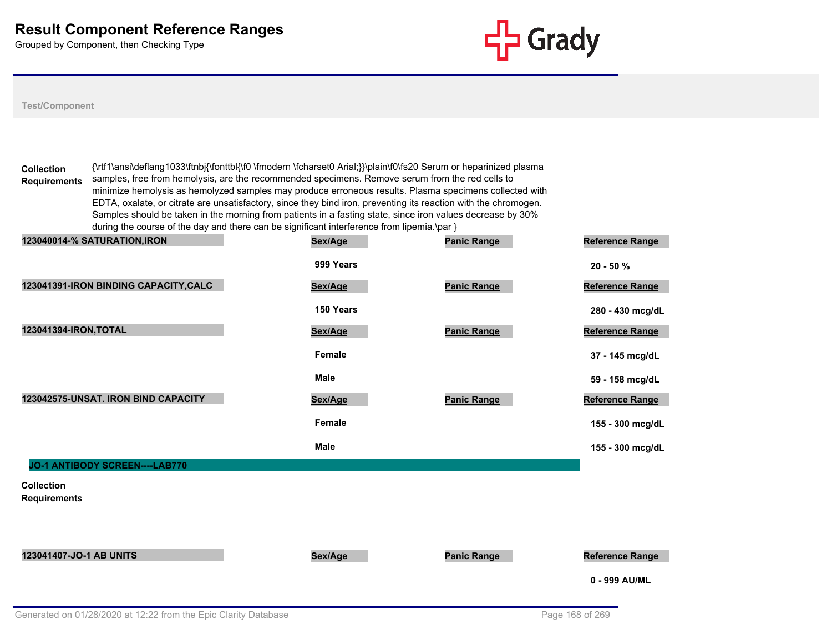

#### **Test/Component**

**Collection Requirements** {\rtf1\ansi\deflang1033\ftnbj{\fonttbl{\f0 \fmodern \fcharset0 Arial;}}\plain\f0\fs20 Serum or heparinized plasma samples, free from hemolysis, are the recommended specimens. Remove serum from the red cells to minimize hemolysis as hemolyzed samples may produce erroneous results. Plasma specimens collected with EDTA, oxalate, or citrate are unsatisfactory, since they bind iron, preventing its reaction with the chromogen. Samples should be taken in the morning from patients in a fasting state, since iron values decrease by 30% during the course of the day and there can be significant interference from lipemia.\par }

| 123040014-% SATURATION, IRON             | Sex/Age       | <b>Panic Range</b> | Reference Range        |
|------------------------------------------|---------------|--------------------|------------------------|
|                                          | 999 Years     |                    | $20 - 50%$             |
| 123041391-IRON BINDING CAPACITY, CALC    | Sex/Age       | <b>Panic Range</b> | <b>Reference Range</b> |
|                                          | 150 Years     |                    | 280 - 430 mcg/dL       |
| 123041394-IRON, TOTAL                    | Sex/Age       | <b>Panic Range</b> | <b>Reference Range</b> |
|                                          | <b>Female</b> |                    | 37 - 145 mcg/dL        |
|                                          | <b>Male</b>   |                    | 59 - 158 mcg/dL        |
| 123042575-UNSAT. IRON BIND CAPACITY      | Sex/Age       | <b>Panic Range</b> | Reference Range        |
|                                          | <b>Female</b> |                    | 155 - 300 mcg/dL       |
|                                          | <b>Male</b>   |                    | 155 - 300 mcg/dL       |
| JO-1 ANTIBODY SCREEN----LAB770           |               |                    |                        |
| <b>Collection</b><br><b>Requirements</b> |               |                    |                        |
| 123041407-JO-1 AB UNITS                  | Sex/Age       | <b>Panic Range</b> | <b>Reference Range</b> |
|                                          |               |                    | 0 - 999 AU/ML          |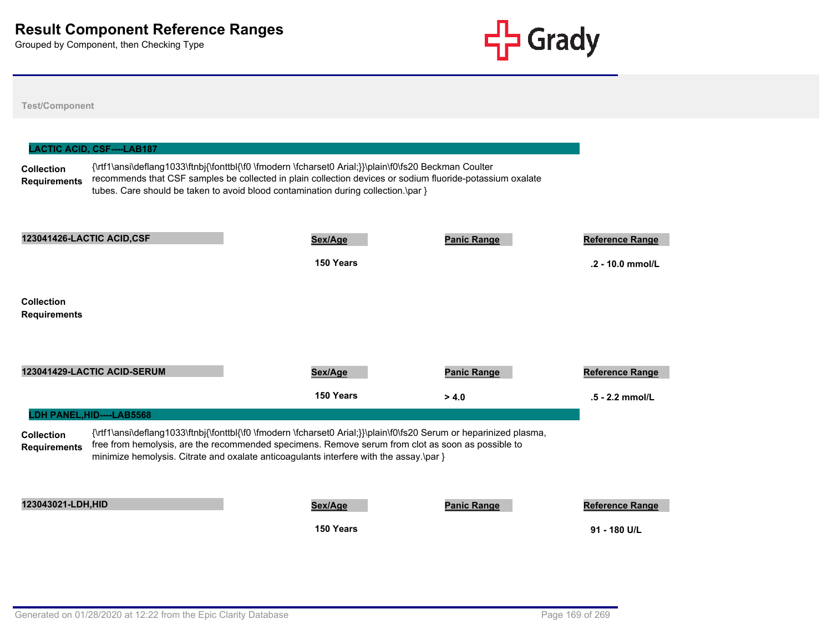**Test/Component**



# **Collection Requirements** {\rtf1\ansi\deflang1033\ftnbj{\fonttbl{\f0 \fmodern \fcharset0 Arial;}}\plain\f0\fs20 Beckman Coulter recommends that CSF samples be collected in plain collection devices or sodium fluoride-potassium oxalate tubes. Care should be taken to avoid blood contamination during collection.\par } **LACTIC ACID, CSF----LAB187 123041426-LACTIC ACID,CSF Sex/Age Panic Range Reference Range 150 Years .2 - 10.0 mmol/L Collection Requirements**

**123041429-LACTIC ACID-SERUM Sex/Age Panic Range Reference Range 150 Years > 4.0 .5 - 2.2 mmol/L Collection Requirements** {\rtf1\ansi\deflang1033\ftnbj{\fonttbl{\f0 \fmodern \fcharset0 Arial;}}\plain\f0\fs20 Serum or heparinized plasma, free from hemolysis, are the recommended specimens. Remove serum from clot as soon as possible to minimize hemolysis. Citrate and oxalate anticoagulants interfere with the assay.\par } **LDH PANEL,HID----LAB5568 123043021-LDH,HID Sex/Age Panic Range Reference Range 150 Years 91 - 180 U/L**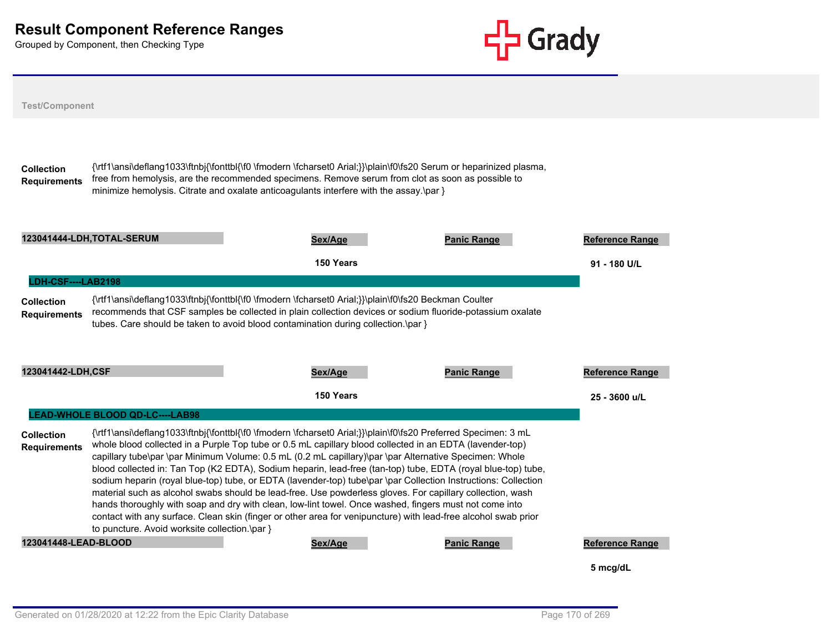

| <b>Test/Component</b>                                         |                                               |                                                                                                                                                                                                                                                                                                                                                                                                                                                                                                                                                                                                                                                                                                                                                                                                                                                                                                                 |                    |                        |
|---------------------------------------------------------------|-----------------------------------------------|-----------------------------------------------------------------------------------------------------------------------------------------------------------------------------------------------------------------------------------------------------------------------------------------------------------------------------------------------------------------------------------------------------------------------------------------------------------------------------------------------------------------------------------------------------------------------------------------------------------------------------------------------------------------------------------------------------------------------------------------------------------------------------------------------------------------------------------------------------------------------------------------------------------------|--------------------|------------------------|
| <b>Collection</b><br><b>Requirements</b>                      |                                               | {\rtf1\ansi\deflang1033\ftnbj{\fonttbl{\f0 \fmodern \fcharset0 Arial;}}\plain\f0\fs20 Serum or heparinized plasma,<br>free from hemolysis, are the recommended specimens. Remove serum from clot as soon as possible to<br>minimize hemolysis. Citrate and oxalate anticoagulants interfere with the assay.\par }                                                                                                                                                                                                                                                                                                                                                                                                                                                                                                                                                                                               |                    |                        |
|                                                               | 123041444-LDH,TOTAL-SERUM                     | Sex/Age                                                                                                                                                                                                                                                                                                                                                                                                                                                                                                                                                                                                                                                                                                                                                                                                                                                                                                         | <b>Panic Range</b> | <b>Reference Range</b> |
|                                                               |                                               | 150 Years                                                                                                                                                                                                                                                                                                                                                                                                                                                                                                                                                                                                                                                                                                                                                                                                                                                                                                       |                    | 91 - 180 U/L           |
| LDH-CSF----LAB2198                                            |                                               |                                                                                                                                                                                                                                                                                                                                                                                                                                                                                                                                                                                                                                                                                                                                                                                                                                                                                                                 |                    |                        |
|                                                               |                                               |                                                                                                                                                                                                                                                                                                                                                                                                                                                                                                                                                                                                                                                                                                                                                                                                                                                                                                                 |                    |                        |
|                                                               |                                               | {\rtf1\ansi\deflang1033\ftnbj{\fonttbl{\f0 \fmodern \fcharset0 Arial;}}\plain\f0\fs20 Beckman Coulter<br>recommends that CSF samples be collected in plain collection devices or sodium fluoride-potassium oxalate<br>tubes. Care should be taken to avoid blood contamination during collection.\par }                                                                                                                                                                                                                                                                                                                                                                                                                                                                                                                                                                                                         |                    |                        |
|                                                               |                                               | Sex/Age                                                                                                                                                                                                                                                                                                                                                                                                                                                                                                                                                                                                                                                                                                                                                                                                                                                                                                         | <b>Panic Range</b> | Reference Range        |
| <b>Collection</b><br><b>Requirements</b><br>123041442-LDH,CSF |                                               | 150 Years                                                                                                                                                                                                                                                                                                                                                                                                                                                                                                                                                                                                                                                                                                                                                                                                                                                                                                       |                    | 25 - 3600 u/L          |
| Collection<br><b>Requirements</b>                             | LEAD-WHOLE BLOOD QD-LC----LAB98               | {\rtf1\ansi\deflang1033\ftnbj{\fonttbl{\f0 \fmodern \fcharset0 Arial;}}\plain\f0\fs20 Preferred Specimen: 3 mL<br>whole blood collected in a Purple Top tube or 0.5 mL capillary blood collected in an EDTA (lavender-top)<br>capillary tube\par \par Minimum Volume: 0.5 mL (0.2 mL capillary)\par \par Alternative Specimen: Whole<br>blood collected in: Tan Top (K2 EDTA), Sodium heparin, lead-free (tan-top) tube, EDTA (royal blue-top) tube,<br>sodium heparin (royal blue-top) tube, or EDTA (lavender-top) tube\par \par Collection Instructions: Collection<br>material such as alcohol swabs should be lead-free. Use powderless gloves. For capillary collection, wash<br>hands thoroughly with soap and dry with clean, low-lint towel. Once washed, fingers must not come into<br>contact with any surface. Clean skin (finger or other area for venipuncture) with lead-free alcohol swab prior |                    |                        |
| 123041448-LEAD-BLOOD                                          | to puncture. Avoid worksite collection.\par } | Sex/Age                                                                                                                                                                                                                                                                                                                                                                                                                                                                                                                                                                                                                                                                                                                                                                                                                                                                                                         | <b>Panic Range</b> | <b>Reference Range</b> |
|                                                               |                                               |                                                                                                                                                                                                                                                                                                                                                                                                                                                                                                                                                                                                                                                                                                                                                                                                                                                                                                                 |                    | 5 mcg/dL               |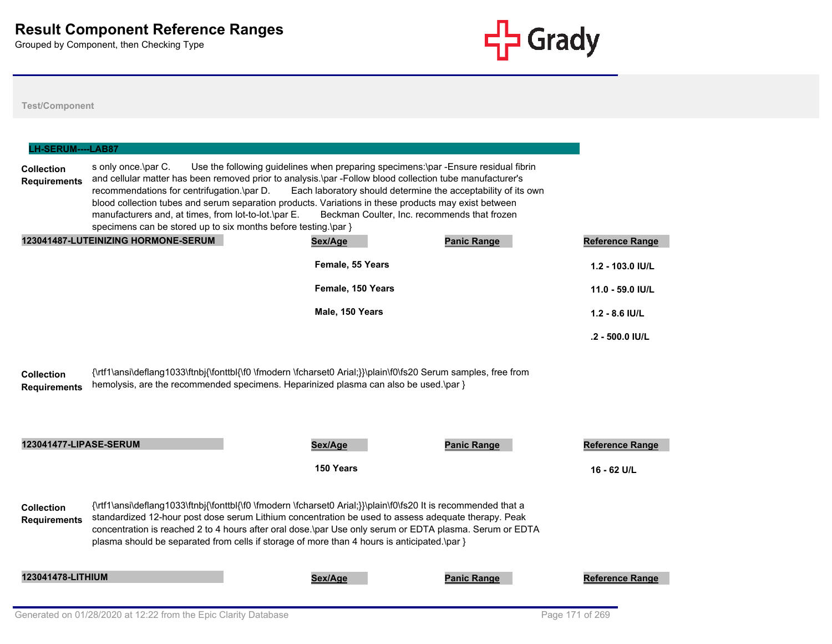

| <b>LH-SERUM----LAB87</b>                 |                                                                                                                                                                                             |                                                                                                                                                                                                                                                                                                                                                                                                                                 |                    |                        |
|------------------------------------------|---------------------------------------------------------------------------------------------------------------------------------------------------------------------------------------------|---------------------------------------------------------------------------------------------------------------------------------------------------------------------------------------------------------------------------------------------------------------------------------------------------------------------------------------------------------------------------------------------------------------------------------|--------------------|------------------------|
| <b>Collection</b><br><b>Requirements</b> | s only once.\par C.<br>recommendations for centrifugation.\par D.<br>manufacturers and, at times, from lot-to-lot.\par E.<br>specimens can be stored up to six months before testing.\par } | Use the following guidelines when preparing specimens:\par -Ensure residual fibrin<br>and cellular matter has been removed prior to analysis.\par -Follow blood collection tube manufacturer's<br>Each laboratory should determine the acceptability of its own<br>blood collection tubes and serum separation products. Variations in these products may exist between<br>Beckman Coulter, Inc. recommends that frozen         |                    |                        |
|                                          | 123041487-LUTEINIZING HORMONE-SERUM                                                                                                                                                         | Sex/Age                                                                                                                                                                                                                                                                                                                                                                                                                         | <b>Panic Range</b> | <b>Reference Range</b> |
|                                          |                                                                                                                                                                                             | Female, 55 Years                                                                                                                                                                                                                                                                                                                                                                                                                |                    | 1.2 - 103.0 IU/L       |
|                                          |                                                                                                                                                                                             | Female, 150 Years                                                                                                                                                                                                                                                                                                                                                                                                               |                    | 11.0 - 59.0 IU/L       |
|                                          |                                                                                                                                                                                             | Male, 150 Years                                                                                                                                                                                                                                                                                                                                                                                                                 |                    | $1.2 - 8.6$ IU/L       |
|                                          |                                                                                                                                                                                             |                                                                                                                                                                                                                                                                                                                                                                                                                                 |                    | .2 - 500.0 IU/L        |
| <b>Collection</b><br><b>Requirements</b> |                                                                                                                                                                                             | {\rtf1\ansi\deflang1033\ftnbj{\fonttbl{\f0 \fmodern \fcharset0 Arial;}}\plain\f0\fs20 Serum samples, free from<br>hemolysis, are the recommended specimens. Heparinized plasma can also be used.\par }                                                                                                                                                                                                                          |                    |                        |
| <b>123041477-LIPASE-SERUM</b>            |                                                                                                                                                                                             | Sex/Age                                                                                                                                                                                                                                                                                                                                                                                                                         | <b>Panic Range</b> | <b>Reference Range</b> |
|                                          |                                                                                                                                                                                             | 150 Years                                                                                                                                                                                                                                                                                                                                                                                                                       |                    | 16 - 62 U/L            |
| <b>Collection</b><br><b>Requirements</b> |                                                                                                                                                                                             | {\rtf1\ansi\deflang1033\ftnbj{\fonttbl{\f0 \fmodern \fcharset0 Arial;}}\plain\f0\fs20 It is recommended that a<br>standardized 12-hour post dose serum Lithium concentration be used to assess adequate therapy. Peak<br>concentration is reached 2 to 4 hours after oral dose.\par Use only serum or EDTA plasma. Serum or EDTA<br>plasma should be separated from cells if storage of more than 4 hours is anticipated.\par } |                    |                        |
| 123041478-LITHIUM                        |                                                                                                                                                                                             | Sex/Age                                                                                                                                                                                                                                                                                                                                                                                                                         | <b>Panic Range</b> | <b>Reference Range</b> |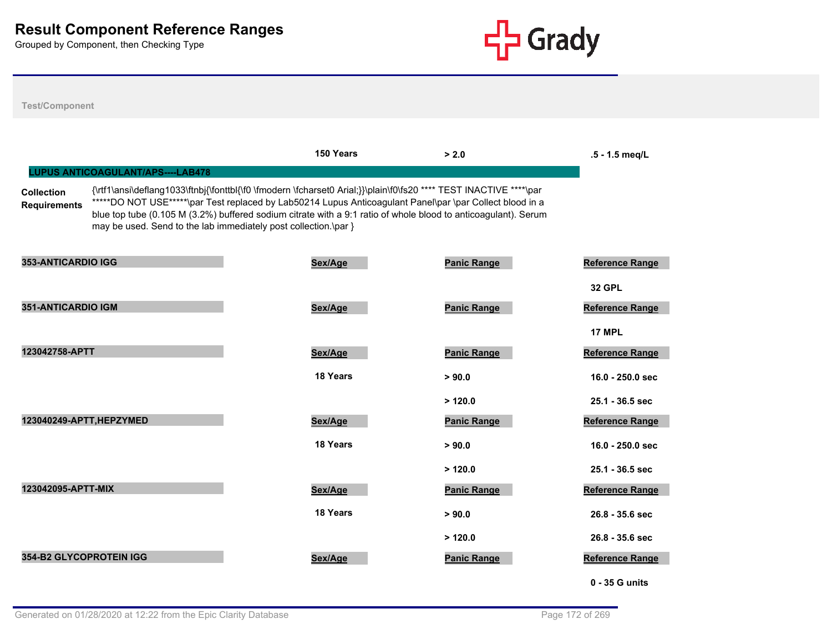

|                                          |                                                                 | 150 Years                                                                                                                                                                                                                                                                                                                                       | > 2.0              | .5 - 1.5 meg/L         |
|------------------------------------------|-----------------------------------------------------------------|-------------------------------------------------------------------------------------------------------------------------------------------------------------------------------------------------------------------------------------------------------------------------------------------------------------------------------------------------|--------------------|------------------------|
|                                          | <b>LUPUS ANTICOAGULANT/APS----LAB478</b>                        |                                                                                                                                                                                                                                                                                                                                                 |                    |                        |
| <b>Collection</b><br><b>Requirements</b> | may be used. Send to the lab immediately post collection.\par } | {\rtf1\ansi\deflang1033\ftnbj{\fonttbl{\f0 \fmodern \fcharset0 Arial;}}\plain\f0\fs20 **** TEST INACTIVE ****\par<br>*****DO NOT USE*****\par Test replaced by Lab50214 Lupus Anticoagulant Panel\par \par Collect blood in a<br>blue top tube (0.105 M (3.2%) buffered sodium citrate with a 9:1 ratio of whole blood to anticoagulant). Serum |                    |                        |
| 353-ANTICARDIO IGG                       |                                                                 | Sex/Age                                                                                                                                                                                                                                                                                                                                         | <b>Panic Range</b> | <b>Reference Range</b> |
|                                          |                                                                 |                                                                                                                                                                                                                                                                                                                                                 |                    | <b>32 GPL</b>          |
| 351-ANTICARDIO IGM                       |                                                                 | Sex/Age                                                                                                                                                                                                                                                                                                                                         | <b>Panic Range</b> | <b>Reference Range</b> |
|                                          |                                                                 |                                                                                                                                                                                                                                                                                                                                                 |                    | <b>17 MPL</b>          |
| 123042758-APTT                           |                                                                 | Sex/Age                                                                                                                                                                                                                                                                                                                                         | <b>Panic Range</b> | <b>Reference Range</b> |
|                                          |                                                                 | 18 Years                                                                                                                                                                                                                                                                                                                                        | > 90.0             | 16.0 - 250.0 sec       |
|                                          |                                                                 |                                                                                                                                                                                                                                                                                                                                                 | >120.0             | 25.1 - 36.5 sec        |
| 123040249-APTT, HEPZYMED                 |                                                                 | Sex/Age                                                                                                                                                                                                                                                                                                                                         | <b>Panic Range</b> | <b>Reference Range</b> |
|                                          |                                                                 | 18 Years                                                                                                                                                                                                                                                                                                                                        | > 90.0             | $16.0 - 250.0$ sec     |
|                                          |                                                                 |                                                                                                                                                                                                                                                                                                                                                 | >120.0             | 25.1 - 36.5 sec        |
| 123042095-APTT-MIX                       |                                                                 | Sex/Age                                                                                                                                                                                                                                                                                                                                         | <b>Panic Range</b> | <b>Reference Range</b> |
|                                          |                                                                 | 18 Years                                                                                                                                                                                                                                                                                                                                        | > 90.0             | $26.8 - 35.6$ sec      |
|                                          |                                                                 |                                                                                                                                                                                                                                                                                                                                                 | >120.0             | $26.8 - 35.6$ sec      |
| <b>354-B2 GLYCOPROTEIN IGG</b>           |                                                                 | Sex/Age                                                                                                                                                                                                                                                                                                                                         | <b>Panic Range</b> | <b>Reference Range</b> |
|                                          |                                                                 |                                                                                                                                                                                                                                                                                                                                                 |                    | 0 - 35 G units         |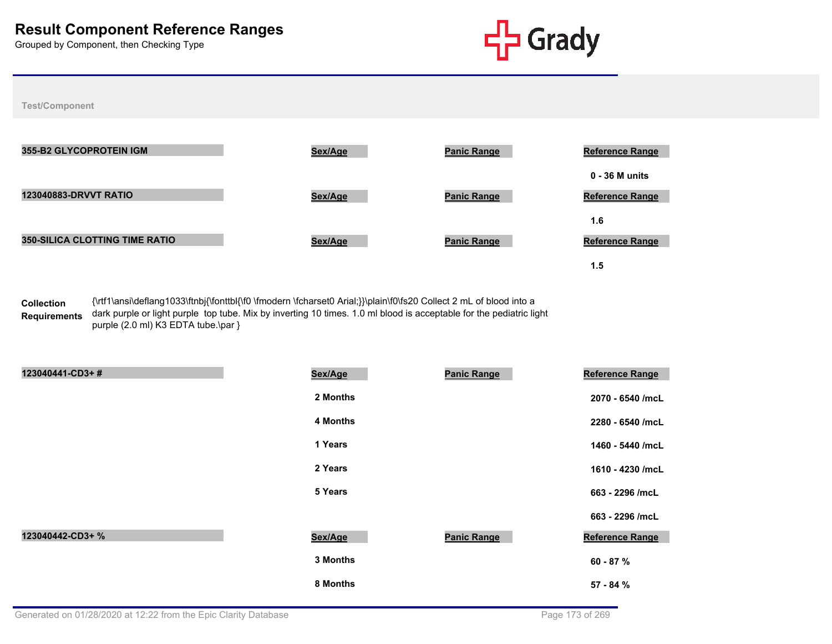

**Test/Component**

| <b>355-B2 GLYCOPROTEIN IGM</b>        | Sex/Age | <b>Panic Range</b> | <b>Reference Range</b> |
|---------------------------------------|---------|--------------------|------------------------|
|                                       |         |                    | $0 - 36$ M units       |
| <b>123040883-DRVVT RATIO</b>          | Sex/Age | <b>Panic Range</b> | <b>Reference Range</b> |
|                                       |         |                    | 1.6                    |
| <b>350-SILICA CLOTTING TIME RATIO</b> | Sex/Age | <b>Panic Range</b> | <b>Reference Range</b> |
|                                       |         |                    | 1.5                    |

**Collection Requirements** {\rtf1\ansi\deflang1033\ftnbj{\fonttbl{\f0 \fmodern \fcharset0 Arial;}}\plain\f0\fs20 Collect 2 mL of blood into a dark purple or light purple top tube. Mix by inverting 10 times. 1.0 ml blood is acceptable for the pediatric light purple (2.0 ml) K3 EDTA tube.\par }

| 123040441-CD3+#  | Sex/Age  | <b>Panic Range</b> | Reference Range  |
|------------------|----------|--------------------|------------------|
|                  | 2 Months |                    | 2070 - 6540 /mcL |
|                  | 4 Months |                    | 2280 - 6540 /mcL |
|                  | 1 Years  |                    | 1460 - 5440 /mcL |
|                  | 2 Years  |                    | 1610 - 4230 /mcL |
|                  | 5 Years  |                    | 663 - 2296 /mcL  |
|                  |          |                    | 663 - 2296 /mcL  |
| 123040442-CD3+ % | Sex/Age  | <b>Panic Range</b> | Reference Range  |
|                  | 3 Months |                    | 60 - 87 %        |
|                  | 8 Months |                    | 57 - 84 %        |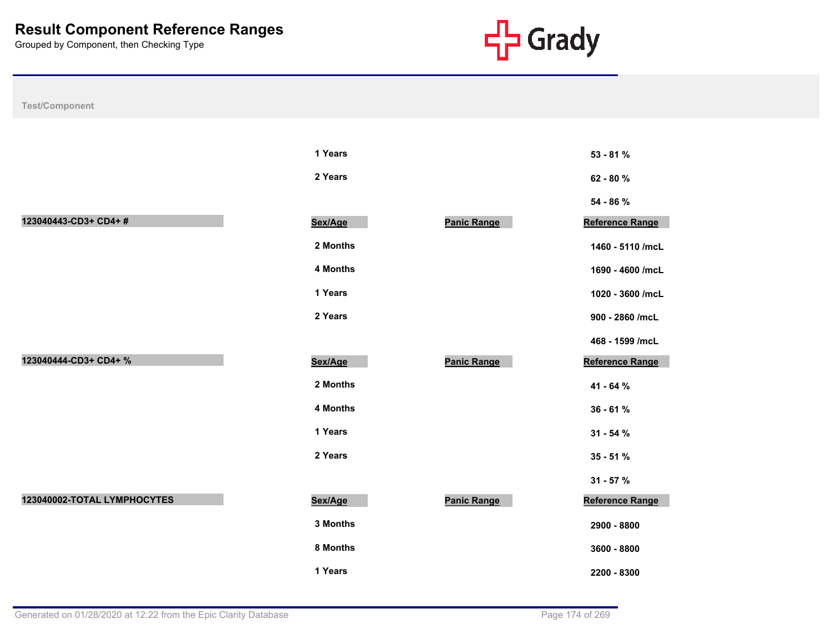

| Test/Component              |          |                    |                  |  |
|-----------------------------|----------|--------------------|------------------|--|
|                             |          |                    |                  |  |
|                             | 1 Years  |                    | 53 - 81 %        |  |
|                             | 2 Years  |                    | 62 - 80 %        |  |
|                             |          |                    | 54 - 86 %        |  |
| 123040443-CD3+ CD4+#        | Sex/Age  | <b>Panic Range</b> | Reference Range  |  |
|                             | 2 Months |                    | 1460 - 5110 /mcL |  |
|                             | 4 Months |                    | 1690 - 4600 /mcL |  |
|                             | 1 Years  |                    | 1020 - 3600 /mcL |  |
|                             | 2 Years  |                    | 900 - 2860 /mcL  |  |
|                             |          |                    | 468 - 1599 /mcL  |  |
| 123040444-CD3+ CD4+ %       | Sex/Age  | <b>Panic Range</b> | Reference Range  |  |
|                             | 2 Months |                    | 41 - 64 %        |  |
|                             | 4 Months |                    | $36 - 61%$       |  |
|                             | 1 Years  |                    | $31 - 54%$       |  |
|                             | 2 Years  |                    | $35 - 51%$       |  |
|                             |          |                    | $31 - 57 %$      |  |
| 123040002-TOTAL LYMPHOCYTES | Sex/Age  | <b>Panic Range</b> | Reference Range  |  |
|                             | 3 Months |                    | 2900 - 8800      |  |
|                             | 8 Months |                    | 3600 - 8800      |  |
|                             | 1 Years  |                    | 2200 - 8300      |  |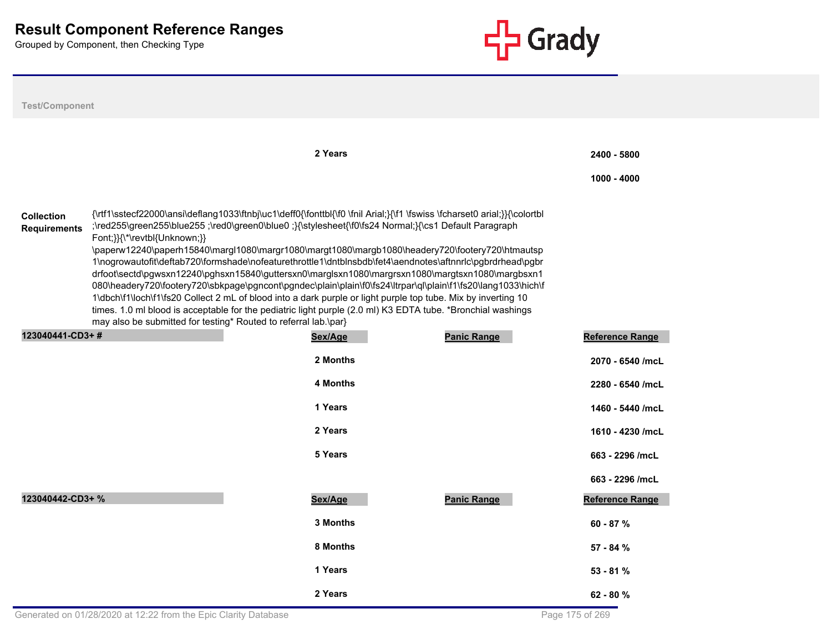

| <b>Test/Component</b>                    |                                                                                                                                                                                                                                                                                                                                                                                                                                                                                                                                                                                                                                                                                                                                                                                                                                                                                                                                                                                                          |                            |  |  |  |  |
|------------------------------------------|----------------------------------------------------------------------------------------------------------------------------------------------------------------------------------------------------------------------------------------------------------------------------------------------------------------------------------------------------------------------------------------------------------------------------------------------------------------------------------------------------------------------------------------------------------------------------------------------------------------------------------------------------------------------------------------------------------------------------------------------------------------------------------------------------------------------------------------------------------------------------------------------------------------------------------------------------------------------------------------------------------|----------------------------|--|--|--|--|
|                                          | 2 Years                                                                                                                                                                                                                                                                                                                                                                                                                                                                                                                                                                                                                                                                                                                                                                                                                                                                                                                                                                                                  | 2400 - 5800<br>1000 - 4000 |  |  |  |  |
| <b>Collection</b><br><b>Requirements</b> | {\rtf1\sstecf22000\ansi\deflang1033\ftnbj\uc1\deff0{\fonttbl{\f0 \fnil Arial;}{\f1 \fswiss \fcharset0 arial;}}{\colortbl<br>;\red255\green255\blue255 ;\red0\green0\blue0 ;}{\stylesheet{\f0\fs24 Normal;}{\cs1 Default Paragraph<br>Font;}}{\*\revtbl{Unknown;}}<br>\paperw12240\paperh15840\margl1080\margr1080\margt1080\margb1080\headery720\footery720\htmautsp<br>1\nogrowautofit\deftab720\formshade\nofeaturethrottle1\dntblnsbdb\fet4\aendnotes\aftnnrlc\pgbrdrhead\pgbr<br>drfoot\sectd\pgwsxn12240\pghsxn15840\guttersxn0\marglsxn1080\margrsxn1080\margtsxn1080\margbsxn1<br>080\headery720\footery720\sbkpage\pgncont\pgndec\plain\plain\f0\fs24\ltrpar\ql\plain\f1\fs20\lang1033\hich\f<br>1\dbch\f1\loch\f1\fs20 Collect 2 mL of blood into a dark purple or light purple top tube. Mix by inverting 10<br>times. 1.0 ml blood is acceptable for the pediatric light purple (2.0 ml) K3 EDTA tube. *Bronchial washings<br>may also be submitted for testing* Routed to referral lab.\par} |                            |  |  |  |  |
| 123040441-CD3+#                          | <b>Panic Range</b><br>Sex/Age                                                                                                                                                                                                                                                                                                                                                                                                                                                                                                                                                                                                                                                                                                                                                                                                                                                                                                                                                                            | <b>Reference Range</b>     |  |  |  |  |
|                                          | 2 Months                                                                                                                                                                                                                                                                                                                                                                                                                                                                                                                                                                                                                                                                                                                                                                                                                                                                                                                                                                                                 | 2070 - 6540 /mcL           |  |  |  |  |
|                                          | 4 Months                                                                                                                                                                                                                                                                                                                                                                                                                                                                                                                                                                                                                                                                                                                                                                                                                                                                                                                                                                                                 | 2280 - 6540 /mcL           |  |  |  |  |
|                                          | 1 Years                                                                                                                                                                                                                                                                                                                                                                                                                                                                                                                                                                                                                                                                                                                                                                                                                                                                                                                                                                                                  | 1460 - 5440 /mcL           |  |  |  |  |
|                                          | 2 Years                                                                                                                                                                                                                                                                                                                                                                                                                                                                                                                                                                                                                                                                                                                                                                                                                                                                                                                                                                                                  | 1610 - 4230 /mcL           |  |  |  |  |
|                                          | 5 Years                                                                                                                                                                                                                                                                                                                                                                                                                                                                                                                                                                                                                                                                                                                                                                                                                                                                                                                                                                                                  | 663 - 2296 /mcL            |  |  |  |  |
|                                          |                                                                                                                                                                                                                                                                                                                                                                                                                                                                                                                                                                                                                                                                                                                                                                                                                                                                                                                                                                                                          | 663 - 2296 /mcL            |  |  |  |  |
| 123040442-CD3+ %                         | Sex/Age<br><b>Panic Range</b>                                                                                                                                                                                                                                                                                                                                                                                                                                                                                                                                                                                                                                                                                                                                                                                                                                                                                                                                                                            | Reference Range            |  |  |  |  |
|                                          | 3 Months                                                                                                                                                                                                                                                                                                                                                                                                                                                                                                                                                                                                                                                                                                                                                                                                                                                                                                                                                                                                 | $60 - 87 %$                |  |  |  |  |
|                                          | 8 Months                                                                                                                                                                                                                                                                                                                                                                                                                                                                                                                                                                                                                                                                                                                                                                                                                                                                                                                                                                                                 | 57 - 84 %                  |  |  |  |  |
|                                          | 1 Years                                                                                                                                                                                                                                                                                                                                                                                                                                                                                                                                                                                                                                                                                                                                                                                                                                                                                                                                                                                                  | $53 - 81%$                 |  |  |  |  |
|                                          | 2 Years                                                                                                                                                                                                                                                                                                                                                                                                                                                                                                                                                                                                                                                                                                                                                                                                                                                                                                                                                                                                  | $62 - 80%$                 |  |  |  |  |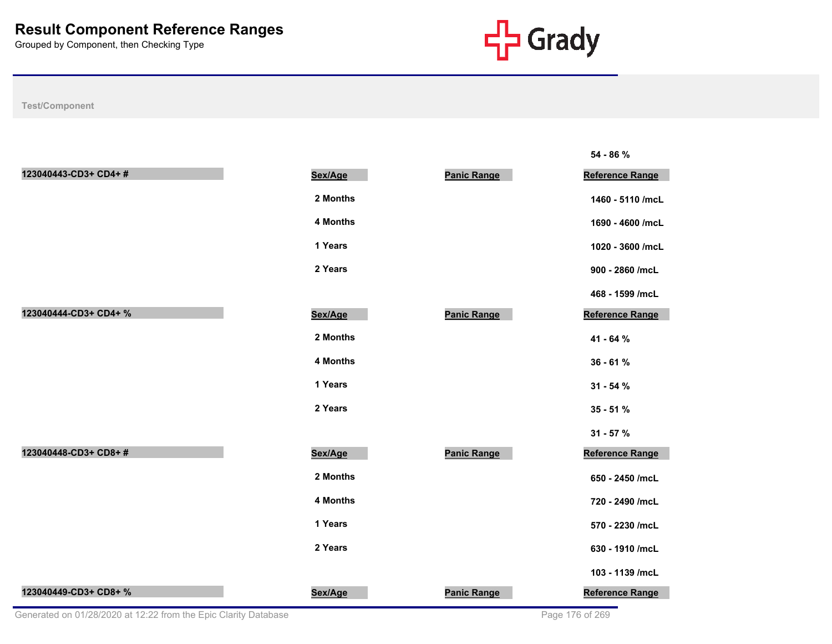

|                                                                 |          |                    | 54 - 86 %              |
|-----------------------------------------------------------------|----------|--------------------|------------------------|
| 123040443-CD3+ CD4+#                                            | Sex/Age  | <b>Panic Range</b> | <b>Reference Range</b> |
|                                                                 | 2 Months |                    | 1460 - 5110 /mcL       |
|                                                                 | 4 Months |                    | 1690 - 4600 /mcL       |
|                                                                 | 1 Years  |                    | 1020 - 3600 /mcL       |
|                                                                 | 2 Years  |                    | 900 - 2860 /mcL        |
|                                                                 |          |                    | 468 - 1599 /mcL        |
| 123040444-CD3+ CD4+ %                                           | Sex/Age  | <b>Panic Range</b> | Reference Range        |
|                                                                 | 2 Months |                    | 41 - 64 %              |
|                                                                 | 4 Months |                    | $36 - 61%$             |
|                                                                 | 1 Years  |                    | $31 - 54%$             |
|                                                                 | 2 Years  |                    | $35 - 51%$             |
|                                                                 |          |                    | $31 - 57 %$            |
| 123040448-CD3+ CD8+#                                            | Sex/Age  | <b>Panic Range</b> | Reference Range        |
|                                                                 | 2 Months |                    | 650 - 2450 /mcL        |
|                                                                 | 4 Months |                    | 720 - 2490 /mcL        |
|                                                                 | 1 Years  |                    | 570 - 2230 /mcL        |
|                                                                 | 2 Years  |                    | 630 - 1910 /mcL        |
|                                                                 |          |                    | 103 - 1139 /mcL        |
| 123040449-CD3+ CD8+ %                                           | Sex/Age  | <b>Panic Range</b> | Reference Range        |
| Generated on 01/28/2020 at 12:22 from the Epic Clarity Database |          |                    | Page 176 of 269        |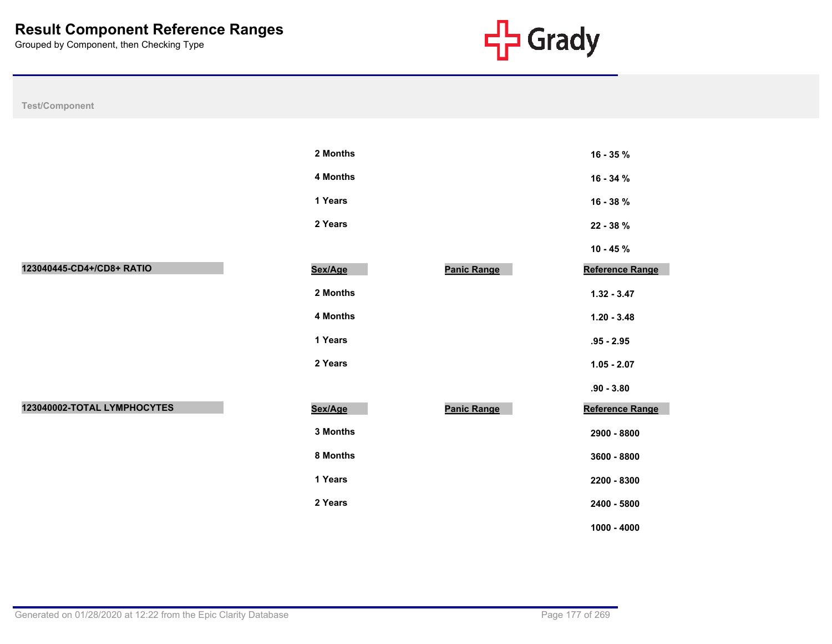

| Test/Component              |          |                    |                 |
|-----------------------------|----------|--------------------|-----------------|
|                             |          |                    |                 |
|                             | 2 Months |                    | 16 - 35 %       |
|                             | 4 Months |                    | 16 - 34 %       |
|                             | 1 Years  |                    | 16 - 38 %       |
|                             | 2 Years  |                    | 22 - 38 %       |
|                             |          |                    | $10 - 45 \%$    |
| 123040445-CD4+/CD8+ RATIO   | Sex/Age  | <b>Panic Range</b> | Reference Range |
|                             | 2 Months |                    | $1.32 - 3.47$   |
|                             | 4 Months |                    | $1.20 - 3.48$   |
|                             | 1 Years  |                    | $.95 - 2.95$    |
|                             | 2 Years  |                    | $1.05 - 2.07$   |
|                             |          |                    | $.90 - 3.80$    |
| 123040002-TOTAL LYMPHOCYTES | Sex/Age  | <b>Panic Range</b> | Reference Range |
|                             | 3 Months |                    | 2900 - 8800     |
|                             | 8 Months |                    | 3600 - 8800     |
|                             | 1 Years  |                    | 2200 - 8300     |
|                             | 2 Years  |                    | 2400 - 5800     |
|                             |          |                    | $1000 - 4000$   |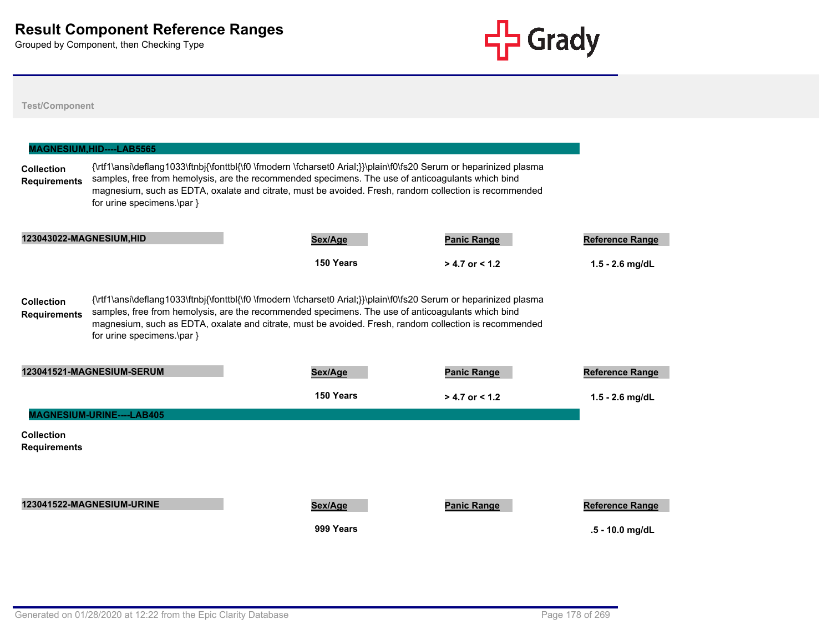

|                                          | MAGNESIUM, HID----LAB5565  |                                                                                                                                                                                                                                                                                                                                  |                    |                        |
|------------------------------------------|----------------------------|----------------------------------------------------------------------------------------------------------------------------------------------------------------------------------------------------------------------------------------------------------------------------------------------------------------------------------|--------------------|------------------------|
| <b>Collection</b><br><b>Requirements</b> | for urine specimens.\par } | {\rtf1\ansi\deflang1033\ftnbj{\fonttbl{\f0 \fmodern \fcharset0 Arial;}}\plain\f0\fs20 Serum or heparinized plasma<br>samples, free from hemolysis, are the recommended specimens. The use of anticoagulants which bind<br>magnesium, such as EDTA, oxalate and citrate, must be avoided. Fresh, random collection is recommended |                    |                        |
| 123043022-MAGNESIUM, HID                 |                            | Sex/Age                                                                                                                                                                                                                                                                                                                          | <b>Panic Range</b> | <b>Reference Range</b> |
|                                          |                            | 150 Years                                                                                                                                                                                                                                                                                                                        | $> 4.7$ or $< 1.2$ | $1.5 - 2.6$ mg/dL      |
| <b>Collection</b><br><b>Requirements</b> | for urine specimens.\par } | {\rtf1\ansi\deflang1033\ftnbj{\fonttbl{\f0 \fmodern \fcharset0 Arial;}}\plain\f0\fs20 Serum or heparinized plasma<br>samples, free from hemolysis, are the recommended specimens. The use of anticoagulants which bind<br>magnesium, such as EDTA, oxalate and citrate, must be avoided. Fresh, random collection is recommended |                    |                        |
|                                          | 123041521-MAGNESIUM-SERUM  | Sex/Age                                                                                                                                                                                                                                                                                                                          | <b>Panic Range</b> | <b>Reference Range</b> |
|                                          |                            | 150 Years                                                                                                                                                                                                                                                                                                                        | $> 4.7$ or < 1.2   | $1.5 - 2.6$ mg/dL      |
|                                          | MAGNESIUM-URINE----LAB405  |                                                                                                                                                                                                                                                                                                                                  |                    |                        |
| <b>Collection</b><br><b>Requirements</b> |                            |                                                                                                                                                                                                                                                                                                                                  |                    |                        |
|                                          |                            |                                                                                                                                                                                                                                                                                                                                  |                    |                        |
|                                          | 123041522-MAGNESIUM-URINE  |                                                                                                                                                                                                                                                                                                                                  | <b>Panic Range</b> |                        |
|                                          |                            | Sex/Age                                                                                                                                                                                                                                                                                                                          |                    | <b>Reference Range</b> |
|                                          |                            | 999 Years                                                                                                                                                                                                                                                                                                                        |                    | $.5 - 10.0$ mg/dL      |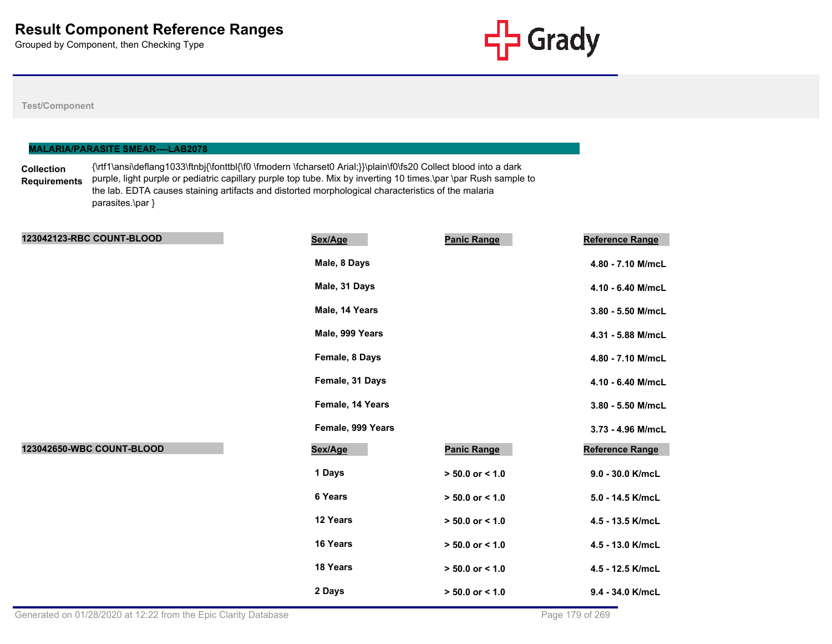

|                                          | <b>MALARIA/PARASITE SMEAR----LAB2078</b>                                                                                                                                                                                                                                                                                                                     |         |                    |                        |  |  |
|------------------------------------------|--------------------------------------------------------------------------------------------------------------------------------------------------------------------------------------------------------------------------------------------------------------------------------------------------------------------------------------------------------------|---------|--------------------|------------------------|--|--|
| <b>Collection</b><br><b>Requirements</b> | {\rtf1\ansi\deflang1033\ftnbj{\fonttbl{\f0 \fmodern \fcharset0 Arial;}}\plain\f0\fs20 Collect blood into a dark<br>purple, light purple or pediatric capillary purple top tube. Mix by inverting 10 times.\par \par Rush sample to<br>the lab. EDTA causes staining artifacts and distorted morphological characteristics of the malaria<br>parasites.\par } |         |                    |                        |  |  |
|                                          | <b>123042123-RBC COUNT-BLOOD</b>                                                                                                                                                                                                                                                                                                                             | Sex/Age | <b>Panic Range</b> | <b>Reference Range</b> |  |  |

|                           | Male, 8 Days      |                     | 4.80 - 7.10 M/mcL |
|---------------------------|-------------------|---------------------|-------------------|
|                           | Male, 31 Days     |                     | 4.10 - 6.40 M/mcL |
|                           | Male, 14 Years    |                     | 3.80 - 5.50 M/mcL |
|                           | Male, 999 Years   |                     | 4.31 - 5.88 M/mcL |
|                           | Female, 8 Days    |                     | 4.80 - 7.10 M/mcL |
|                           | Female, 31 Days   |                     | 4.10 - 6.40 M/mcL |
|                           | Female, 14 Years  |                     | 3.80 - 5.50 M/mcL |
|                           | Female, 999 Years |                     | 3.73 - 4.96 M/mcL |
| 123042650-WBC COUNT-BLOOD | Sex/Age           | <b>Panic Range</b>  | Reference Range   |
|                           | 1 Days            | $> 50.0$ or $< 1.0$ | 9.0 - 30.0 K/mcL  |
|                           | 6 Years           | $> 50.0$ or $< 1.0$ | 5.0 - 14.5 K/mcL  |
|                           | 12 Years          | $> 50.0$ or $< 1.0$ | 4.5 - 13.5 K/mcL  |
|                           | 16 Years          | $> 50.0$ or $< 1.0$ | 4.5 - 13.0 K/mcL  |
|                           | 18 Years          | $> 50.0$ or < 1.0   | 4.5 - 12.5 K/mcL  |
|                           | 2 Days            | $> 50.0$ or < 1.0   | 9.4 - 34.0 K/mcL  |
|                           |                   |                     |                   |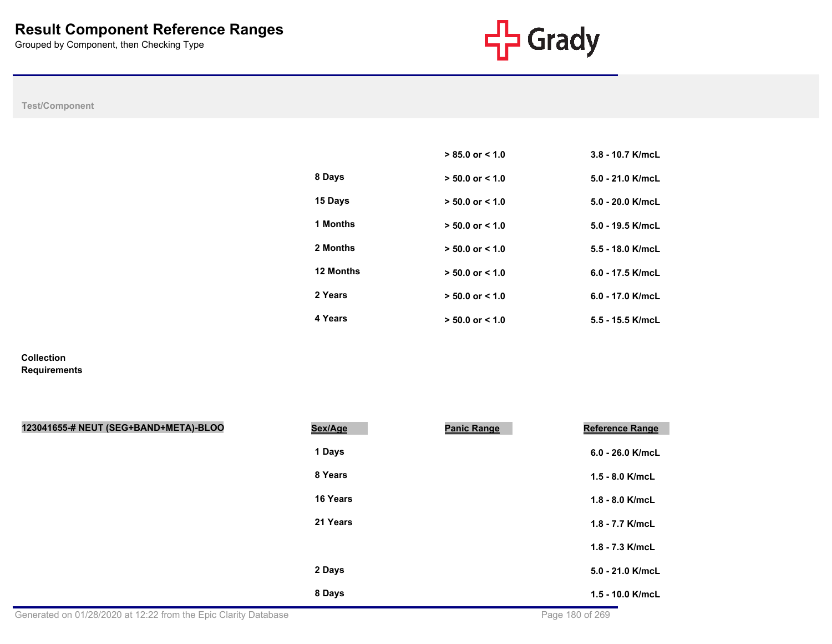

**Test/Component**

|           | $> 85.0$ or $< 1.0$ | $3.8 - 10.7$ K/mcL |
|-----------|---------------------|--------------------|
| 8 Days    | $> 50.0$ or $< 1.0$ | $5.0 - 21.0$ K/mcL |
| 15 Days   | $> 50.0$ or $< 1.0$ | $5.0 - 20.0$ K/mcL |
| 1 Months  | $> 50.0$ or $< 1.0$ | $5.0 - 19.5$ K/mcL |
| 2 Months  | $> 50.0$ or $< 1.0$ | $5.5 - 18.0$ K/mcL |
| 12 Months | $> 50.0$ or $< 1.0$ | $6.0 - 17.5$ K/mcL |
| 2 Years   | $> 50.0$ or $< 1.0$ | $6.0 - 17.0$ K/mcL |
| 4 Years   | $> 50.0$ or $< 1.0$ | $5.5 - 15.5$ K/mcL |

**Collection Requirements**

| 123041655-# NEUT (SEG+BAND+META)-BLOO                           | Sex/Age  | <b>Panic Range</b> | <b>Reference Range</b> |
|-----------------------------------------------------------------|----------|--------------------|------------------------|
|                                                                 | 1 Days   |                    | $6.0 - 26.0$ K/mcL     |
|                                                                 | 8 Years  |                    | $1.5 - 8.0$ K/mcL      |
|                                                                 | 16 Years |                    | $1.8 - 8.0$ K/mcL      |
|                                                                 | 21 Years |                    | 1.8 - 7.7 K/mcL        |
|                                                                 |          |                    | 1.8 - 7.3 K/mcL        |
|                                                                 | 2 Days   |                    | 5.0 - 21.0 K/mcL       |
|                                                                 | 8 Days   |                    | 1.5 - 10.0 K/mcL       |
| Generated on 01/28/2020 at 12:22 from the Epic Clarity Database |          |                    | Page 180 of 269        |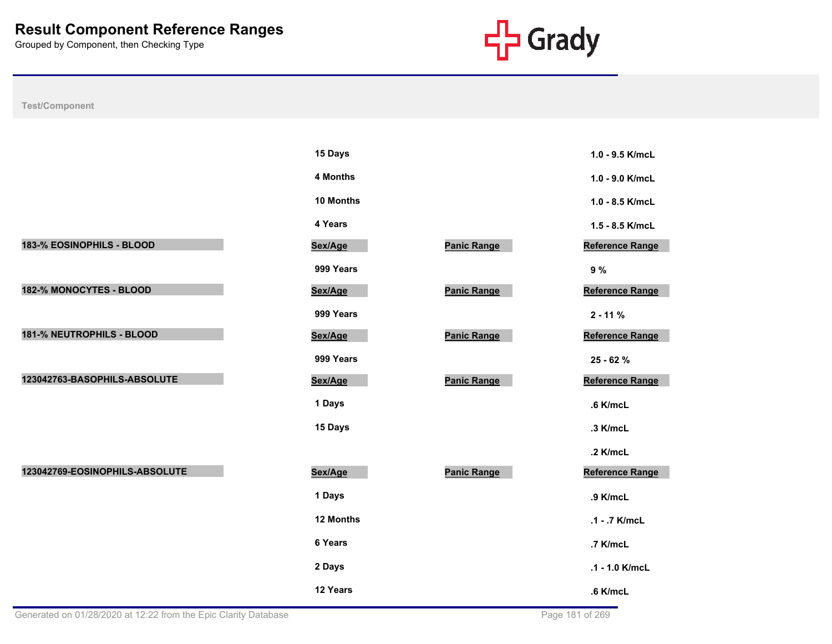

|                                | 15 Days   |                    | 1.0 - 9.5 K/mcL        |
|--------------------------------|-----------|--------------------|------------------------|
|                                | 4 Months  |                    | 1.0 - 9.0 K/mcL        |
|                                | 10 Months |                    | 1.0 - 8.5 K/mcL        |
|                                | 4 Years   |                    | 1.5 - 8.5 K/mcL        |
| 183-% EOSINOPHILS - BLOOD      | Sex/Age   | <b>Panic Range</b> | <b>Reference Range</b> |
|                                | 999 Years |                    | 9%                     |
| 182-% MONOCYTES - BLOOD        | Sex/Age   | <b>Panic Range</b> | <b>Reference Range</b> |
|                                | 999 Years |                    | $2 - 11%$              |
| 181-% NEUTROPHILS - BLOOD      | Sex/Age   | <b>Panic Range</b> | <b>Reference Range</b> |
|                                | 999 Years |                    | 25 - 62 %              |
| 123042763-BASOPHILS-ABSOLUTE   | Sex/Age   | <b>Panic Range</b> | <b>Reference Range</b> |
|                                | 1 Days    |                    | $.6$ K/mcL             |
|                                | 15 Days   |                    | .3 K/mcL               |
|                                |           |                    | .2 K/mcL               |
| 123042769-EOSINOPHILS-ABSOLUTE | Sex/Age   | Panic Range        | <b>Reference Range</b> |
|                                | 1 Days    |                    | .9 K/mcL               |
|                                | 12 Months |                    | .1 - .7 K/mcL          |
|                                | 6 Years   |                    | .7 K/mcL               |
|                                | 2 Days    |                    | .1 - 1.0 K/mcL         |
|                                | 12 Years  |                    | $.6$ K/mcL             |

| 15 Days         |                    | 1.0 - 9.5 K/mcL        |
|-----------------|--------------------|------------------------|
| <b>4 Months</b> |                    | 1.0 - 9.0 K/mcL        |
| 10 Months       |                    | 1.0 - 8.5 K/mcL        |
| 4 Years         |                    | 1.5 - 8.5 K/mcL        |
| <u>sex/Age</u>  | <b>Panic Range</b> | <b>Reference Range</b> |
| 999 Years       |                    | 9%                     |
| <u>sex/Age</u>  | <b>Panic Range</b> | Reference Range        |
| 999 Years       |                    | $2 - 11%$              |
| Sex/Age         | <b>Panic Range</b> | Reference Range        |
| 999 Years       |                    | 25 - 62 %              |
| <u>sex/Age</u>  | <b>Panic Range</b> | Reference Range        |
| 1 Days          |                    | .6 K/mcL               |
| 15 Days         |                    | .3 K/mcL               |
|                 |                    | .2 K/mcL               |
| <u>sex/Age</u>  | <b>Panic Range</b> | Reference Range        |
| 1 Days          |                    | .9 K/mcL               |
| 12 Months       |                    | .1 - .7 K/mcL          |
| 6 Years         |                    | .7 K/mcL               |
| 2 Days          |                    | $.1 - 1.0$ K/mcL       |
| 12 Years        |                    | $.6$ K/mcL             |

| 1.0 - 9.5 K/mcL   |
|-------------------|
| 1.0 - 9.0 K/mcL   |
| $1.0 - 8.5$ K/mcL |
| 1.5 - 8.5 K/mcL   |
| Reference Range   |
| 9%                |
| Reference Range   |
| $2 - 11%$         |
| Reference Range   |
| 25 - 62 %         |
| Reference Range   |
| .6 K/mcL          |
| .3 K/mcL          |
| .2 K/mcL          |
| Reference Range   |
| .9 K/mcL          |
| .1 - .7 K/mcL     |
| .7 K/mcL          |
| .1 - 1.0 K/mcL    |
| .6 K/mcl          |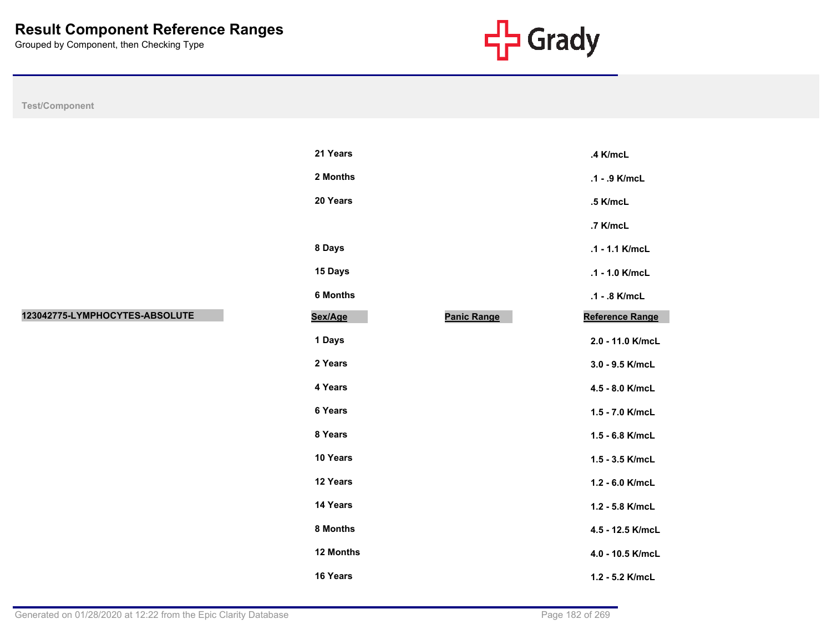

| <b>Test/Component</b> |  |  |
|-----------------------|--|--|

|                                | 21 Years  |                    | .4 K/mcL               |
|--------------------------------|-----------|--------------------|------------------------|
|                                | 2 Months  |                    | .1 - .9 K/mcL          |
|                                | 20 Years  |                    | .5 K/mcL               |
|                                |           |                    | .7 K/mcL               |
|                                | 8 Days    |                    | .1 - 1.1 K/mcL         |
|                                | 15 Days   |                    | .1 - 1.0 K/mcL         |
|                                | 6 Months  |                    | .1 - .8 K/mcL          |
| 123042775-LYMPHOCYTES-ABSOLUTE | Sex/Age   | <b>Panic Range</b> | <b>Reference Range</b> |
|                                | 1 Days    |                    | 2.0 - 11.0 K/mcL       |
|                                | 2 Years   |                    | 3.0 - 9.5 K/mcL        |
|                                | 4 Years   |                    | 4.5 - 8.0 K/mcL        |
|                                | 6 Years   |                    | 1.5 - 7.0 K/mcL        |
|                                | 8 Years   |                    | 1.5 - 6.8 K/mcL        |
|                                | 10 Years  |                    | 1.5 - 3.5 K/mcL        |
|                                | 12 Years  |                    | 1.2 - 6.0 K/mcL        |
|                                | 14 Years  |                    | 1.2 - 5.8 K/mcL        |
|                                | 8 Months  |                    | 4.5 - 12.5 K/mcL       |
|                                | 12 Months |                    | 4.0 - 10.5 K/mcL       |
|                                | 16 Years  |                    | 1.2 - 5.2 K/mcL        |

| 21 Years        |                    | .4 K/mcL               |
|-----------------|--------------------|------------------------|
| 2 Months        |                    | .1 - .9 K/mcL          |
| <b>20 Years</b> |                    | .5 K/mcL               |
|                 |                    | .7 K/mcL               |
| 8 Days          |                    | $.1 - 1.1$ K/mcL       |
| 15 Days         |                    | $.1 - 1.0$ K/mcL       |
| 6 Months        |                    | .1 - .8 K/mcL          |
| <u>sex/Age</u>  | <b>Panic Range</b> | <b>Reference Range</b> |
| 1 Days          |                    | 2.0 - 11.0 K/mcL       |
| 2 Years         |                    | 3.0 - 9.5 K/mcL        |
| 4 Years         |                    | 4.5 - 8.0 K/mcL        |
| 6 Years         |                    | 1.5 - 7.0 K/mcL        |
| 8 Years         |                    | 1.5 - 6.8 K/mcL        |
| 10 Years        |                    | $1.5 - 3.5$ K/mcL      |
| 12 Years        |                    | 1.2 - 6.0 K/mcL        |
| 14 Years        |                    | $1.2 - 5.8$ K/mcL      |
| 8 Months        |                    | 4.5 - 12.5 K/mcL       |
| 12 Months       |                    | 4.0 - 10.5 K/mcL       |
| <b>16 Years</b> |                    | 1.2 - 5.2 K/mcL        |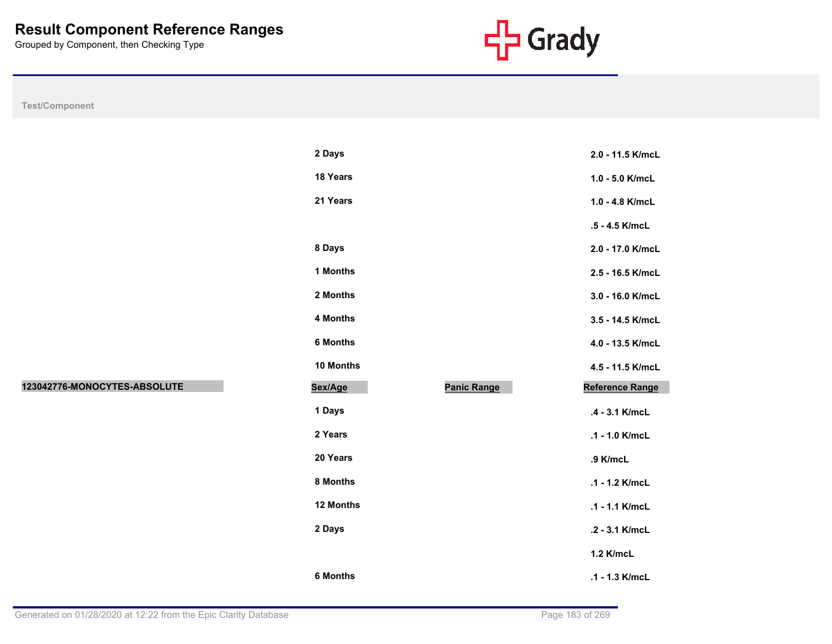

**Test/Component**

| 2 Days           |                    | 2.0 - 11.5 K/mcL       |
|------------------|--------------------|------------------------|
| 18 Years         |                    | $1.0 - 5.0$ K/mcL      |
| 21 Years         |                    | $1.0 - 4.8$ K/mcL      |
|                  |                    | .5 - 4.5 K/mcL         |
| 8 Days           |                    | 2.0 - 17.0 K/mcL       |
| 1 Months         |                    | 2.5 - 16.5 K/mcL       |
| 2 Months         |                    | 3.0 - 16.0 K/mcL       |
| 4 Months         |                    | 3.5 - 14.5 K/mcL       |
| <b>6 Months</b>  |                    | 4.0 - 13.5 K/mcL       |
|                  |                    |                        |
| 10 Months        |                    | 4.5 - 11.5 K/mcL       |
| Sex/Age          | <b>Panic Range</b> | <b>Reference Range</b> |
| 1 Days           |                    | .4 - 3.1 K/mcL         |
| 2 Years          |                    | .1 - 1.0 K/mcL         |
| 20 Years         |                    | .9 K/mcL               |
| 8 Months         |                    | $.1 - 1.2$ K/mcL       |
| <b>12 Months</b> |                    | $.1 - 1.1$ K/mcL       |
| 2 Days           |                    | .2 - 3.1 K/mcL         |
|                  |                    | 1.2 K/mcL              |

**123042776-MONOCYTES-ABSOLUTE Sex/Age Panic Range Reference Range**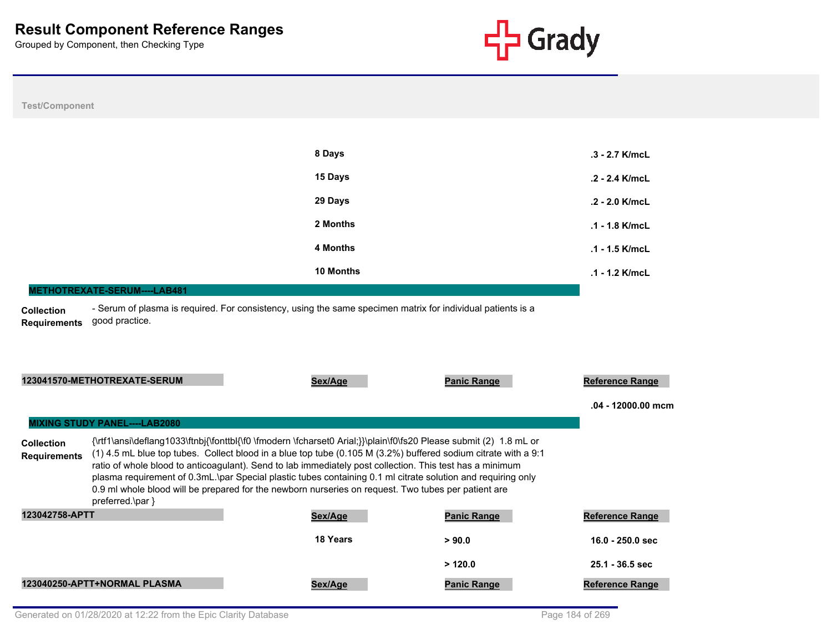

### **Test/Component**

| 8 Days    | $.3 - 2.7$ K/mcL |
|-----------|------------------|
| 15 Days   | $.2 - 2.4$ K/mcL |
| 29 Days   | $.2 - 2.0$ K/mcL |
| 2 Months  | $.1 - 1.8$ K/mcL |
| 4 Months  | $.1 - 1.5$ K/mcL |
| 10 Months | $.1 - 1.2$ K/mcL |

#### **METHOTREXATE-SERUM----LAB481**

**Collection Requirements** - Serum of plasma is required. For consistency, using the same specimen matrix for individual patients is a good practice.

|                                          | 123041570-METHOTREXATE-SERUM         | Sex/Age                                                                                                                                                                                                                                                                                                                                                                                                                                                                                                                                                                    | <b>Panic Range</b> | <b>Reference Range</b> |
|------------------------------------------|--------------------------------------|----------------------------------------------------------------------------------------------------------------------------------------------------------------------------------------------------------------------------------------------------------------------------------------------------------------------------------------------------------------------------------------------------------------------------------------------------------------------------------------------------------------------------------------------------------------------------|--------------------|------------------------|
|                                          |                                      |                                                                                                                                                                                                                                                                                                                                                                                                                                                                                                                                                                            |                    | .04 - 12000.00 mcm     |
|                                          | <b>MIXING STUDY PANEL----LAB2080</b> |                                                                                                                                                                                                                                                                                                                                                                                                                                                                                                                                                                            |                    |                        |
| <b>Collection</b><br><b>Requirements</b> | $preferred \$                        | {\rtf1\ansi\deflang1033\ftnbj{\fonttbl{\f0 \fmodern \fcharset0 Arial;}}\plain\f0\fs20 Please submit (2) 1.8 mL or<br>$(1)$ 4.5 mL blue top tubes. Collect blood in a blue top tube $(0.105 M (3.2%)$ buffered sodium citrate with a 9:1<br>ratio of whole blood to anticoagulant). Send to lab immediately post collection. This test has a minimum<br>plasma requirement of 0.3mL.\par Special plastic tubes containing 0.1 ml citrate solution and requiring only<br>0.9 ml whole blood will be prepared for the newborn nurseries on request. Two tubes per patient are |                    |                        |
| 123042758-APTT                           |                                      | Sex/Age                                                                                                                                                                                                                                                                                                                                                                                                                                                                                                                                                                    | <b>Panic Range</b> | <b>Reference Range</b> |
|                                          |                                      | 18 Years                                                                                                                                                                                                                                                                                                                                                                                                                                                                                                                                                                   | > 90.0             | $16.0 - 250.0$ sec     |
|                                          |                                      |                                                                                                                                                                                                                                                                                                                                                                                                                                                                                                                                                                            | >120.0             | $25.1 - 36.5$ sec      |
|                                          | 123040250-APTT+NORMAL PLASMA         | Sex/Age                                                                                                                                                                                                                                                                                                                                                                                                                                                                                                                                                                    | <b>Panic Range</b> | <b>Reference Range</b> |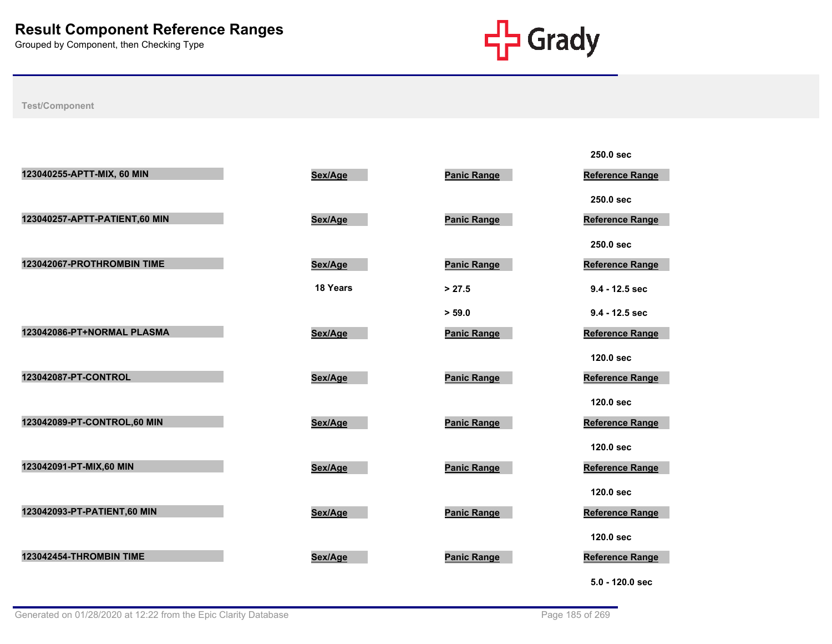

| 123040255-APTT-MIX, 60 MIN    | Sex/Age  | <b>Panic Range</b> | 250.0 sec<br><b>Reference Range</b> |
|-------------------------------|----------|--------------------|-------------------------------------|
|                               |          |                    | 250.0 sec                           |
| 123040257-APTT-PATIENT,60 MIN | Sex/Age  | <b>Panic Range</b> | Reference Range                     |
| 123042067-PROTHROMBIN TIME    | Sex/Age  | <b>Panic Range</b> | 250.0 sec<br>Reference Range        |
|                               | 18 Years | > 27.5             | 9.4 - 12.5 sec                      |
|                               |          | > 59.0             | $9.4 - 12.5$ sec                    |
| 123042086-PT+NORMAL PLASMA    | Sex/Age  | <b>Panic Range</b> | <b>Reference Range</b>              |
| 123042087-PT-CONTROL          |          |                    | 120.0 sec                           |
|                               | Sex/Age  | <b>Panic Range</b> | <b>Reference Range</b><br>120.0 sec |
| 123042089-PT-CONTROL,60 MIN   | Sex/Age  | <b>Panic Range</b> | Reference Range                     |
|                               |          |                    | 120.0 sec                           |
| 123042091-PT-MIX,60 MIN       | Sex/Age  | <b>Panic Range</b> | Reference Range                     |
| 123042093-PT-PATIENT,60 MIN   | Sex/Age  | <b>Panic Range</b> | 120.0 sec<br>Reference Range        |
|                               |          |                    | 120.0 sec                           |
| 123042454-THROMBIN TIME       | Sex/Age  | <b>Panic Range</b> | <b>Reference Range</b>              |
|                               |          |                    | 5.0 - 120.0 sec                     |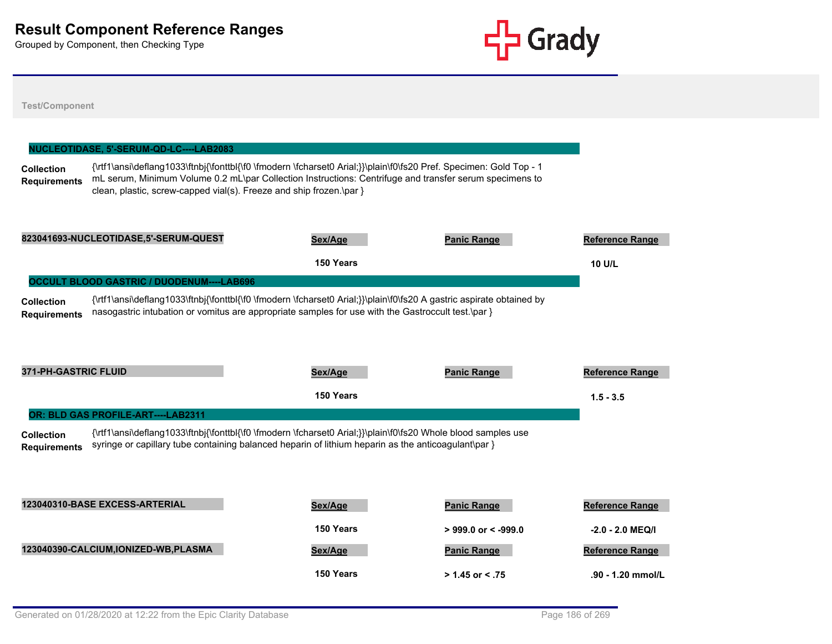

| <b>Test/Component</b>                    |                                                  |                                                                                                                                                                                                                                                                                                      |                       |                        |
|------------------------------------------|--------------------------------------------------|------------------------------------------------------------------------------------------------------------------------------------------------------------------------------------------------------------------------------------------------------------------------------------------------------|-----------------------|------------------------|
|                                          |                                                  |                                                                                                                                                                                                                                                                                                      |                       |                        |
|                                          | NUCLEOTIDASE, 5'-SERUM-QD-LC----LAB2083          |                                                                                                                                                                                                                                                                                                      |                       |                        |
| <b>Collection</b><br><b>Requirements</b> |                                                  | {\rtf1\ansi\deflang1033\ftnbj{\fonttbl{\f0 \fmodern \fcharset0 Arial;}}\plain\f0\fs20 Pref. Specimen: Gold Top - 1<br>mL serum, Minimum Volume 0.2 mL\par Collection Instructions: Centrifuge and transfer serum specimens to<br>clean, plastic, screw-capped vial(s). Freeze and ship frozen.\par } |                       |                        |
|                                          | 823041693-NUCLEOTIDASE,5'-SERUM-QUEST            | Sex/Age                                                                                                                                                                                                                                                                                              | <b>Panic Range</b>    | <b>Reference Range</b> |
|                                          |                                                  | 150 Years                                                                                                                                                                                                                                                                                            |                       | <b>10 U/L</b>          |
|                                          | <b>OCCULT BLOOD GASTRIC / DUODENUM----LAB696</b> |                                                                                                                                                                                                                                                                                                      |                       |                        |
| <b>Collection</b><br><b>Requirements</b> |                                                  | {\rtf1\ansi\deflang1033\ftnbj{\fonttbl{\f0 \fmodern \fcharset0 Arial;}}\plain\f0\fs20 A gastric aspirate obtained by<br>nasogastric intubation or vomitus are appropriate samples for use with the Gastroccult test.\par }                                                                           |                       |                        |
| <b>371-PH-GASTRIC FLUID</b>              |                                                  | Sex/Age                                                                                                                                                                                                                                                                                              | <b>Panic Range</b>    | <b>Reference Range</b> |
|                                          |                                                  | 150 Years                                                                                                                                                                                                                                                                                            |                       | $1.5 - 3.5$            |
|                                          | OR: BLD GAS PROFILE-ART----LAB2311               |                                                                                                                                                                                                                                                                                                      |                       |                        |
| <b>Collection</b><br><b>Requirements</b> |                                                  | {\rtf1\ansi\deflang1033\ftnbj{\fonttbl{\f0 \fmodern \fcharset0 Arial;}}\plain\f0\fs20 Whole blood samples use<br>syringe or capillary tube containing balanced heparin of lithium heparin as the anticoagulant\par }                                                                                 |                       |                        |
|                                          | 123040310-BASE EXCESS-ARTERIAL                   | Sex/Age                                                                                                                                                                                                                                                                                              | <b>Panic Range</b>    | Reference Range        |
|                                          |                                                  | 150 Years                                                                                                                                                                                                                                                                                            | $>$ 999.0 or < -999.0 | -2.0 - 2.0 MEQ/I       |
|                                          | 123040390-CALCIUM, IONIZED-WB, PLASMA            | Sex/Age                                                                                                                                                                                                                                                                                              | <b>Panic Range</b>    | Reference Range        |
|                                          |                                                  |                                                                                                                                                                                                                                                                                                      |                       |                        |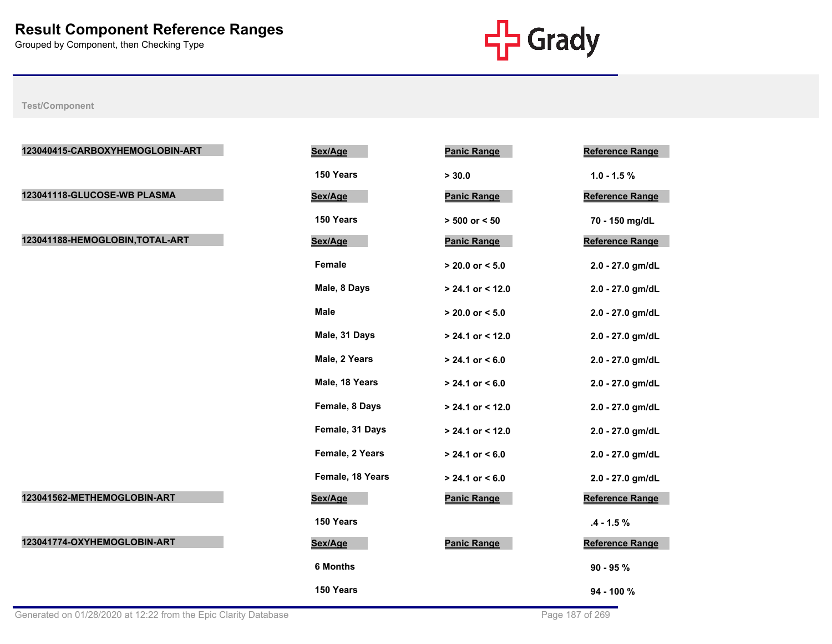

| 123040415-CARBOXYHEMOGLOBIN-ART | Sex/Age          | <b>Panic Range</b>  | <b>Reference Range</b> |
|---------------------------------|------------------|---------------------|------------------------|
|                                 | 150 Years        | > 30.0              | $1.0 - 1.5 \%$         |
| 123041118-GLUCOSE-WB PLASMA     | Sex/Age          | <b>Panic Range</b>  | Reference Range        |
|                                 | 150 Years        | $> 500$ or $< 50$   | 70 - 150 mg/dL         |
| 123041188-HEMOGLOBIN, TOTAL-ART | Sex/Age          | <b>Panic Range</b>  | <b>Reference Range</b> |
|                                 | Female           | $> 20.0$ or $< 5.0$ | 2.0 - 27.0 gm/dL       |
|                                 | Male, 8 Days     | > 24.1 or < 12.0    | 2.0 - 27.0 gm/dL       |
|                                 | <b>Male</b>      | $> 20.0$ or $< 5.0$ | 2.0 - 27.0 gm/dL       |
|                                 | Male, 31 Days    | > 24.1 or < 12.0    | 2.0 - 27.0 gm/dL       |
|                                 | Male, 2 Years    | $> 24.1$ or $< 6.0$ | 2.0 - 27.0 gm/dL       |
|                                 | Male, 18 Years   | $> 24.1$ or $< 6.0$ | 2.0 - 27.0 gm/dL       |
|                                 | Female, 8 Days   | > 24.1 or < 12.0    | 2.0 - 27.0 gm/dL       |
|                                 | Female, 31 Days  | $> 24.1$ or < 12.0  | 2.0 - 27.0 gm/dL       |
|                                 | Female, 2 Years  | $> 24.1$ or $< 6.0$ | 2.0 - 27.0 gm/dL       |
|                                 | Female, 18 Years | $> 24.1$ or $< 6.0$ | 2.0 - 27.0 gm/dL       |
| 123041562-METHEMOGLOBIN-ART     | Sex/Age          | <b>Panic Range</b>  | <b>Reference Range</b> |
|                                 | 150 Years        |                     | $.4 - 1.5 \%$          |
| 123041774-OXYHEMOGLOBIN-ART     | Sex/Age          | <b>Panic Range</b>  | Reference Range        |
|                                 | <b>6 Months</b>  |                     | $90 - 95 %$            |
|                                 | 150 Years        |                     | 94 - 100 %             |
|                                 |                  |                     |                        |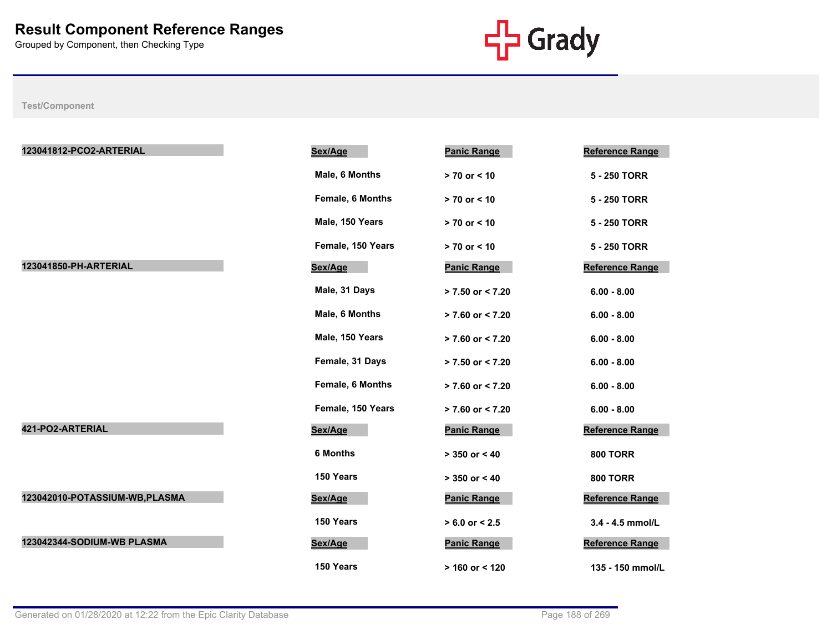

| 123041812-PCO2-ARTERIAL        | Sex/Age           | <b>Panic Range</b>   | <b>Reference Range</b> |
|--------------------------------|-------------------|----------------------|------------------------|
|                                | Male, 6 Months    | $> 70$ or $< 10$     | 5 - 250 TORR           |
|                                | Female, 6 Months  | > 70 or < 10         | 5 - 250 TORR           |
|                                | Male, 150 Years   | > 70 or < 10         | 5 - 250 TORR           |
|                                | Female, 150 Years | $> 70$ or $< 10$     | 5 - 250 TORR           |
| 123041850-PH-ARTERIAL          | Sex/Age           | <b>Panic Range</b>   | <b>Reference Range</b> |
|                                | Male, 31 Days     | $> 7.50$ or $< 7.20$ | $6.00 - 8.00$          |
|                                | Male, 6 Months    | $> 7.60$ or $< 7.20$ | $6.00 - 8.00$          |
|                                | Male, 150 Years   | $> 7.60$ or $< 7.20$ | $6.00 - 8.00$          |
|                                | Female, 31 Days   | $> 7.50$ or < 7.20   | $6.00 - 8.00$          |
|                                | Female, 6 Months  | $> 7.60$ or $< 7.20$ | $6.00 - 8.00$          |
|                                | Female, 150 Years | $> 7.60$ or $< 7.20$ | $6.00 - 8.00$          |
| 421-PO2-ARTERIAL               | Sex/Age           | <b>Panic Range</b>   | <b>Reference Range</b> |
|                                | <b>6 Months</b>   | $> 350$ or $< 40$    | <b>800 TORR</b>        |
|                                | 150 Years         | $> 350$ or $< 40$    | <b>800 TORR</b>        |
| 123042010-POTASSIUM-WB, PLASMA | Sex/Age           | <b>Panic Range</b>   | <b>Reference Range</b> |
|                                | 150 Years         | $> 6.0$ or $< 2.5$   | 3.4 - 4.5 mmol/L       |
| 123042344-SODIUM-WB PLASMA     | Sex/Age           | <b>Panic Range</b>   | <b>Reference Range</b> |
|                                | 150 Years         | $> 160$ or < 120     | 135 - 150 mmol/L       |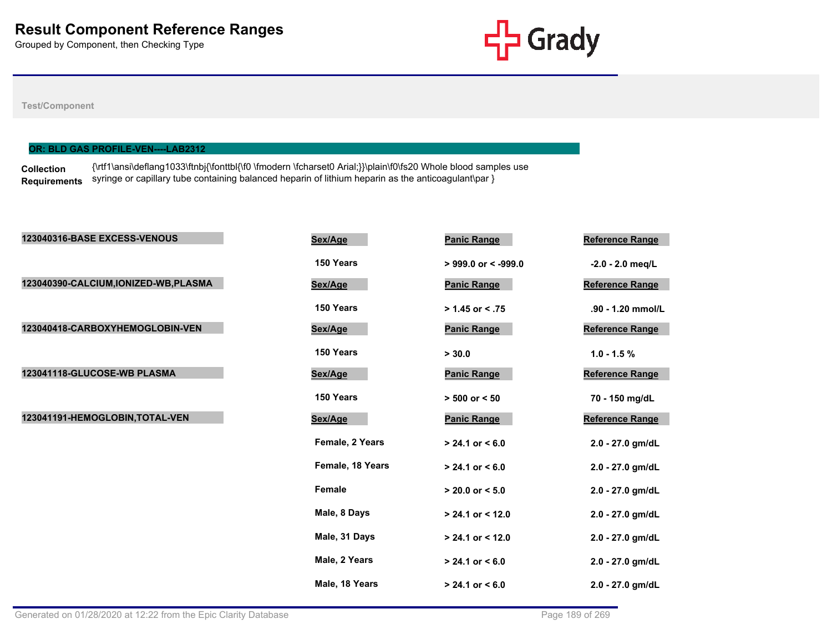

### **Test/Component**

## **OR: BLD GAS PROFILE-VEN----LAB2312**

**Collection Requirements** syringe or capillary tube containing balanced heparin of lithium heparin as the anticoagulant\par } {\rtf1\ansi\deflang1033\ftnbj{\fonttbl{\f0 \fmodern \fcharset0 Arial;}}\plain\f0\fs20 Whole blood samples use

| 123040316-BASE EXCESS-VENOUS          | Sex/Age          | <b>Panic Range</b>    | Reference Range        |
|---------------------------------------|------------------|-----------------------|------------------------|
|                                       | 150 Years        | $>$ 999.0 or < -999.0 | $-2.0 - 2.0$ meg/L     |
| 123040390-CALCIUM, IONIZED-WB, PLASMA | Sex/Age          | <b>Panic Range</b>    | Reference Range        |
|                                       | 150 Years        | $> 1.45$ or < .75     | .90 - 1.20 mmol/L      |
| 123040418-CARBOXYHEMOGLOBIN-VEN       | Sex/Age          | <b>Panic Range</b>    | <b>Reference Range</b> |
|                                       | 150 Years        | > 30.0                | $1.0 - 1.5 \%$         |
| 123041118-GLUCOSE-WB PLASMA           | Sex/Age          | <b>Panic Range</b>    | Reference Range        |
|                                       | 150 Years        | $> 500$ or $< 50$     | 70 - 150 mg/dL         |
| 123041191-HEMOGLOBIN, TOTAL-VEN       | Sex/Age          | <b>Panic Range</b>    | Reference Range        |
|                                       | Female, 2 Years  | $> 24.1$ or $< 6.0$   | 2.0 - 27.0 gm/dL       |
|                                       | Female, 18 Years | $> 24.1$ or $< 6.0$   | 2.0 - 27.0 gm/dL       |
|                                       | Female           | $> 20.0$ or $< 5.0$   | 2.0 - 27.0 gm/dL       |
|                                       | Male, 8 Days     | $> 24.1$ or < 12.0    | 2.0 - 27.0 gm/dL       |
|                                       | Male, 31 Days    | $> 24.1$ or < 12.0    | 2.0 - 27.0 gm/dL       |
|                                       | Male, 2 Years    | $> 24.1$ or $< 6.0$   | 2.0 - 27.0 gm/dL       |
|                                       | Male, 18 Years   | $> 24.1$ or $< 6.0$   | 2.0 - 27.0 gm/dL       |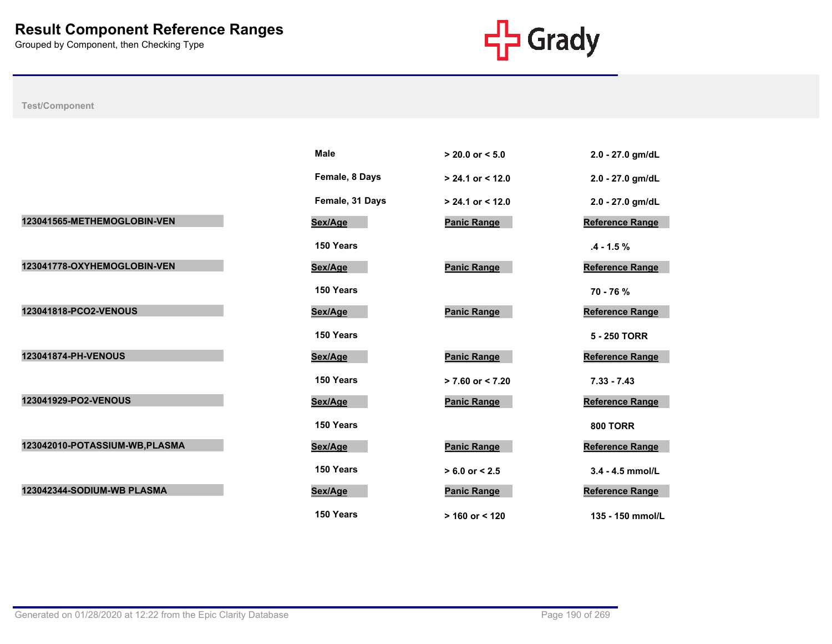

|                                | <b>Male</b>     | $> 20.0$ or $< 5.0$  | 2.0 - 27.0 gm/dL       |
|--------------------------------|-----------------|----------------------|------------------------|
|                                | Female, 8 Days  | $> 24.1$ or < 12.0   | 2.0 - 27.0 gm/dL       |
|                                | Female, 31 Days | $> 24.1$ or $< 12.0$ | 2.0 - 27.0 gm/dL       |
| 123041565-METHEMOGLOBIN-VEN    | Sex/Age         | <b>Panic Range</b>   | <b>Reference Range</b> |
|                                | 150 Years       |                      | $.4 - 1.5 \%$          |
| 123041778-OXYHEMOGLOBIN-VEN    | Sex/Age         | <b>Panic Range</b>   | Reference Range        |
|                                | 150 Years       |                      | 70 - 76 %              |
| 123041818-PCO2-VENOUS          | Sex/Age         | <b>Panic Range</b>   | <b>Reference Range</b> |
|                                | 150 Years       |                      | 5 - 250 TORR           |
| 123041874-PH-VENOUS            | Sex/Age         | <b>Panic Range</b>   | Reference Range        |
|                                | 150 Years       | $> 7.60$ or $< 7.20$ | $7.33 - 7.43$          |
| 123041929-PO2-VENOUS           | Sex/Age         | <b>Panic Range</b>   | <b>Reference Range</b> |
|                                | 150 Years       |                      | <b>800 TORR</b>        |
| 123042010-POTASSIUM-WB, PLASMA | Sex/Age         | <b>Panic Range</b>   | Reference Range        |
|                                | 150 Years       | $> 6.0$ or $< 2.5$   | 3.4 - 4.5 mmol/L       |
| 123042344-SODIUM-WB PLASMA     | Sex/Age         | <b>Panic Range</b>   | <b>Reference Range</b> |
|                                | 150 Years       | $> 160$ or < 120     | 135 - 150 mmol/L       |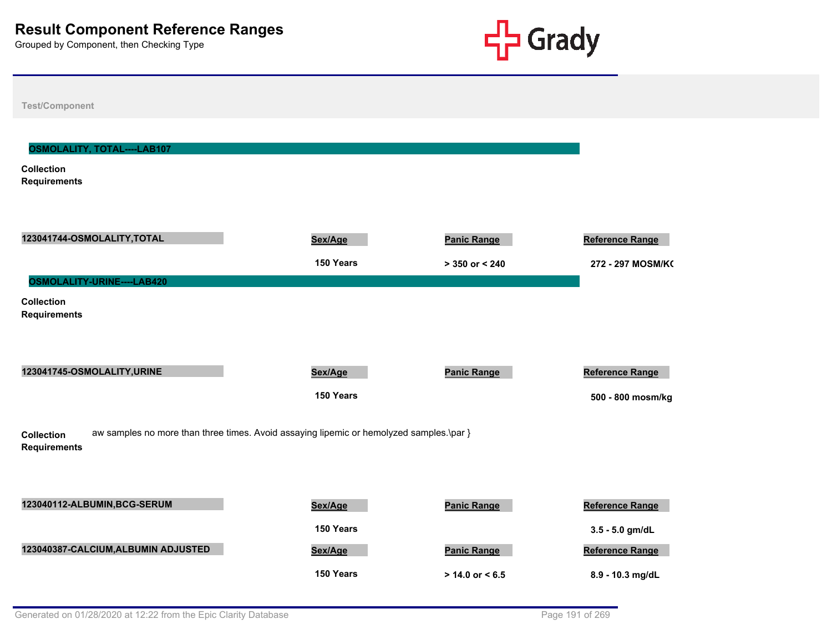

**Test/Component Collection Requirements OSMOLALITY, TOTAL----LAB107 123041744-OSMOLALITY,TOTAL Sex/Age Panic Range Reference Range 150 Years > 350 or < 240 272 - 297 MOSM/KG Collection Requirements OSMOLALITY-URINE----LAB420 123041745-OSMOLALITY,URINE Sex/Age Panic Range Reference Range 150 Years 500 - 800 mosm/kg Collection Requirements** aw samples no more than three times. Avoid assaying lipemic or hemolyzed samples.\par } **123040112-ALBUMIN,BCG-SERUM Sex/Age Panic Range Reference Range 150 Years 3.5 - 5.0 gm/dL** 123040387-CALCIUM,ALBUMIN ADJUSTED **Sex/Age Panic Range Panic Range Reference Range 150 Years > 14.0 or < 6.5 8.9 - 10.3 mg/dL**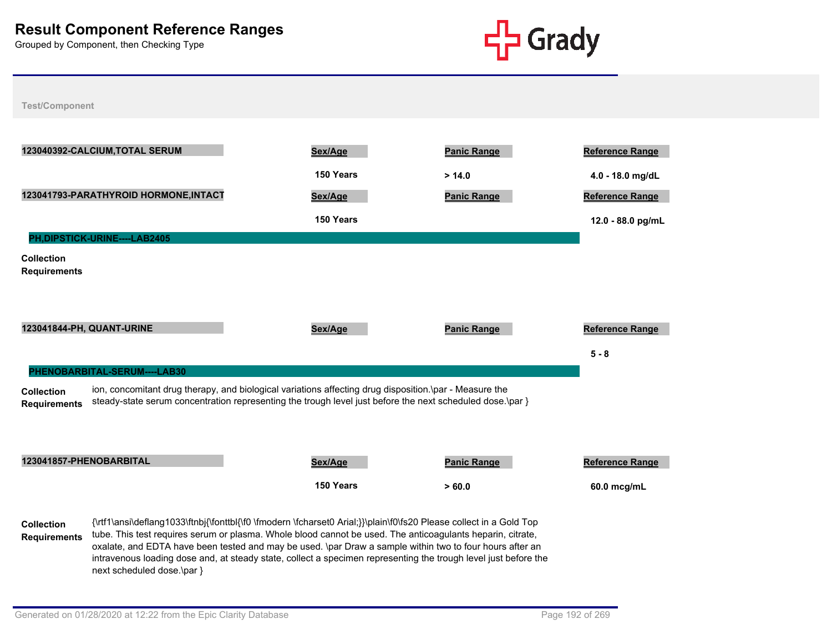

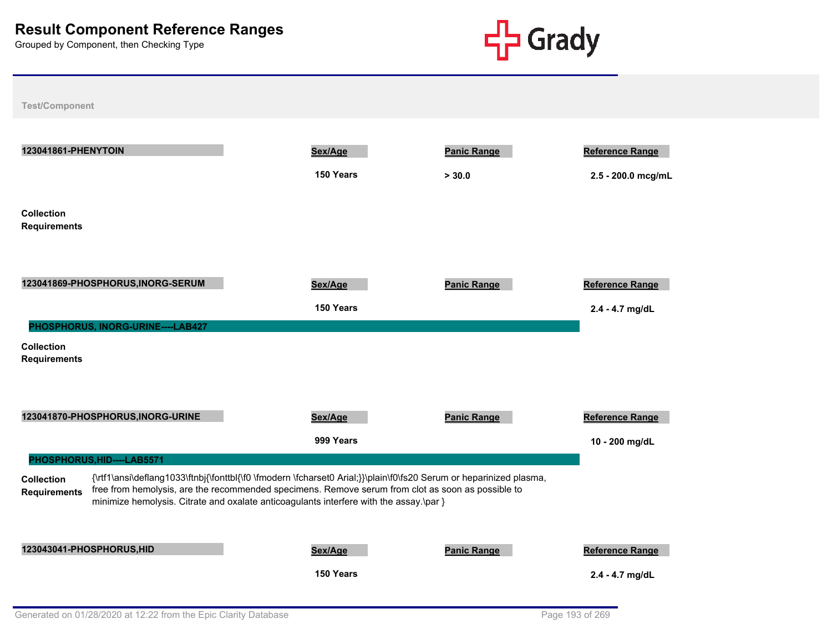

| 123041861-PHENYTOIN                                                           | Sex/Age                                                                                                                                                                                                                                                                                                           | <b>Panic Range</b> | <b>Reference Range</b> |
|-------------------------------------------------------------------------------|-------------------------------------------------------------------------------------------------------------------------------------------------------------------------------------------------------------------------------------------------------------------------------------------------------------------|--------------------|------------------------|
|                                                                               | 150 Years                                                                                                                                                                                                                                                                                                         | > 30.0             | 2.5 - 200.0 mcg/mL     |
| <b>Collection</b><br><b>Requirements</b>                                      |                                                                                                                                                                                                                                                                                                                   |                    |                        |
| 123041869-PHOSPHORUS, INORG-SERUM                                             | Sex/Age                                                                                                                                                                                                                                                                                                           | <b>Panic Range</b> | <b>Reference Range</b> |
|                                                                               | 150 Years                                                                                                                                                                                                                                                                                                         |                    | 2.4 - 4.7 mg/dL        |
| PHOSPHORUS, INORG-URINE----LAB427<br><b>Collection</b><br><b>Requirements</b> |                                                                                                                                                                                                                                                                                                                   |                    |                        |
| 123041870-PHOSPHORUS, INORG-URINE                                             | Sex/Age                                                                                                                                                                                                                                                                                                           | <b>Panic Range</b> | <b>Reference Range</b> |
|                                                                               | 999 Years                                                                                                                                                                                                                                                                                                         |                    | 10 - 200 mg/dL         |
| PHOSPHORUS, HID----LAB5571                                                    |                                                                                                                                                                                                                                                                                                                   |                    |                        |
| <b>Collection</b><br><b>Requirements</b>                                      | {\rtf1\ansi\deflang1033\ftnbj{\fonttbl{\f0 \fmodern \fcharset0 Arial;}}\plain\f0\fs20 Serum or heparinized plasma,<br>free from hemolysis, are the recommended specimens. Remove serum from clot as soon as possible to<br>minimize hemolysis. Citrate and oxalate anticoagulants interfere with the assay.\par } |                    |                        |
| 123043041-PHOSPHORUS, HID                                                     | Sex/Age                                                                                                                                                                                                                                                                                                           | <b>Panic Range</b> | <b>Reference Range</b> |
|                                                                               | 150 Years                                                                                                                                                                                                                                                                                                         |                    | 2.4 - 4.7 mg/dL        |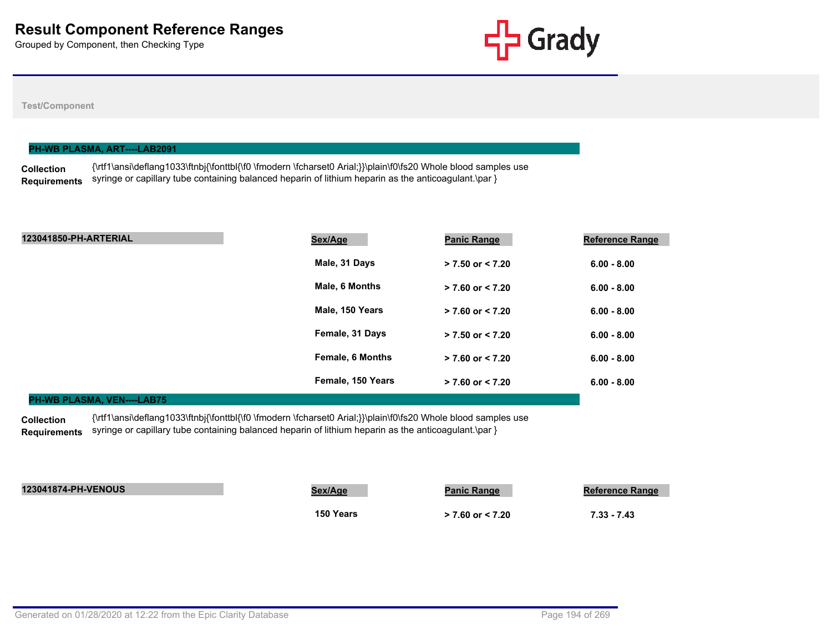

### **Test/Component**

| PH-WB PLASMA, ART----LAB2091 |                                                                                                                     |  |  |
|------------------------------|---------------------------------------------------------------------------------------------------------------------|--|--|
| <b>Collection</b>            | Nrtf1\ansi\deflang1033\ftnbi{\fonttbl{\f0 \fmodern \fcharset0 Arial;}}\plain\f0\fs20 Whole blood samples use {\tps: |  |  |
| Requirements                 | syringe or capillary tube containing balanced heparin of lithium heparin as the anticoagulant.\par $\}$             |  |  |

| 123041850-PH-ARTERIAL | Sex/Age                 | <b>Panic Range</b>   | <b>Reference Range</b> |
|-----------------------|-------------------------|----------------------|------------------------|
|                       | Male, 31 Days           | $> 7.50$ or $< 7.20$ | $6.00 - 8.00$          |
|                       | Male, 6 Months          | $> 7.60$ or $< 7.20$ | $6.00 - 8.00$          |
|                       | Male, 150 Years         | $> 7.60$ or $< 7.20$ | $6.00 - 8.00$          |
|                       | Female, 31 Days         | $> 7.50$ or $< 7.20$ | $6.00 - 8.00$          |
|                       | <b>Female, 6 Months</b> | $> 7.60$ or $< 7.20$ | $6.00 - 8.00$          |
|                       | Female, 150 Years       | $> 7.60$ or $< 7.20$ | $6.00 - 8.00$          |

### **PH-WB PLASMA, VEN----LAB75**

**Collection Requirements** {\rtf1\ansi\deflang1033\ftnbj{\fonttbl{\f0 \fmodern \fcharset0 Arial;}}\plain\f0\fs20 Whole blood samples use syringe or capillary tube containing balanced heparin of lithium heparin as the anticoagulant.\par }

| <b>123041874-PH-VENOUS</b> | Sex/Age   | <b>Panic Range</b>   | <b>Reference Range</b> |
|----------------------------|-----------|----------------------|------------------------|
|                            | 150 Years | $> 7.60$ or $< 7.20$ | $7.33 - 7.43$          |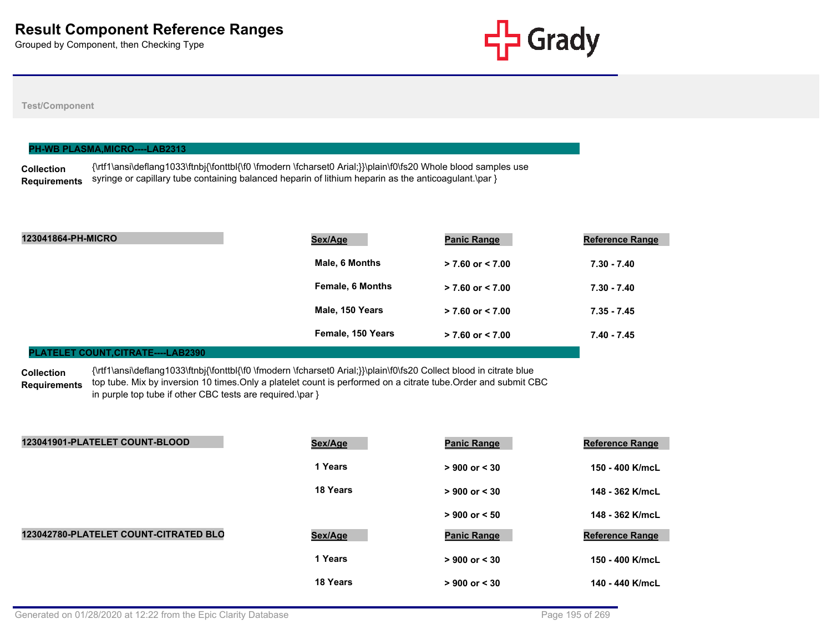

## **Test/Component**

|                     | <b>PH-WB PLASMA,MICRO----LAB2313</b>                                                                          |
|---------------------|---------------------------------------------------------------------------------------------------------------|
| <b>Collection</b>   | {\rtf1\ansi\deflang1033\ftnbj{\fonttbl{\f0 \fmodern \fcharset0 Arial;}}\plain\f0\fs20 Whole blood samples use |
| <b>Requirements</b> | syringe or capillary tube containing balanced heparin of lithium heparin as the anticoagulant.\par }          |

| 123041864-PH-MICRO | Sex/Age                 | <b>Panic Range</b>   | <b>Reference Range</b> |
|--------------------|-------------------------|----------------------|------------------------|
|                    | Male, 6 Months          | $> 7.60$ or $< 7.00$ | $7.30 - 7.40$          |
|                    | <b>Female, 6 Months</b> | $> 7.60$ or $< 7.00$ | $7.30 - 7.40$          |
|                    | Male, 150 Years         | $> 7.60$ or $< 7.00$ | $7.35 - 7.45$          |
|                    | Female, 150 Years       | $> 7.60$ or $< 7.00$ | $7.40 - 7.45$          |
|                    |                         |                      |                        |

### **PLATELET COUNT,CITRATE----LAB2390**

**Collection**  {\rtf1\ansi\deflang1033\ftnbj{\fonttbl{\f0 \fmodern \fcharset0 Arial;}}\plain\f0\fs20 Collect blood in citrate blue

**Requirements** top tube. Mix by inversion 10 times.Only a platelet count is performed on a citrate tube.Order and submit CBC in purple top tube if other CBC tests are required.\par }

| 123041901-PLATELET COUNT-BLOOD        | Sex/Age  | <b>Panic Range</b> | <b>Reference Range</b> |
|---------------------------------------|----------|--------------------|------------------------|
|                                       | 1 Years  | $> 900$ or $< 30$  | 150 - 400 K/mcL        |
|                                       | 18 Years | $> 900$ or $< 30$  | 148 - 362 K/mcL        |
|                                       |          | $> 900$ or $< 50$  | 148 - 362 K/mcL        |
| 123042780-PLATELET COUNT-CITRATED BLO | Sex/Age  | <b>Panic Range</b> | <b>Reference Range</b> |
|                                       | 1 Years  | $> 900$ or $< 30$  | 150 - 400 K/mcL        |
|                                       | 18 Years | $> 900$ or $< 30$  | 140 - 440 K/mcL        |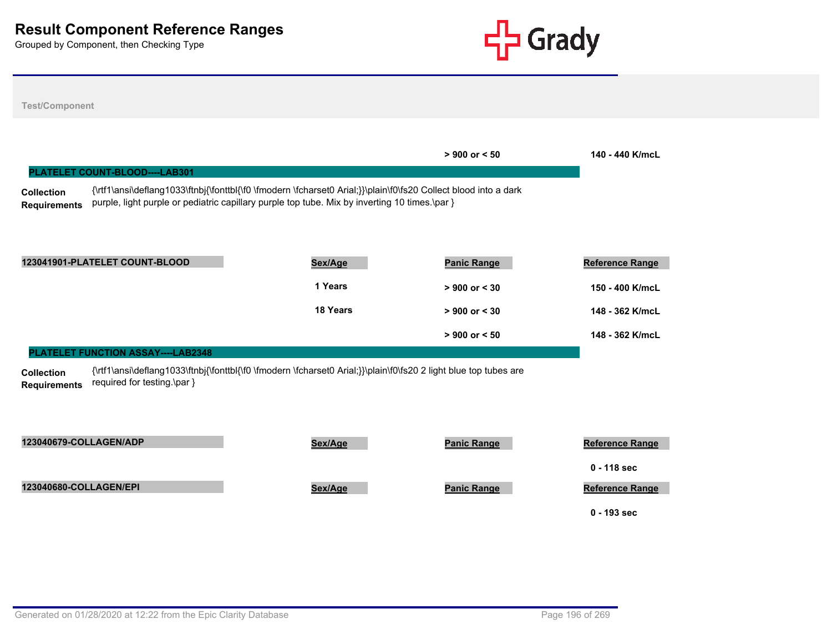

| <b>Test/Component</b>                    |                                    |                                                                                                                                                                                                                  |                    |                                         |
|------------------------------------------|------------------------------------|------------------------------------------------------------------------------------------------------------------------------------------------------------------------------------------------------------------|--------------------|-----------------------------------------|
|                                          | PLATELET COUNT-BLOOD----LAB301     |                                                                                                                                                                                                                  | $> 900$ or $< 50$  | 140 - 440 K/mcL                         |
| <b>Collection</b><br><b>Requirements</b> |                                    | {\rtf1\ansi\deflang1033\ftnbj{\fonttbl{\f0 \fmodern \fcharset0 Arial;}}\plain\f0\fs20 Collect blood into a dark<br>purple, light purple or pediatric capillary purple top tube. Mix by inverting 10 times.\par } |                    |                                         |
|                                          | 123041901-PLATELET COUNT-BLOOD     | Sex/Age                                                                                                                                                                                                          | <b>Panic Range</b> | <b>Reference Range</b>                  |
|                                          |                                    | 1 Years                                                                                                                                                                                                          | $> 900$ or $< 30$  | 150 - 400 K/mcL                         |
|                                          |                                    | 18 Years                                                                                                                                                                                                         | $> 900$ or $< 30$  | 148 - 362 K/mcL                         |
|                                          |                                    |                                                                                                                                                                                                                  | $> 900$ or $< 50$  | 148 - 362 K/mcL                         |
|                                          | PLATELET FUNCTION ASSAY----LAB2348 |                                                                                                                                                                                                                  |                    |                                         |
| <b>Collection</b><br><b>Requirements</b> | required for testing.\par }        | {\rtf1\ansi\deflang1033\ftnbj{\fonttbl{\f0 \fmodern \fcharset0 Arial;}}\plain\f0\fs20 2 light blue top tubes are                                                                                                 |                    |                                         |
| 123040679-COLLAGEN/ADP                   |                                    | Sex/Age                                                                                                                                                                                                          | <b>Panic Range</b> | <b>Reference Range</b>                  |
| 123040680-COLLAGEN/EPI                   |                                    | Sex/Age                                                                                                                                                                                                          | <b>Panic Range</b> | $0 - 118$ sec<br><b>Reference Range</b> |
|                                          |                                    |                                                                                                                                                                                                                  |                    | $0 - 193$ sec                           |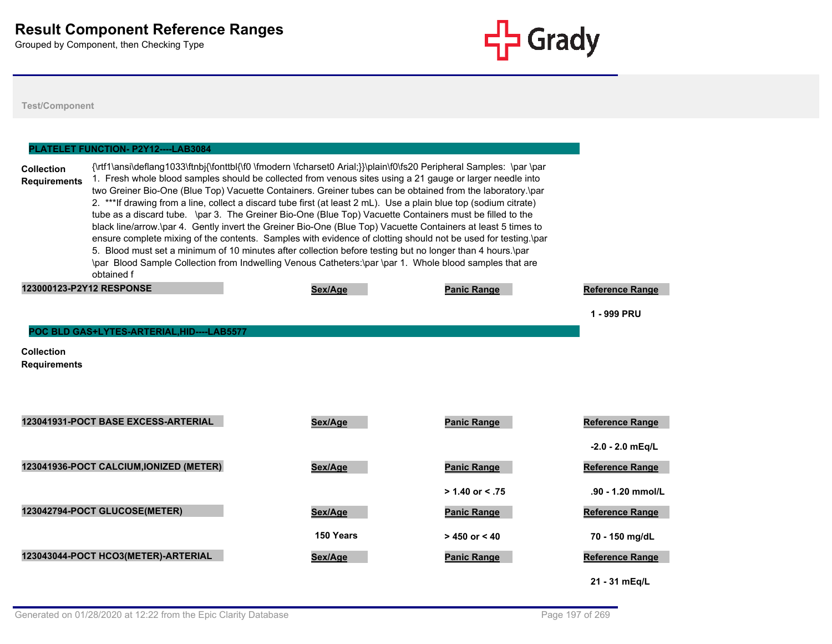

**Test/Component**

# **Collection Requirements** {\rtf1\ansi\deflang1033\ftnbj{\fonttbl{\f0 \fmodern \fcharset0 Arial;}}\plain\f0\fs20 Peripheral Samples: \par \par 1. Fresh whole blood samples should be collected from venous sites using a 21 gauge or larger needle into two Greiner Bio-One (Blue Top) Vacuette Containers. Greiner tubes can be obtained from the laboratory.\par 2. \*\*\*If drawing from a line, collect a discard tube first (at least 2 mL). Use a plain blue top (sodium citrate) tube as a discard tube. \par 3. The Greiner Bio-One (Blue Top) Vacuette Containers must be filled to the black line/arrow.\par 4. Gently invert the Greiner Bio-One (Blue Top) Vacuette Containers at least 5 times to ensure complete mixing of the contents. Samples with evidence of clotting should not be used for testing.\par 5. Blood must set a minimum of 10 minutes after collection before testing but no longer than 4 hours.\par \par Blood Sample Collection from Indwelling Venous Catheters:\par \par 1. Whole blood samples that are obtained f **PLATELET FUNCTION- P2Y12----LAB3084 123000123-P2Y12 RESPONSE Sex/Age Panic Range Reference Range 1 - 999 PRU Collection Requirements POC BLD GAS+LYTES-ARTERIAL,HID----LAB5577 123041931-POCT BASE EXCESS-ARTERIAL Sex/Age Panic Range Reference Range -2.0 - 2.0 mEq/L 123041936-POCT CALCIUM,IONIZED (METER) Sex/Age Panic Range Reference Range > 1.40 or < .75 .90 - 1.20 mmol/L 123042794-POCT GLUCOSE(METER) Sex/Age Panic Range Reference Range 150 Years > 450 or < 40 70 - 150 mg/dL 123043044-POCT HCO3(METER)-ARTERIAL Sex/Age Panic Range Reference Range 21 - 31 mEq/L**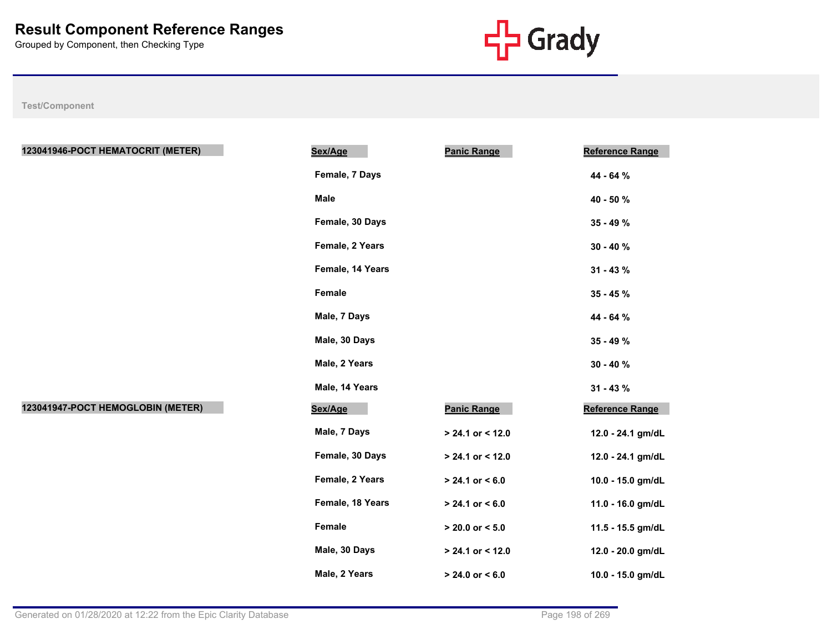

| 123041946-POCT HEMATOCRIT (METER) | Sex/Age          | <b>Panic Range</b>  | <b>Reference Range</b> |
|-----------------------------------|------------------|---------------------|------------------------|
|                                   | Female, 7 Days   |                     | 44 - 64 %              |
|                                   | <b>Male</b>      |                     | 40 - 50 %              |
|                                   | Female, 30 Days  |                     | 35 - 49 %              |
|                                   | Female, 2 Years  |                     | $30 - 40 \%$           |
|                                   | Female, 14 Years |                     | $31 - 43%$             |
|                                   | Female           |                     | 35 - 45 %              |
|                                   | Male, 7 Days     |                     | 44 - 64 %              |
|                                   | Male, 30 Days    |                     | 35 - 49 %              |
|                                   | Male, 2 Years    |                     | $30 - 40 \%$           |
|                                   | Male, 14 Years   |                     | $31 - 43 \%$           |
| 123041947-POCT HEMOGLOBIN (METER) | Sex/Age          | <b>Panic Range</b>  | Reference Range        |
|                                   | Male, 7 Days     | $> 24.1$ or < 12.0  | 12.0 - 24.1 gm/dL      |
|                                   | Female, 30 Days  | $> 24.1$ or < 12.0  | 12.0 - 24.1 gm/dL      |
|                                   | Female, 2 Years  | $> 24.1$ or $< 6.0$ | 10.0 - 15.0 gm/dL      |
|                                   | Female, 18 Years | $> 24.1$ or $< 6.0$ | 11.0 - 16.0 gm/dL      |
|                                   | Female           | $> 20.0$ or $< 5.0$ | 11.5 - 15.5 gm/dL      |
|                                   | Male, 30 Days    | $> 24.1$ or < 12.0  | 12.0 - 20.0 gm/dL      |
|                                   | Male, 2 Years    | $> 24.0$ or $< 6.0$ | 10.0 - 15.0 gm/dL      |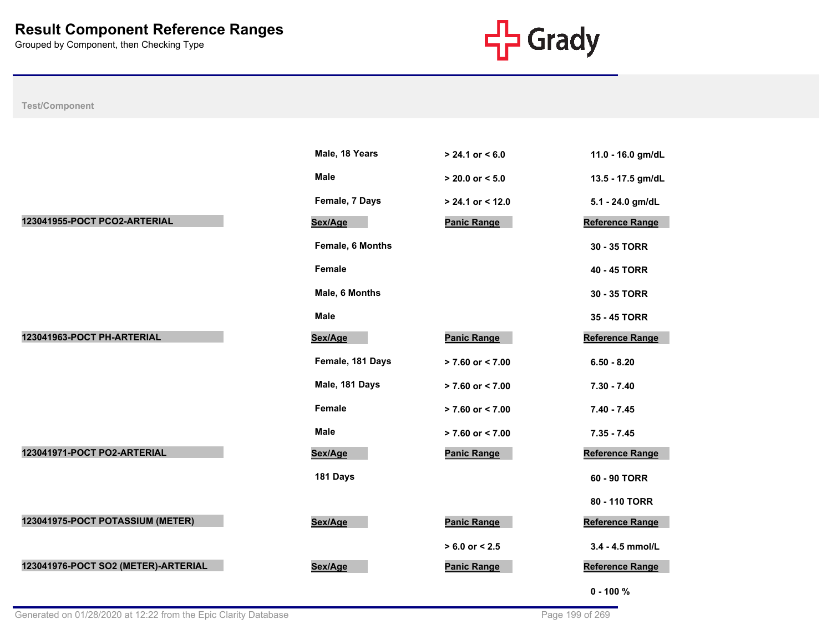

|                                     | Male, 18 Years   | $> 24.1$ or $< 6.0$  | 11.0 - 16.0 gm/dL      |
|-------------------------------------|------------------|----------------------|------------------------|
|                                     | Male             | $> 20.0$ or $< 5.0$  | 13.5 - 17.5 gm/dL      |
|                                     | Female, 7 Days   | $> 24.1$ or < 12.0   | 5.1 - 24.0 gm/dL       |
| 123041955-POCT PCO2-ARTERIAL        | Sex/Age          | <b>Panic Range</b>   | <b>Reference Range</b> |
|                                     | Female, 6 Months |                      | 30 - 35 TORR           |
|                                     | <b>Female</b>    |                      | 40 - 45 TORR           |
|                                     | Male, 6 Months   |                      | 30 - 35 TORR           |
|                                     | <b>Male</b>      |                      | 35 - 45 TORR           |
| 123041963-POCT PH-ARTERIAL          | Sex/Age          | <b>Panic Range</b>   | <b>Reference Range</b> |
|                                     | Female, 181 Days | $> 7.60$ or $< 7.00$ | $6.50 - 8.20$          |
|                                     | Male, 181 Days   | $> 7.60$ or $< 7.00$ | $7.30 - 7.40$          |
|                                     | <b>Female</b>    | $> 7.60$ or $< 7.00$ | $7.40 - 7.45$          |
|                                     | <b>Male</b>      | $> 7.60$ or < 7.00   | $7.35 - 7.45$          |
| 123041971-POCT PO2-ARTERIAL         | Sex/Age          | <b>Panic Range</b>   | Reference Range        |
|                                     | 181 Days         |                      | 60 - 90 TORR           |
|                                     |                  |                      | 80 - 110 TORR          |
| 123041975-POCT POTASSIUM (METER)    | Sex/Age          | <b>Panic Range</b>   | <b>Reference Range</b> |
|                                     |                  | $> 6.0$ or $< 2.5$   | 3.4 - 4.5 mmol/L       |
| 123041976-POCT SO2 (METER)-ARTERIAL | Sex/Age          | <b>Panic Range</b>   | <b>Reference Range</b> |
|                                     |                  |                      | $0 - 100 %$            |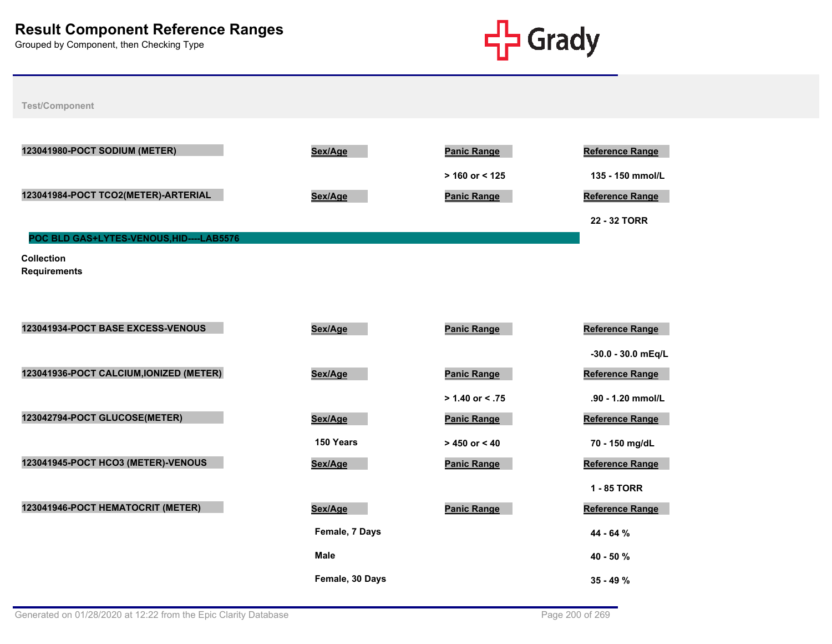

| 123041980-POCT SODIUM (METER)            | Sex/Age         | <b>Panic Range</b> | <b>Reference Range</b> |
|------------------------------------------|-----------------|--------------------|------------------------|
|                                          |                 | $> 160$ or < 125   | 135 - 150 mmol/L       |
| 123041984-POCT TCO2(METER)-ARTERIAL      | Sex/Age         | <b>Panic Range</b> | <b>Reference Range</b> |
|                                          |                 |                    | 22 - 32 TORR           |
| POC BLD GAS+LYTES-VENOUS, HID----LAB5576 |                 |                    |                        |
| <b>Collection</b>                        |                 |                    |                        |
| <b>Requirements</b>                      |                 |                    |                        |
|                                          |                 |                    |                        |
| 123041934-POCT BASE EXCESS-VENOUS        | Sex/Age         | <b>Panic Range</b> | <b>Reference Range</b> |
|                                          |                 |                    | -30.0 - 30.0 mEq/L     |
| 123041936-POCT CALCIUM, IONIZED (METER)  |                 |                    |                        |
|                                          | Sex/Age         | <b>Panic Range</b> | <b>Reference Range</b> |
|                                          |                 | $> 1.40$ or < .75  | .90 - 1.20 mmol/L      |
| 123042794-POCT GLUCOSE(METER)            | Sex/Age         | <b>Panic Range</b> | <b>Reference Range</b> |
|                                          | 150 Years       | $> 450$ or < 40    | 70 - 150 mg/dL         |
| 123041945-POCT HCO3 (METER)-VENOUS       | Sex/Age         | <b>Panic Range</b> | Reference Range        |
|                                          |                 |                    | 1 - 85 TORR            |
| 123041946-POCT HEMATOCRIT (METER)        | Sex/Age         | <b>Panic Range</b> | Reference Range        |
|                                          | Female, 7 Days  |                    | 44 - 64 %              |
|                                          | <b>Male</b>     |                    | 40 - 50 %              |
|                                          | Female, 30 Days |                    | $35 - 49 \%$           |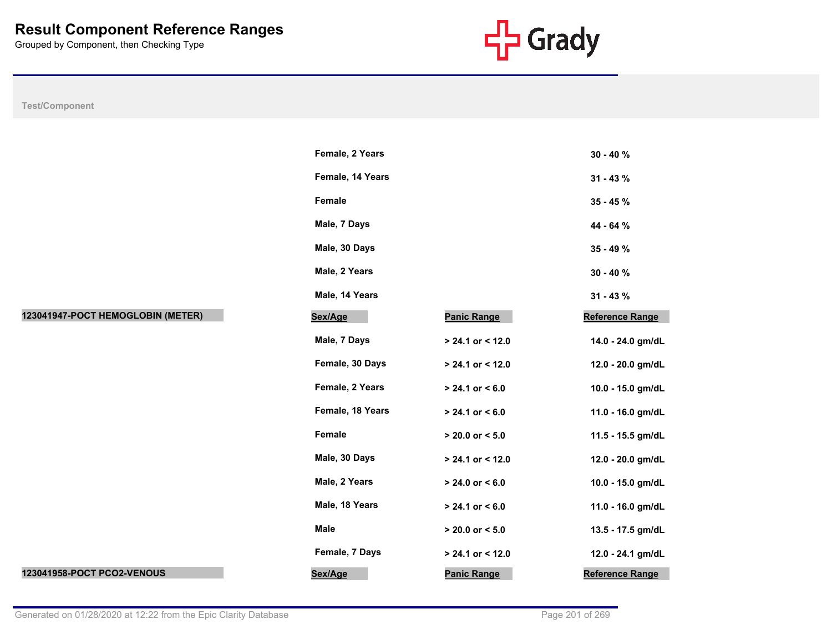

|                                   | Female, 2 Years  |                     | $30 - 40%$             |
|-----------------------------------|------------------|---------------------|------------------------|
|                                   | Female, 14 Years |                     | $31 - 43 \%$           |
|                                   | Female           |                     | $35 - 45 \%$           |
|                                   | Male, 7 Days     |                     | 44 - 64 %              |
|                                   | Male, 30 Days    |                     | 35 - 49 %              |
|                                   | Male, 2 Years    |                     | $30 - 40%$             |
|                                   | Male, 14 Years   |                     | $31 - 43 \%$           |
| 123041947-POCT HEMOGLOBIN (METER) | Sex/Age          | <b>Panic Range</b>  | <b>Reference Range</b> |
|                                   | Male, 7 Days     | $> 24.1$ or < 12.0  | 14.0 - 24.0 gm/dL      |
|                                   | Female, 30 Days  | $> 24.1$ or < 12.0  | 12.0 - 20.0 gm/dL      |
|                                   | Female, 2 Years  | $> 24.1$ or < 6.0   | 10.0 - 15.0 gm/dL      |
|                                   | Female, 18 Years | $> 24.1$ or < 6.0   | 11.0 - 16.0 gm/dL      |
|                                   | Female           | $> 20.0$ or $< 5.0$ | 11.5 - 15.5 gm/dL      |
|                                   | Male, 30 Days    | $> 24.1$ or < 12.0  | 12.0 - 20.0 gm/dL      |
|                                   | Male, 2 Years    | $> 24.0$ or $< 6.0$ | 10.0 - 15.0 gm/dL      |
|                                   | Male, 18 Years   | $> 24.1$ or $< 6.0$ | 11.0 - 16.0 gm/dL      |
|                                   | Male             | $> 20.0$ or $< 5.0$ | 13.5 - 17.5 gm/dL      |
|                                   | Female, 7 Days   | > 24.1 or < 12.0    | 12.0 - 24.1 gm/dL      |
| 123041958-POCT PCO2-VENOUS        | Sex/Age          | <b>Panic Range</b>  | Reference Range        |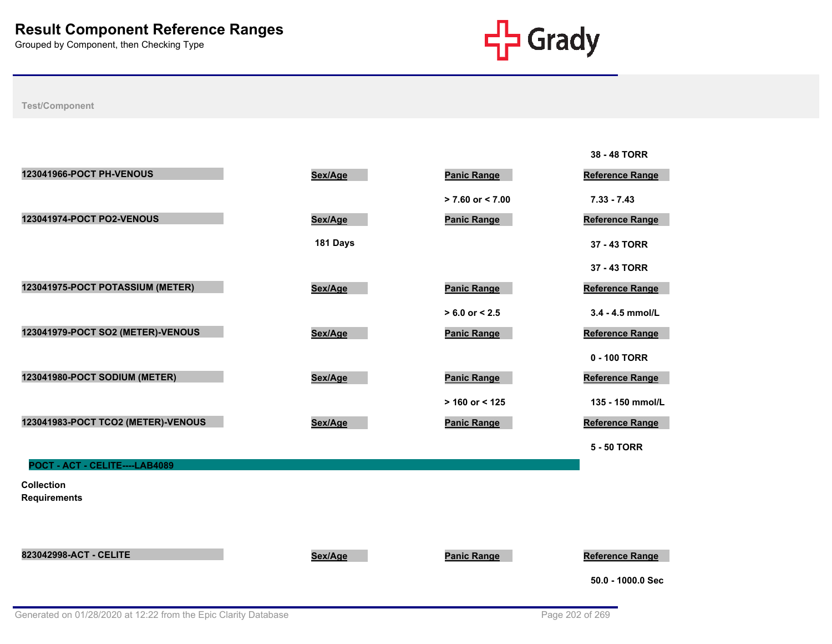

|                                          |          |                      | 38 - 48 TORR           |
|------------------------------------------|----------|----------------------|------------------------|
| 123041966-POCT PH-VENOUS                 | Sex/Age  | <b>Panic Range</b>   | <b>Reference Range</b> |
|                                          |          | $> 7.60$ or $< 7.00$ | $7.33 - 7.43$          |
| 123041974-POCT PO2-VENOUS                | Sex/Age  | <b>Panic Range</b>   | Reference Range        |
|                                          | 181 Days |                      | 37 - 43 TORR           |
|                                          |          |                      | 37 - 43 TORR           |
| 123041975-POCT POTASSIUM (METER)         | Sex/Age  | <b>Panic Range</b>   | Reference Range        |
|                                          |          | $> 6.0$ or $< 2.5$   | 3.4 - 4.5 mmol/L       |
| 123041979-POCT SO2 (METER)-VENOUS        | Sex/Age  | <b>Panic Range</b>   | <b>Reference Range</b> |
|                                          |          |                      | 0 - 100 TORR           |
| 123041980-POCT SODIUM (METER)            | Sex/Age  | <b>Panic Range</b>   | Reference Range        |
|                                          |          | $> 160$ or < 125     | 135 - 150 mmol/L       |
| 123041983-POCT TCO2 (METER)-VENOUS       | Sex/Age  | <b>Panic Range</b>   | Reference Range        |
|                                          |          |                      | <b>5 - 50 TORR</b>     |
| POCT - ACT - CELITE----LAB4089           |          |                      |                        |
| <b>Collection</b><br><b>Requirements</b> |          |                      |                        |
|                                          |          |                      |                        |
|                                          |          |                      |                        |
| 823042998-ACT - CELITE                   | Sex/Age  | <b>Panic Range</b>   | Reference Range        |
|                                          |          |                      | 50.0 - 1000.0 Sec      |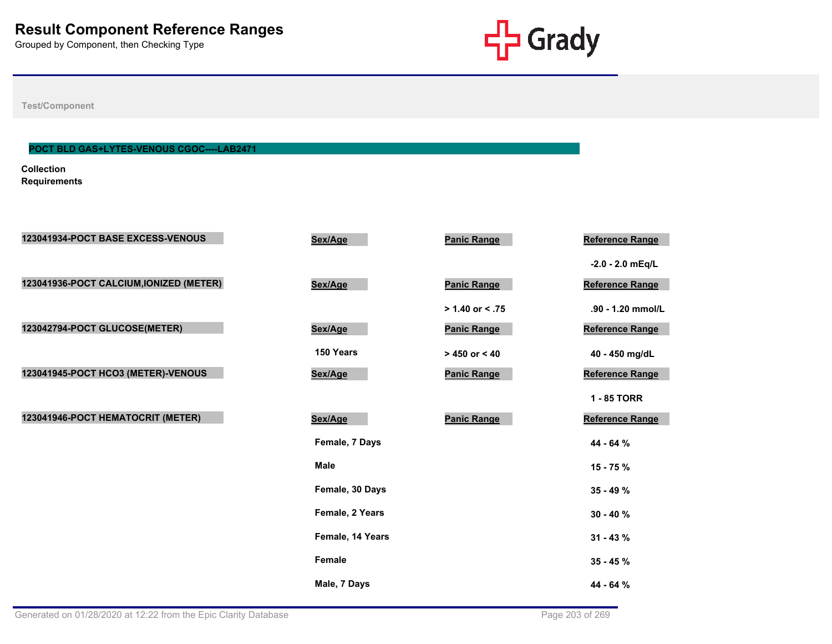

**Test/Component**

## **POCT BLD GAS+LYTES-VENOUS CGOC----LAB2471**

**Collection Requirements**

| 123041934-POCT BASE EXCESS-VENOUS       | Sex/Age          | <b>Panic Range</b> | Reference Range    |
|-----------------------------------------|------------------|--------------------|--------------------|
|                                         |                  |                    | $-2.0 - 2.0$ mEq/L |
| 123041936-POCT CALCIUM, IONIZED (METER) | Sex/Age          | <b>Panic Range</b> | Reference Range    |
|                                         |                  | $> 1.40$ or < .75  | .90 - 1.20 mmol/L  |
| 123042794-POCT GLUCOSE(METER)           | Sex/Age          | <b>Panic Range</b> | Reference Range    |
|                                         | 150 Years        | $> 450$ or $< 40$  | 40 - 450 mg/dL     |
| 123041945-POCT HCO3 (METER)-VENOUS      | Sex/Age          | <b>Panic Range</b> | Reference Range    |
|                                         |                  |                    | 1 - 85 TORR        |
| 123041946-POCT HEMATOCRIT (METER)       | Sex/Age          | <b>Panic Range</b> | Reference Range    |
|                                         | Female, 7 Days   |                    | 44 - 64 %          |
|                                         | <b>Male</b>      |                    | $15 - 75%$         |
|                                         | Female, 30 Days  |                    | $35 - 49%$         |
|                                         | Female, 2 Years  |                    | $30 - 40 \%$       |
|                                         | Female, 14 Years |                    | $31 - 43 \%$       |
|                                         | <b>Female</b>    |                    | $35 - 45 \%$       |
|                                         | Male, 7 Days     |                    | 44 - 64 %          |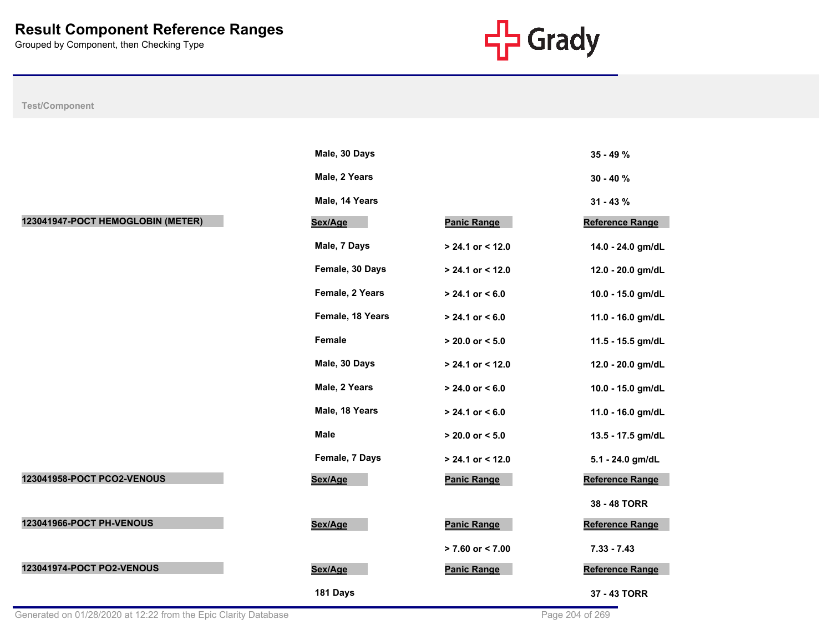

|                                   | Male, 30 Days    |                      | $35 - 49%$             |
|-----------------------------------|------------------|----------------------|------------------------|
|                                   | Male, 2 Years    |                      | $30 - 40 \%$           |
|                                   | Male, 14 Years   |                      | $31 - 43 \%$           |
| 123041947-POCT HEMOGLOBIN (METER) | Sex/Age          | <b>Panic Range</b>   | <b>Reference Range</b> |
|                                   | Male, 7 Days     | > 24.1 or < 12.0     | 14.0 - 24.0 gm/dL      |
|                                   | Female, 30 Days  | > 24.1 or < 12.0     | 12.0 - 20.0 gm/dL      |
|                                   | Female, 2 Years  | $> 24.1$ or $< 6.0$  | 10.0 - 15.0 gm/dL      |
|                                   | Female, 18 Years | $> 24.1$ or < 6.0    | 11.0 - 16.0 gm/dL      |
|                                   | Female           | $> 20.0$ or $< 5.0$  | 11.5 - 15.5 gm/dL      |
|                                   | Male, 30 Days    | > 24.1 or < 12.0     | 12.0 - 20.0 gm/dL      |
|                                   | Male, 2 Years    | $> 24.0$ or $< 6.0$  | 10.0 - 15.0 gm/dL      |
|                                   | Male, 18 Years   | $> 24.1$ or < 6.0    | 11.0 - 16.0 gm/dL      |
|                                   | Male             | $> 20.0$ or $< 5.0$  | 13.5 - 17.5 gm/dL      |
|                                   | Female, 7 Days   | > 24.1 or < 12.0     | 5.1 - 24.0 gm/dL       |
| 123041958-POCT PCO2-VENOUS        | Sex/Age          | <b>Panic Range</b>   | <b>Reference Range</b> |
|                                   |                  |                      | 38 - 48 TORR           |
| 123041966-POCT PH-VENOUS          | Sex/Age          | <b>Panic Range</b>   | Reference Range        |
|                                   |                  | $> 7.60$ or $< 7.00$ | $7.33 - 7.43$          |
| 123041974-POCT PO2-VENOUS         | Sex/Age          | <b>Panic Range</b>   | <b>Reference Range</b> |
|                                   | 181 Days         |                      | 37 - 43 TORR           |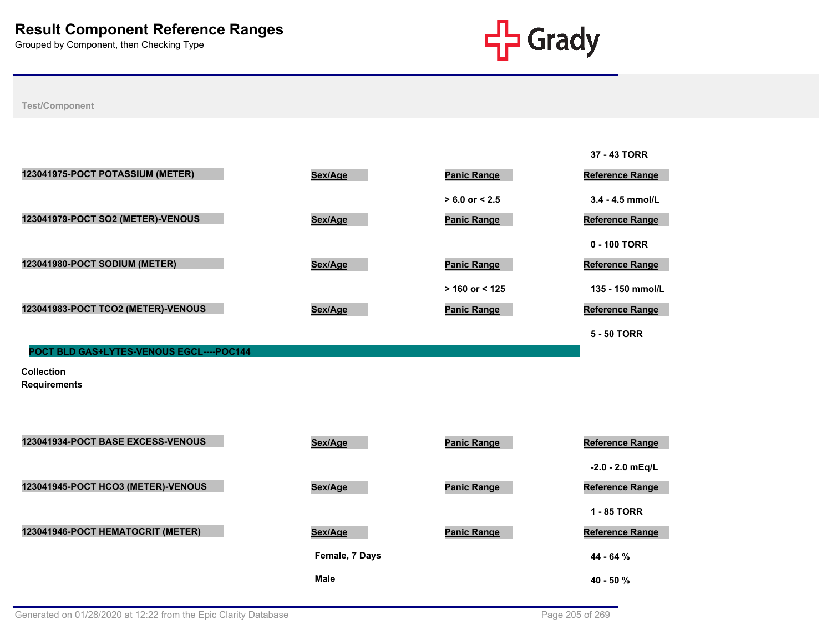

|                                          |         |                    | 37 - 43 TORR           |
|------------------------------------------|---------|--------------------|------------------------|
| 123041975-POCT POTASSIUM (METER)         | Sex/Age | <b>Panic Range</b> | Reference Range        |
|                                          |         | $> 6.0$ or $< 2.5$ | $3.4 - 4.5$ mmol/L     |
| 123041979-POCT SO2 (METER)-VENOUS        | Sex/Age | <b>Panic Range</b> | Reference Range        |
|                                          |         |                    | 0 - 100 TORR           |
| 123041980-POCT SODIUM (METER)            | Sex/Age | <b>Panic Range</b> | <b>Reference Range</b> |
|                                          |         | $> 160$ or < 125   | 135 - 150 mmol/L       |
| 123041983-POCT TCO2 (METER)-VENOUS       | Sex/Age | <b>Panic Range</b> | <b>Reference Range</b> |
|                                          |         |                    | 5 - 50 TORR            |
| POCT BLD GAS+LYTES-VENOUS EGCL----POC144 |         |                    |                        |
| <b>Collection</b><br><b>Requirements</b> |         |                    |                        |
|                                          |         |                    |                        |
| 123041934-POCT BASE EXCESS-VENOUS        |         |                    |                        |
|                                          | Sex/Age | <b>Panic Range</b> | Reference Range        |



| 123041934-POCT BASE EXCESS-VENOUS  | Sex/Age        | Panic Range        | Reference Range        |
|------------------------------------|----------------|--------------------|------------------------|
|                                    |                |                    | $-2.0 - 2.0$ mEg/L     |
| 123041945-POCT HCO3 (METER)-VENOUS | Sex/Age        | <b>Panic Range</b> | <b>Reference Range</b> |
|                                    |                |                    | 1 - 85 TORR            |
| 123041946-POCT HEMATOCRIT (METER)  | Sex/Age        | <b>Panic Range</b> | <b>Reference Range</b> |
|                                    | Female, 7 Days |                    | 44 - 64 %              |
|                                    | <b>Male</b>    |                    | $40 - 50 \%$           |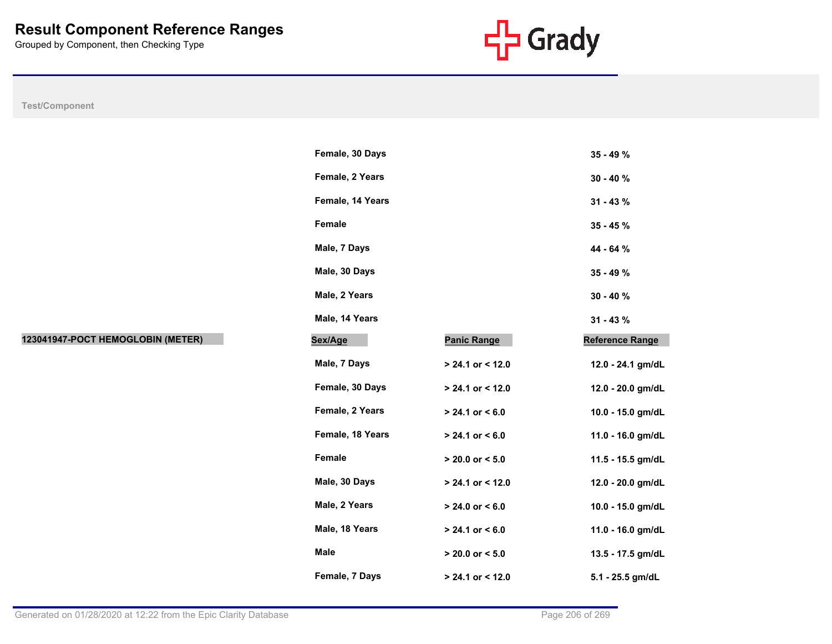

|                                   | Female, 30 Days  |                     | 35 - 49 %              |
|-----------------------------------|------------------|---------------------|------------------------|
|                                   | Female, 2 Years  |                     | $30 - 40 \%$           |
|                                   | Female, 14 Years |                     | $31 - 43 \%$           |
|                                   | Female           |                     | $35 - 45 \%$           |
|                                   | Male, 7 Days     |                     | 44 - 64 %              |
|                                   | Male, 30 Days    |                     | 35 - 49 %              |
|                                   | Male, 2 Years    |                     | $30 - 40 \%$           |
|                                   | Male, 14 Years   |                     | $31 - 43 \%$           |
| 123041947-POCT HEMOGLOBIN (METER) | Sex/Age          | <b>Panic Range</b>  | <b>Reference Range</b> |
|                                   | Male, 7 Days     | > 24.1 or < 12.0    | 12.0 - 24.1 gm/dL      |
|                                   | Female, 30 Days  | > 24.1 or < 12.0    | 12.0 - 20.0 gm/dL      |
|                                   | Female, 2 Years  | $> 24.1$ or < 6.0   | 10.0 - 15.0 gm/dL      |
|                                   | Female, 18 Years | $> 24.1$ or < 6.0   | 11.0 - 16.0 gm/dL      |
|                                   | Female           | $> 20.0$ or $< 5.0$ | 11.5 - 15.5 gm/dL      |
|                                   | Male, 30 Days    | $> 24.1$ or < 12.0  | 12.0 - 20.0 gm/dL      |
|                                   | Male, 2 Years    | $> 24.0$ or $< 6.0$ | 10.0 - 15.0 gm/dL      |
|                                   | Male, 18 Years   | $> 24.1$ or $< 6.0$ | 11.0 - 16.0 gm/dL      |
|                                   | <b>Male</b>      | $> 20.0$ or $< 5.0$ | 13.5 - 17.5 gm/dL      |
|                                   | Female, 7 Days   | > 24.1 or < 12.0    | 5.1 - 25.5 gm/dL       |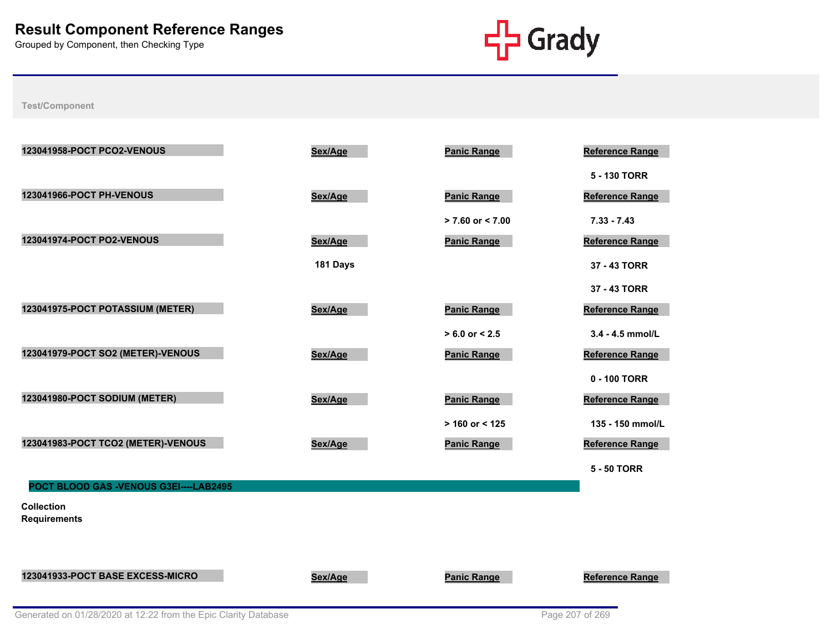

| 123041958-POCT PCO2-VENOUS               | Sex/Age  | <b>Panic Range</b>   | <b>Reference Range</b> |
|------------------------------------------|----------|----------------------|------------------------|
|                                          |          |                      | 5 - 130 TORR           |
| 123041966-POCT PH-VENOUS                 | Sex/Age  | <b>Panic Range</b>   | Reference Range        |
|                                          |          | $> 7.60$ or $< 7.00$ | $7.33 - 7.43$          |
| 123041974-POCT PO2-VENOUS                | Sex/Age  | <b>Panic Range</b>   | Reference Range        |
|                                          | 181 Days |                      | 37 - 43 TORR           |
|                                          |          |                      | 37 - 43 TORR           |
| 123041975-POCT POTASSIUM (METER)         | Sex/Age  | <b>Panic Range</b>   | <b>Reference Range</b> |
|                                          |          | $> 6.0$ or $< 2.5$   | $3.4 - 4.5$ mmol/L     |
| 123041979-POCT SO2 (METER)-VENOUS        | Sex/Age  | <b>Panic Range</b>   | Reference Range        |
|                                          |          |                      | 0 - 100 TORR           |
| 123041980-POCT SODIUM (METER)            | Sex/Age  | <b>Panic Range</b>   | Reference Range        |
|                                          |          | $> 160$ or < 125     | 135 - 150 mmol/L       |
| 123041983-POCT TCO2 (METER)-VENOUS       | Sex/Age  | <b>Panic Range</b>   | Reference Range        |
|                                          |          |                      | <b>5 - 50 TORR</b>     |
| POCT BLOOD GAS -VENOUS G3EI----LAB2495   |          |                      |                        |
| <b>Collection</b><br><b>Requirements</b> |          |                      |                        |
|                                          |          |                      |                        |
|                                          |          |                      |                        |
| 123041933-POCT BASE EXCESS-MICRO         | Sex/Age  | <b>Panic Range</b>   | <b>Reference Range</b> |
|                                          |          |                      |                        |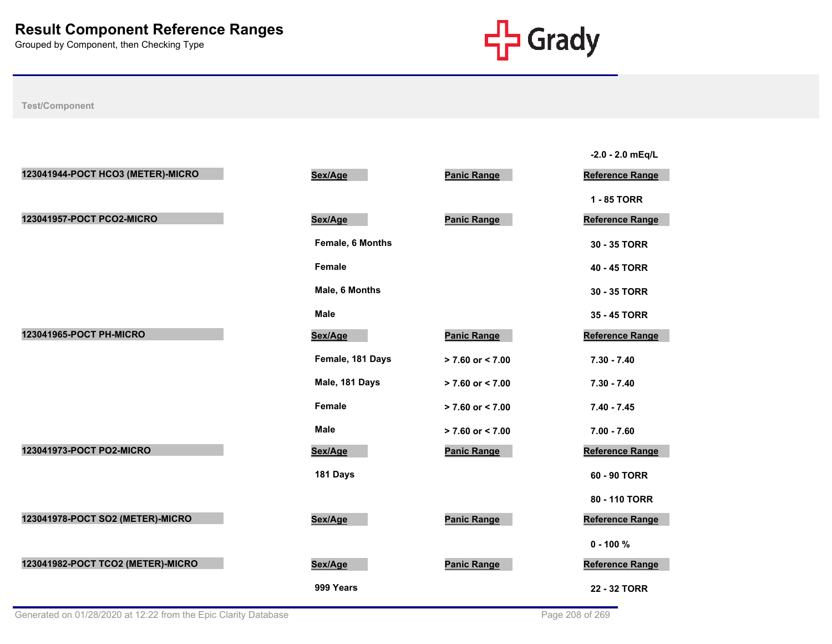

|                                   |                  |                      | $-2.0 - 2.0$ mEq/L     |
|-----------------------------------|------------------|----------------------|------------------------|
| 123041944-POCT HCO3 (METER)-MICRO | Sex/Age          | <b>Panic Range</b>   | <b>Reference Range</b> |
|                                   |                  |                      | 1 - 85 TORR            |
| 123041957-POCT PCO2-MICRO         | Sex/Age          | <b>Panic Range</b>   | <b>Reference Range</b> |
|                                   | Female, 6 Months |                      | 30 - 35 TORR           |
|                                   | <b>Female</b>    |                      | 40 - 45 TORR           |
|                                   | Male, 6 Months   |                      | 30 - 35 TORR           |
|                                   | <b>Male</b>      |                      | 35 - 45 TORR           |
| 123041965-POCT PH-MICRO           | Sex/Age          | <b>Panic Range</b>   | <b>Reference Range</b> |
|                                   | Female, 181 Days | $> 7.60$ or $< 7.00$ | $7.30 - 7.40$          |
|                                   | Male, 181 Days   | $> 7.60$ or $< 7.00$ | $7.30 - 7.40$          |
|                                   | <b>Female</b>    | $> 7.60$ or $< 7.00$ | $7.40 - 7.45$          |
|                                   | <b>Male</b>      | $> 7.60$ or $< 7.00$ | $7.00 - 7.60$          |
| 123041973-POCT PO2-MICRO          | Sex/Age          | <b>Panic Range</b>   | <b>Reference Range</b> |
|                                   | 181 Days         |                      | 60 - 90 TORR           |
|                                   |                  |                      | 80 - 110 TORR          |
| 123041978-POCT SO2 (METER)-MICRO  | Sex/Age          | <b>Panic Range</b>   | <b>Reference Range</b> |
|                                   |                  |                      | $0 - 100 \%$           |
| 123041982-POCT TCO2 (METER)-MICRO | Sex/Age          | <b>Panic Range</b>   | <b>Reference Range</b> |
|                                   | 999 Years        |                      | 22 - 32 TORR           |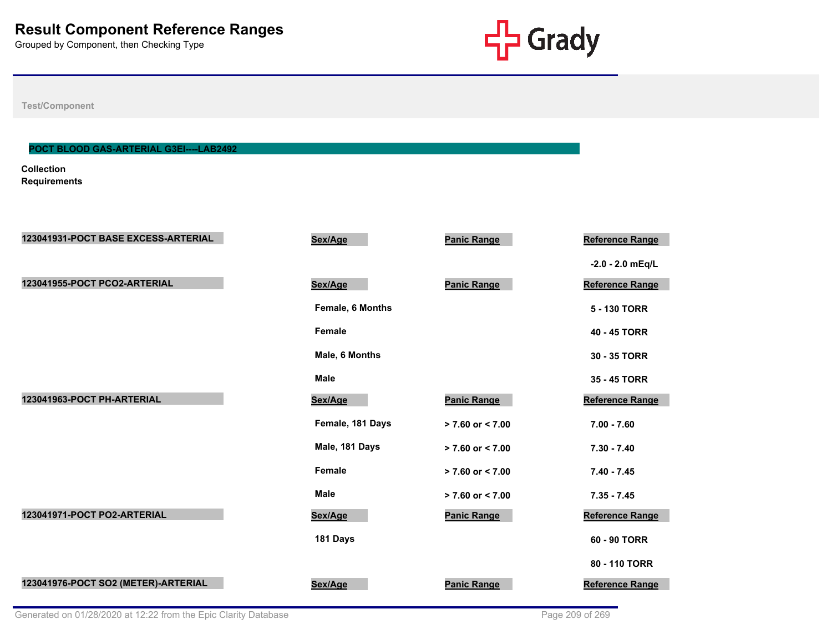

**Test/Component**

## **POCT BLOOD GAS-ARTERIAL G3EI----LAB2492**

**Collection Requirements**

| 123041931-POCT BASE EXCESS-ARTERIAL | Sex/Age          | <b>Panic Range</b>   | <b>Reference Range</b> |
|-------------------------------------|------------------|----------------------|------------------------|
|                                     |                  |                      | $-2.0 - 2.0$ mEq/L     |
| 123041955-POCT PCO2-ARTERIAL        | Sex/Age          | <b>Panic Range</b>   | <b>Reference Range</b> |
|                                     | Female, 6 Months |                      | 5 - 130 TORR           |
|                                     | <b>Female</b>    |                      | 40 - 45 TORR           |
|                                     | Male, 6 Months   |                      | 30 - 35 TORR           |
|                                     | <b>Male</b>      |                      | 35 - 45 TORR           |
| 123041963-POCT PH-ARTERIAL          | Sex/Age          | <b>Panic Range</b>   | <b>Reference Range</b> |
|                                     | Female, 181 Days | $> 7.60$ or $< 7.00$ | $7.00 - 7.60$          |
|                                     | Male, 181 Days   | $> 7.60$ or $< 7.00$ | $7.30 - 7.40$          |
|                                     | Female           | $> 7.60$ or $< 7.00$ | $7.40 - 7.45$          |
|                                     | <b>Male</b>      | $> 7.60$ or $< 7.00$ | $7.35 - 7.45$          |
| 123041971-POCT PO2-ARTERIAL         | Sex/Age          | <b>Panic Range</b>   | <b>Reference Range</b> |
|                                     | 181 Days         |                      | 60 - 90 TORR           |
|                                     |                  |                      | 80 - 110 TORR          |
| 123041976-POCT SO2 (METER)-ARTERIAL | Sex/Age          | <b>Panic Range</b>   | <b>Reference Range</b> |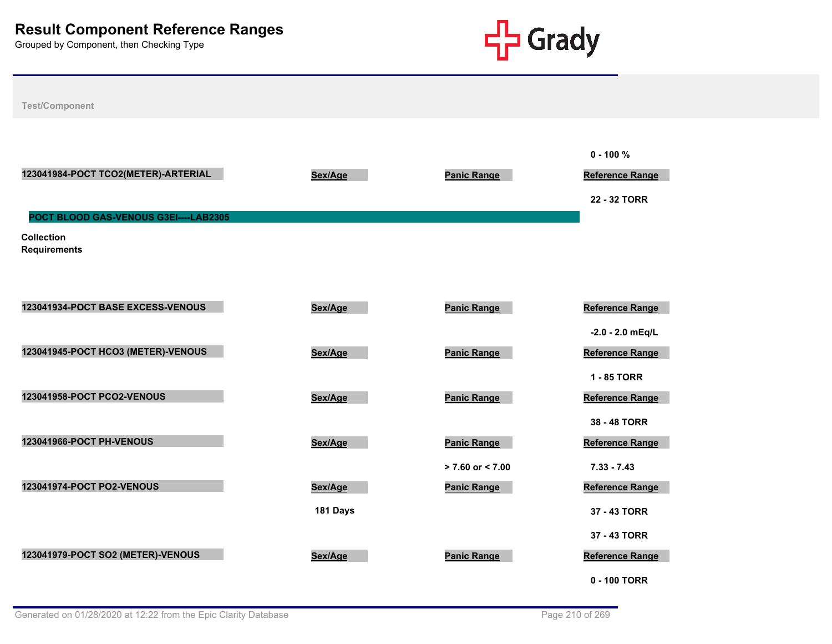

| <b>Test/Component</b>                    |          |                      |                                                 |
|------------------------------------------|----------|----------------------|-------------------------------------------------|
| 123041984-POCT TCO2(METER)-ARTERIAL      | Sex/Age  | <b>Panic Range</b>   | $0 - 100 \%$<br>Reference Range<br>22 - 32 TORR |
| POCT BLOOD GAS-VENOUS G3EI----LAB2305    |          |                      |                                                 |
| <b>Collection</b><br><b>Requirements</b> |          |                      |                                                 |
|                                          |          |                      |                                                 |
|                                          |          |                      |                                                 |
|                                          |          |                      |                                                 |
| 123041934-POCT BASE EXCESS-VENOUS        | Sex/Age  | <b>Panic Range</b>   | Reference Range                                 |
|                                          |          |                      | $-2.0 - 2.0$ mEq/L                              |
| 123041945-POCT HCO3 (METER)-VENOUS       | Sex/Age  | <b>Panic Range</b>   | <b>Reference Range</b>                          |
|                                          |          |                      | 1 - 85 TORR                                     |
|                                          |          |                      |                                                 |
| 123041958-POCT PCO2-VENOUS               | Sex/Age  | <b>Panic Range</b>   | Reference Range                                 |
|                                          |          |                      | 38 - 48 TORR                                    |
| 123041966-POCT PH-VENOUS                 | Sex/Age  | <b>Panic Range</b>   | Reference Range                                 |
|                                          |          | $> 7.60$ or $< 7.00$ | $7.33 - 7.43$                                   |
| 123041974-POCT PO2-VENOUS                | Sex/Age  | <b>Panic Range</b>   | <b>Reference Range</b>                          |
|                                          |          |                      |                                                 |
|                                          | 181 Days |                      | 37 - 43 TORR                                    |
|                                          |          |                      | 37 - 43 TORR                                    |
| 123041979-POCT SO2 (METER)-VENOUS        | Sex/Age  | <b>Panic Range</b>   | Reference Range                                 |
|                                          |          |                      |                                                 |
|                                          |          |                      | 0 - 100 TORR                                    |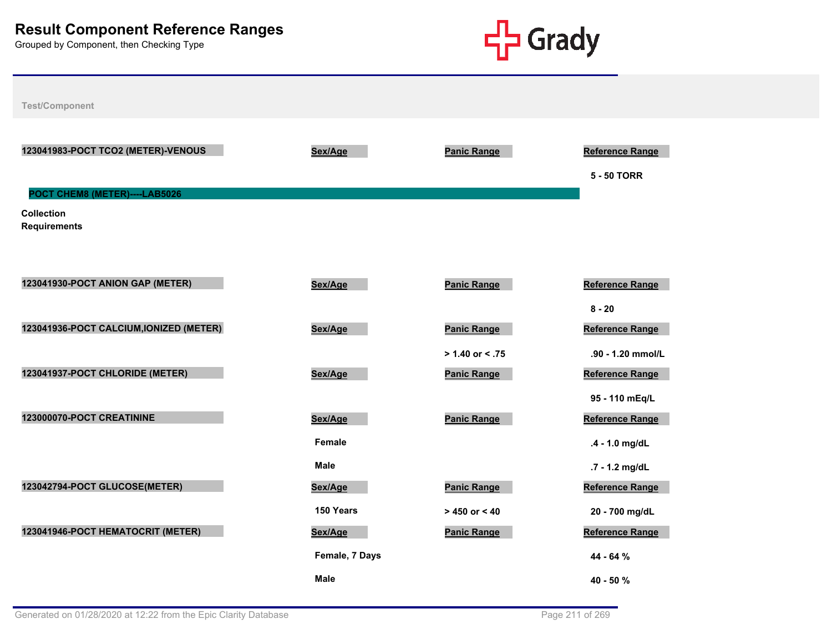

123041983-POCT TCO2 (METER)-VENOUS **BEXAGE SEX/Age Reference Range** Reference Range

**5 - 50 TORR**

**POCT CHEM8 (METER)----LAB5026**

**Collection Requirements**

| 123041930-POCT ANION GAP (METER)        | Sex/Age        | <b>Panic Range</b> | <b>Reference Range</b> |
|-----------------------------------------|----------------|--------------------|------------------------|
|                                         |                |                    | $8 - 20$               |
| 123041936-POCT CALCIUM, IONIZED (METER) | Sex/Age        | <b>Panic Range</b> | <b>Reference Range</b> |
|                                         |                | $> 1.40$ or < .75  | .90 - 1.20 mmol/L      |
| 123041937-POCT CHLORIDE (METER)         | Sex/Age        | <b>Panic Range</b> | Reference Range        |
|                                         |                |                    | 95 - 110 mEq/L         |
| 123000070-POCT CREATININE               | Sex/Age        | <b>Panic Range</b> | Reference Range        |
|                                         | Female         |                    | .4 - 1.0 mg/dL         |
|                                         | <b>Male</b>    |                    | .7 - 1.2 mg/dL         |
| 123042794-POCT GLUCOSE(METER)           | Sex/Age        | <b>Panic Range</b> | <b>Reference Range</b> |
|                                         | 150 Years      | $> 450$ or $< 40$  | 20 - 700 mg/dL         |
| 123041946-POCT HEMATOCRIT (METER)       | Sex/Age        | <b>Panic Range</b> | Reference Range        |
|                                         | Female, 7 Days |                    | 44 - 64 %              |
|                                         | <b>Male</b>    |                    | $40 - 50 \%$           |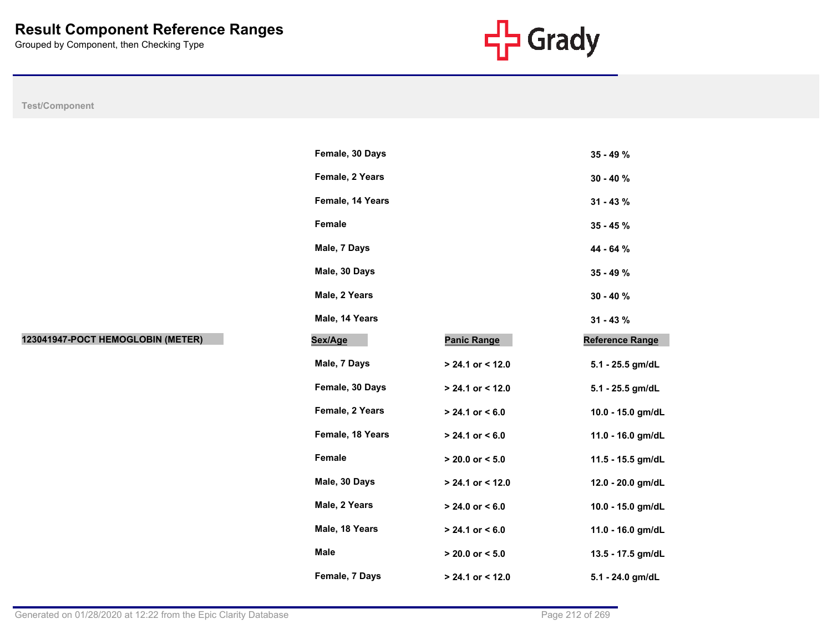

|                                   | Female, 30 Days  |                     | 35 - 49 %              |
|-----------------------------------|------------------|---------------------|------------------------|
|                                   | Female, 2 Years  |                     | $30 - 40 \%$           |
|                                   | Female, 14 Years |                     | $31 - 43 \%$           |
|                                   | Female           |                     | $35 - 45 \%$           |
|                                   | Male, 7 Days     |                     | 44 - 64 %              |
|                                   | Male, 30 Days    |                     | 35 - 49 %              |
|                                   | Male, 2 Years    | $30 - 40 \%$        |                        |
|                                   | Male, 14 Years   |                     | $31 - 43 \%$           |
| 123041947-POCT HEMOGLOBIN (METER) | Sex/Age          | <b>Panic Range</b>  | <b>Reference Range</b> |
|                                   | Male, 7 Days     | > 24.1 or < 12.0    | 5.1 - 25.5 gm/dL       |
|                                   | Female, 30 Days  | $> 24.1$ or < 12.0  | 5.1 - 25.5 gm/dL       |
|                                   | Female, 2 Years  | $> 24.1$ or < 6.0   | 10.0 - 15.0 gm/dL      |
|                                   | Female, 18 Years | $> 24.1$ or < 6.0   | 11.0 - 16.0 gm/dL      |
|                                   | Female           | $> 20.0$ or $< 5.0$ | 11.5 - 15.5 gm/dL      |
|                                   | Male, 30 Days    | > 24.1 or < 12.0    | 12.0 - 20.0 gm/dL      |
|                                   | Male, 2 Years    | $> 24.0$ or < 6.0   | 10.0 - 15.0 gm/dL      |
|                                   | Male, 18 Years   | $> 24.1$ or < 6.0   | 11.0 - 16.0 gm/dL      |
|                                   | <b>Male</b>      | $> 20.0$ or $< 5.0$ | 13.5 - 17.5 gm/dL      |
|                                   | Female, 7 Days   | $> 24.1$ or < 12.0  | 5.1 - 24.0 gm/dL       |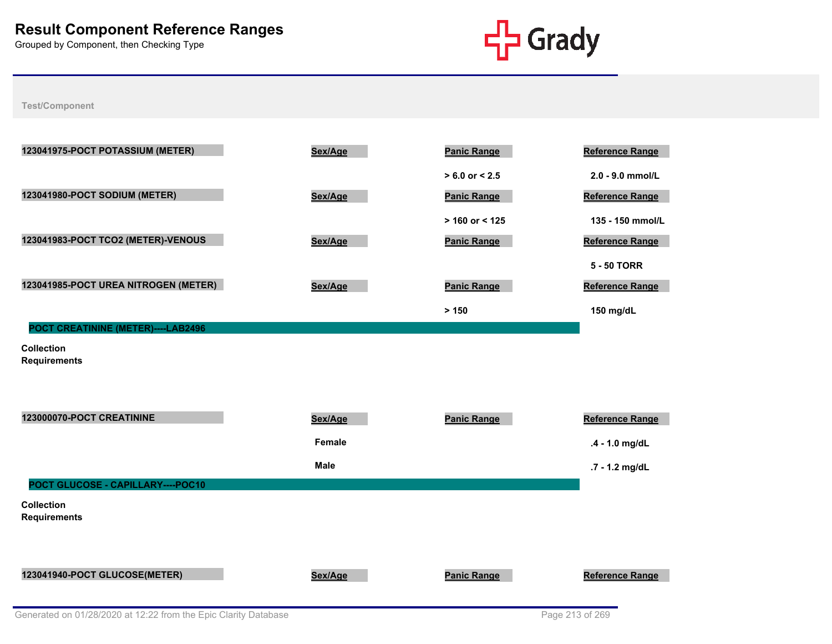

| 123041975-POCT POTASSIUM (METER)         | Sex/Age     | <b>Panic Range</b> | <b>Reference Range</b> |
|------------------------------------------|-------------|--------------------|------------------------|
|                                          |             | $> 6.0$ or $< 2.5$ | 2.0 - 9.0 mmol/L       |
| 123041980-POCT SODIUM (METER)            | Sex/Age     | <b>Panic Range</b> | Reference Range        |
|                                          |             | $> 160$ or < 125   | 135 - 150 mmol/L       |
| 123041983-POCT TCO2 (METER)-VENOUS       | Sex/Age     | <b>Panic Range</b> | Reference Range        |
|                                          |             |                    | <b>5 - 50 TORR</b>     |
| 123041985-POCT UREA NITROGEN (METER)     | Sex/Age     | <b>Panic Range</b> | Reference Range        |
|                                          |             | > 150              | 150 mg/dL              |
| POCT CREATININE (METER)----LAB2496       |             |                    |                        |
| <b>Collection</b><br><b>Requirements</b> |             |                    |                        |
|                                          |             |                    |                        |
|                                          |             |                    |                        |
| 123000070-POCT CREATININE                | Sex/Age     | <b>Panic Range</b> | Reference Range        |
|                                          | Female      |                    | .4 - 1.0 mg/dL         |
|                                          | <b>Male</b> |                    | .7 - 1.2 mg/dL         |
| POCT GLUCOSE - CAPILLARY----POC10        |             |                    |                        |
| <b>Collection</b><br><b>Requirements</b> |             |                    |                        |
|                                          |             |                    |                        |
|                                          |             |                    |                        |
| 123041940-POCT GLUCOSE(METER)            | Sex/Age     | <b>Panic Range</b> | <b>Reference Range</b> |
|                                          |             |                    |                        |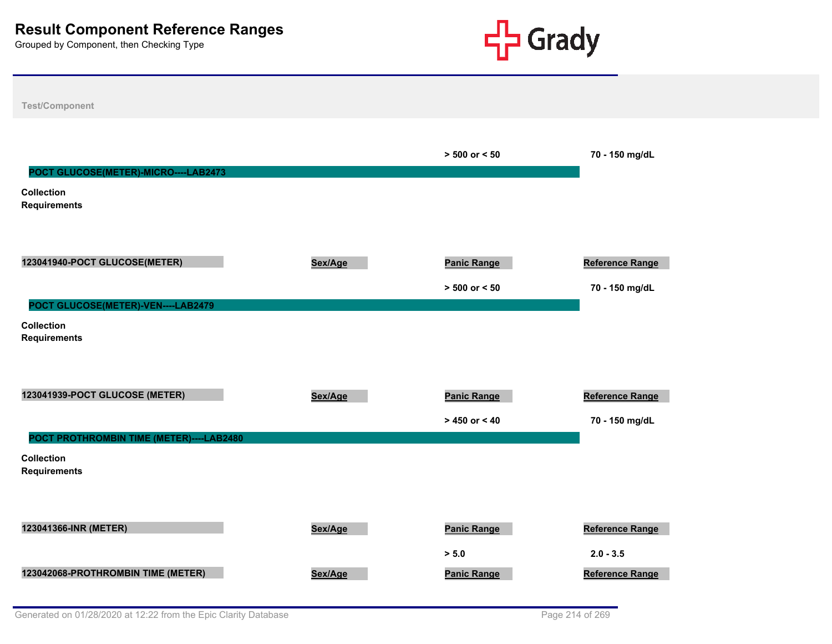

| Test/Component                           |         |                    |                        |
|------------------------------------------|---------|--------------------|------------------------|
|                                          |         |                    |                        |
|                                          |         | $> 500$ or $< 50$  | 70 - 150 mg/dL         |
| POCT GLUCOSE(METER)-MICRO----LAB2473     |         |                    |                        |
| <b>Collection</b><br><b>Requirements</b> |         |                    |                        |
|                                          |         |                    |                        |
| 123041940-POCT GLUCOSE(METER)            | Sex/Age | <b>Panic Range</b> | Reference Range        |
|                                          |         | $> 500$ or $< 50$  | 70 - 150 mg/dL         |
| POCT GLUCOSE(METER)-VEN----LAB2479       |         |                    |                        |
| <b>Collection</b><br><b>Requirements</b> |         |                    |                        |
|                                          |         |                    |                        |
|                                          |         |                    |                        |
| 123041939-POCT GLUCOSE (METER)           | Sex/Age | <b>Panic Range</b> | Reference Range        |
|                                          |         | $> 450$ or $< 40$  | 70 - 150 mg/dL         |
| POCT PROTHROMBIN TIME (METER)----LAB2480 |         |                    |                        |
| <b>Collection</b><br><b>Requirements</b> |         |                    |                        |
|                                          |         |                    |                        |
|                                          |         |                    |                        |
| 123041366-INR (METER)                    | Sex/Age | <b>Panic Range</b> | Reference Range        |
|                                          |         | > 5.0              | $2.0 - 3.5$            |
| 123042068-PROTHROMBIN TIME (METER)       | Sex/Age | <b>Panic Range</b> | <b>Reference Range</b> |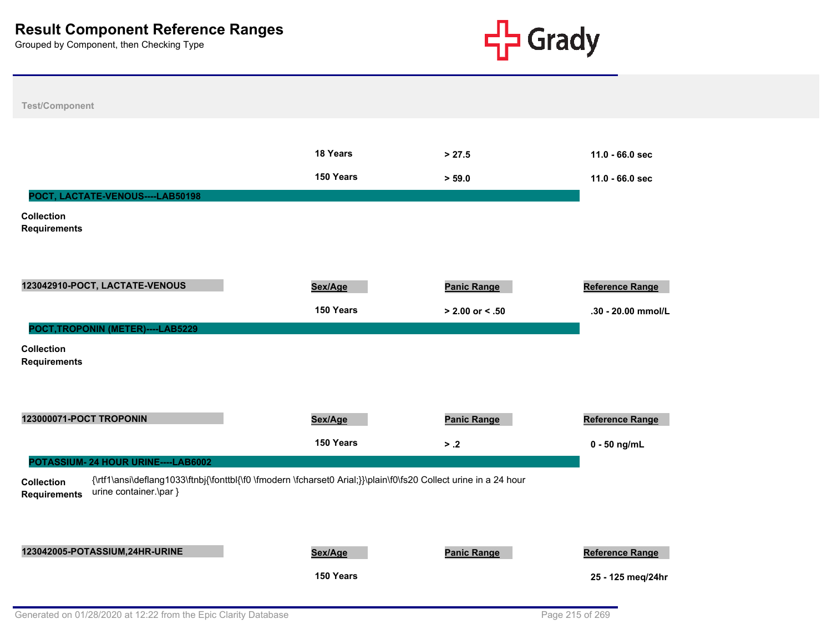

|                                                             | 18 Years                                                                                                         | > 27.5              | $11.0 - 66.0$ sec  |
|-------------------------------------------------------------|------------------------------------------------------------------------------------------------------------------|---------------------|--------------------|
|                                                             | 150 Years                                                                                                        | > 59.0              | $11.0 - 66.0$ sec  |
| POCT, LACTATE-VENOUS----LAB50198                            |                                                                                                                  |                     |                    |
| <b>Collection</b><br>Requirements                           |                                                                                                                  |                     |                    |
| 123042910-POCT, LACTATE-VENOUS                              | Sex/Age                                                                                                          | <b>Panic Range</b>  | Reference Range    |
|                                                             | 150 Years                                                                                                        | $> 2.00$ or $< .50$ | .30 - 20.00 mmol/L |
| POCT, TROPONIN (METER)----LAB5229                           |                                                                                                                  |                     |                    |
| <b>Collection</b><br><b>Requirements</b>                    |                                                                                                                  |                     |                    |
| 123000071-POCT TROPONIN                                     | Sex/Age                                                                                                          | <b>Panic Range</b>  | Reference Range    |
|                                                             | 150 Years                                                                                                        | > .2                | $0 - 50$ ng/mL     |
| POTASSIUM- 24 HOUR URINE----LAB6002                         |                                                                                                                  |                     |                    |
| <b>Collection</b><br>urine container.\par }<br>Requirements | {\rtf1\ansi\deflang1033\ftnbj{\fonttbl{\f0 \fmodern \fcharset0 Arial;}}\plain\f0\fs20 Collect urine in a 24 hour |                     |                    |
|                                                             |                                                                                                                  |                     |                    |
| 123042005-POTASSIUM,24HR-URINE                              | Sex/Age                                                                                                          | <b>Panic Range</b>  | Reference Range    |
|                                                             | 150 Years                                                                                                        |                     | 25 - 125 meg/24hr  |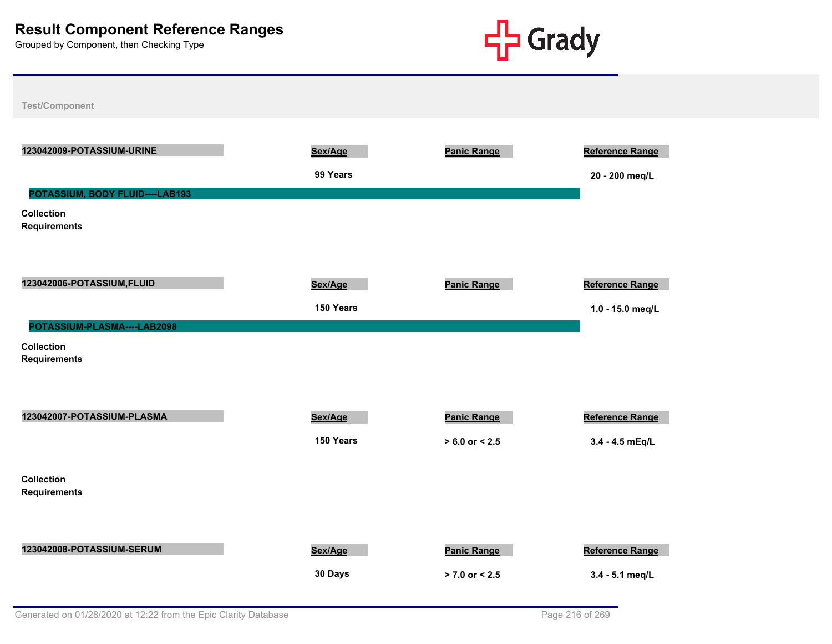

| 123042009-POTASSIUM-URINE                | Sex/Age   | <b>Panic Range</b> | <b>Reference Range</b> |
|------------------------------------------|-----------|--------------------|------------------------|
|                                          | 99 Years  |                    | 20 - 200 meq/L         |
| POTASSIUM, BODY FLUID----LAB193          |           |                    |                        |
| <b>Collection</b><br><b>Requirements</b> |           |                    |                        |
| 123042006-POTASSIUM, FLUID               | Sex/Age   | <b>Panic Range</b> | <b>Reference Range</b> |
|                                          | 150 Years |                    | 1.0 - 15.0 meg/L       |
| POTASSIUM-PLASMA----LAB2098              |           |                    |                        |
| <b>Collection</b><br><b>Requirements</b> |           |                    |                        |
| 123042007-POTASSIUM-PLASMA               | Sex/Age   | Panic Range        | <b>Reference Range</b> |
|                                          | 150 Years | $> 6.0$ or $< 2.5$ | 3.4 - 4.5 mEq/L        |
| <b>Collection</b><br><b>Requirements</b> |           |                    |                        |
| 123042008-POTASSIUM-SERUM                | Sex/Age   | <b>Panic Range</b> | <b>Reference Range</b> |
|                                          | 30 Days   | $> 7.0$ or $< 2.5$ | 3.4 - 5.1 meg/L        |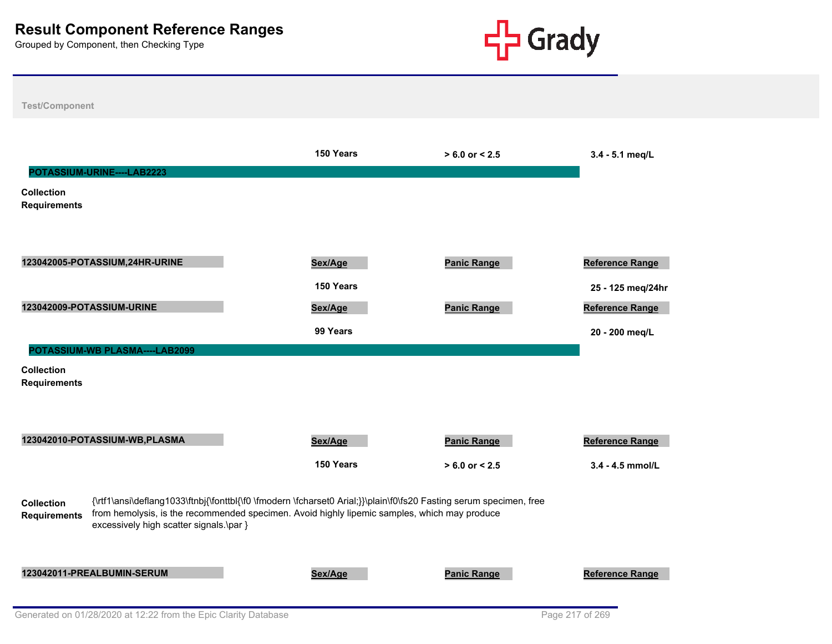

|                                          | POTASSIUM-URINE----LAB2223              | 150 Years                                                                                                                                                                                                          | $> 6.0$ or $< 2.5$                       | 3.4 - 5.1 meg/L                          |
|------------------------------------------|-----------------------------------------|--------------------------------------------------------------------------------------------------------------------------------------------------------------------------------------------------------------------|------------------------------------------|------------------------------------------|
| <b>Collection</b><br><b>Requirements</b> |                                         |                                                                                                                                                                                                                    |                                          |                                          |
|                                          | 123042005-POTASSIUM,24HR-URINE          | Sex/Age<br>150 Years                                                                                                                                                                                               | <b>Panic Range</b>                       | Reference Range<br>25 - 125 meg/24hr     |
|                                          | 123042009-POTASSIUM-URINE               | Sex/Age<br>99 Years                                                                                                                                                                                                | <b>Panic Range</b>                       | <b>Reference Range</b><br>20 - 200 meg/L |
| <b>Collection</b><br><b>Requirements</b> | POTASSIUM-WB PLASMA----LAB2099          |                                                                                                                                                                                                                    |                                          |                                          |
|                                          | 123042010-POTASSIUM-WB, PLASMA          | Sex/Age<br>150 Years                                                                                                                                                                                               | <b>Panic Range</b><br>$> 6.0$ or $< 2.5$ | Reference Range<br>$3.4 - 4.5$ mmol/L    |
| <b>Collection</b><br><b>Requirements</b> | excessively high scatter signals.\par } | {\rtf1\ansi\deflang1033\ftnbj{\fonttbl{\f0 \fmodern \fcharset0 Arial;}}\plain\f0\fs20 Fasting serum specimen, free<br>from hemolysis, is the recommended specimen. Avoid highly lipemic samples, which may produce |                                          |                                          |
|                                          | 123042011-PREALBUMIN-SERUM              | Sex/Age                                                                                                                                                                                                            | <b>Panic Range</b>                       | Reference Range                          |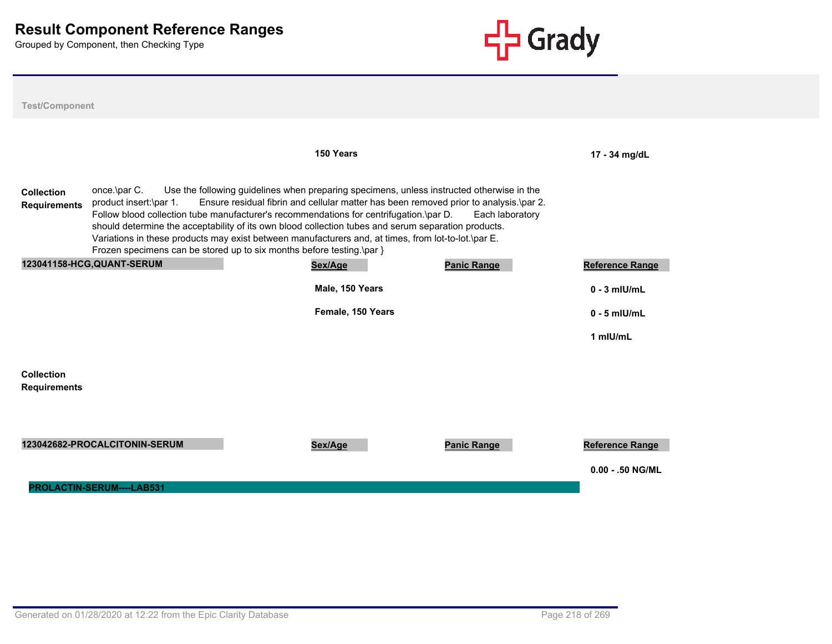

| <b>Test/Component</b>                    |                                                                                                                                                                                                                                                                                                                                                                                                                         |                                                                                                                                                                                    |                    |                        |
|------------------------------------------|-------------------------------------------------------------------------------------------------------------------------------------------------------------------------------------------------------------------------------------------------------------------------------------------------------------------------------------------------------------------------------------------------------------------------|------------------------------------------------------------------------------------------------------------------------------------------------------------------------------------|--------------------|------------------------|
|                                          |                                                                                                                                                                                                                                                                                                                                                                                                                         | 150 Years                                                                                                                                                                          |                    | 17 - 34 mg/dL          |
| <b>Collection</b><br><b>Requirements</b> | once.\par C.<br>product insert:\par 1.<br>Follow blood collection tube manufacturer's recommendations for centrifugation.\par D.<br>should determine the acceptability of its own blood collection tubes and serum separation products.<br>Variations in these products may exist between manufacturers and, at times, from lot-to-lot.\par E.<br>Frozen specimens can be stored up to six months before testing.\par } | Use the following guidelines when preparing specimens, unless instructed otherwise in the<br>Ensure residual fibrin and cellular matter has been removed prior to analysis.\par 2. | Each laboratory    |                        |
|                                          | 123041158-HCG, QUANT-SERUM                                                                                                                                                                                                                                                                                                                                                                                              | Sex/Age                                                                                                                                                                            | <b>Panic Range</b> | <b>Reference Range</b> |
|                                          |                                                                                                                                                                                                                                                                                                                                                                                                                         | Male, 150 Years                                                                                                                                                                    |                    | $0 - 3$ mlU/mL         |
|                                          |                                                                                                                                                                                                                                                                                                                                                                                                                         | Female, 150 Years                                                                                                                                                                  |                    | $0 - 5$ mlU/mL         |
|                                          |                                                                                                                                                                                                                                                                                                                                                                                                                         |                                                                                                                                                                                    |                    | 1 mIU/mL               |
| <b>Collection</b>                        |                                                                                                                                                                                                                                                                                                                                                                                                                         |                                                                                                                                                                                    |                    |                        |
| <b>Requirements</b>                      |                                                                                                                                                                                                                                                                                                                                                                                                                         |                                                                                                                                                                                    |                    |                        |
|                                          |                                                                                                                                                                                                                                                                                                                                                                                                                         |                                                                                                                                                                                    |                    |                        |
|                                          | 123042682-PROCALCITONIN-SERUM                                                                                                                                                                                                                                                                                                                                                                                           | Sex/Age                                                                                                                                                                            | <b>Panic Range</b> | Reference Range        |
|                                          |                                                                                                                                                                                                                                                                                                                                                                                                                         |                                                                                                                                                                                    |                    | $0.00 - 0.50$ NG/ML    |
|                                          | <b>PROLACTIN-SERUM----LAB531</b>                                                                                                                                                                                                                                                                                                                                                                                        |                                                                                                                                                                                    |                    |                        |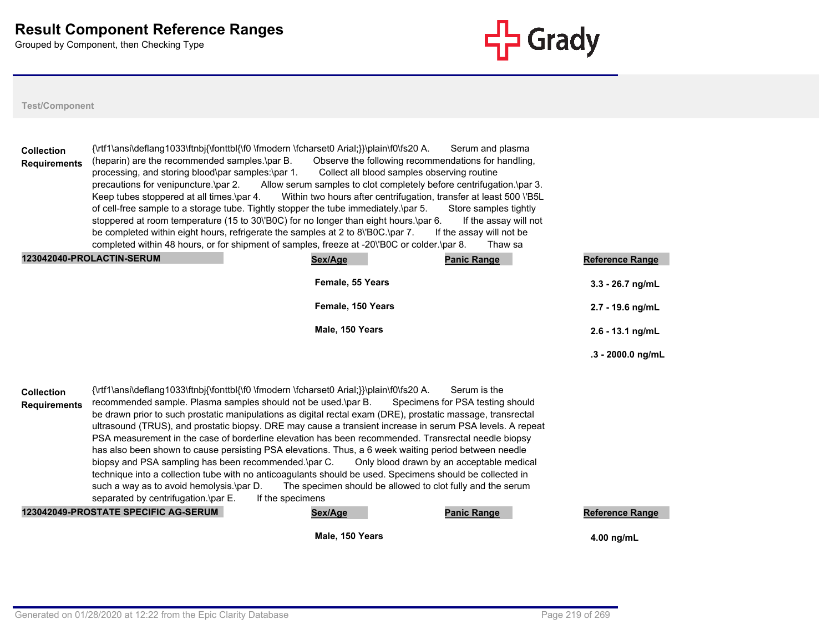

#### **Test/Component**

| <b>Collection</b><br><b>Requirements</b> | {\rtf1\ansi\deflang1033\ftnbj{\fonttbl{\f0 \fmodern \fcharset0 Arial;}}\plain\f0\fs20 A.<br>Serum and plasma<br>Observe the following recommendations for handling,<br>(heparin) are the recommended samples.\par B.<br>Collect all blood samples observing routine<br>processing, and storing blood\par samples:\par 1.<br>precautions for venipuncture.\par 2.<br>Allow serum samples to clot completely before centrifugation.\par 3.<br>Within two hours after centrifugation, transfer at least 500 \'B5L<br>Keep tubes stoppered at all times.\par 4.<br>of cell-free sample to a storage tube. Tightly stopper the tube immediately.\par 5.<br>Store samples tightly                                                                                                                                                                                                     |                                                            |                                                                                               |                        |  |  |
|------------------------------------------|---------------------------------------------------------------------------------------------------------------------------------------------------------------------------------------------------------------------------------------------------------------------------------------------------------------------------------------------------------------------------------------------------------------------------------------------------------------------------------------------------------------------------------------------------------------------------------------------------------------------------------------------------------------------------------------------------------------------------------------------------------------------------------------------------------------------------------------------------------------------------------|------------------------------------------------------------|-----------------------------------------------------------------------------------------------|------------------------|--|--|
|                                          | stoppered at room temperature (15 to 30\'B0C) for no longer than eight hours.\par 6.<br>be completed within eight hours, refrigerate the samples at 2 to 8\'BOC.\par 7.<br>completed within 48 hours, or for shipment of samples, freeze at -20\'B0C or colder.\par 8.                                                                                                                                                                                                                                                                                                                                                                                                                                                                                                                                                                                                          |                                                            | If the assay will not<br>If the assay will not be<br>Thaw sa                                  |                        |  |  |
|                                          | 123042040-PROLACTIN-SERUM                                                                                                                                                                                                                                                                                                                                                                                                                                                                                                                                                                                                                                                                                                                                                                                                                                                       | Sex/Age                                                    | <b>Panic Range</b>                                                                            | <b>Reference Range</b> |  |  |
|                                          |                                                                                                                                                                                                                                                                                                                                                                                                                                                                                                                                                                                                                                                                                                                                                                                                                                                                                 | Female, 55 Years                                           |                                                                                               | $3.3 - 26.7$ ng/mL     |  |  |
|                                          |                                                                                                                                                                                                                                                                                                                                                                                                                                                                                                                                                                                                                                                                                                                                                                                                                                                                                 | Female, 150 Years                                          |                                                                                               | 2.7 - 19.6 ng/mL       |  |  |
|                                          |                                                                                                                                                                                                                                                                                                                                                                                                                                                                                                                                                                                                                                                                                                                                                                                                                                                                                 | Male, 150 Years                                            |                                                                                               | $2.6 - 13.1$ ng/mL     |  |  |
|                                          |                                                                                                                                                                                                                                                                                                                                                                                                                                                                                                                                                                                                                                                                                                                                                                                                                                                                                 |                                                            |                                                                                               | $.3 - 2000.0$ ng/mL    |  |  |
| <b>Collection</b><br><b>Requirements</b> | {\rtf1\ansi\deflang1033\ftnbj{\fonttbl{\f0 \fmodern \fcharset0 Arial;}}\plain\f0\fs20 A.<br>recommended sample. Plasma samples should not be used.\par B.<br>be drawn prior to such prostatic manipulations as digital rectal exam (DRE), prostatic massage, transrectal<br>ultrasound (TRUS), and prostatic biopsy. DRE may cause a transient increase in serum PSA levels. A repeat<br>PSA measurement in the case of borderline elevation has been recommended. Transrectal needle biopsy<br>has also been shown to cause persisting PSA elevations. Thus, a 6 week waiting period between needle<br>biopsy and PSA sampling has been recommended.\par C.<br>technique into a collection tube with no anticoagulants should be used. Specimens should be collected in<br>such a way as to avoid hemolysis.\par D.<br>separated by centrifugation.\par E.<br>If the specimens | The specimen should be allowed to clot fully and the serum | Serum is the<br>Specimens for PSA testing should<br>Only blood drawn by an acceptable medical |                        |  |  |
|                                          | 123042049-PROSTATE SPECIFIC AG-SERUM                                                                                                                                                                                                                                                                                                                                                                                                                                                                                                                                                                                                                                                                                                                                                                                                                                            | Sex/Age                                                    | <b>Panic Range</b>                                                                            | <b>Reference Range</b> |  |  |

**Male, 150 Years 4.00 ng/mL**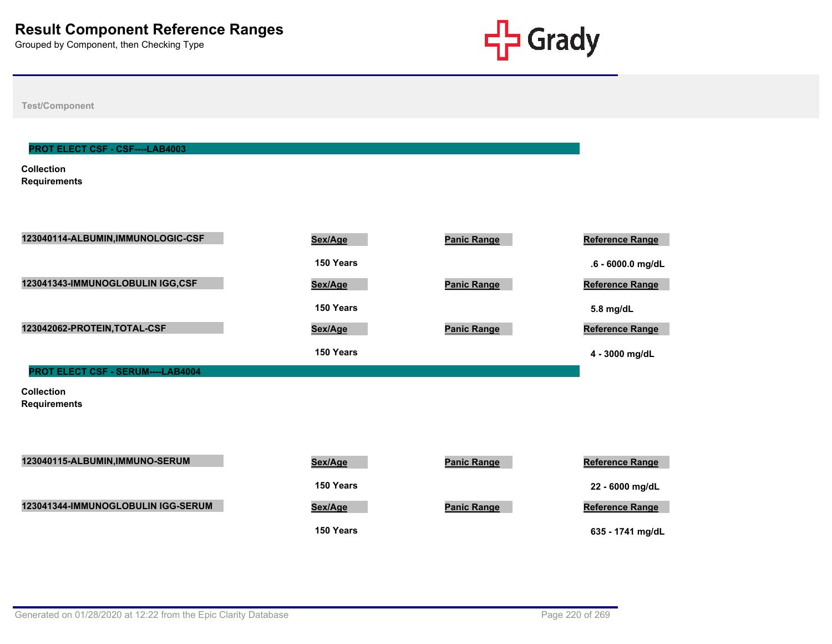

**Test/Component**

#### **PROT ELECT CSF - CSF----LAB4003**

**Collection Requirements**

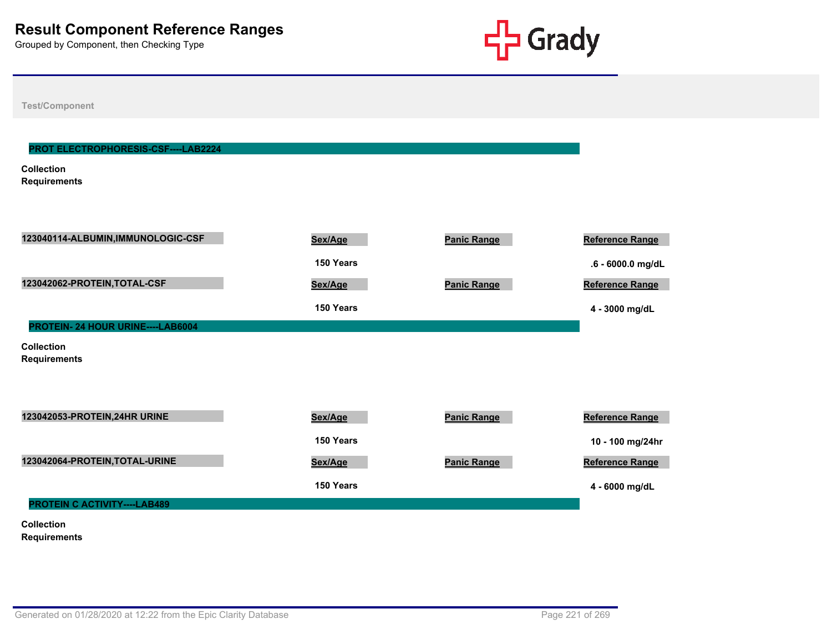

**Test/Component**

# **Collection Requirements PROT ELECTROPHORESIS-CSF----LAB2224 123040114-ALBUMIN,IMMUNOLOGIC-CSF Sex/Age Panic Range Reference Range 150 Years .6 - 6000.0 mg/dL 123042062-PROTEIN,TOTAL-CSF Sex/Age Panic Range Reference Range 150 Years 4 - 3000 mg/dL Collection Requirements PROTEIN- 24 HOUR URINE----LAB6004 123042053-PROTEIN,24HR URINE Sex/Age Panic Range Reference Range 150 Years 10 - 100 mg/24hr 123042064-PROTEIN, TOTAL-URINE** *Sex/Age* **<b>Panic Range Panic Range Reference Range 150 Years 4 - 6000 mg/dL Collection PROTEIN C ACTIVITY----LAB489**

**Requirements**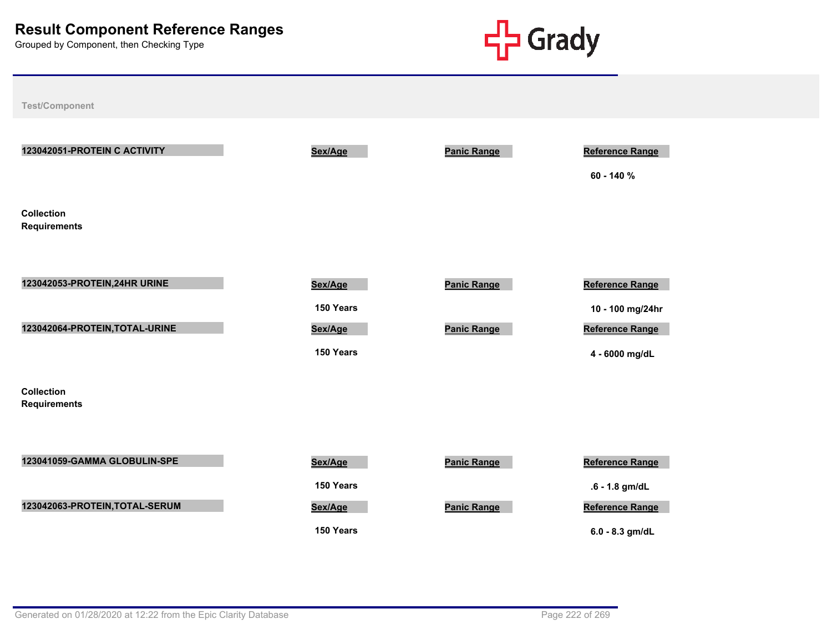

**Test/Component 123042051-PROTEIN C ACTIVITY Sex/Age Panic Range Reference Range 60 - 140 % Collection Requirements 123042053-PROTEIN,24HR URINE Sex/Age Panic Range Reference Range 150 Years 10 - 100 mg/24hr 123042064-PROTEIN,TOTAL-URINE Sex/Age Panic Range Reference Range 150 Years 4 - 6000 mg/dL Collection Requirements 123041059-GAMMA GLOBULIN-SPE Sex/Age Panic Range Reference Range 150 Years .6 - 1.8 gm/dL 123042063-PROTEIN, TOTAL-SERUM Sex/Age Panic Range Panic Range Reference Range** Reference Range

**150 Years 6.0 - 8.3 gm/dL**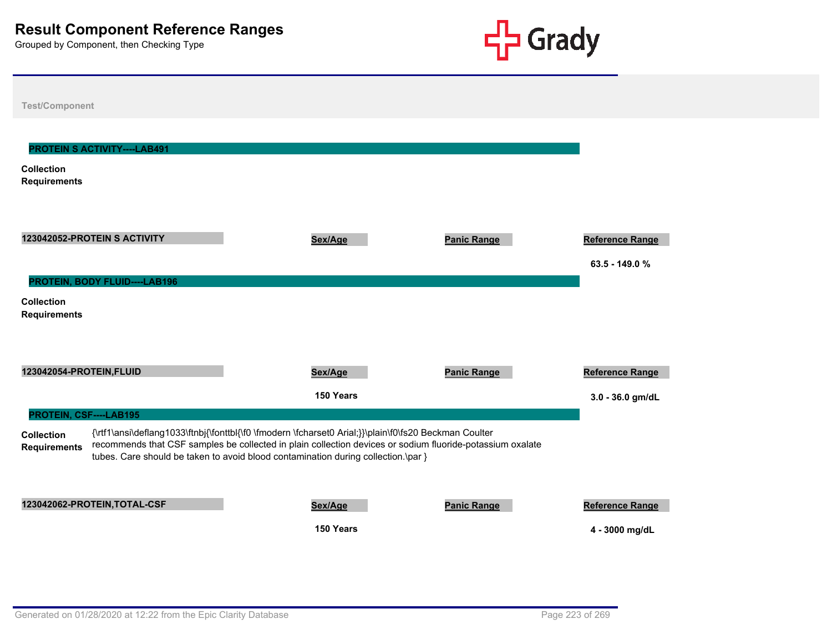

| <b>Test/Component</b>                                                           |                                                                                                                                                                                                                                                                                                         |                    |                                            |
|---------------------------------------------------------------------------------|---------------------------------------------------------------------------------------------------------------------------------------------------------------------------------------------------------------------------------------------------------------------------------------------------------|--------------------|--------------------------------------------|
| <b>PROTEIN S ACTIVITY----LAB491</b><br><b>Collection</b><br><b>Requirements</b> |                                                                                                                                                                                                                                                                                                         |                    |                                            |
| 123042052-PROTEIN S ACTIVITY<br>PROTEIN, BODY FLUID----LAB196                   | Sex/Age                                                                                                                                                                                                                                                                                                 | <b>Panic Range</b> | <b>Reference Range</b><br>$63.5 - 149.0 %$ |
| <b>Collection</b><br><b>Requirements</b>                                        |                                                                                                                                                                                                                                                                                                         |                    |                                            |
| 123042054-PROTEIN, FLUID                                                        | Sex/Age                                                                                                                                                                                                                                                                                                 | <b>Panic Range</b> | <b>Reference Range</b>                     |
|                                                                                 | 150 Years                                                                                                                                                                                                                                                                                               |                    | 3.0 - 36.0 gm/dL                           |
| PROTEIN, CSF----LAB195<br><b>Collection</b><br><b>Requirements</b>              | {\rtf1\ansi\deflang1033\ftnbj{\fonttbl{\f0 \fmodern \fcharset0 Arial;}}\plain\f0\fs20 Beckman Coulter<br>recommends that CSF samples be collected in plain collection devices or sodium fluoride-potassium oxalate<br>tubes. Care should be taken to avoid blood contamination during collection.\par } |                    |                                            |
| 123042062-PROTEIN, TOTAL-CSF                                                    | Sex/Age<br>150 Years                                                                                                                                                                                                                                                                                    | <b>Panic Range</b> | Reference Range<br>4 - 3000 mg/dL          |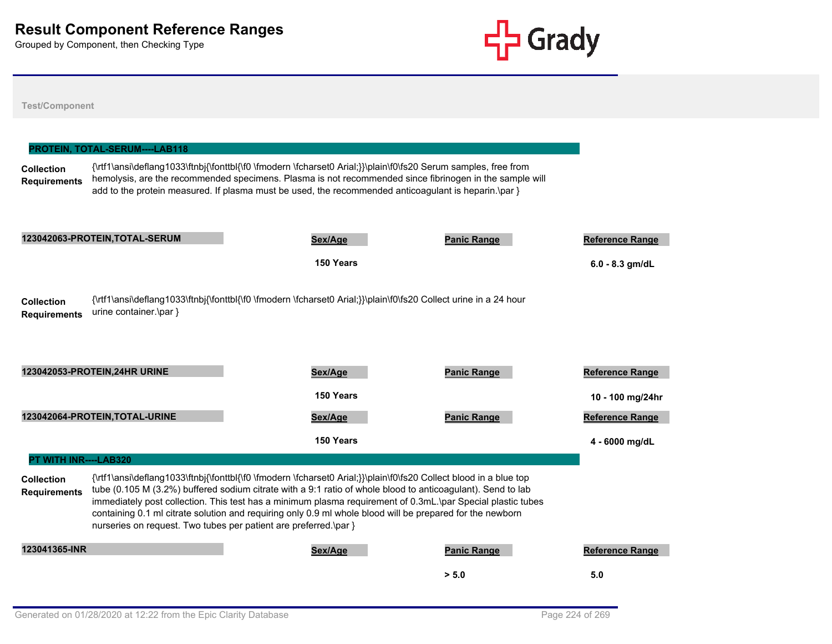

# **Test/Component Collection Requirements** {\rtf1\ansi\deflang1033\ftnbj{\fonttbl{\f0 \fmodern \fcharset0 Arial;}}\plain\f0\fs20 Serum samples, free from hemolysis, are the recommended specimens. Plasma is not recommended since fibrinogen in the sample will add to the protein measured. If plasma must be used, the recommended anticoagulant is heparin.\par } **PROTEIN, TOTAL-SERUM----LAB118 123042063-PROTEIN,TOTAL-SERUM Sex/Age Panic Range Reference Range 150 Years 6.0 - 8.3 gm/dL Collection Requirements** {\rtf1\ansi\deflang1033\ftnbj{\fonttbl{\f0 \fmodern \fcharset0 Arial;}}\plain\f0\fs20 Collect urine in a 24 hour urine container.\par } **123042053-PROTEIN,24HR URINE Sex/Age Panic Range Reference Range 150 Years 10 - 100 mg/24hr 123042064-PROTEIN,TOTAL-URINE Sex/Age Panic Range Reference Range 150 Years 4 - 6000 mg/dL Collection Requirements** {\rtf1\ansi\deflang1033\ftnbj{\fonttbl{\f0 \fmodern \fcharset0 Arial;}}\plain\f0\fs20 Collect blood in a blue top tube (0.105 M (3.2%) buffered sodium citrate with a 9:1 ratio of whole blood to anticoagulant). Send to lab immediately post collection. This test has a minimum plasma requirement of 0.3mL.\par Special plastic tubes containing 0.1 ml citrate solution and requiring only 0.9 ml whole blood will be prepared for the newborn nurseries on request. Two tubes per patient are preferred.\par } **PT WITH INR----LAB320 123041365-INR Sex/Age Panic Range Reference Range > 5.0 5.0**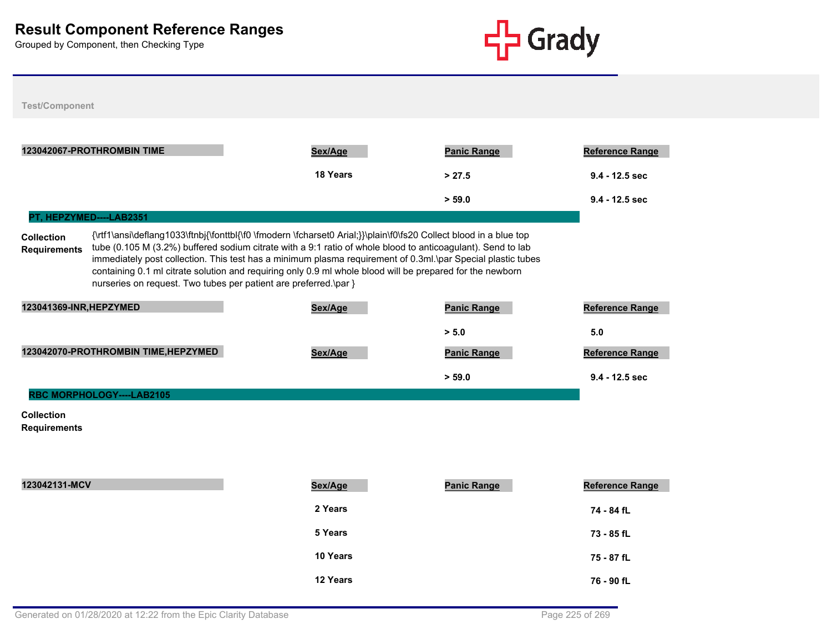

**Test/Component**

| 123042067-PROTHROMBIN TIME               |                                                                                                                                                                                                                                                                                                                                                                                                                                                                                                                                  | Sex/Age  | <b>Panic Range</b> | <b>Reference Range</b> |  |  |
|------------------------------------------|----------------------------------------------------------------------------------------------------------------------------------------------------------------------------------------------------------------------------------------------------------------------------------------------------------------------------------------------------------------------------------------------------------------------------------------------------------------------------------------------------------------------------------|----------|--------------------|------------------------|--|--|
|                                          |                                                                                                                                                                                                                                                                                                                                                                                                                                                                                                                                  | 18 Years | > 27.5             | $9.4 - 12.5$ sec       |  |  |
|                                          |                                                                                                                                                                                                                                                                                                                                                                                                                                                                                                                                  |          | > 59.0             | $9.4 - 12.5$ sec       |  |  |
|                                          | PT, HEPZYMED----LAB2351                                                                                                                                                                                                                                                                                                                                                                                                                                                                                                          |          |                    |                        |  |  |
| <b>Collection</b><br><b>Requirements</b> | {\rtf1\ansi\deflang1033\ftnbj{\fonttbl{\f0 \fmodern \fcharset0 Arial;}}\plain\f0\fs20 Collect blood in a blue top<br>tube (0.105 M (3.2%) buffered sodium citrate with a 9:1 ratio of whole blood to anticoagulant). Send to lab<br>immediately post collection. This test has a minimum plasma requirement of 0.3ml.\par Special plastic tubes<br>containing 0.1 ml citrate solution and requiring only 0.9 ml whole blood will be prepared for the newborn<br>nurseries on request. Two tubes per patient are preferred.\par } |          |                    |                        |  |  |
| 123041369-INR, HEPZYMED                  |                                                                                                                                                                                                                                                                                                                                                                                                                                                                                                                                  | Sex/Age  | <b>Panic Range</b> | <b>Reference Range</b> |  |  |
|                                          |                                                                                                                                                                                                                                                                                                                                                                                                                                                                                                                                  |          | > 5.0              | 5.0                    |  |  |
|                                          | 123042070-PROTHROMBIN TIME, HEPZYMED                                                                                                                                                                                                                                                                                                                                                                                                                                                                                             | Sex/Age  | <b>Panic Range</b> | <b>Reference Range</b> |  |  |
|                                          |                                                                                                                                                                                                                                                                                                                                                                                                                                                                                                                                  |          | > 59.0             | $9.4 - 12.5$ sec       |  |  |
|                                          | <b>RBC MORPHOLOGY----LAB2105</b>                                                                                                                                                                                                                                                                                                                                                                                                                                                                                                 |          |                    |                        |  |  |

#### **Collection Requirements**

| 123042131-MCV | Sex/Age  | <b>Panic Range</b> | <b>Reference Range</b> |
|---------------|----------|--------------------|------------------------|
|               | 2 Years  |                    | 74 - 84 fL             |
|               | 5 Years  |                    | 73 - 85 fL             |
|               | 10 Years |                    | 75 - 87 fL             |
|               | 12 Years |                    | 76 - 90 fL             |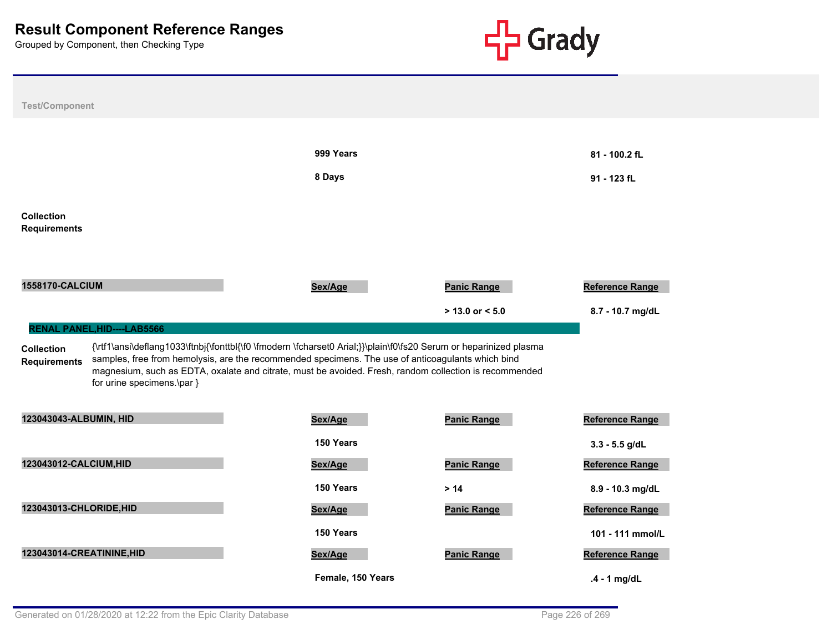

| <b>Test/Component</b>                                                                                        |                                                                                                                                                                                                                                                                                                                                  |                    |                                     |
|--------------------------------------------------------------------------------------------------------------|----------------------------------------------------------------------------------------------------------------------------------------------------------------------------------------------------------------------------------------------------------------------------------------------------------------------------------|--------------------|-------------------------------------|
|                                                                                                              | 999 Years                                                                                                                                                                                                                                                                                                                        |                    | 81 - 100.2 fL                       |
|                                                                                                              | 8 Days                                                                                                                                                                                                                                                                                                                           |                    | 91 - 123 fL                         |
| <b>Collection</b><br><b>Requirements</b>                                                                     |                                                                                                                                                                                                                                                                                                                                  |                    |                                     |
| <b>1558170-CALCIUM</b>                                                                                       | Sex/Age                                                                                                                                                                                                                                                                                                                          | <b>Panic Range</b> | Reference Range                     |
|                                                                                                              |                                                                                                                                                                                                                                                                                                                                  | $>$ 13.0 or < 5.0  | 8.7 - 10.7 mg/dL                    |
| <b>RENAL PANEL, HID----LAB5566</b><br><b>Collection</b><br><b>Requirements</b><br>for urine specimens.\par } | {\rtf1\ansi\deflang1033\ftnbj{\fonttbl{\f0 \fmodern \fcharset0 Arial;}}\plain\f0\fs20 Serum or heparinized plasma<br>samples, free from hemolysis, are the recommended specimens. The use of anticoagulants which bind<br>magnesium, such as EDTA, oxalate and citrate, must be avoided. Fresh, random collection is recommended |                    |                                     |
| 123043043-ALBUMIN, HID                                                                                       | Sex/Age                                                                                                                                                                                                                                                                                                                          | <b>Panic Range</b> | Reference Range                     |
|                                                                                                              | 150 Years                                                                                                                                                                                                                                                                                                                        |                    |                                     |
| 123043012-CALCIUM, HID                                                                                       | Sex/Age                                                                                                                                                                                                                                                                                                                          | <b>Panic Range</b> | $3.3 - 5.5$ g/dL<br>Reference Range |
|                                                                                                              | 150 Years                                                                                                                                                                                                                                                                                                                        | $>14$              | 8.9 - 10.3 mg/dL                    |
| 123043013-CHLORIDE, HID                                                                                      | Sex/Age                                                                                                                                                                                                                                                                                                                          | <b>Panic Range</b> | <b>Reference Range</b>              |
|                                                                                                              | 150 Years                                                                                                                                                                                                                                                                                                                        |                    | 101 - 111 mmol/L                    |
| 123043014-CREATININE, HID                                                                                    | Sex/Age                                                                                                                                                                                                                                                                                                                          | <b>Panic Range</b> | Reference Range                     |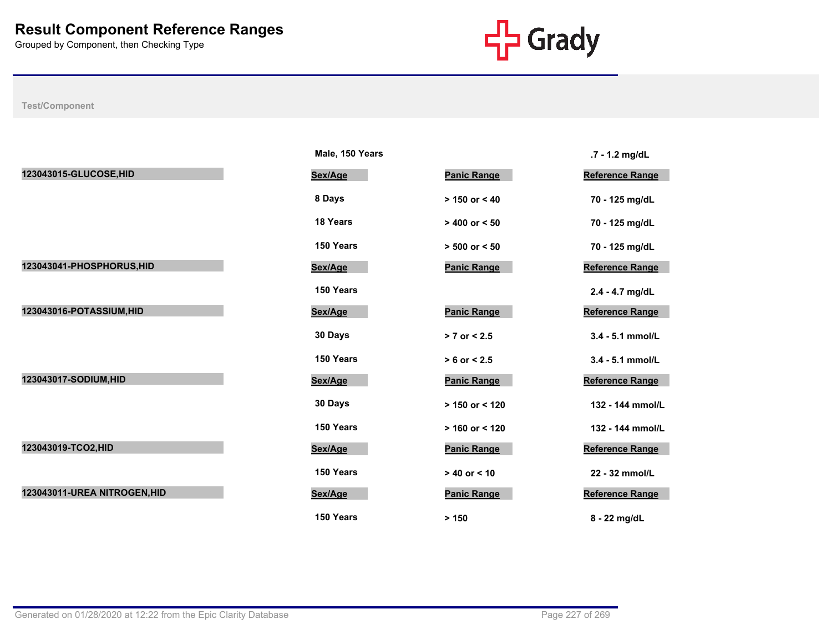

|                              | Male, 150 Years |                    | .7 - 1.2 mg/dL         |
|------------------------------|-----------------|--------------------|------------------------|
| 123043015-GLUCOSE, HID       | Sex/Age         | <b>Panic Range</b> | Reference Range        |
|                              | 8 Days          | $> 150$ or $< 40$  | 70 - 125 mg/dL         |
|                              | <b>18 Years</b> | $> 400$ or $< 50$  | 70 - 125 mg/dL         |
|                              | 150 Years       | $> 500$ or $< 50$  | 70 - 125 mg/dL         |
| 123043041-PHOSPHORUS, HID    | Sex/Age         | <b>Panic Range</b> | <b>Reference Range</b> |
|                              | 150 Years       |                    | 2.4 - 4.7 mg/dL        |
| 123043016-POTASSIUM, HID     | Sex/Age         | <b>Panic Range</b> | <b>Reference Range</b> |
|                              | 30 Days         | $> 7$ or $< 2.5$   | 3.4 - 5.1 mmol/L       |
|                              | 150 Years       | $> 6$ or $< 2.5$   | 3.4 - 5.1 mmol/L       |
| 123043017-SODIUM, HID        | Sex/Age         | <b>Panic Range</b> | Reference Range        |
|                              | 30 Days         | > 150 or < 120     | 132 - 144 mmol/L       |
|                              | 150 Years       | $> 160$ or < 120   | 132 - 144 mmol/L       |
| 123043019-TCO2, HID          | Sex/Age         | <b>Panic Range</b> | Reference Range        |
|                              | 150 Years       | $> 40$ or $< 10$   | 22 - 32 mmol/L         |
| 123043011-UREA NITROGEN, HID | Sex/Age         | <b>Panic Range</b> | <b>Reference Range</b> |
|                              | 150 Years       | > 150              | 8 - 22 mg/dL           |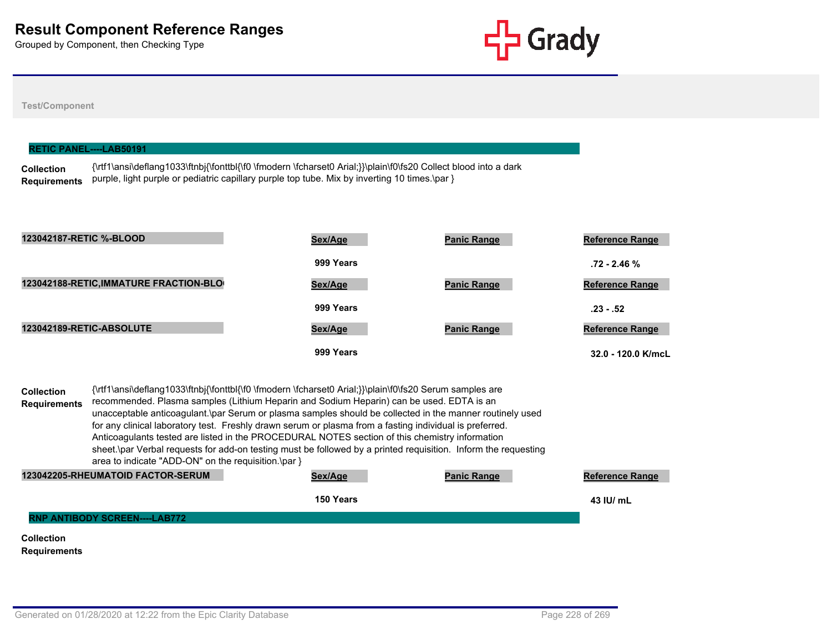

**999 Years 32.0 - 120.0 K/mcL**

#### **Test/Component**

| <b>RETIC PANEL----LAB50191</b>           |                                                                                                                                                                                                                  |           |                    |                        |  |  |
|------------------------------------------|------------------------------------------------------------------------------------------------------------------------------------------------------------------------------------------------------------------|-----------|--------------------|------------------------|--|--|
| <b>Collection</b><br><b>Requirements</b> | {\rtf1\ansi\deflang1033\ftnbj{\fonttbl{\f0 \fmodern \fcharset0 Arial;}}\plain\f0\fs20 Collect blood into a dark<br>purple, light purple or pediatric capillary purple top tube. Mix by inverting 10 times.\par } |           |                    |                        |  |  |
|                                          |                                                                                                                                                                                                                  |           |                    |                        |  |  |
| 123042187-RETIC %-BLOOD                  |                                                                                                                                                                                                                  | Sex/Age   | <b>Panic Range</b> | <b>Reference Range</b> |  |  |
|                                          |                                                                                                                                                                                                                  | 999 Years |                    | $.72 - 2.46 \%$        |  |  |
|                                          | 123042188-RETIC, IMMATURE FRACTION-BLO                                                                                                                                                                           | Sex/Age   | <b>Panic Range</b> | <b>Reference Range</b> |  |  |
|                                          |                                                                                                                                                                                                                  | 999 Years |                    | $.23 - .52$            |  |  |
| 123042189-RETIC-ABSOLUTE                 |                                                                                                                                                                                                                  | Sex/Age   | <b>Panic Range</b> | <b>Reference Range</b> |  |  |

**Collection Requirements** {\rtf1\ansi\deflang1033\ftnbj{\fonttbl{\f0 \fmodern \fcharset0 Arial;}}\plain\f0\fs20 Serum samples are recommended. Plasma samples (Lithium Heparin and Sodium Heparin) can be used. EDTA is an unacceptable anticoagulant.\par Serum or plasma samples should be collected in the manner routinely used for any clinical laboratory test. Freshly drawn serum or plasma from a fasting individual is preferred. Anticoagulants tested are listed in the PROCEDURAL NOTES section of this chemistry information sheet.\par Verbal requests for add-on testing must be followed by a printed requisition. Inform the requesting area to indicate "ADD-ON" on the requisition.\par } **123042205-RHEUMATOID FACTOR-SERUM Sex/Age Panic Range Reference Range**

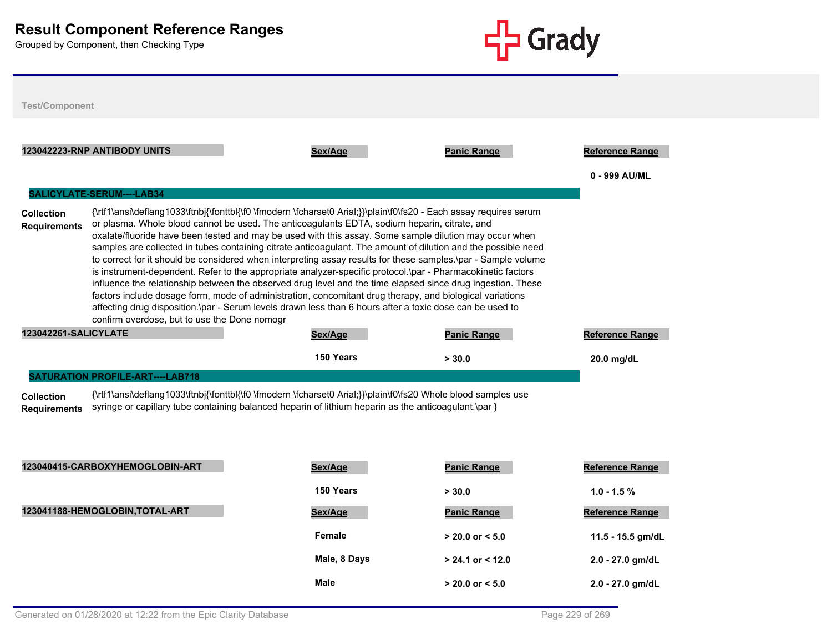

| <b>Test/Component</b>                    |                                              |                                                                                                                                                                                                                                                                                                                                                                                                                                                                                                                                                                                                                                                                                                                                                                                                                                                                                                                                                                                                                      |                      |                                         |
|------------------------------------------|----------------------------------------------|----------------------------------------------------------------------------------------------------------------------------------------------------------------------------------------------------------------------------------------------------------------------------------------------------------------------------------------------------------------------------------------------------------------------------------------------------------------------------------------------------------------------------------------------------------------------------------------------------------------------------------------------------------------------------------------------------------------------------------------------------------------------------------------------------------------------------------------------------------------------------------------------------------------------------------------------------------------------------------------------------------------------|----------------------|-----------------------------------------|
|                                          | 123042223-RNP ANTIBODY UNITS                 | Sex/Age                                                                                                                                                                                                                                                                                                                                                                                                                                                                                                                                                                                                                                                                                                                                                                                                                                                                                                                                                                                                              | <b>Panic Range</b>   | <b>Reference Range</b><br>0 - 999 AU/ML |
|                                          | SALICYLATE-SERUM----LAB34                    |                                                                                                                                                                                                                                                                                                                                                                                                                                                                                                                                                                                                                                                                                                                                                                                                                                                                                                                                                                                                                      |                      |                                         |
| <b>Collection</b><br><b>Requirements</b> | confirm overdose, but to use the Done nomogr | {\rtf1\ansi\deflang1033\ftnbj{\fonttbl{\f0 \fmodern \fcharset0 Arial;}}\plain\f0\fs20 - Each assay requires serum<br>or plasma. Whole blood cannot be used. The anticoagulants EDTA, sodium heparin, citrate, and<br>oxalate/fluoride have been tested and may be used with this assay. Some sample dilution may occur when<br>samples are collected in tubes containing citrate anticoagulant. The amount of dilution and the possible need<br>to correct for it should be considered when interpreting assay results for these samples. \par - Sample volume<br>is instrument-dependent. Refer to the appropriate analyzer-specific protocol.\par - Pharmacokinetic factors<br>influence the relationship between the observed drug level and the time elapsed since drug ingestion. These<br>factors include dosage form, mode of administration, concomitant drug therapy, and biological variations<br>affecting drug disposition.\par - Serum levels drawn less than 6 hours after a toxic dose can be used to |                      |                                         |
|                                          |                                              | Sex/Age                                                                                                                                                                                                                                                                                                                                                                                                                                                                                                                                                                                                                                                                                                                                                                                                                                                                                                                                                                                                              | <b>Panic Range</b>   | <b>Reference Range</b>                  |
|                                          |                                              |                                                                                                                                                                                                                                                                                                                                                                                                                                                                                                                                                                                                                                                                                                                                                                                                                                                                                                                                                                                                                      |                      |                                         |
| <b>123042261-SALICYLATE</b>              |                                              | 150 Years                                                                                                                                                                                                                                                                                                                                                                                                                                                                                                                                                                                                                                                                                                                                                                                                                                                                                                                                                                                                            | > 30.0               | 20.0 mg/dL                              |
|                                          | <b>SATURATION PROFILE-ART----LAB718</b>      |                                                                                                                                                                                                                                                                                                                                                                                                                                                                                                                                                                                                                                                                                                                                                                                                                                                                                                                                                                                                                      |                      |                                         |
| <b>Collection</b><br><b>Requirements</b> |                                              | {\rtf1\ansi\deflang1033\ftnbj{\fonttbl{\f0 \fmodern \fcharset0 Arial;}}\plain\f0\fs20 Whole blood samples use<br>syringe or capillary tube containing balanced heparin of lithium heparin as the anticoagulant.\par }                                                                                                                                                                                                                                                                                                                                                                                                                                                                                                                                                                                                                                                                                                                                                                                                |                      |                                         |
|                                          | 123040415-CARBOXYHEMOGLOBIN-ART              | Sex/Age                                                                                                                                                                                                                                                                                                                                                                                                                                                                                                                                                                                                                                                                                                                                                                                                                                                                                                                                                                                                              | <b>Panic Range</b>   | <b>Reference Range</b>                  |
|                                          |                                              | 150 Years                                                                                                                                                                                                                                                                                                                                                                                                                                                                                                                                                                                                                                                                                                                                                                                                                                                                                                                                                                                                            | > 30.0               | $1.0 - 1.5 %$                           |
|                                          | 123041188-HEMOGLOBIN, TOTAL-ART              | Sex/Age                                                                                                                                                                                                                                                                                                                                                                                                                                                                                                                                                                                                                                                                                                                                                                                                                                                                                                                                                                                                              | <b>Panic Range</b>   | Reference Range                         |
|                                          |                                              | <b>Female</b>                                                                                                                                                                                                                                                                                                                                                                                                                                                                                                                                                                                                                                                                                                                                                                                                                                                                                                                                                                                                        | $> 20.0$ or $< 5.0$  | 11.5 - 15.5 gm/dL                       |
|                                          |                                              | Male, 8 Days                                                                                                                                                                                                                                                                                                                                                                                                                                                                                                                                                                                                                                                                                                                                                                                                                                                                                                                                                                                                         | $> 24.1$ or $< 12.0$ | 2.0 - 27.0 gm/dL                        |
|                                          |                                              | Male                                                                                                                                                                                                                                                                                                                                                                                                                                                                                                                                                                                                                                                                                                                                                                                                                                                                                                                                                                                                                 | $> 20.0$ or $< 5.0$  | 2.0 - 27.0 gm/dL                        |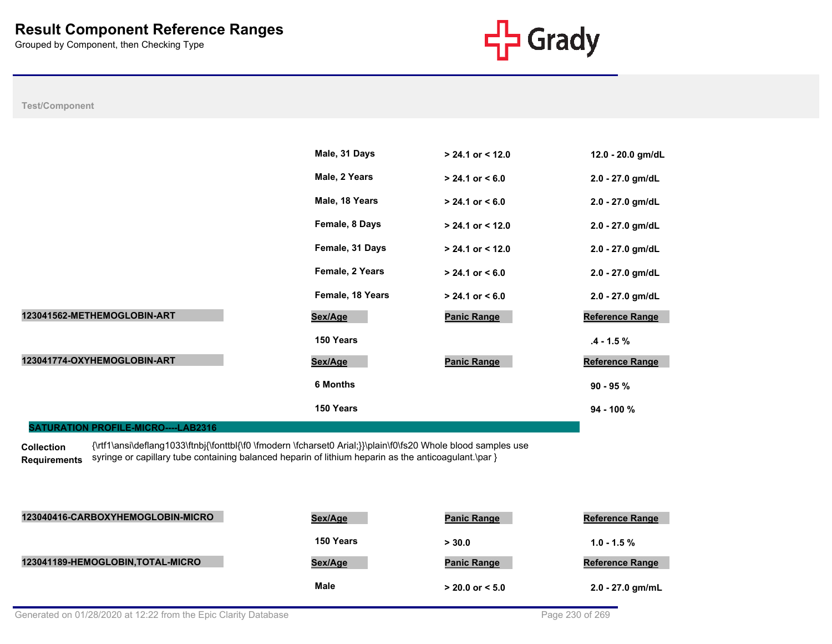

**Test/Component**



**Collection Requirements** {\rtf1\ansi\deflang1033\ftnbj{\fonttbl{\f0 \fmodern \fcharset0 Arial;}}\plain\f0\fs20 Whole blood samples use syringe or capillary tube containing balanced heparin of lithium heparin as the anticoagulant.\par }

| 123040416-CARBOXYHEMOGLOBIN-MICRO | Sex/Age     | <b>Panic Range</b>  | <b>Reference Range</b> |
|-----------------------------------|-------------|---------------------|------------------------|
|                                   | 150 Years   | > 30.0              | $1.0 - 1.5 \%$         |
| 123041189-HEMOGLOBIN, TOTAL-MICRO | Sex/Age     | <b>Panic Range</b>  | <b>Reference Range</b> |
|                                   | <b>Male</b> | $> 20.0$ or $< 5.0$ | $2.0 - 27.0$ gm/mL     |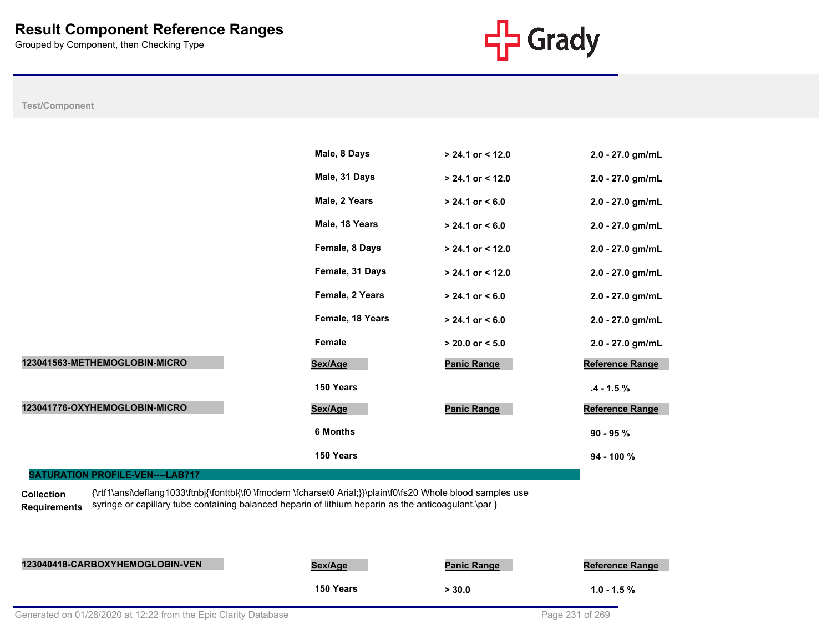

**Test/Component**

|                                         | Male, 8 Days     | $> 24.1$ or < 12.0  | 2.0 - 27.0 gm/mL |
|-----------------------------------------|------------------|---------------------|------------------|
|                                         | Male, 31 Days    | $> 24.1$ or < 12.0  | 2.0 - 27.0 gm/mL |
|                                         | Male, 2 Years    | $> 24.1$ or $< 6.0$ | 2.0 - 27.0 gm/mL |
|                                         | Male, 18 Years   | $> 24.1$ or $< 6.0$ | 2.0 - 27.0 gm/mL |
|                                         | Female, 8 Days   | $> 24.1$ or < 12.0  | 2.0 - 27.0 gm/mL |
|                                         | Female, 31 Days  | $> 24.1$ or < 12.0  | 2.0 - 27.0 gm/mL |
|                                         | Female, 2 Years  | $> 24.1$ or $< 6.0$ | 2.0 - 27.0 gm/mL |
|                                         | Female, 18 Years | $> 24.1$ or $< 6.0$ | 2.0 - 27.0 gm/mL |
|                                         | Female           | $> 20.0$ or $< 5.0$ | 2.0 - 27.0 gm/mL |
| 123041563-METHEMOGLOBIN-MICRO           | Sex/Age          | <b>Panic Range</b>  | Reference Range  |
|                                         | 150 Years        |                     | $.4 - 1.5 \%$    |
| 123041776-OXYHEMOGLOBIN-MICRO           | Sex/Age          | <b>Panic Range</b>  | Reference Range  |
|                                         | <b>6 Months</b>  |                     | $90 - 95 \%$     |
|                                         | 150 Years        |                     | 94 - 100 %       |
| <b>SATURATION PROFILE-VEN----LAB717</b> |                  |                     |                  |

**Collection Requirements** {\rtf1\ansi\deflang1033\ftnbj{\fonttbl{\f0 \fmodern \fcharset0 Arial;}}\plain\f0\fs20 Whole blood samples use syringe or capillary tube containing balanced heparin of lithium heparin as the anticoagulant.\par }

| 123040418-CARBOXYHEMOGLOBIN-VEN | Sex/Age   | <b>Panic Range</b> | <b>Reference Range</b> |
|---------------------------------|-----------|--------------------|------------------------|
|                                 | 150 Years | > 30.0             | $1.0 - 1.5 \%$         |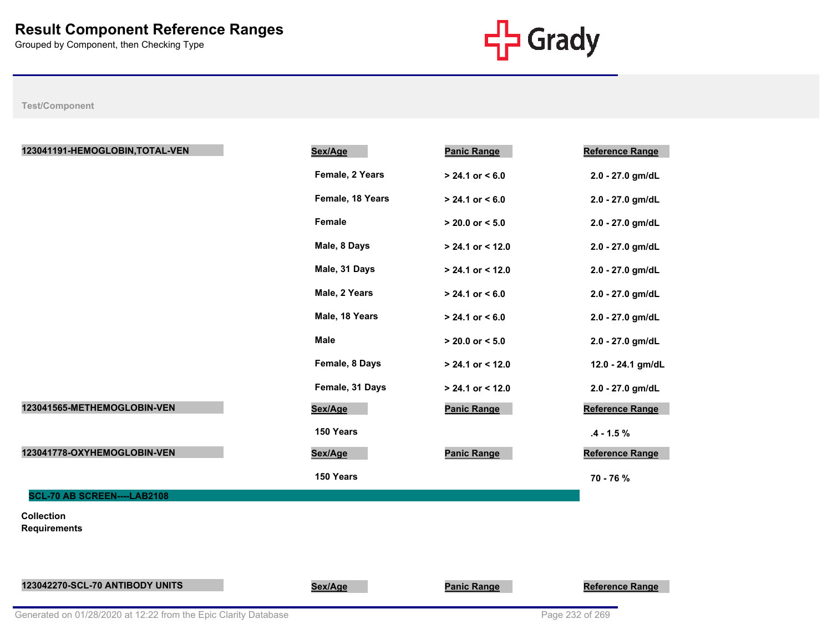

| 123041191-HEMOGLOBIN, TOTAL-VEN          | Sex/Age          | <b>Panic Range</b>  | Reference Range        |
|------------------------------------------|------------------|---------------------|------------------------|
|                                          | Female, 2 Years  | $> 24.1$ or < 6.0   | 2.0 - 27.0 gm/dL       |
|                                          | Female, 18 Years | $> 24.1$ or $< 6.0$ | 2.0 - 27.0 gm/dL       |
|                                          | Female           | $> 20.0$ or $< 5.0$ | 2.0 - 27.0 gm/dL       |
|                                          | Male, 8 Days     | $> 24.1$ or < 12.0  | 2.0 - 27.0 gm/dL       |
|                                          | Male, 31 Days    | $> 24.1$ or < 12.0  | 2.0 - 27.0 gm/dL       |
|                                          | Male, 2 Years    | $> 24.1$ or $< 6.0$ | 2.0 - 27.0 gm/dL       |
|                                          | Male, 18 Years   | $> 24.1$ or $< 6.0$ | 2.0 - 27.0 gm/dL       |
|                                          | <b>Male</b>      | $> 20.0$ or $< 5.0$ | 2.0 - 27.0 gm/dL       |
|                                          | Female, 8 Days   | $> 24.1$ or < 12.0  | 12.0 - 24.1 gm/dL      |
|                                          | Female, 31 Days  | $> 24.1$ or < 12.0  | 2.0 - 27.0 gm/dL       |
| 123041565-METHEMOGLOBIN-VEN              | Sex/Age          | <b>Panic Range</b>  | Reference Range        |
|                                          | 150 Years        |                     | $.4 - 1.5 \%$          |
| 123041778-OXYHEMOGLOBIN-VEN              | Sex/Age          | <b>Panic Range</b>  | Reference Range        |
|                                          | 150 Years        |                     | 70 - 76 %              |
| SCL-70 AB SCREEN----LAB2108              |                  |                     |                        |
| <b>Collection</b><br><b>Requirements</b> |                  |                     |                        |
|                                          |                  |                     |                        |
| 123042270-SCL-70 ANTIBODY UNITS          | Sex/Age          | <b>Panic Range</b>  | <b>Reference Range</b> |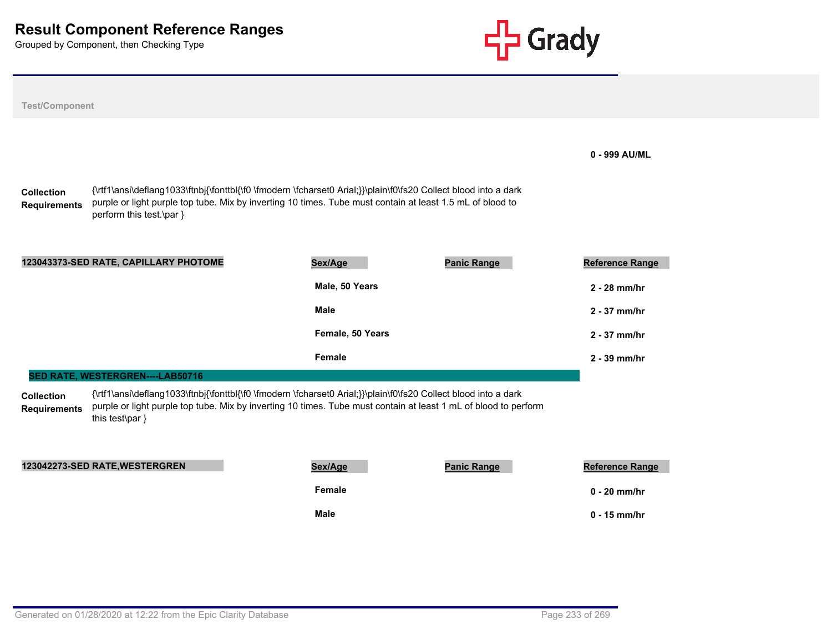

| <b>Test/Component</b>                    |                                                                                                                                                                                                                                                                                              |                           |                    |                                          |
|------------------------------------------|----------------------------------------------------------------------------------------------------------------------------------------------------------------------------------------------------------------------------------------------------------------------------------------------|---------------------------|--------------------|------------------------------------------|
| <b>Collection</b><br><b>Requirements</b> | {\rtf1\ansi\deflang1033\ftnbj{\fonttbl{\f0 \fmodern \fcharset0 Arial;}}\plain\f0\fs20 Collect blood into a dark<br>purple or light purple top tube. Mix by inverting 10 times. Tube must contain at least 1.5 mL of blood to<br>perform this test.\par }                                     |                           |                    | 0 - 999 AU/ML                            |
|                                          | 123043373-SED RATE, CAPILLARY PHOTOME                                                                                                                                                                                                                                                        | Sex/Age<br>Male, 50 Years | <b>Panic Range</b> | <b>Reference Range</b><br>2 - 28 mm/hr   |
|                                          |                                                                                                                                                                                                                                                                                              | <b>Male</b>               |                    | 2 - 37 mm/hr                             |
|                                          |                                                                                                                                                                                                                                                                                              | Female, 50 Years          |                    | 2 - 37 mm/hr                             |
|                                          |                                                                                                                                                                                                                                                                                              | Female                    |                    | $2 - 39$ mm/hr                           |
| <b>Collection</b><br><b>Requirements</b> | SED RATE, WESTERGREN----LAB50716<br>{\rtf1\ansi\deflang1033\ftnbj{\fonttbl{\f0 \fmodern \fcharset0 Arial;}}\plain\f0\fs20 Collect blood into a dark<br>purple or light purple top tube. Mix by inverting 10 times. Tube must contain at least 1 mL of blood to perform<br>this test\par $\}$ |                           |                    |                                          |
|                                          | 123042273-SED RATE, WESTERGREN                                                                                                                                                                                                                                                               | Sex/Age<br>Female         | <b>Panic Range</b> | <b>Reference Range</b><br>$0 - 20$ mm/hr |
|                                          |                                                                                                                                                                                                                                                                                              | <b>Male</b>               |                    | $0 - 15$ mm/hr                           |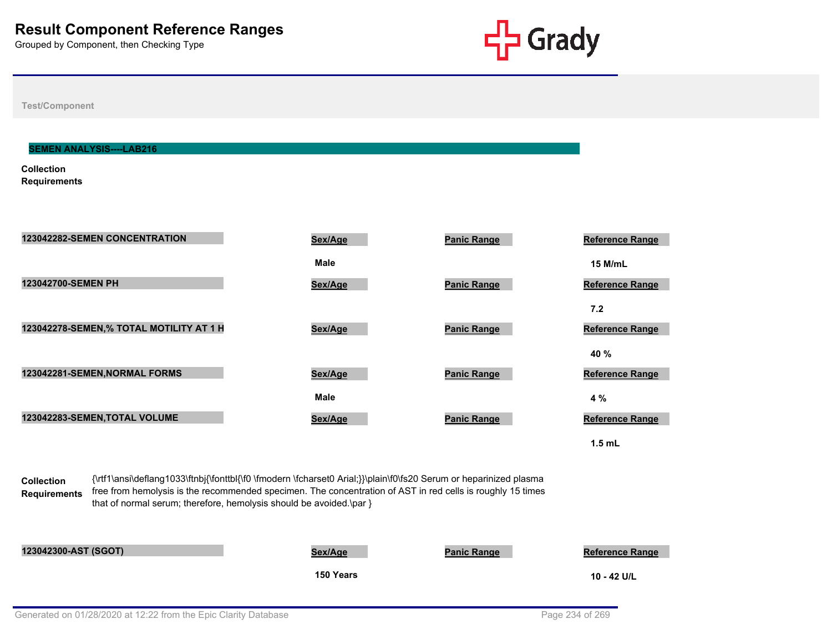

**Test/Component**

#### **SEMEN ANALYSIS----LAB216**

**Collection Requirements**



**1.5 mL**

**Collection Requirements** {\rtf1\ansi\deflang1033\ftnbj{\fonttbl{\f0 \fmodern \fcharset0 Arial;}}\plain\f0\fs20 Serum or heparinized plasma free from hemolysis is the recommended specimen. The concentration of AST in red cells is roughly 15 times that of normal serum; therefore, hemolysis should be avoided.\par }

**123042300-AST (SGOT) Sex/Age Panic Range Reference Range**

**150 Years 10 - 42 U/L**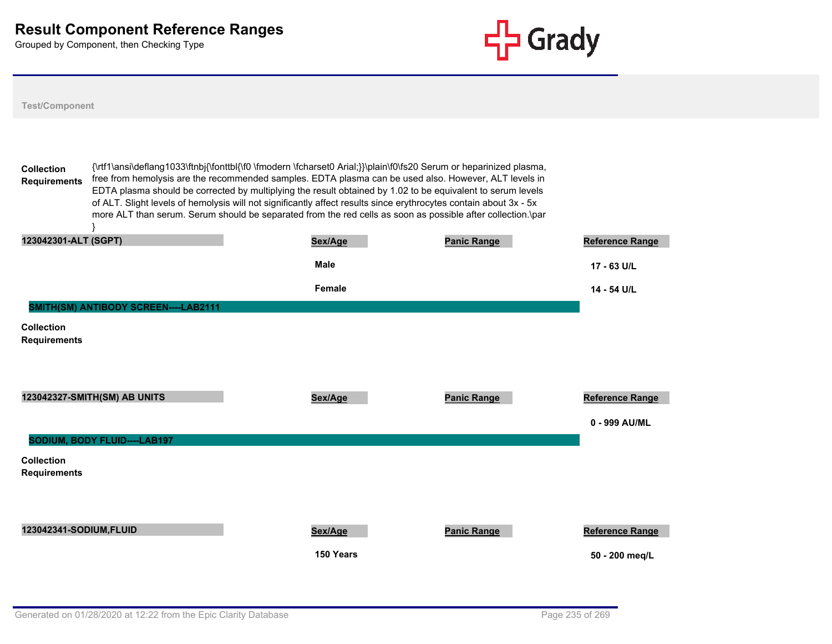

| <b>Test/Component</b>                               |                                                                                                                                                                                                                                                                                                                                                                                                                                                                                                                                                                                |                    |                                         |
|-----------------------------------------------------|--------------------------------------------------------------------------------------------------------------------------------------------------------------------------------------------------------------------------------------------------------------------------------------------------------------------------------------------------------------------------------------------------------------------------------------------------------------------------------------------------------------------------------------------------------------------------------|--------------------|-----------------------------------------|
| <b>Collection</b><br><b>Requirements</b>            | {\rtf1\ansi\deflang1033\ftnbj{\fonttbl{\f0 \fmodern \fcharset0 Arial;}}\plain\f0\fs20 Serum or heparinized plasma,<br>free from hemolysis are the recommended samples. EDTA plasma can be used also. However, ALT levels in<br>EDTA plasma should be corrected by multiplying the result obtained by 1.02 to be equivalent to serum levels<br>of ALT. Slight levels of hemolysis will not significantly affect results since erythrocytes contain about 3x - 5x<br>more ALT than serum. Serum should be separated from the red cells as soon as possible after collection.\par |                    |                                         |
| 123042301-ALT (SGPT)                                | Sex/Age                                                                                                                                                                                                                                                                                                                                                                                                                                                                                                                                                                        | <b>Panic Range</b> | Reference Range                         |
|                                                     | <b>Male</b>                                                                                                                                                                                                                                                                                                                                                                                                                                                                                                                                                                    |                    | 17 - 63 U/L                             |
|                                                     | Female                                                                                                                                                                                                                                                                                                                                                                                                                                                                                                                                                                         |                    | 14 - 54 U/L                             |
| <b>Requirements</b><br>123042327-SMITH(SM) AB UNITS | Sex/Age                                                                                                                                                                                                                                                                                                                                                                                                                                                                                                                                                                        | <b>Panic Range</b> | <b>Reference Range</b><br>0 - 999 AU/ML |
| SODIUM, BODY FLUID----LAB197                        |                                                                                                                                                                                                                                                                                                                                                                                                                                                                                                                                                                                |                    |                                         |
| <b>Collection</b><br><b>Requirements</b>            |                                                                                                                                                                                                                                                                                                                                                                                                                                                                                                                                                                                |                    |                                         |
| 123042341-SODIUM, FLUID                             | Sex/Age<br>150 Years                                                                                                                                                                                                                                                                                                                                                                                                                                                                                                                                                           | <b>Panic Range</b> | Reference Range<br>50 - 200 meg/L       |
|                                                     |                                                                                                                                                                                                                                                                                                                                                                                                                                                                                                                                                                                |                    |                                         |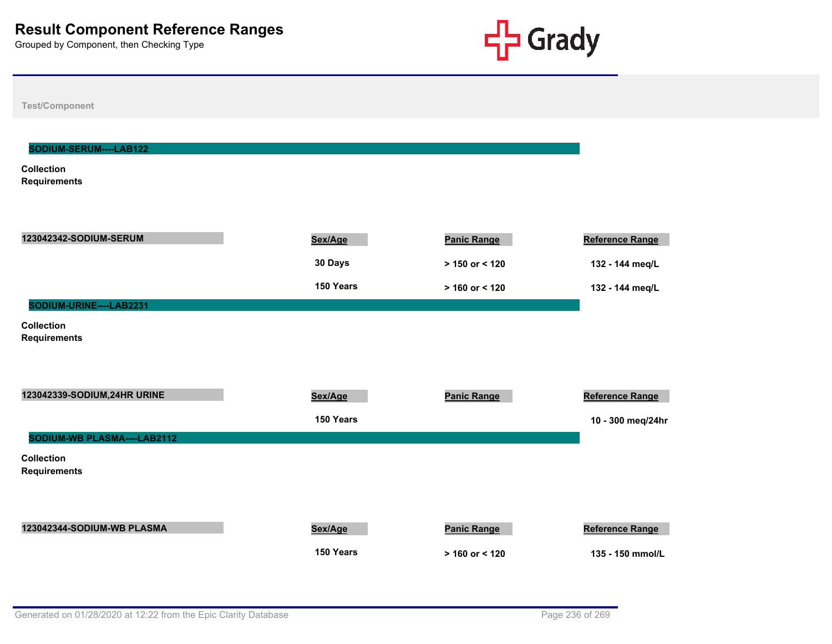

**Test/Component**

#### **SODIUM-SERUM----LAB122**

**Collection Requirements**

| 123042342-SODIUM-SERUM                   | Sex/Age   | <b>Panic Range</b> | Reference Range   |
|------------------------------------------|-----------|--------------------|-------------------|
|                                          | 30 Days   | $> 150$ or < 120   | 132 - 144 meq/L   |
|                                          | 150 Years | $> 160$ or < 120   | 132 - 144 meq/L   |
| SODIUM-URINE----LAB2231                  |           |                    |                   |
| <b>Collection</b><br><b>Requirements</b> |           |                    |                   |
| 123042339-SODIUM, 24HR URINE             | Sex/Age   | <b>Panic Range</b> | Reference Range   |
|                                          | 150 Years |                    | 10 - 300 meg/24hr |
| SODIUM-WB PLASMA----LAB2112              |           |                    |                   |
| <b>Collection</b><br><b>Requirements</b> |           |                    |                   |
| 123042344-SODIUM-WB PLASMA               | Sex/Age   | <b>Panic Range</b> | Reference Range   |
|                                          | 150 Years | $> 160$ or < 120   | 135 - 150 mmol/L  |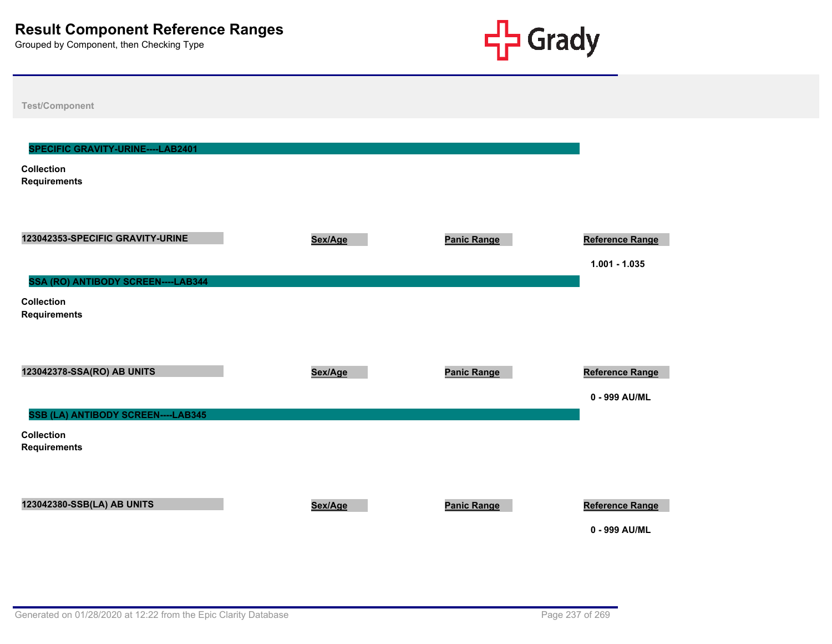

| <b>Test/Component</b>                                                          |         |                    |                                    |
|--------------------------------------------------------------------------------|---------|--------------------|------------------------------------|
| SPECIFIC GRAVITY-URINE----LAB2401<br><b>Collection</b>                         |         |                    |                                    |
| <b>Requirements</b>                                                            |         |                    |                                    |
| 123042353-SPECIFIC GRAVITY-URINE<br>SSA (RO) ANTIBODY SCREEN----LAB344         | Sex/Age | <b>Panic Range</b> | Reference Range<br>$1.001 - 1.035$ |
| <b>Collection</b><br><b>Requirements</b>                                       |         |                    |                                    |
| 123042378-SSA(RO) AB UNITS                                                     | Sex/Age | <b>Panic Range</b> | Reference Range<br>0 - 999 AU/ML   |
| SSB (LA) ANTIBODY SCREEN----LAB345<br><b>Collection</b><br><b>Requirements</b> |         |                    |                                    |
| 123042380-SSB(LA) AB UNITS                                                     | Sex/Age | <b>Panic Range</b> | Reference Range<br>0 - 999 AU/ML   |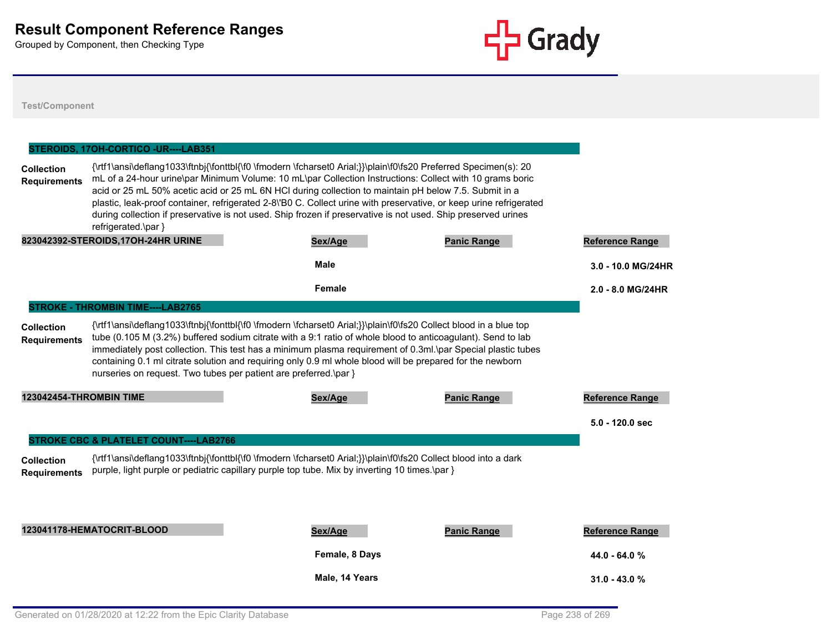

|                                          | STEROIDS, 17OH-CORTICO - UR---- LAB351                           |                                                                                                                                                                                                                                                                                                                                                                                                                                                                                                                                                                             |                    |                        |
|------------------------------------------|------------------------------------------------------------------|-----------------------------------------------------------------------------------------------------------------------------------------------------------------------------------------------------------------------------------------------------------------------------------------------------------------------------------------------------------------------------------------------------------------------------------------------------------------------------------------------------------------------------------------------------------------------------|--------------------|------------------------|
| <b>Collection</b><br><b>Requirements</b> | refrigerated.\par }                                              | {\rtf1\ansi\deflang1033\ftnbj{\fonttbl{\f0 \fmodern \fcharset0 Arial;}}\plain\f0\fs20 Preferred Specimen(s): 20<br>mL of a 24-hour urine\par Minimum Volume: 10 mL\par Collection Instructions: Collect with 10 grams boric<br>acid or 25 mL 50% acetic acid or 25 mL 6N HCI during collection to maintain pH below 7.5. Submit in a<br>plastic, leak-proof container, refrigerated 2-8\'B0 C. Collect urine with preservative, or keep urine refrigerated<br>during collection if preservative is not used. Ship frozen if preservative is not used. Ship preserved urines |                    |                        |
|                                          | 823042392-STEROIDS, 17OH-24HR URINE                              | Sex/Age                                                                                                                                                                                                                                                                                                                                                                                                                                                                                                                                                                     | <b>Panic Range</b> | <b>Reference Range</b> |
|                                          |                                                                  | <b>Male</b>                                                                                                                                                                                                                                                                                                                                                                                                                                                                                                                                                                 |                    | 3.0 - 10.0 MG/24HR     |
|                                          |                                                                  | Female                                                                                                                                                                                                                                                                                                                                                                                                                                                                                                                                                                      |                    | 2.0 - 8.0 MG/24HR      |
|                                          | <b>STROKE - THROMBIN TIME----LAB2765</b>                         |                                                                                                                                                                                                                                                                                                                                                                                                                                                                                                                                                                             |                    |                        |
| <b>Collection</b><br><b>Requirements</b> | nurseries on request. Two tubes per patient are preferred.\par } | {\rtf1\ansi\deflang1033\ftnbj{\fonttbl{\f0 \fmodern \fcharset0 Arial;}}\plain\f0\fs20 Collect blood in a blue top<br>tube (0.105 M (3.2%) buffered sodium citrate with a 9:1 ratio of whole blood to anticoagulant). Send to lab<br>immediately post collection. This test has a minimum plasma requirement of 0.3ml.\par Special plastic tubes<br>containing 0.1 ml citrate solution and requiring only 0.9 ml whole blood will be prepared for the newborn                                                                                                                |                    |                        |
| 123042454-THROMBIN TIME                  |                                                                  | Sex/Age                                                                                                                                                                                                                                                                                                                                                                                                                                                                                                                                                                     | <b>Panic Range</b> | <b>Reference Range</b> |
|                                          |                                                                  |                                                                                                                                                                                                                                                                                                                                                                                                                                                                                                                                                                             |                    | $5.0 - 120.0$ sec      |
|                                          | <b>STROKE CBC &amp; PLATELET COUNT----LAB2766</b>                |                                                                                                                                                                                                                                                                                                                                                                                                                                                                                                                                                                             |                    |                        |
| <b>Collection</b><br><b>Requirements</b> |                                                                  | {\rtf1\ansi\deflang1033\ftnbj{\fonttbl{\f0 \fmodern \fcharset0 Arial;}}\plain\f0\fs20 Collect blood into a dark<br>purple, light purple or pediatric capillary purple top tube. Mix by inverting 10 times. \par }                                                                                                                                                                                                                                                                                                                                                           |                    |                        |
|                                          | 123041178-HEMATOCRIT-BLOOD                                       | Sex/Age                                                                                                                                                                                                                                                                                                                                                                                                                                                                                                                                                                     | <b>Panic Range</b> | <b>Reference Range</b> |
|                                          |                                                                  | Female, 8 Days                                                                                                                                                                                                                                                                                                                                                                                                                                                                                                                                                              |                    | $44.0 - 64.0 %$        |
|                                          |                                                                  | Male, 14 Years                                                                                                                                                                                                                                                                                                                                                                                                                                                                                                                                                              |                    | $31.0 - 43.0 %$        |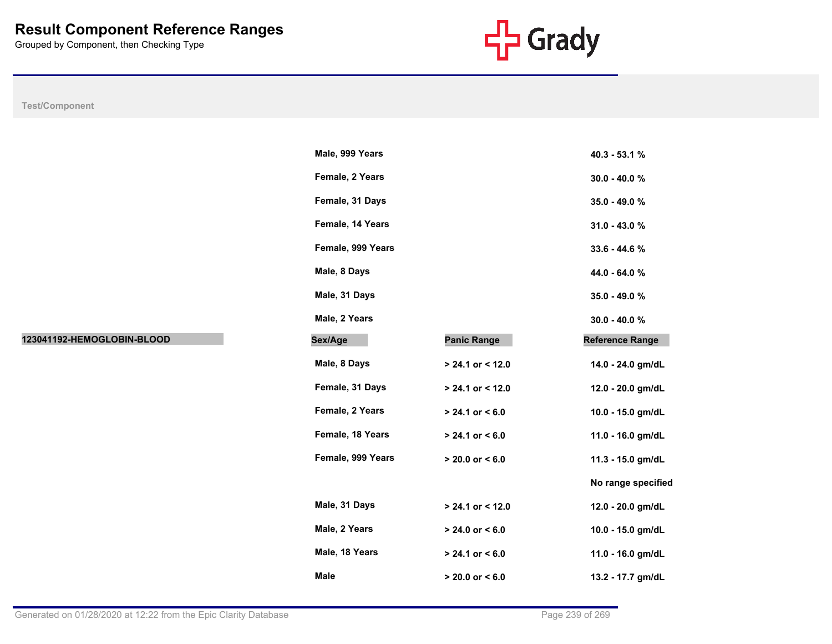

|                            | Male, 999 Years   |                     | 40.3 - 53.1 %          |
|----------------------------|-------------------|---------------------|------------------------|
|                            | Female, 2 Years   |                     | $30.0 - 40.0 %$        |
|                            | Female, 31 Days   |                     | 35.0 - 49.0 %          |
|                            | Female, 14 Years  |                     | $31.0 - 43.0 %$        |
|                            | Female, 999 Years |                     | 33.6 - 44.6 %          |
|                            | Male, 8 Days      |                     | 44.0 - 64.0 %          |
|                            | Male, 31 Days     |                     | 35.0 - 49.0 %          |
|                            | Male, 2 Years     |                     | $30.0 - 40.0 %$        |
| 123041192-HEMOGLOBIN-BLOOD | Sex/Age           | <b>Panic Range</b>  | <b>Reference Range</b> |
|                            | Male, 8 Days      | $> 24.1$ or < 12.0  | 14.0 - 24.0 gm/dL      |
|                            | Female, 31 Days   | > 24.1 or < 12.0    | 12.0 - 20.0 gm/dL      |
|                            | Female, 2 Years   | $> 24.1$ or < 6.0   | 10.0 - 15.0 gm/dL      |
|                            | Female, 18 Years  | $> 24.1$ or $< 6.0$ | 11.0 - 16.0 gm/dL      |
|                            | Female, 999 Years | $> 20.0$ or $< 6.0$ | 11.3 - 15.0 gm/dL      |
|                            |                   |                     | No range specified     |
|                            | Male, 31 Days     | $> 24.1$ or < 12.0  | 12.0 - 20.0 gm/dL      |
|                            | Male, 2 Years     | $> 24.0$ or $< 6.0$ | 10.0 - 15.0 gm/dL      |
|                            | Male, 18 Years    | $> 24.1$ or < 6.0   | 11.0 - 16.0 gm/dL      |
|                            | Male              | $> 20.0$ or $< 6.0$ | 13.2 - 17.7 gm/dL      |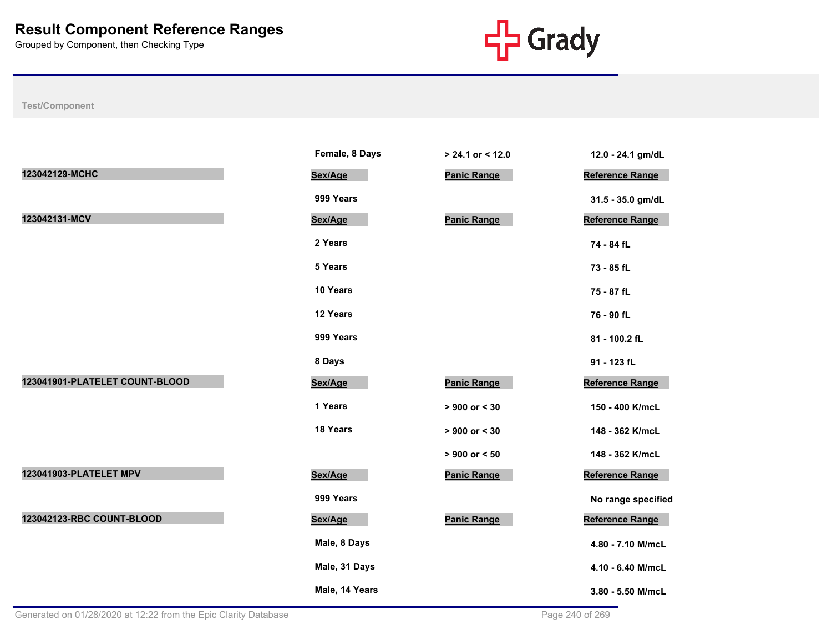

|                                | Female, 8 Days | > 24.1 or < 12.0   | 12.0 - 24.1 gm/dL      |
|--------------------------------|----------------|--------------------|------------------------|
| 123042129-MCHC                 | Sex/Age        | <b>Panic Range</b> | <b>Reference Range</b> |
|                                | 999 Years      |                    | 31.5 - 35.0 gm/dL      |
| 123042131-MCV                  | Sex/Age        | <b>Panic Range</b> | Reference Range        |
|                                | 2 Years        |                    | 74 - 84 fL             |
|                                | 5 Years        |                    | 73 - 85 fL             |
|                                | 10 Years       |                    | 75 - 87 fL             |
|                                | 12 Years       |                    | 76 - 90 fL             |
|                                | 999 Years      |                    | 81 - 100.2 fL          |
|                                | 8 Days         |                    | 91 - 123 fL            |
| 123041901-PLATELET COUNT-BLOOD | Sex/Age        | <b>Panic Range</b> | Reference Range        |
|                                | 1 Years        | $> 900$ or $< 30$  | 150 - 400 K/mcL        |
|                                | 18 Years       | $> 900$ or $< 30$  | 148 - 362 K/mcL        |
|                                |                | $> 900$ or $< 50$  | 148 - 362 K/mcL        |
| 123041903-PLATELET MPV         | Sex/Age        | <b>Panic Range</b> | Reference Range        |
|                                | 999 Years      |                    | No range specified     |
| 123042123-RBC COUNT-BLOOD      | Sex/Age        | <b>Panic Range</b> | <b>Reference Range</b> |
|                                | Male, 8 Days   |                    | 4.80 - 7.10 M/mcL      |
|                                | Male, 31 Days  |                    | 4.10 - 6.40 M/mcL      |
|                                | Male, 14 Years |                    | 3.80 - 5.50 M/mcL      |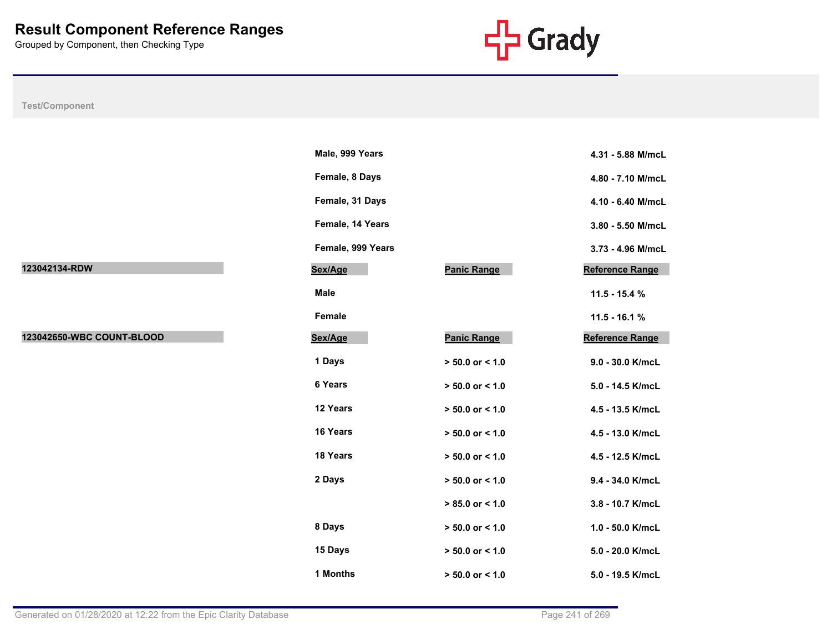

**Male, 999 Years 4.31 - 5.88 M/mcL**

**Female, 8 Days 4.80 - 7.10 M/mcL**

**Female, 31 Days 4.10 - 6.40 M/mcL**

**Female, 14 Years 3.80 - 5.50 M/mcL**

**Female, 999 Years 3.73 - 4.96 M/mcL**

**Reference Range** 

**Male 11.5 - 15.4 %**

**Female 11.5 - 16.1 % Reference Range** 

**1 Days > 50.0 or < 1.0 9.0 - 30.0 K/mcL**

**6 Years > 50.0 or < 1.0 5.0 - 14.5 K/mcL**

**12 Years > 50.0 or < 1.0 4.5 - 13.5 K/mcL**

**16 Years > 50.0 or < 1.0 4.5 - 13.0 K/mcL**

**18 Years > 50.0 or < 1.0 4.5 - 12.5 K/mcL**

**2 Days > 50.0 or < 1.0 9.4 - 34.0 K/mcL**

 **> 85.0 or < 1.0 3.8 - 10.7 K/mcL**

**8 Days > 50.0 or < 1.0 1.0 - 50.0 K/mcL**

**15 Days > 50.0 or < 1.0 5.0 - 20.0 K/mcL**

| Test/Component            |                   |                     |
|---------------------------|-------------------|---------------------|
|                           |                   |                     |
|                           | Male, 999 Years   |                     |
|                           | Female, 8 Days    |                     |
|                           | Female, 31 Days   |                     |
|                           | Female, 14 Years  |                     |
|                           | Female, 999 Years |                     |
| 123042134-RDW             | Sex/Age           | <b>Panic Range</b>  |
|                           | <b>Male</b>       |                     |
|                           | Female            |                     |
| 123042650-WBC COUNT-BLOOD | Sex/Age           | <b>Panic Range</b>  |
|                           | 1 Days            | $> 50.0$ or < 1.0   |
|                           | 6 Years           | $> 50.0$ or < 1.0   |
|                           | 12 Years          | $> 50.0$ or < 1.0   |
|                           | 16 Years          | $> 50.0$ or < 1.0   |
|                           | 18 Years          | $> 50.0$ or $< 1.0$ |
|                           | 2 Days            | $> 50.0$ or < 1.0   |
|                           |                   | $> 85.0$ or < 1.0   |
|                           | 8 Days            | $> 50.0$ or < 1.0   |
|                           | 15 Days           | $> 50.0$ or < 1.0   |

**1 Months > 50.0 or < 1.0 5.0 - 19.5 K/mcL**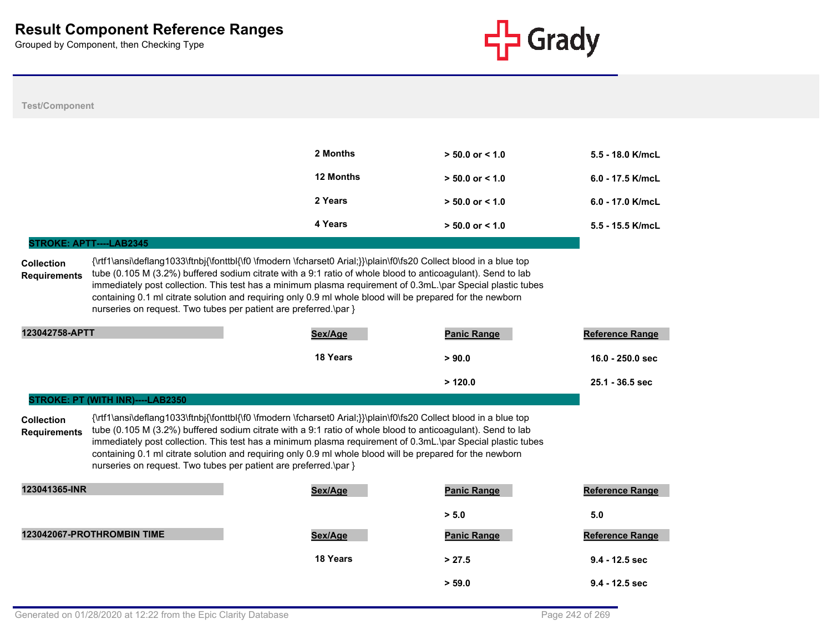

#### **Test/Component**

| 2 Months         | $> 50.0$ or $< 1.0$ | $5.5 - 18.0$ K/mcL |
|------------------|---------------------|--------------------|
| <b>12 Months</b> | $> 50.0$ or $< 1.0$ | $6.0 - 17.5$ K/mcL |
| 2 Years          | $> 50.0$ or $< 1.0$ | 6.0 - 17.0 K/mcL   |
| 4 Years          | $> 50.0$ or $< 1.0$ | $5.5 - 15.5$ K/mcL |

#### **STROKE: APTT----LAB2345**

**STROKE: PT (WITH INR)----LAB2350**

**Collection Requirements** {\rtf1\ansi\deflang1033\ftnbj{\fonttbl{\f0 \fmodern \fcharset0 Arial;}}\plain\f0\fs20 Collect blood in a blue top tube (0.105 M (3.2%) buffered sodium citrate with a 9:1 ratio of whole blood to anticoagulant). Send to lab immediately post collection. This test has a minimum plasma requirement of 0.3mL.\par Special plastic tubes containing 0.1 ml citrate solution and requiring only 0.9 ml whole blood will be prepared for the newborn nurseries on request. Two tubes per patient are preferred.\par }

| 123042758-APTT | Sex/Age  | <b>Panic Range</b> | <b>Reference Range</b> |
|----------------|----------|--------------------|------------------------|
|                | 18 Years | > 90.0             | 16.0 - 250.0 sec       |
|                |          | >120.0             | 25.1 - 36.5 sec        |

**Collection Requirements** {\rtf1\ansi\deflang1033\ftnbj{\fonttbl{\f0 \fmodern \fcharset0 Arial;}}\plain\f0\fs20 Collect blood in a blue top tube (0.105 M (3.2%) buffered sodium citrate with a 9:1 ratio of whole blood to anticoagulant). Send to lab immediately post collection. This test has a minimum plasma requirement of 0.3mL.\par Special plastic tubes containing 0.1 ml citrate solution and requiring only 0.9 ml whole blood will be prepared for the newborn nurseries on request. Two tubes per patient are preferred.\par }

| 123041365-INR              | Sex/Age  | <b>Panic Range</b> | <b>Reference Range</b> |
|----------------------------|----------|--------------------|------------------------|
|                            |          | > 5.0              | 5.0                    |
| 123042067-PROTHROMBIN TIME | Sex/Age  | <b>Panic Range</b> | <b>Reference Range</b> |
|                            | 18 Years | > 27.5             | $9.4 - 12.5$ sec       |
|                            |          | > 59.0             | $9.4 - 12.5$ sec       |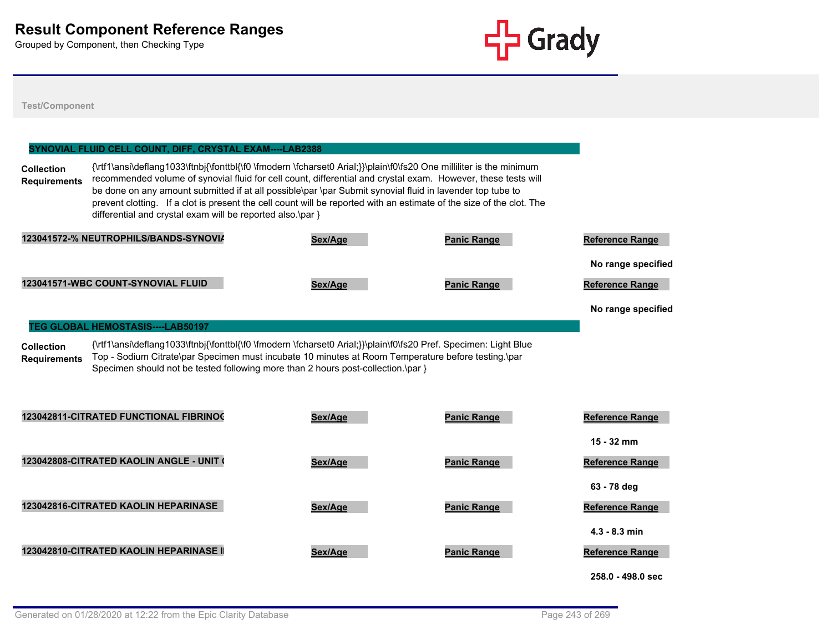

**Test/Component**

## **Collection Requirements** {\rtf1\ansi\deflang1033\ftnbj{\fonttbl{\f0 \fmodern \fcharset0 Arial;}}\plain\f0\fs20 One milliliter is the minimum recommended volume of synovial fluid for cell count, differential and crystal exam. However, these tests will be done on any amount submitted if at all possible\par \par Submit synovial fluid in lavender top tube to prevent clotting. If a clot is present the cell count will be reported with an estimate of the size of the clot. The differential and crystal exam will be reported also.\par } **SYNOVIAL FLUID CELL COUNT, DIFF, CRYSTAL EXAM----LAB2388 123041572-% NEUTROPHILS/BANDS-SYNOVIAL FLUID Sex/Age Panic Range Reference Range No range specified % 123041571-WBC COUNT-SYNOVIAL FLUID Sex/Age Panic Range Reference Range No range specified Collection Requirements** {\rtf1\ansi\deflang1033\ftnbj{\fonttbl{\f0 \fmodern \fcharset0 Arial;}}\plain\f0\fs20 Pref. Specimen: Light Blue Top - Sodium Citrate\par Specimen must incubate 10 minutes at Room Temperature before testing.\par Specimen should not be tested following more than 2 hours post-collection.\par } **TEG GLOBAL HEMOSTASIS----LAB50197 123042811-CITRATED FUNCTIONAL FIBRINOGEN MAXIMUM AMPLITUDE Sex/Age Panic Range Reference Range**

**15 - 32 mm 123042808-CITRATED KAOLIN ANGLE - UNIT OF DEGREES Sex/Age Panic Range Reference Range 63 - 78 deg 123042816-CITRATED KAOLIN HEPARINASE Sex/Age Panic Range Reference Range 4.3 - 8.3 min** 123042810-CITRATED KAOLIN HEPARINASE I **Reference Range** Sex/Age **Panic Range** Panic Range Reference Range **258.0 - 498.0 sec**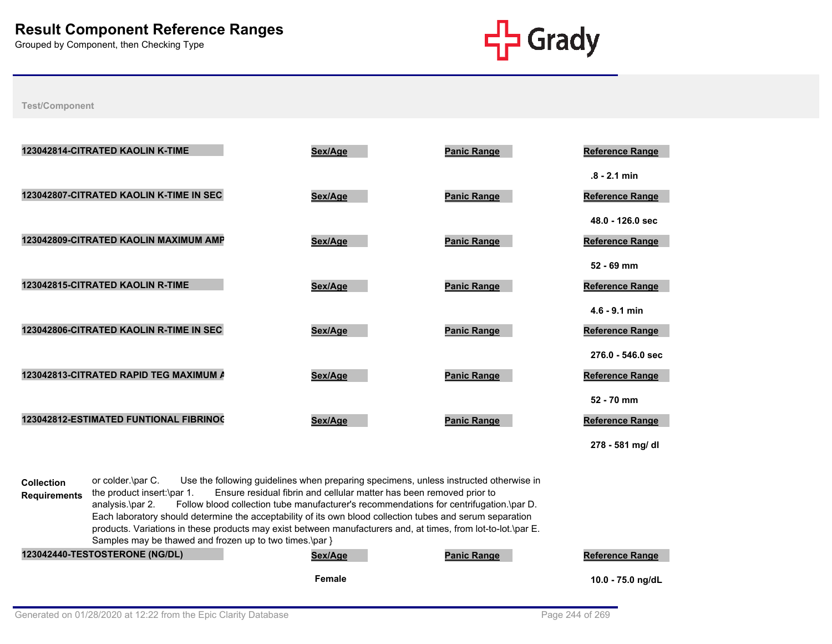

**Test/Component**

| 123042814-CITRATED KAOLIN K-TIME        | Sex/Age | <b>Panic Range</b> | <b>Reference Range</b>                                   |
|-----------------------------------------|---------|--------------------|----------------------------------------------------------|
| 123042807-CITRATED KAOLIN K-TIME IN SEC | Sex/Age | <b>Panic Range</b> | $.8 - 2.1$ min<br><b>Reference Range</b>                 |
| 123042809-CITRATED KAOLIN MAXIMUM AMP   | Sex/Age | <b>Panic Range</b> | 48.0 - 126.0 sec<br><b>Reference Range</b>               |
| 123042815-CITRATED KAOLIN R-TIME        | Sex/Age | <b>Panic Range</b> | $52 - 69$ mm<br>Reference Range                          |
| 123042806-CITRATED KAOLIN R-TIME IN SEC | Sex/Age | <b>Panic Range</b> | $4.6 - 9.1$ min<br><b>Reference Range</b>                |
| 123042813-CITRATED RAPID TEG MAXIMUM A  | Sex/Age | <b>Panic Range</b> | 276.0 - 546.0 sec<br>Reference Range                     |
| 123042812-ESTIMATED FUNTIONAL FIBRINOC  | Sex/Age | <b>Panic Range</b> | 52 - 70 mm<br><b>Reference Range</b><br>278 - 581 mg/ dl |

**Collection Requirements** or colder.\par C. Use the following guidelines when preparing specimens, unless instructed otherwise in the product insert:\par 1. Ensure residual fibrin and cellular matter has been removed prior to analysis.\par 2. Follow blood collection tube manufacturer's recommendations for centrifugation.\par D. Each laboratory should determine the acceptability of its own blood collection tubes and serum separation products. Variations in these products may exist between manufacturers and, at times, from lot-to-lot.\par E. Samples may be thawed and frozen up to two times.\par }

| <b>123042440-TESTOSTERONE (NG/DL)</b> | Sex/Age | <b>Panic Range</b> | <b>Reference Range</b> |
|---------------------------------------|---------|--------------------|------------------------|
|                                       | Female  |                    | 10.0 - 75.0 ng/dL      |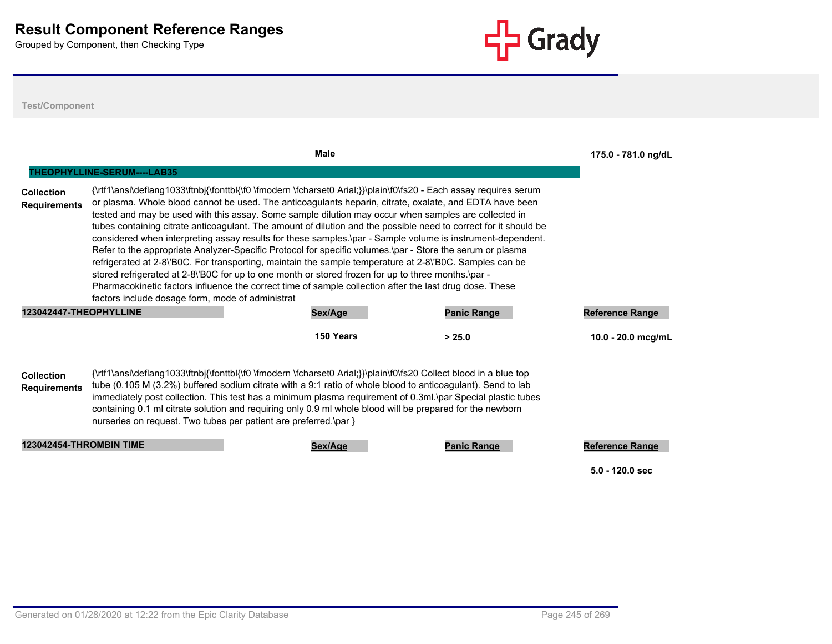

|                        |                                                  | <b>Male</b>                                                                                                                                                                                                                                                                                                                                                                                                                                                                                                                                                                                                                                                                                                                                                                     |                    | 175.0 - 781.0 ng/dL    |
|------------------------|--------------------------------------------------|---------------------------------------------------------------------------------------------------------------------------------------------------------------------------------------------------------------------------------------------------------------------------------------------------------------------------------------------------------------------------------------------------------------------------------------------------------------------------------------------------------------------------------------------------------------------------------------------------------------------------------------------------------------------------------------------------------------------------------------------------------------------------------|--------------------|------------------------|
| Collection             | <b>THEOPHYLLINE-SERUM----LAB35</b>               | {\rtf1\ansi\deflang1033\ftnbj{\fonttbl{\f0 \fmodern \fcharset0 Arial;}}\plain\f0\fs20 - Each assay requires serum                                                                                                                                                                                                                                                                                                                                                                                                                                                                                                                                                                                                                                                               |                    |                        |
| <b>Requirements</b>    |                                                  | or plasma. Whole blood cannot be used. The anticoagulants heparin, citrate, oxalate, and EDTA have been<br>tested and may be used with this assay. Some sample dilution may occur when samples are collected in<br>tubes containing citrate anticoagulant. The amount of dilution and the possible need to correct for it should be<br>considered when interpreting assay results for these samples.\par - Sample volume is instrument-dependent.<br>Refer to the appropriate Analyzer-Specific Protocol for specific volumes.\par - Store the serum or plasma<br>refrigerated at 2-8\'B0C. For transporting, maintain the sample temperature at 2-8\'B0C. Samples can be<br>stored refrigerated at 2-8\'BOC for up to one month or stored frozen for up to three months.\par - |                    |                        |
|                        | factors include dosage form, mode of administrat | Pharmacokinetic factors influence the correct time of sample collection after the last drug dose. These                                                                                                                                                                                                                                                                                                                                                                                                                                                                                                                                                                                                                                                                         |                    |                        |
| 123042447-THEOPHYLLINE |                                                  | Sex/Age                                                                                                                                                                                                                                                                                                                                                                                                                                                                                                                                                                                                                                                                                                                                                                         | <b>Panic Range</b> | <b>Reference Range</b> |
|                        |                                                  | 150 Years                                                                                                                                                                                                                                                                                                                                                                                                                                                                                                                                                                                                                                                                                                                                                                       | > 25.0             | 10.0 - 20.0 mcg/mL     |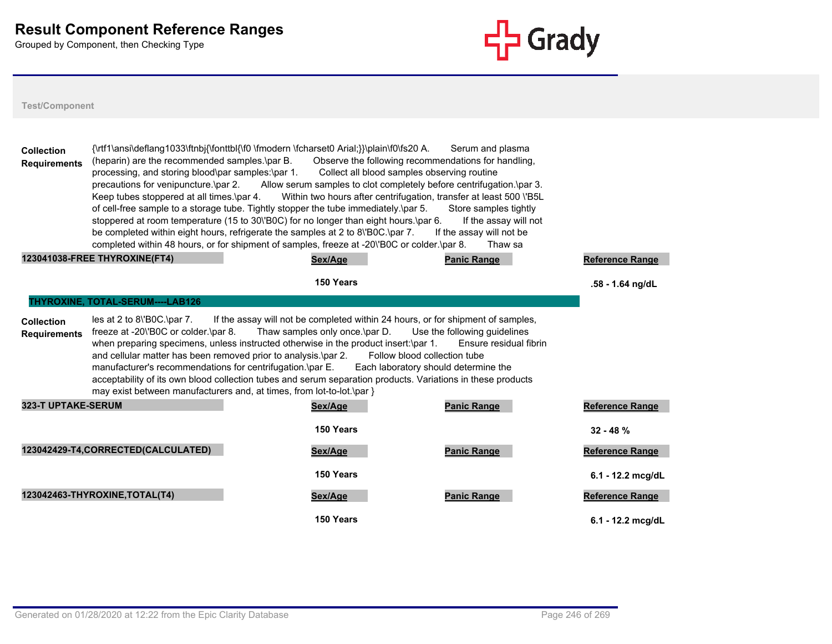

| <b>Collection</b><br><b>Requirements</b> | (heparin) are the recommended samples.\par B.<br>processing, and storing blood\par samples:\par 1.<br>precautions for venipuncture.\par 2.<br>Keep tubes stoppered at all times.\par 4.<br>123041038-FREE THYROXINE(FT4) | {\rtf1\ansi\deflang1033\ftnbj{\fonttbl{\f0 \fmodern \fcharset0 Arial;}}\plain\f0\fs20 A.<br>Collect all blood samples observing routine<br>Allow serum samples to clot completely before centrifugation.\par 3.<br>Within two hours after centrifugation, transfer at least 500 \'B5L<br>of cell-free sample to a storage tube. Tightly stopper the tube immediately.\par 5.<br>stoppered at room temperature (15 to 30\'B0C) for no longer than eight hours.\par 6.<br>be completed within eight hours, refrigerate the samples at 2 to 8\'B0C.\par 7.<br>completed within 48 hours, or for shipment of samples, freeze at -20\'B0C or colder.\par 8.<br>Sex/Age | Serum and plasma<br>Observe the following recommendations for handling,<br>Store samples tightly<br>If the assay will not<br>If the assay will not be<br>Thaw sa<br><b>Panic Range</b> | Reference Range                        |
|------------------------------------------|--------------------------------------------------------------------------------------------------------------------------------------------------------------------------------------------------------------------------|-------------------------------------------------------------------------------------------------------------------------------------------------------------------------------------------------------------------------------------------------------------------------------------------------------------------------------------------------------------------------------------------------------------------------------------------------------------------------------------------------------------------------------------------------------------------------------------------------------------------------------------------------------------------|----------------------------------------------------------------------------------------------------------------------------------------------------------------------------------------|----------------------------------------|
|                                          |                                                                                                                                                                                                                          | 150 Years                                                                                                                                                                                                                                                                                                                                                                                                                                                                                                                                                                                                                                                         |                                                                                                                                                                                        | .58 - 1.64 ng/dL                       |
|                                          | THYROXINE, TOTAL-SERUM----LAB126                                                                                                                                                                                         |                                                                                                                                                                                                                                                                                                                                                                                                                                                                                                                                                                                                                                                                   |                                                                                                                                                                                        |                                        |
| <b>Collection</b><br><b>Requirements</b> | $les$ at 2 to 8\'B0C.\par 7.<br>freeze at -20\'B0C or colder.\par 8.<br>manufacturer's recommendations for centrifugation.\par E.                                                                                        | If the assay will not be completed within 24 hours, or for shipment of samples,<br>Thaw samples only once.\par D.<br>when preparing specimens, unless instructed otherwise in the product insert:\par 1.<br>and cellular matter has been removed prior to analysis.\par 2. Follow blood collection tube<br>acceptability of its own blood collection tubes and serum separation products. Variations in these products<br>may exist between manufacturers and, at times, from lot-to-lot.\par }                                                                                                                                                                   | Use the following quidelines<br>Ensure residual fibrin<br>Each laboratory should determine the                                                                                         |                                        |
| <b>323-T UPTAKE-SERUM</b>                |                                                                                                                                                                                                                          | Sex/Age                                                                                                                                                                                                                                                                                                                                                                                                                                                                                                                                                                                                                                                           | <b>Panic Range</b>                                                                                                                                                                     | Reference Range                        |
|                                          | 123042429-T4,CORRECTED(CALCULATED)                                                                                                                                                                                       | 150 Years<br>Sex/Age                                                                                                                                                                                                                                                                                                                                                                                                                                                                                                                                                                                                                                              | <b>Panic Range</b>                                                                                                                                                                     | $32 - 48 \%$<br><b>Reference Range</b> |
|                                          |                                                                                                                                                                                                                          | 150 Years                                                                                                                                                                                                                                                                                                                                                                                                                                                                                                                                                                                                                                                         |                                                                                                                                                                                        | 6.1 - 12.2 mcg/dL                      |
|                                          | 123042463-THYROXINE, TOTAL(T4)                                                                                                                                                                                           | Sex/Age                                                                                                                                                                                                                                                                                                                                                                                                                                                                                                                                                                                                                                                           | <b>Panic Range</b>                                                                                                                                                                     | <b>Reference Range</b>                 |
|                                          |                                                                                                                                                                                                                          | 150 Years                                                                                                                                                                                                                                                                                                                                                                                                                                                                                                                                                                                                                                                         |                                                                                                                                                                                        | $6.1 - 12.2$ mca/dL                    |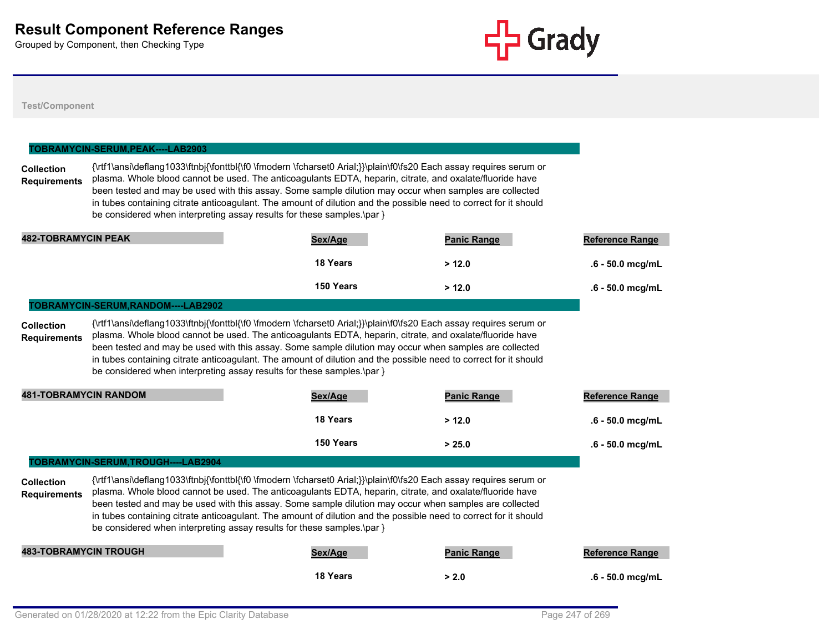

#### **Test/Component**

### **Collection Requirements** {\rtf1\ansi\deflang1033\ftnbj{\fonttbl{\f0 \fmodern \fcharset0 Arial;}}\plain\f0\fs20 Each assay requires serum or plasma. Whole blood cannot be used. The anticoagulants EDTA, heparin, citrate, and oxalate/fluoride have been tested and may be used with this assay. Some sample dilution may occur when samples are collected in tubes containing citrate anticoagulant. The amount of dilution and the possible need to correct for it should be considered when interpreting assay results for these samples.\par } **TOBRAMYCIN-SERUM,PEAK----LAB2903 482-TOBRAMYCIN PEAK Sex/Age Panic Range Reference Range 18 Years > 12.0 .6 - 50.0 mcg/mL 150 Years > 12.0 .6 - 50.0 mcg/mL Collection Requirements** {\rtf1\ansi\deflang1033\ftnbj{\fonttbl{\f0 \fmodern \fcharset0 Arial;}}\plain\f0\fs20 Each assay requires serum or plasma. Whole blood cannot be used. The anticoagulants EDTA, heparin, citrate, and oxalate/fluoride have been tested and may be used with this assay. Some sample dilution may occur when samples are collected in tubes containing citrate anticoagulant. The amount of dilution and the possible need to correct for it should be considered when interpreting assay results for these samples.\par } **TOBRAMYCIN-SERUM,RANDOM----LAB2902 481-TOBRAMYCIN RANDOM Sex/Age Panic Range Reference Range 18 Years > 12.0 .6 - 50.0 mcg/mL 150 Years > 25.0 .6 - 50.0 mcg/mL Collection Requirements** {\rtf1\ansi\deflang1033\ftnbj{\fonttbl{\f0 \fmodern \fcharset0 Arial;}}\plain\f0\fs20 Each assay requires serum or plasma. Whole blood cannot be used. The anticoagulants EDTA, heparin, citrate, and oxalate/fluoride have been tested and may be used with this assay. Some sample dilution may occur when samples are collected in tubes containing citrate anticoagulant. The amount of dilution and the possible need to correct for it should be considered when interpreting assay results for these samples.\par } **TOBRAMYCIN-SERUM,TROUGH----LAB2904 483-TOBRAMYCIN TROUGH Sex/Age Panic Range Reference Range 18 Years > 2.0 .6 - 50.0 mcg/mL**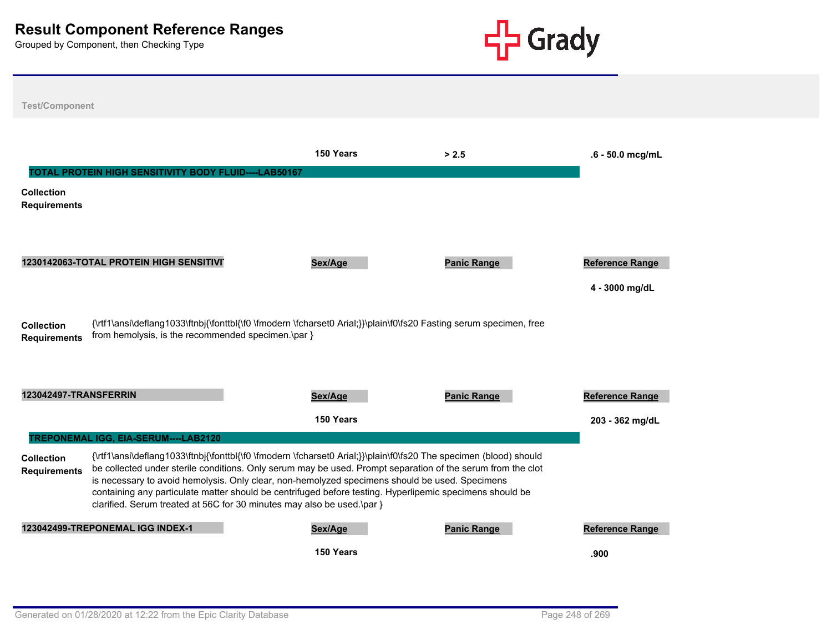

**Test/Component 150 Years > 2.5 .6 - 50.0 mcg/mL Collection Requirements TOTAL PROTEIN HIGH SENSITIVITY BODY FLUID----LAB50167** 1230142063-TOTAL PROTEIN HIGH SENSITIVIT **Reference Range Reference Range Reference Range Reference Range 4 - 3000 mg/dL Collection Requirements** {\rtf1\ansi\deflang1033\ftnbj{\fonttbl{\f0 \fmodern \fcharset0 Arial;}}\plain\f0\fs20 Fasting serum specimen, free from hemolysis, is the recommended specimen.\par } **123042497-TRANSFERRIN Sex/Age Panic Range Reference Range 150 Years 203 - 362 mg/dL Collection Requirements** {\rtf1\ansi\deflang1033\ftnbj{\fonttbl{\f0 \fmodern \fcharset0 Arial;}}\plain\f0\fs20 The specimen (blood) should be collected under sterile conditions. Only serum may be used. Prompt separation of the serum from the clot is necessary to avoid hemolysis. Only clear, non-hemolyzed specimens should be used. Specimens containing any particulate matter should be centrifuged before testing. Hyperlipemic specimens should be clarified. Serum treated at 56C for 30 minutes may also be used.\par } **TREPONEMAL IGG, EIA-SERUM----LAB2120 123042499-TREPONEMAL IGG INDEX-1 Sex/Age Panic Range Reference Range 150 Years .900**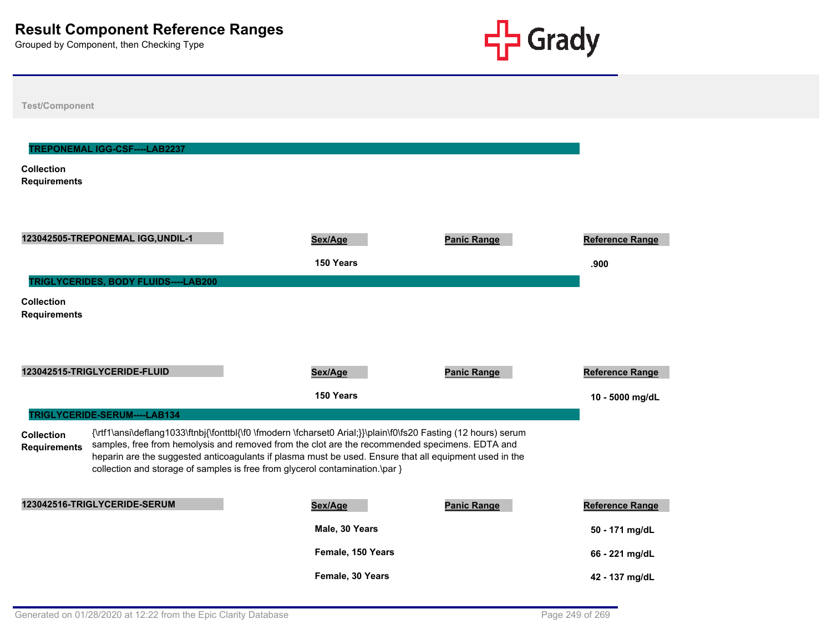

| <b>Test/Component</b>                    |                                                                                                                                                                                                                                                                                                                                                                                                            |                                       |                    |                                           |
|------------------------------------------|------------------------------------------------------------------------------------------------------------------------------------------------------------------------------------------------------------------------------------------------------------------------------------------------------------------------------------------------------------------------------------------------------------|---------------------------------------|--------------------|-------------------------------------------|
| <b>Collection</b><br><b>Requirements</b> | TREPONEMAL IGG-CSF----LAB2237                                                                                                                                                                                                                                                                                                                                                                              |                                       |                    |                                           |
|                                          | 123042505-TREPONEMAL IGG, UNDIL-1                                                                                                                                                                                                                                                                                                                                                                          | Sex/Age<br>150 Years                  | <b>Panic Range</b> | <b>Reference Range</b><br>.900            |
| <b>Collection</b><br><b>Requirements</b> | TRIGLYCERIDES, BODY FLUIDS----LAB200                                                                                                                                                                                                                                                                                                                                                                       |                                       |                    |                                           |
|                                          | 123042515-TRIGLYCERIDE-FLUID<br>TRIGLYCERIDE-SERUM----LAB134                                                                                                                                                                                                                                                                                                                                               | Sex/Age<br>150 Years                  | <b>Panic Range</b> | <b>Reference Range</b><br>10 - 5000 mg/dL |
| <b>Collection</b><br><b>Requirements</b> | {\rtf1\ansi\deflang1033\ftnbj{\fonttbl{\f0 \fmodern \fcharset0 Arial;}}\plain\f0\fs20 Fasting (12 hours) serum<br>samples, free from hemolysis and removed from the clot are the recommended specimens. EDTA and<br>heparin are the suggested anticoagulants if plasma must be used. Ensure that all equipment used in the<br>collection and storage of samples is free from glycerol contamination.\par } |                                       |                    |                                           |
|                                          | 123042516-TRIGLYCERIDE-SERUM                                                                                                                                                                                                                                                                                                                                                                               | Sex/Age<br>Male, 30 Years             | <b>Panic Range</b> | <b>Reference Range</b><br>50 - 171 mg/dL  |
|                                          |                                                                                                                                                                                                                                                                                                                                                                                                            | Female, 150 Years<br>Female, 30 Years |                    | 66 - 221 mg/dL<br>42 - 137 mg/dL          |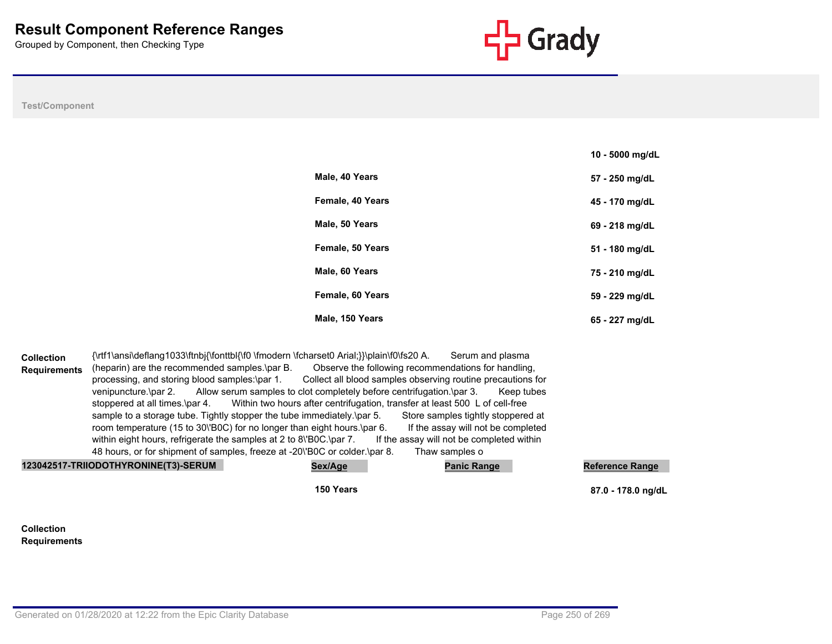

**10 - 5000 mg/dL**

#### **Test/Component**

| Male, 40 Years   | 57 - 250 mg/dL |
|------------------|----------------|
| Female, 40 Years | 45 - 170 mg/dL |
| Male, 50 Years   | 69 - 218 mg/dL |
| Female, 50 Years | 51 - 180 mg/dL |
| Male, 60 Years   | 75 - 210 mg/dL |
| Female, 60 Years | 59 - 229 mg/dL |
| Male, 150 Years  | 65 - 227 mg/dL |

**Collection Requirements** {\rtf1\ansi\deflang1033\ftnbj{\fonttbl{\f0 \fmodern \fcharset0 Arial;}}\plain\f0\fs20 A. Serum and plasma (heparin) are the recommended samples.\par B. Observe the following recommendations for handling, processing, and storing blood samples:\par 1. Collect all blood samples observing routine precautions for venipuncture.\par 2. Allow serum samples to clot completely before centrifugation.\par 3. Keep tubes stoppered at all times.\par 4. Within two hours after centrifugation, transfer at least 500 L of cell-free sample to a storage tube. Tightly stopper the tube immediately.\par 5. Store samples tightly stoppered at room temperature (15 to 30\'B0C) for no longer than eight hours.\par 6. If the assay will not be completed within eight hours, refrigerate the samples at 2 to 8\'B0C.\par 7. If the assay will not be completed within 48 hours, or for shipment of samples, freeze at -20\'B0C or colder.\par 8. Thaw samples o

| 123042517-TRIIODOTHYRONINE(T3)-SERUM | Sex/Age   | <b>Panic Range</b> | Reference Range    |
|--------------------------------------|-----------|--------------------|--------------------|
|                                      | 150 Years |                    | 87.0 - 178.0 ng/dL |

#### **Collection Requirements**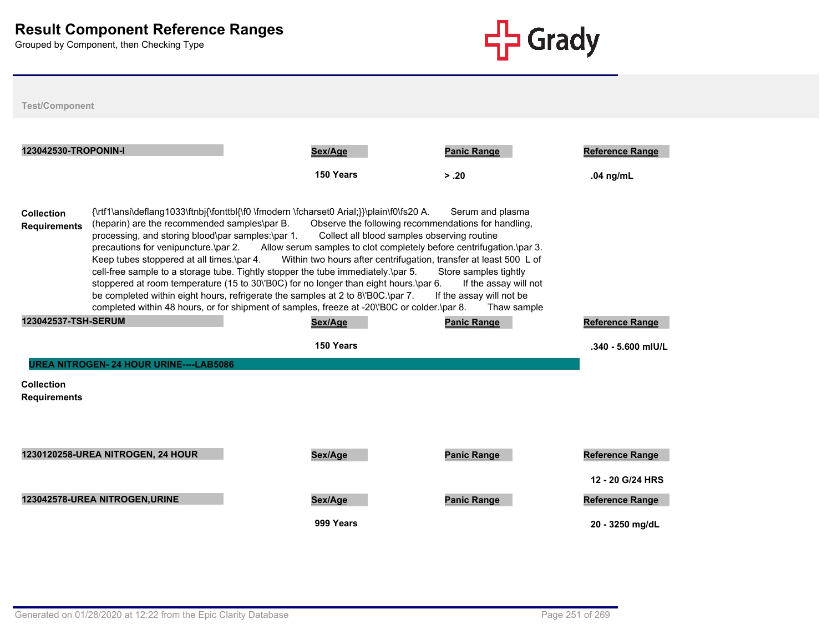

| <b>Test/Component</b>                                                                                                                                                                                                                                                                                                                                                                                                                                                                                                                                                                                                                                                                                                                                                                                                                                                                                                                                                                                                                                     |                                                |                      |                             |                                       |  |
|-----------------------------------------------------------------------------------------------------------------------------------------------------------------------------------------------------------------------------------------------------------------------------------------------------------------------------------------------------------------------------------------------------------------------------------------------------------------------------------------------------------------------------------------------------------------------------------------------------------------------------------------------------------------------------------------------------------------------------------------------------------------------------------------------------------------------------------------------------------------------------------------------------------------------------------------------------------------------------------------------------------------------------------------------------------|------------------------------------------------|----------------------|-----------------------------|---------------------------------------|--|
| 123042530-TROPONIN-I                                                                                                                                                                                                                                                                                                                                                                                                                                                                                                                                                                                                                                                                                                                                                                                                                                                                                                                                                                                                                                      |                                                | Sex/Age<br>150 Years | <b>Panic Range</b><br>> .20 | <b>Reference Range</b><br>.04 $nq/mL$ |  |
| {\rtf1\ansi\deflang1033\ftnbj{\fonttbl{\f0 \fmodern \fcharset0 Arial;}}\plain\f0\fs20 A.<br>Serum and plasma<br>Collection<br>(heparin) are the recommended samples\par B.<br>Observe the following recommendations for handling,<br><b>Requirements</b><br>Collect all blood samples observing routine<br>processing, and storing blood\par samples:\par 1.<br>precautions for venipuncture.\par 2.<br>Allow serum samples to clot completely before centrifugation.\par 3.<br>Keep tubes stoppered at all times.\par 4.<br>Within two hours after centrifugation, transfer at least 500 L of<br>cell-free sample to a storage tube. Tightly stopper the tube immediately.\par 5.<br>Store samples tightly<br>stoppered at room temperature (15 to 30\'B0C) for no longer than eight hours.\par 6.<br>If the assay will not<br>be completed within eight hours, refrigerate the samples at 2 to 8\'B0C.\par 7.<br>If the assay will not be<br>completed within 48 hours, or for shipment of samples, freeze at -20\'B0C or colder.\par 8.<br>Thaw sample |                                                |                      |                             |                                       |  |
| 123042537-TSH-SERUM                                                                                                                                                                                                                                                                                                                                                                                                                                                                                                                                                                                                                                                                                                                                                                                                                                                                                                                                                                                                                                       |                                                | Sex/Age              | <b>Panic Range</b>          | Reference Range                       |  |
|                                                                                                                                                                                                                                                                                                                                                                                                                                                                                                                                                                                                                                                                                                                                                                                                                                                                                                                                                                                                                                                           |                                                | 150 Years            |                             | $.340 - 5.600$ mIU/L                  |  |
|                                                                                                                                                                                                                                                                                                                                                                                                                                                                                                                                                                                                                                                                                                                                                                                                                                                                                                                                                                                                                                                           | <b>UREA NITROGEN- 24 HOUR URINE----LAB5086</b> |                      |                             |                                       |  |
| <b>Collection</b><br><b>Requirements</b>                                                                                                                                                                                                                                                                                                                                                                                                                                                                                                                                                                                                                                                                                                                                                                                                                                                                                                                                                                                                                  |                                                |                      |                             |                                       |  |
|                                                                                                                                                                                                                                                                                                                                                                                                                                                                                                                                                                                                                                                                                                                                                                                                                                                                                                                                                                                                                                                           |                                                |                      |                             |                                       |  |
|                                                                                                                                                                                                                                                                                                                                                                                                                                                                                                                                                                                                                                                                                                                                                                                                                                                                                                                                                                                                                                                           |                                                |                      |                             |                                       |  |
|                                                                                                                                                                                                                                                                                                                                                                                                                                                                                                                                                                                                                                                                                                                                                                                                                                                                                                                                                                                                                                                           | 1230120258-UREA NITROGEN, 24 HOUR              | Sex/Age              | <b>Panic Range</b>          | Reference Range                       |  |
|                                                                                                                                                                                                                                                                                                                                                                                                                                                                                                                                                                                                                                                                                                                                                                                                                                                                                                                                                                                                                                                           |                                                |                      |                             | 12 - 20 G/24 HRS                      |  |
|                                                                                                                                                                                                                                                                                                                                                                                                                                                                                                                                                                                                                                                                                                                                                                                                                                                                                                                                                                                                                                                           | 123042578-UREA NITROGEN, URINE                 | Sex/Age              | <b>Panic Range</b>          | Reference Range                       |  |
|                                                                                                                                                                                                                                                                                                                                                                                                                                                                                                                                                                                                                                                                                                                                                                                                                                                                                                                                                                                                                                                           |                                                | 999 Years            |                             | 20 - 3250 mg/dL                       |  |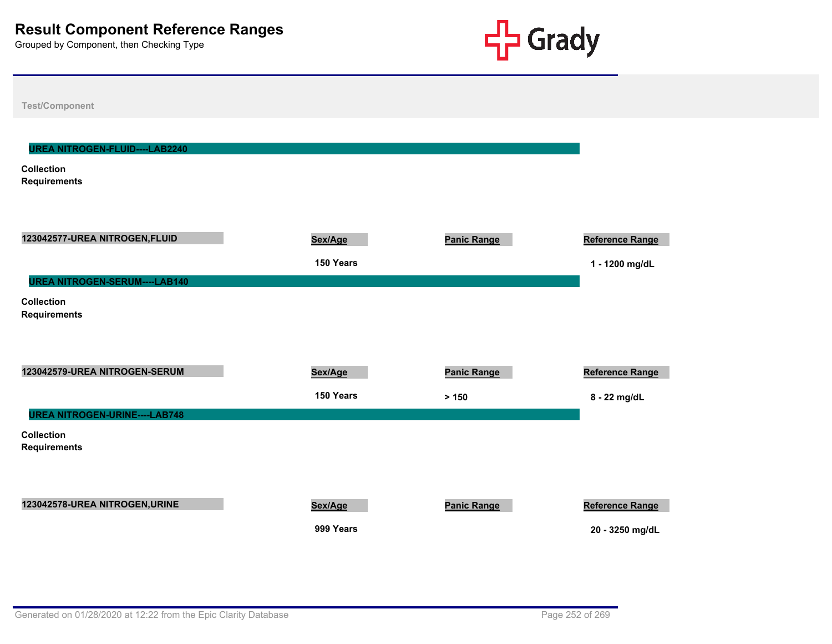

| <b>Test/Component</b>                    |           |                    |                        |
|------------------------------------------|-----------|--------------------|------------------------|
|                                          |           |                    |                        |
| UREA NITROGEN-FLUID----LAB2240           |           |                    |                        |
| <b>Collection</b><br><b>Requirements</b> |           |                    |                        |
|                                          |           |                    |                        |
|                                          |           |                    |                        |
| 123042577-UREA NITROGEN, FLUID           | Sex/Age   | <b>Panic Range</b> | <b>Reference Range</b> |
|                                          | 150 Years |                    | 1 - 1200 mg/dL         |
| <b>UREA NITROGEN-SERUM----LAB140</b>     |           |                    |                        |
| <b>Collection</b><br><b>Requirements</b> |           |                    |                        |
|                                          |           |                    |                        |
|                                          |           |                    |                        |
| 123042579-UREA NITROGEN-SERUM            | Sex/Age   | <b>Panic Range</b> | <b>Reference Range</b> |
|                                          | 150 Years | > 150              | 8 - 22 mg/dL           |
| <b>UREA NITROGEN-URINE----LAB748</b>     |           |                    |                        |
| <b>Collection</b><br><b>Requirements</b> |           |                    |                        |
|                                          |           |                    |                        |
|                                          |           |                    |                        |
| 123042578-UREA NITROGEN, URINE           | Sex/Age   | <b>Panic Range</b> | <b>Reference Range</b> |
|                                          | 999 Years |                    | 20 - 3250 mg/dL        |
|                                          |           |                    |                        |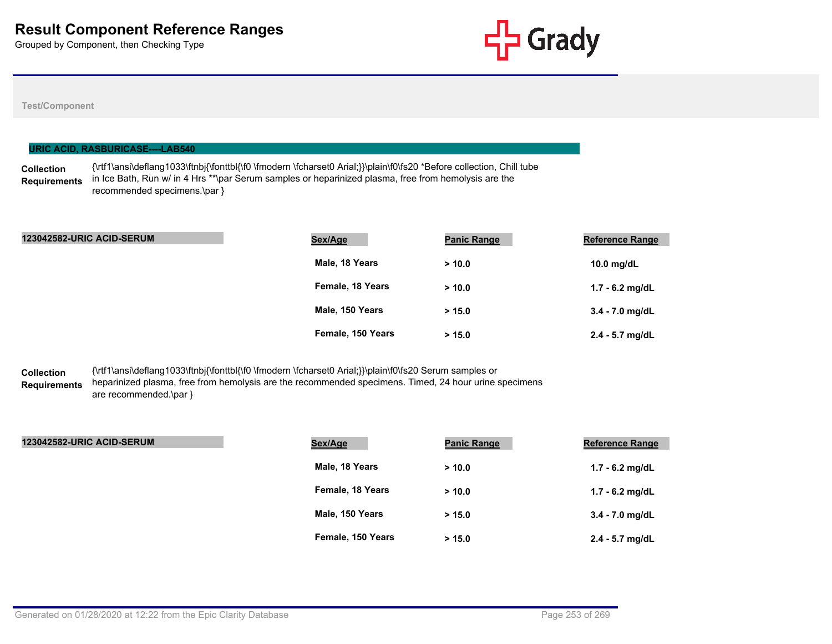

# **Test/Component**

|                                          | URIC ACID, RASBURICASE----LAB540 |                                                                                                                                                                                                                              |                    |                        |
|------------------------------------------|----------------------------------|------------------------------------------------------------------------------------------------------------------------------------------------------------------------------------------------------------------------------|--------------------|------------------------|
| <b>Collection</b><br><b>Requirements</b> | recommended specimens.\par }     | {\rtf1\ansi\deflang1033\ftnbj{\fonttbl{\f0 \fmodern \fcharset0 Arial;}}\plain\f0\fs20 *Before collection, Chill tube<br>in Ice Bath, Run w/ in 4 Hrs **\par Serum samples or heparinized plasma, free from hemolysis are the |                    |                        |
|                                          | <b>123042582-URIC ACID-SERUM</b> | Sex/Age                                                                                                                                                                                                                      | <b>Panic Range</b> | <b>Reference Range</b> |
|                                          |                                  | Male, 18 Years                                                                                                                                                                                                               | > 10.0             |                        |

| male, 18 Years    | >10.0  | 10.0 mg/dL        |
|-------------------|--------|-------------------|
| Female, 18 Years  | > 10.0 | 1.7 - 6.2 mg/dL   |
| Male, 150 Years   | > 15.0 | $3.4 - 7.0$ mg/dL |
| Female, 150 Years | > 15.0 | $2.4 - 5.7$ mg/dL |

#### **Collection Requirements** {\rtf1\ansi\deflang1033\ftnbj{\fonttbl{\f0 \fmodern \fcharset0 Arial;}}\plain\f0\fs20 Serum samples or heparinized plasma, free from hemolysis are the recommended specimens. Timed, 24 hour urine specimens are recommended.\par }

| <b>123042582-URIC ACID-SERUM</b> | Sex/Age           | <b>Panic Range</b> | <b>Reference Range</b> |
|----------------------------------|-------------------|--------------------|------------------------|
|                                  | Male, 18 Years    | > 10.0             | $1.7 - 6.2$ mg/dL      |
|                                  | Female, 18 Years  | > 10.0             | 1.7 - 6.2 mg/dL        |
|                                  | Male, 150 Years   | > 15.0             | 3.4 - 7.0 mg/dL        |
|                                  | Female, 150 Years | > 15.0             | 2.4 - 5.7 mg/dL        |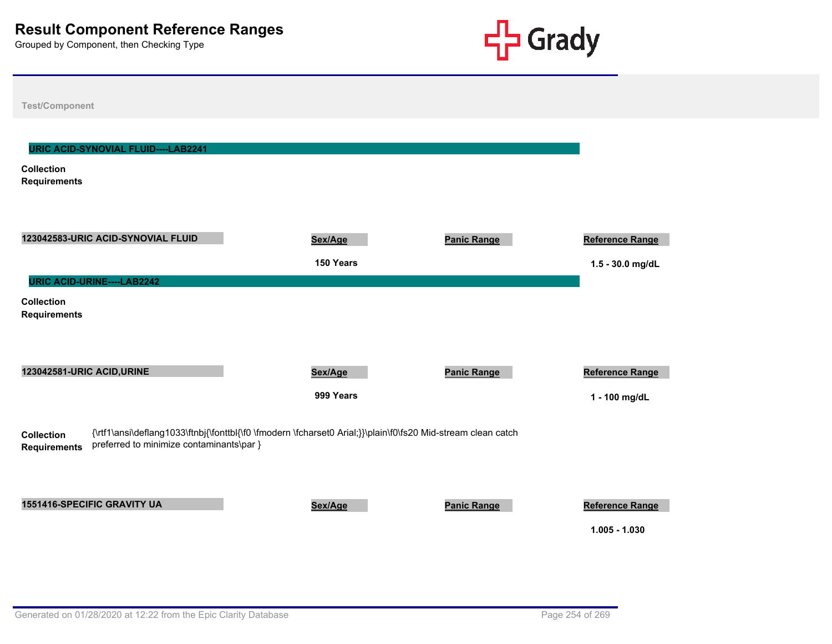

| <b>Test/Component</b>                                                                                                                                                                                |                      |                    |                                           |
|------------------------------------------------------------------------------------------------------------------------------------------------------------------------------------------------------|----------------------|--------------------|-------------------------------------------|
| <b>URIC ACID-SYNOVIAL FLUID----LAB2241</b><br><b>Collection</b><br><b>Requirements</b>                                                                                                               |                      |                    |                                           |
| 123042583-URIC ACID-SYNOVIAL FLUID<br>URIC ACID-URINE----LAB2242                                                                                                                                     | Sex/Age<br>150 Years | <b>Panic Range</b> | Reference Range<br>1.5 - 30.0 mg/dL       |
| <b>Collection</b><br><b>Requirements</b>                                                                                                                                                             |                      |                    |                                           |
| 123042581-URIC ACID, URINE                                                                                                                                                                           | Sex/Age<br>999 Years | <b>Panic Range</b> | Reference Range<br>1 - 100 mg/dL          |
| {\rtf1\ansi\deflang1033\ftnbj{\fonttbl{\f0 \fmodern \fcharset0 Arial;}}\plain\f0\fs20 Mid-stream clean catch<br><b>Collection</b><br>preferred to minimize contaminants\par }<br><b>Requirements</b> |                      |                    |                                           |
| 1551416-SPECIFIC GRAVITY UA                                                                                                                                                                          | Sex/Age              | <b>Panic Range</b> | <b>Reference Range</b><br>$1.005 - 1.030$ |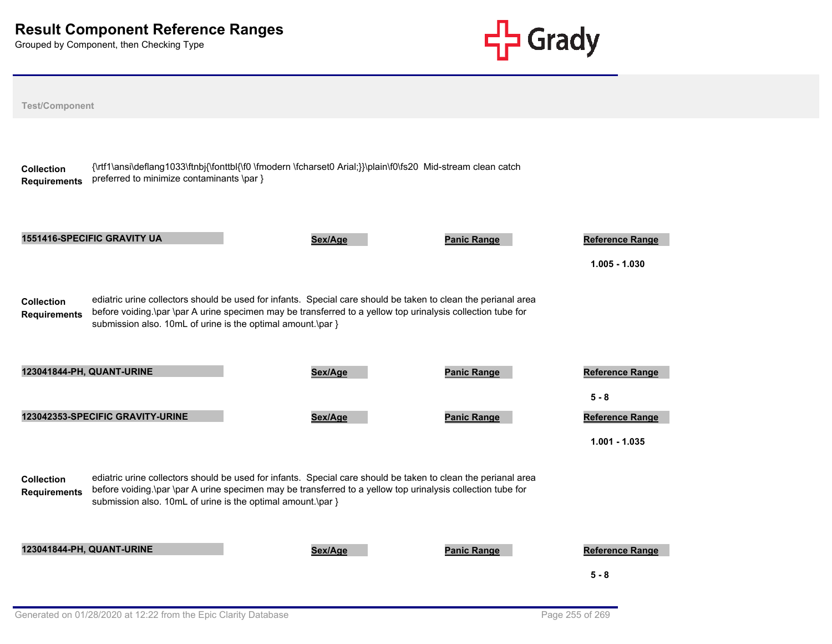

| <b>Test/Component</b>                    |                                                             |                                                                                                                                                                                                                              |                    |                                           |
|------------------------------------------|-------------------------------------------------------------|------------------------------------------------------------------------------------------------------------------------------------------------------------------------------------------------------------------------------|--------------------|-------------------------------------------|
| <b>Collection</b><br><b>Requirements</b> | preferred to minimize contaminants \par }                   | {\rtf1\ansi\deflang1033\ftnbj{\fonttbl{\f0 \fmodern \fcharset0 Arial;}}\plain\f0\fs20 Mid-stream clean catch                                                                                                                 |                    |                                           |
|                                          | <b>1551416-SPECIFIC GRAVITY UA</b>                          | Sex/Age                                                                                                                                                                                                                      | <b>Panic Range</b> | <b>Reference Range</b><br>$1.005 - 1.030$ |
| <b>Collection</b><br><b>Requirements</b> | submission also. 10mL of urine is the optimal amount.\par } | ediatric urine collectors should be used for infants. Special care should be taken to clean the perianal area<br>before voiding.\par \par A urine specimen may be transferred to a yellow top urinalysis collection tube for |                    |                                           |
|                                          | 123041844-PH, QUANT-URINE                                   | Sex/Age                                                                                                                                                                                                                      | <b>Panic Range</b> | Reference Range<br>$5 - 8$                |
|                                          | 123042353-SPECIFIC GRAVITY-URINE                            | Sex/Age                                                                                                                                                                                                                      | <b>Panic Range</b> | <b>Reference Range</b><br>$1.001 - 1.035$ |
| <b>Collection</b><br><b>Requirements</b> | submission also. 10mL of urine is the optimal amount.\par } | ediatric urine collectors should be used for infants. Special care should be taken to clean the perianal area<br>before voiding.\par \par A urine specimen may be transferred to a yellow top urinalysis collection tube for |                    |                                           |
|                                          | 123041844-PH, QUANT-URINE                                   | Sex/Age                                                                                                                                                                                                                      | <b>Panic Range</b> | <b>Reference Range</b><br>$5 - 8$         |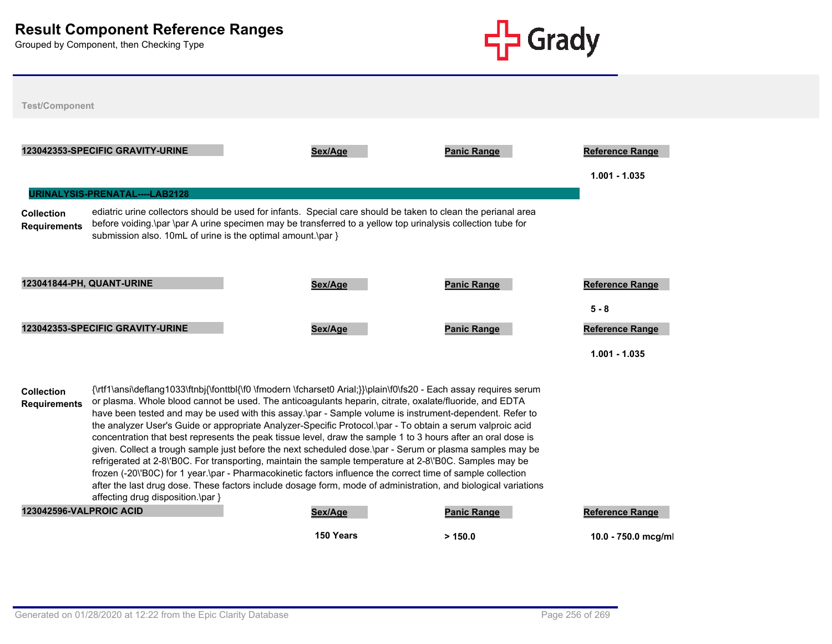

| <b>Test/Component</b>                                                                                                                                                                                                                                                                                                                                                                                                                                                                                                                                                                                                                                                                                                                                                                                                                                                                                                                                                                                                                                                                                         |                                                                                                                                                                                                                                                                                             |                               |                                               |  |  |  |
|---------------------------------------------------------------------------------------------------------------------------------------------------------------------------------------------------------------------------------------------------------------------------------------------------------------------------------------------------------------------------------------------------------------------------------------------------------------------------------------------------------------------------------------------------------------------------------------------------------------------------------------------------------------------------------------------------------------------------------------------------------------------------------------------------------------------------------------------------------------------------------------------------------------------------------------------------------------------------------------------------------------------------------------------------------------------------------------------------------------|---------------------------------------------------------------------------------------------------------------------------------------------------------------------------------------------------------------------------------------------------------------------------------------------|-------------------------------|-----------------------------------------------|--|--|--|
| 123042353-SPECIFIC GRAVITY-URINE                                                                                                                                                                                                                                                                                                                                                                                                                                                                                                                                                                                                                                                                                                                                                                                                                                                                                                                                                                                                                                                                              | Sex/Age                                                                                                                                                                                                                                                                                     | <b>Panic Range</b>            | <b>Reference Range</b><br>$1.001 - 1.035$     |  |  |  |
| JRINALYSIS-PRENATAL----LAB2128<br><b>Collection</b><br><b>Requirements</b>                                                                                                                                                                                                                                                                                                                                                                                                                                                                                                                                                                                                                                                                                                                                                                                                                                                                                                                                                                                                                                    | ediatric urine collectors should be used for infants. Special care should be taken to clean the perianal area<br>before voiding.\par \par A urine specimen may be transferred to a yellow top urinalysis collection tube for<br>submission also. 10mL of urine is the optimal amount.\par } |                               |                                               |  |  |  |
| <b>123041844-PH, QUANT-URINE</b>                                                                                                                                                                                                                                                                                                                                                                                                                                                                                                                                                                                                                                                                                                                                                                                                                                                                                                                                                                                                                                                                              | Sex/Age                                                                                                                                                                                                                                                                                     | <b>Panic Range</b>            | <b>Reference Range</b><br>$5 - 8$             |  |  |  |
| 123042353-SPECIFIC GRAVITY-URINE                                                                                                                                                                                                                                                                                                                                                                                                                                                                                                                                                                                                                                                                                                                                                                                                                                                                                                                                                                                                                                                                              | Sex/Age                                                                                                                                                                                                                                                                                     | <b>Panic Range</b>            | <b>Reference Range</b><br>$1.001 - 1.035$     |  |  |  |
| {\rtf1\ansi\deflang1033\ftnbj{\fonttbl{\f0 \fmodern \fcharset0 Arial;}}\plain\f0\fs20 - Each assay requires serum<br><b>Collection</b><br>or plasma. Whole blood cannot be used. The anticoagulants heparin, citrate, oxalate/fluoride, and EDTA<br><b>Requirements</b><br>have been tested and may be used with this assay.\par - Sample volume is instrument-dependent. Refer to<br>the analyzer User's Guide or appropriate Analyzer-Specific Protocol.\par - To obtain a serum valproic acid<br>concentration that best represents the peak tissue level, draw the sample 1 to 3 hours after an oral dose is<br>given. Collect a trough sample just before the next scheduled dose.\par - Serum or plasma samples may be<br>refrigerated at 2-8\'B0C. For transporting, maintain the sample temperature at 2-8\'B0C. Samples may be<br>frozen (-20\'B0C) for 1 year.\par - Pharmacokinetic factors influence the correct time of sample collection<br>after the last drug dose. These factors include dosage form, mode of administration, and biological variations<br>affecting drug disposition.\par } |                                                                                                                                                                                                                                                                                             |                               |                                               |  |  |  |
| <b>123042596-VALPROIC ACID</b>                                                                                                                                                                                                                                                                                                                                                                                                                                                                                                                                                                                                                                                                                                                                                                                                                                                                                                                                                                                                                                                                                | Sex/Age<br>150 Years                                                                                                                                                                                                                                                                        | <b>Panic Range</b><br>> 150.0 | <b>Reference Range</b><br>10.0 - 750.0 mcg/ml |  |  |  |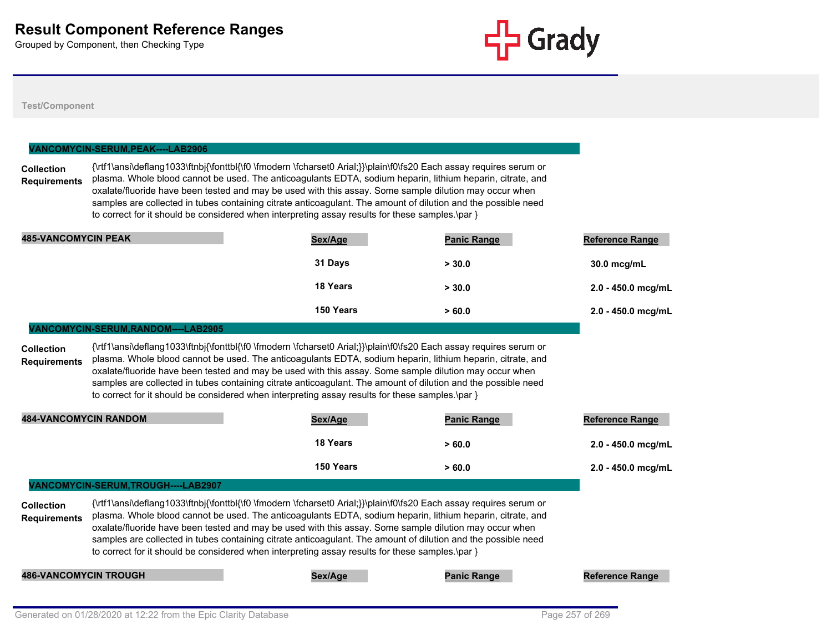

#### **Test/Component**

### **VANCOMYCIN-SERUM,PEAK----LAB2906**

**Collection Requirements** {\rtf1\ansi\deflang1033\ftnbj{\fonttbl{\f0 \fmodern \fcharset0 Arial;}}\plain\f0\fs20 Each assay requires serum or plasma. Whole blood cannot be used. The anticoagulants EDTA, sodium heparin, lithium heparin, citrate, and oxalate/fluoride have been tested and may be used with this assay. Some sample dilution may occur when samples are collected in tubes containing citrate anticoagulant. The amount of dilution and the possible need to correct for it should be considered when interpreting assay results for these samples.\par }

| <b>485-VANCOMYCIN PEAK</b> | Sex/Age         | <b>Panic Range</b> | <b>Reference Range</b> |
|----------------------------|-----------------|--------------------|------------------------|
|                            | 31 Days         | > 30.0             | 30.0 mcg/mL            |
|                            | <b>18 Years</b> | > 30.0             | 2.0 - 450.0 mcg/mL     |
|                            | 150 Years       | >60.0              | 2.0 - 450.0 mcg/mL     |

#### **VANCOMYCIN-SERUM,RANDOM----LAB2905**

**Collection Requirements** {\rtf1\ansi\deflang1033\ftnbj{\fonttbl{\f0 \fmodern \fcharset0 Arial;}}\plain\f0\fs20 Each assay requires serum or plasma. Whole blood cannot be used. The anticoagulants EDTA, sodium heparin, lithium heparin, citrate, and oxalate/fluoride have been tested and may be used with this assay. Some sample dilution may occur when samples are collected in tubes containing citrate anticoagulant. The amount of dilution and the possible need to correct for it should be considered when interpreting assay results for these samples.\par }

| <b>484-VANCOMYCIN RANDOM</b>        | Sex/Age         | <b>Panic Range</b> | <b>Reference Range</b> |
|-------------------------------------|-----------------|--------------------|------------------------|
|                                     | <b>18 Years</b> | >60.0              | 2.0 - 450.0 mcg/mL     |
|                                     | 150 Years       | >60.0              | 2.0 - 450.0 mcg/mL     |
| VANCOMYCIN-SERUM, TROUGH----LAB2907 |                 |                    |                        |

| <b>Collection</b>   | {\rtf1\ansi\deflang1033\ftnbi{\fonttbl{\f0 \fmodern \fcharset0 Arial;}}\plain\f0\fs20 Each assay requires serum or |
|---------------------|--------------------------------------------------------------------------------------------------------------------|
| <b>Requirements</b> | plasma. Whole blood cannot be used. The anticoagulants EDTA, sodium heparin, lithium heparin, citrate, and         |
|                     | oxalate/fluoride have been tested and may be used with this assay. Some sample dilution may occur when             |
|                     | samples are collected in tubes containing citrate anticoagulant. The amount of dilution and the possible need      |
|                     | to correct for it should be considered when interpreting assay results for these samples.\par }                    |

**486-VANCOMYCIN TROUGH Sex/Age Panic Range Reference Range**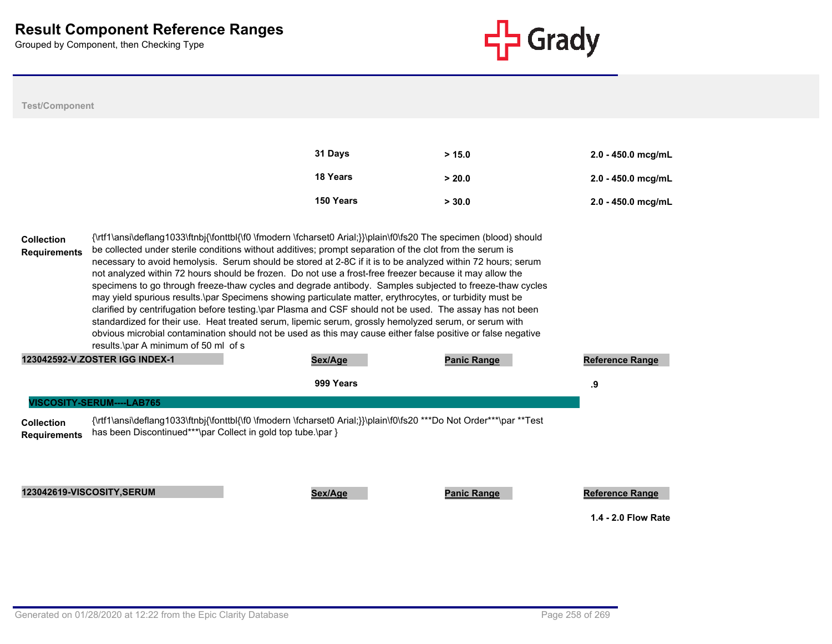

# **Test/Component**

| 31 Days   | > 15.0 | $2.0 - 450.0$ mcg/mL |
|-----------|--------|----------------------|
| 18 Years  | > 20.0 | $2.0 - 450.0$ mcg/mL |
| 150 Years | > 30.0 | $2.0 - 450.0$ mcg/mL |

| <b>Collection</b><br><b>Requirements</b> | results.\par A minimum of 50 ml of s                            | {\rtf1\ansi\deflang1033\ftnbj{\fonttbl{\f0 \fmodern \fcharset0 Arial;}}\plain\f0\fs20 The specimen (blood) should<br>be collected under sterile conditions without additives; prompt separation of the clot from the serum is<br>necessary to avoid hemolysis. Serum should be stored at 2-8C if it is to be analyzed within 72 hours; serum<br>not analyzed within 72 hours should be frozen. Do not use a frost-free freezer because it may allow the<br>specimens to go through freeze-thaw cycles and degrade antibody. Samples subjected to freeze-thaw cycles<br>may yield spurious results.\par Specimens showing particulate matter, erythrocytes, or turbidity must be<br>clarified by centrifugation before testing. par Plasma and CSF should not be used. The assay has not been<br>standardized for their use. Heat treated serum, lipemic serum, grossly hemolyzed serum, or serum with<br>obvious microbial contamination should not be used as this may cause either false positive or false negative |  |  |  |  |  |  |
|------------------------------------------|-----------------------------------------------------------------|-----------------------------------------------------------------------------------------------------------------------------------------------------------------------------------------------------------------------------------------------------------------------------------------------------------------------------------------------------------------------------------------------------------------------------------------------------------------------------------------------------------------------------------------------------------------------------------------------------------------------------------------------------------------------------------------------------------------------------------------------------------------------------------------------------------------------------------------------------------------------------------------------------------------------------------------------------------------------------------------------------------------------|--|--|--|--|--|--|
|                                          | 123042592-V.ZOSTER IGG INDEX-1<br>Sex/Age<br><b>Panic Range</b> |                                                                                                                                                                                                                                                                                                                                                                                                                                                                                                                                                                                                                                                                                                                                                                                                                                                                                                                                                                                                                       |  |  |  |  |  |  |
|                                          | 999 Years                                                       |                                                                                                                                                                                                                                                                                                                                                                                                                                                                                                                                                                                                                                                                                                                                                                                                                                                                                                                                                                                                                       |  |  |  |  |  |  |
|                                          | VISCOSITY-SERUM----LAB765                                       |                                                                                                                                                                                                                                                                                                                                                                                                                                                                                                                                                                                                                                                                                                                                                                                                                                                                                                                                                                                                                       |  |  |  |  |  |  |
| <b>Collection</b>                        |                                                                 | {\rtf1\ansi\deflang1033\ftnbj{\fonttbl{\f0 \fmodern \fcharset0 Arial;}}\plain\f0\fs20 ***Do Not Order***\par **Test                                                                                                                                                                                                                                                                                                                                                                                                                                                                                                                                                                                                                                                                                                                                                                                                                                                                                                   |  |  |  |  |  |  |

**Requirements** has been Discontinued\*\*\*\par Collect in gold top tube.\par }

**123042619-VISCOSITY,SERUM Sex/Age Panic Range Reference Range** Reference Range

**1.4 - 2.0 Flow Rate**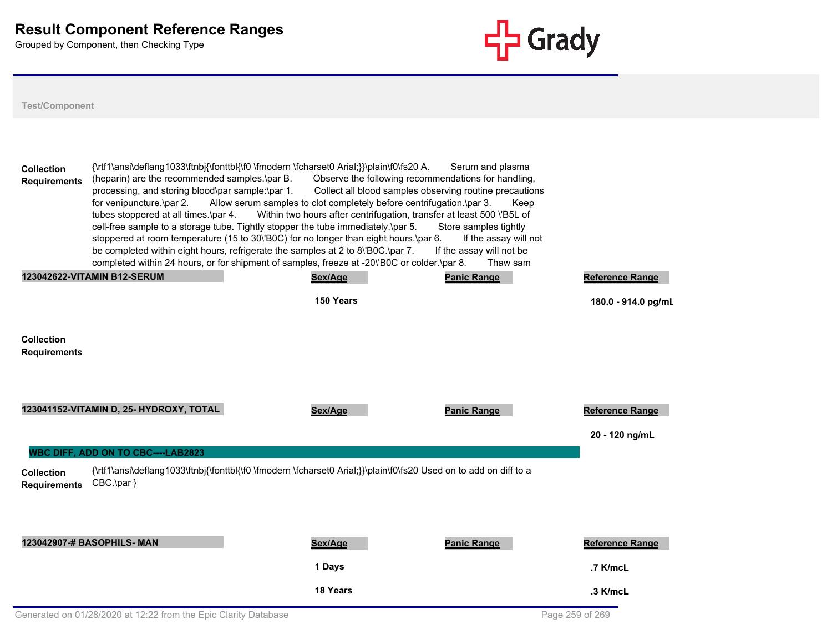

| <b>Collection</b><br><b>Requirements</b> | {\rtf1\ansi\deflang1033\ftnbj{\fonttbl{\f0 \fmodern \fcharset0 Arial;}}\plain\f0\fs20 A.<br>(heparin) are the recommended samples.\par B.<br>processing, and storing blood\par sample:\par 1.<br>for venipuncture.\par 2.<br>tubes stoppered at all times.\par 4.<br>cell-free sample to a storage tube. Tightly stopper the tube immediately.\par 5.<br>stoppered at room temperature (15 to 30\'B0C) for no longer than eight hours.\par 6.<br>be completed within eight hours, refrigerate the samples at 2 to 8\'B0C.\par 7.<br>completed within 24 hours, or for shipment of samples, freeze at -20\'B0C or colder.\par 8. | Observe the following recommendations for handling,<br>Collect all blood samples observing routine precautions<br>Allow serum samples to clot completely before centrifugation.\par 3.<br>Within two hours after centrifugation, transfer at least 500 \'B5L of | Serum and plasma<br>Keep<br>Store samples tightly<br>If the assay will not<br>If the assay will not be<br>Thaw sam |                        |
|------------------------------------------|---------------------------------------------------------------------------------------------------------------------------------------------------------------------------------------------------------------------------------------------------------------------------------------------------------------------------------------------------------------------------------------------------------------------------------------------------------------------------------------------------------------------------------------------------------------------------------------------------------------------------------|-----------------------------------------------------------------------------------------------------------------------------------------------------------------------------------------------------------------------------------------------------------------|--------------------------------------------------------------------------------------------------------------------|------------------------|
|                                          | <b>123042622-VITAMIN B12-SERUM</b>                                                                                                                                                                                                                                                                                                                                                                                                                                                                                                                                                                                              | Sex/Age                                                                                                                                                                                                                                                         | <b>Panic Range</b>                                                                                                 | <b>Reference Range</b> |
|                                          |                                                                                                                                                                                                                                                                                                                                                                                                                                                                                                                                                                                                                                 | 150 Years                                                                                                                                                                                                                                                       |                                                                                                                    | 180.0 - 914.0 pg/mL    |
| <b>Collection</b><br><b>Requirements</b> |                                                                                                                                                                                                                                                                                                                                                                                                                                                                                                                                                                                                                                 |                                                                                                                                                                                                                                                                 |                                                                                                                    |                        |
|                                          | 123041152-VITAMIN D, 25- HYDROXY, TOTAL                                                                                                                                                                                                                                                                                                                                                                                                                                                                                                                                                                                         | Sex/Age                                                                                                                                                                                                                                                         | <b>Panic Range</b>                                                                                                 | <b>Reference Range</b> |
|                                          |                                                                                                                                                                                                                                                                                                                                                                                                                                                                                                                                                                                                                                 |                                                                                                                                                                                                                                                                 |                                                                                                                    | 20 - 120 ng/mL         |
|                                          | <b>WBC DIFF, ADD ON TO CBC----LAB2823</b>                                                                                                                                                                                                                                                                                                                                                                                                                                                                                                                                                                                       |                                                                                                                                                                                                                                                                 |                                                                                                                    |                        |
| <b>Collection</b><br><b>Requirements</b> | {\rtf1\ansi\deflang1033\ftnbj{\fonttbl{\f0 \fmodern \fcharset0 Arial;}}\plain\f0\fs20 Used on to add on diff to a<br>CBC.\par }                                                                                                                                                                                                                                                                                                                                                                                                                                                                                                 |                                                                                                                                                                                                                                                                 |                                                                                                                    |                        |
|                                          | 123042907-# BASOPHILS- MAN                                                                                                                                                                                                                                                                                                                                                                                                                                                                                                                                                                                                      | Sex/Age                                                                                                                                                                                                                                                         | <b>Panic Range</b>                                                                                                 | <b>Reference Range</b> |
|                                          |                                                                                                                                                                                                                                                                                                                                                                                                                                                                                                                                                                                                                                 | 1 Days                                                                                                                                                                                                                                                          |                                                                                                                    | .7 K/mcL               |
|                                          |                                                                                                                                                                                                                                                                                                                                                                                                                                                                                                                                                                                                                                 | 18 Years                                                                                                                                                                                                                                                        |                                                                                                                    | .3 K/mcL               |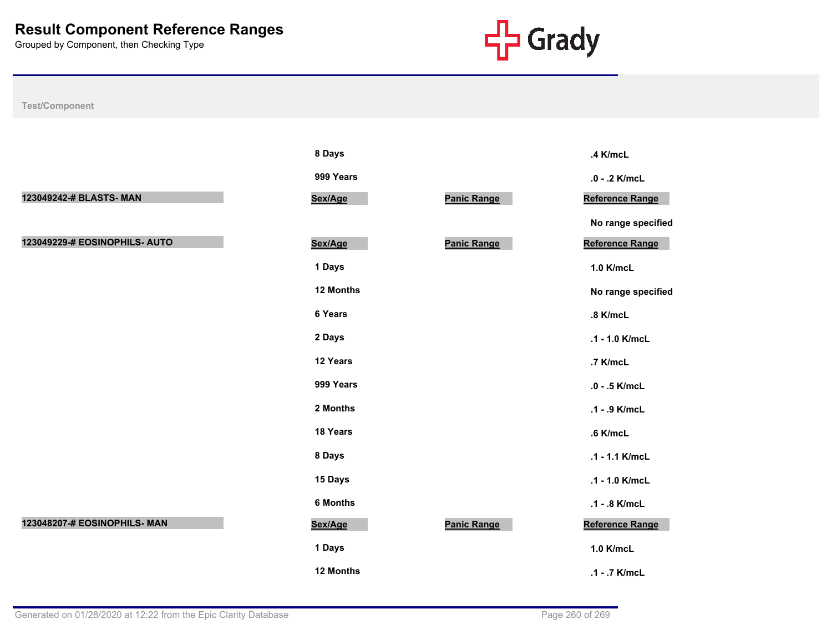

**No range specified** 

**No range specified** 

|                               | 8 Days          |                    | .4 K/mcL          |
|-------------------------------|-----------------|--------------------|-------------------|
|                               | 999 Years       |                    | .0 - .2 K/mcL     |
| 123049242-# BLASTS- MAN       | Sex/Age         | <b>Panic Range</b> | Reference Range   |
|                               |                 |                    | No range specific |
| 123049229-# EOSINOPHILS- AUTO | Sex/Age         | Panic Range        | Reference Range   |
|                               | 1 Days          |                    | 1.0 K/mcL         |
|                               | 12 Months       |                    | No range specific |
|                               | 6 Years         |                    | .8 K/mcL          |
|                               | 2 Days          |                    | .1 - 1.0 K/mcL    |
|                               | 12 Years        |                    | .7 K/mcL          |
|                               | 999 Years       |                    | .0 - .5 K/mcL     |
|                               | 2 Months        |                    | .1 - .9 K/mcL     |
|                               | 18 Years        |                    | .6 K/mcL          |
|                               | 8 Days          |                    | .1 - 1.1 K/mcL    |
|                               | 15 Days         |                    | .1 - 1.0 K/mcL    |
|                               | <b>6 Months</b> |                    | .1 - .8 K/mcL     |
| 123048207-# EOSINOPHILS- MAN  | Sex/Age         | <b>Panic Range</b> | Reference Range   |
|                               | 1 Days          |                    | 1.0 K/mcL         |
|                               | 12 Months       |                    | .1 - .7 K/mcL     |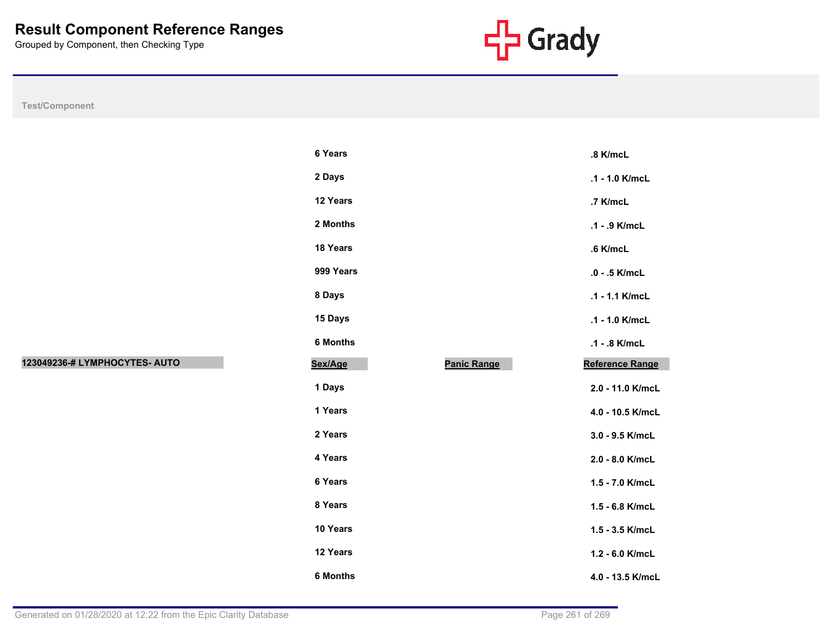

|                               | 6 Yea  |
|-------------------------------|--------|
|                               | $2$ Da |
|                               | 12 Y   |
|                               | 2 Mo   |
|                               | 18 Y   |
|                               | 999    |
|                               | 8 Da   |
|                               | 15 D   |
|                               | 6 Mo   |
| 123049236-# LYMPHOCYTES- AUTO | Sex/A  |
|                               | 1 Da   |
|                               | 1 Yea  |
|                               | 2 Yea  |
|                               | 4 Yea  |
|                               | 6 Yea  |
|                               | 8 Yea  |
|                               | 10 Y   |
|                               | 12 Y   |
|                               | 6 Mo   |

|                               | 6 Years         |                    | .8 K/mcL         |
|-------------------------------|-----------------|--------------------|------------------|
|                               | 2 Days          |                    | .1 - 1.0 K/mcL   |
|                               | 12 Years        |                    | .7 K/mcL         |
|                               | 2 Months        |                    | .1 - .9 K/mcL    |
|                               | 18 Years        |                    | .6 K/mcL         |
|                               | 999 Years       |                    | .0 - .5 K/mcL    |
|                               | 8 Days          |                    | .1 - 1.1 K/mcL   |
|                               | 15 Days         |                    | .1 - 1.0 K/mcL   |
|                               | 6 Months        |                    | .1 - .8 K/mcL    |
| 123049236-# LYMPHOCYTES- AUTO | Sex/Age         | <b>Panic Range</b> | Reference Range  |
|                               | 1 Days          |                    | 2.0 - 11.0 K/mcL |
|                               | 1 Years         |                    | 4.0 - 10.5 K/mcL |
|                               | 2 Years         |                    | 3.0 - 9.5 K/mcL  |
|                               | 4 Years         |                    | 2.0 - 8.0 K/mcL  |
|                               | 6 Years         |                    | 1.5 - 7.0 K/mcL  |
|                               | 8 Years         |                    | 1.5 - 6.8 K/mcL  |
|                               | 10 Years        |                    | 1.5 - 3.5 K/mcL  |
|                               | 12 Years        |                    | 1.2 - 6.0 K/mcL  |
|                               | <b>6 Months</b> |                    | 4.0 - 13.5 K/mcL |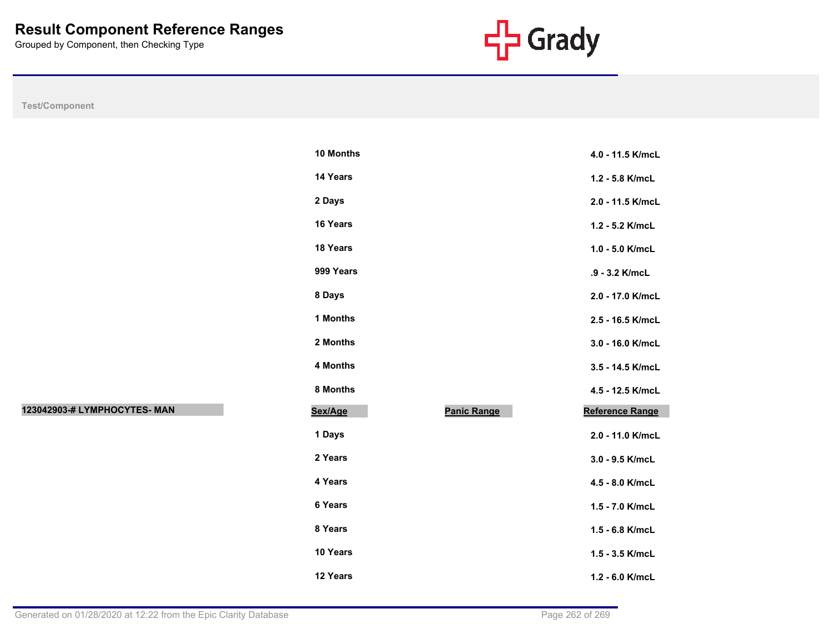

**Test/Component**

| 10 Months |                    | 4.0 - 11.5 K/mcL       |
|-----------|--------------------|------------------------|
| 14 Years  |                    | 1.2 - 5.8 K/mcL        |
| 2 Days    |                    | 2.0 - 11.5 K/mcL       |
| 16 Years  |                    | 1.2 - 5.2 K/mcL        |
| 18 Years  |                    | 1.0 - 5.0 K/mcL        |
| 999 Years |                    | .9 - 3.2 K/mcL         |
| 8 Days    |                    | 2.0 - 17.0 K/mcL       |
| 1 Months  |                    | 2.5 - 16.5 K/mcL       |
| 2 Months  |                    | 3.0 - 16.0 K/mcL       |
| 4 Months  |                    | 3.5 - 14.5 K/mcL       |
| 8 Months  |                    | 4.5 - 12.5 K/mcL       |
| Sex/Age   | <b>Panic Range</b> | <b>Reference Range</b> |
| 1 Days    |                    | 2.0 - 11.0 K/mcL       |
| 2 Years   |                    | 3.0 - 9.5 K/mcL        |
| 4 Years   |                    | 4.5 - 8.0 K/mcL        |
| 6 Years   |                    | 1.5 - 7.0 K/mcL        |
| 8 Years   |                    | $1.5 - 6.8$ K/mcL      |
| 10 Years  |                    | $1.5 - 3.5$ K/mcL      |
| 12 Years  |                    | 1.2 - 6.0 K/mcL        |

**123042903-# LYMPHOCYTES- MAN Sex/Age Panic Range Reference Range**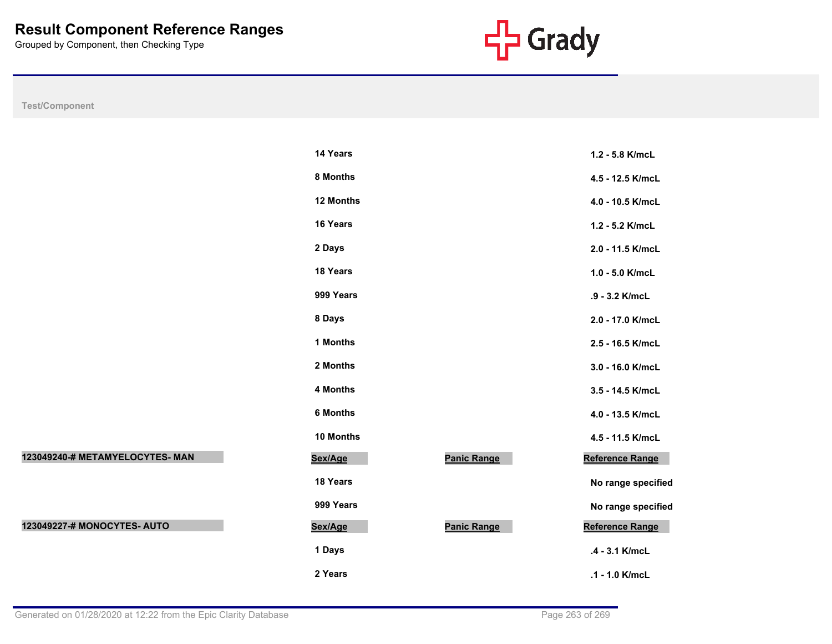

**Test/Component**

|                                 | 14 Years        |                    | 1.2 - 5.8 K/mcL    |
|---------------------------------|-----------------|--------------------|--------------------|
|                                 | 8 Months        |                    | 4.5 - 12.5 K/mcL   |
|                                 | 12 Months       |                    | 4.0 - 10.5 K/mcL   |
|                                 | 16 Years        |                    | 1.2 - 5.2 K/mcL    |
|                                 | 2 Days          |                    | 2.0 - 11.5 K/mcL   |
|                                 | 18 Years        |                    | 1.0 - 5.0 K/mcL    |
|                                 | 999 Years       |                    | .9 - 3.2 K/mcL     |
|                                 | 8 Days          |                    | 2.0 - 17.0 K/mcL   |
|                                 | 1 Months        |                    | 2.5 - 16.5 K/mcL   |
|                                 | 2 Months        |                    | 3.0 - 16.0 K/mcL   |
|                                 | 4 Months        |                    | 3.5 - 14.5 K/mcL   |
|                                 | <b>6 Months</b> |                    | 4.0 - 13.5 K/mcL   |
|                                 | 10 Months       |                    | 4.5 - 11.5 K/mcL   |
| 123049240-# METAMYELOCYTES- MAN | Sex/Age         | <b>Panic Range</b> | Reference Range    |
|                                 | 18 Years        |                    | No range specified |
|                                 | 999 Years       |                    | No range specified |
| 123049227-# MONOCYTES- AUTO     | Sex/Age         | <b>Panic Range</b> | Reference Range    |
|                                 | 1 Days          |                    | .4 - 3.1 K/mcL     |
|                                 | 2 Years         |                    | .1 - 1.0 K/mcL     |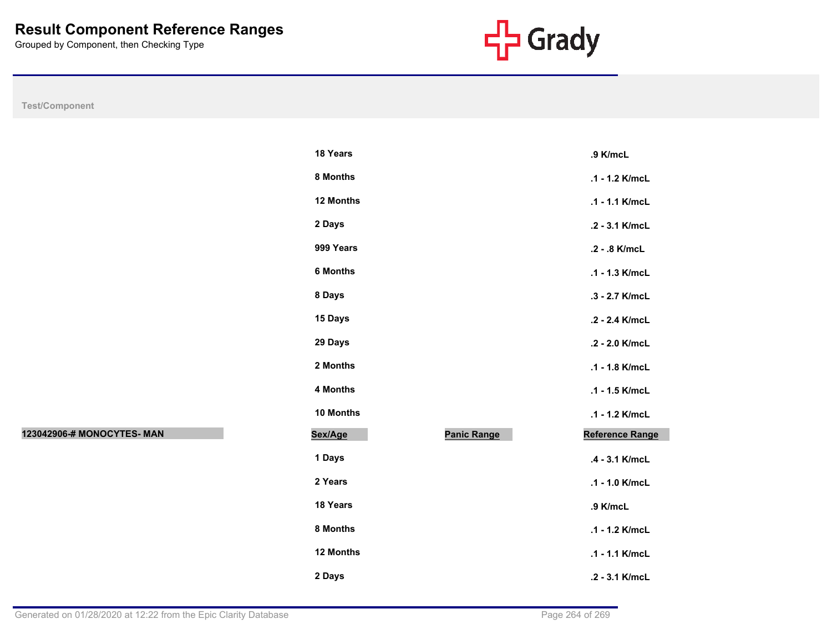

|                            | 18 Years  |                    | .9 K/mcL        |
|----------------------------|-----------|--------------------|-----------------|
|                            | 8 Months  |                    | .1 - 1.2 K/mcL  |
|                            | 12 Months |                    | .1 - 1.1 K/mcL  |
|                            | 2 Days    |                    | .2 - 3.1 K/mcL  |
|                            | 999 Years |                    | .2 - .8 K/mcL   |
|                            | 6 Months  |                    | .1 - 1.3 K/mcL  |
|                            | 8 Days    |                    | .3 - 2.7 K/mcL  |
|                            | 15 Days   |                    | .2 - 2.4 K/mcL  |
|                            | 29 Days   |                    | .2 - 2.0 K/mcL  |
|                            | 2 Months  |                    | .1 - 1.8 K/mcL  |
|                            | 4 Months  |                    | .1 - 1.5 K/mcL  |
|                            | 10 Months |                    | .1 - 1.2 K/mcL  |
| 123042906-# MONOCYTES- MAN | Sex/Age   | <b>Panic Range</b> | Reference Range |
|                            | 1 Days    |                    | .4 - 3.1 K/mcL  |
|                            | 2 Years   |                    | .1 - 1.0 K/mcL  |
|                            | 18 Years  |                    | .9 K/mcL        |
|                            | 8 Months  |                    | .1 - 1.2 K/mcL  |
|                            | 12 Months |                    | .1 - 1.1 K/mcL  |
|                            | 2 Days    |                    | .2 - 3.1 K/mcL  |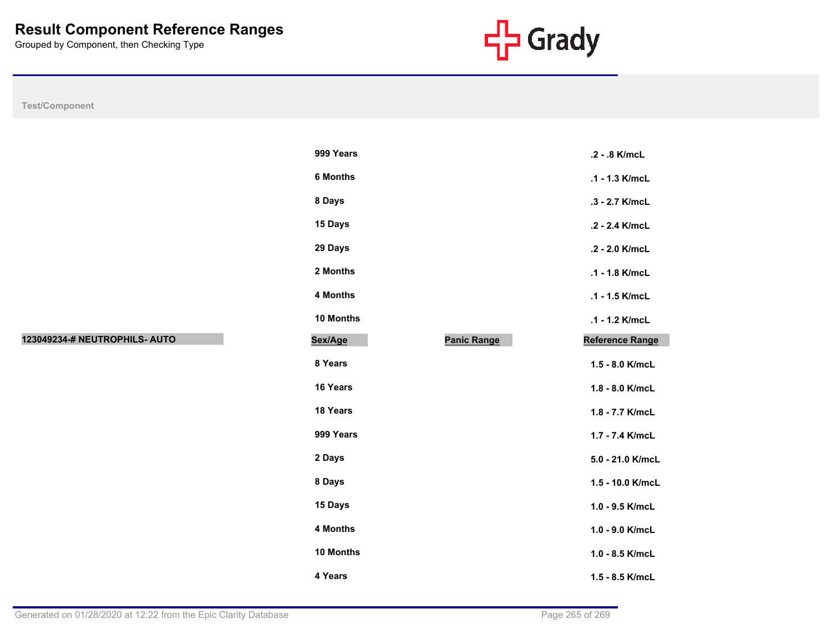

|                               | 999 Years       |                    | .2 - .8 K/mcL    |
|-------------------------------|-----------------|--------------------|------------------|
|                               | <b>6 Months</b> |                    | .1 - 1.3 K/mcL   |
|                               | 8 Days          |                    | .3 - 2.7 K/mcL   |
|                               | 15 Days         |                    | .2 - 2.4 K/mcL   |
|                               | 29 Days         |                    | .2 - 2.0 K/mcL   |
|                               | 2 Months        |                    | .1 - 1.8 K/mcL   |
|                               | 4 Months        |                    | .1 - 1.5 K/mcL   |
|                               | 10 Months       |                    | .1 - 1.2 K/mcL   |
| 123049234-# NEUTROPHILS- AUTO | Sex/Age         | <b>Panic Range</b> | Reference Range  |
|                               | 8 Years         |                    | 1.5 - 8.0 K/mcL  |
|                               | 16 Years        |                    | 1.8 - 8.0 K/mcL  |
|                               | 18 Years        |                    | 1.8 - 7.7 K/mcL  |
|                               | 999 Years       |                    | 1.7 - 7.4 K/mcL  |
|                               | 2 Days          |                    | 5.0 - 21.0 K/mcL |
|                               | 8 Days          |                    | 1.5 - 10.0 K/mcL |
|                               | 15 Days         |                    | 1.0 - 9.5 K/mcL  |
|                               | 4 Months        |                    | 1.0 - 9.0 K/mcL  |
|                               | 10 Months       |                    | 1.0 - 8.5 K/mcL  |
|                               | 4 Years         |                    | 1.5 - 8.5 K/mcL  |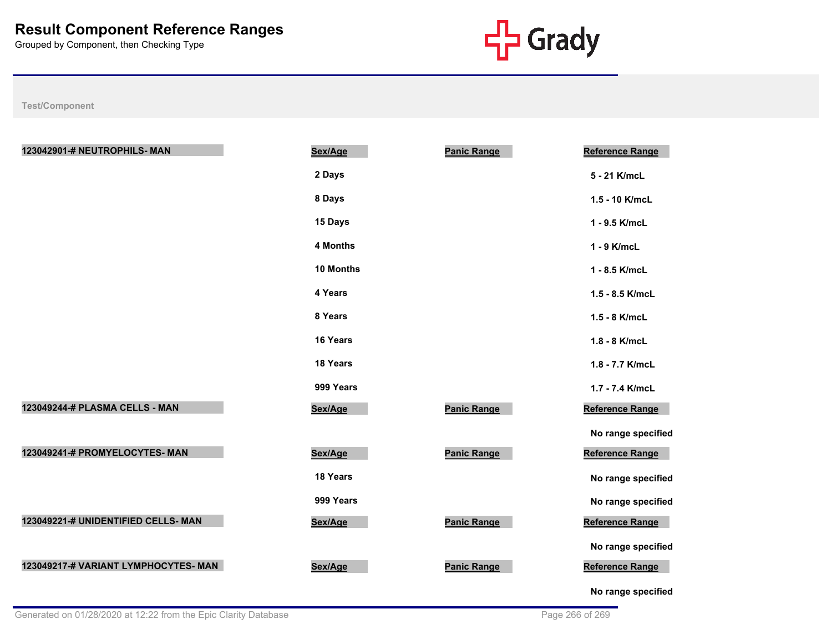

| 123042901-# NEUTROPHILS- MAN         | Sex/Age         | <b>Panic Range</b> | <b>Reference Range</b> |
|--------------------------------------|-----------------|--------------------|------------------------|
|                                      | 2 Days          |                    | 5 - 21 K/mcL           |
|                                      | 8 Days          |                    | 1.5 - 10 K/mcL         |
|                                      | 15 Days         |                    | 1 - 9.5 K/mcL          |
|                                      | <b>4 Months</b> |                    | 1 - 9 K/mcL            |
|                                      | 10 Months       |                    | 1 - 8.5 K/mcL          |
|                                      | 4 Years         |                    | 1.5 - 8.5 K/mcL        |
|                                      | 8 Years         |                    | 1.5 - 8 K/mcL          |
|                                      | 16 Years        |                    | 1.8 - 8 K/mcL          |
|                                      | 18 Years        |                    | 1.8 - 7.7 K/mcL        |
|                                      | 999 Years       |                    | 1.7 - 7.4 K/mcL        |
| 123049244-# PLASMA CELLS - MAN       | Sex/Age         | <b>Panic Range</b> | Reference Range        |
|                                      |                 |                    | No range specified     |
| 123049241-# PROMYELOCYTES- MAN       | Sex/Age         | <b>Panic Range</b> | Reference Range        |
|                                      | 18 Years        |                    | No range specified     |
|                                      | 999 Years       |                    | No range specified     |
| 123049221-# UNIDENTIFIED CELLS- MAN  | Sex/Age         | Panic Range        | Reference Range        |
|                                      |                 |                    | No range specified     |
| 123049217-# VARIANT LYMPHOCYTES- MAN | Sex/Age         | <b>Panic Range</b> | Reference Range        |
|                                      |                 |                    | No range specified     |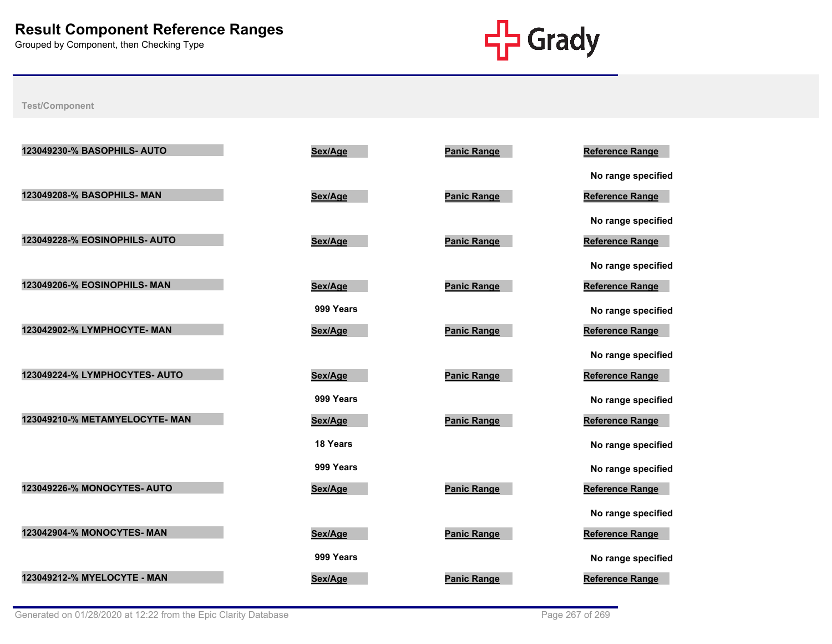

| 123049230-% BASOPHILS- AUTO    | Sex/Age   | <b>Panic Range</b> | <b>Reference Range</b> |
|--------------------------------|-----------|--------------------|------------------------|
|                                |           |                    | No range specified     |
| 123049208-% BASOPHILS- MAN     | Sex/Age   | <b>Panic Range</b> | Reference Range        |
|                                |           |                    | No range specified     |
| 123049228-% EOSINOPHILS- AUTO  | Sex/Age   | <b>Panic Range</b> | Reference Range        |
|                                |           |                    | No range specified     |
| 123049206-% EOSINOPHILS- MAN   | Sex/Age   | <b>Panic Range</b> | <b>Reference Range</b> |
|                                | 999 Years |                    | No range specified     |
| 123042902-% LYMPHOCYTE- MAN    | Sex/Age   | <b>Panic Range</b> | <b>Reference Range</b> |
|                                |           |                    | No range specified     |
| 123049224-% LYMPHOCYTES- AUTO  | Sex/Age   | <b>Panic Range</b> | <b>Reference Range</b> |
|                                | 999 Years |                    | No range specified     |
| 123049210-% METAMYELOCYTE- MAN | Sex/Age   | <b>Panic Range</b> | Reference Range        |
|                                | 18 Years  |                    | No range specified     |
|                                | 999 Years |                    | No range specified     |
| 123049226-% MONOCYTES- AUTO    | Sex/Age   | <b>Panic Range</b> | <b>Reference Range</b> |
|                                |           |                    | No range specified     |
| 123042904-% MONOCYTES- MAN     | Sex/Age   | <b>Panic Range</b> | <b>Reference Range</b> |
|                                | 999 Years |                    | No range specified     |
| 123049212-% MYELOCYTE - MAN    | Sex/Age   | <b>Panic Range</b> | <b>Reference Range</b> |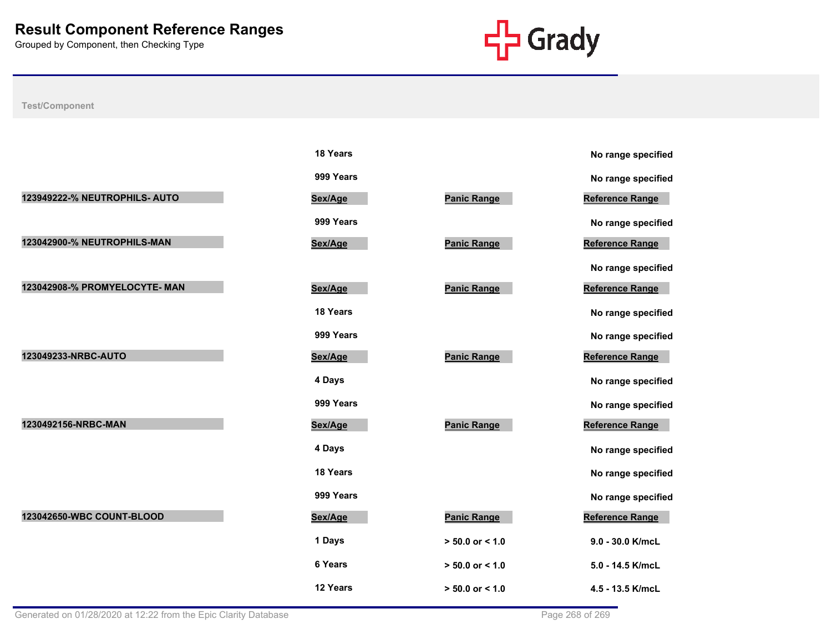

|                               | <b>18 rears</b> |                     | No range speci         |
|-------------------------------|-----------------|---------------------|------------------------|
|                               | 999 Years       |                     | No range speci         |
| 123949222-% NEUTROPHILS- AUTO | Sex/Age         | <b>Panic Range</b>  | <b>Reference Range</b> |
|                               | 999 Years       |                     | No range speci         |
| 123042900-% NEUTROPHILS-MAN   | Sex/Age         | <b>Panic Range</b>  | <b>Reference Range</b> |
|                               |                 |                     | No range specif        |
| 123042908-% PROMYELOCYTE- MAN | Sex/Age         | <b>Panic Range</b>  | <b>Reference Range</b> |
|                               | 18 Years        |                     | No range speci         |
|                               | 999 Years       |                     | No range speci         |
| 123049233-NRBC-AUTO           | Sex/Age         | <b>Panic Range</b>  | <b>Reference Range</b> |
|                               | 4 Days          |                     | No range specif        |
|                               | 999 Years       |                     | No range specif        |
| 1230492156-NRBC-MAN           | Sex/Age         | <b>Panic Range</b>  | <b>Reference Range</b> |
|                               | 4 Days          |                     | No range speci         |
|                               | 18 Years        |                     | No range speci         |
|                               | 999 Years       |                     | No range specif        |
| 123042650-WBC COUNT-BLOOD     | Sex/Age         | <b>Panic Range</b>  | <b>Reference Range</b> |
|                               | 1 Days          | $> 50.0$ or < 1.0   | 9.0 - 30.0 K/mcL       |
|                               | 6 Years         | $> 50.0$ or $< 1.0$ | 5.0 - 14.5 K/mcL       |
|                               | 12 Years        | $> 50.0$ or < 1.0   | 4.5 - 13.5 K/mcL       |

|                     | No range specified     |
|---------------------|------------------------|
|                     | No range specified     |
| <b>Panic Range</b>  | <b>Reference Range</b> |
|                     | No range specified     |
| <b>Panic Range</b>  | Reference Range        |
|                     | No range specified     |
| <b>Panic Range</b>  | <b>Reference Range</b> |
|                     | No range specified     |
|                     | No range specified     |
| <b>Panic Range</b>  | Reference Range        |
|                     | No range specified     |
|                     | No range specified     |
| <b>Panic Range</b>  | <b>Reference Range</b> |
|                     | No range specified     |
|                     | No range specified     |
|                     | No range specified     |
| <b>Panic Range</b>  | Reference Range        |
| $> 50.0$ or $< 1.0$ | 9.0 - 30.0 K/mcL       |
| $> 50.0$ or $< 1.0$ | 5.0 - 14.5 K/mcL       |
| $> 50.0$ or $< 1.0$ | 4.5 - 13.5 K/mcL       |
|                     |                        |

| υ ταιτ <u>γ</u> ο οροσι |
|-------------------------|
| No range specified      |
| Reference Range         |
| No range specified      |
| Reference Range         |
| No range specified      |
| Reference Range         |
| No range specified      |
| No range specified      |
| <b>Reference Range</b>  |
| No range specified      |
| No range specified      |
| Reference Range         |
| No range specified      |
| No range specified      |
| No range specified      |
| <b>Reference Range</b>  |
| 9.0 - 30.0 K/mcL        |
| 5.0 - 14.5 K/mcL        |
| 4.5 - 13.5 K/mcL        |